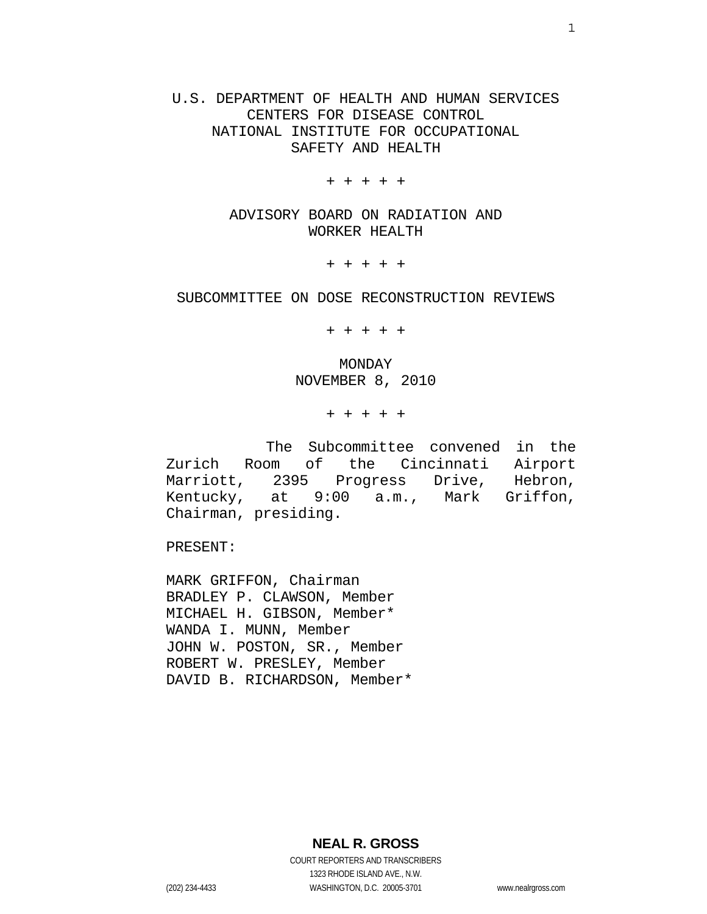U.S. DEPARTMENT OF HEALTH AND HUMAN SERVICES CENTERS FOR DISEASE CONTROL NATIONAL INSTITUTE FOR OCCUPATIONAL SAFETY AND HEALTH

+ + + + +

ADVISORY BOARD ON RADIATION AND WORKER HEALTH

+ + + + +

#### SUBCOMMITTEE ON DOSE RECONSTRUCTION REVIEWS

+ + + + +

MONDAY NOVEMBER 8, 2010

+ + + + +

The Subcommittee convened in the Zurich Room of the Cincinnati Airport Marriott, 2395 Progress Drive, Hebron, Kentucky, at 9:00 a.m., Mark Griffon, Chairman, presiding.

PRESENT:

MARK GRIFFON, Chairman BRADLEY P. CLAWSON, Member MICHAEL H. GIBSON, Member\* WANDA I. MUNN, Member JOHN W. POSTON, SR., Member ROBERT W. PRESLEY, Member DAVID B. RICHARDSON, Member\*

**NEAL R. GROSS** 

COURT REPORTERS AND TRANSCRIBERS 1323 RHODE ISLAND AVE., N.W. (202) 234-4433 WASHINGTON, D.C. 20005-3701 www.nealrgross.com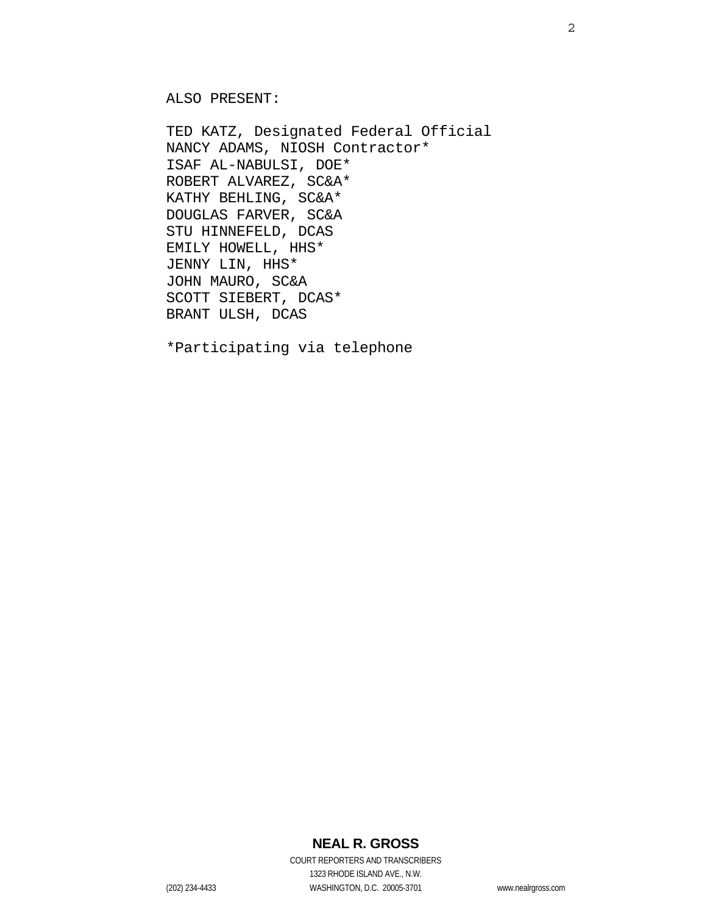ALSO PRESENT:

TED KATZ, Designated Federal Official NANCY ADAMS, NIOSH Contractor\* ISAF AL-NABULSI, DOE\* ROBERT ALVAREZ, SC&A\* KATHY BEHLING, SC&A\* DOUGLAS FARVER, SC&A STU HINNEFELD, DCAS EMILY HOWELL, HHS\* JENNY LIN, HHS\* JOHN MAURO, SC&A SCOTT SIEBERT, DCAS\* BRANT ULSH, DCAS

\*Participating via telephone

## **NEAL R. GROSS**

COURT REPORTERS AND TRANSCRIBERS 1323 RHODE ISLAND AVE., N.W. (202) 234-4433 WASHINGTON, D.C. 20005-3701 www.nealrgross.com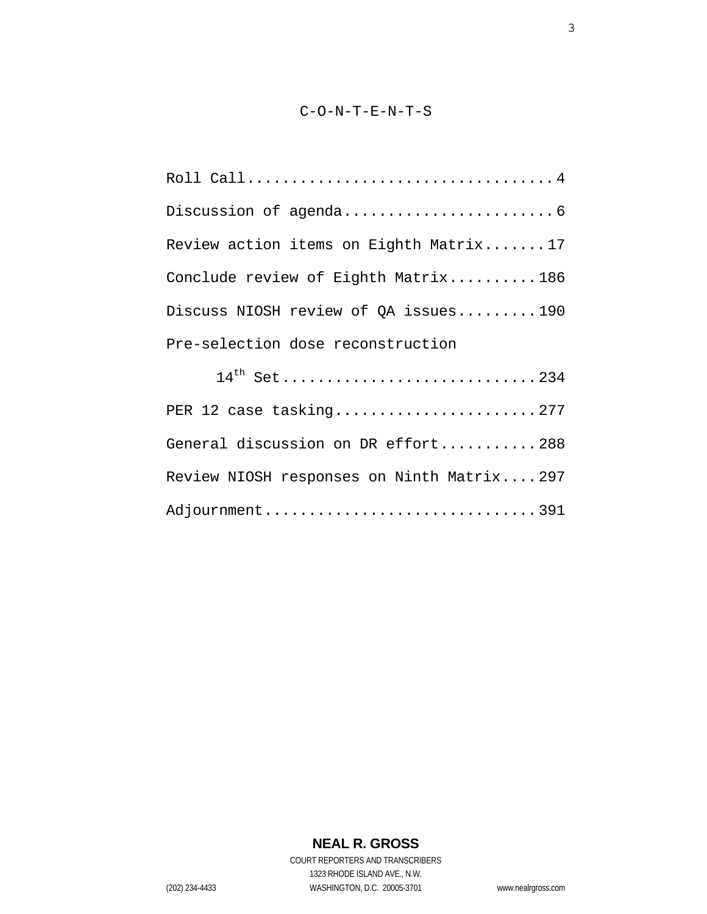### C-O-N-T-E-N-T-S

| Review action items on Eighth Matrix17 |
|----------------------------------------|
| Conclude review of Eighth Matrix186    |
| Discuss NIOSH review of QA issues190   |
| Pre-selection dose reconstruction      |

| PER 12 case tasking277                     |
|--------------------------------------------|
| General discussion on DR effort288         |
| Review NIOSH responses on Ninth Matrix 297 |
| Adjournment391                             |

# **NEAL R. GROSS**

COURT REPORTERS AND TRANSCRIBERS 1323 RHODE ISLAND AVE., N.W. (202) 234-4433 WASHINGTON, D.C. 20005-3701 www.nealrgross.com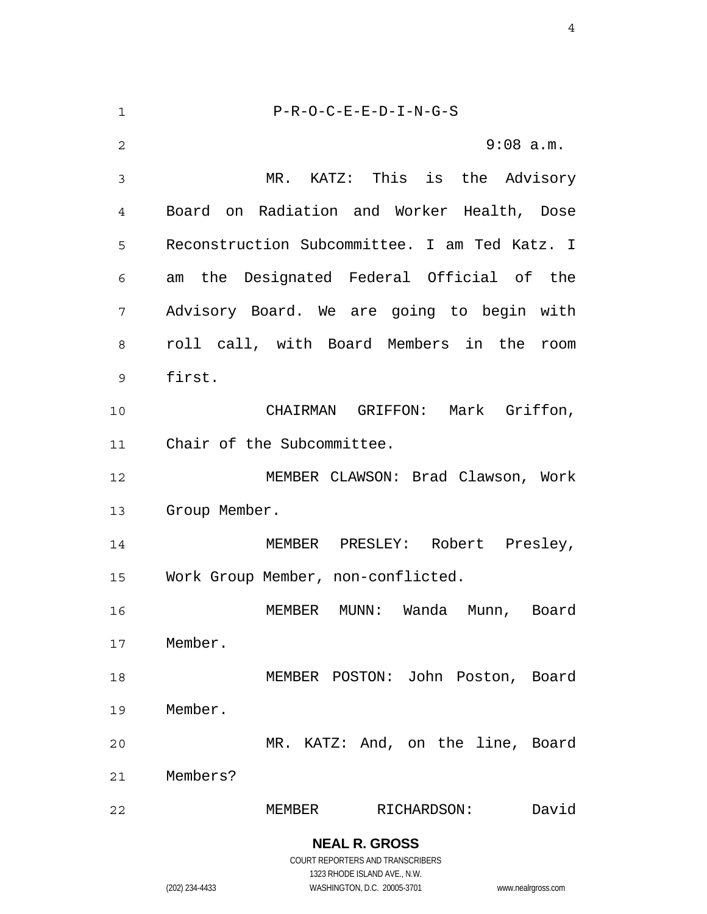P-R-O-C-E-E-D-I-N-G-S 9:08 a.m. MR. KATZ: This is the Advisory Board on Radiation and Worker Health, Dose Reconstruction Subcommittee. I am Ted Katz. I am the Designated Federal Official of the Advisory Board. We are going to begin with roll call, with Board Members in the room first. CHAIRMAN GRIFFON: Mark Griffon, Chair of the Subcommittee. MEMBER CLAWSON: Brad Clawson, Work Group Member. MEMBER PRESLEY: Robert Presley, Work Group Member, non-conflicted. MEMBER MUNN: Wanda Munn, Board Member. MEMBER POSTON: John Poston, Board Member. MR. KATZ: And, on the line, Board Members? MEMBER RICHARDSON: David **NEAL R. GROSS** 

> COURT REPORTERS AND TRANSCRIBERS 1323 RHODE ISLAND AVE., N.W.

(202) 234-4433 WASHINGTON, D.C. 20005-3701 www.nealrgross.com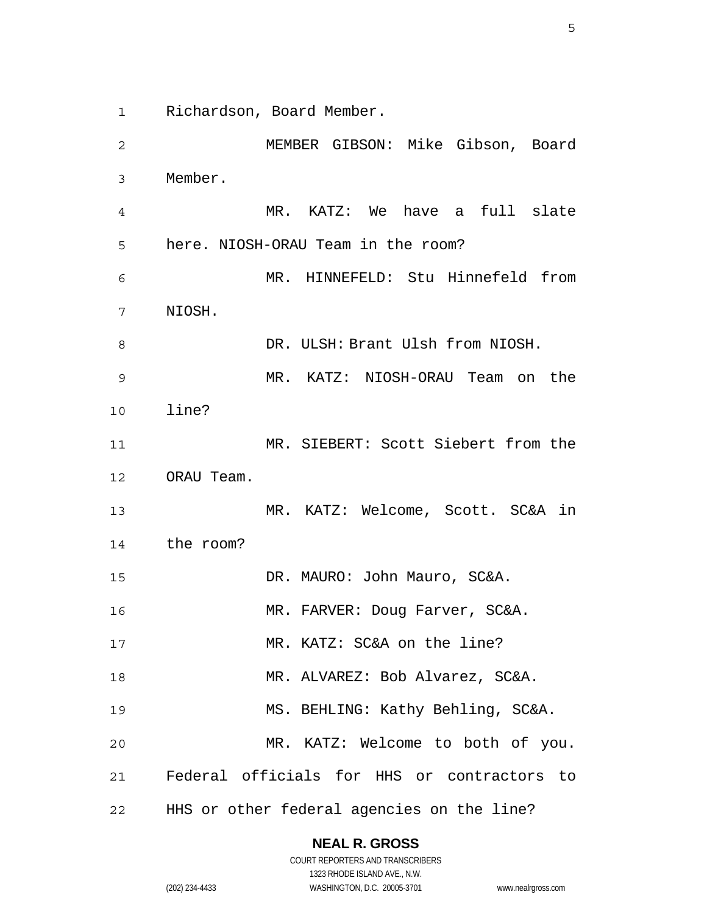Richardson, Board Member.

MEMBER GIBSON: Mike Gibson, Board Member. MR. KATZ: We have a full slate here. NIOSH-ORAU Team in the room? MR. HINNEFELD: Stu Hinnefeld from NIOSH. DR. ULSH: Brant Ulsh from NIOSH. MR. KATZ: NIOSH-ORAU Team on the line? MR. SIEBERT: Scott Siebert from the ORAU Team. MR. KATZ: Welcome, Scott. SC&A in the room? DR. MAURO: John Mauro, SC&A. MR. FARVER: Doug Farver, SC&A. MR. KATZ: SC&A on the line? MR. ALVAREZ: Bob Alvarez, SC&A. MS. BEHLING: Kathy Behling, SC&A. MR. KATZ: Welcome to both of you. Federal officials for HHS or contractors to HHS or other federal agencies on the line?

### **NEAL R. GROSS**

COURT REPORTERS AND TRANSCRIBERS 1323 RHODE ISLAND AVE., N.W. (202) 234-4433 WASHINGTON, D.C. 20005-3701 www.nealrgross.com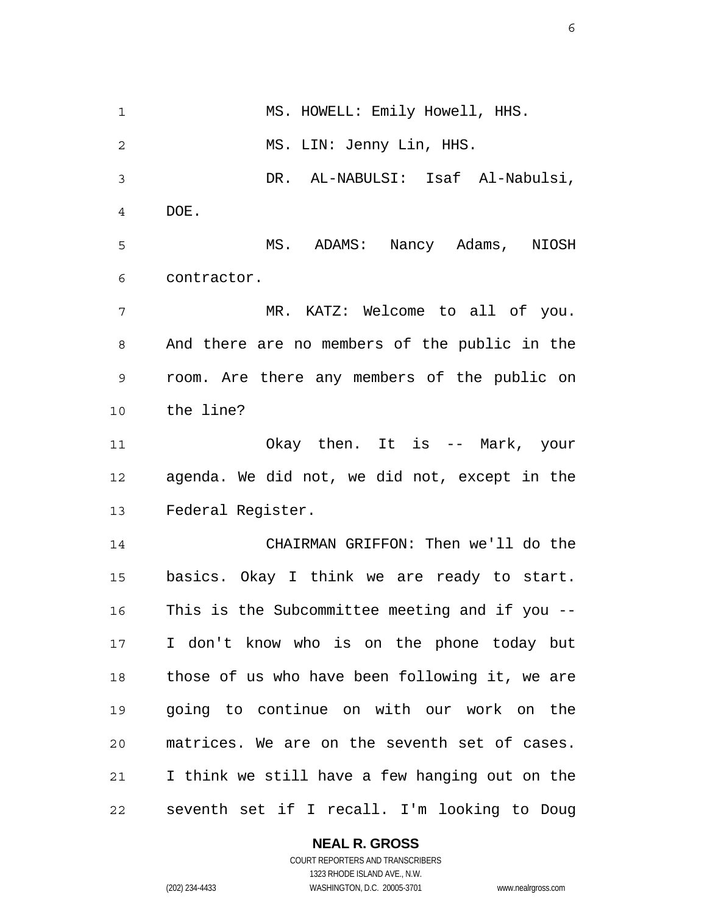1 MS. HOWELL: Emily Howell, HHS. MS. LIN: Jenny Lin, HHS. DR. AL-NABULSI: Isaf Al-Nabulsi, DOE. MS. ADAMS: Nancy Adams, NIOSH contractor. MR. KATZ: Welcome to all of you. And there are no members of the public in the room. Are there any members of the public on the line? Okay then. It is -- Mark, your agenda. We did not, we did not, except in the Federal Register. CHAIRMAN GRIFFON: Then we'll do the basics. Okay I think we are ready to start. This is the Subcommittee meeting and if you -- I don't know who is on the phone today but those of us who have been following it, we are going to continue on with our work on the matrices. We are on the seventh set of cases. I think we still have a few hanging out on the seventh set if I recall. I'm looking to Doug

**NEAL R. GROSS** 

COURT REPORTERS AND TRANSCRIBERS 1323 RHODE ISLAND AVE., N.W. (202) 234-4433 WASHINGTON, D.C. 20005-3701 www.nealrgross.com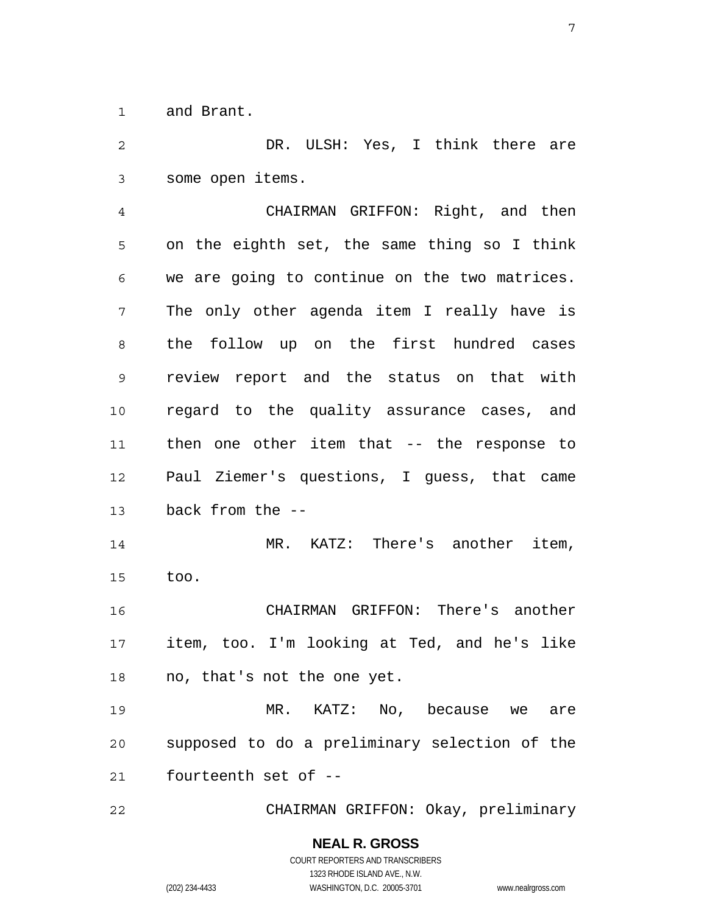and Brant.

DR. ULSH: Yes, I think there are some open items. CHAIRMAN GRIFFON: Right, and then on the eighth set, the same thing so I think we are going to continue on the two matrices. The only other agenda item I really have is the follow up on the first hundred cases review report and the status on that with regard to the quality assurance cases, and then one other item that -- the response to Paul Ziemer's questions, I guess, that came back from the -- MR. KATZ: There's another item, too. CHAIRMAN GRIFFON: There's another item, too. I'm looking at Ted, and he's like no, that's not the one yet. MR. KATZ: No, because we are supposed to do a preliminary selection of the fourteenth set of -- CHAIRMAN GRIFFON: Okay, preliminary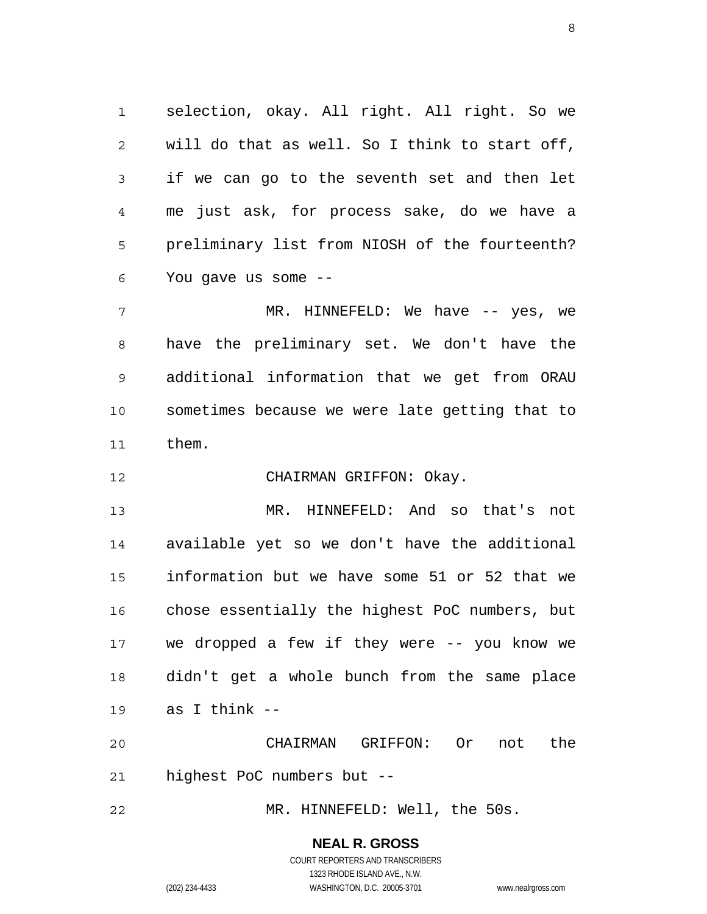selection, okay. All right. All right. So we will do that as well. So I think to start off, if we can go to the seventh set and then let me just ask, for process sake, do we have a preliminary list from NIOSH of the fourteenth? You gave us some --

MR. HINNEFELD: We have -- yes, we have the preliminary set. We don't have the additional information that we get from ORAU sometimes because we were late getting that to them.

CHAIRMAN GRIFFON: Okay.

MR. HINNEFELD: And so that's not available yet so we don't have the additional information but we have some 51 or 52 that we chose essentially the highest PoC numbers, but we dropped a few if they were -- you know we didn't get a whole bunch from the same place as I think --

CHAIRMAN GRIFFON: Or not the highest PoC numbers but --

MR. HINNEFELD: Well, the 50s.

### **NEAL R. GROSS**

COURT REPORTERS AND TRANSCRIBERS 1323 RHODE ISLAND AVE., N.W. (202) 234-4433 WASHINGTON, D.C. 20005-3701 www.nealrgross.com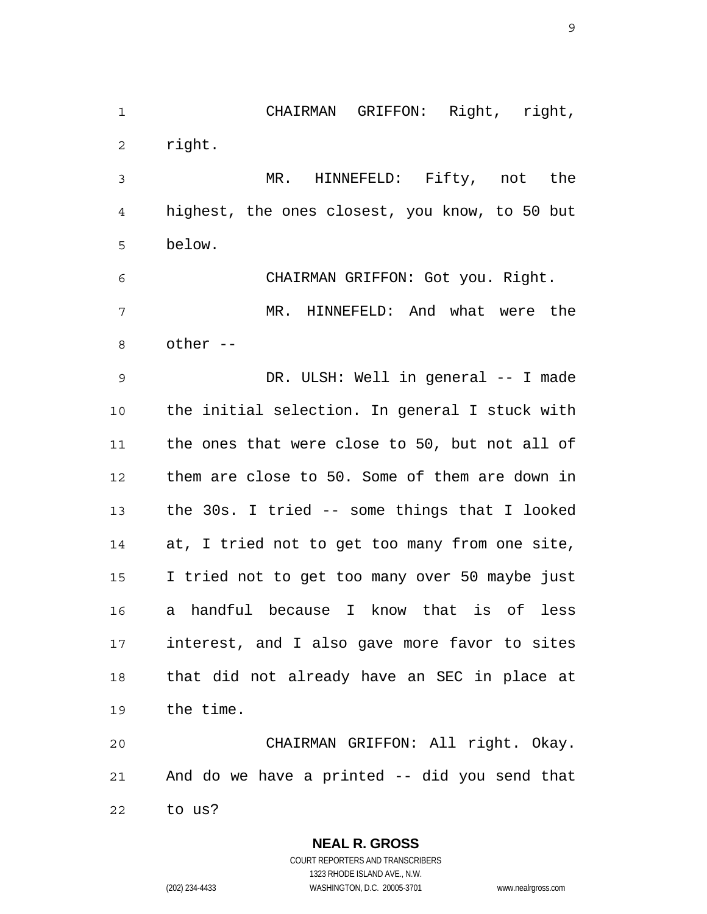CHAIRMAN GRIFFON: Right, right, right.

MR. HINNEFELD: Fifty, not the highest, the ones closest, you know, to 50 but below.

CHAIRMAN GRIFFON: Got you. Right. MR. HINNEFELD: And what were the other --

DR. ULSH: Well in general -- I made the initial selection. In general I stuck with the ones that were close to 50, but not all of them are close to 50. Some of them are down in the 30s. I tried -- some things that I looked at, I tried not to get too many from one site, I tried not to get too many over 50 maybe just a handful because I know that is of less interest, and I also gave more favor to sites that did not already have an SEC in place at the time.

CHAIRMAN GRIFFON: All right. Okay. And do we have a printed -- did you send that to us?

**NEAL R. GROSS** 

COURT REPORTERS AND TRANSCRIBERS 1323 RHODE ISLAND AVE., N.W. (202) 234-4433 WASHINGTON, D.C. 20005-3701 www.nealrgross.com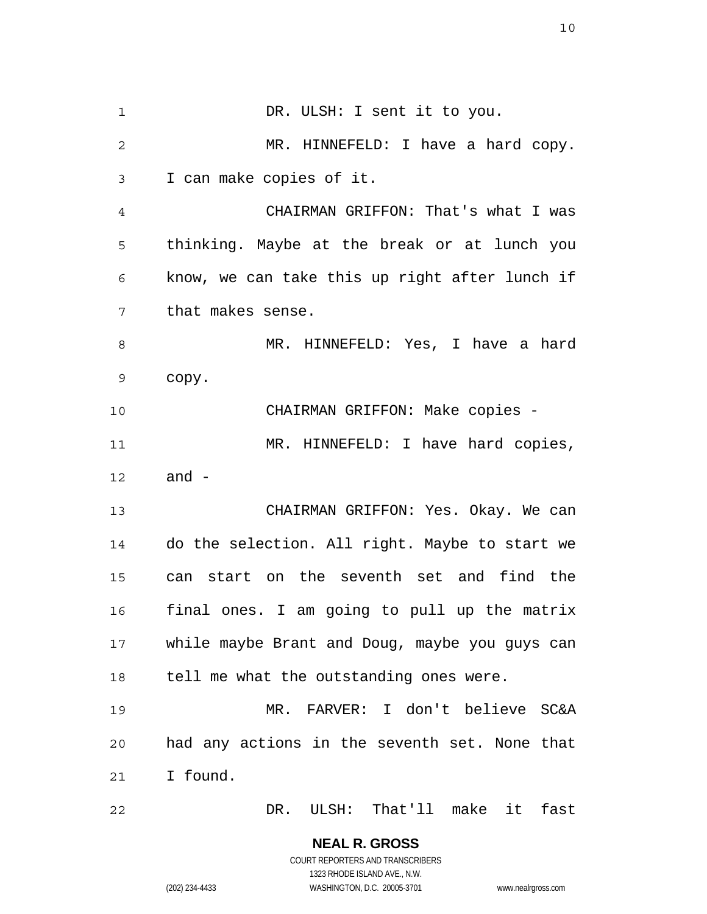1 DR. ULSH: I sent it to you. MR. HINNEFELD: I have a hard copy. I can make copies of it. CHAIRMAN GRIFFON: That's what I was thinking. Maybe at the break or at lunch you know, we can take this up right after lunch if that makes sense. MR. HINNEFELD: Yes, I have a hard copy. CHAIRMAN GRIFFON: Make copies - 11 MR. HINNEFELD: I have hard copies, and - CHAIRMAN GRIFFON: Yes. Okay. We can do the selection. All right. Maybe to start we can start on the seventh set and find the final ones. I am going to pull up the matrix while maybe Brant and Doug, maybe you guys can tell me what the outstanding ones were. MR. FARVER: I don't believe SC&A had any actions in the seventh set. None that I found. DR. ULSH: That'll make it fast

> **NEAL R. GROSS**  COURT REPORTERS AND TRANSCRIBERS 1323 RHODE ISLAND AVE., N.W. (202) 234-4433 WASHINGTON, D.C. 20005-3701 www.nealrgross.com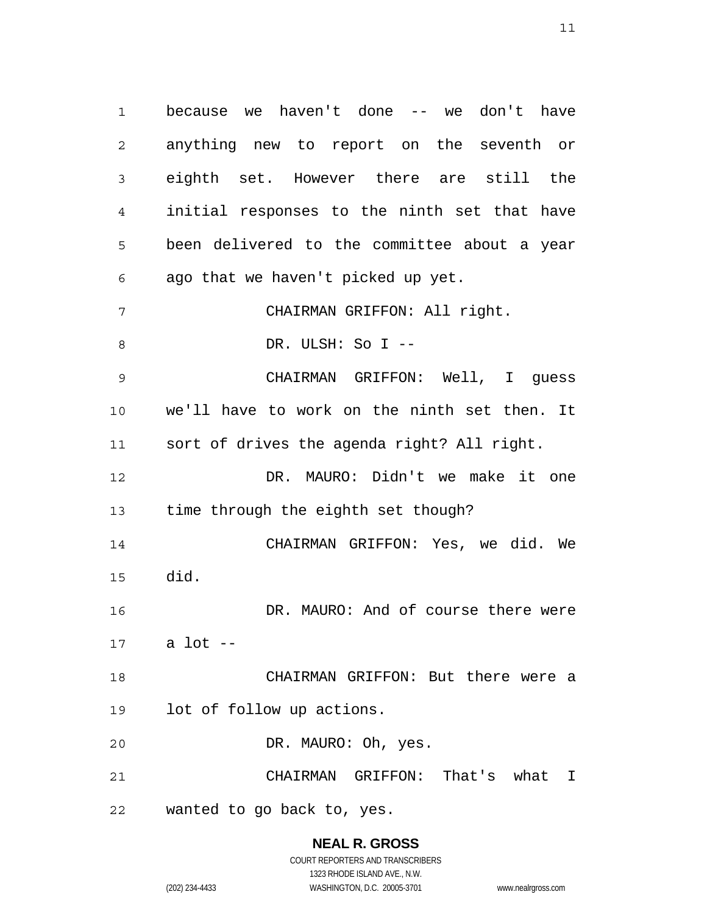because we haven't done -- we don't have anything new to report on the seventh or eighth set. However there are still the initial responses to the ninth set that have been delivered to the committee about a year ago that we haven't picked up yet. CHAIRMAN GRIFFON: All right. 8 DR. ULSH: So I --CHAIRMAN GRIFFON: Well, I guess we'll have to work on the ninth set then. It sort of drives the agenda right? All right. DR. MAURO: Didn't we make it one time through the eighth set though? CHAIRMAN GRIFFON: Yes, we did. We did. DR. MAURO: And of course there were a lot -- CHAIRMAN GRIFFON: But there were a lot of follow up actions. DR. MAURO: Oh, yes. CHAIRMAN GRIFFON: That's what I wanted to go back to, yes.

> **NEAL R. GROSS**  COURT REPORTERS AND TRANSCRIBERS 1323 RHODE ISLAND AVE., N.W.

(202) 234-4433 WASHINGTON, D.C. 20005-3701 www.nealrgross.com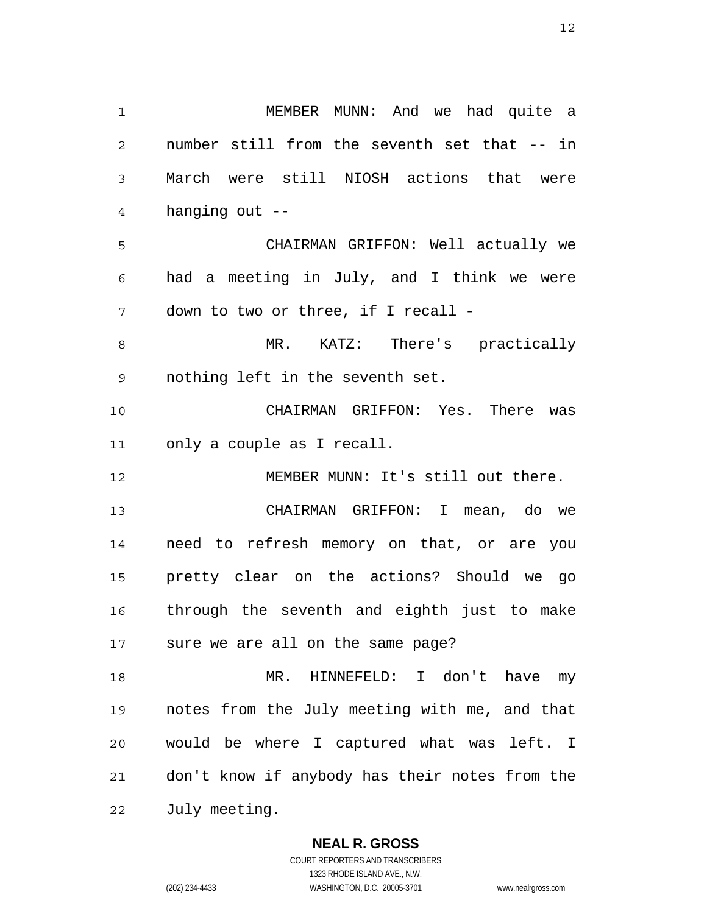MEMBER MUNN: And we had quite a number still from the seventh set that -- in March were still NIOSH actions that were hanging out -- CHAIRMAN GRIFFON: Well actually we had a meeting in July, and I think we were down to two or three, if I recall - 8 MR. KATZ: There's practically nothing left in the seventh set. CHAIRMAN GRIFFON: Yes. There was only a couple as I recall. MEMBER MUNN: It's still out there. CHAIRMAN GRIFFON: I mean, do we need to refresh memory on that, or are you pretty clear on the actions? Should we go through the seventh and eighth just to make sure we are all on the same page? MR. HINNEFELD: I don't have my notes from the July meeting with me, and that would be where I captured what was left. I don't know if anybody has their notes from the

**NEAL R. GROSS** 

July meeting.

COURT REPORTERS AND TRANSCRIBERS 1323 RHODE ISLAND AVE., N.W. (202) 234-4433 WASHINGTON, D.C. 20005-3701 www.nealrgross.com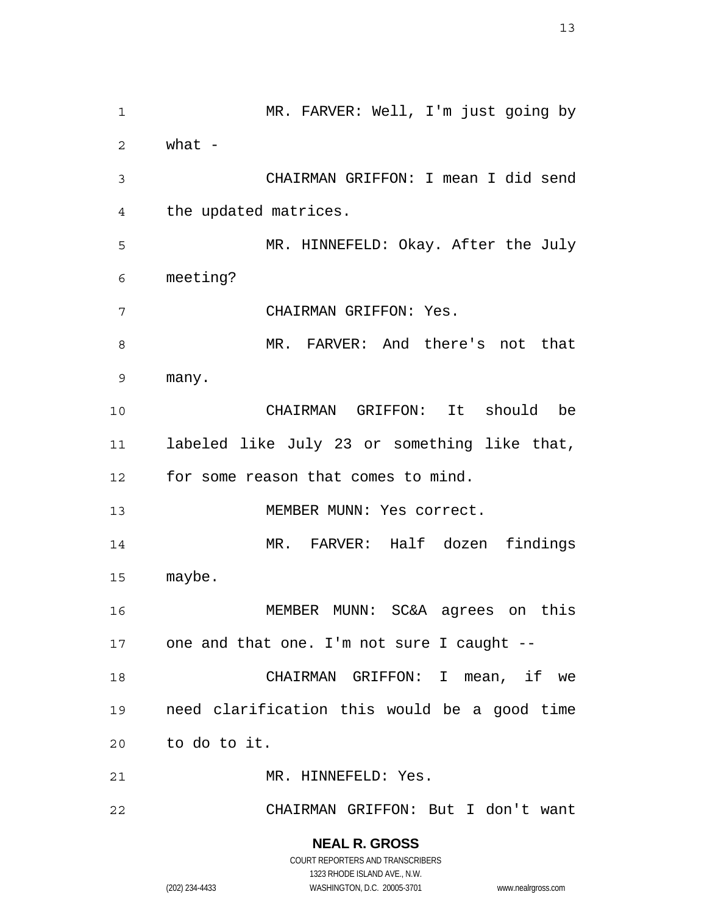MR. FARVER: Well, I'm just going by what - CHAIRMAN GRIFFON: I mean I did send the updated matrices. MR. HINNEFELD: Okay. After the July meeting? CHAIRMAN GRIFFON: Yes. MR. FARVER: And there's not that many. CHAIRMAN GRIFFON: It should be labeled like July 23 or something like that, for some reason that comes to mind. 13 MEMBER MUNN: Yes correct. MR. FARVER: Half dozen findings maybe. MEMBER MUNN: SC&A agrees on this one and that one. I'm not sure I caught -- CHAIRMAN GRIFFON: I mean, if we need clarification this would be a good time to do to it. MR. HINNEFELD: Yes. CHAIRMAN GRIFFON: But I don't want

> **NEAL R. GROSS**  COURT REPORTERS AND TRANSCRIBERS

> > 1323 RHODE ISLAND AVE., N.W.

(202) 234-4433 WASHINGTON, D.C. 20005-3701 www.nealrgross.com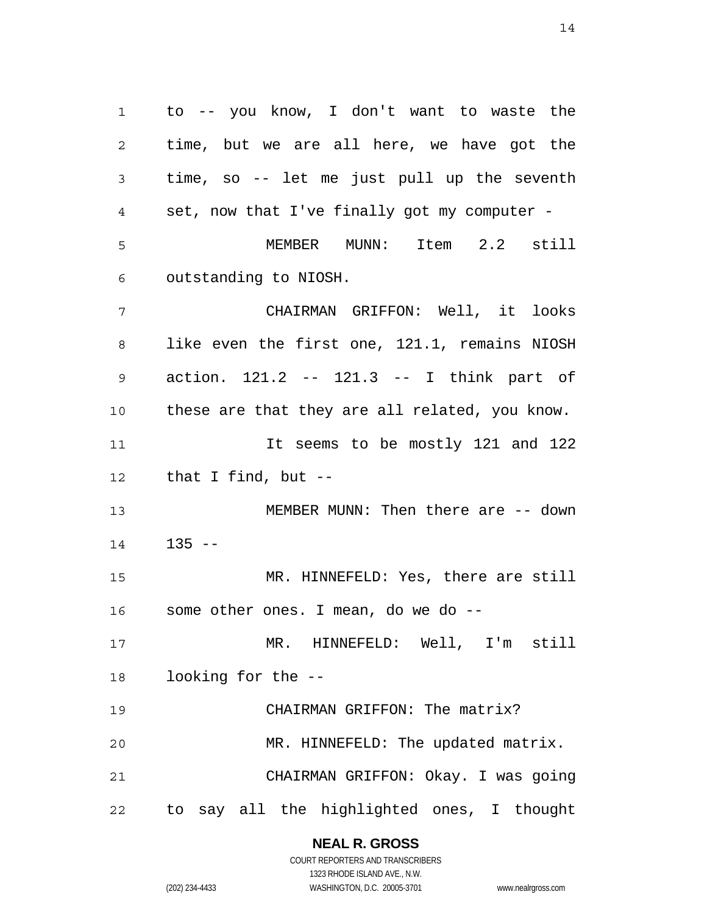to -- you know, I don't want to waste the time, but we are all here, we have got the time, so -- let me just pull up the seventh set, now that I've finally got my computer - MEMBER MUNN: Item 2.2 still outstanding to NIOSH. CHAIRMAN GRIFFON: Well, it looks like even the first one, 121.1, remains NIOSH action. 121.2 -- 121.3 -- I think part of these are that they are all related, you know. 11 11 It seems to be mostly 121 and 122 that I find, but -- MEMBER MUNN: Then there are -- down 135 -- MR. HINNEFELD: Yes, there are still some other ones. I mean, do we do -- MR. HINNEFELD: Well, I'm still looking for the -- CHAIRMAN GRIFFON: The matrix? MR. HINNEFELD: The updated matrix. CHAIRMAN GRIFFON: Okay. I was going to say all the highlighted ones, I thought

> **NEAL R. GROSS**  COURT REPORTERS AND TRANSCRIBERS

1323 RHODE ISLAND AVE., N.W. (202) 234-4433 WASHINGTON, D.C. 20005-3701 www.nealrgross.com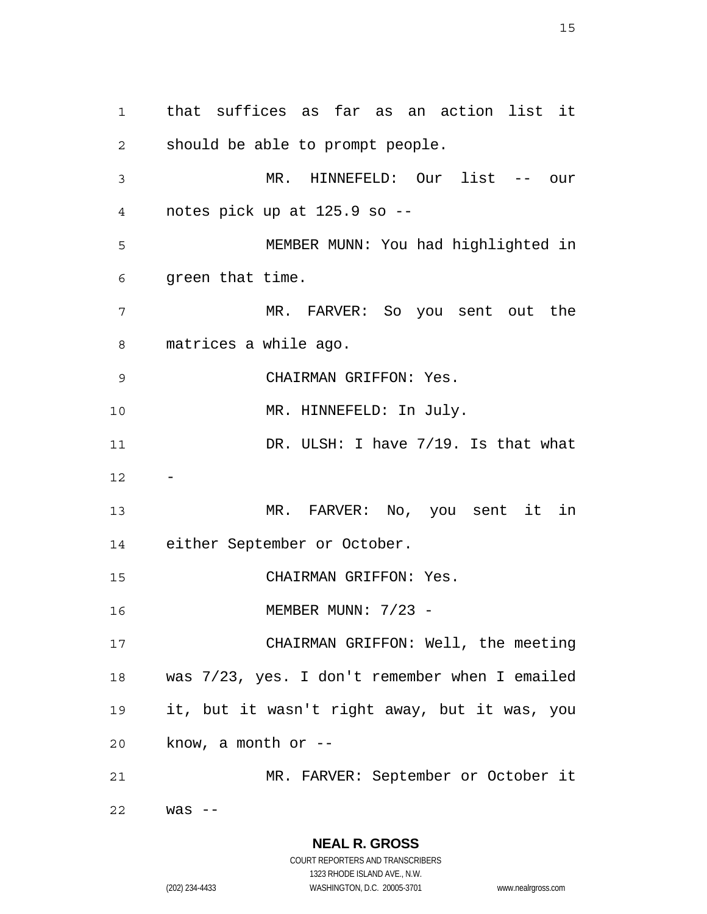that suffices as far as an action list it should be able to prompt people. MR. HINNEFELD: Our list -- our notes pick up at 125.9 so -- MEMBER MUNN: You had highlighted in green that time. MR. FARVER: So you sent out the matrices a while ago. CHAIRMAN GRIFFON: Yes. 10 MR. HINNEFELD: In July. DR. ULSH: I have 7/19. Is that what MR. FARVER: No, you sent it in either September or October. CHAIRMAN GRIFFON: Yes. MEMBER MUNN: 7/23 - CHAIRMAN GRIFFON: Well, the meeting was 7/23, yes. I don't remember when I emailed it, but it wasn't right away, but it was, you know, a month or -- MR. FARVER: September or October it was  $-$ 

> **NEAL R. GROSS**  COURT REPORTERS AND TRANSCRIBERS 1323 RHODE ISLAND AVE., N.W. (202) 234-4433 WASHINGTON, D.C. 20005-3701 www.nealrgross.com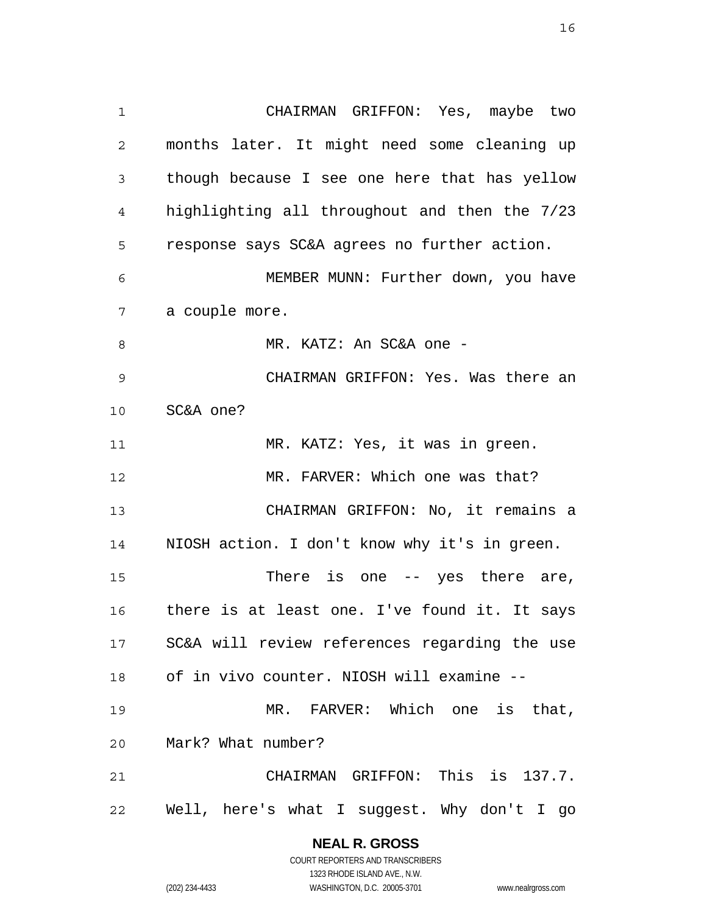CHAIRMAN GRIFFON: Yes, maybe two months later. It might need some cleaning up though because I see one here that has yellow highlighting all throughout and then the 7/23 response says SC&A agrees no further action. MEMBER MUNN: Further down, you have a couple more. 8 MR. KATZ: An SC&A one -CHAIRMAN GRIFFON: Yes. Was there an SC&A one? MR. KATZ: Yes, it was in green. MR. FARVER: Which one was that? CHAIRMAN GRIFFON: No, it remains a NIOSH action. I don't know why it's in green. There is one -- yes there are, there is at least one. I've found it. It says SC&A will review references regarding the use of in vivo counter. NIOSH will examine -- MR. FARVER: Which one is that, Mark? What number? CHAIRMAN GRIFFON: This is 137.7.

Well, here's what I suggest. Why don't I go

**NEAL R. GROSS**  COURT REPORTERS AND TRANSCRIBERS

1323 RHODE ISLAND AVE., N.W.

(202) 234-4433 WASHINGTON, D.C. 20005-3701 www.nealrgross.com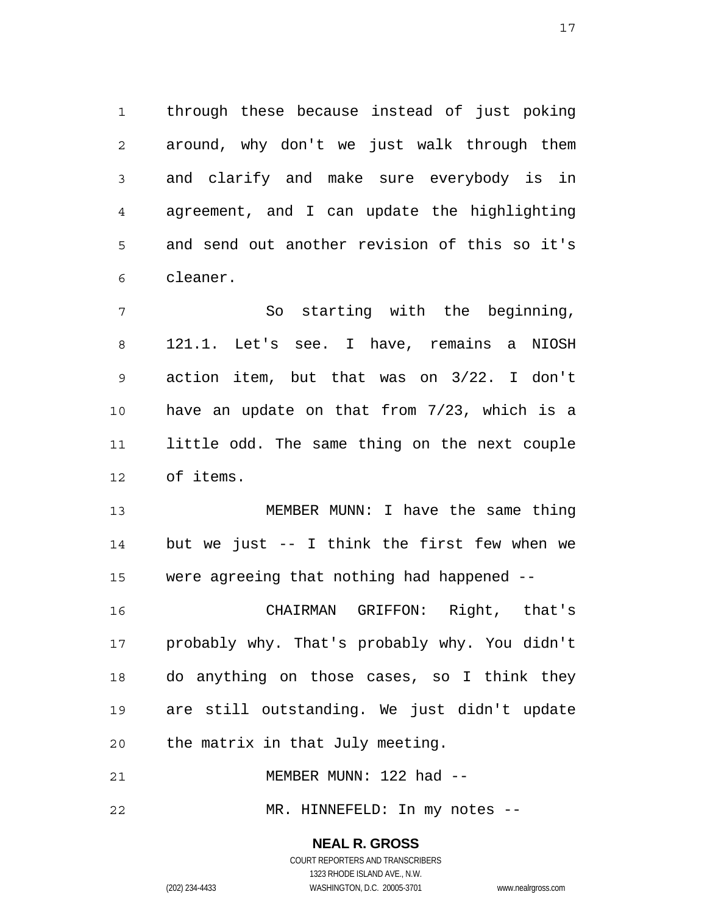through these because instead of just poking around, why don't we just walk through them and clarify and make sure everybody is in agreement, and I can update the highlighting and send out another revision of this so it's cleaner.

So starting with the beginning, 121.1. Let's see. I have, remains a NIOSH action item, but that was on 3/22. I don't have an update on that from 7/23, which is a little odd. The same thing on the next couple of items.

MEMBER MUNN: I have the same thing but we just -- I think the first few when we were agreeing that nothing had happened --

CHAIRMAN GRIFFON: Right, that's probably why. That's probably why. You didn't do anything on those cases, so I think they are still outstanding. We just didn't update the matrix in that July meeting.

MEMBER MUNN: 122 had --

22 MR. HINNEFELD: In my notes --

#### **NEAL R. GROSS**

COURT REPORTERS AND TRANSCRIBERS 1323 RHODE ISLAND AVE., N.W. (202) 234-4433 WASHINGTON, D.C. 20005-3701 www.nealrgross.com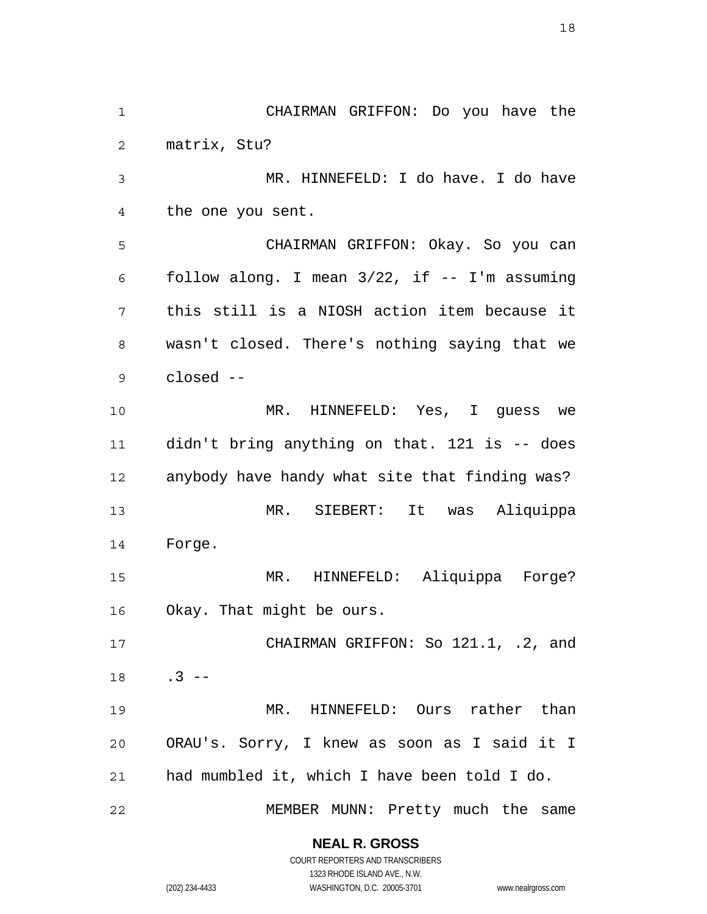CHAIRMAN GRIFFON: Do you have the matrix, Stu? MR. HINNEFELD: I do have. I do have the one you sent. CHAIRMAN GRIFFON: Okay. So you can follow along. I mean 3/22, if -- I'm assuming this still is a NIOSH action item because it wasn't closed. There's nothing saying that we closed -- MR. HINNEFELD: Yes, I guess we didn't bring anything on that. 121 is -- does anybody have handy what site that finding was? MR. SIEBERT: It was Aliquippa Forge. MR. HINNEFELD: Aliquippa Forge? Okay. That might be ours. CHAIRMAN GRIFFON: So 121.1, .2, and  $18 \t3 - -$ MR. HINNEFELD: Ours rather than ORAU's. Sorry, I knew as soon as I said it I had mumbled it, which I have been told I do. MEMBER MUNN: Pretty much the same

1323 RHODE ISLAND AVE., N.W.

(202) 234-4433 WASHINGTON, D.C. 20005-3701 www.nealrgross.com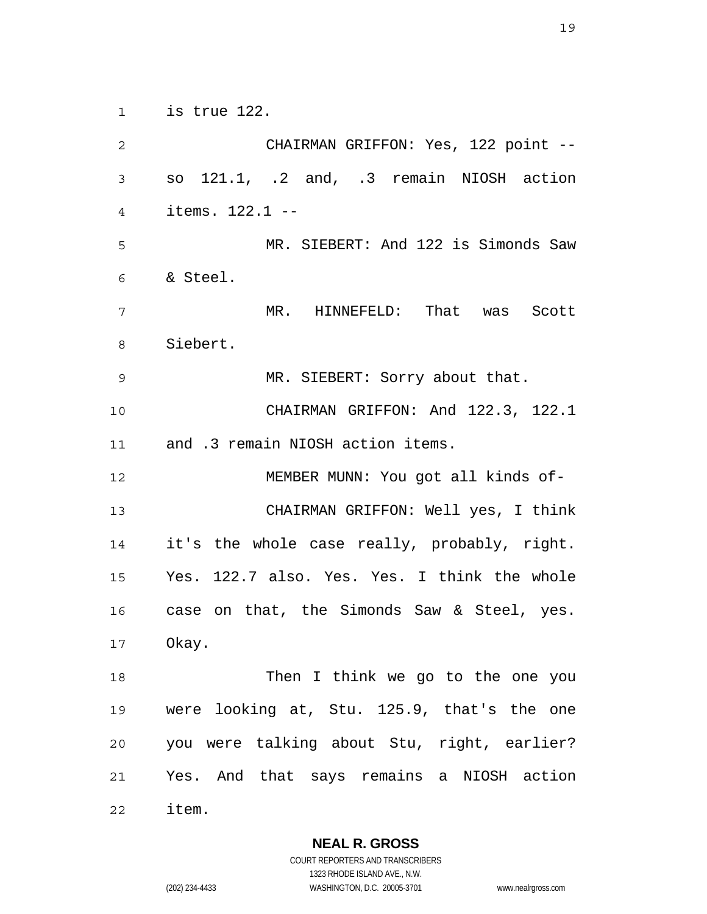is true 122.

CHAIRMAN GRIFFON: Yes, 122 point -- so 121.1, .2 and, .3 remain NIOSH action items. 122.1 -- MR. SIEBERT: And 122 is Simonds Saw & Steel. MR. HINNEFELD: That was Scott Siebert. MR. SIEBERT: Sorry about that. CHAIRMAN GRIFFON: And 122.3, 122.1 and .3 remain NIOSH action items. MEMBER MUNN: You got all kinds of-CHAIRMAN GRIFFON: Well yes, I think it's the whole case really, probably, right. Yes. 122.7 also. Yes. Yes. I think the whole case on that, the Simonds Saw & Steel, yes. Okay. 18 Then I think we go to the one you were looking at, Stu. 125.9, that's the one you were talking about Stu, right, earlier? Yes. And that says remains a NIOSH action item.

**NEAL R. GROSS** 

COURT REPORTERS AND TRANSCRIBERS 1323 RHODE ISLAND AVE., N.W. (202) 234-4433 WASHINGTON, D.C. 20005-3701 www.nealrgross.com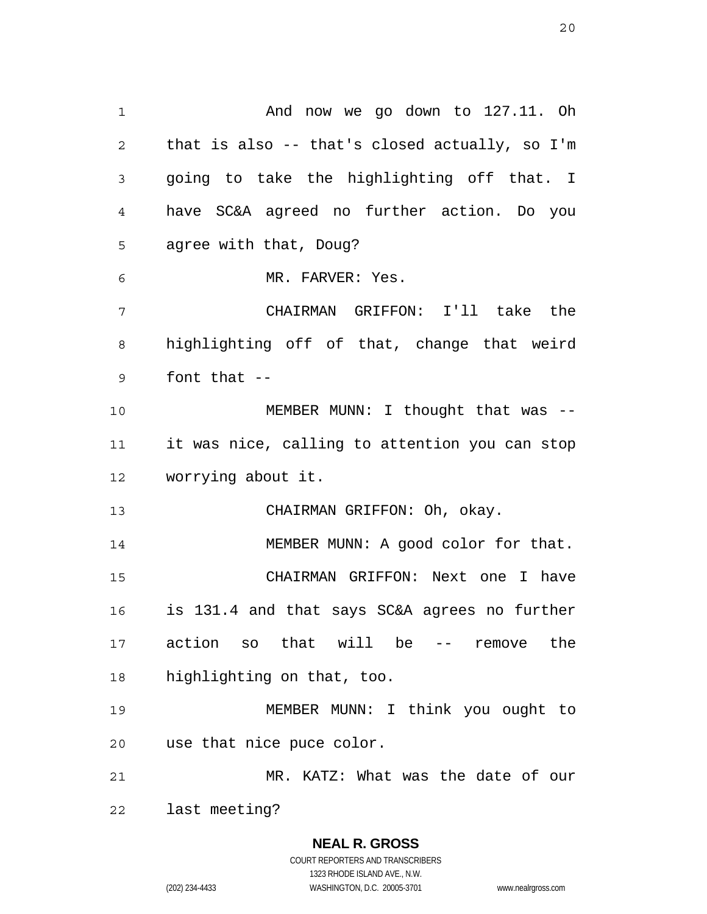And now we go down to 127.11. Oh that is also -- that's closed actually, so I'm going to take the highlighting off that. I have SC&A agreed no further action. Do you agree with that, Doug? MR. FARVER: Yes. CHAIRMAN GRIFFON: I'll take the highlighting off of that, change that weird font that -- 10 MEMBER MUNN: I thought that was --it was nice, calling to attention you can stop worrying about it. CHAIRMAN GRIFFON: Oh, okay. 14 MEMBER MUNN: A good color for that. CHAIRMAN GRIFFON: Next one I have is 131.4 and that says SC&A agrees no further action so that will be -- remove the highlighting on that, too. MEMBER MUNN: I think you ought to use that nice puce color. MR. KATZ: What was the date of our last meeting?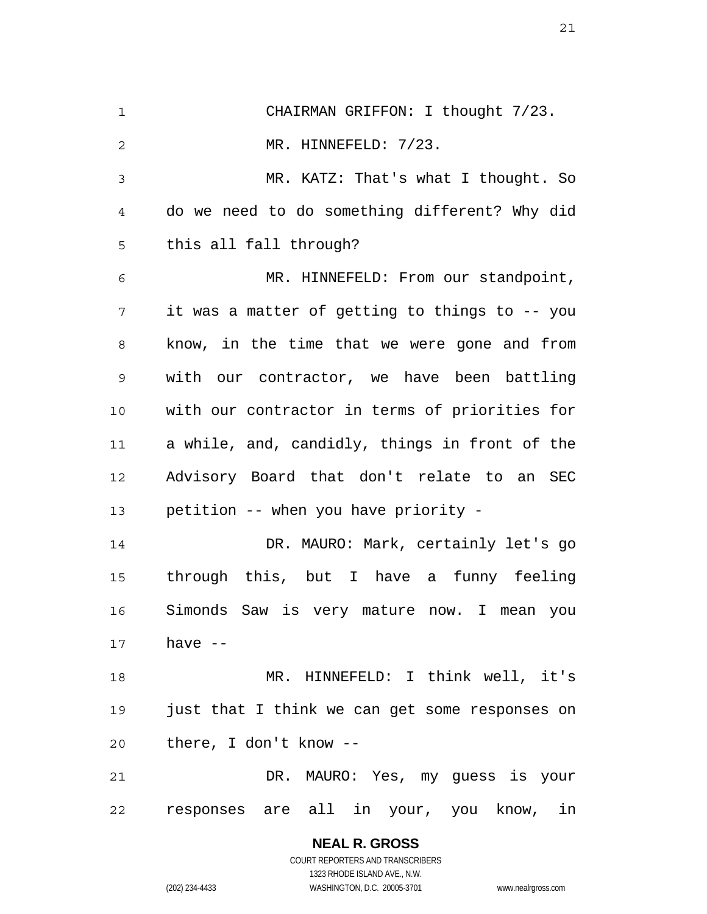CHAIRMAN GRIFFON: I thought 7/23. 2 MR. HINNEFELD:  $7/23$ . MR. KATZ: That's what I thought. So do we need to do something different? Why did this all fall through? MR. HINNEFELD: From our standpoint, it was a matter of getting to things to -- you know, in the time that we were gone and from with our contractor, we have been battling with our contractor in terms of priorities for a while, and, candidly, things in front of the Advisory Board that don't relate to an SEC petition -- when you have priority - DR. MAURO: Mark, certainly let's go through this, but I have a funny feeling Simonds Saw is very mature now. I mean you have -- MR. HINNEFELD: I think well, it's just that I think we can get some responses on there, I don't know -- DR. MAURO: Yes, my guess is your responses are all in your, you know, in

> **NEAL R. GROSS**  COURT REPORTERS AND TRANSCRIBERS 1323 RHODE ISLAND AVE., N.W. (202) 234-4433 WASHINGTON, D.C. 20005-3701 www.nealrgross.com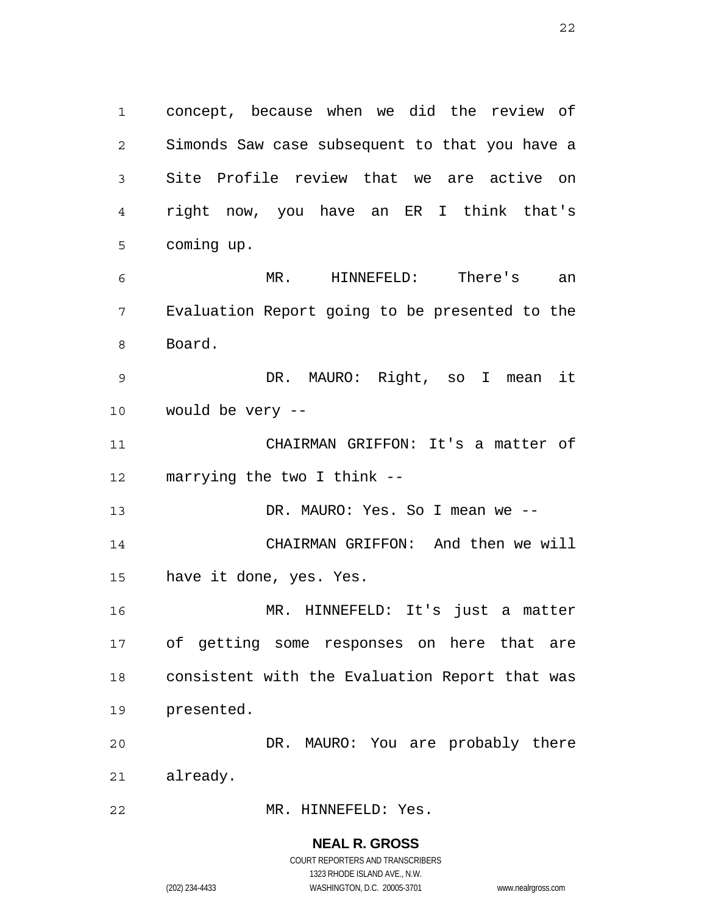concept, because when we did the review of Simonds Saw case subsequent to that you have a Site Profile review that we are active on right now, you have an ER I think that's coming up.

MR. HINNEFELD: There's an Evaluation Report going to be presented to the Board.

DR. MAURO: Right, so I mean it would be very --

CHAIRMAN GRIFFON: It's a matter of marrying the two I think --

DR. MAURO: Yes. So I mean we --

CHAIRMAN GRIFFON: And then we will have it done, yes. Yes.

MR. HINNEFELD: It's just a matter of getting some responses on here that are consistent with the Evaluation Report that was presented.

DR. MAURO: You are probably there already.

MR. HINNEFELD: Yes.

**NEAL R. GROSS**  COURT REPORTERS AND TRANSCRIBERS

1323 RHODE ISLAND AVE., N.W. (202) 234-4433 WASHINGTON, D.C. 20005-3701 www.nealrgross.com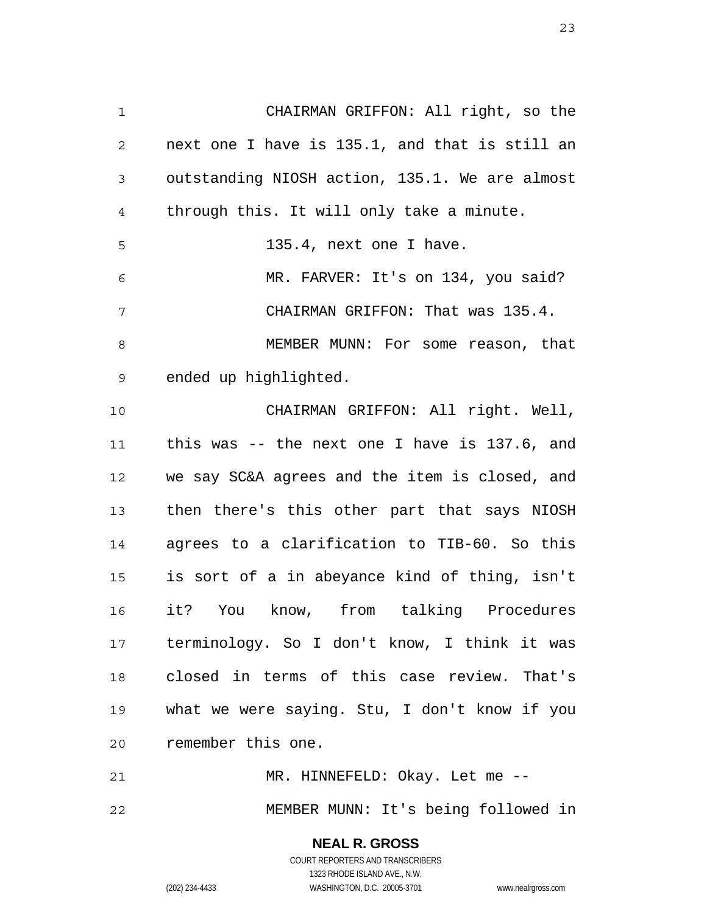CHAIRMAN GRIFFON: All right, so the next one I have is 135.1, and that is still an outstanding NIOSH action, 135.1. We are almost through this. It will only take a minute. 135.4, next one I have. MR. FARVER: It's on 134, you said? CHAIRMAN GRIFFON: That was 135.4. 8 MEMBER MUNN: For some reason, that ended up highlighted. CHAIRMAN GRIFFON: All right. Well, this was -- the next one I have is 137.6, and we say SC&A agrees and the item is closed, and then there's this other part that says NIOSH agrees to a clarification to TIB-60. So this is sort of a in abeyance kind of thing, isn't it? You know, from talking Procedures terminology. So I don't know, I think it was closed in terms of this case review. That's what we were saying. Stu, I don't know if you remember this one.

21 MR. HINNEFELD: Okay. Let me --MEMBER MUNN: It's being followed in

> **NEAL R. GROSS**  COURT REPORTERS AND TRANSCRIBERS 1323 RHODE ISLAND AVE., N.W. (202) 234-4433 WASHINGTON, D.C. 20005-3701 www.nealrgross.com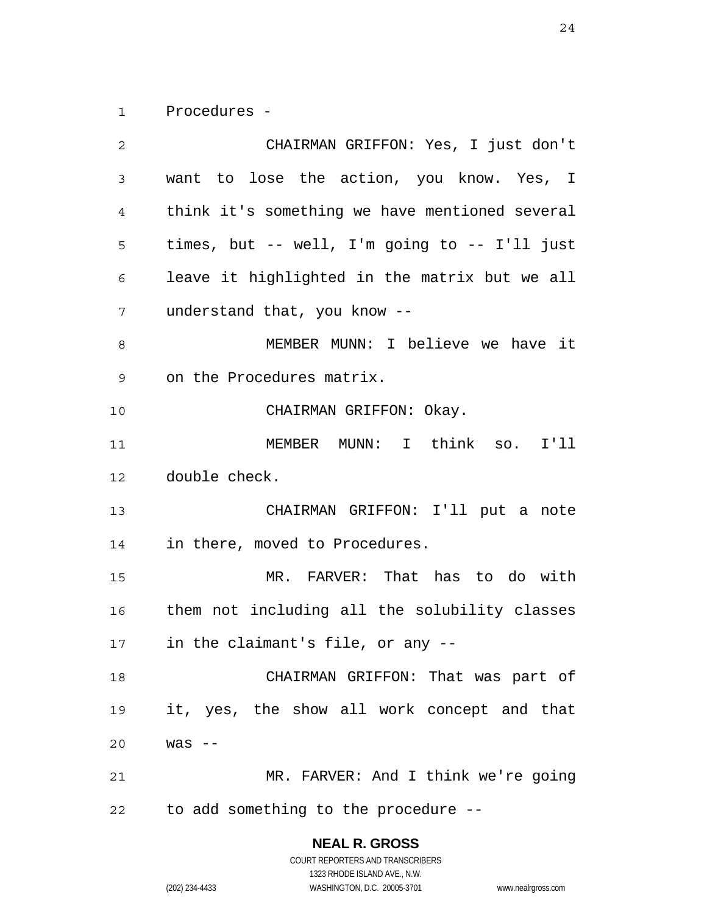Procedures -

| $\overline{2}$ | CHAIRMAN GRIFFON: Yes, I just don't            |
|----------------|------------------------------------------------|
| 3              | want to lose the action, you know. Yes, I      |
| 4              | think it's something we have mentioned several |
| 5              | times, but -- well, I'm going to -- I'll just  |
| 6              | leave it highlighted in the matrix but we all  |
| 7              | understand that, you know --                   |
| 8              | MEMBER MUNN: I believe we have it              |
| 9              | on the Procedures matrix.                      |
| 10             | CHAIRMAN GRIFFON: Okay.                        |
| 11             | MEMBER MUNN: I think so. I'll                  |
| 12             | double check.                                  |
| 13             | CHAIRMAN GRIFFON: I'll put a note              |
| 14             | in there, moved to Procedures.                 |
| 15             | MR. FARVER: That has to do with                |
| 16             | them not including all the solubility classes  |
| 17             | in the claimant's file, or any --              |
| 18             | CHAIRMAN GRIFFON: That was part of             |
| 19             | it, yes, the show all work concept and that    |
| 20             | $was$ $-$                                      |
| 21             | MR. FARVER: And I think we're going            |
| 22             | to add something to the procedure --           |

**NEAL R. GROSS**  COURT REPORTERS AND TRANSCRIBERS 1323 RHODE ISLAND AVE., N.W. (202) 234-4433 WASHINGTON, D.C. 20005-3701 www.nealrgross.com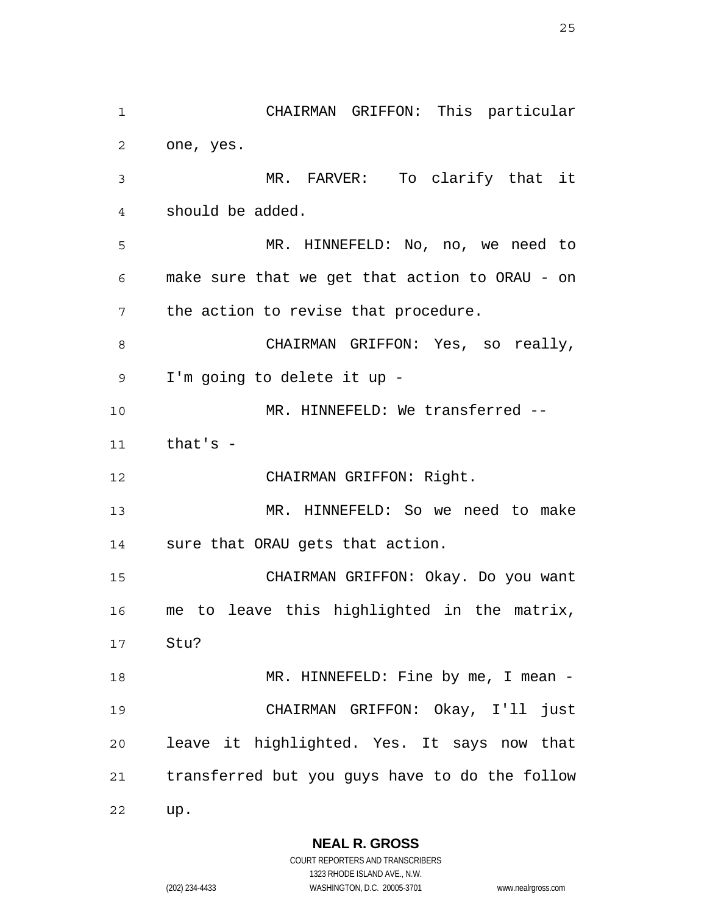CHAIRMAN GRIFFON: This particular one, yes. MR. FARVER: To clarify that it should be added. MR. HINNEFELD: No, no, we need to make sure that we get that action to ORAU - on the action to revise that procedure. CHAIRMAN GRIFFON: Yes, so really, I'm going to delete it up - MR. HINNEFELD: We transferred -- that's - CHAIRMAN GRIFFON: Right. MR. HINNEFELD: So we need to make sure that ORAU gets that action. CHAIRMAN GRIFFON: Okay. Do you want me to leave this highlighted in the matrix, Stu? 18 MR. HINNEFELD: Fine by me, I mean -CHAIRMAN GRIFFON: Okay, I'll just leave it highlighted. Yes. It says now that transferred but you guys have to do the follow up.

**NEAL R. GROSS** 

COURT REPORTERS AND TRANSCRIBERS 1323 RHODE ISLAND AVE., N.W. (202) 234-4433 WASHINGTON, D.C. 20005-3701 www.nealrgross.com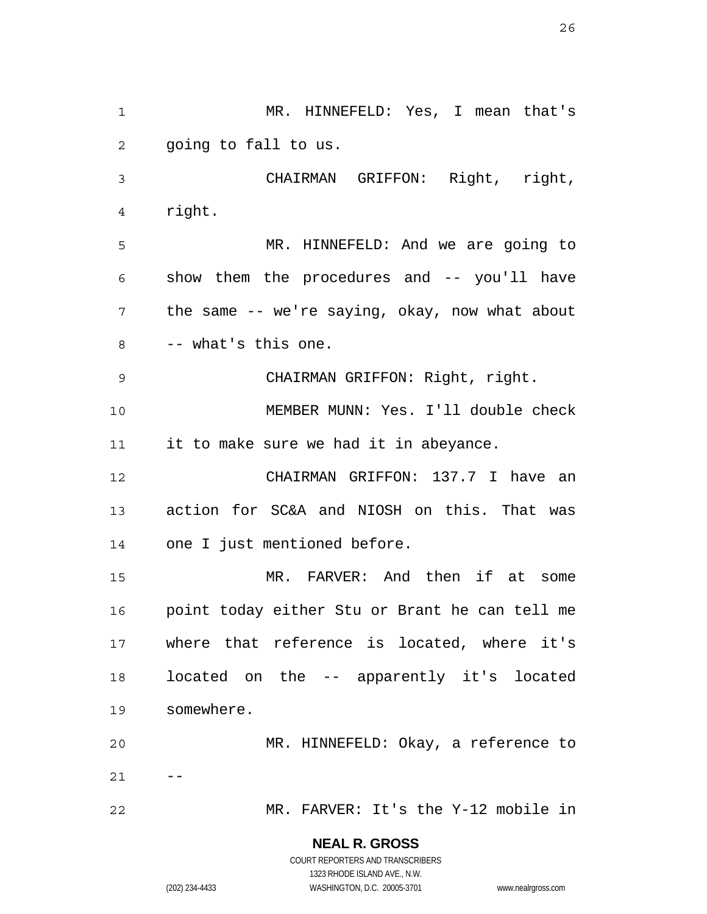MR. HINNEFELD: Yes, I mean that's going to fall to us. CHAIRMAN GRIFFON: Right, right, right. MR. HINNEFELD: And we are going to show them the procedures and -- you'll have the same -- we're saying, okay, now what about -- what's this one. CHAIRMAN GRIFFON: Right, right. MEMBER MUNN: Yes. I'll double check it to make sure we had it in abeyance. CHAIRMAN GRIFFON: 137.7 I have an action for SC&A and NIOSH on this. That was one I just mentioned before. MR. FARVER: And then if at some point today either Stu or Brant he can tell me where that reference is located, where it's located on the -- apparently it's located somewhere. MR. HINNEFELD: Okay, a reference to  $21 - -$ MR. FARVER: It's the Y-12 mobile in

> **NEAL R. GROSS**  COURT REPORTERS AND TRANSCRIBERS 1323 RHODE ISLAND AVE., N.W.

(202) 234-4433 WASHINGTON, D.C. 20005-3701 www.nealrgross.com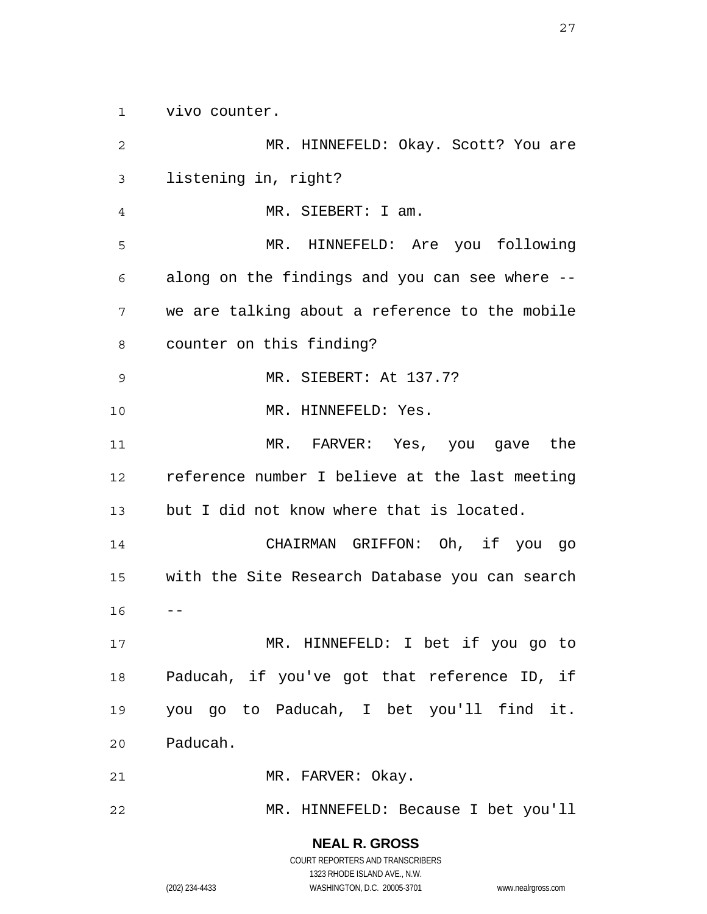vivo counter.

MR. HINNEFELD: Okay. Scott? You are listening in, right? MR. SIEBERT: I am. MR. HINNEFELD: Are you following along on the findings and you can see where -- we are talking about a reference to the mobile counter on this finding? MR. SIEBERT: At 137.7? 10 MR. HINNEFELD: Yes. MR. FARVER: Yes, you gave the reference number I believe at the last meeting but I did not know where that is located. CHAIRMAN GRIFFON: Oh, if you go with the Site Research Database you can search  $16 - -$ MR. HINNEFELD: I bet if you go to Paducah, if you've got that reference ID, if you go to Paducah, I bet you'll find it. Paducah. 21 MR. FARVER: Okay. MR. HINNEFELD: Because I bet you'll

> **NEAL R. GROSS**  COURT REPORTERS AND TRANSCRIBERS 1323 RHODE ISLAND AVE., N.W. (202) 234-4433 WASHINGTON, D.C. 20005-3701 www.nealrgross.com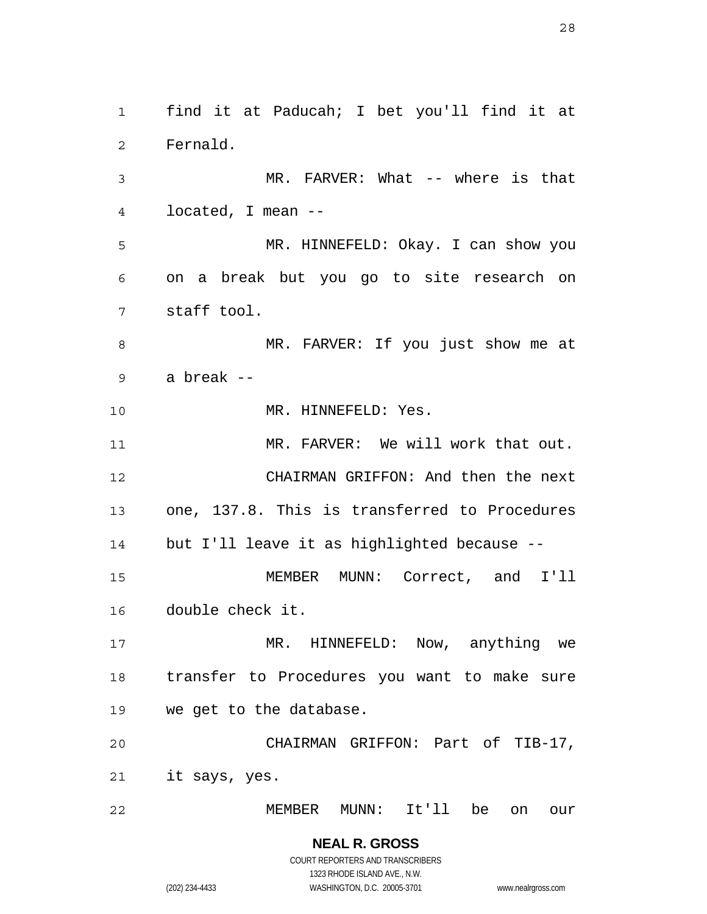find it at Paducah; I bet you'll find it at Fernald. MR. FARVER: What -- where is that located, I mean -- MR. HINNEFELD: Okay. I can show you on a break but you go to site research on staff tool. 8 MR. FARVER: If you just show me at a break -- 10 MR. HINNEFELD: Yes. MR. FARVER: We will work that out. CHAIRMAN GRIFFON: And then the next one, 137.8. This is transferred to Procedures but I'll leave it as highlighted because -- MEMBER MUNN: Correct, and I'll double check it. 17 MR. HINNEFELD: Now, anything we transfer to Procedures you want to make sure we get to the database. CHAIRMAN GRIFFON: Part of TIB-17, it says, yes. MEMBER MUNN: It'll be on our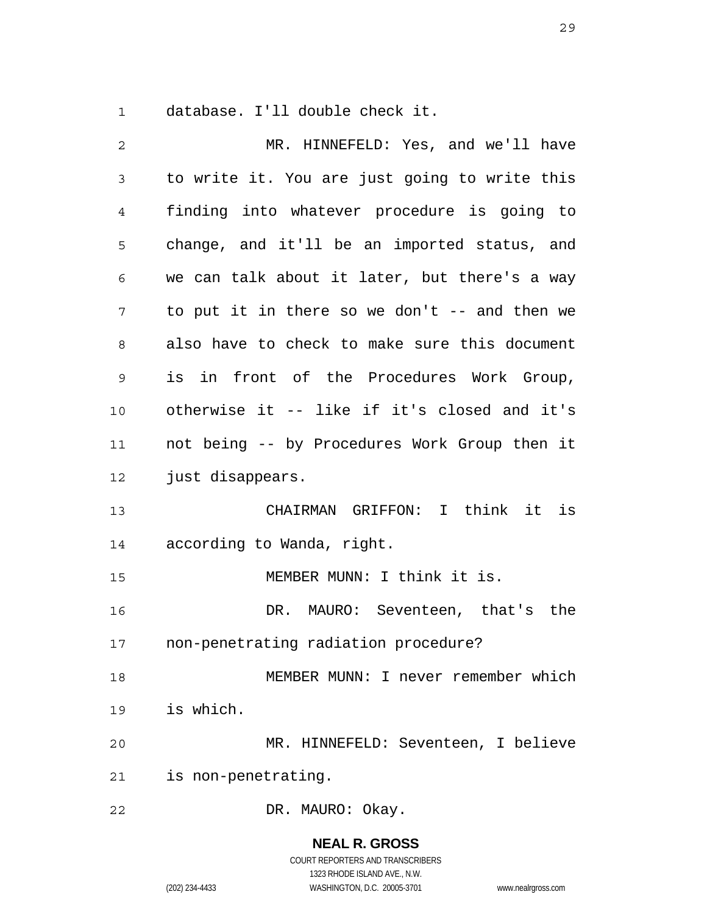database. I'll double check it.

| $\overline{2}$ | MR. HINNEFELD: Yes, and we'll have             |
|----------------|------------------------------------------------|
| $\mathfrak{Z}$ | to write it. You are just going to write this  |
| $\overline{4}$ | finding into whatever procedure is going to    |
| 5              | change, and it'll be an imported status, and   |
| 6              | we can talk about it later, but there's a way  |
| 7              | to put it in there so we don't $-$ and then we |
| 8              | also have to check to make sure this document  |
| 9              | is in front of the Procedures Work Group,      |
| 10             | otherwise it -- like if it's closed and it's   |
| 11             | not being -- by Procedures Work Group then it  |
| 12             | just disappears.                               |
| 13             | CHAIRMAN GRIFFON: I think it is                |
| 14             | according to Wanda, right.                     |
| 15             | MEMBER MUNN: I think it is.                    |
| 16             | DR. MAURO: Seventeen, that's the               |
| 17             | non-penetrating radiation procedure?           |
| 18             | MEMBER MUNN: I never remember which            |
| 19             | is which.                                      |
| 20             | MR. HINNEFELD: Seventeen, I believe            |
| 21             | is non-penetrating.                            |
| 22             | DR. MAURO: Okay.                               |

**NEAL R. GROSS**  COURT REPORTERS AND TRANSCRIBERS

1323 RHODE ISLAND AVE., N.W.

(202) 234-4433 WASHINGTON, D.C. 20005-3701 www.nealrgross.com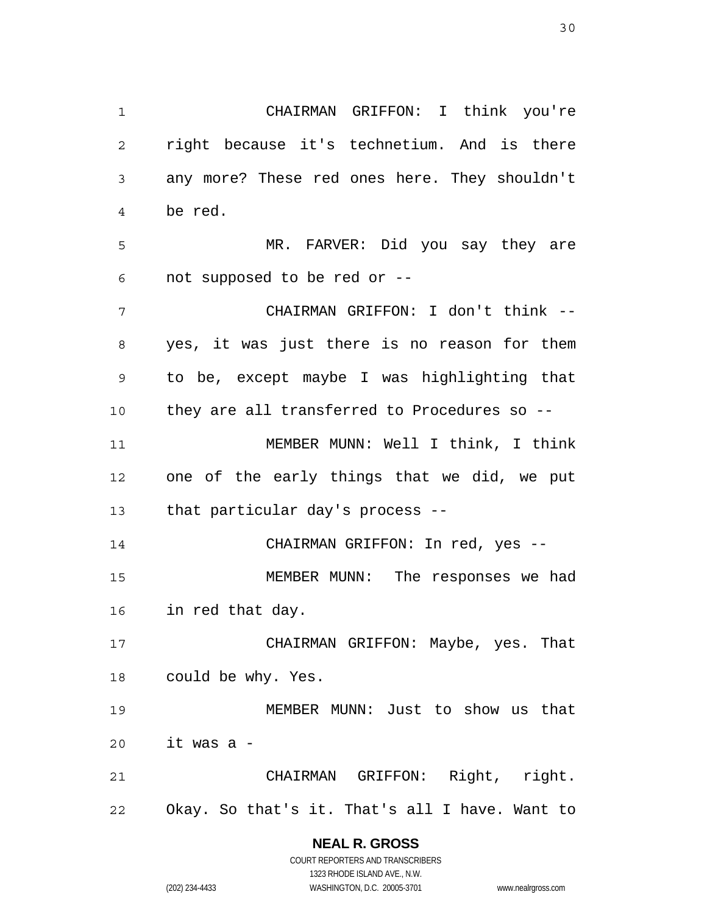CHAIRMAN GRIFFON: I think you're right because it's technetium. And is there any more? These red ones here. They shouldn't be red. MR. FARVER: Did you say they are not supposed to be red or -- CHAIRMAN GRIFFON: I don't think -- yes, it was just there is no reason for them to be, except maybe I was highlighting that they are all transferred to Procedures so -- MEMBER MUNN: Well I think, I think one of the early things that we did, we put that particular day's process -- CHAIRMAN GRIFFON: In red, yes -- MEMBER MUNN: The responses we had in red that day. CHAIRMAN GRIFFON: Maybe, yes. That could be why. Yes. MEMBER MUNN: Just to show us that it was a - CHAIRMAN GRIFFON: Right, right. Okay. So that's it. That's all I have. Want to

> **NEAL R. GROSS**  COURT REPORTERS AND TRANSCRIBERS

1323 RHODE ISLAND AVE., N.W. (202) 234-4433 WASHINGTON, D.C. 20005-3701 www.nealrgross.com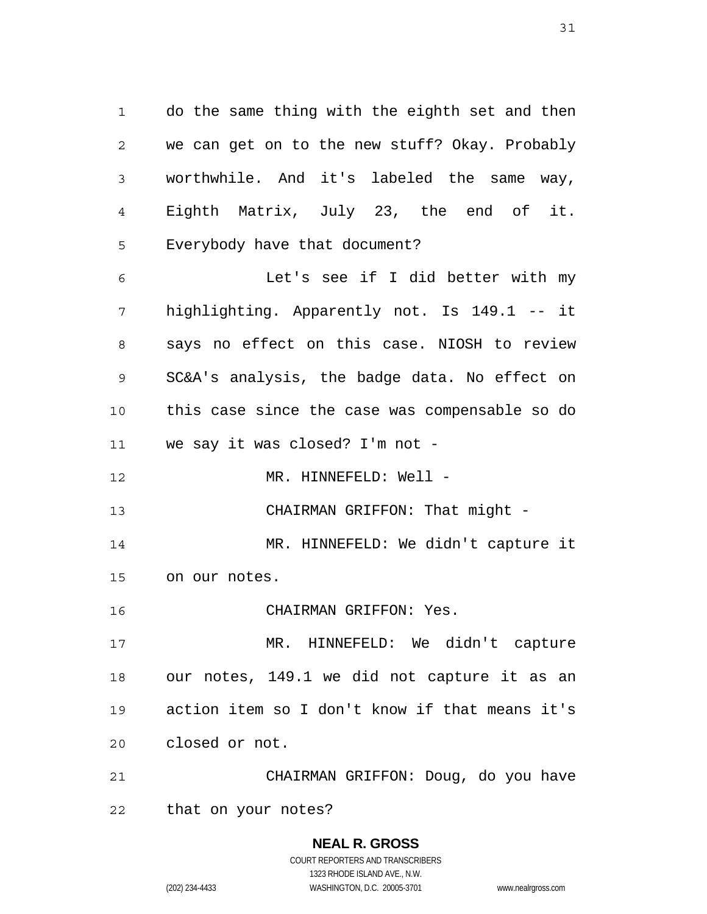do the same thing with the eighth set and then we can get on to the new stuff? Okay. Probably worthwhile. And it's labeled the same way, Eighth Matrix, July 23, the end of it. Everybody have that document?

Let's see if I did better with my highlighting. Apparently not. Is 149.1 -- it says no effect on this case. NIOSH to review SC&A's analysis, the badge data. No effect on this case since the case was compensable so do we say it was closed? I'm not -

12 MR. HINNEFELD: Well -

13 CHAIRMAN GRIFFON: That might -

MR. HINNEFELD: We didn't capture it on our notes.

CHAIRMAN GRIFFON: Yes.

MR. HINNEFELD: We didn't capture our notes, 149.1 we did not capture it as an action item so I don't know if that means it's closed or not.

CHAIRMAN GRIFFON: Doug, do you have that on your notes?

> **NEAL R. GROSS**  COURT REPORTERS AND TRANSCRIBERS 1323 RHODE ISLAND AVE., N.W. (202) 234-4433 WASHINGTON, D.C. 20005-3701 www.nealrgross.com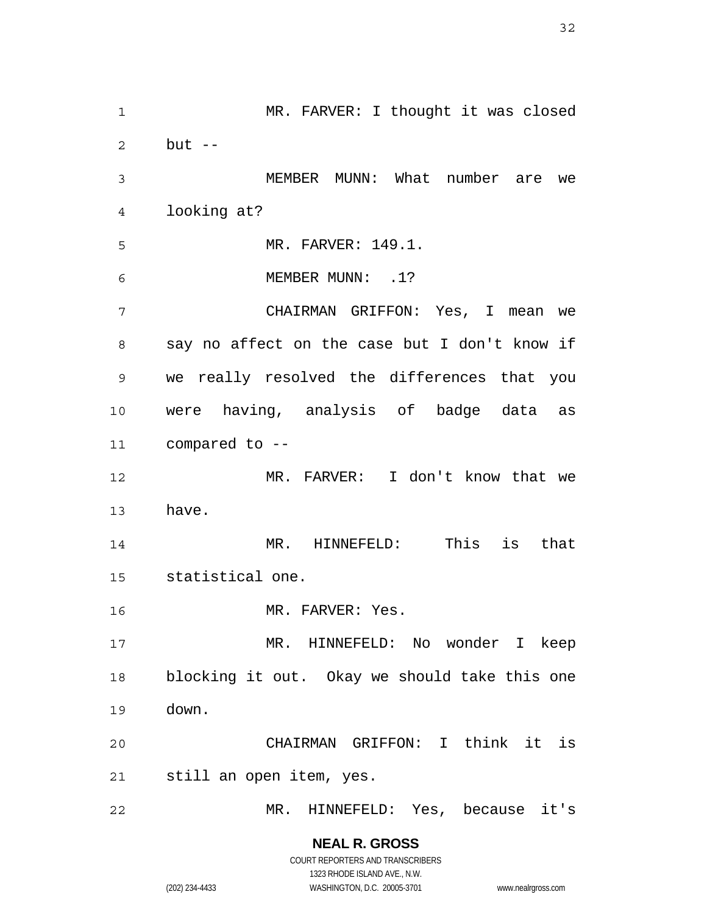1 MR. FARVER: I thought it was closed but -- MEMBER MUNN: What number are we looking at? MR. FARVER: 149.1. MEMBER MUNN: .1? CHAIRMAN GRIFFON: Yes, I mean we say no affect on the case but I don't know if we really resolved the differences that you were having, analysis of badge data as compared to -- MR. FARVER: I don't know that we have. MR. HINNEFELD: This is that statistical one. 16 MR. FARVER: Yes. MR. HINNEFELD: No wonder I keep blocking it out. Okay we should take this one down. CHAIRMAN GRIFFON: I think it is still an open item, yes. MR. HINNEFELD: Yes, because it's

> **NEAL R. GROSS**  COURT REPORTERS AND TRANSCRIBERS 1323 RHODE ISLAND AVE., N.W.

(202) 234-4433 WASHINGTON, D.C. 20005-3701 www.nealrgross.com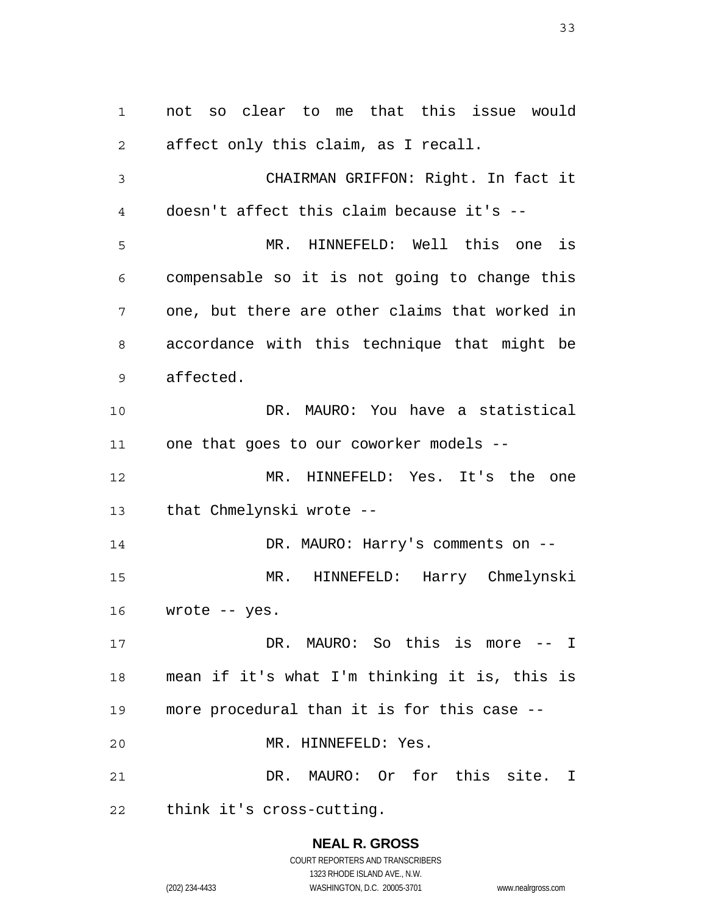not so clear to me that this issue would affect only this claim, as I recall. CHAIRMAN GRIFFON: Right. In fact it doesn't affect this claim because it's -- MR. HINNEFELD: Well this one is compensable so it is not going to change this one, but there are other claims that worked in accordance with this technique that might be affected. DR. MAURO: You have a statistical one that goes to our coworker models -- MR. HINNEFELD: Yes. It's the one that Chmelynski wrote -- DR. MAURO: Harry's comments on -- MR. HINNEFELD: Harry Chmelynski wrote -- yes. DR. MAURO: So this is more -- I mean if it's what I'm thinking it is, this is more procedural than it is for this case -- MR. HINNEFELD: Yes. DR. MAURO: Or for this site. I

think it's cross-cutting.

#### **NEAL R. GROSS**  COURT REPORTERS AND TRANSCRIBERS 1323 RHODE ISLAND AVE., N.W. (202) 234-4433 WASHINGTON, D.C. 20005-3701 www.nealrgross.com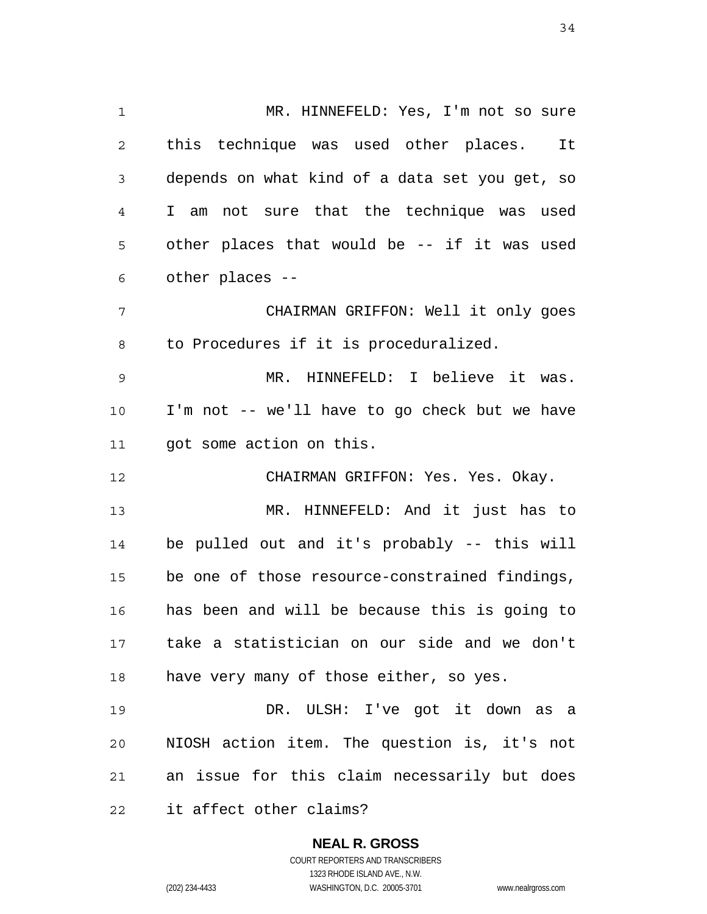MR. HINNEFELD: Yes, I'm not so sure this technique was used other places. It depends on what kind of a data set you get, so I am not sure that the technique was used other places that would be -- if it was used other places -- CHAIRMAN GRIFFON: Well it only goes to Procedures if it is proceduralized. MR. HINNEFELD: I believe it was. I'm not -- we'll have to go check but we have 11 got some action on this. CHAIRMAN GRIFFON: Yes. Yes. Okay. MR. HINNEFELD: And it just has to be pulled out and it's probably -- this will be one of those resource-constrained findings, has been and will be because this is going to take a statistician on our side and we don't have very many of those either, so yes. DR. ULSH: I've got it down as a

an issue for this claim necessarily but does

NIOSH action item. The question is, it's not

it affect other claims?

## **NEAL R. GROSS**

COURT REPORTERS AND TRANSCRIBERS 1323 RHODE ISLAND AVE., N.W. (202) 234-4433 WASHINGTON, D.C. 20005-3701 www.nealrgross.com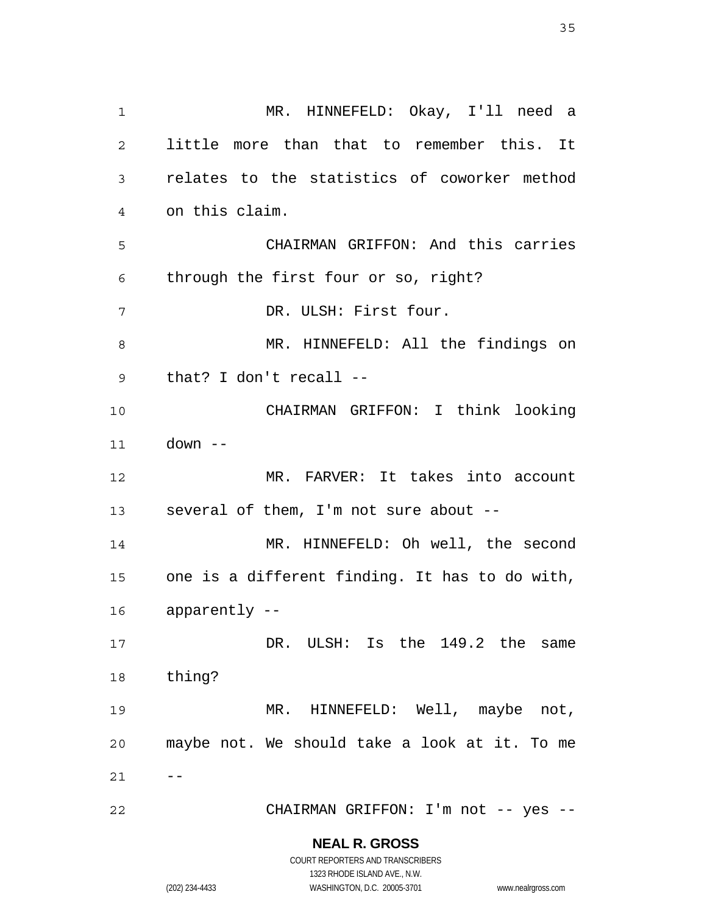MR. HINNEFELD: Okay, I'll need a little more than that to remember this. It relates to the statistics of coworker method on this claim. CHAIRMAN GRIFFON: And this carries through the first four or so, right? DR. ULSH: First four. MR. HINNEFELD: All the findings on that? I don't recall -- CHAIRMAN GRIFFON: I think looking down -- MR. FARVER: It takes into account several of them, I'm not sure about -- 14 MR. HINNEFELD: Oh well, the second one is a different finding. It has to do with, apparently -- 17 DR. ULSH: Is the 149.2 the same thing? MR. HINNEFELD: Well, maybe not, maybe not. We should take a look at it. To me  $21 - -$ 22 CHAIRMAN GRIFFON: I'm not -- yes --

> **NEAL R. GROSS**  COURT REPORTERS AND TRANSCRIBERS

> > 1323 RHODE ISLAND AVE., N.W.

(202) 234-4433 WASHINGTON, D.C. 20005-3701 www.nealrgross.com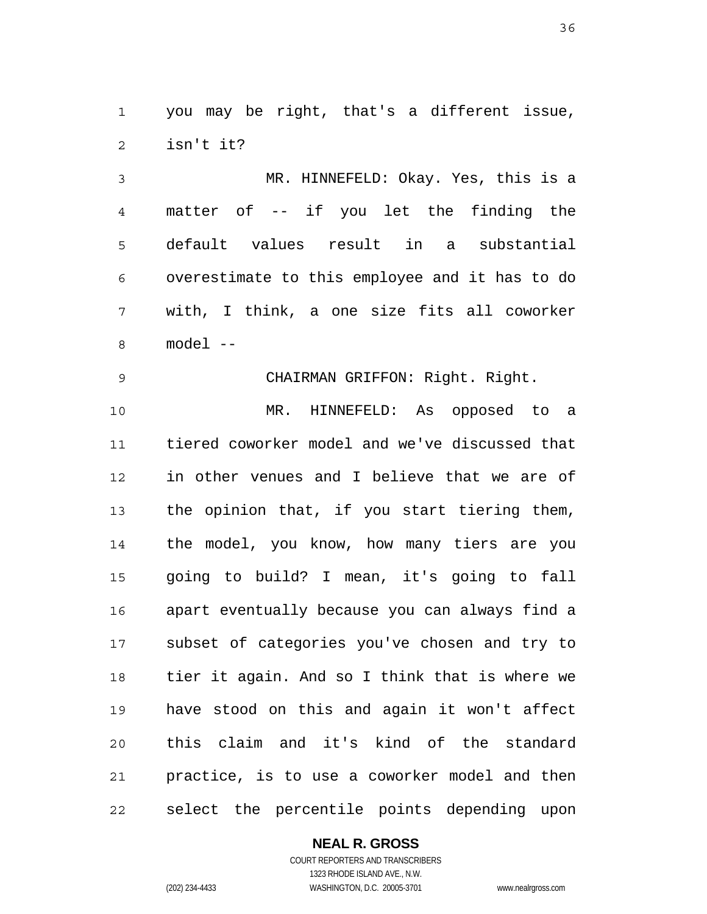you may be right, that's a different issue, isn't it?

MR. HINNEFELD: Okay. Yes, this is a matter of -- if you let the finding the default values result in a substantial overestimate to this employee and it has to do with, I think, a one size fits all coworker model --

CHAIRMAN GRIFFON: Right. Right. MR. HINNEFELD: As opposed to a tiered coworker model and we've discussed that in other venues and I believe that we are of the opinion that, if you start tiering them, the model, you know, how many tiers are you going to build? I mean, it's going to fall apart eventually because you can always find a subset of categories you've chosen and try to tier it again. And so I think that is where we have stood on this and again it won't affect this claim and it's kind of the standard practice, is to use a coworker model and then select the percentile points depending upon

**NEAL R. GROSS** 

COURT REPORTERS AND TRANSCRIBERS 1323 RHODE ISLAND AVE., N.W. (202) 234-4433 WASHINGTON, D.C. 20005-3701 www.nealrgross.com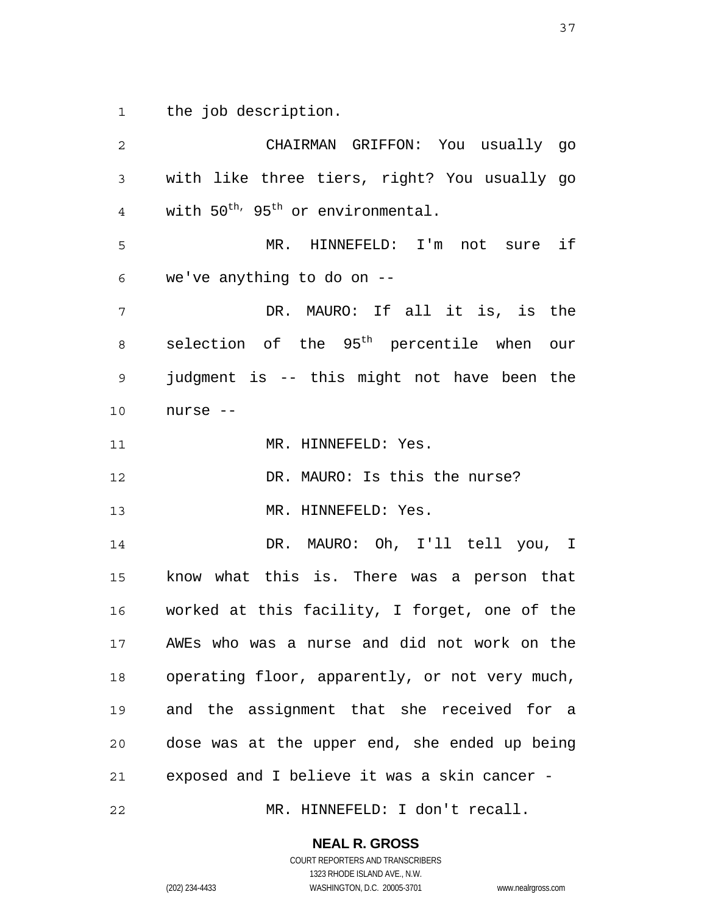the job description.

CHAIRMAN GRIFFON: You usually go with like three tiers, right? You usually go 4 with  $50^{\text{th}}$ ,  $95^{\text{th}}$  or environmental. MR. HINNEFELD: I'm not sure if we've anything to do on -- DR. MAURO: If all it is, is the 8 selection of the 95<sup>th</sup> percentile when our judgment is -- this might not have been the nurse -- 11 MR. HINNEFELD: Yes. 12 DR. MAURO: Is this the nurse? 13 MR. HINNEFELD: Yes. DR. MAURO: Oh, I'll tell you, I know what this is. There was a person that worked at this facility, I forget, one of the AWEs who was a nurse and did not work on the operating floor, apparently, or not very much, and the assignment that she received for a dose was at the upper end, she ended up being exposed and I believe it was a skin cancer - MR. HINNEFELD: I don't recall.

**NEAL R. GROSS**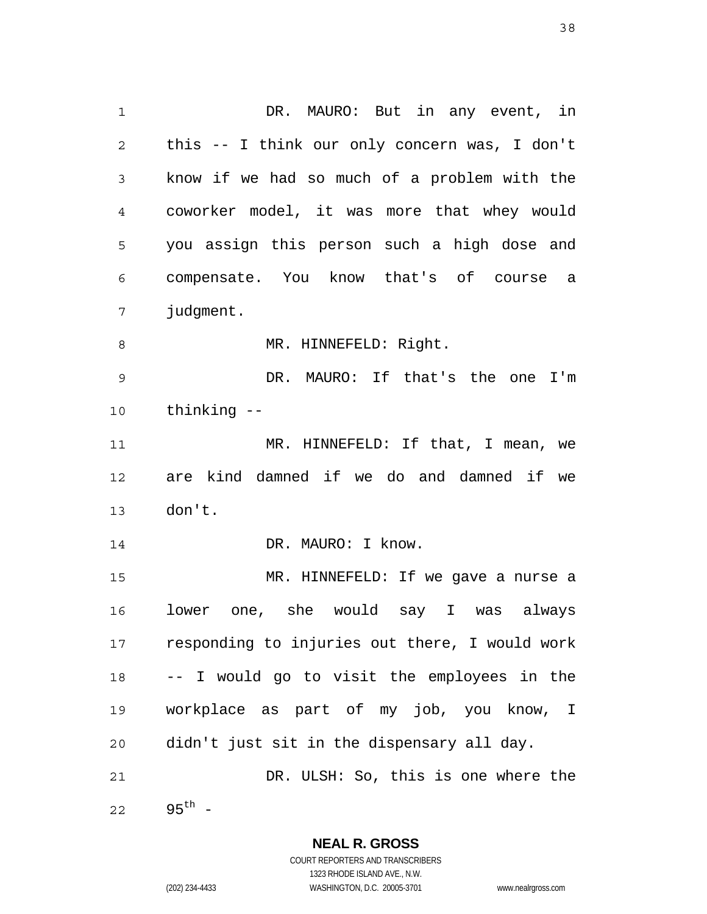DR. MAURO: But in any event, in this -- I think our only concern was, I don't know if we had so much of a problem with the coworker model, it was more that whey would you assign this person such a high dose and compensate. You know that's of course a judgment. 8 MR. HINNEFELD: Right. DR. MAURO: If that's the one I'm thinking -- 11 MR. HINNEFELD: If that, I mean, we are kind damned if we do and damned if we don't. 14 DR. MAURO: I know. MR. HINNEFELD: If we gave a nurse a lower one, she would say I was always responding to injuries out there, I would work -- I would go to visit the employees in the workplace as part of my job, you know, I didn't just sit in the dispensary all day. DR. ULSH: So, this is one where the

22  $95^{th}$  -

**NEAL R. GROSS**  COURT REPORTERS AND TRANSCRIBERS

1323 RHODE ISLAND AVE., N.W.

(202) 234-4433 WASHINGTON, D.C. 20005-3701 www.nealrgross.com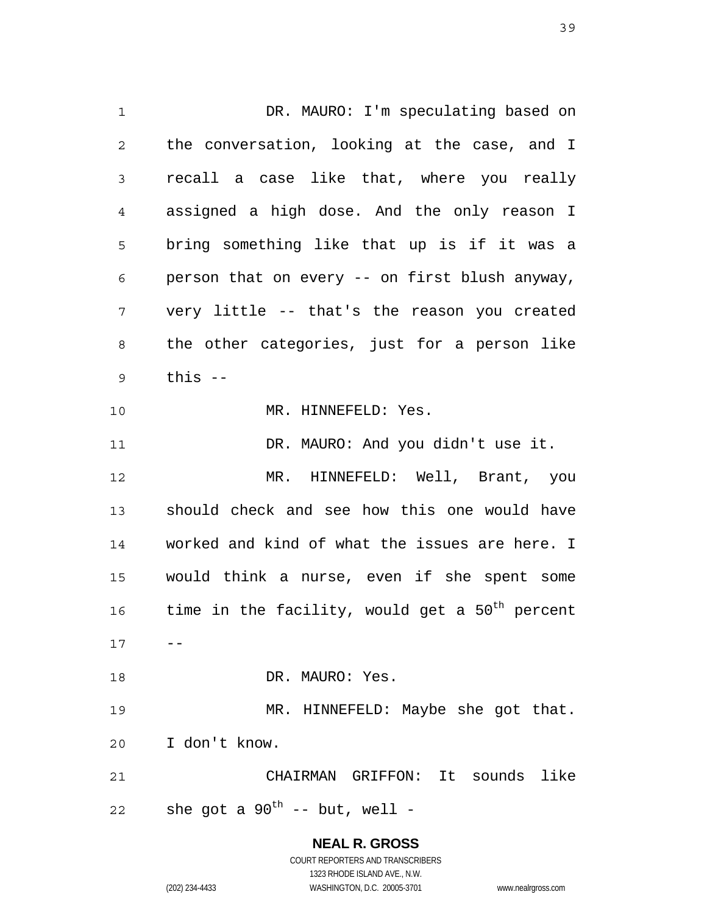1 DR. MAURO: I'm speculating based on the conversation, looking at the case, and I recall a case like that, where you really assigned a high dose. And the only reason I bring something like that up is if it was a person that on every -- on first blush anyway, very little -- that's the reason you created the other categories, just for a person like 9 this -- 10 MR. HINNEFELD: Yes. 11 DR. MAURO: And you didn't use it. MR. HINNEFELD: Well, Brant, you should check and see how this one would have worked and kind of what the issues are here. I would think a nurse, even if she spent some 16 time in the facility, would get a  $50<sup>th</sup>$  percent  $17 - -$ 18 DR. MAURO: Yes. MR. HINNEFELD: Maybe she got that. I don't know. CHAIRMAN GRIFFON: It sounds like 22 she got a  $90^{th}$  -- but, well -

> **NEAL R. GROSS**  COURT REPORTERS AND TRANSCRIBERS

> > 1323 RHODE ISLAND AVE., N.W.

(202) 234-4433 WASHINGTON, D.C. 20005-3701 www.nealrgross.com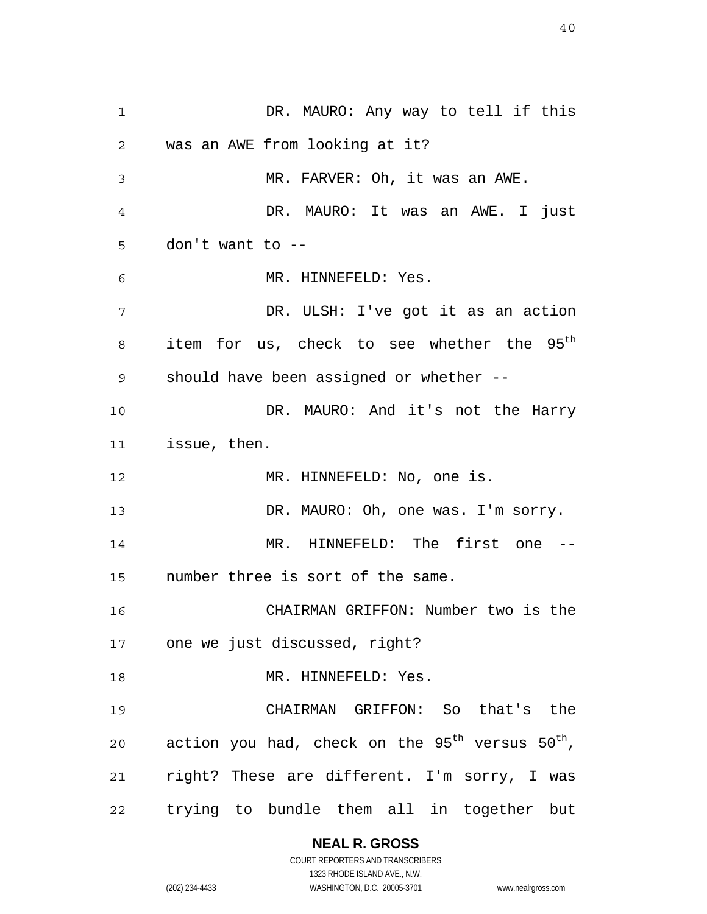1 DR. MAURO: Any way to tell if this was an AWE from looking at it? MR. FARVER: Oh, it was an AWE. DR. MAURO: It was an AWE. I just don't want to -- MR. HINNEFELD: Yes. DR. ULSH: I've got it as an action 8 item for us, check to see whether the  $95<sup>th</sup>$ should have been assigned or whether -- 10 DR. MAURO: And it's not the Harry issue, then. 12 MR. HINNEFELD: No, one is. 13 DR. MAURO: Oh, one was. I'm sorry. MR. HINNEFELD: The first one -- number three is sort of the same. CHAIRMAN GRIFFON: Number two is the one we just discussed, right? 18 MR. HINNEFELD: Yes. CHAIRMAN GRIFFON: So that's the 20 action you had, check on the  $95<sup>th</sup>$  versus  $50<sup>th</sup>$ , right? These are different. I'm sorry, I was trying to bundle them all in together but

> **NEAL R. GROSS**  COURT REPORTERS AND TRANSCRIBERS

1323 RHODE ISLAND AVE., N.W. (202) 234-4433 WASHINGTON, D.C. 20005-3701 www.nealrgross.com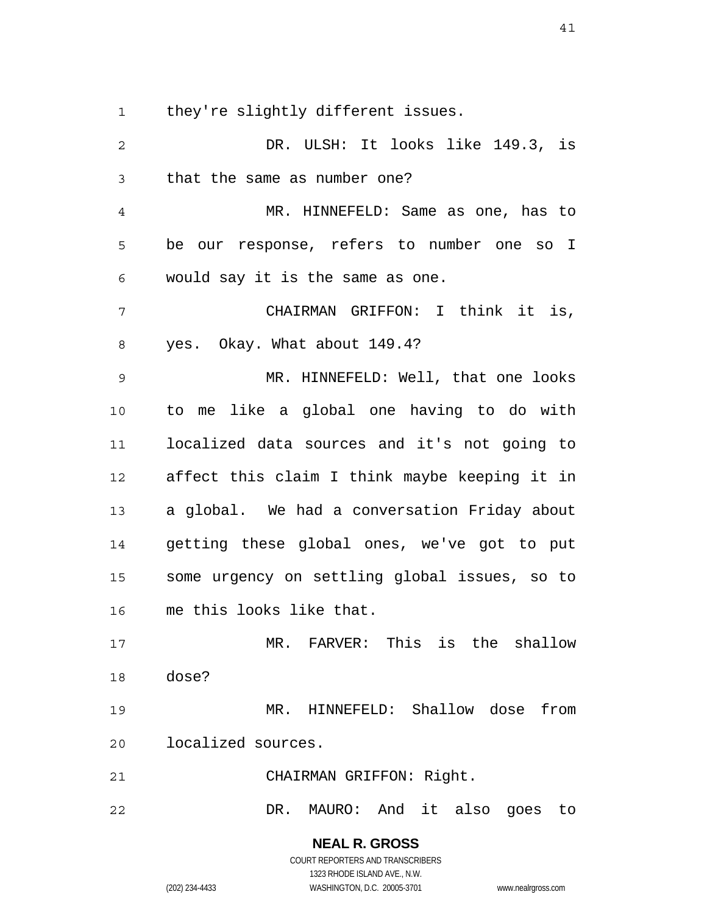they're slightly different issues.

DR. ULSH: It looks like 149.3, is that the same as number one? MR. HINNEFELD: Same as one, has to be our response, refers to number one so I would say it is the same as one. CHAIRMAN GRIFFON: I think it is, yes. Okay. What about 149.4? MR. HINNEFELD: Well, that one looks to me like a global one having to do with localized data sources and it's not going to affect this claim I think maybe keeping it in a global. We had a conversation Friday about getting these global ones, we've got to put some urgency on settling global issues, so to me this looks like that. MR. FARVER: This is the shallow dose? MR. HINNEFELD: Shallow dose from localized sources. CHAIRMAN GRIFFON: Right. DR. MAURO: And it also goes to

> **NEAL R. GROSS**  COURT REPORTERS AND TRANSCRIBERS 1323 RHODE ISLAND AVE., N.W. (202) 234-4433 WASHINGTON, D.C. 20005-3701 www.nealrgross.com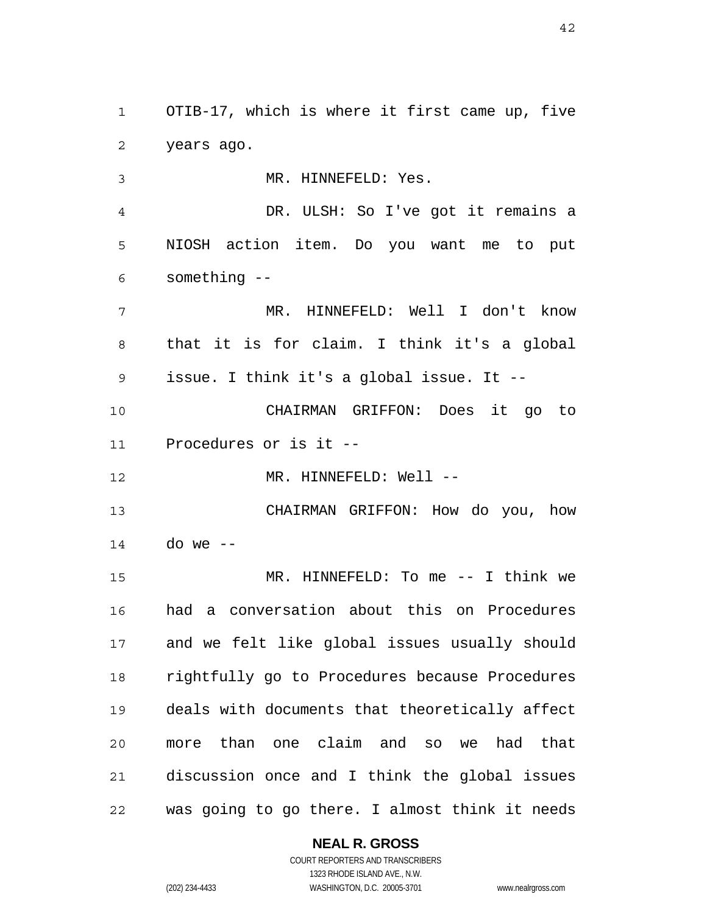OTIB-17, which is where it first came up, five years ago.

MR. HINNEFELD: Yes.

DR. ULSH: So I've got it remains a NIOSH action item. Do you want me to put something -- MR. HINNEFELD: Well I don't know that it is for claim. I think it's a global issue. I think it's a global issue. It -- CHAIRMAN GRIFFON: Does it go to Procedures or is it -- 12 MR. HINNEFELD: Well --CHAIRMAN GRIFFON: How do you, how do we  $-$ MR. HINNEFELD: To me -- I think we had a conversation about this on Procedures and we felt like global issues usually should rightfully go to Procedures because Procedures deals with documents that theoretically affect more than one claim and so we had that discussion once and I think the global issues was going to go there. I almost think it needs

**NEAL R. GROSS**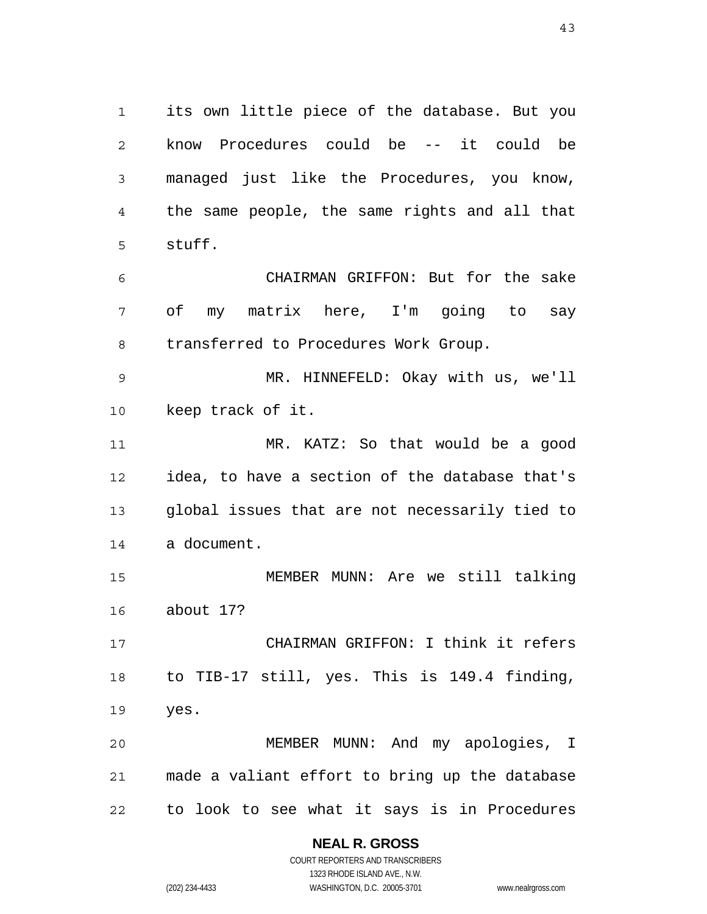its own little piece of the database. But you know Procedures could be -- it could be managed just like the Procedures, you know, the same people, the same rights and all that stuff.

CHAIRMAN GRIFFON: But for the sake of my matrix here, I'm going to say transferred to Procedures Work Group.

MR. HINNEFELD: Okay with us, we'll keep track of it.

MR. KATZ: So that would be a good idea, to have a section of the database that's global issues that are not necessarily tied to a document.

MEMBER MUNN: Are we still talking about 17?

CHAIRMAN GRIFFON: I think it refers to TIB-17 still, yes. This is 149.4 finding, yes.

MEMBER MUNN: And my apologies, I made a valiant effort to bring up the database to look to see what it says is in Procedures

**NEAL R. GROSS** 

COURT REPORTERS AND TRANSCRIBERS 1323 RHODE ISLAND AVE., N.W. (202) 234-4433 WASHINGTON, D.C. 20005-3701 www.nealrgross.com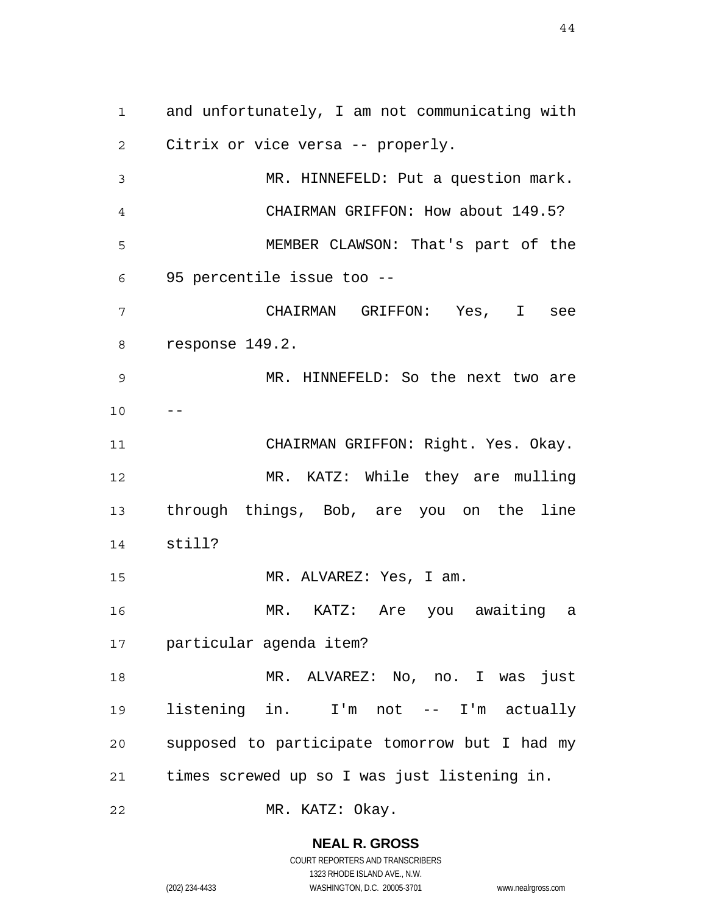and unfortunately, I am not communicating with Citrix or vice versa -- properly.

MR. HINNEFELD: Put a question mark. CHAIRMAN GRIFFON: How about 149.5? MEMBER CLAWSON: That's part of the 95 percentile issue too --

CHAIRMAN GRIFFON: Yes, I see response 149.2.

MR. HINNEFELD: So the next two are  $10 - -$ 

CHAIRMAN GRIFFON: Right. Yes. Okay. MR. KATZ: While they are mulling through things, Bob, are you on the line still?

15 MR. ALVAREZ: Yes, I am.

MR. KATZ: Are you awaiting a particular agenda item?

MR. ALVAREZ: No, no. I was just listening in. I'm not -- I'm actually supposed to participate tomorrow but I had my times screwed up so I was just listening in.

MR. KATZ: Okay.

#### **NEAL R. GROSS**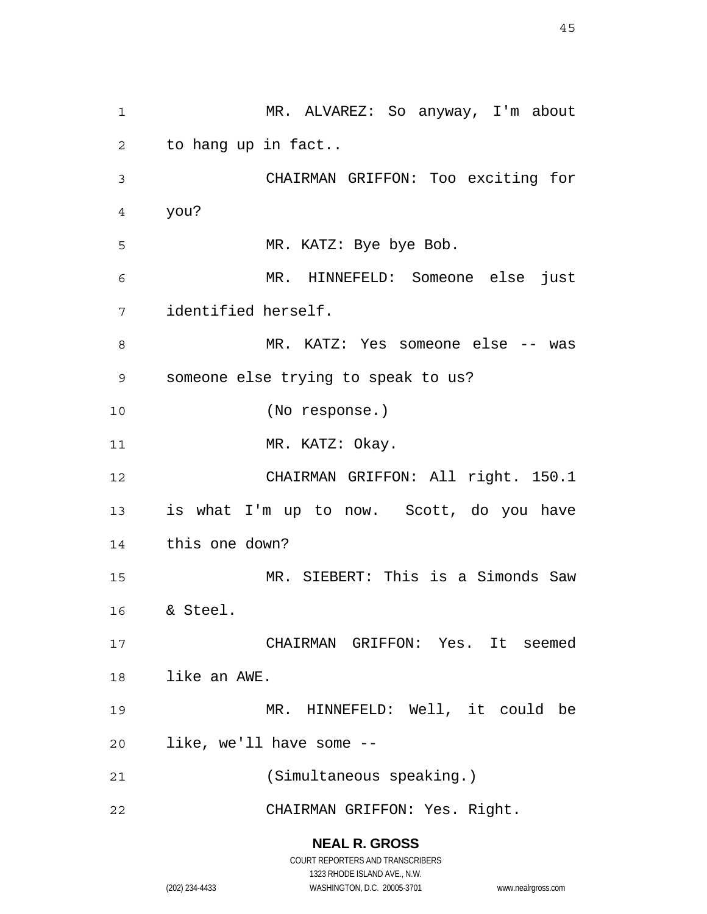MR. ALVAREZ: So anyway, I'm about to hang up in fact.. CHAIRMAN GRIFFON: Too exciting for you? MR. KATZ: Bye bye Bob. MR. HINNEFELD: Someone else just identified herself. MR. KATZ: Yes someone else -- was someone else trying to speak to us? (No response.) 11 MR. KATZ: Okay. CHAIRMAN GRIFFON: All right. 150.1 is what I'm up to now. Scott, do you have this one down? MR. SIEBERT: This is a Simonds Saw & Steel. CHAIRMAN GRIFFON: Yes. It seemed like an AWE. MR. HINNEFELD: Well, it could be like, we'll have some -- (Simultaneous speaking.) CHAIRMAN GRIFFON: Yes. Right.

> **NEAL R. GROSS**  COURT REPORTERS AND TRANSCRIBERS

> > 1323 RHODE ISLAND AVE., N.W.

(202) 234-4433 WASHINGTON, D.C. 20005-3701 www.nealrgross.com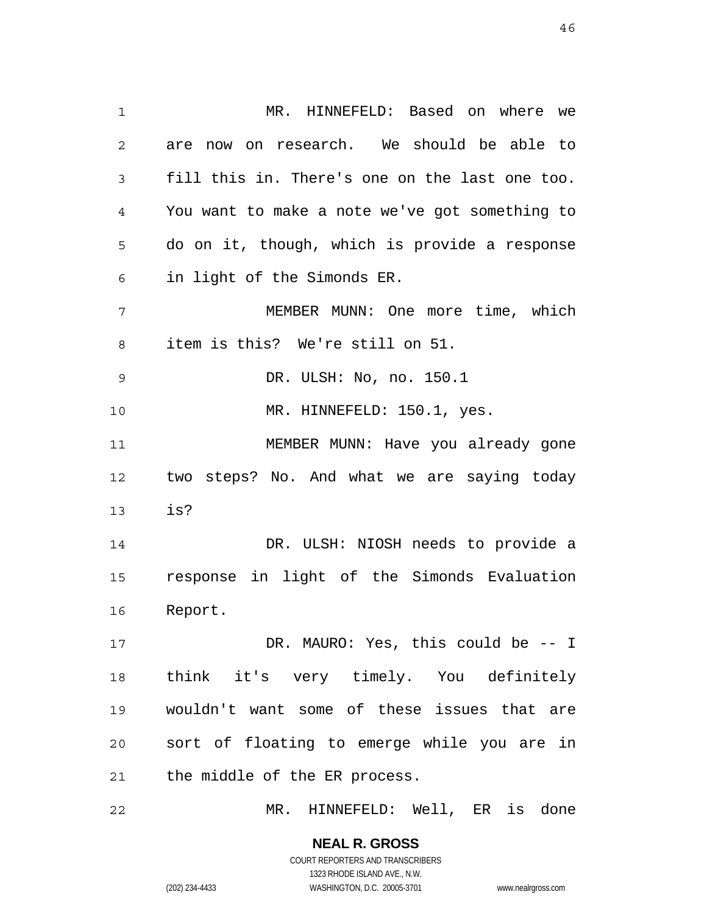MR. HINNEFELD: Based on where we are now on research. We should be able to fill this in. There's one on the last one too. You want to make a note we've got something to do on it, though, which is provide a response in light of the Simonds ER. MEMBER MUNN: One more time, which item is this? We're still on 51. DR. ULSH: No, no. 150.1 10 MR. HINNEFELD: 150.1, yes. MEMBER MUNN: Have you already gone two steps? No. And what we are saying today is? DR. ULSH: NIOSH needs to provide a response in light of the Simonds Evaluation Report. DR. MAURO: Yes, this could be -- I think it's very timely. You definitely wouldn't want some of these issues that are sort of floating to emerge while you are in

the middle of the ER process.

MR. HINNEFELD: Well, ER is done

**NEAL R. GROSS**  COURT REPORTERS AND TRANSCRIBERS 1323 RHODE ISLAND AVE., N.W.

(202) 234-4433 WASHINGTON, D.C. 20005-3701 www.nealrgross.com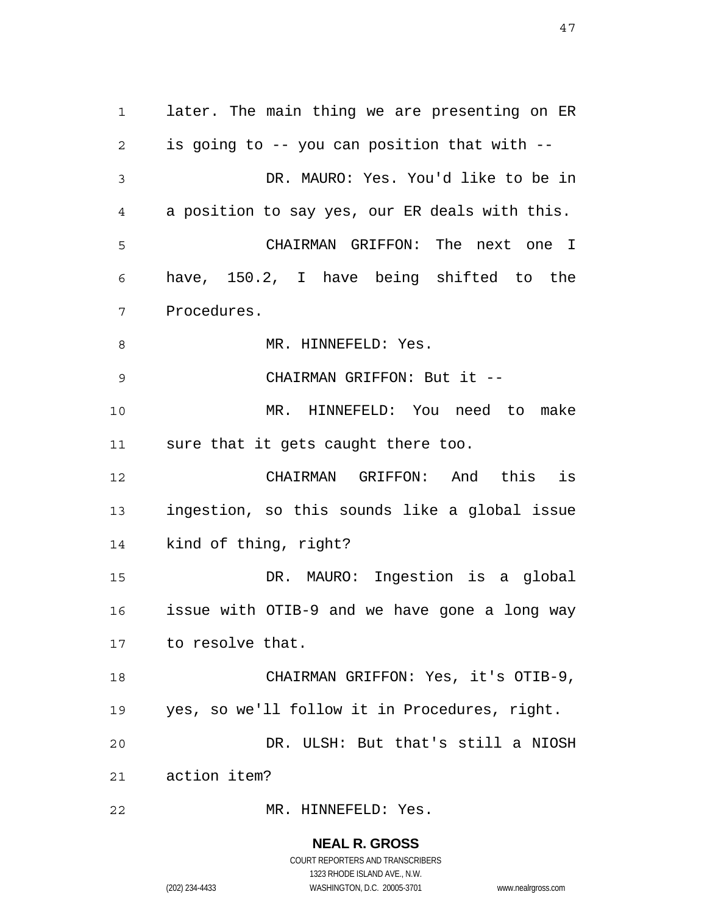later. The main thing we are presenting on ER is going to -- you can position that with -- DR. MAURO: Yes. You'd like to be in a position to say yes, our ER deals with this. CHAIRMAN GRIFFON: The next one I have, 150.2, I have being shifted to the Procedures. 8 MR. HINNEFELD: Yes. CHAIRMAN GRIFFON: But it -- MR. HINNEFELD: You need to make sure that it gets caught there too. CHAIRMAN GRIFFON: And this is ingestion, so this sounds like a global issue kind of thing, right? DR. MAURO: Ingestion is a global issue with OTIB-9 and we have gone a long way to resolve that. CHAIRMAN GRIFFON: Yes, it's OTIB-9, yes, so we'll follow it in Procedures, right. DR. ULSH: But that's still a NIOSH action item? MR. HINNEFELD: Yes.

> **NEAL R. GROSS**  COURT REPORTERS AND TRANSCRIBERS 1323 RHODE ISLAND AVE., N.W.

(202) 234-4433 WASHINGTON, D.C. 20005-3701 www.nealrgross.com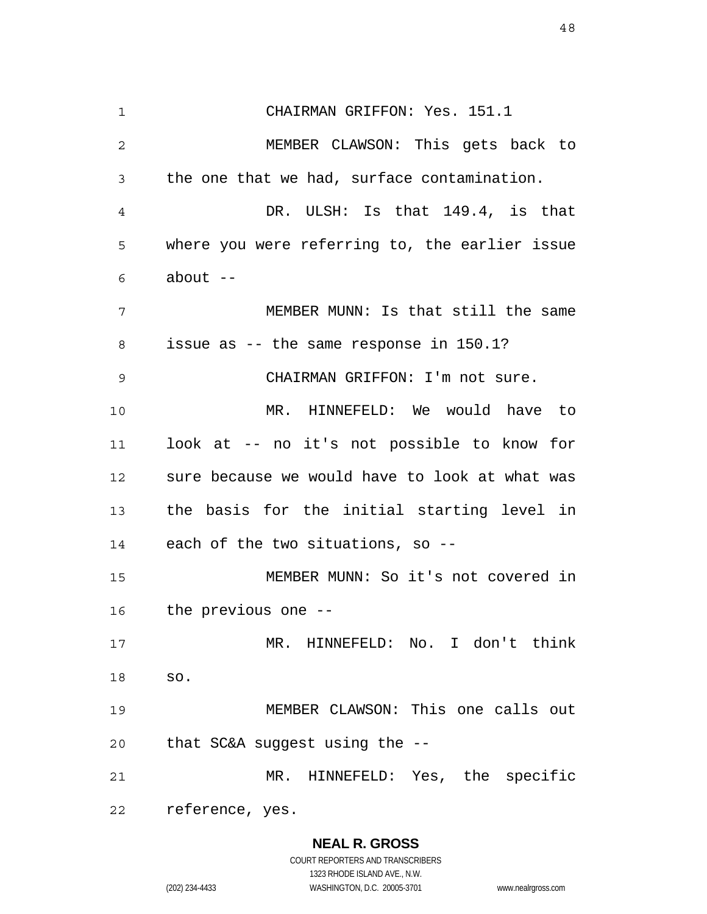CHAIRMAN GRIFFON: Yes. 151.1 MEMBER CLAWSON: This gets back to the one that we had, surface contamination. DR. ULSH: Is that 149.4, is that where you were referring to, the earlier issue about  $-$ MEMBER MUNN: Is that still the same issue as -- the same response in 150.1? CHAIRMAN GRIFFON: I'm not sure. MR. HINNEFELD: We would have to look at -- no it's not possible to know for sure because we would have to look at what was the basis for the initial starting level in each of the two situations, so -- MEMBER MUNN: So it's not covered in the previous one -- MR. HINNEFELD: No. I don't think so. MEMBER CLAWSON: This one calls out that SC&A suggest using the -- MR. HINNEFELD: Yes, the specific reference, yes.

## **NEAL R. GROSS**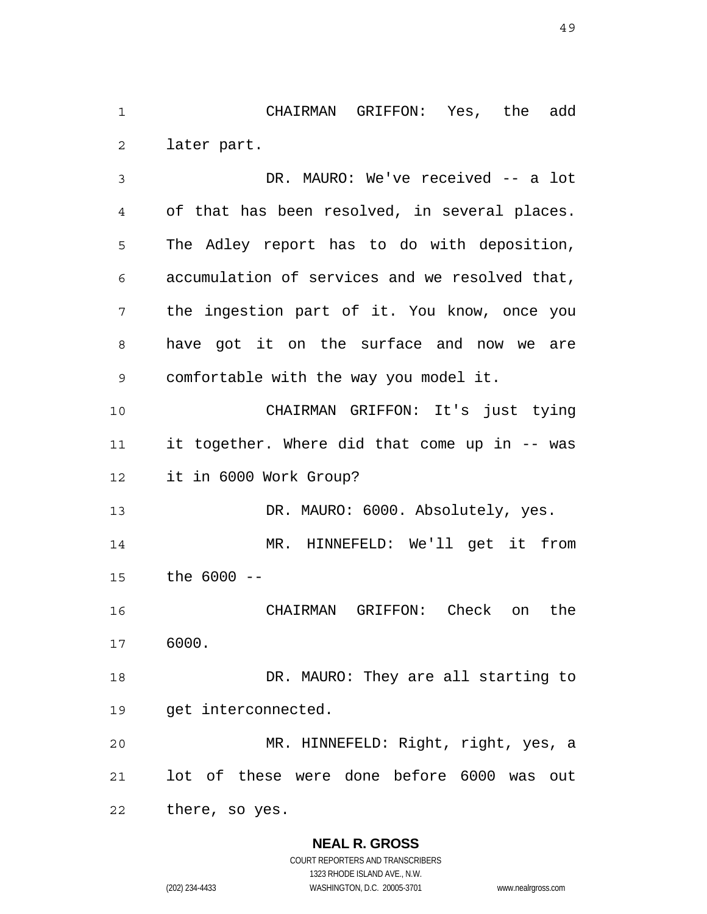CHAIRMAN GRIFFON: Yes, the add later part.

DR. MAURO: We've received -- a lot of that has been resolved, in several places. The Adley report has to do with deposition, accumulation of services and we resolved that, the ingestion part of it. You know, once you have got it on the surface and now we are comfortable with the way you model it. CHAIRMAN GRIFFON: It's just tying it together. Where did that come up in -- was it in 6000 Work Group? 13 DR. MAURO: 6000. Absolutely, yes. MR. HINNEFELD: We'll get it from the 6000 -- CHAIRMAN GRIFFON: Check on the

6000.

18 DR. MAURO: They are all starting to get interconnected.

MR. HINNEFELD: Right, right, yes, a lot of these were done before 6000 was out there, so yes.

**NEAL R. GROSS**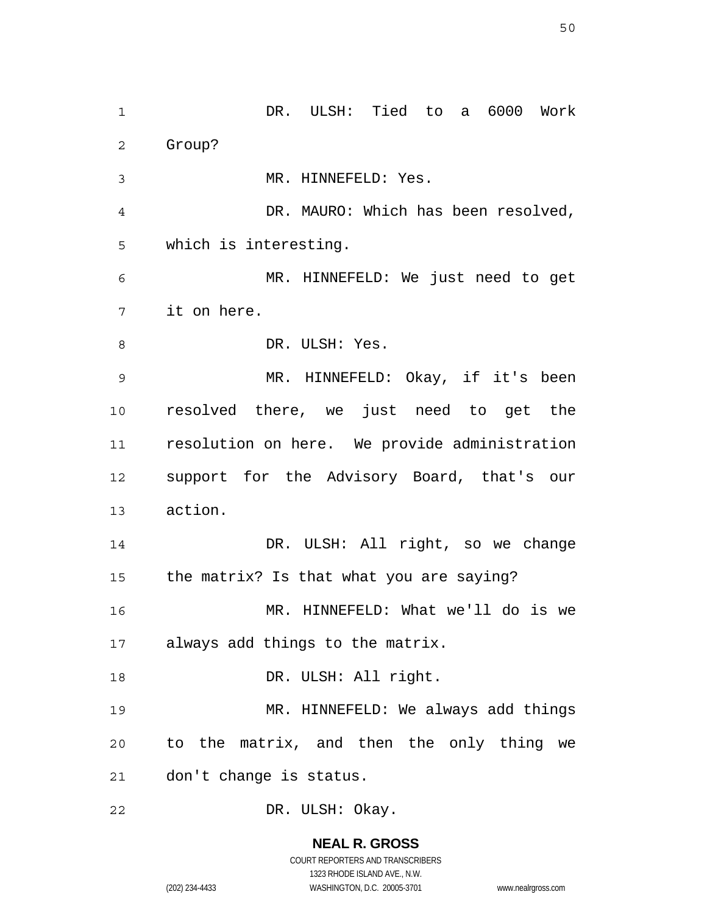DR. ULSH: Tied to a 6000 Work Group? MR. HINNEFELD: Yes. DR. MAURO: Which has been resolved, which is interesting. MR. HINNEFELD: We just need to get it on here. 8 DR. ULSH: Yes. MR. HINNEFELD: Okay, if it's been resolved there, we just need to get the resolution on here. We provide administration support for the Advisory Board, that's our action. DR. ULSH: All right, so we change the matrix? Is that what you are saying? MR. HINNEFELD: What we'll do is we always add things to the matrix. 18 DR. ULSH: All right. MR. HINNEFELD: We always add things to the matrix, and then the only thing we don't change is status. DR. ULSH: Okay.

> **NEAL R. GROSS**  COURT REPORTERS AND TRANSCRIBERS 1323 RHODE ISLAND AVE., N.W.

(202) 234-4433 WASHINGTON, D.C. 20005-3701 www.nealrgross.com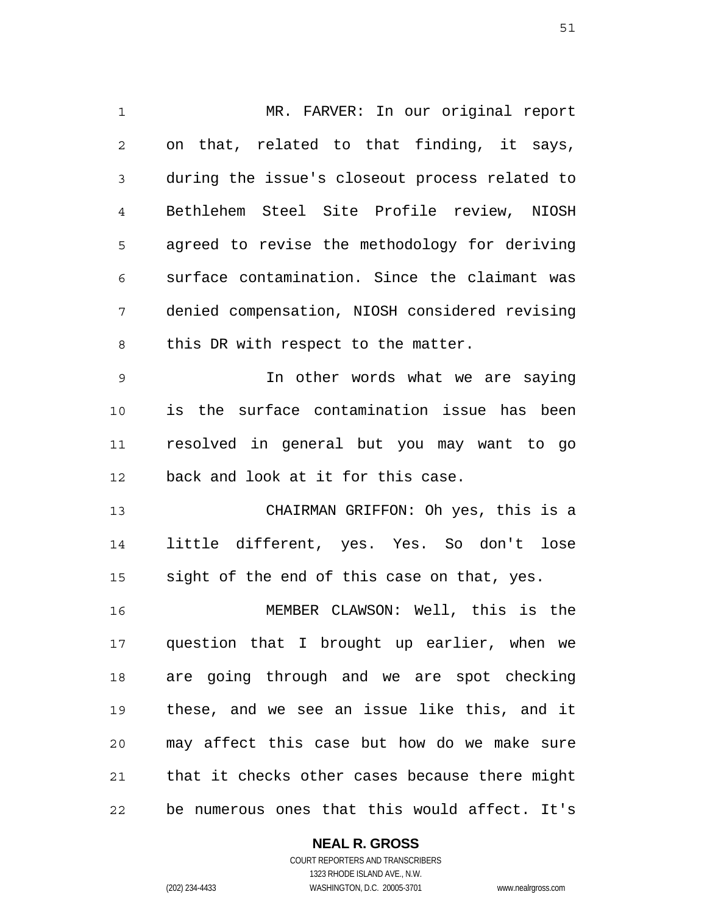MR. FARVER: In our original report on that, related to that finding, it says, during the issue's closeout process related to Bethlehem Steel Site Profile review, NIOSH agreed to revise the methodology for deriving surface contamination. Since the claimant was denied compensation, NIOSH considered revising this DR with respect to the matter. In other words what we are saying is the surface contamination issue has been

resolved in general but you may want to go back and look at it for this case.

CHAIRMAN GRIFFON: Oh yes, this is a little different, yes. Yes. So don't lose sight of the end of this case on that, yes.

MEMBER CLAWSON: Well, this is the question that I brought up earlier, when we are going through and we are spot checking these, and we see an issue like this, and it may affect this case but how do we make sure that it checks other cases because there might be numerous ones that this would affect. It's

### **NEAL R. GROSS**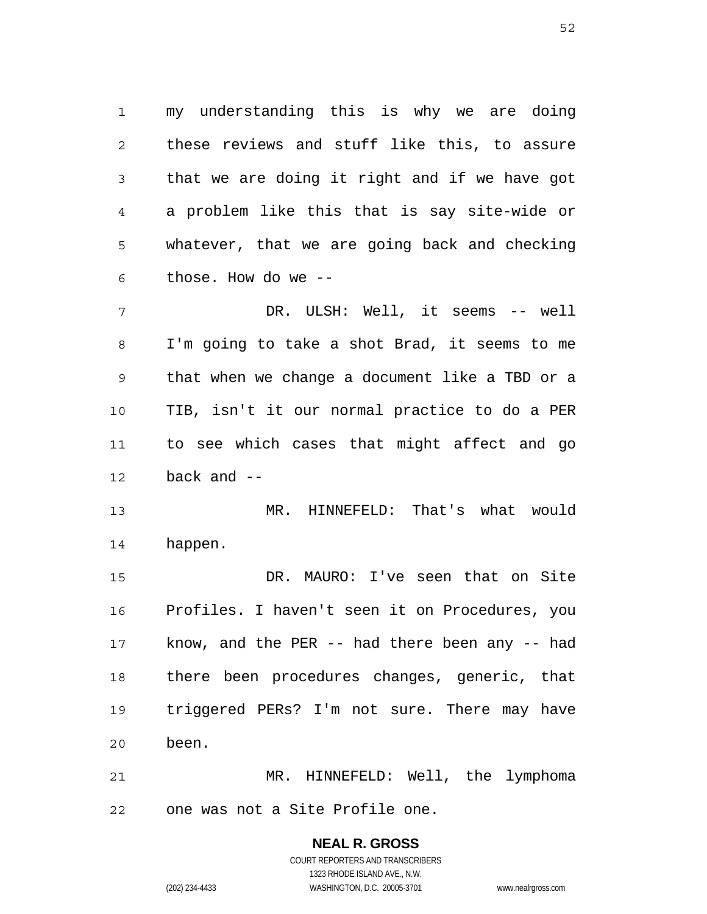my understanding this is why we are doing these reviews and stuff like this, to assure that we are doing it right and if we have got a problem like this that is say site-wide or whatever, that we are going back and checking those. How do we --

DR. ULSH: Well, it seems -- well I'm going to take a shot Brad, it seems to me that when we change a document like a TBD or a TIB, isn't it our normal practice to do a PER to see which cases that might affect and go back and --

MR. HINNEFELD: That's what would happen.

DR. MAURO: I've seen that on Site Profiles. I haven't seen it on Procedures, you know, and the PER -- had there been any -- had there been procedures changes, generic, that triggered PERs? I'm not sure. There may have been.

MR. HINNEFELD: Well, the lymphoma one was not a Site Profile one.

> **NEAL R. GROSS**  COURT REPORTERS AND TRANSCRIBERS 1323 RHODE ISLAND AVE., N.W. (202) 234-4433 WASHINGTON, D.C. 20005-3701 www.nealrgross.com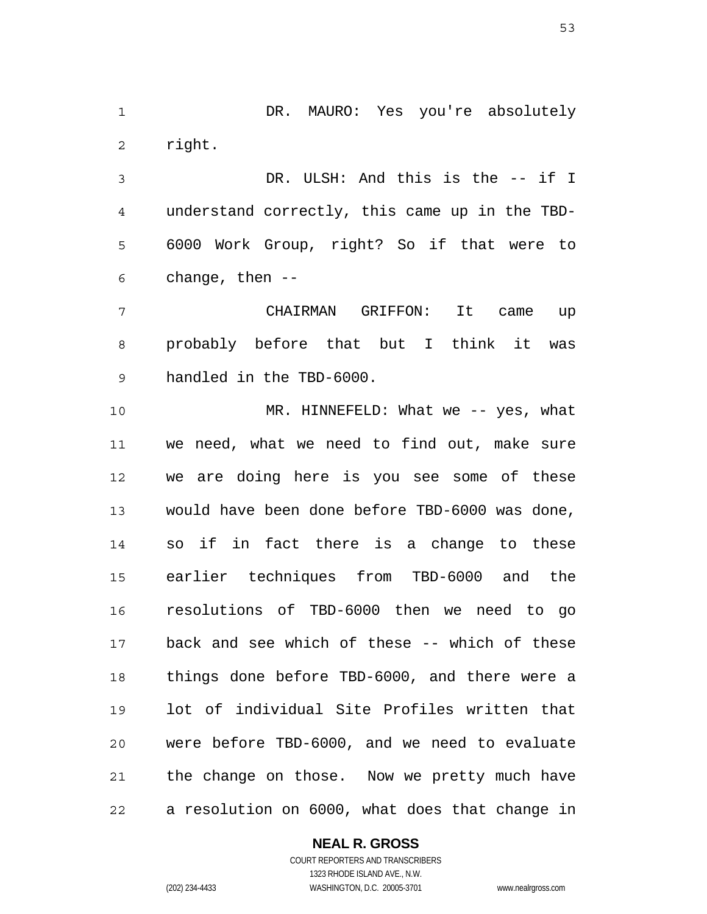DR. MAURO: Yes you're absolutely right.

DR. ULSH: And this is the -- if I understand correctly, this came up in the TBD-6000 Work Group, right? So if that were to change, then --

CHAIRMAN GRIFFON: It came up probably before that but I think it was handled in the TBD-6000.

10 MR. HINNEFELD: What we -- yes, what we need, what we need to find out, make sure we are doing here is you see some of these would have been done before TBD-6000 was done, so if in fact there is a change to these earlier techniques from TBD-6000 and the resolutions of TBD-6000 then we need to go back and see which of these -- which of these things done before TBD-6000, and there were a lot of individual Site Profiles written that were before TBD-6000, and we need to evaluate the change on those. Now we pretty much have a resolution on 6000, what does that change in

**NEAL R. GROSS**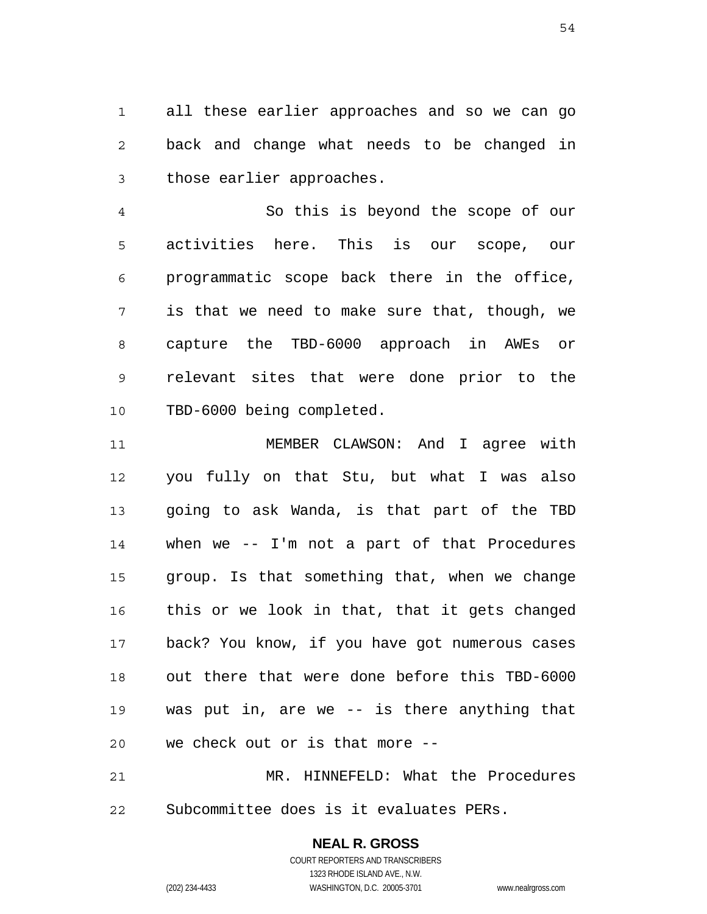all these earlier approaches and so we can go back and change what needs to be changed in those earlier approaches.

So this is beyond the scope of our activities here. This is our scope, our programmatic scope back there in the office, is that we need to make sure that, though, we capture the TBD-6000 approach in AWEs or relevant sites that were done prior to the TBD-6000 being completed.

MEMBER CLAWSON: And I agree with you fully on that Stu, but what I was also going to ask Wanda, is that part of the TBD when we -- I'm not a part of that Procedures group. Is that something that, when we change this or we look in that, that it gets changed back? You know, if you have got numerous cases out there that were done before this TBD-6000 was put in, are we -- is there anything that we check out or is that more --

MR. HINNEFELD: What the Procedures Subcommittee does is it evaluates PERs.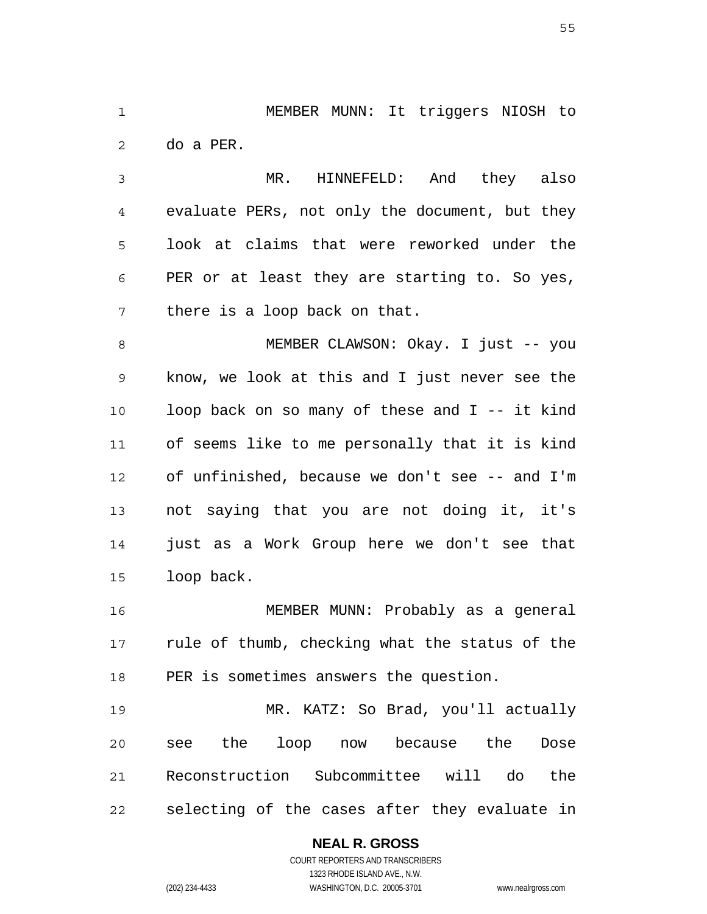MEMBER MUNN: It triggers NIOSH to do a PER.

MR. HINNEFELD: And they also evaluate PERs, not only the document, but they look at claims that were reworked under the PER or at least they are starting to. So yes, there is a loop back on that.

8 MEMBER CLAWSON: Okay. I just -- you know, we look at this and I just never see the loop back on so many of these and I -- it kind of seems like to me personally that it is kind of unfinished, because we don't see -- and I'm not saying that you are not doing it, it's just as a Work Group here we don't see that loop back.

MEMBER MUNN: Probably as a general rule of thumb, checking what the status of the PER is sometimes answers the question.

MR. KATZ: So Brad, you'll actually see the loop now because the Dose Reconstruction Subcommittee will do the selecting of the cases after they evaluate in

## **NEAL R. GROSS**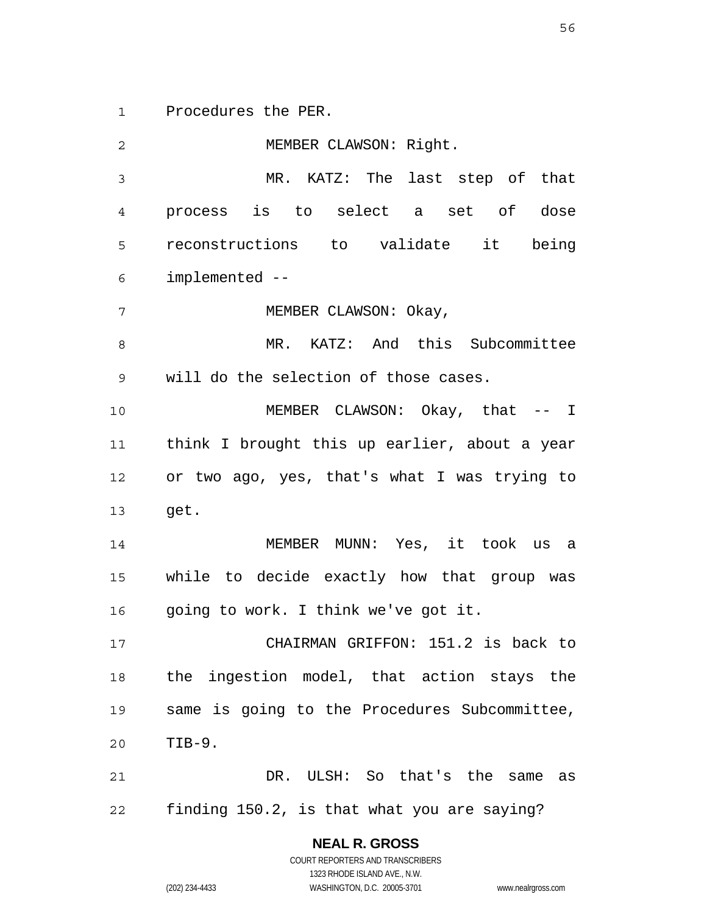Procedures the PER.

MEMBER CLAWSON: Right. MR. KATZ: The last step of that process is to select a set of dose reconstructions to validate it being implemented -- 7 MEMBER CLAWSON: Okay, MR. KATZ: And this Subcommittee will do the selection of those cases. 10 MEMBER CLAWSON: Okay, that -- I think I brought this up earlier, about a year or two ago, yes, that's what I was trying to get. MEMBER MUNN: Yes, it took us a while to decide exactly how that group was going to work. I think we've got it. CHAIRMAN GRIFFON: 151.2 is back to the ingestion model, that action stays the same is going to the Procedures Subcommittee, TIB-9. DR. ULSH: So that's the same as finding 150.2, is that what you are saying?

> **NEAL R. GROSS**  COURT REPORTERS AND TRANSCRIBERS

> > 1323 RHODE ISLAND AVE., N.W.

(202) 234-4433 WASHINGTON, D.C. 20005-3701 www.nealrgross.com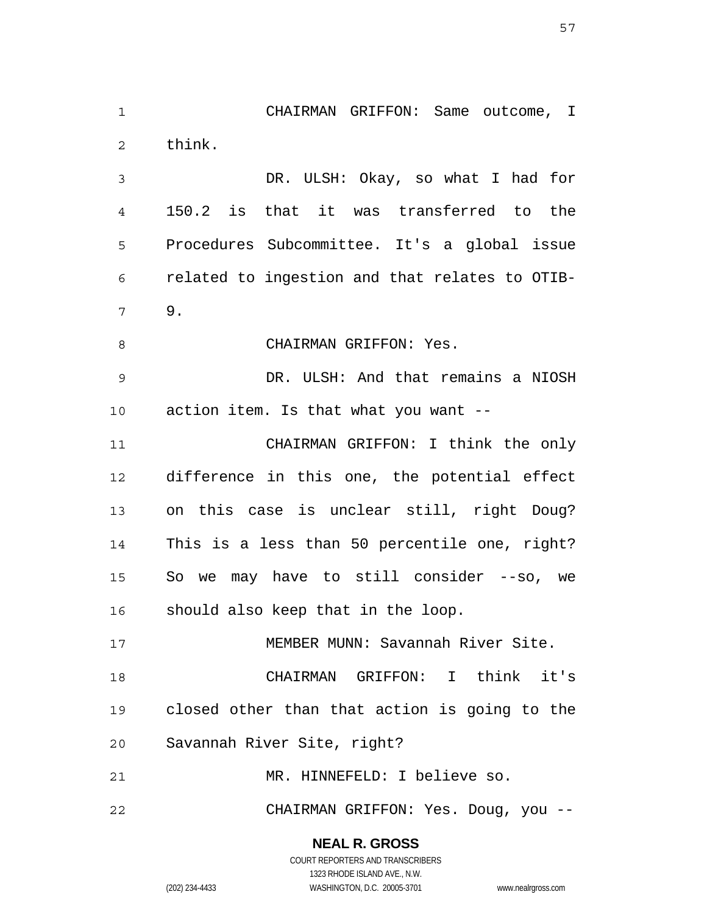CHAIRMAN GRIFFON: Same outcome, I think.

DR. ULSH: Okay, so what I had for 150.2 is that it was transferred to the Procedures Subcommittee. It's a global issue related to ingestion and that relates to OTIB-9.

8 CHAIRMAN GRIFFON: Yes.

DR. ULSH: And that remains a NIOSH action item. Is that what you want --

CHAIRMAN GRIFFON: I think the only difference in this one, the potential effect on this case is unclear still, right Doug? This is a less than 50 percentile one, right? So we may have to still consider --so, we should also keep that in the loop.

MEMBER MUNN: Savannah River Site.

CHAIRMAN GRIFFON: I think it's closed other than that action is going to the Savannah River Site, right?

MR. HINNEFELD: I believe so.

CHAIRMAN GRIFFON: Yes. Doug, you --

**NEAL R. GROSS**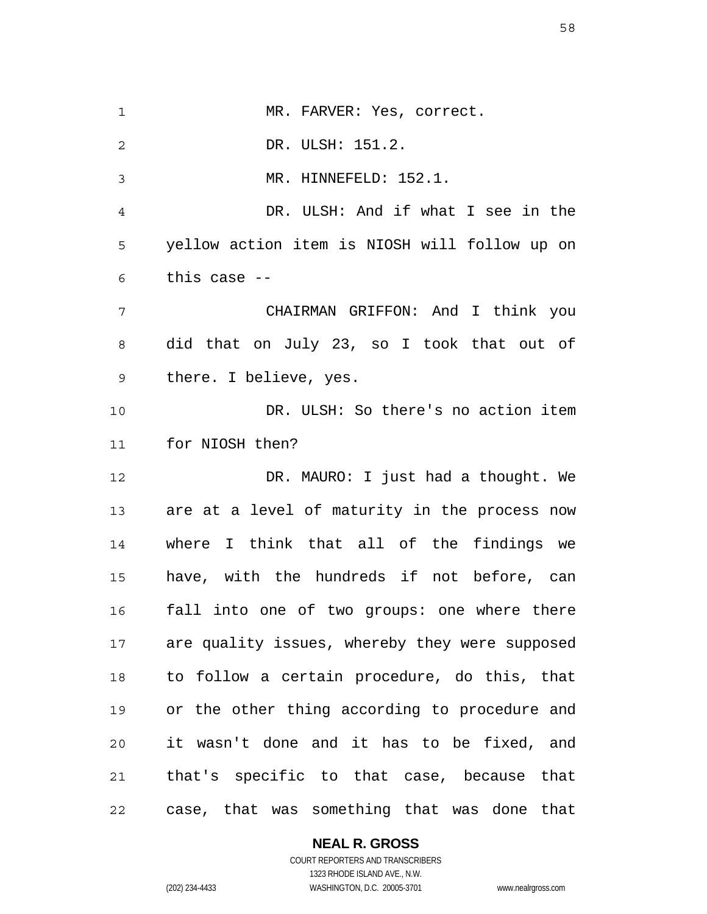1 MR. FARVER: Yes, correct. DR. ULSH: 151.2. MR. HINNEFELD: 152.1. DR. ULSH: And if what I see in the yellow action item is NIOSH will follow up on this case -- CHAIRMAN GRIFFON: And I think you did that on July 23, so I took that out of there. I believe, yes. DR. ULSH: So there's no action item for NIOSH then? DR. MAURO: I just had a thought. We are at a level of maturity in the process now where I think that all of the findings we have, with the hundreds if not before, can fall into one of two groups: one where there are quality issues, whereby they were supposed to follow a certain procedure, do this, that or the other thing according to procedure and it wasn't done and it has to be fixed, and that's specific to that case, because that case, that was something that was done that

**NEAL R. GROSS** 

COURT REPORTERS AND TRANSCRIBERS 1323 RHODE ISLAND AVE., N.W. (202) 234-4433 WASHINGTON, D.C. 20005-3701 www.nealrgross.com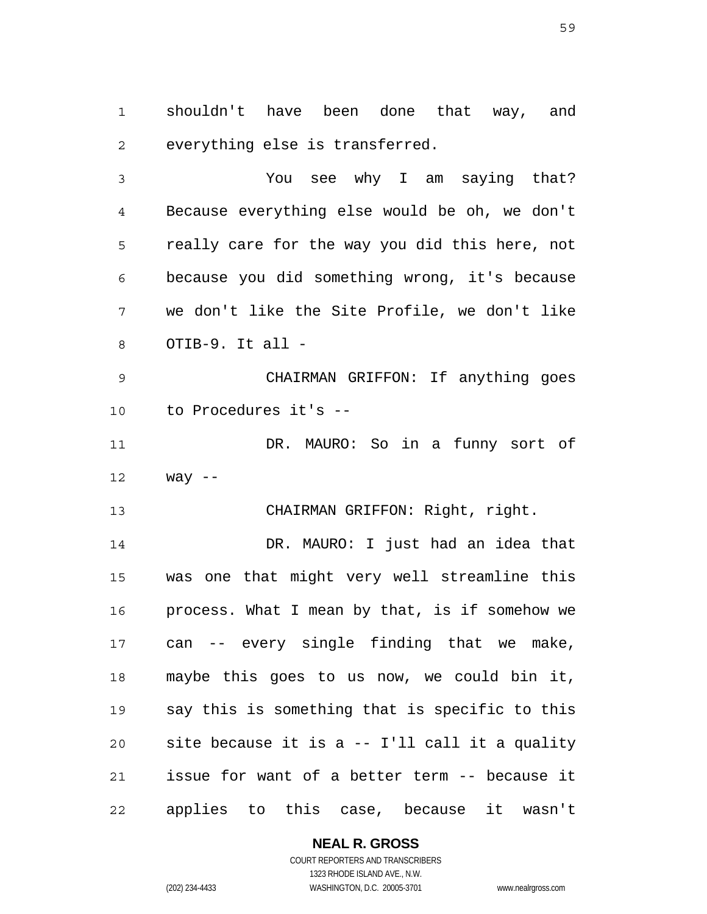shouldn't have been done that way, and everything else is transferred.

You see why I am saying that? Because everything else would be oh, we don't really care for the way you did this here, not because you did something wrong, it's because we don't like the Site Profile, we don't like OTIB-9. It all -

CHAIRMAN GRIFFON: If anything goes to Procedures it's --

DR. MAURO: So in a funny sort of way --

CHAIRMAN GRIFFON: Right, right.

DR. MAURO: I just had an idea that was one that might very well streamline this process. What I mean by that, is if somehow we can -- every single finding that we make, maybe this goes to us now, we could bin it, say this is something that is specific to this site because it is a -- I'll call it a quality issue for want of a better term -- because it applies to this case, because it wasn't

**NEAL R. GROSS**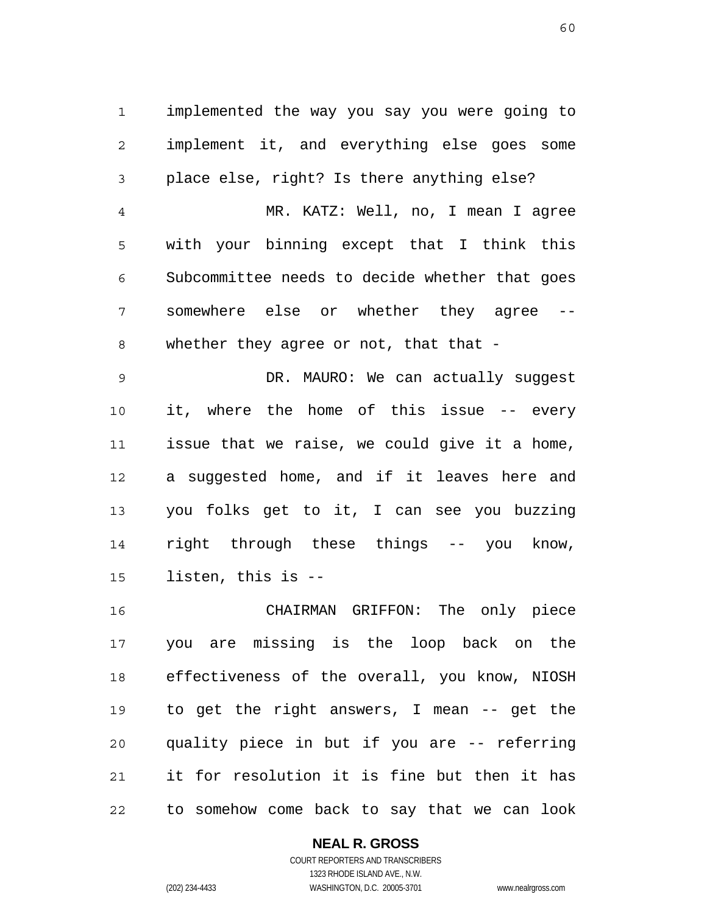implemented the way you say you were going to implement it, and everything else goes some place else, right? Is there anything else? MR. KATZ: Well, no, I mean I agree with your binning except that I think this Subcommittee needs to decide whether that goes 7 somewhere else or whether they agree

DR. MAURO: We can actually suggest it, where the home of this issue -- every issue that we raise, we could give it a home, a suggested home, and if it leaves here and you folks get to it, I can see you buzzing right through these things -- you know, listen, this is --

8 whether they agree or not, that that -

CHAIRMAN GRIFFON: The only piece you are missing is the loop back on the effectiveness of the overall, you know, NIOSH to get the right answers, I mean -- get the quality piece in but if you are -- referring it for resolution it is fine but then it has to somehow come back to say that we can look

> **NEAL R. GROSS**  COURT REPORTERS AND TRANSCRIBERS

1323 RHODE ISLAND AVE., N.W. (202) 234-4433 WASHINGTON, D.C. 20005-3701 www.nealrgross.com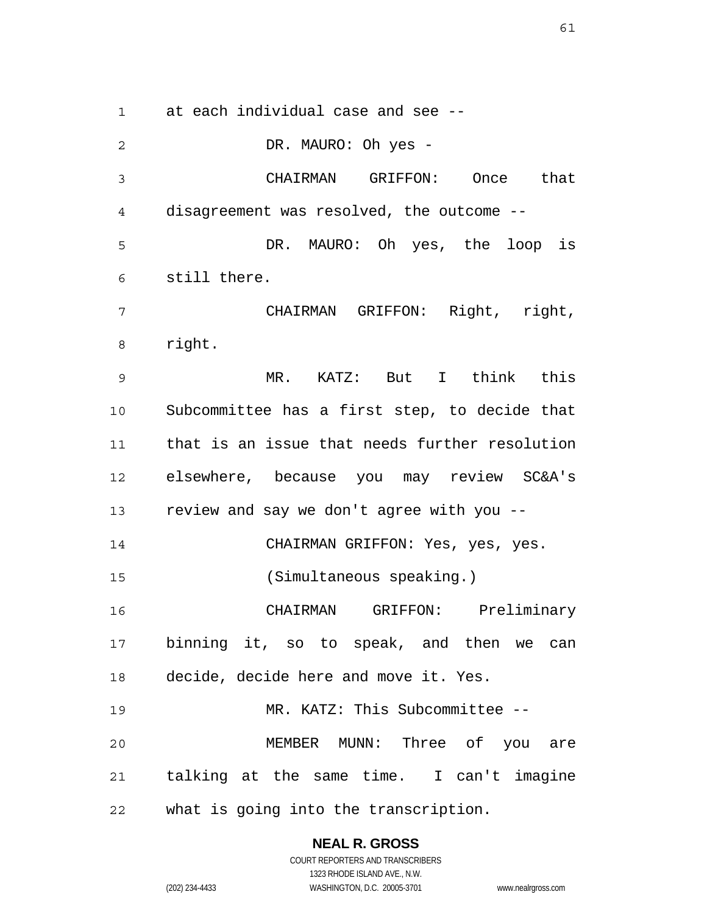at each individual case and see -- DR. MAURO: Oh yes - CHAIRMAN GRIFFON: Once that disagreement was resolved, the outcome -- DR. MAURO: Oh yes, the loop is still there. CHAIRMAN GRIFFON: Right, right, right. MR. KATZ: But I think this Subcommittee has a first step, to decide that that is an issue that needs further resolution elsewhere, because you may review SC&A's review and say we don't agree with you -- CHAIRMAN GRIFFON: Yes, yes, yes. (Simultaneous speaking.) CHAIRMAN GRIFFON: Preliminary binning it, so to speak, and then we can decide, decide here and move it. Yes. MR. KATZ: This Subcommittee -- MEMBER MUNN: Three of you are talking at the same time. I can't imagine what is going into the transcription.

**NEAL R. GROSS** 

COURT REPORTERS AND TRANSCRIBERS 1323 RHODE ISLAND AVE., N.W. (202) 234-4433 WASHINGTON, D.C. 20005-3701 www.nealrgross.com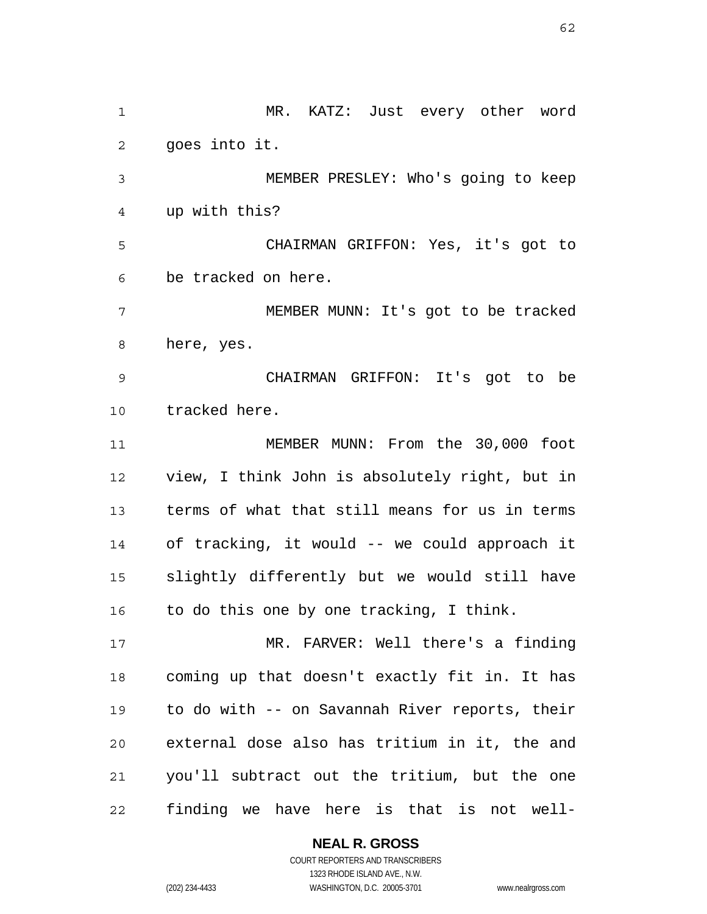MR. KATZ: Just every other word goes into it. MEMBER PRESLEY: Who's going to keep up with this? CHAIRMAN GRIFFON: Yes, it's got to be tracked on here. MEMBER MUNN: It's got to be tracked here, yes. CHAIRMAN GRIFFON: It's got to be tracked here. 11 MEMBER MUNN: From the 30,000 foot view, I think John is absolutely right, but in terms of what that still means for us in terms of tracking, it would -- we could approach it slightly differently but we would still have 16 to do this one by one tracking, I think. MR. FARVER: Well there's a finding coming up that doesn't exactly fit in. It has to do with -- on Savannah River reports, their external dose also has tritium in it, the and you'll subtract out the tritium, but the one finding we have here is that is not well-

### **NEAL R. GROSS**

COURT REPORTERS AND TRANSCRIBERS 1323 RHODE ISLAND AVE., N.W. (202) 234-4433 WASHINGTON, D.C. 20005-3701 www.nealrgross.com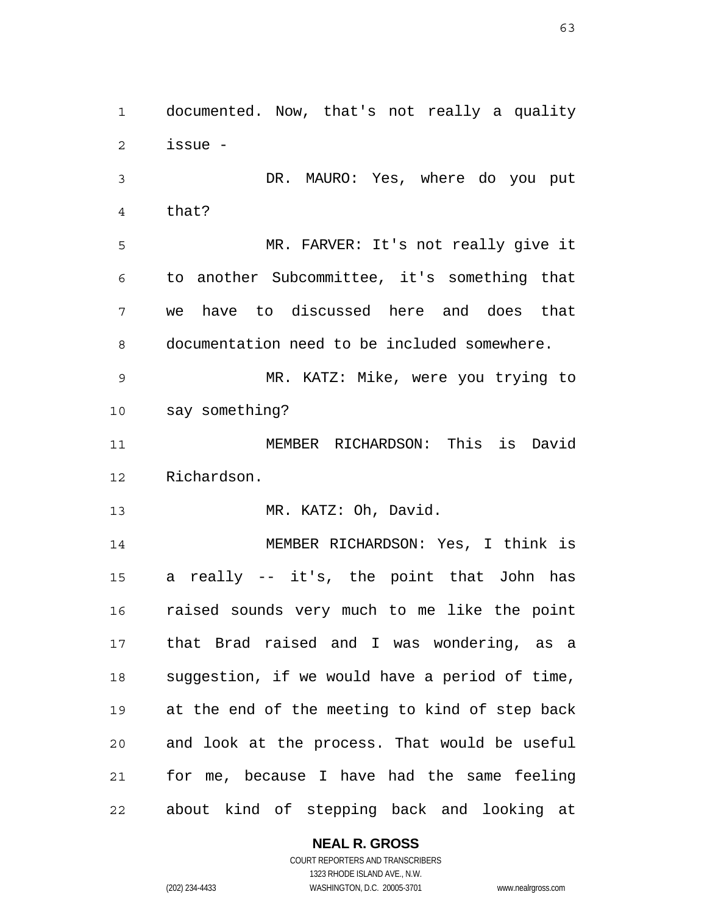documented. Now, that's not really a quality issue - DR. MAURO: Yes, where do you put that? MR. FARVER: It's not really give it to another Subcommittee, it's something that we have to discussed here and does that documentation need to be included somewhere. MR. KATZ: Mike, were you trying to say something? MEMBER RICHARDSON: This is David Richardson. 13 MR. KATZ: Oh, David. MEMBER RICHARDSON: Yes, I think is a really -- it's, the point that John has raised sounds very much to me like the point that Brad raised and I was wondering, as a suggestion, if we would have a period of time, at the end of the meeting to kind of step back and look at the process. That would be useful for me, because I have had the same feeling about kind of stepping back and looking at

**NEAL R. GROSS** 

COURT REPORTERS AND TRANSCRIBERS 1323 RHODE ISLAND AVE., N.W. (202) 234-4433 WASHINGTON, D.C. 20005-3701 www.nealrgross.com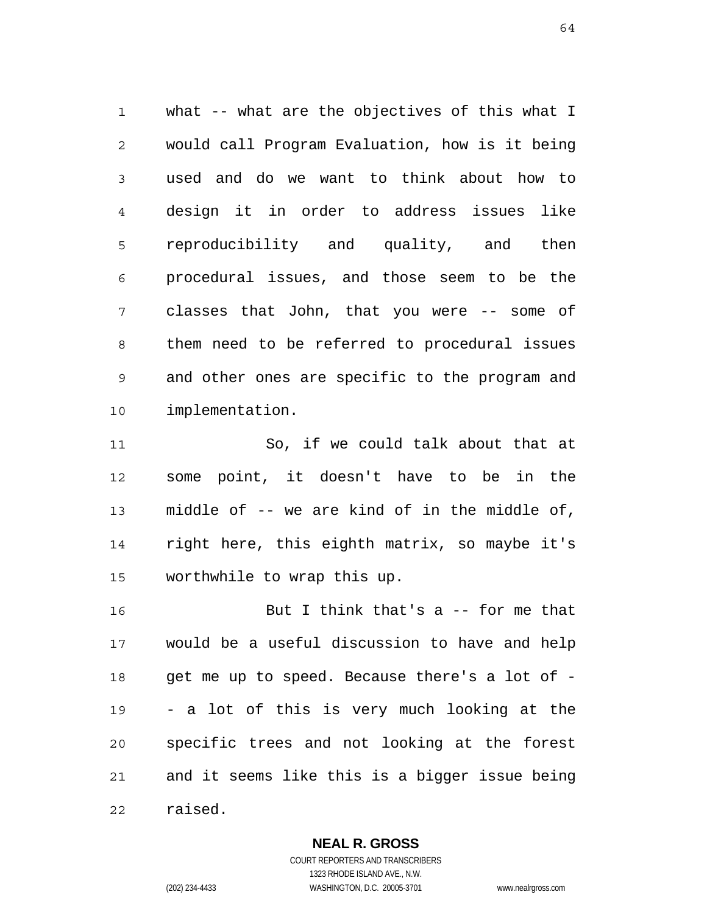what -- what are the objectives of this what I would call Program Evaluation, how is it being used and do we want to think about how to design it in order to address issues like reproducibility and quality, and then procedural issues, and those seem to be the classes that John, that you were -- some of them need to be referred to procedural issues and other ones are specific to the program and implementation.

So, if we could talk about that at some point, it doesn't have to be in the middle of -- we are kind of in the middle of, right here, this eighth matrix, so maybe it's worthwhile to wrap this up.

But I think that's a -- for me that would be a useful discussion to have and help get me up to speed. Because there's a lot of - - a lot of this is very much looking at the specific trees and not looking at the forest and it seems like this is a bigger issue being raised.

### **NEAL R. GROSS**

COURT REPORTERS AND TRANSCRIBERS 1323 RHODE ISLAND AVE., N.W. (202) 234-4433 WASHINGTON, D.C. 20005-3701 www.nealrgross.com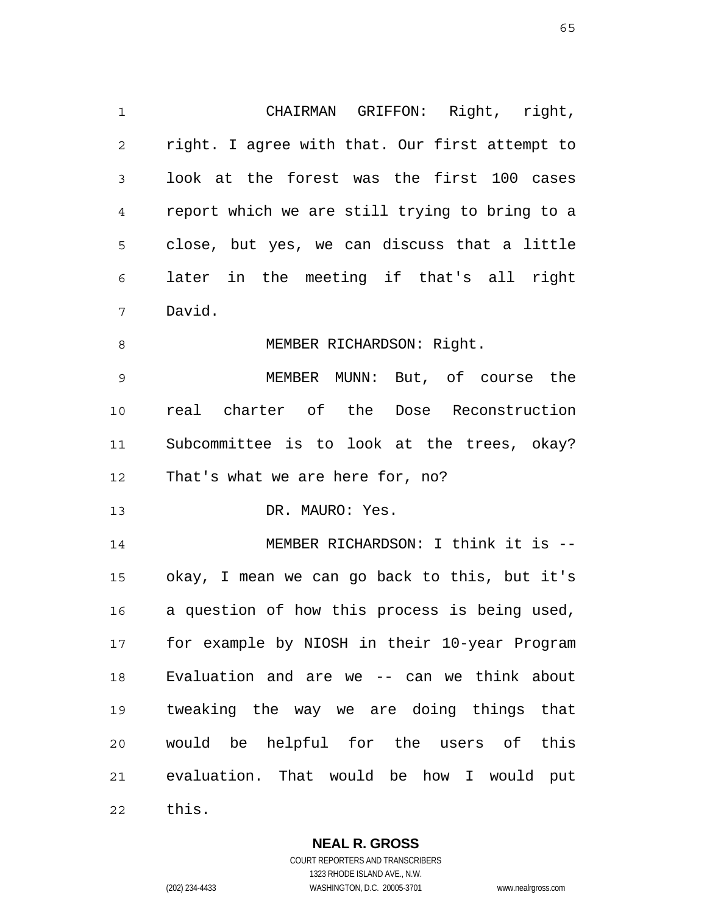CHAIRMAN GRIFFON: Right, right, right. I agree with that. Our first attempt to look at the forest was the first 100 cases report which we are still trying to bring to a close, but yes, we can discuss that a little later in the meeting if that's all right David. 8 MEMBER RICHARDSON: Right. MEMBER MUNN: But, of course the real charter of the Dose Reconstruction Subcommittee is to look at the trees, okay? That's what we are here for, no? DR. MAURO: Yes. MEMBER RICHARDSON: I think it is -- okay, I mean we can go back to this, but it's a question of how this process is being used, for example by NIOSH in their 10-year Program Evaluation and are we -- can we think about tweaking the way we are doing things that would be helpful for the users of this

evaluation. That would be how I would put

this.

**NEAL R. GROSS**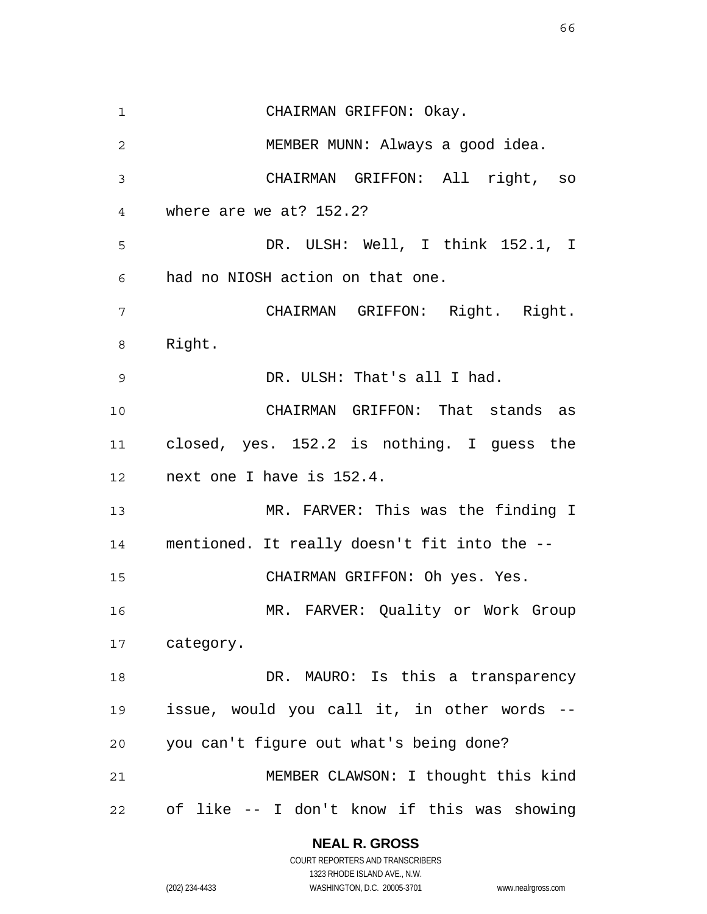CHAIRMAN GRIFFON: Okay. MEMBER MUNN: Always a good idea. CHAIRMAN GRIFFON: All right, so where are we at? 152.2? DR. ULSH: Well, I think 152.1, I had no NIOSH action on that one. CHAIRMAN GRIFFON: Right. Right. Right. DR. ULSH: That's all I had. CHAIRMAN GRIFFON: That stands as closed, yes. 152.2 is nothing. I guess the next one I have is 152.4. MR. FARVER: This was the finding I mentioned. It really doesn't fit into the -- CHAIRMAN GRIFFON: Oh yes. Yes. MR. FARVER: Quality or Work Group category. 18 DR. MAURO: Is this a transparency issue, would you call it, in other words -- you can't figure out what's being done? MEMBER CLAWSON: I thought this kind of like -- I don't know if this was showing

> **NEAL R. GROSS**  COURT REPORTERS AND TRANSCRIBERS

> > 1323 RHODE ISLAND AVE., N.W.

(202) 234-4433 WASHINGTON, D.C. 20005-3701 www.nealrgross.com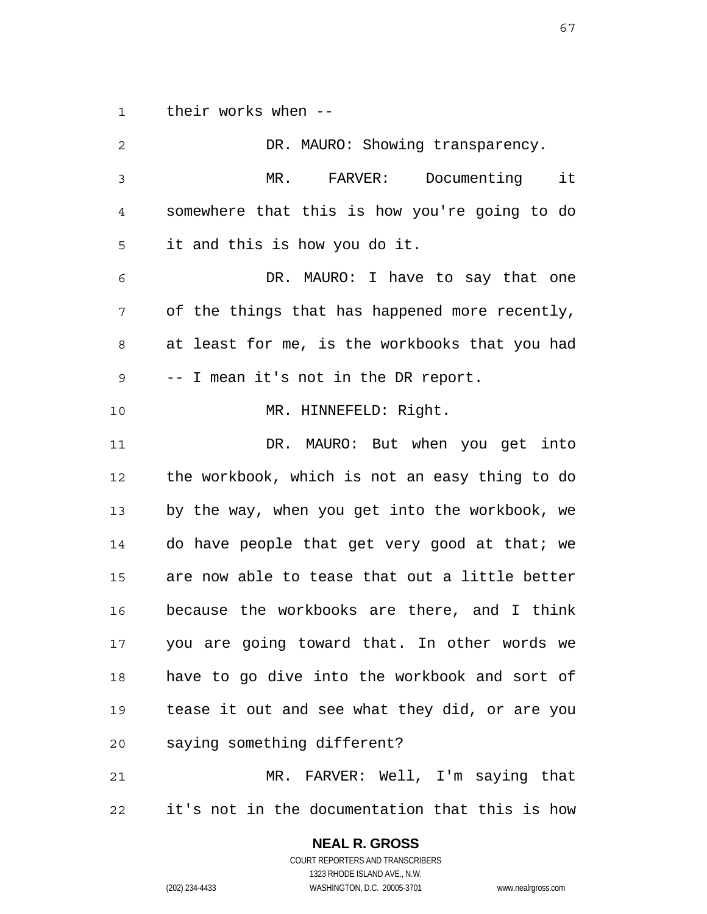their works when --

2 DR. MAURO: Showing transparency. MR. FARVER: Documenting it somewhere that this is how you're going to do it and this is how you do it. DR. MAURO: I have to say that one of the things that has happened more recently, at least for me, is the workbooks that you had -- I mean it's not in the DR report. 10 MR. HINNEFELD: Right. DR. MAURO: But when you get into the workbook, which is not an easy thing to do by the way, when you get into the workbook, we 14 do have people that get very good at that; we are now able to tease that out a little better because the workbooks are there, and I think you are going toward that. In other words we have to go dive into the workbook and sort of tease it out and see what they did, or are you saying something different? MR. FARVER: Well, I'm saying that it's not in the documentation that this is how

> **NEAL R. GROSS**  COURT REPORTERS AND TRANSCRIBERS 1323 RHODE ISLAND AVE., N.W. (202) 234-4433 WASHINGTON, D.C. 20005-3701 www.nealrgross.com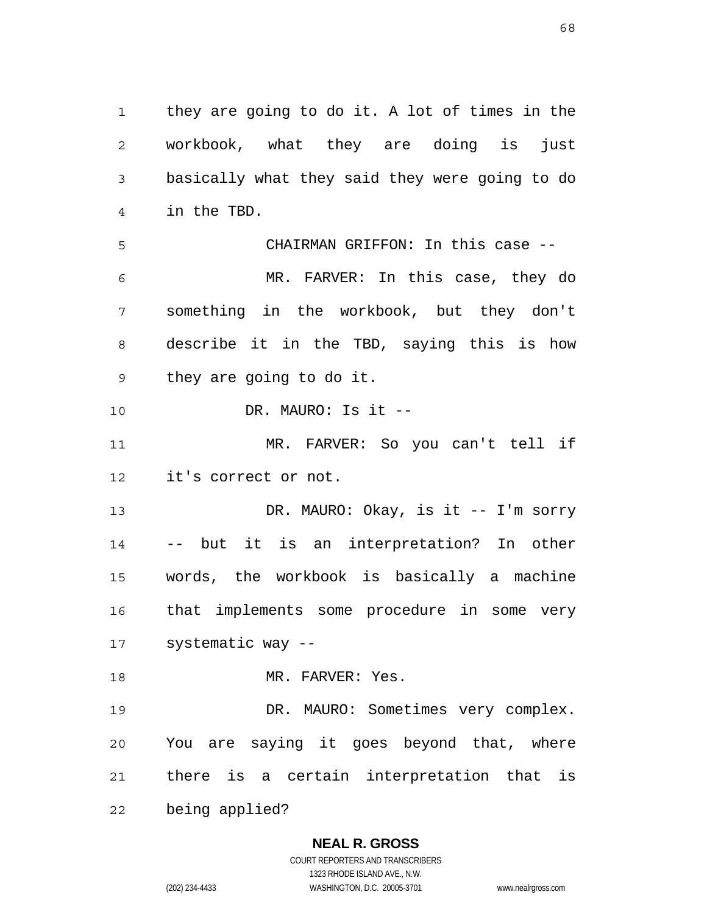they are going to do it. A lot of times in the workbook, what they are doing is just basically what they said they were going to do in the TBD. CHAIRMAN GRIFFON: In this case --

MR. FARVER: In this case, they do something in the workbook, but they don't describe it in the TBD, saying this is how they are going to do it.

DR. MAURO: Is it --

MR. FARVER: So you can't tell if it's correct or not.

13 DR. MAURO: Okay, is it -- I'm sorry -- but it is an interpretation? In other words, the workbook is basically a machine that implements some procedure in some very systematic way --

18 MR. FARVER: Yes.

DR. MAURO: Sometimes very complex. You are saying it goes beyond that, where there is a certain interpretation that is

being applied?

**NEAL R. GROSS**  COURT REPORTERS AND TRANSCRIBERS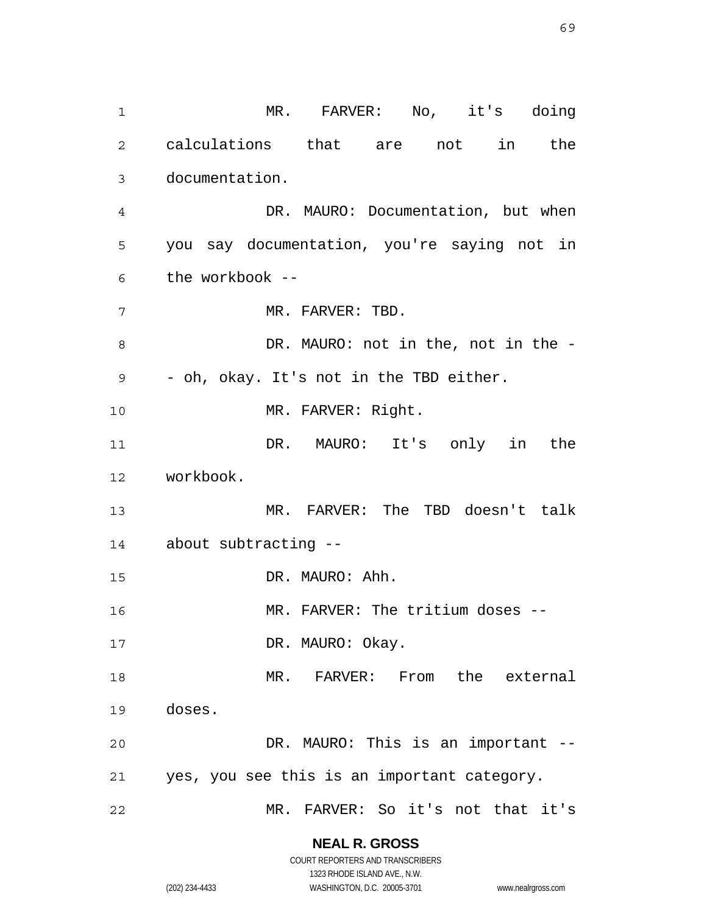MR. FARVER: No, it's doing calculations that are not in the documentation. DR. MAURO: Documentation, but when you say documentation, you're saying not in the workbook -- 7 MR. FARVER: TBD. 8 DR. MAURO: not in the, not in the -- oh, okay. It's not in the TBD either. MR. FARVER: Right. DR. MAURO: It's only in the workbook. MR. FARVER: The TBD doesn't talk about subtracting -- DR. MAURO: Ahh. MR. FARVER: The tritium doses -- 17 DR. MAURO: Okay. MR. FARVER: From the external doses. DR. MAURO: This is an important -- yes, you see this is an important category. MR. FARVER: So it's not that it's

> **NEAL R. GROSS**  COURT REPORTERS AND TRANSCRIBERS

1323 RHODE ISLAND AVE., N.W. (202) 234-4433 WASHINGTON, D.C. 20005-3701 www.nealrgross.com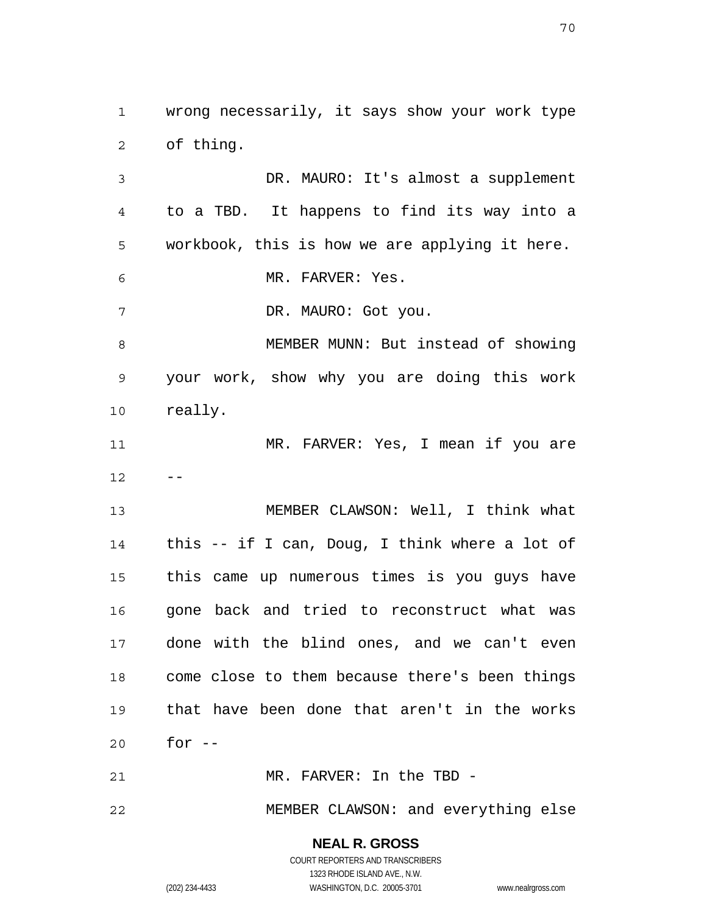wrong necessarily, it says show your work type of thing.

DR. MAURO: It's almost a supplement to a TBD. It happens to find its way into a workbook, this is how we are applying it here. MR. FARVER: Yes. DR. MAURO: Got you. MEMBER MUNN: But instead of showing

your work, show why you are doing this work really.

MR. FARVER: Yes, I mean if you are 

MEMBER CLAWSON: Well, I think what this -- if I can, Doug, I think where a lot of this came up numerous times is you guys have gone back and tried to reconstruct what was done with the blind ones, and we can't even come close to them because there's been things that have been done that aren't in the works for --

MR. FARVER: In the TBD -

MEMBER CLAWSON: and everything else

**NEAL R. GROSS**  COURT REPORTERS AND TRANSCRIBERS

1323 RHODE ISLAND AVE., N.W.

(202) 234-4433 WASHINGTON, D.C. 20005-3701 www.nealrgross.com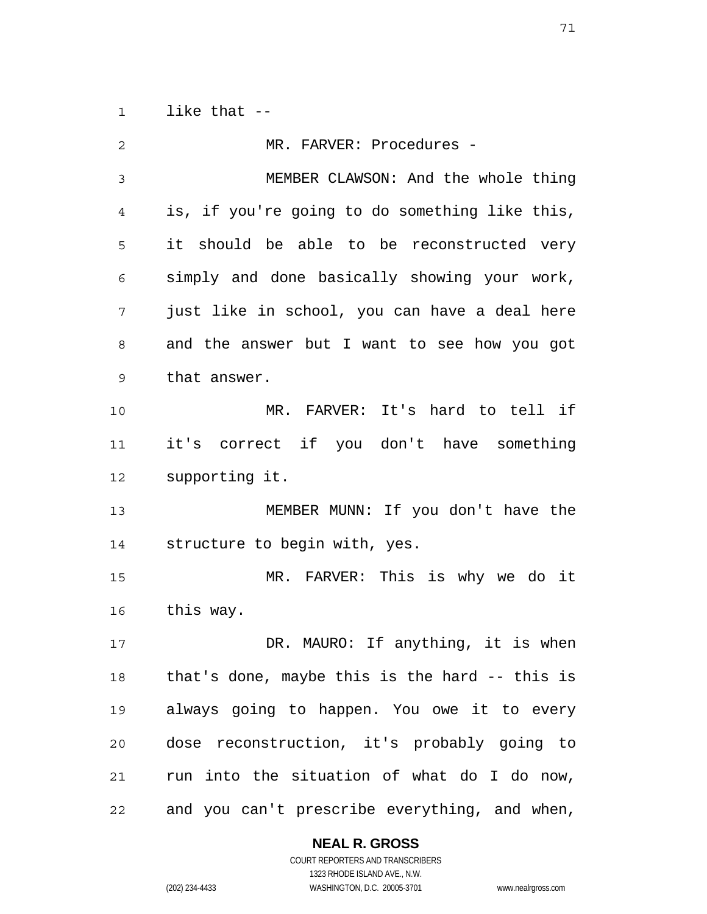like that --

| $\overline{c}$ | MR. FARVER: Procedures -                       |
|----------------|------------------------------------------------|
| 3              | MEMBER CLAWSON: And the whole thing            |
| 4              | is, if you're going to do something like this, |
| 5              | it should be able to be reconstructed very     |
| 6              | simply and done basically showing your work,   |
| 7              | just like in school, you can have a deal here  |
| 8              | and the answer but I want to see how you got   |
| 9              | that answer.                                   |
| 10             | MR. FARVER: It's hard to tell if               |
| 11             | it's correct if you don't have something       |
| 12             | supporting it.                                 |
| 13             | MEMBER MUNN: If you don't have the             |
| 14             | structure to begin with, yes.                  |
| 15             | MR. FARVER: This is why we do it               |
| 16             | this way.                                      |
| 17             | DR. MAURO: If anything, it is when             |
| 18             | that's done, maybe this is the hard -- this is |
| 19             | always going to happen. You owe it to every    |
| 20             | dose reconstruction, it's probably going to    |
| 21             | run into the situation of what do I do now,    |
| 22             | and you can't prescribe everything, and when,  |

# **NEAL R. GROSS**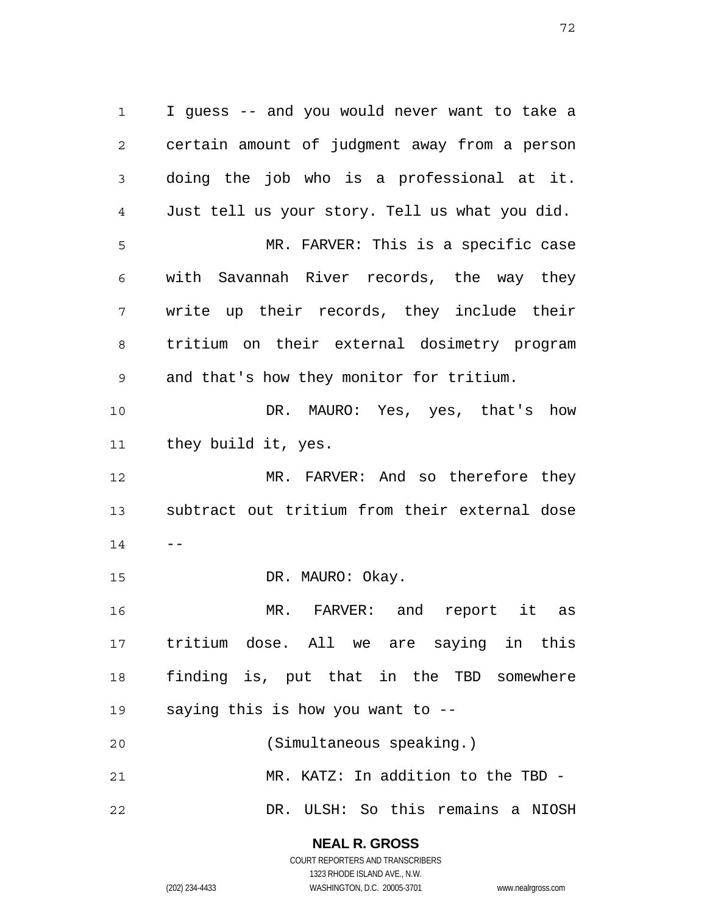I guess -- and you would never want to take a certain amount of judgment away from a person doing the job who is a professional at it. Just tell us your story. Tell us what you did. MR. FARVER: This is a specific case with Savannah River records, the way they write up their records, they include their tritium on their external dosimetry program and that's how they monitor for tritium. DR. MAURO: Yes, yes, that's how they build it, yes. MR. FARVER: And so therefore they subtract out tritium from their external dose  $14 - -$ 15 DR. MAURO: Okay. MR. FARVER: and report it as tritium dose. All we are saying in this finding is, put that in the TBD somewhere saying this is how you want to -- (Simultaneous speaking.) MR. KATZ: In addition to the TBD - DR. ULSH: So this remains a NIOSH

> **NEAL R. GROSS**  COURT REPORTERS AND TRANSCRIBERS

> > 1323 RHODE ISLAND AVE., N.W.

(202) 234-4433 WASHINGTON, D.C. 20005-3701 www.nealrgross.com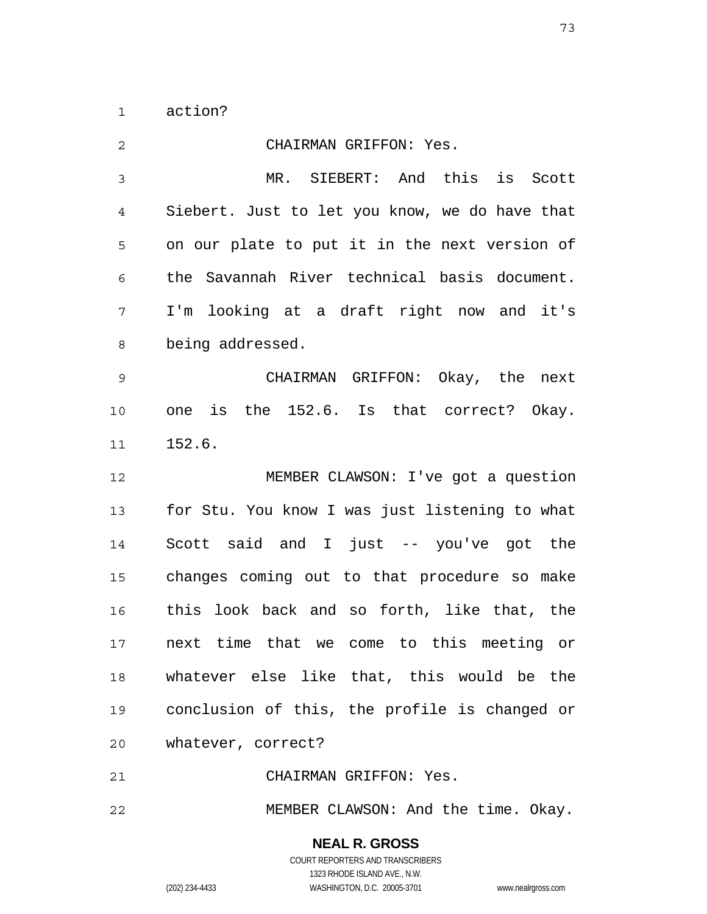action?

| $\overline{c}$ | CHAIRMAN GRIFFON: Yes.                           |
|----------------|--------------------------------------------------|
| $\mathfrak{Z}$ | SIEBERT: And this is Scott<br>MR.                |
| 4              | Siebert. Just to let you know, we do have that   |
| 5              | on our plate to put it in the next version of    |
| 6              | the Savannah River technical basis document.     |
| 7              | I'm looking at a draft right now and it's        |
| 8              | being addressed.                                 |
| $\mathsf 9$    | CHAIRMAN GRIFFON: Okay, the next                 |
| 10             | one is the 152.6. Is that correct? Okay.         |
| 11             | 152.6.                                           |
| 12             | MEMBER CLAWSON: I've got a question              |
| 13             | for Stu. You know I was just listening to what   |
| 14             | Scott said and I just -- you've got the          |
| 15             | changes coming out to that procedure so make     |
| 16             | this look back and so forth, like that, the      |
| 17             | next time that we come to this meeting or        |
| 18             | whatever else like that, this would be the       |
|                | 19 conclusion of this, the profile is changed or |
| 20             | whatever, correct?                               |
| 21             | CHAIRMAN GRIFFON: Yes.                           |
| 22             | MEMBER CLAWSON: And the time. Okay.              |

**NEAL R. GROSS**  COURT REPORTERS AND TRANSCRIBERS 1323 RHODE ISLAND AVE., N.W. (202) 234-4433 WASHINGTON, D.C. 20005-3701 www.nealrgross.com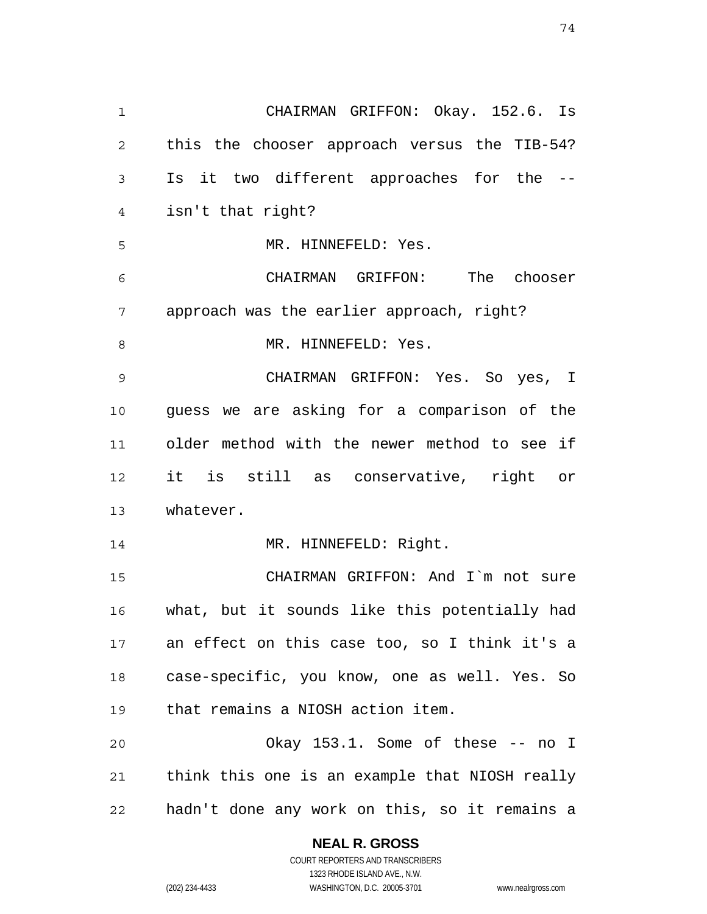CHAIRMAN GRIFFON: Okay. 152.6. Is this the chooser approach versus the TIB-54? Is it two different approaches for the -- isn't that right? MR. HINNEFELD: Yes. CHAIRMAN GRIFFON: The chooser approach was the earlier approach, right? 8 MR. HINNEFELD: Yes. CHAIRMAN GRIFFON: Yes. So yes, I guess we are asking for a comparison of the older method with the newer method to see if it is still as conservative, right or whatever. 14 MR. HINNEFELD: Right. CHAIRMAN GRIFFON: And I`m not sure what, but it sounds like this potentially had an effect on this case too, so I think it's a case-specific, you know, one as well. Yes. So that remains a NIOSH action item. Okay 153.1. Some of these -- no I think this one is an example that NIOSH really hadn't done any work on this, so it remains a

> **NEAL R. GROSS**  COURT REPORTERS AND TRANSCRIBERS 1323 RHODE ISLAND AVE., N.W.

(202) 234-4433 WASHINGTON, D.C. 20005-3701 www.nealrgross.com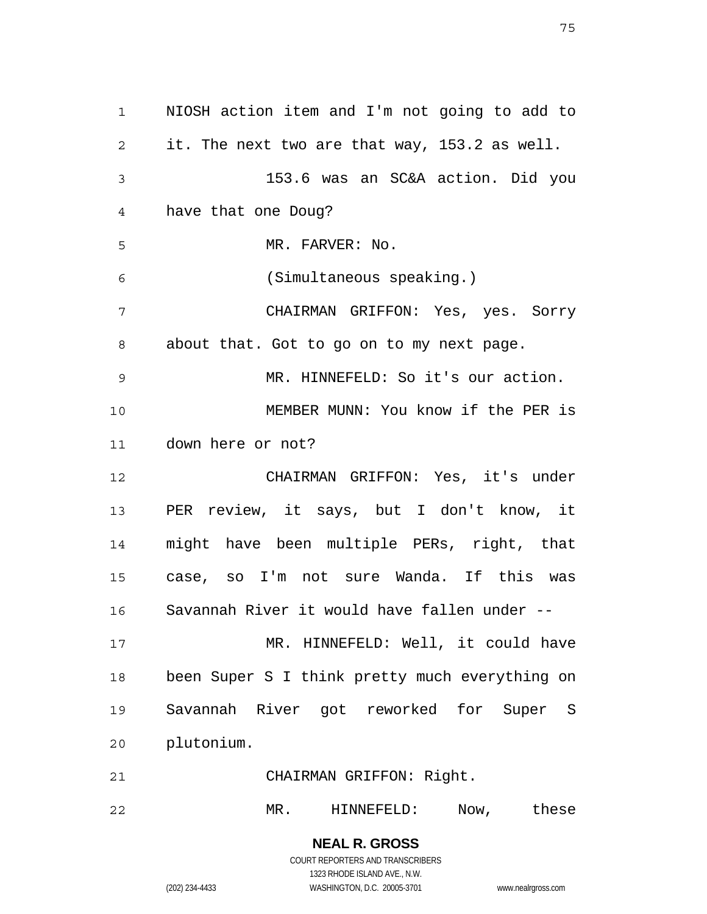NIOSH action item and I'm not going to add to it. The next two are that way, 153.2 as well. 153.6 was an SC&A action. Did you have that one Doug? MR. FARVER: No. (Simultaneous speaking.) CHAIRMAN GRIFFON: Yes, yes. Sorry about that. Got to go on to my next page. MR. HINNEFELD: So it's our action. MEMBER MUNN: You know if the PER is down here or not? CHAIRMAN GRIFFON: Yes, it's under PER review, it says, but I don't know, it might have been multiple PERs, right, that case, so I'm not sure Wanda. If this was Savannah River it would have fallen under -- 17 MR. HINNEFELD: Well, it could have been Super S I think pretty much everything on Savannah River got reworked for Super S plutonium. CHAIRMAN GRIFFON: Right. MR. HINNEFELD: Now, these

> COURT REPORTERS AND TRANSCRIBERS 1323 RHODE ISLAND AVE., N.W. (202) 234-4433 WASHINGTON, D.C. 20005-3701 www.nealrgross.com

**NEAL R. GROSS**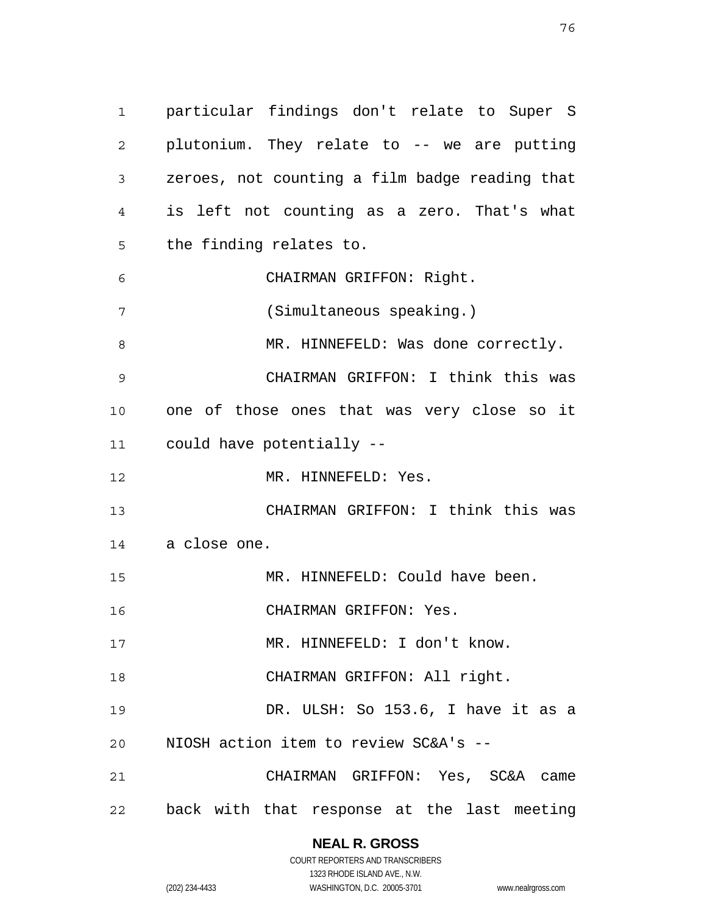particular findings don't relate to Super S plutonium. They relate to -- we are putting zeroes, not counting a film badge reading that is left not counting as a zero. That's what the finding relates to. CHAIRMAN GRIFFON: Right. (Simultaneous speaking.) 8 MR. HINNEFELD: Was done correctly. CHAIRMAN GRIFFON: I think this was one of those ones that was very close so it could have potentially -- 12 MR. HINNEFELD: Yes. CHAIRMAN GRIFFON: I think this was a close one. MR. HINNEFELD: Could have been. CHAIRMAN GRIFFON: Yes. 17 MR. HINNEFELD: I don't know. 18 CHAIRMAN GRIFFON: All right. DR. ULSH: So 153.6, I have it as a NIOSH action item to review SC&A's -- CHAIRMAN GRIFFON: Yes, SC&A came back with that response at the last meeting

> **NEAL R. GROSS**  COURT REPORTERS AND TRANSCRIBERS

1323 RHODE ISLAND AVE., N.W. (202) 234-4433 WASHINGTON, D.C. 20005-3701 www.nealrgross.com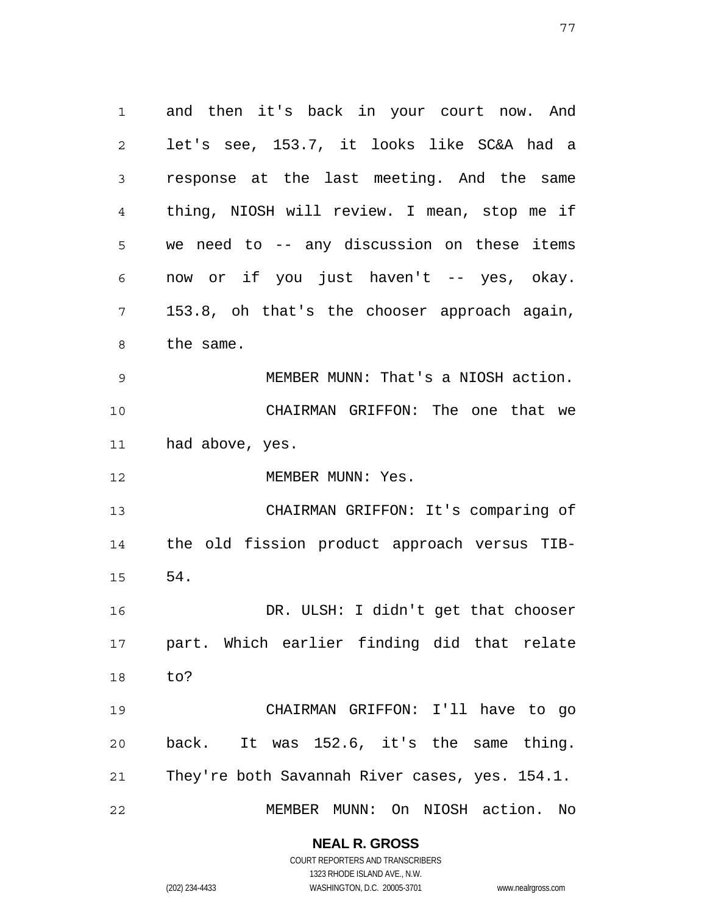and then it's back in your court now. And let's see, 153.7, it looks like SC&A had a response at the last meeting. And the same thing, NIOSH will review. I mean, stop me if we need to -- any discussion on these items now or if you just haven't -- yes, okay. 153.8, oh that's the chooser approach again, the same. MEMBER MUNN: That's a NIOSH action. CHAIRMAN GRIFFON: The one that we had above, yes. 12 MEMBER MUNN: Yes. CHAIRMAN GRIFFON: It's comparing of the old fission product approach versus TIB-54. DR. ULSH: I didn't get that chooser part. Which earlier finding did that relate to? CHAIRMAN GRIFFON: I'll have to go back. It was 152.6, it's the same thing. They're both Savannah River cases, yes. 154.1. MEMBER MUNN: On NIOSH action. No

**NEAL R. GROSS**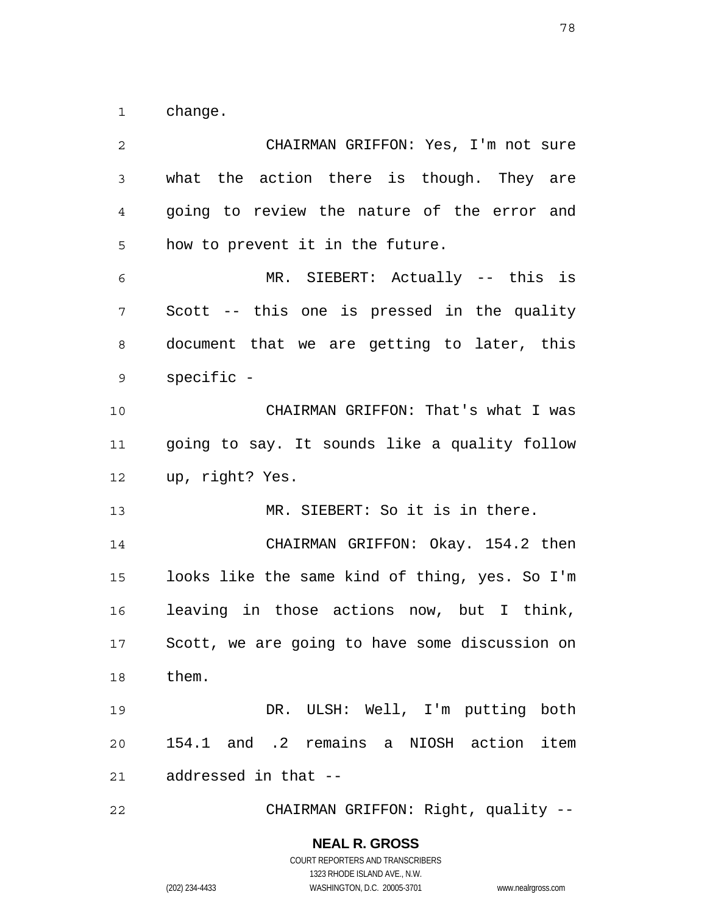change.

CHAIRMAN GRIFFON: Yes, I'm not sure what the action there is though. They are going to review the nature of the error and how to prevent it in the future. MR. SIEBERT: Actually -- this is Scott -- this one is pressed in the quality document that we are getting to later, this specific - CHAIRMAN GRIFFON: That's what I was going to say. It sounds like a quality follow up, right? Yes. 13 MR. SIEBERT: So it is in there. CHAIRMAN GRIFFON: Okay. 154.2 then looks like the same kind of thing, yes. So I'm leaving in those actions now, but I think, Scott, we are going to have some discussion on them. DR. ULSH: Well, I'm putting both 154.1 and .2 remains a NIOSH action item addressed in that -- CHAIRMAN GRIFFON: Right, quality --

> **NEAL R. GROSS**  COURT REPORTERS AND TRANSCRIBERS 1323 RHODE ISLAND AVE., N.W.

(202) 234-4433 WASHINGTON, D.C. 20005-3701 www.nealrgross.com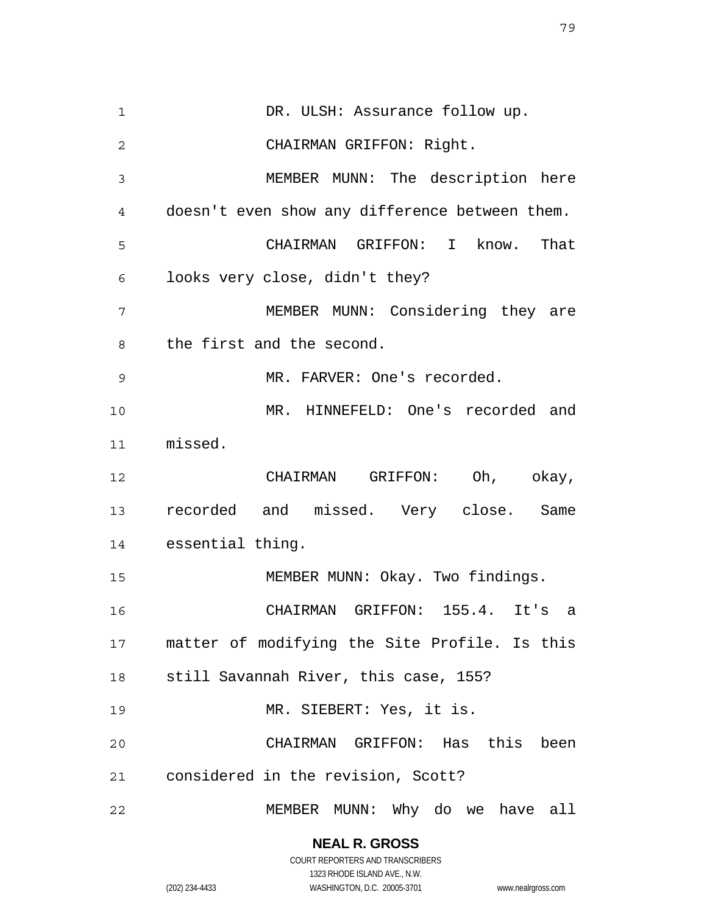1 DR. ULSH: Assurance follow up. CHAIRMAN GRIFFON: Right. MEMBER MUNN: The description here doesn't even show any difference between them. CHAIRMAN GRIFFON: I know. That looks very close, didn't they? MEMBER MUNN: Considering they are the first and the second. MR. FARVER: One's recorded. MR. HINNEFELD: One's recorded and missed. CHAIRMAN GRIFFON: Oh, okay, recorded and missed. Very close. Same essential thing. MEMBER MUNN: Okay. Two findings. CHAIRMAN GRIFFON: 155.4. It's a matter of modifying the Site Profile. Is this still Savannah River, this case, 155? MR. SIEBERT: Yes, it is. CHAIRMAN GRIFFON: Has this been considered in the revision, Scott? MEMBER MUNN: Why do we have all

> **NEAL R. GROSS**  COURT REPORTERS AND TRANSCRIBERS

1323 RHODE ISLAND AVE., N.W. (202) 234-4433 WASHINGTON, D.C. 20005-3701 www.nealrgross.com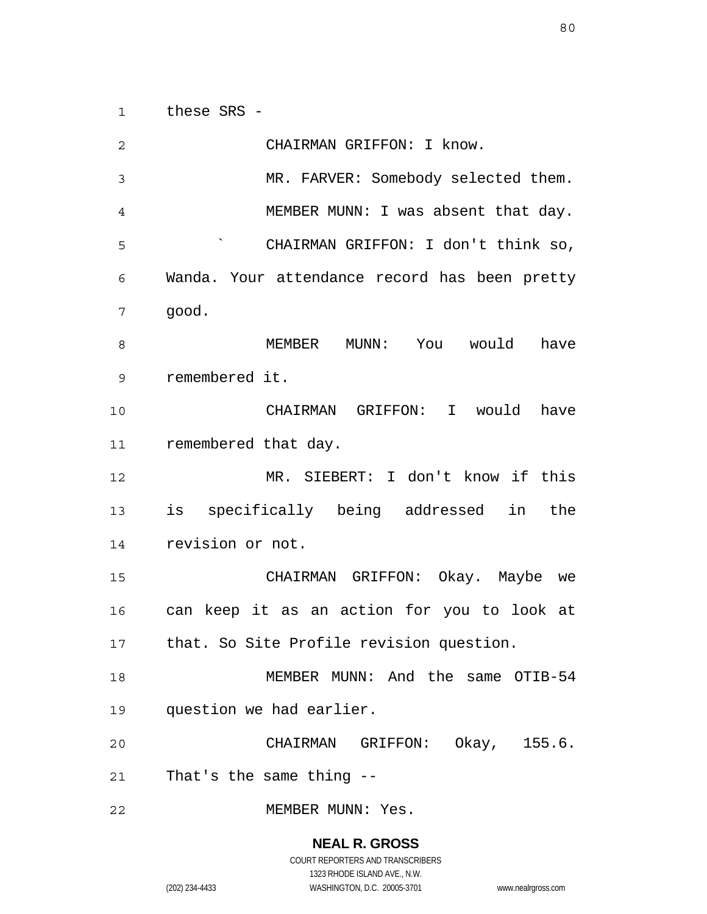these SRS -

CHAIRMAN GRIFFON: I know. MR. FARVER: Somebody selected them. MEMBER MUNN: I was absent that day. ` CHAIRMAN GRIFFON: I don't think so, Wanda. Your attendance record has been pretty good. MEMBER MUNN: You would have remembered it. CHAIRMAN GRIFFON: I would have remembered that day. MR. SIEBERT: I don't know if this is specifically being addressed in the revision or not. CHAIRMAN GRIFFON: Okay. Maybe we can keep it as an action for you to look at that. So Site Profile revision question. MEMBER MUNN: And the same OTIB-54 question we had earlier. CHAIRMAN GRIFFON: Okay, 155.6. That's the same thing -- MEMBER MUNN: Yes.

1323 RHODE ISLAND AVE., N.W. (202) 234-4433 WASHINGTON, D.C. 20005-3701 www.nealrgross.com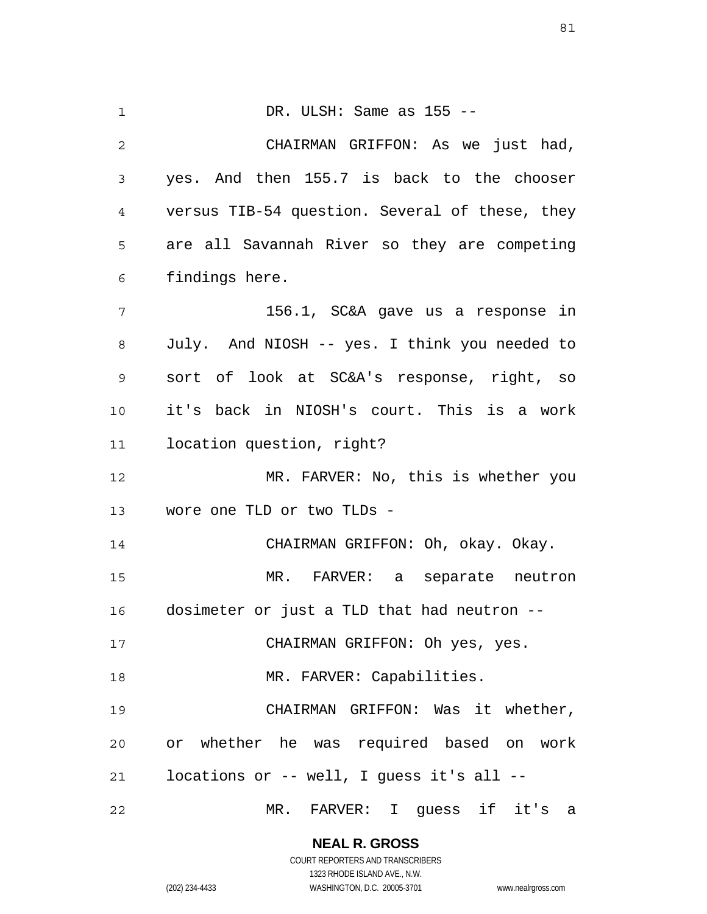1 DR. ULSH: Same as 155 --CHAIRMAN GRIFFON: As we just had, yes. And then 155.7 is back to the chooser versus TIB-54 question. Several of these, they are all Savannah River so they are competing findings here. 156.1, SC&A gave us a response in July. And NIOSH -- yes. I think you needed to sort of look at SC&A's response, right, so it's back in NIOSH's court. This is a work location question, right? MR. FARVER: No, this is whether you wore one TLD or two TLDs - CHAIRMAN GRIFFON: Oh, okay. Okay. MR. FARVER: a separate neutron dosimeter or just a TLD that had neutron -- CHAIRMAN GRIFFON: Oh yes, yes. 18 MR. FARVER: Capabilities. CHAIRMAN GRIFFON: Was it whether, or whether he was required based on work locations or -- well, I guess it's all -- MR. FARVER: I guess if it's a

**NEAL R. GROSS** 

COURT REPORTERS AND TRANSCRIBERS 1323 RHODE ISLAND AVE., N.W. (202) 234-4433 WASHINGTON, D.C. 20005-3701 www.nealrgross.com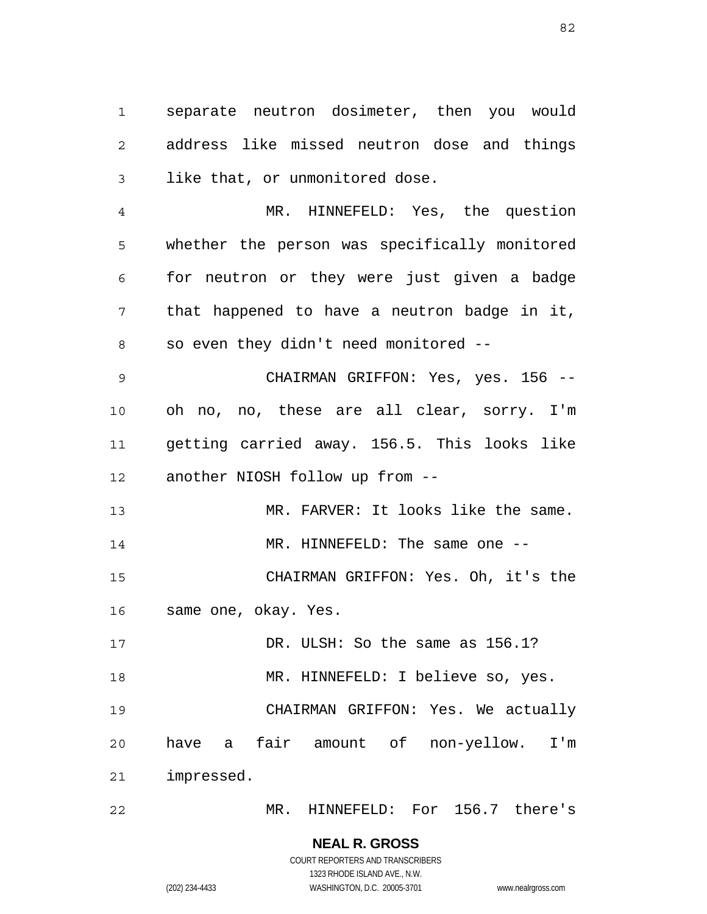separate neutron dosimeter, then you would address like missed neutron dose and things like that, or unmonitored dose.

MR. HINNEFELD: Yes, the question whether the person was specifically monitored for neutron or they were just given a badge that happened to have a neutron badge in it, so even they didn't need monitored --

CHAIRMAN GRIFFON: Yes, yes. 156 -- oh no, no, these are all clear, sorry. I'm getting carried away. 156.5. This looks like another NIOSH follow up from --

MR. FARVER: It looks like the same. 14 MR. HINNEFELD: The same one --

CHAIRMAN GRIFFON: Yes. Oh, it's the same one, okay. Yes.

DR. ULSH: So the same as 156.1?

18 MR. HINNEFELD: I believe so, yes.

CHAIRMAN GRIFFON: Yes. We actually have a fair amount of non-yellow. I'm

impressed.

MR. HINNEFELD: For 156.7 there's

**NEAL R. GROSS**  COURT REPORTERS AND TRANSCRIBERS

1323 RHODE ISLAND AVE., N.W.

(202) 234-4433 WASHINGTON, D.C. 20005-3701 www.nealrgross.com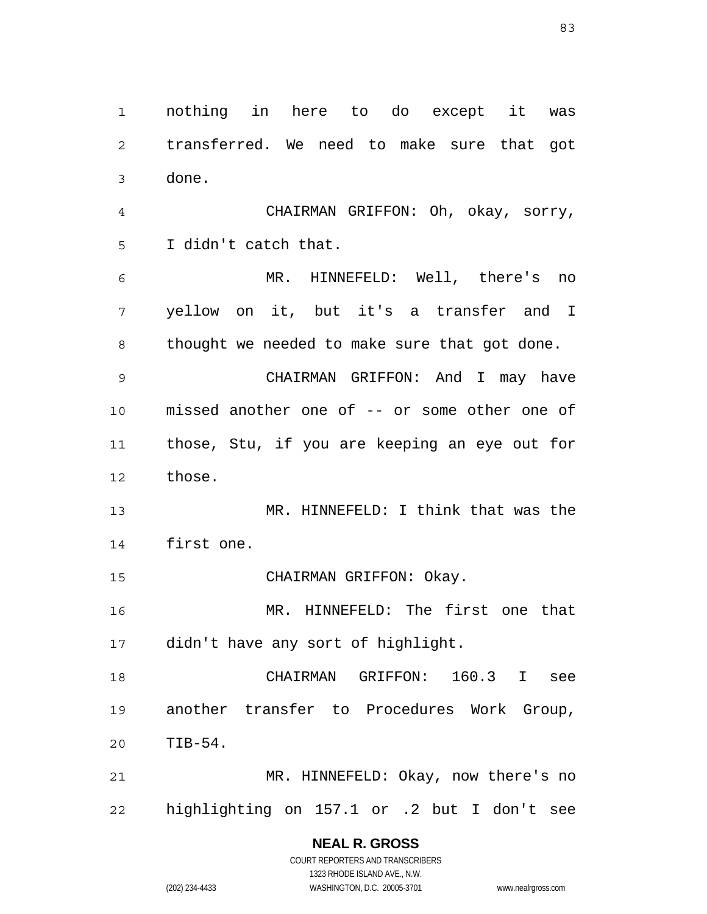nothing in here to do except it was transferred. We need to make sure that got done. CHAIRMAN GRIFFON: Oh, okay, sorry, I didn't catch that. MR. HINNEFELD: Well, there's no yellow on it, but it's a transfer and I thought we needed to make sure that got done. CHAIRMAN GRIFFON: And I may have missed another one of -- or some other one of those, Stu, if you are keeping an eye out for those. MR. HINNEFELD: I think that was the first one. 15 CHAIRMAN GRIFFON: Okay. MR. HINNEFELD: The first one that didn't have any sort of highlight. CHAIRMAN GRIFFON: 160.3 I see another transfer to Procedures Work Group, TIB-54. MR. HINNEFELD: Okay, now there's no highlighting on 157.1 or .2 but I don't see

> **NEAL R. GROSS**  COURT REPORTERS AND TRANSCRIBERS

1323 RHODE ISLAND AVE., N.W. (202) 234-4433 WASHINGTON, D.C. 20005-3701 www.nealrgross.com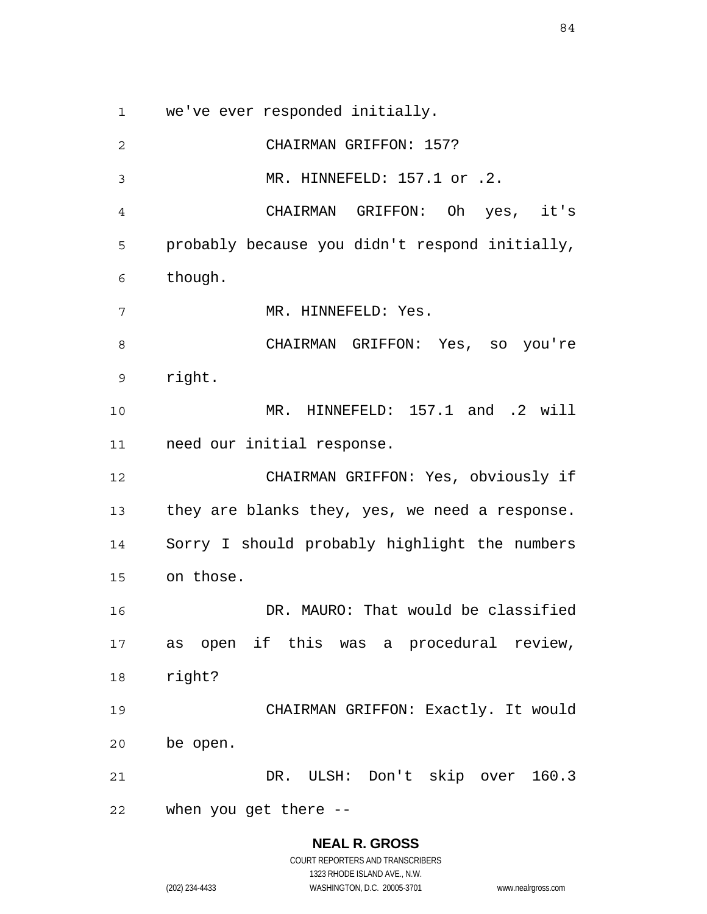we've ever responded initially.

| $\overline{2}$ | CHAIRMAN GRIFFON: 157?                         |
|----------------|------------------------------------------------|
| 3              | MR. HINNEFELD: 157.1 or .2.                    |
| 4              | CHAIRMAN GRIFFON: Oh yes, it's                 |
| 5              | probably because you didn't respond initially, |
| 6              | though.                                        |
| 7              | MR. HINNEFELD: Yes.                            |
| 8              | CHAIRMAN GRIFFON: Yes, so you're               |
| 9              | right.                                         |
| 10             | MR. HINNEFELD: 157.1 and .2 will               |
| 11             | need our initial response.                     |
| 12             | CHAIRMAN GRIFFON: Yes, obviously if            |
| 13             | they are blanks they, yes, we need a response. |
| 14             | Sorry I should probably highlight the numbers  |
| 15             | on those.                                      |
| 16             | DR. MAURO: That would be classified            |
| 17             | as open if this was a procedural review,       |
|                | 18 right?                                      |
| 19             | CHAIRMAN GRIFFON: Exactly. It would            |
| 20             | be open.                                       |
| 21             | DR. ULSH: Don't skip over 160.3                |
| 22             | when you get there --                          |

**NEAL R. GROSS**  COURT REPORTERS AND TRANSCRIBERS

1323 RHODE ISLAND AVE., N.W.

(202) 234-4433 WASHINGTON, D.C. 20005-3701 www.nealrgross.com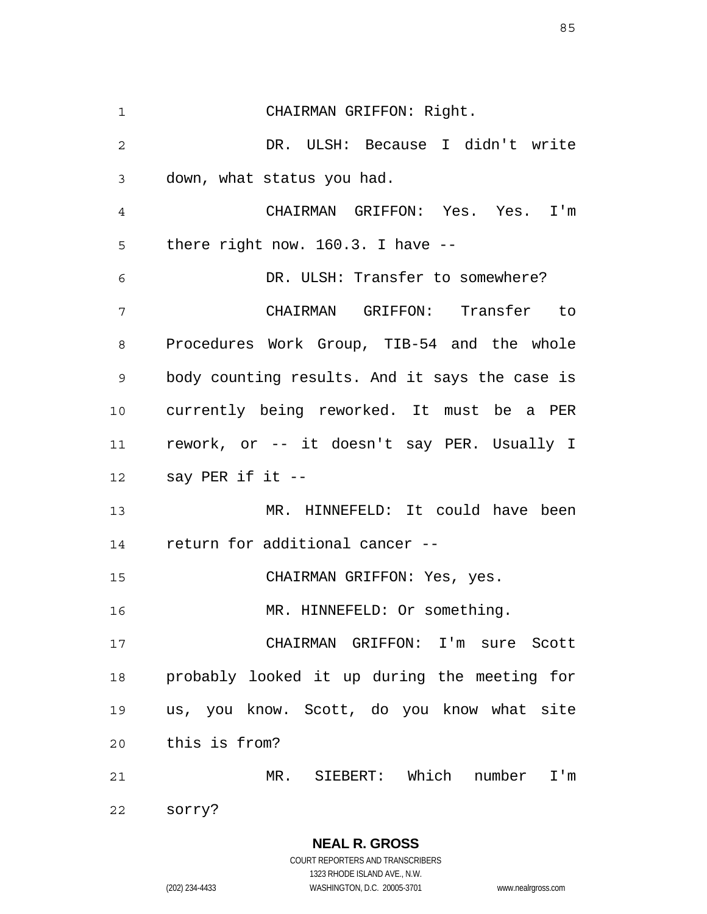CHAIRMAN GRIFFON: Right. DR. ULSH: Because I didn't write down, what status you had. CHAIRMAN GRIFFON: Yes. Yes. I'm there right now. 160.3. I have -- DR. ULSH: Transfer to somewhere? CHAIRMAN GRIFFON: Transfer to Procedures Work Group, TIB-54 and the whole body counting results. And it says the case is currently being reworked. It must be a PER rework, or -- it doesn't say PER. Usually I say PER if it -- MR. HINNEFELD: It could have been return for additional cancer -- CHAIRMAN GRIFFON: Yes, yes. 16 MR. HINNEFELD: Or something. CHAIRMAN GRIFFON: I'm sure Scott probably looked it up during the meeting for us, you know. Scott, do you know what site this is from? MR. SIEBERT: Which number I'm sorry?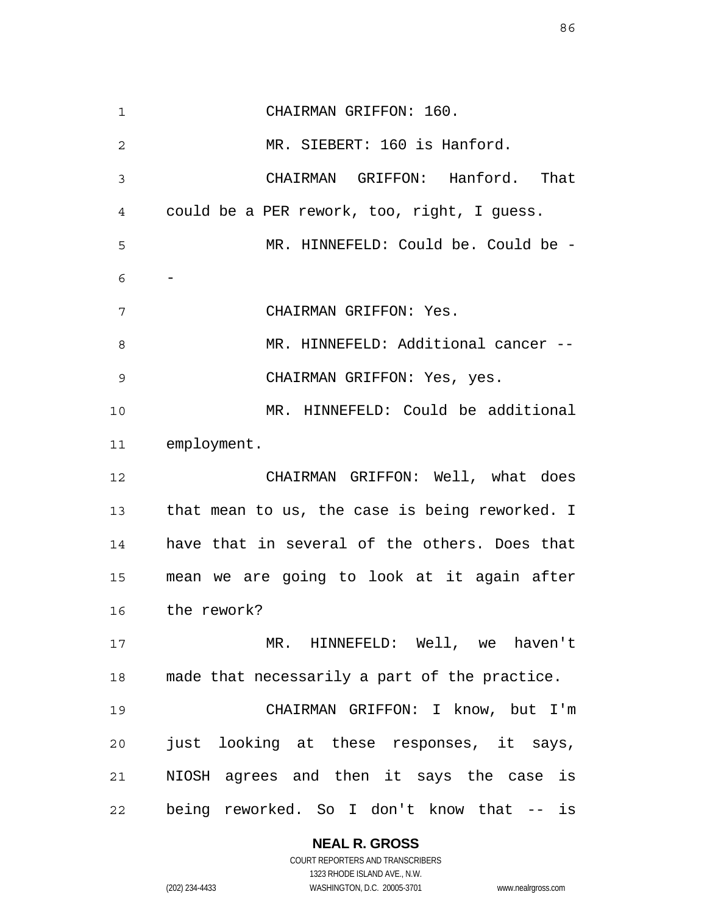CHAIRMAN GRIFFON: 160. MR. SIEBERT: 160 is Hanford. CHAIRMAN GRIFFON: Hanford. That could be a PER rework, too, right, I guess. MR. HINNEFELD: Could be. Could be - - CHAIRMAN GRIFFON: Yes. MR. HINNEFELD: Additional cancer -- CHAIRMAN GRIFFON: Yes, yes. MR. HINNEFELD: Could be additional employment. CHAIRMAN GRIFFON: Well, what does that mean to us, the case is being reworked. I have that in several of the others. Does that mean we are going to look at it again after the rework? MR. HINNEFELD: Well, we haven't made that necessarily a part of the practice. CHAIRMAN GRIFFON: I know, but I'm just looking at these responses, it says, NIOSH agrees and then it says the case is being reworked. So I don't know that -- is

**NEAL R. GROSS** 

COURT REPORTERS AND TRANSCRIBERS 1323 RHODE ISLAND AVE., N.W. (202) 234-4433 WASHINGTON, D.C. 20005-3701 www.nealrgross.com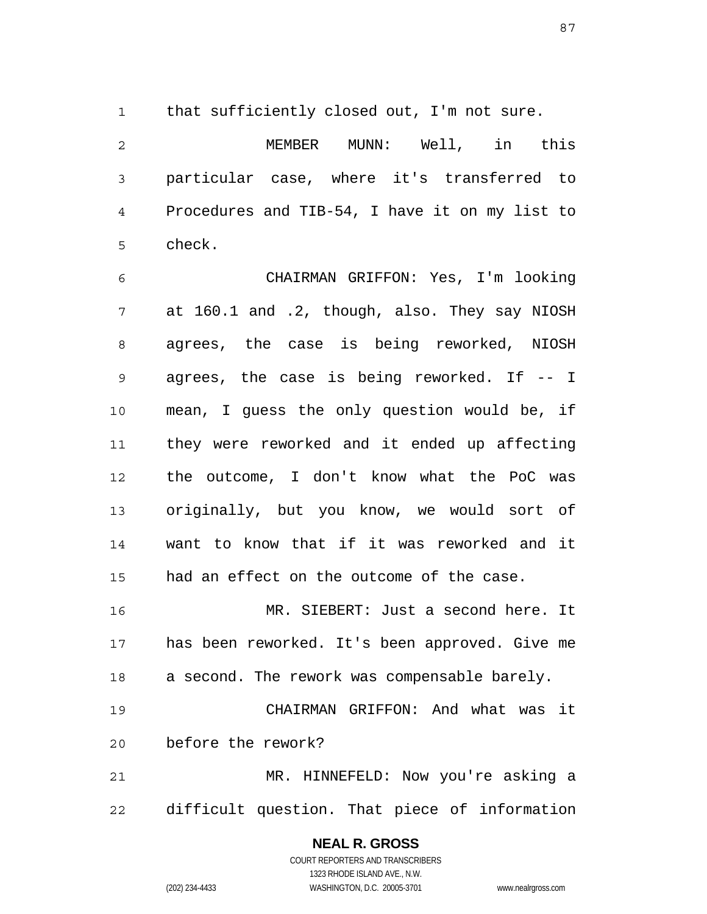that sufficiently closed out, I'm not sure.

MEMBER MUNN: Well, in this particular case, where it's transferred to Procedures and TIB-54, I have it on my list to check.

CHAIRMAN GRIFFON: Yes, I'm looking at 160.1 and .2, though, also. They say NIOSH agrees, the case is being reworked, NIOSH agrees, the case is being reworked. If -- I mean, I guess the only question would be, if they were reworked and it ended up affecting the outcome, I don't know what the PoC was originally, but you know, we would sort of want to know that if it was reworked and it had an effect on the outcome of the case.

MR. SIEBERT: Just a second here. It has been reworked. It's been approved. Give me a second. The rework was compensable barely.

CHAIRMAN GRIFFON: And what was it before the rework?

MR. HINNEFELD: Now you're asking a difficult question. That piece of information

# **NEAL R. GROSS**

COURT REPORTERS AND TRANSCRIBERS 1323 RHODE ISLAND AVE., N.W. (202) 234-4433 WASHINGTON, D.C. 20005-3701 www.nealrgross.com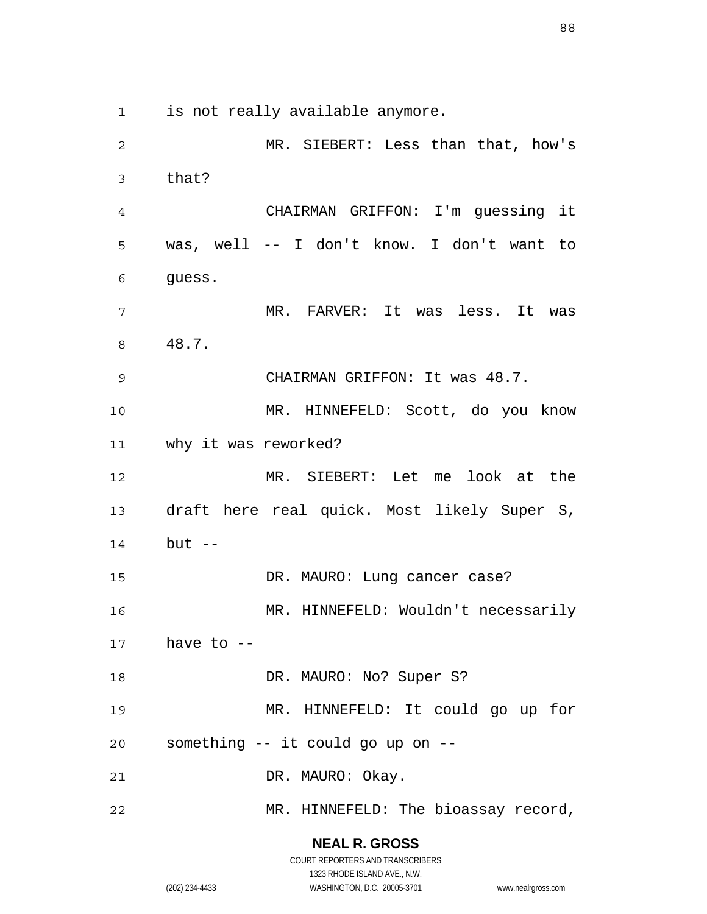is not really available anymore.

MR. SIEBERT: Less than that, how's that? CHAIRMAN GRIFFON: I'm guessing it was, well -- I don't know. I don't want to guess. MR. FARVER: It was less. It was 48.7. CHAIRMAN GRIFFON: It was 48.7. MR. HINNEFELD: Scott, do you know why it was reworked? MR. SIEBERT: Let me look at the draft here real quick. Most likely Super S, but -- 15 DR. MAURO: Lung cancer case? MR. HINNEFELD: Wouldn't necessarily have to  $-$ 18 DR. MAURO: No? Super S? MR. HINNEFELD: It could go up for something -- it could go up on -- DR. MAURO: Okay. MR. HINNEFELD: The bioassay record,

> **NEAL R. GROSS**  COURT REPORTERS AND TRANSCRIBERS

1323 RHODE ISLAND AVE., N.W. (202) 234-4433 WASHINGTON, D.C. 20005-3701 www.nealrgross.com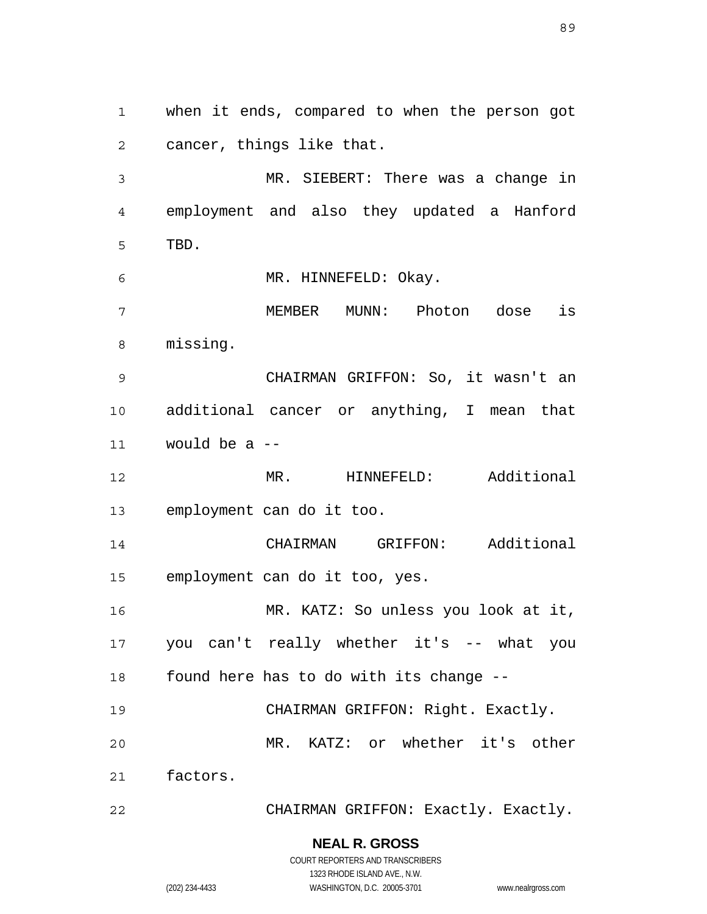when it ends, compared to when the person got cancer, things like that. MR. SIEBERT: There was a change in employment and also they updated a Hanford TBD. MR. HINNEFELD: Okay. MEMBER MUNN: Photon dose is missing. CHAIRMAN GRIFFON: So, it wasn't an additional cancer or anything, I mean that 11 would be a  $-$ MR. HINNEFELD: Additional employment can do it too. CHAIRMAN GRIFFON: Additional employment can do it too, yes. MR. KATZ: So unless you look at it, you can't really whether it's -- what you found here has to do with its change -- CHAIRMAN GRIFFON: Right. Exactly. MR. KATZ: or whether it's other factors. CHAIRMAN GRIFFON: Exactly. Exactly.

**NEAL R. GROSS**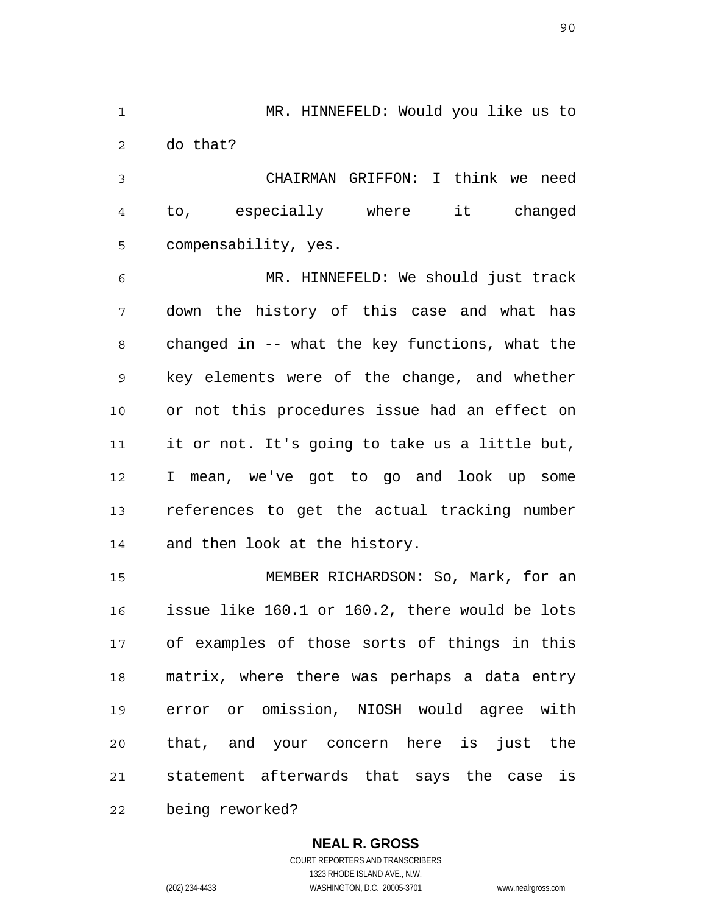MR. HINNEFELD: Would you like us to do that?

CHAIRMAN GRIFFON: I think we need to, especially where it changed compensability, yes.

MR. HINNEFELD: We should just track down the history of this case and what has changed in -- what the key functions, what the key elements were of the change, and whether or not this procedures issue had an effect on it or not. It's going to take us a little but, I mean, we've got to go and look up some references to get the actual tracking number and then look at the history.

MEMBER RICHARDSON: So, Mark, for an issue like 160.1 or 160.2, there would be lots of examples of those sorts of things in this matrix, where there was perhaps a data entry error or omission, NIOSH would agree with that, and your concern here is just the statement afterwards that says the case is being reworked?

> **NEAL R. GROSS**  COURT REPORTERS AND TRANSCRIBERS

1323 RHODE ISLAND AVE., N.W. (202) 234-4433 WASHINGTON, D.C. 20005-3701 www.nealrgross.com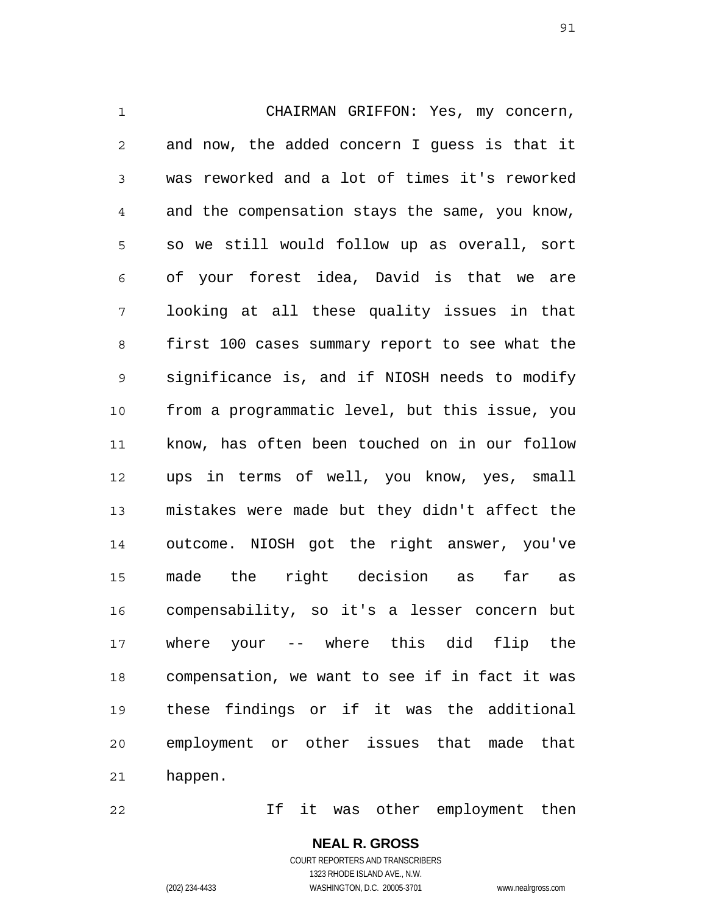CHAIRMAN GRIFFON: Yes, my concern, and now, the added concern I guess is that it was reworked and a lot of times it's reworked and the compensation stays the same, you know, so we still would follow up as overall, sort of your forest idea, David is that we are looking at all these quality issues in that first 100 cases summary report to see what the significance is, and if NIOSH needs to modify from a programmatic level, but this issue, you know, has often been touched on in our follow ups in terms of well, you know, yes, small mistakes were made but they didn't affect the outcome. NIOSH got the right answer, you've made the right decision as far as compensability, so it's a lesser concern but where your -- where this did flip the compensation, we want to see if in fact it was these findings or if it was the additional employment or other issues that made that happen.

If it was other employment then

**NEAL R. GROSS**  COURT REPORTERS AND TRANSCRIBERS 1323 RHODE ISLAND AVE., N.W. (202) 234-4433 WASHINGTON, D.C. 20005-3701 www.nealrgross.com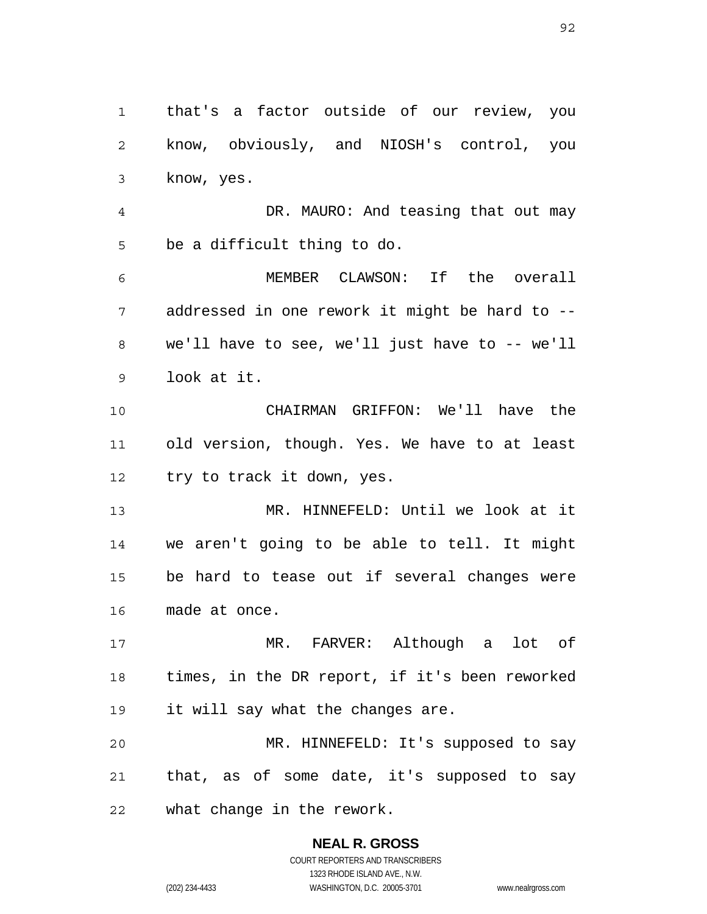that's a factor outside of our review, you know, obviously, and NIOSH's control, you know, yes. DR. MAURO: And teasing that out may be a difficult thing to do. MEMBER CLAWSON: If the overall addressed in one rework it might be hard to -- we'll have to see, we'll just have to -- we'll look at it. CHAIRMAN GRIFFON: We'll have the old version, though. Yes. We have to at least try to track it down, yes. MR. HINNEFELD: Until we look at it we aren't going to be able to tell. It might be hard to tease out if several changes were made at once. MR. FARVER: Although a lot of times, in the DR report, if it's been reworked it will say what the changes are. MR. HINNEFELD: It's supposed to say that, as of some date, it's supposed to say what change in the rework.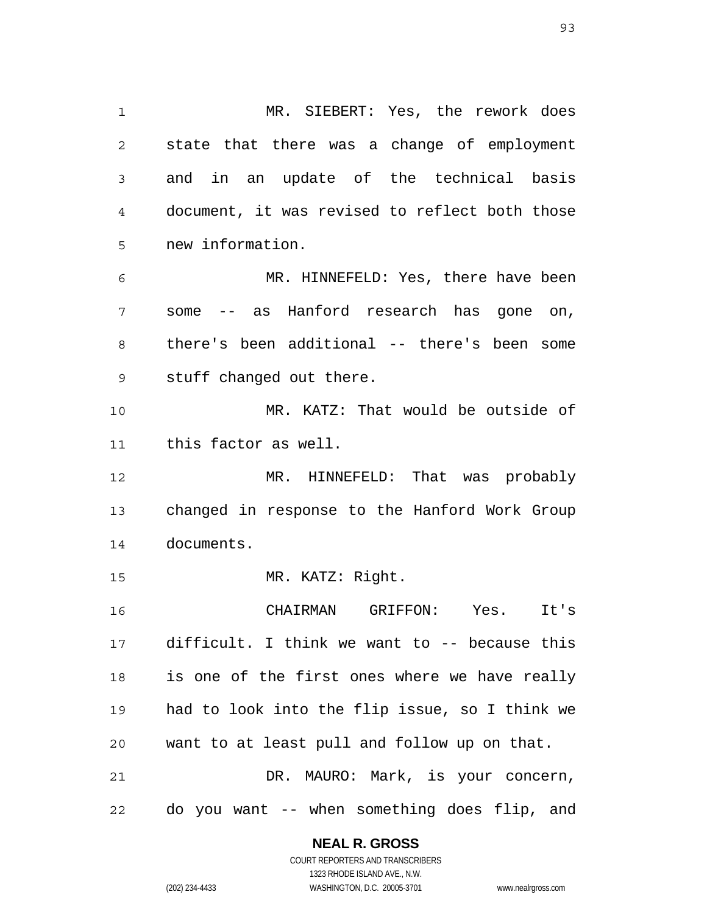MR. SIEBERT: Yes, the rework does state that there was a change of employment and in an update of the technical basis document, it was revised to reflect both those new information. MR. HINNEFELD: Yes, there have been some -- as Hanford research has gone on, there's been additional -- there's been some

stuff changed out there.

MR. KATZ: That would be outside of this factor as well.

MR. HINNEFELD: That was probably changed in response to the Hanford Work Group documents.

15 MR. KATZ: Right.

CHAIRMAN GRIFFON: Yes. It's difficult. I think we want to -- because this is one of the first ones where we have really had to look into the flip issue, so I think we want to at least pull and follow up on that. DR. MAURO: Mark, is your concern,

do you want -- when something does flip, and

#### **NEAL R. GROSS**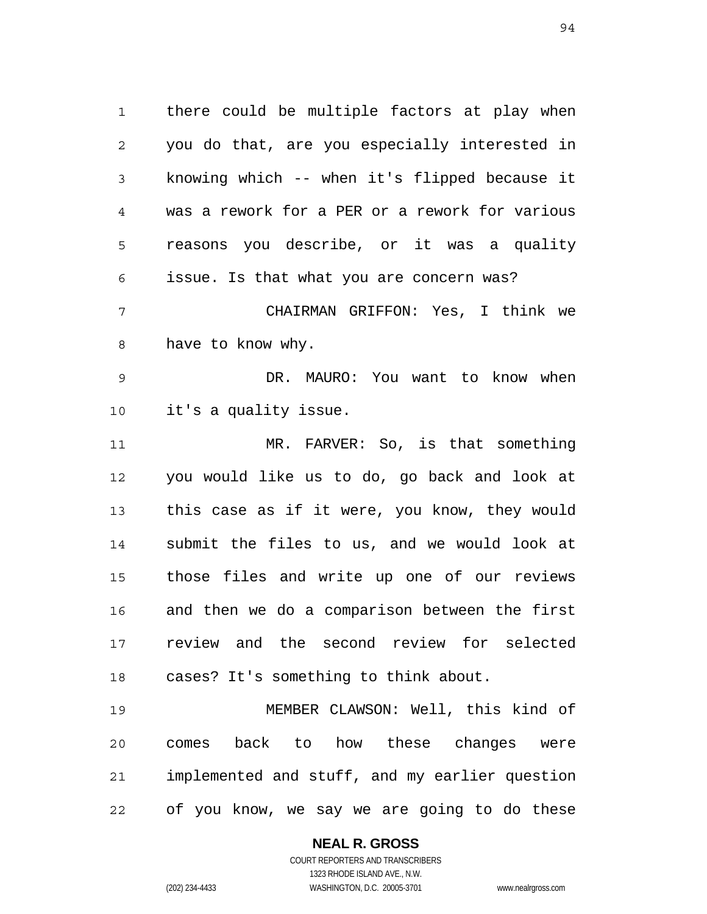there could be multiple factors at play when you do that, are you especially interested in knowing which -- when it's flipped because it was a rework for a PER or a rework for various reasons you describe, or it was a quality issue. Is that what you are concern was? CHAIRMAN GRIFFON: Yes, I think we have to know why. DR. MAURO: You want to know when it's a quality issue. MR. FARVER: So, is that something you would like us to do, go back and look at this case as if it were, you know, they would submit the files to us, and we would look at those files and write up one of our reviews and then we do a comparison between the first review and the second review for selected

cases? It's something to think about.

MEMBER CLAWSON: Well, this kind of comes back to how these changes were implemented and stuff, and my earlier question of you know, we say we are going to do these

#### **NEAL R. GROSS**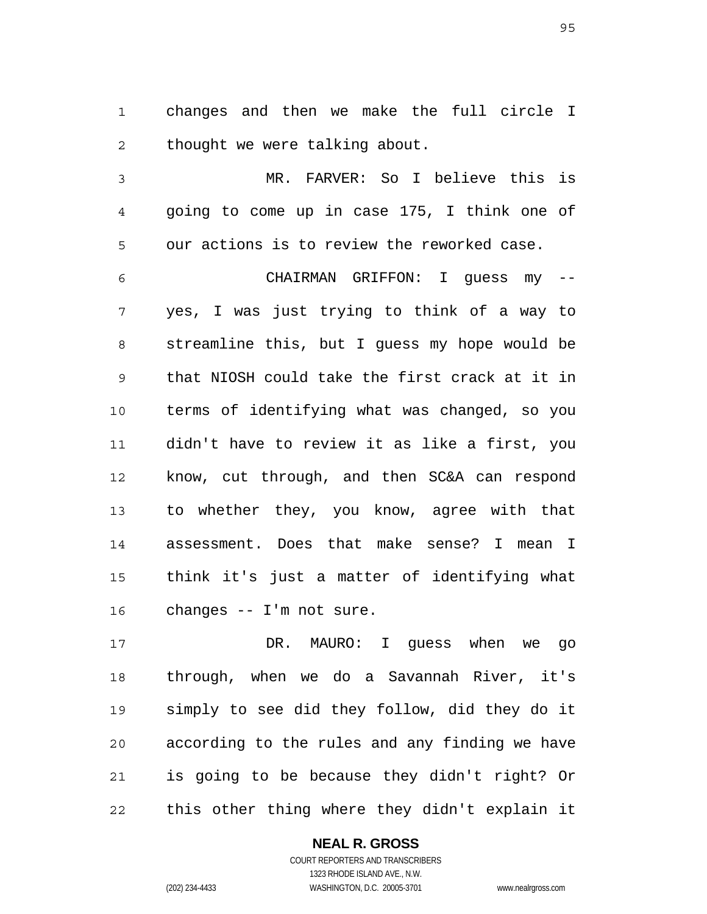changes and then we make the full circle I thought we were talking about.

MR. FARVER: So I believe this is going to come up in case 175, I think one of our actions is to review the reworked case.

CHAIRMAN GRIFFON: I guess my -- yes, I was just trying to think of a way to streamline this, but I guess my hope would be that NIOSH could take the first crack at it in terms of identifying what was changed, so you didn't have to review it as like a first, you know, cut through, and then SC&A can respond to whether they, you know, agree with that assessment. Does that make sense? I mean I think it's just a matter of identifying what changes -- I'm not sure.

DR. MAURO: I guess when we go through, when we do a Savannah River, it's simply to see did they follow, did they do it according to the rules and any finding we have is going to be because they didn't right? Or this other thing where they didn't explain it

## **NEAL R. GROSS**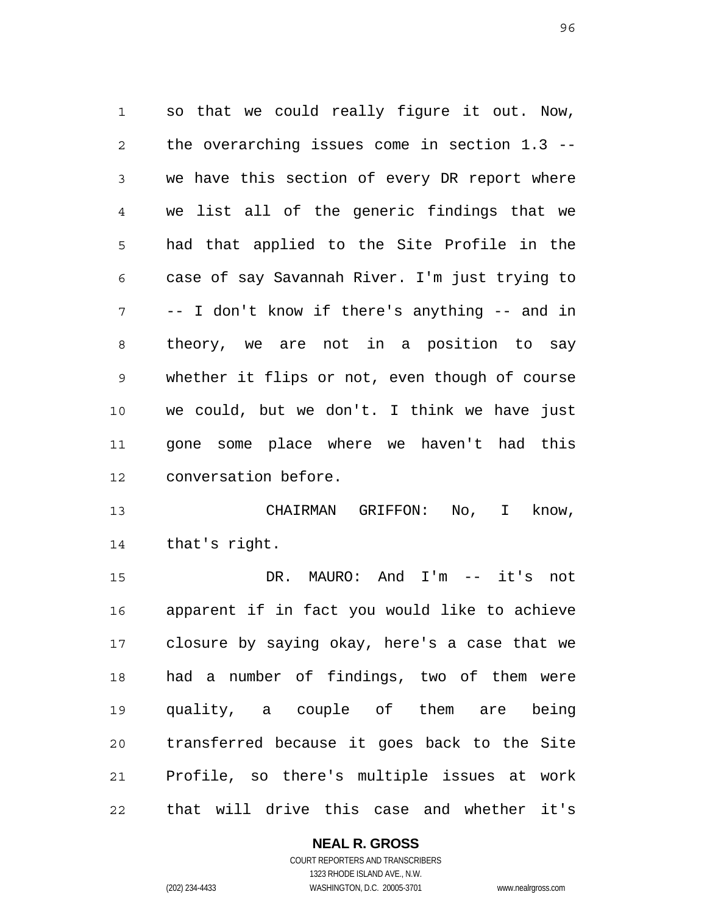so that we could really figure it out. Now, the overarching issues come in section 1.3 -- we have this section of every DR report where we list all of the generic findings that we had that applied to the Site Profile in the case of say Savannah River. I'm just trying to -- I don't know if there's anything -- and in theory, we are not in a position to say whether it flips or not, even though of course we could, but we don't. I think we have just gone some place where we haven't had this conversation before.

CHAIRMAN GRIFFON: No, I know, that's right.

DR. MAURO: And I'm -- it's not apparent if in fact you would like to achieve closure by saying okay, here's a case that we had a number of findings, two of them were quality, a couple of them are being transferred because it goes back to the Site Profile, so there's multiple issues at work that will drive this case and whether it's

## **NEAL R. GROSS**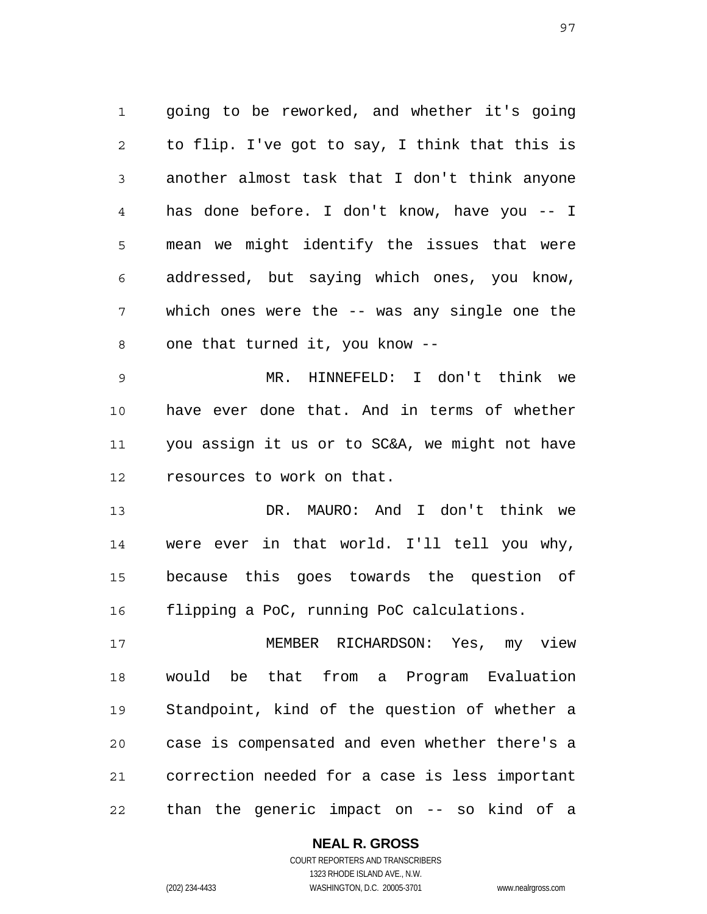going to be reworked, and whether it's going to flip. I've got to say, I think that this is another almost task that I don't think anyone has done before. I don't know, have you -- I mean we might identify the issues that were addressed, but saying which ones, you know, which ones were the -- was any single one the one that turned it, you know --

MR. HINNEFELD: I don't think we have ever done that. And in terms of whether you assign it us or to SC&A, we might not have resources to work on that.

DR. MAURO: And I don't think we were ever in that world. I'll tell you why, because this goes towards the question of flipping a PoC, running PoC calculations.

MEMBER RICHARDSON: Yes, my view would be that from a Program Evaluation Standpoint, kind of the question of whether a case is compensated and even whether there's a correction needed for a case is less important than the generic impact on -- so kind of a

**NEAL R. GROSS**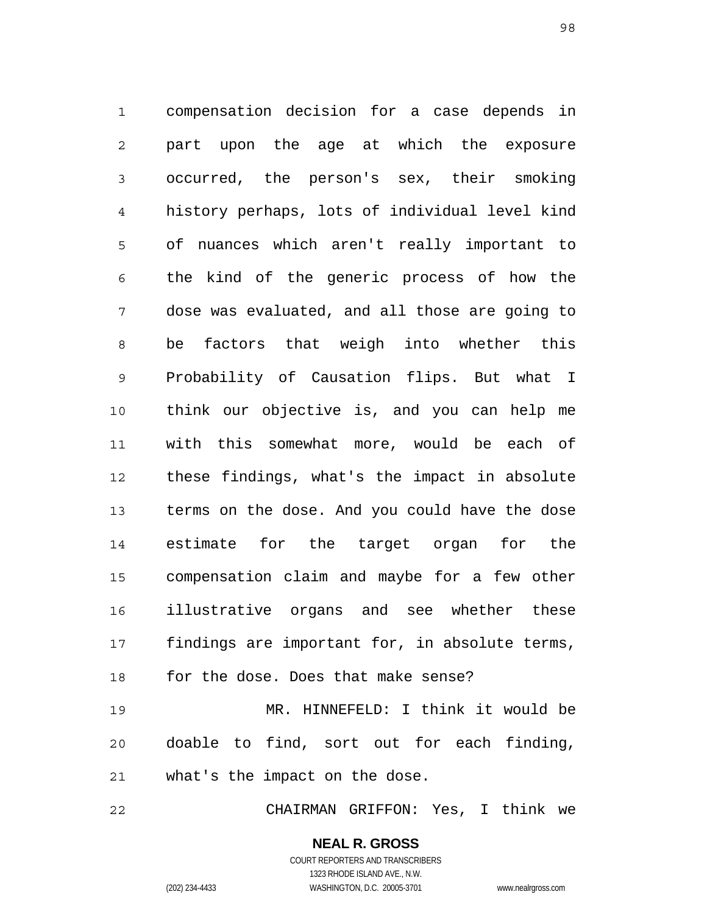compensation decision for a case depends in part upon the age at which the exposure occurred, the person's sex, their smoking history perhaps, lots of individual level kind of nuances which aren't really important to the kind of the generic process of how the dose was evaluated, and all those are going to be factors that weigh into whether this Probability of Causation flips. But what I think our objective is, and you can help me with this somewhat more, would be each of these findings, what's the impact in absolute terms on the dose. And you could have the dose estimate for the target organ for the compensation claim and maybe for a few other illustrative organs and see whether these findings are important for, in absolute terms, for the dose. Does that make sense?

MR. HINNEFELD: I think it would be doable to find, sort out for each finding, what's the impact on the dose.

CHAIRMAN GRIFFON: Yes, I think we

**NEAL R. GROSS**  COURT REPORTERS AND TRANSCRIBERS

1323 RHODE ISLAND AVE., N.W.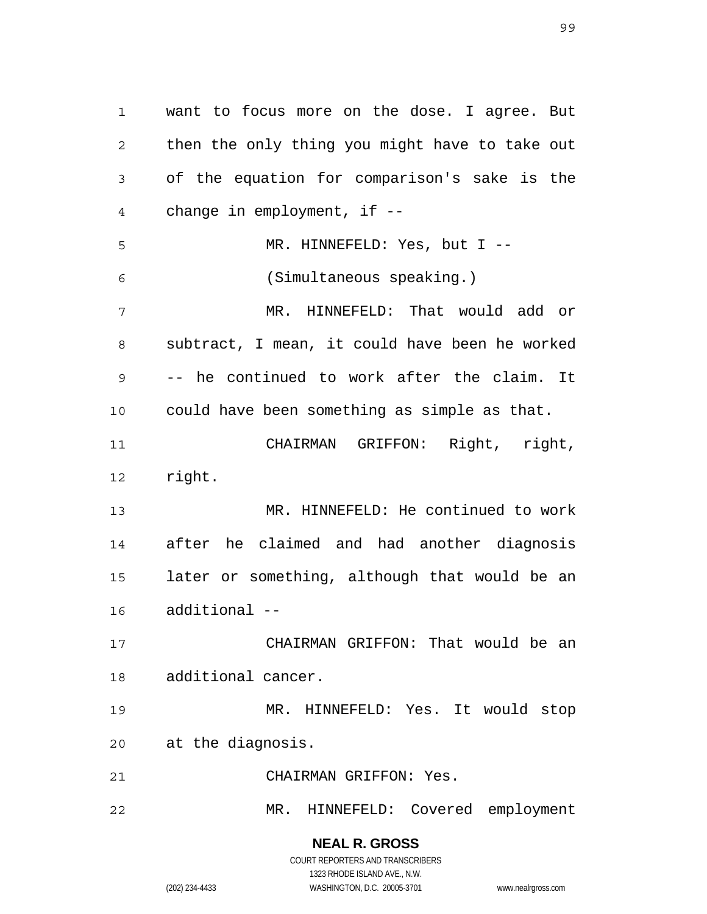want to focus more on the dose. I agree. But then the only thing you might have to take out of the equation for comparison's sake is the change in employment, if -- MR. HINNEFELD: Yes, but I -- (Simultaneous speaking.) MR. HINNEFELD: That would add or subtract, I mean, it could have been he worked -- he continued to work after the claim. It could have been something as simple as that. CHAIRMAN GRIFFON: Right, right, right. MR. HINNEFELD: He continued to work after he claimed and had another diagnosis later or something, although that would be an additional -- CHAIRMAN GRIFFON: That would be an additional cancer. MR. HINNEFELD: Yes. It would stop at the diagnosis. CHAIRMAN GRIFFON: Yes. MR. HINNEFELD: Covered employment

> COURT REPORTERS AND TRANSCRIBERS 1323 RHODE ISLAND AVE., N.W. (202) 234-4433 WASHINGTON, D.C. 20005-3701 www.nealrgross.com

**NEAL R. GROSS**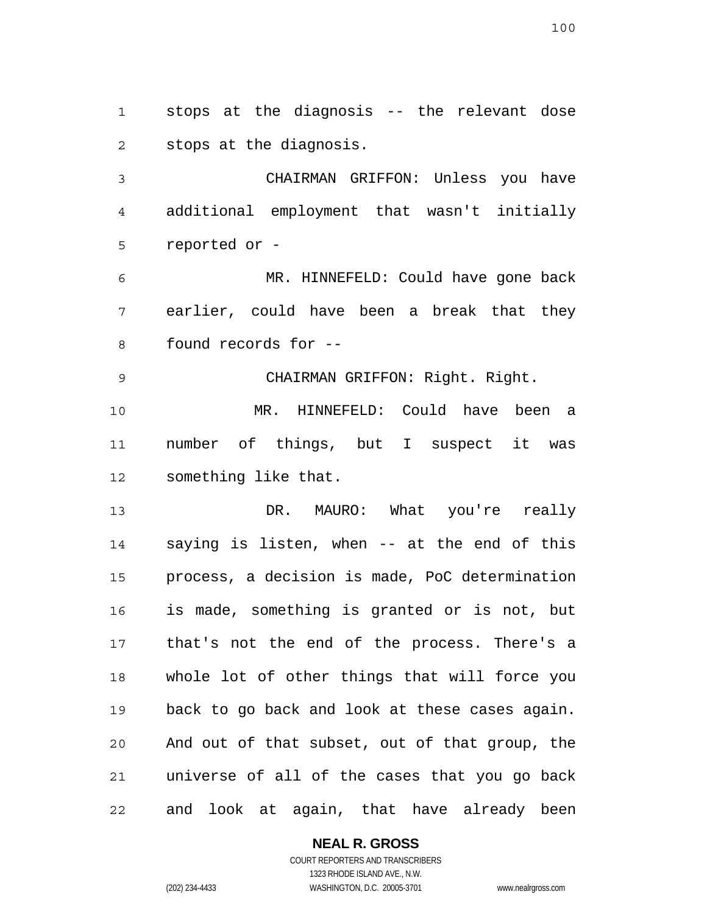stops at the diagnosis -- the relevant dose stops at the diagnosis.

CHAIRMAN GRIFFON: Unless you have additional employment that wasn't initially reported or -

MR. HINNEFELD: Could have gone back earlier, could have been a break that they found records for --

CHAIRMAN GRIFFON: Right. Right.

MR. HINNEFELD: Could have been a number of things, but I suspect it was something like that.

DR. MAURO: What you're really saying is listen, when -- at the end of this process, a decision is made, PoC determination is made, something is granted or is not, but that's not the end of the process. There's a whole lot of other things that will force you back to go back and look at these cases again. And out of that subset, out of that group, the universe of all of the cases that you go back and look at again, that have already been

> **NEAL R. GROSS**  COURT REPORTERS AND TRANSCRIBERS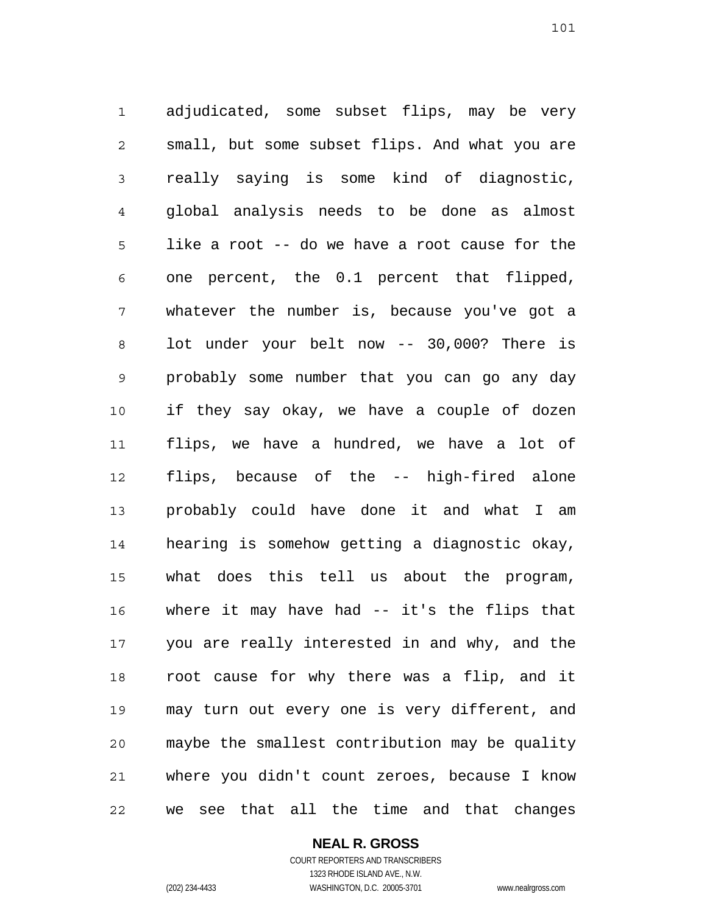adjudicated, some subset flips, may be very small, but some subset flips. And what you are really saying is some kind of diagnostic, global analysis needs to be done as almost like a root -- do we have a root cause for the one percent, the 0.1 percent that flipped, whatever the number is, because you've got a lot under your belt now -- 30,000? There is probably some number that you can go any day if they say okay, we have a couple of dozen flips, we have a hundred, we have a lot of flips, because of the -- high-fired alone probably could have done it and what I am hearing is somehow getting a diagnostic okay, what does this tell us about the program, where it may have had -- it's the flips that you are really interested in and why, and the root cause for why there was a flip, and it may turn out every one is very different, and maybe the smallest contribution may be quality where you didn't count zeroes, because I know we see that all the time and that changes

**NEAL R. GROSS**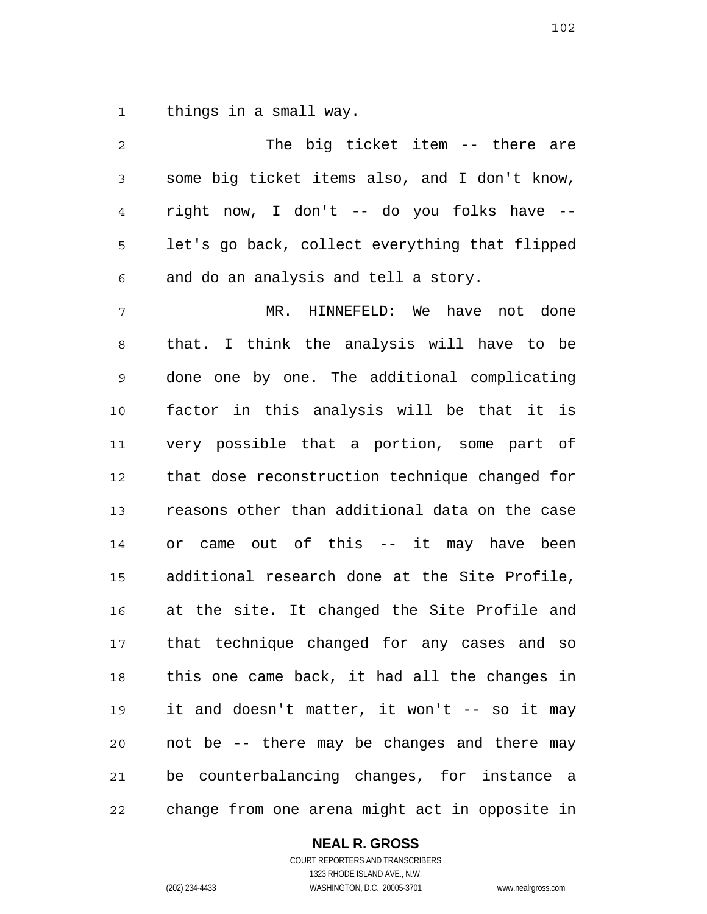things in a small way.

| $\overline{2}$ | The big ticket item -- there are               |
|----------------|------------------------------------------------|
| $\mathsf 3$    | some big ticket items also, and I don't know,  |
| $\overline{4}$ | right now, I don't -- do you folks have --     |
| 5              | let's go back, collect everything that flipped |
| 6              | and do an analysis and tell a story.           |
| 7              | HINNEFELD: We have not done<br>$MR$ .          |
| 8              | that. I think the analysis will have to be     |
| $\mathsf 9$    | done one by one. The additional complicating   |
| 10             | factor in this analysis will be that it is     |
| 11             | very possible that a portion, some part of     |
| 12             | that dose reconstruction technique changed for |
| 13             | reasons other than additional data on the case |
| 14             | or came out of this -- it may have been        |
| 15             | additional research done at the Site Profile,  |
| 16             | at the site. It changed the Site Profile and   |
| 17             | that technique changed for any cases and so    |
| 18             | this one came back, it had all the changes in  |
| 19             | it and doesn't matter, it won't -- so it may   |
| 20             | not be -- there may be changes and there may   |
| 21             | be counterbalancing changes, for instance a    |
| 22             | change from one arena might act in opposite in |

**NEAL R. GROSS** 

COURT REPORTERS AND TRANSCRIBERS 1323 RHODE ISLAND AVE., N.W. (202) 234-4433 WASHINGTON, D.C. 20005-3701 www.nealrgross.com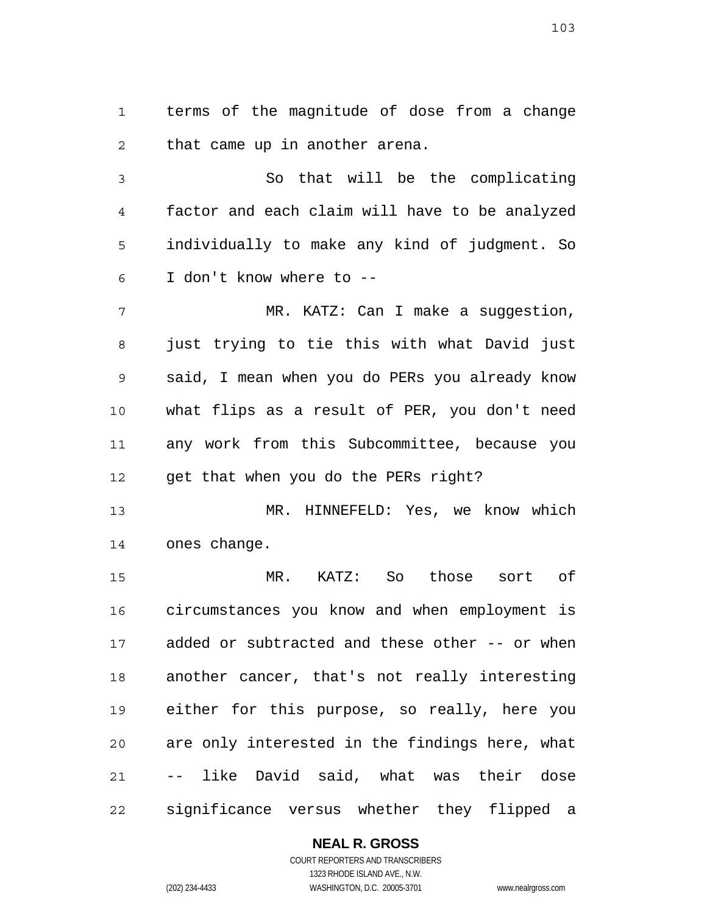terms of the magnitude of dose from a change that came up in another arena.

So that will be the complicating factor and each claim will have to be analyzed individually to make any kind of judgment. So I don't know where to --

7 MR. KATZ: Can I make a suqqestion, just trying to tie this with what David just said, I mean when you do PERs you already know what flips as a result of PER, you don't need any work from this Subcommittee, because you get that when you do the PERs right?

MR. HINNEFELD: Yes, we know which ones change.

MR. KATZ: So those sort of circumstances you know and when employment is added or subtracted and these other -- or when another cancer, that's not really interesting either for this purpose, so really, here you are only interested in the findings here, what -- like David said, what was their dose significance versus whether they flipped a

## **NEAL R. GROSS**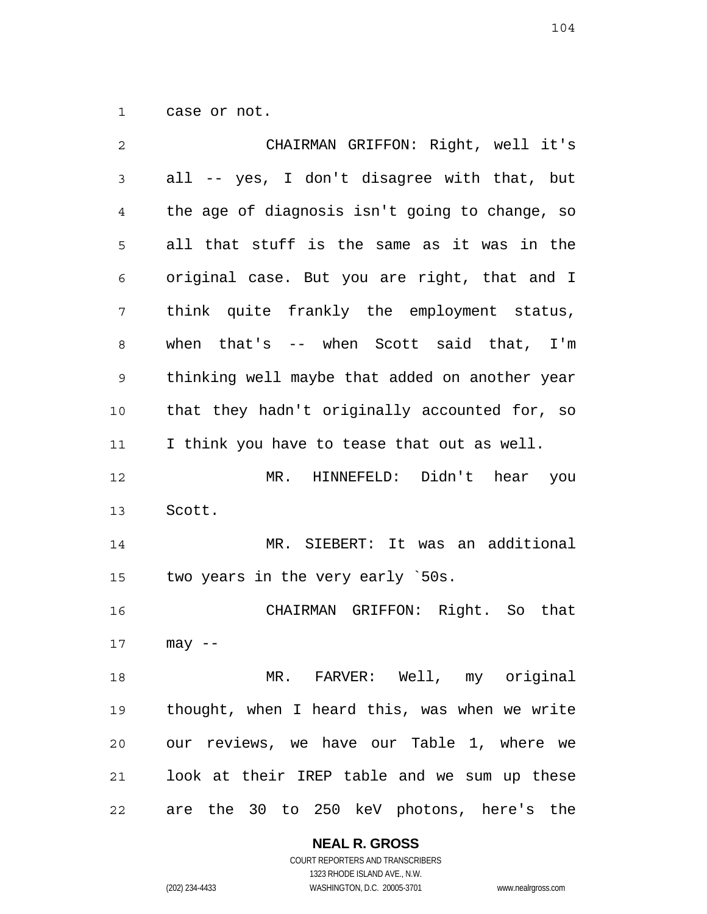case or not.

| 2  | CHAIRMAN GRIFFON: Right, well it's             |
|----|------------------------------------------------|
| 3  | all -- yes, I don't disagree with that, but    |
| 4  | the age of diagnosis isn't going to change, so |
| 5  | all that stuff is the same as it was in the    |
| 6  | original case. But you are right, that and I   |
| 7  | think quite frankly the employment status,     |
| 8  | when that's $--$ when Scott said that, $I'm$   |
| 9  | thinking well maybe that added on another year |
| 10 | that they hadn't originally accounted for, so  |
| 11 | I think you have to tease that out as well.    |
| 12 | HINNEFELD: Didn't hear you<br>MR.              |
| 13 | Scott.                                         |
| 14 | MR. SIEBERT: It was an additional              |
| 15 | two years in the very early `50s.              |
| 16 | CHAIRMAN GRIFFON: Right. So that               |
| 17 | $may$ --                                       |
| 18 | MR. FARVER: Well, my original                  |
| 19 | thought, when I heard this, was when we write  |
| 20 | our reviews, we have our Table 1, where we     |
| 21 | look at their IREP table and we sum up these   |
| 22 | are the 30 to 250 keV photons, here's the      |

**NEAL R. GROSS**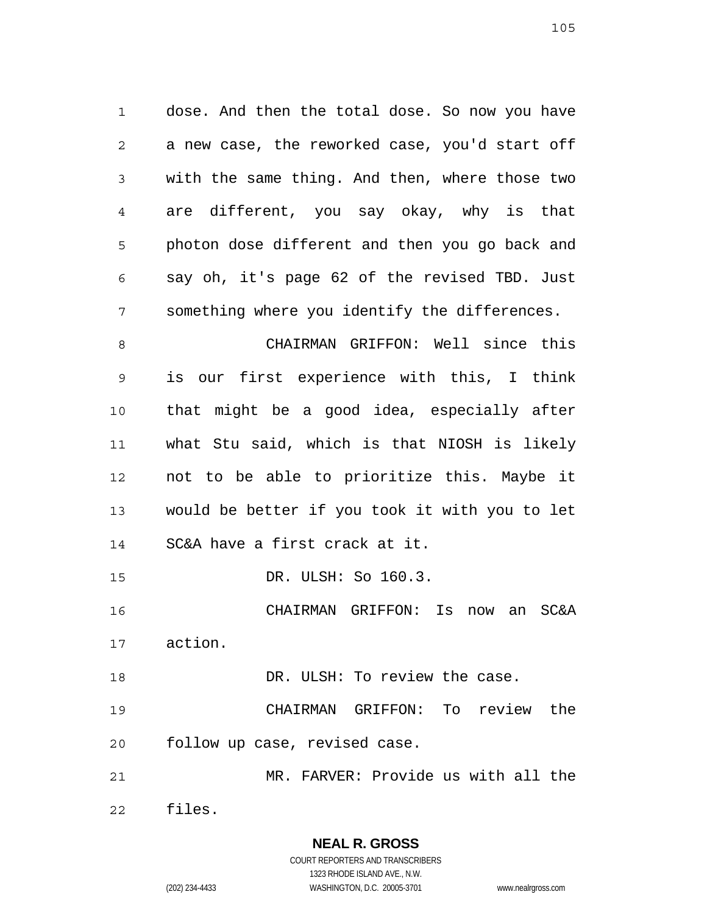dose. And then the total dose. So now you have a new case, the reworked case, you'd start off with the same thing. And then, where those two are different, you say okay, why is that photon dose different and then you go back and say oh, it's page 62 of the revised TBD. Just something where you identify the differences.

CHAIRMAN GRIFFON: Well since this is our first experience with this, I think that might be a good idea, especially after what Stu said, which is that NIOSH is likely not to be able to prioritize this. Maybe it would be better if you took it with you to let SC&A have a first crack at it.

DR. ULSH: So 160.3.

CHAIRMAN GRIFFON: Is now an SC&A action.

DR. ULSH: To review the case.

CHAIRMAN GRIFFON: To review the follow up case, revised case.

MR. FARVER: Provide us with all the

files.

**NEAL R. GROSS**  COURT REPORTERS AND TRANSCRIBERS

1323 RHODE ISLAND AVE., N.W.

(202) 234-4433 WASHINGTON, D.C. 20005-3701 www.nealrgross.com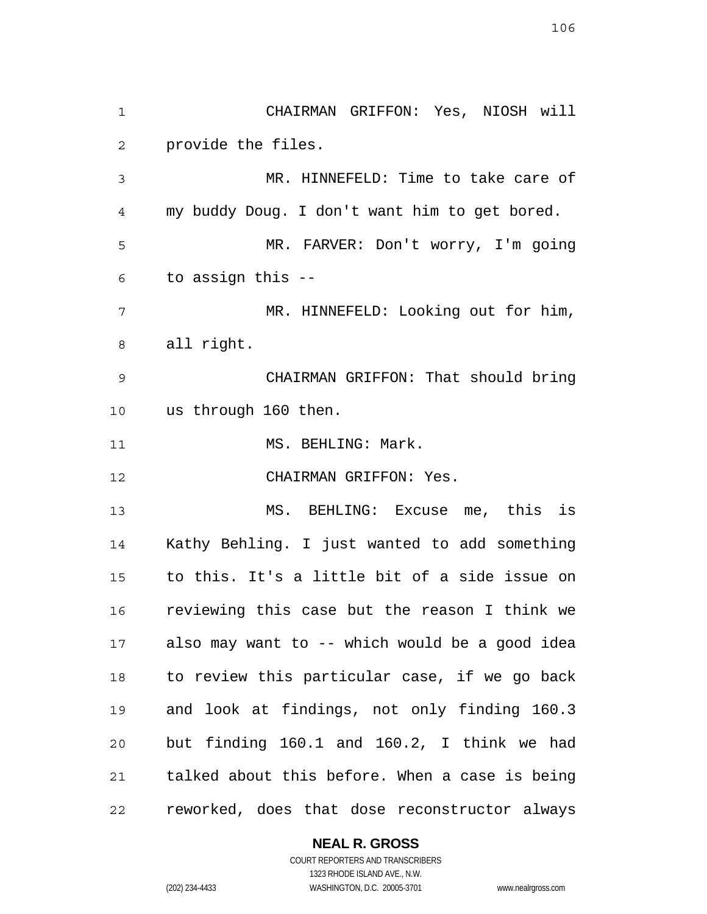provide the files. MR. HINNEFELD: Time to take care of my buddy Doug. I don't want him to get bored. MR. FARVER: Don't worry, I'm going to assign this -- MR. HINNEFELD: Looking out for him, all right. CHAIRMAN GRIFFON: That should bring us through 160 then. 11 MS. BEHLING: Mark. CHAIRMAN GRIFFON: Yes. MS. BEHLING: Excuse me, this is Kathy Behling. I just wanted to add something to this. It's a little bit of a side issue on reviewing this case but the reason I think we also may want to -- which would be a good idea to review this particular case, if we go back and look at findings, not only finding 160.3 but finding 160.1 and 160.2, I think we had talked about this before. When a case is being

CHAIRMAN GRIFFON: Yes, NIOSH will

reworked, does that dose reconstructor always

**NEAL R. GROSS**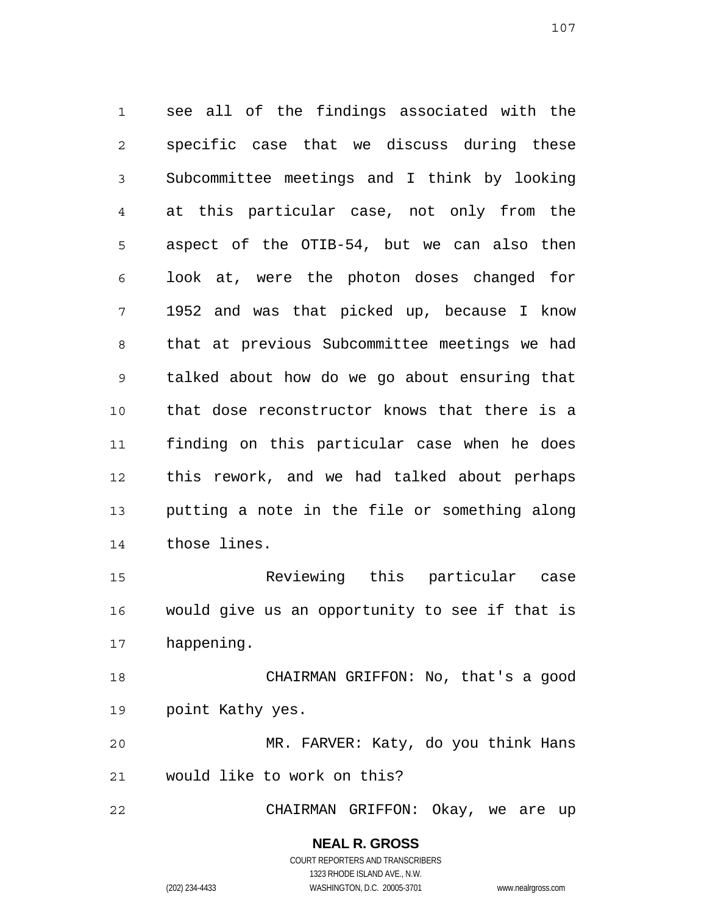see all of the findings associated with the specific case that we discuss during these Subcommittee meetings and I think by looking at this particular case, not only from the aspect of the OTIB-54, but we can also then look at, were the photon doses changed for 1952 and was that picked up, because I know that at previous Subcommittee meetings we had talked about how do we go about ensuring that that dose reconstructor knows that there is a finding on this particular case when he does this rework, and we had talked about perhaps putting a note in the file or something along those lines.

Reviewing this particular case would give us an opportunity to see if that is happening.

CHAIRMAN GRIFFON: No, that's a good point Kathy yes.

MR. FARVER: Katy, do you think Hans would like to work on this?

CHAIRMAN GRIFFON: Okay, we are up

#### **NEAL R. GROSS**  COURT REPORTERS AND TRANSCRIBERS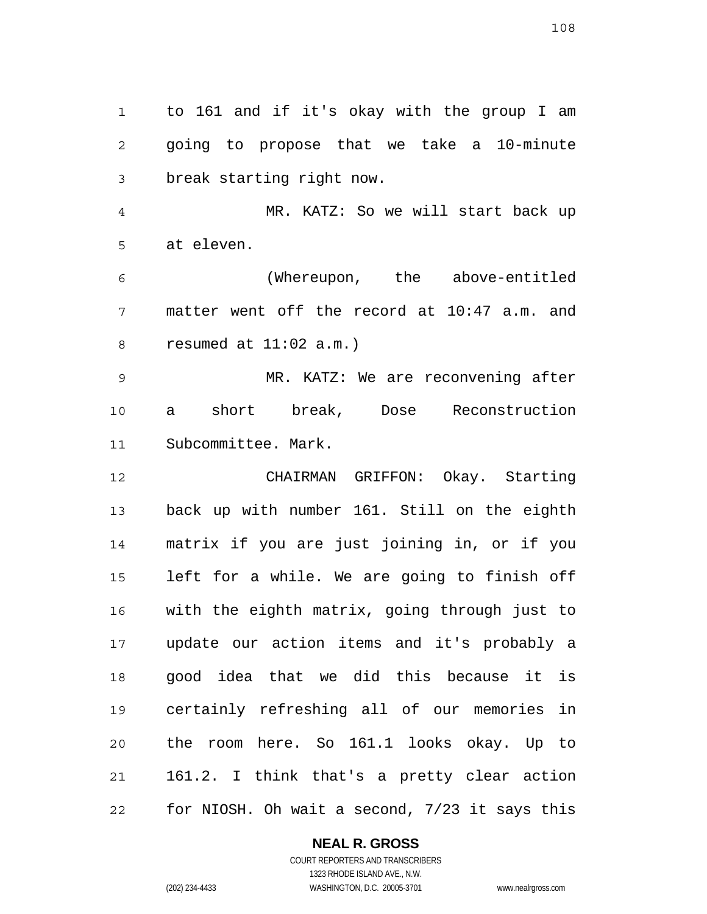to 161 and if it's okay with the group I am going to propose that we take a 10-minute break starting right now.

MR. KATZ: So we will start back up at eleven.

(Whereupon, the above-entitled matter went off the record at 10:47 a.m. and resumed at 11:02 a.m.)

MR. KATZ: We are reconvening after a short break, Dose Reconstruction Subcommittee. Mark.

CHAIRMAN GRIFFON: Okay. Starting back up with number 161. Still on the eighth matrix if you are just joining in, or if you left for a while. We are going to finish off with the eighth matrix, going through just to update our action items and it's probably a good idea that we did this because it is certainly refreshing all of our memories in the room here. So 161.1 looks okay. Up to 161.2. I think that's a pretty clear action for NIOSH. Oh wait a second, 7/23 it says this

## **NEAL R. GROSS**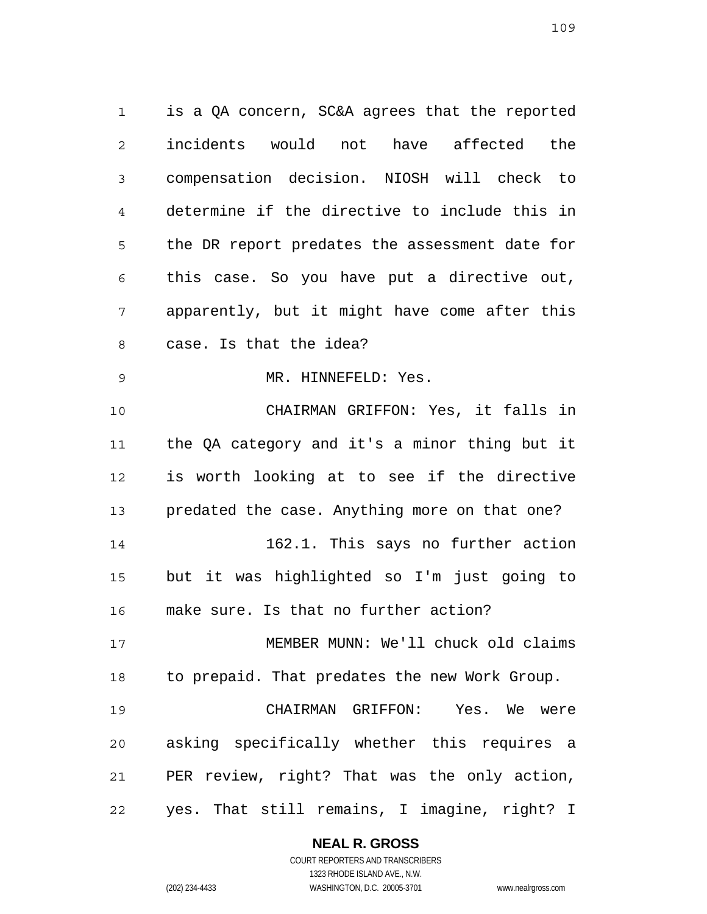is a QA concern, SC&A agrees that the reported incidents would not have affected the compensation decision. NIOSH will check to determine if the directive to include this in the DR report predates the assessment date for this case. So you have put a directive out, apparently, but it might have come after this case. Is that the idea? MR. HINNEFELD: Yes. CHAIRMAN GRIFFON: Yes, it falls in the QA category and it's a minor thing but it is worth looking at to see if the directive predated the case. Anything more on that one? 162.1. This says no further action but it was highlighted so I'm just going to make sure. Is that no further action? MEMBER MUNN: We'll chuck old claims to prepaid. That predates the new Work Group. CHAIRMAN GRIFFON: Yes. We were asking specifically whether this requires a PER review, right? That was the only action, yes. That still remains, I imagine, right? I

**NEAL R. GROSS** 

COURT REPORTERS AND TRANSCRIBERS 1323 RHODE ISLAND AVE., N.W. (202) 234-4433 WASHINGTON, D.C. 20005-3701 www.nealrgross.com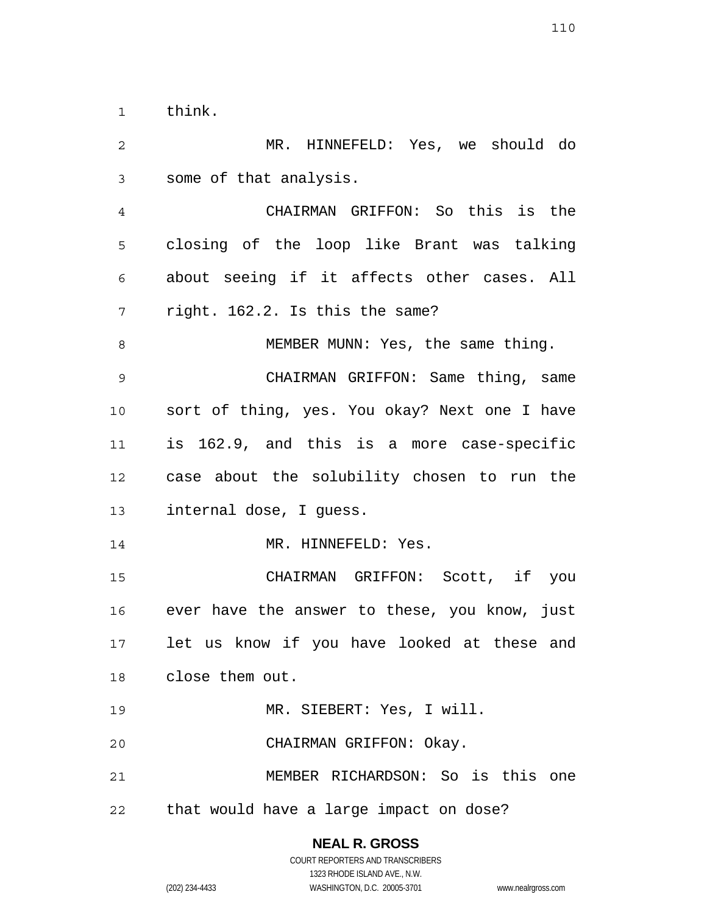think.

MR. HINNEFELD: Yes, we should do some of that analysis. CHAIRMAN GRIFFON: So this is the closing of the loop like Brant was talking about seeing if it affects other cases. All right. 162.2. Is this the same? MEMBER MUNN: Yes, the same thing. CHAIRMAN GRIFFON: Same thing, same sort of thing, yes. You okay? Next one I have is 162.9, and this is a more case-specific case about the solubility chosen to run the internal dose, I guess. 14 MR. HINNEFELD: Yes. CHAIRMAN GRIFFON: Scott, if you ever have the answer to these, you know, just let us know if you have looked at these and close them out. MR. SIEBERT: Yes, I will. CHAIRMAN GRIFFON: Okay. MEMBER RICHARDSON: So is this one that would have a large impact on dose?

> **NEAL R. GROSS**  COURT REPORTERS AND TRANSCRIBERS 1323 RHODE ISLAND AVE., N.W.

(202) 234-4433 WASHINGTON, D.C. 20005-3701 www.nealrgross.com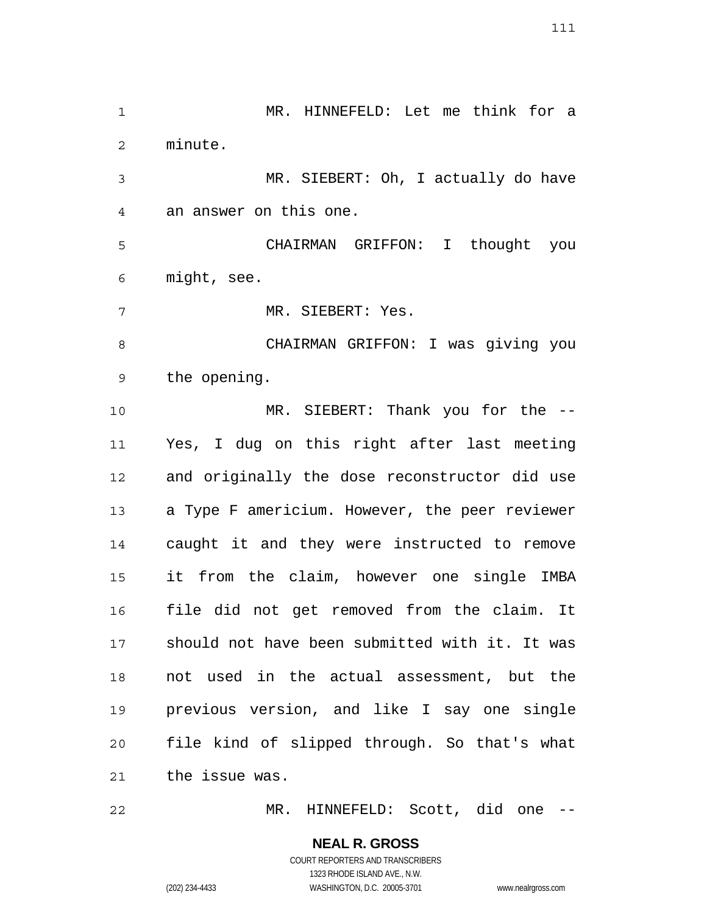MR. HINNEFELD: Let me think for a minute. MR. SIEBERT: Oh, I actually do have an answer on this one. CHAIRMAN GRIFFON: I thought you might, see. MR. SIEBERT: Yes. CHAIRMAN GRIFFON: I was giving you the opening. MR. SIEBERT: Thank you for the -- Yes, I dug on this right after last meeting and originally the dose reconstructor did use a Type F americium. However, the peer reviewer caught it and they were instructed to remove it from the claim, however one single IMBA file did not get removed from the claim. It should not have been submitted with it. It was not used in the actual assessment, but the previous version, and like I say one single file kind of slipped through. So that's what the issue was. MR. HINNEFELD: Scott, did one --

> **NEAL R. GROSS**  COURT REPORTERS AND TRANSCRIBERS 1323 RHODE ISLAND AVE., N.W.

(202) 234-4433 WASHINGTON, D.C. 20005-3701 www.nealrgross.com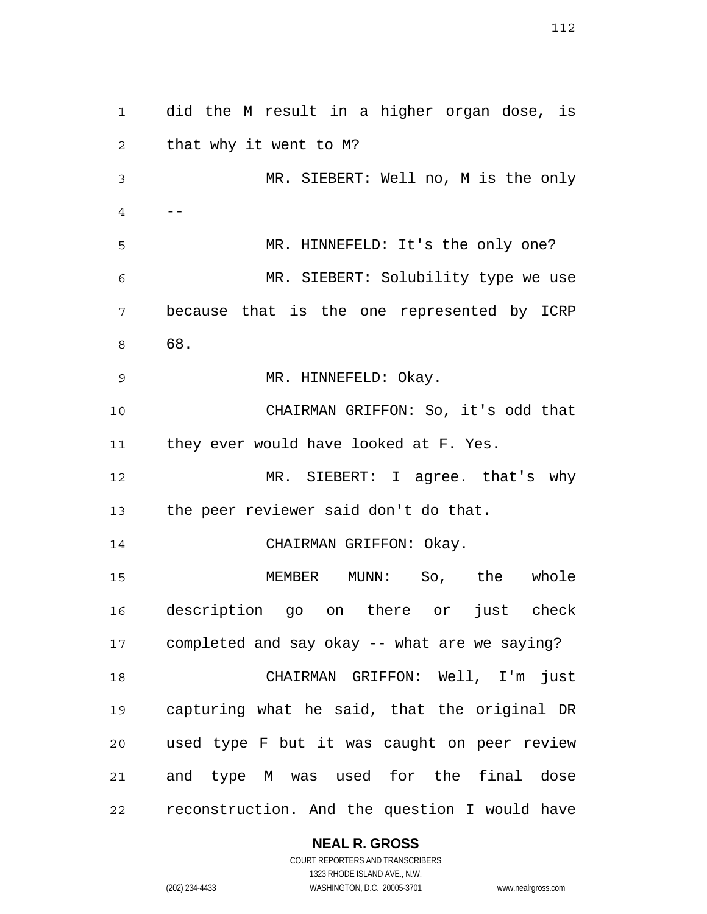did the M result in a higher organ dose, is that why it went to M? MR. SIEBERT: Well no, M is the only  $4 \qquad -$ MR. HINNEFELD: It's the only one? MR. SIEBERT: Solubility type we use because that is the one represented by ICRP 68. MR. HINNEFELD: Okay. CHAIRMAN GRIFFON: So, it's odd that they ever would have looked at F. Yes. MR. SIEBERT: I agree. that's why the peer reviewer said don't do that. CHAIRMAN GRIFFON: Okay. MEMBER MUNN: So, the whole description go on there or just check completed and say okay -- what are we saying? CHAIRMAN GRIFFON: Well, I'm just capturing what he said, that the original DR used type F but it was caught on peer review and type M was used for the final dose reconstruction. And the question I would have

**NEAL R. GROSS** 

COURT REPORTERS AND TRANSCRIBERS 1323 RHODE ISLAND AVE., N.W. (202) 234-4433 WASHINGTON, D.C. 20005-3701 www.nealrgross.com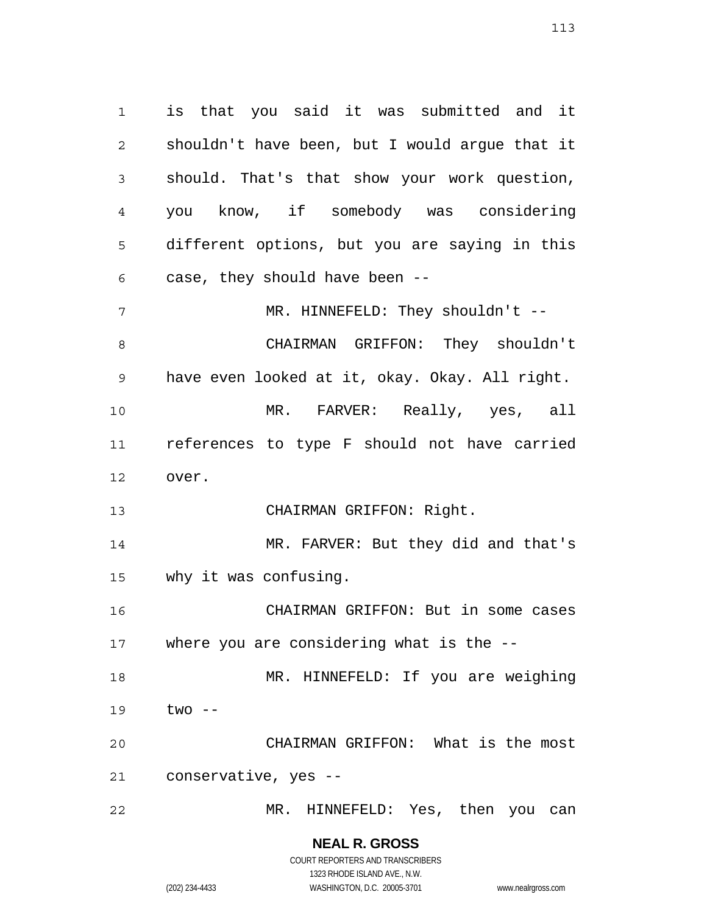is that you said it was submitted and it shouldn't have been, but I would argue that it should. That's that show your work question, you know, if somebody was considering different options, but you are saying in this case, they should have been -- 7 MR. HINNEFELD: They shouldn't --CHAIRMAN GRIFFON: They shouldn't have even looked at it, okay. Okay. All right. MR. FARVER: Really, yes, all references to type F should not have carried over. 13 CHAIRMAN GRIFFON: Right. MR. FARVER: But they did and that's why it was confusing. CHAIRMAN GRIFFON: But in some cases where you are considering what is the -- MR. HINNEFELD: If you are weighing two -- CHAIRMAN GRIFFON: What is the most conservative, yes -- MR. HINNEFELD: Yes, then you can

> **NEAL R. GROSS**  COURT REPORTERS AND TRANSCRIBERS 1323 RHODE ISLAND AVE., N.W. (202) 234-4433 WASHINGTON, D.C. 20005-3701 www.nealrgross.com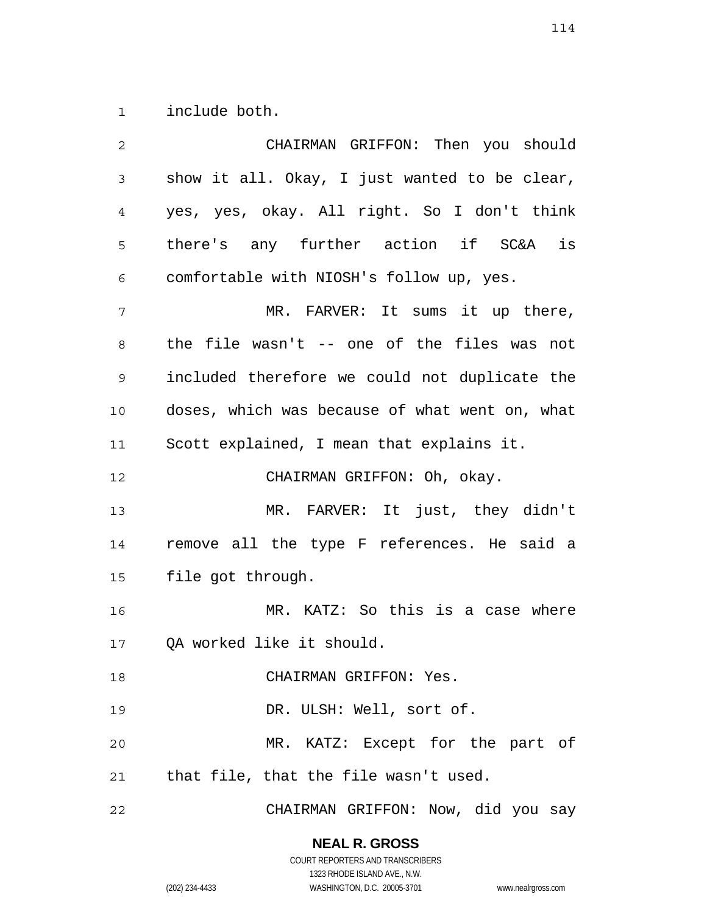include both.

| 2              | CHAIRMAN GRIFFON: Then you should              |
|----------------|------------------------------------------------|
| 3              | show it all. Okay, I just wanted to be clear,  |
| $\overline{4}$ | yes, yes, okay. All right. So I don't think    |
| 5              | there's any further action if SC&A is          |
| 6              | comfortable with NIOSH's follow up, yes.       |
| 7              | MR. FARVER: It sums it up there,               |
| 8              | the file wasn't $-$ one of the files was not   |
| 9              | included therefore we could not duplicate the  |
| 10             | doses, which was because of what went on, what |
| 11             | Scott explained, I mean that explains it.      |
| 12             | CHAIRMAN GRIFFON: Oh, okay.                    |
| 13             | MR. FARVER: It just, they didn't               |
| 14             | remove all the type F references. He said a    |
| 15             | file got through.                              |
| 16             | MR. KATZ: So this is a case where              |
| 17             | QA worked like it should.                      |
| 18             | CHAIRMAN GRIFFON: Yes.                         |
| 19             | DR. ULSH: Well, sort of.                       |
| 20             | MR. KATZ: Except for the part of               |
|                | 21 that file, that the file wasn't used.       |
| 22             | CHAIRMAN GRIFFON: Now, did you say             |

**NEAL R. GROSS** 

COURT REPORTERS AND TRANSCRIBERS 1323 RHODE ISLAND AVE., N.W. (202) 234-4433 WASHINGTON, D.C. 20005-3701 www.nealrgross.com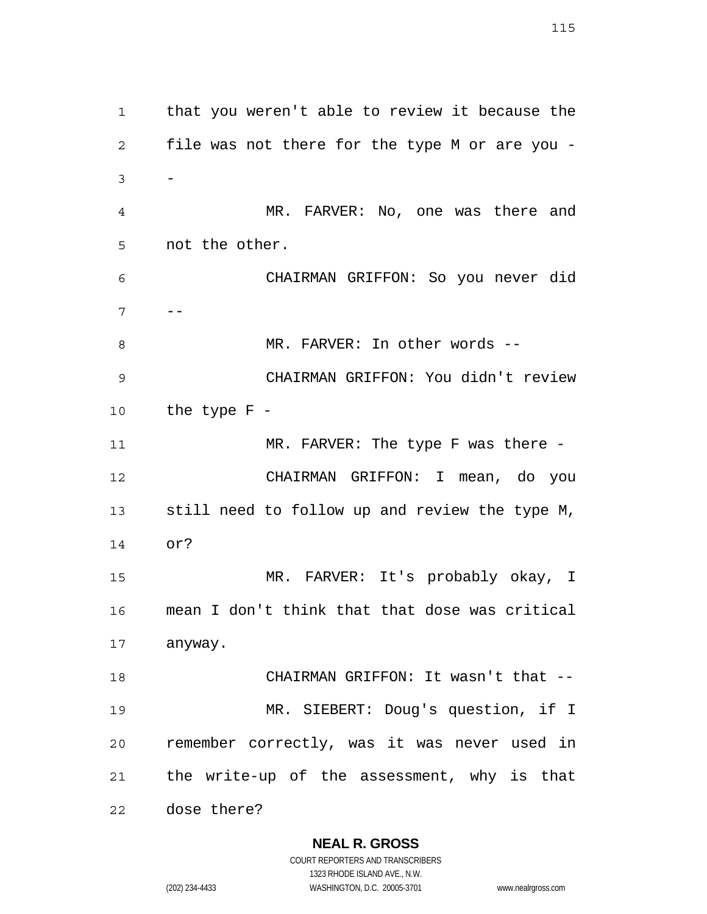that you weren't able to review it because the file was not there for the type M or are you -  $3 -$ MR. FARVER: No, one was there and not the other. CHAIRMAN GRIFFON: So you never did  $7 \qquad --$ 8 MR. FARVER: In other words --CHAIRMAN GRIFFON: You didn't review the type F - 11 MR. FARVER: The type F was there -CHAIRMAN GRIFFON: I mean, do you still need to follow up and review the type M, or? MR. FARVER: It's probably okay, I mean I don't think that that dose was critical anyway. CHAIRMAN GRIFFON: It wasn't that -- MR. SIEBERT: Doug's question, if I remember correctly, was it was never used in the write-up of the assessment, why is that dose there?

> **NEAL R. GROSS**  COURT REPORTERS AND TRANSCRIBERS

> > 1323 RHODE ISLAND AVE., N.W.

(202) 234-4433 WASHINGTON, D.C. 20005-3701 www.nealrgross.com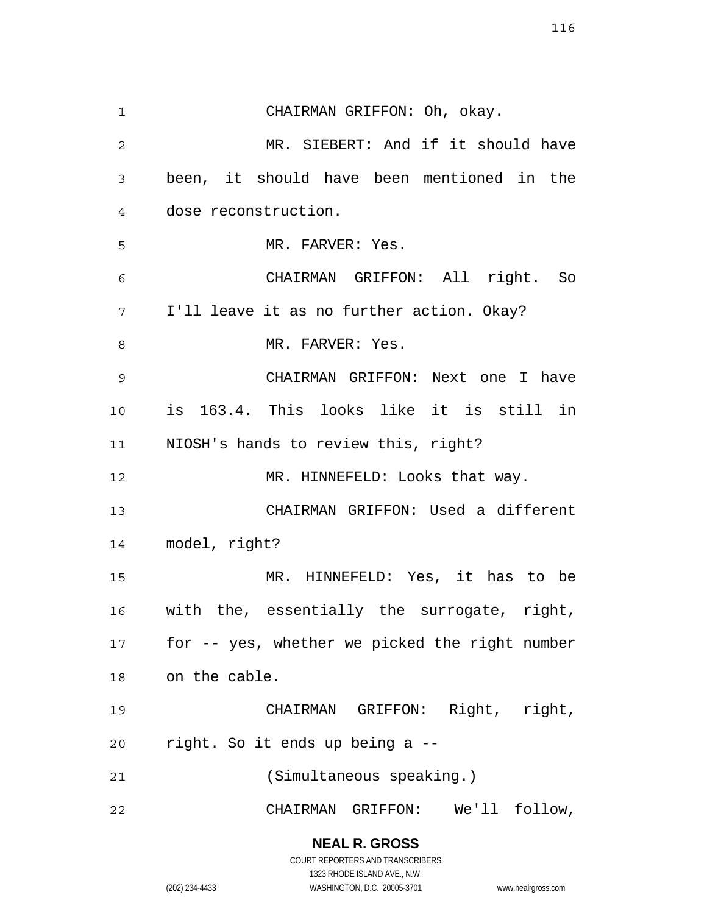CHAIRMAN GRIFFON: Oh, okay. MR. SIEBERT: And if it should have been, it should have been mentioned in the dose reconstruction. MR. FARVER: Yes. CHAIRMAN GRIFFON: All right. So I'll leave it as no further action. Okay? 8 MR. FARVER: Yes. CHAIRMAN GRIFFON: Next one I have is 163.4. This looks like it is still in NIOSH's hands to review this, right? 12 MR. HINNEFELD: Looks that way. CHAIRMAN GRIFFON: Used a different model, right? MR. HINNEFELD: Yes, it has to be with the, essentially the surrogate, right, for -- yes, whether we picked the right number on the cable. CHAIRMAN GRIFFON: Right, right, right. So it ends up being a -- (Simultaneous speaking.) CHAIRMAN GRIFFON: We'll follow,

**NEAL R. GROSS** 

(202) 234-4433 WASHINGTON, D.C. 20005-3701 www.nealrgross.com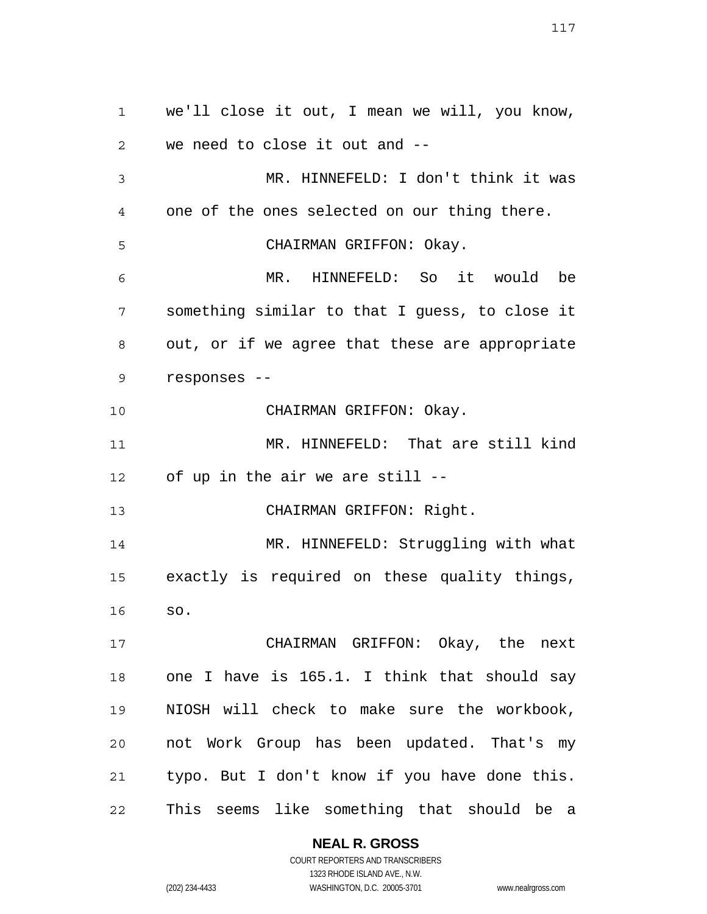we'll close it out, I mean we will, you know, we need to close it out and -- MR. HINNEFELD: I don't think it was one of the ones selected on our thing there. CHAIRMAN GRIFFON: Okay. MR. HINNEFELD: So it would be something similar to that I guess, to close it out, or if we agree that these are appropriate responses -- CHAIRMAN GRIFFON: Okay. MR. HINNEFELD: That are still kind of up in the air we are still -- 13 CHAIRMAN GRIFFON: Right. 14 MR. HINNEFELD: Struggling with what exactly is required on these quality things, so. CHAIRMAN GRIFFON: Okay, the next one I have is 165.1. I think that should say NIOSH will check to make sure the workbook, not Work Group has been updated. That's my typo. But I don't know if you have done this. This seems like something that should be a

**NEAL R. GROSS** 

COURT REPORTERS AND TRANSCRIBERS 1323 RHODE ISLAND AVE., N.W. (202) 234-4433 WASHINGTON, D.C. 20005-3701 www.nealrgross.com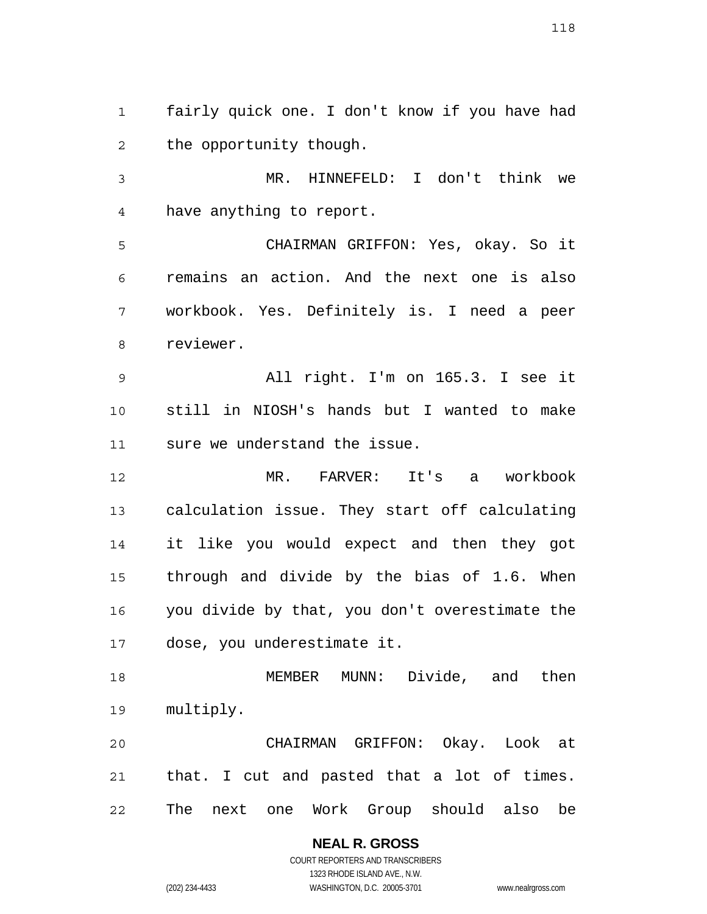fairly quick one. I don't know if you have had the opportunity though.

MR. HINNEFELD: I don't think we have anything to report.

CHAIRMAN GRIFFON: Yes, okay. So it remains an action. And the next one is also workbook. Yes. Definitely is. I need a peer reviewer.

All right. I'm on 165.3. I see it still in NIOSH's hands but I wanted to make sure we understand the issue.

MR. FARVER: It's a workbook calculation issue. They start off calculating it like you would expect and then they got through and divide by the bias of 1.6. When you divide by that, you don't overestimate the dose, you underestimate it.

MEMBER MUNN: Divide, and then multiply.

CHAIRMAN GRIFFON: Okay. Look at that. I cut and pasted that a lot of times. The next one Work Group should also be

> **NEAL R. GROSS**  COURT REPORTERS AND TRANSCRIBERS 1323 RHODE ISLAND AVE., N.W.

(202) 234-4433 WASHINGTON, D.C. 20005-3701 www.nealrgross.com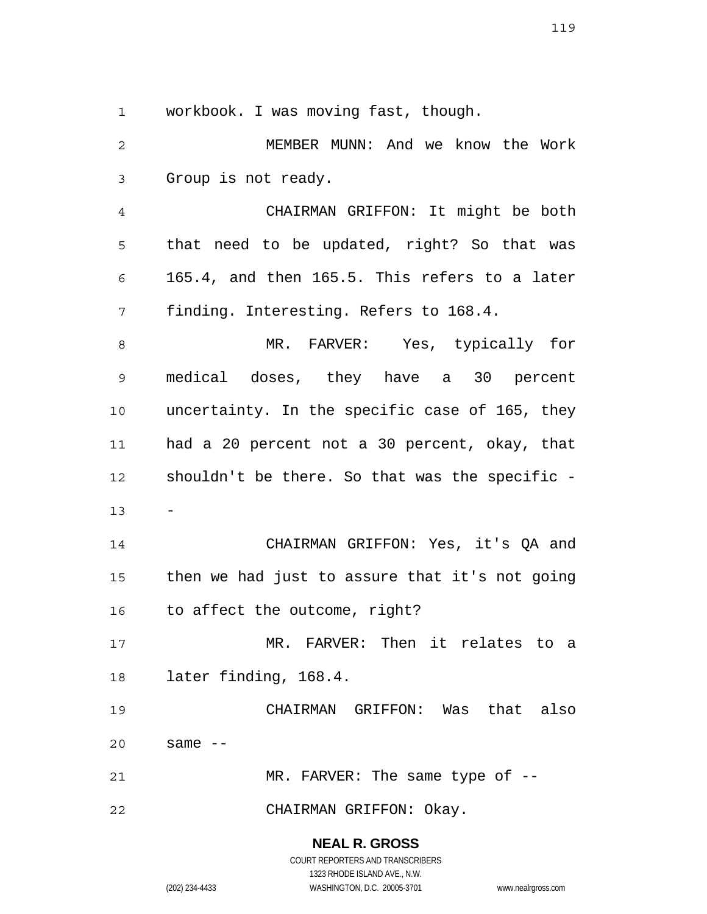workbook. I was moving fast, though.

MEMBER MUNN: And we know the Work Group is not ready.

CHAIRMAN GRIFFON: It might be both that need to be updated, right? So that was 165.4, and then 165.5. This refers to a later finding. Interesting. Refers to 168.4.

8 MR. FARVER: Yes, typically for medical doses, they have a 30 percent uncertainty. In the specific case of 165, they had a 20 percent not a 30 percent, okay, that shouldn't be there. So that was the specific -  $13 -$ 

CHAIRMAN GRIFFON: Yes, it's QA and then we had just to assure that it's not going to affect the outcome, right?

MR. FARVER: Then it relates to a later finding, 168.4.

CHAIRMAN GRIFFON: Was that also same --

- 21 MR. FARVER: The same type of --
- CHAIRMAN GRIFFON: Okay.

**NEAL R. GROSS** 

COURT REPORTERS AND TRANSCRIBERS 1323 RHODE ISLAND AVE., N.W. (202) 234-4433 WASHINGTON, D.C. 20005-3701 www.nealrgross.com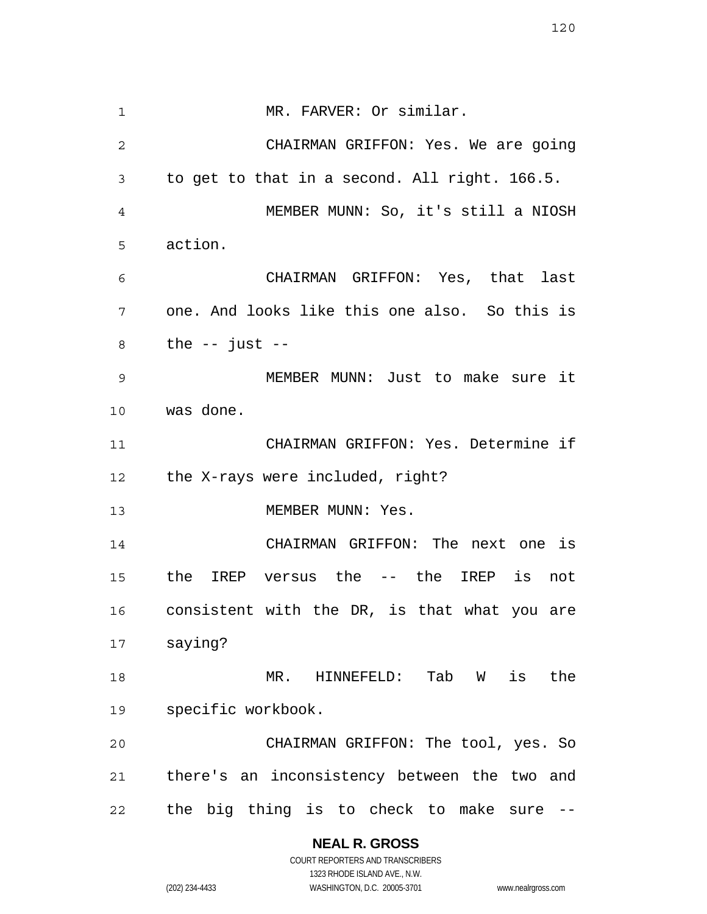1 MR. FARVER: Or similar. CHAIRMAN GRIFFON: Yes. We are going to get to that in a second. All right. 166.5. MEMBER MUNN: So, it's still a NIOSH action. CHAIRMAN GRIFFON: Yes, that last one. And looks like this one also. So this is the  $-$  just  $-$ MEMBER MUNN: Just to make sure it was done. CHAIRMAN GRIFFON: Yes. Determine if the X-rays were included, right? 13 MEMBER MUNN: Yes. CHAIRMAN GRIFFON: The next one is the IREP versus the -- the IREP is not consistent with the DR, is that what you are saying? MR. HINNEFELD: Tab W is the specific workbook. CHAIRMAN GRIFFON: The tool, yes. So there's an inconsistency between the two and the big thing is to check to make sure --

**NEAL R. GROSS** 

COURT REPORTERS AND TRANSCRIBERS 1323 RHODE ISLAND AVE., N.W. (202) 234-4433 WASHINGTON, D.C. 20005-3701 www.nealrgross.com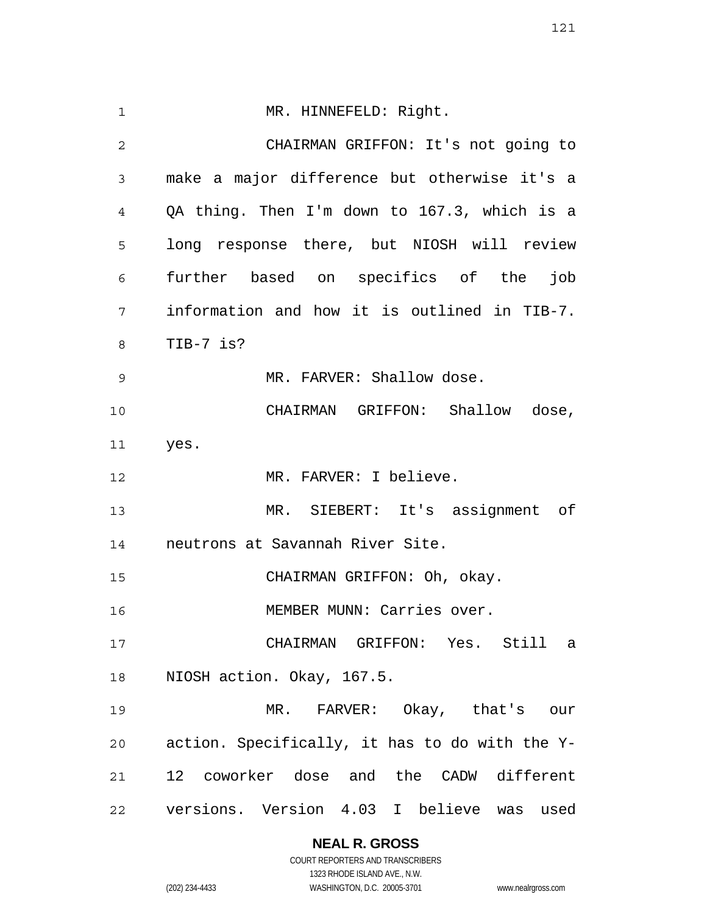1 MR. HINNEFELD: Right. CHAIRMAN GRIFFON: It's not going to make a major difference but otherwise it's a QA thing. Then I'm down to 167.3, which is a long response there, but NIOSH will review further based on specifics of the job information and how it is outlined in TIB-7. TIB-7 is? MR. FARVER: Shallow dose. CHAIRMAN GRIFFON: Shallow dose, yes. MR. FARVER: I believe. MR. SIEBERT: It's assignment of neutrons at Savannah River Site. CHAIRMAN GRIFFON: Oh, okay. 16 MEMBER MUNN: Carries over. CHAIRMAN GRIFFON: Yes. Still a NIOSH action. Okay, 167.5. MR. FARVER: Okay, that's our action. Specifically, it has to do with the Y-12 coworker dose and the CADW different versions. Version 4.03 I believe was used

> **NEAL R. GROSS**  COURT REPORTERS AND TRANSCRIBERS

1323 RHODE ISLAND AVE., N.W. (202) 234-4433 WASHINGTON, D.C. 20005-3701 www.nealrgross.com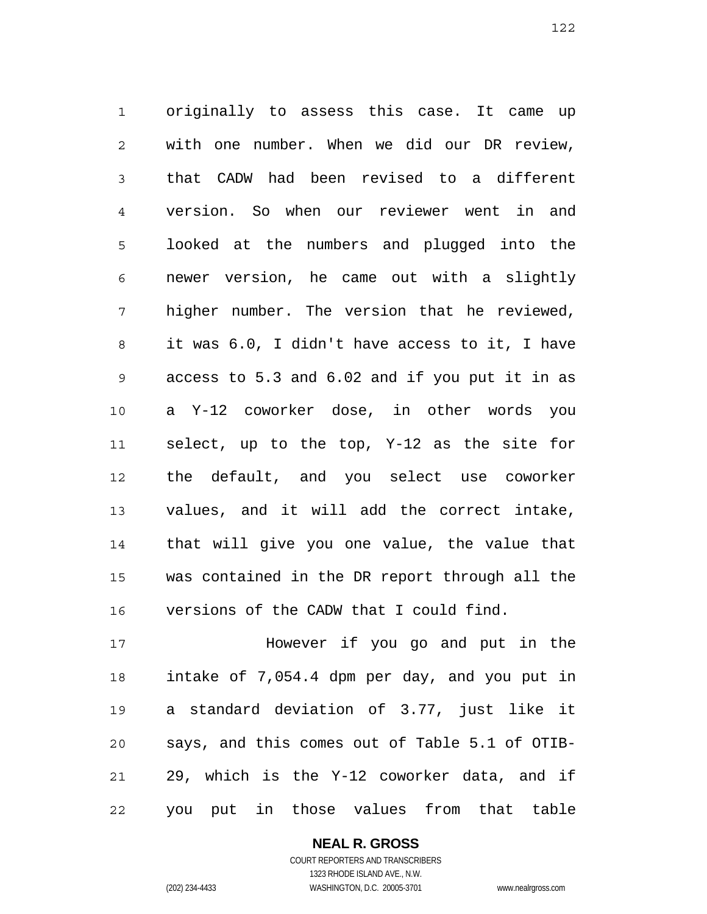originally to assess this case. It came up with one number. When we did our DR review, that CADW had been revised to a different version. So when our reviewer went in and looked at the numbers and plugged into the newer version, he came out with a slightly higher number. The version that he reviewed, it was 6.0, I didn't have access to it, I have access to 5.3 and 6.02 and if you put it in as a Y-12 coworker dose, in other words you select, up to the top, Y-12 as the site for the default, and you select use coworker values, and it will add the correct intake, that will give you one value, the value that was contained in the DR report through all the versions of the CADW that I could find.

However if you go and put in the intake of 7,054.4 dpm per day, and you put in a standard deviation of 3.77, just like it says, and this comes out of Table 5.1 of OTIB-29, which is the Y-12 coworker data, and if you put in those values from that table

> **NEAL R. GROSS**  COURT REPORTERS AND TRANSCRIBERS 1323 RHODE ISLAND AVE., N.W.

(202) 234-4433 WASHINGTON, D.C. 20005-3701 www.nealrgross.com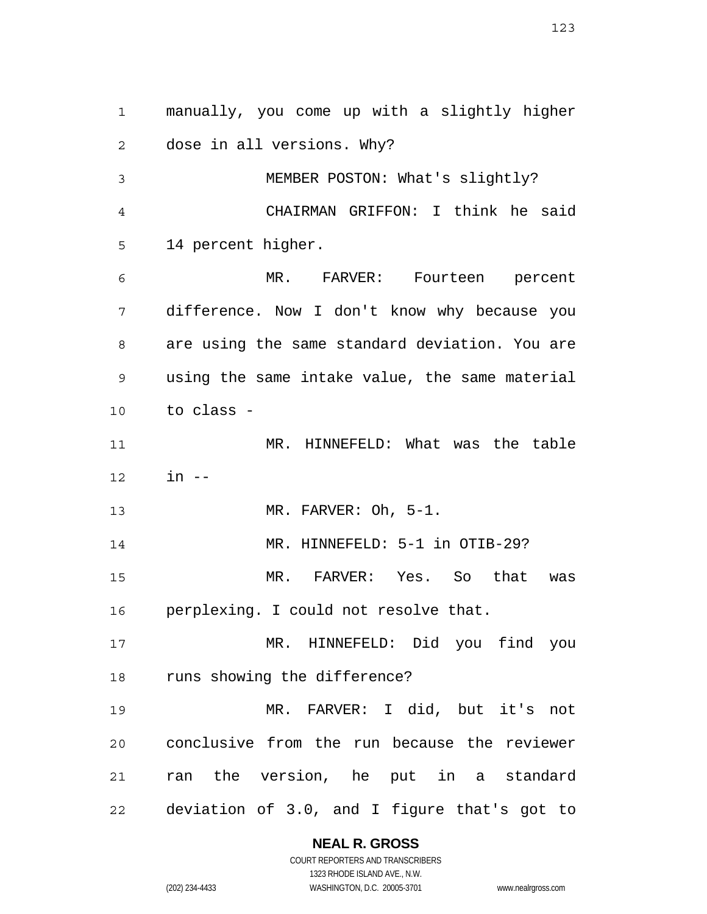manually, you come up with a slightly higher dose in all versions. Why? MEMBER POSTON: What's slightly? CHAIRMAN GRIFFON: I think he said 14 percent higher. MR. FARVER: Fourteen percent difference. Now I don't know why because you are using the same standard deviation. You are using the same intake value, the same material to class - MR. HINNEFELD: What was the table in -- 13 MR. FARVER: Oh, 5-1. MR. HINNEFELD: 5-1 in OTIB-29? MR. FARVER: Yes. So that was perplexing. I could not resolve that. MR. HINNEFELD: Did you find you runs showing the difference? MR. FARVER: I did, but it's not conclusive from the run because the reviewer ran the version, he put in a standard deviation of 3.0, and I figure that's got to

> **NEAL R. GROSS**  COURT REPORTERS AND TRANSCRIBERS

1323 RHODE ISLAND AVE., N.W. (202) 234-4433 WASHINGTON, D.C. 20005-3701 www.nealrgross.com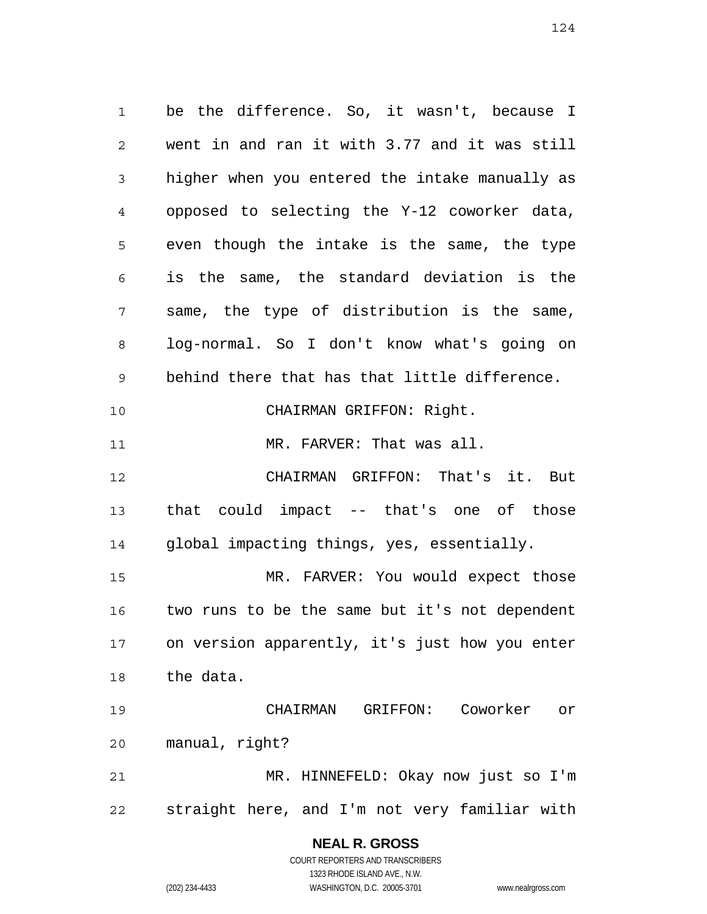be the difference. So, it wasn't, because I went in and ran it with 3.77 and it was still higher when you entered the intake manually as opposed to selecting the Y-12 coworker data, even though the intake is the same, the type is the same, the standard deviation is the same, the type of distribution is the same, log-normal. So I don't know what's going on behind there that has that little difference. CHAIRMAN GRIFFON: Right. 11 MR. FARVER: That was all. CHAIRMAN GRIFFON: That's it. But that could impact -- that's one of those global impacting things, yes, essentially. MR. FARVER: You would expect those two runs to be the same but it's not dependent on version apparently, it's just how you enter the data. CHAIRMAN GRIFFON: Coworker or manual, right? MR. HINNEFELD: Okay now just so I'm straight here, and I'm not very familiar with

> **NEAL R. GROSS**  COURT REPORTERS AND TRANSCRIBERS

> > 1323 RHODE ISLAND AVE., N.W.

(202) 234-4433 WASHINGTON, D.C. 20005-3701 www.nealrgross.com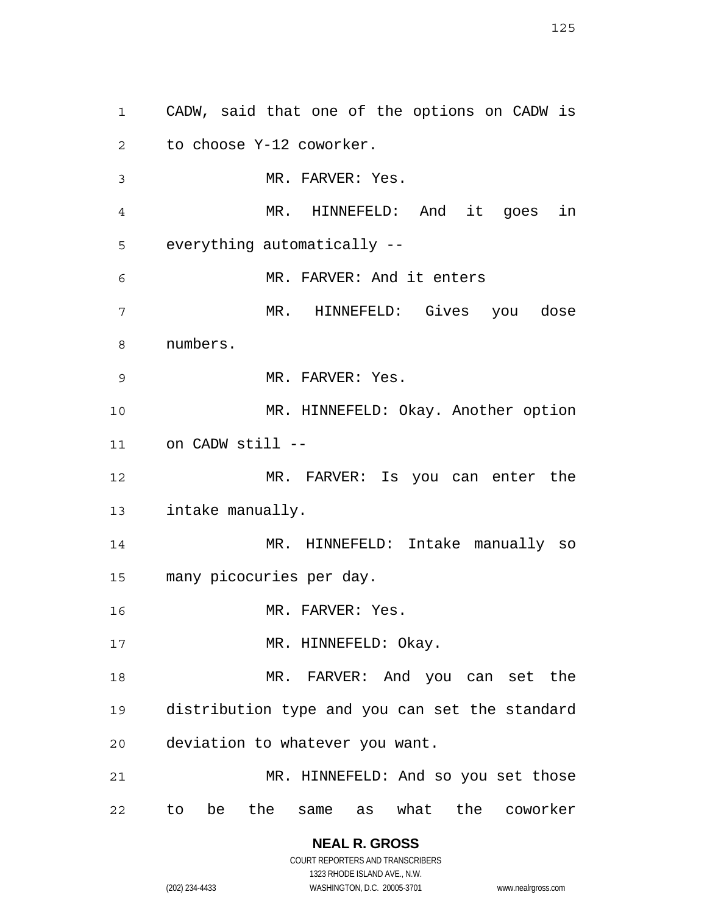CADW, said that one of the options on CADW is to choose Y-12 coworker. MR. FARVER: Yes. MR. HINNEFELD: And it goes in everything automatically -- MR. FARVER: And it enters MR. HINNEFELD: Gives you dose numbers. MR. FARVER: Yes. MR. HINNEFELD: Okay. Another option on CADW still -- MR. FARVER: Is you can enter the intake manually. MR. HINNEFELD: Intake manually so many picocuries per day. MR. FARVER: Yes. 17 MR. HINNEFELD: Okay. MR. FARVER: And you can set the distribution type and you can set the standard deviation to whatever you want. MR. HINNEFELD: And so you set those to be the same as what the coworker

> **NEAL R. GROSS**  COURT REPORTERS AND TRANSCRIBERS 1323 RHODE ISLAND AVE., N.W.

(202) 234-4433 WASHINGTON, D.C. 20005-3701 www.nealrgross.com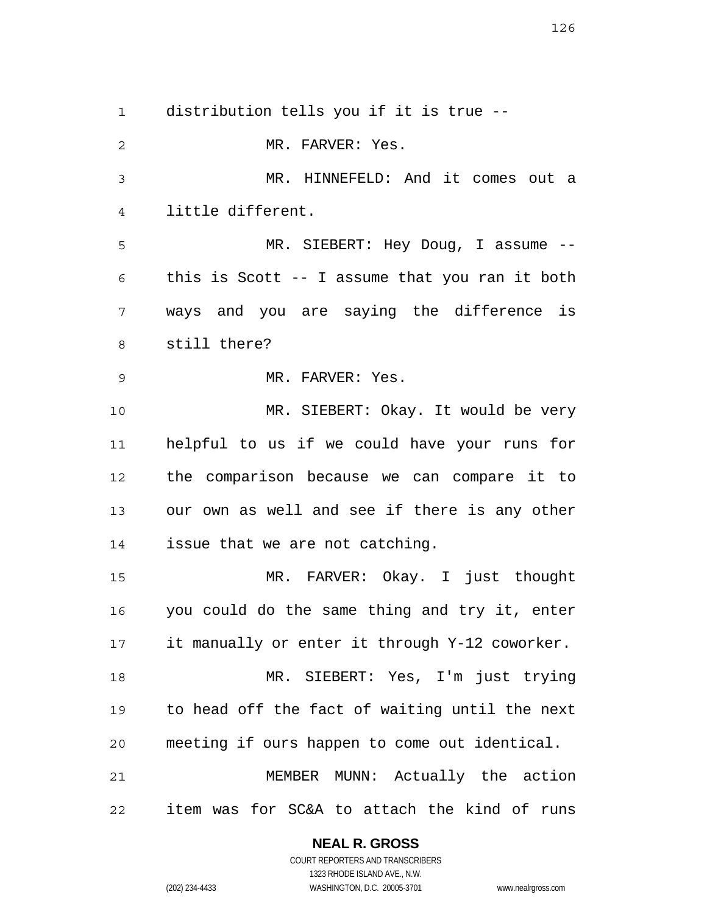distribution tells you if it is true -- MR. FARVER: Yes. MR. HINNEFELD: And it comes out a little different. MR. SIEBERT: Hey Doug, I assume -- this is Scott -- I assume that you ran it both ways and you are saying the difference is still there? MR. FARVER: Yes. MR. SIEBERT: Okay. It would be very helpful to us if we could have your runs for the comparison because we can compare it to our own as well and see if there is any other issue that we are not catching. MR. FARVER: Okay. I just thought you could do the same thing and try it, enter it manually or enter it through Y-12 coworker. MR. SIEBERT: Yes, I'm just trying to head off the fact of waiting until the next meeting if ours happen to come out identical. MEMBER MUNN: Actually the action item was for SC&A to attach the kind of runs

> **NEAL R. GROSS**  COURT REPORTERS AND TRANSCRIBERS

> > 1323 RHODE ISLAND AVE., N.W.

(202) 234-4433 WASHINGTON, D.C. 20005-3701 www.nealrgross.com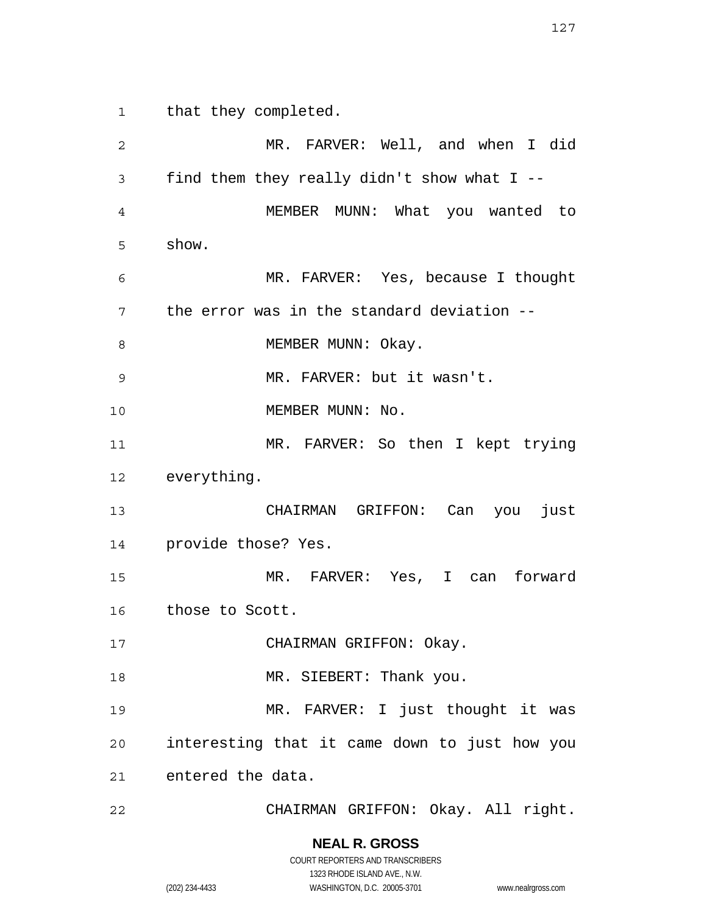that they completed.

MR. FARVER: Well, and when I did find them they really didn't show what I -- MEMBER MUNN: What you wanted to show. MR. FARVER: Yes, because I thought the error was in the standard deviation -- 8 MEMBER MUNN: Okay. MR. FARVER: but it wasn't. 10 MEMBER MUNN: No. MR. FARVER: So then I kept trying everything. CHAIRMAN GRIFFON: Can you just provide those? Yes. MR. FARVER: Yes, I can forward those to Scott. 17 CHAIRMAN GRIFFON: Okay. 18 MR. SIEBERT: Thank you. MR. FARVER: I just thought it was interesting that it came down to just how you entered the data. CHAIRMAN GRIFFON: Okay. All right.

COURT REPORTERS AND TRANSCRIBERS 1323 RHODE ISLAND AVE., N.W.

**NEAL R. GROSS** 

(202) 234-4433 WASHINGTON, D.C. 20005-3701 www.nealrgross.com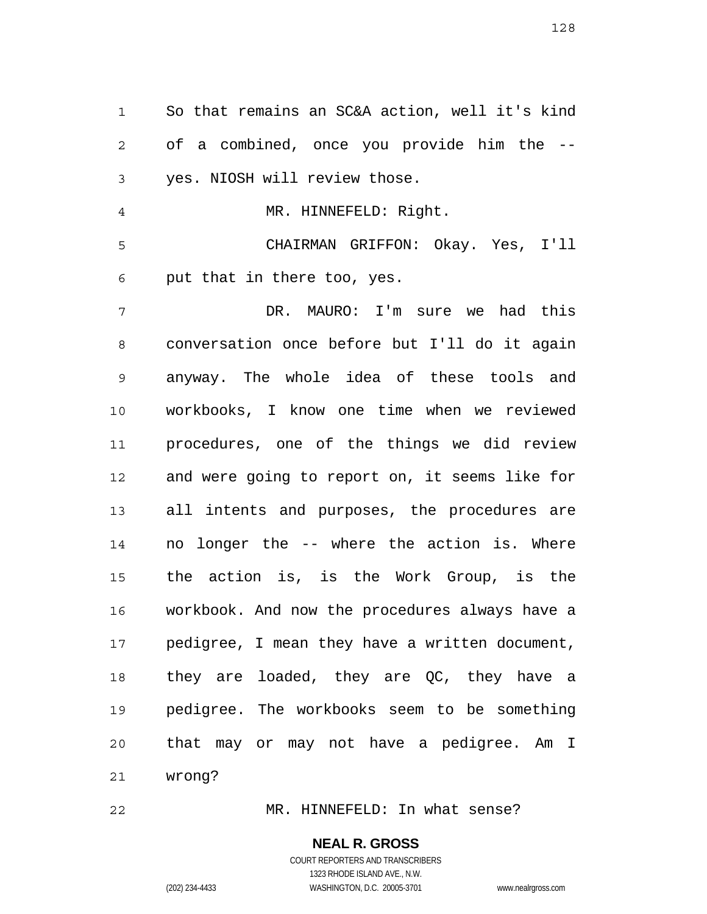So that remains an SC&A action, well it's kind of a combined, once you provide him the -- yes. NIOSH will review those. MR. HINNEFELD: Right. CHAIRMAN GRIFFON: Okay. Yes, I'll put that in there too, yes. DR. MAURO: I'm sure we had this conversation once before but I'll do it again anyway. The whole idea of these tools and workbooks, I know one time when we reviewed procedures, one of the things we did review and were going to report on, it seems like for all intents and purposes, the procedures are no longer the -- where the action is. Where the action is, is the Work Group, is the workbook. And now the procedures always have a pedigree, I mean they have a written document, they are loaded, they are QC, they have a pedigree. The workbooks seem to be something that may or may not have a pedigree. Am I wrong?

MR. HINNEFELD: In what sense?

**NEAL R. GROSS**  COURT REPORTERS AND TRANSCRIBERS

1323 RHODE ISLAND AVE., N.W.

(202) 234-4433 WASHINGTON, D.C. 20005-3701 www.nealrgross.com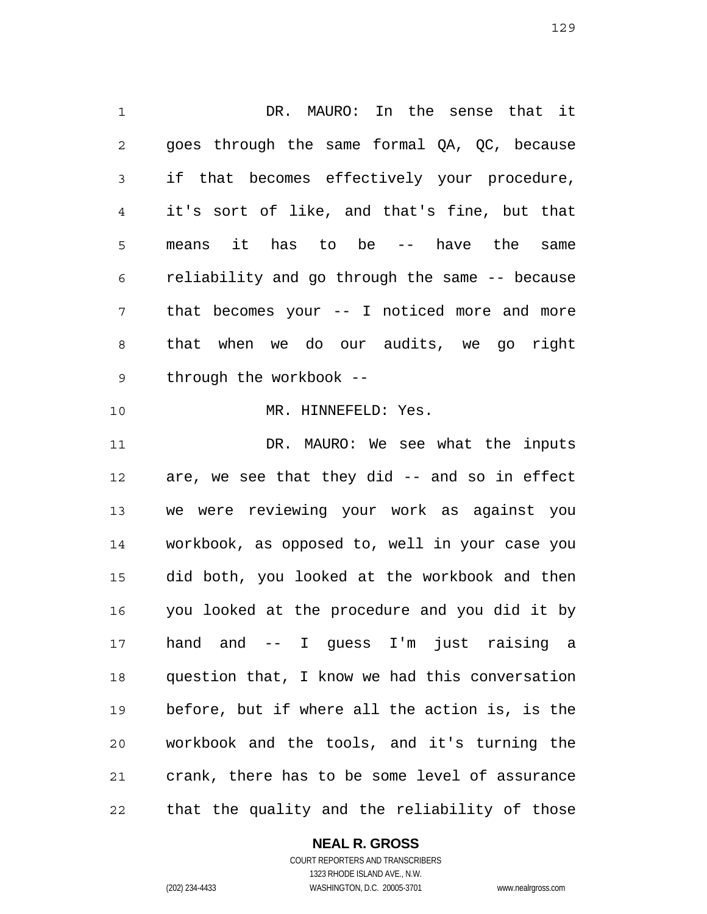DR. MAURO: In the sense that it goes through the same formal QA, QC, because if that becomes effectively your procedure, it's sort of like, and that's fine, but that means it has to be -- have the same reliability and go through the same -- because that becomes your -- I noticed more and more that when we do our audits, we go right through the workbook -- 10 MR. HINNEFELD: Yes. 11 DR. MAURO: We see what the inputs are, we see that they did -- and so in effect we were reviewing your work as against you workbook, as opposed to, well in your case you did both, you looked at the workbook and then you looked at the procedure and you did it by hand and -- I guess I'm just raising a question that, I know we had this conversation before, but if where all the action is, is the workbook and the tools, and it's turning the crank, there has to be some level of assurance that the quality and the reliability of those

> **NEAL R. GROSS**  COURT REPORTERS AND TRANSCRIBERS

1323 RHODE ISLAND AVE., N.W. (202) 234-4433 WASHINGTON, D.C. 20005-3701 www.nealrgross.com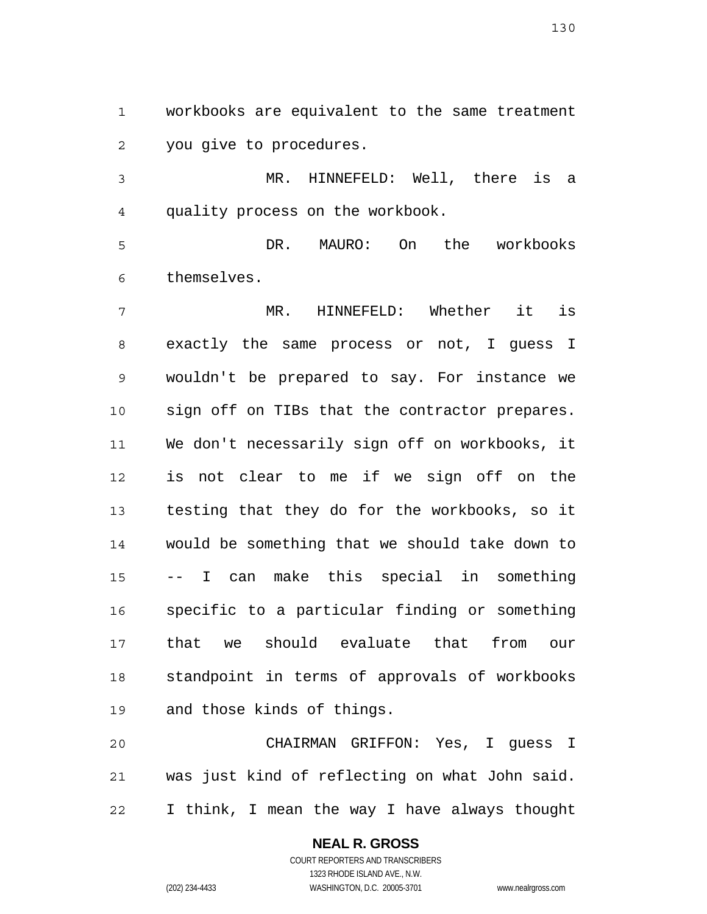workbooks are equivalent to the same treatment you give to procedures.

MR. HINNEFELD: Well, there is a quality process on the workbook.

DR. MAURO: On the workbooks themselves.

MR. HINNEFELD: Whether it is exactly the same process or not, I guess I wouldn't be prepared to say. For instance we sign off on TIBs that the contractor prepares. We don't necessarily sign off on workbooks, it is not clear to me if we sign off on the testing that they do for the workbooks, so it would be something that we should take down to -- I can make this special in something specific to a particular finding or something that we should evaluate that from our standpoint in terms of approvals of workbooks and those kinds of things.

CHAIRMAN GRIFFON: Yes, I guess I was just kind of reflecting on what John said. I think, I mean the way I have always thought

> **NEAL R. GROSS**  COURT REPORTERS AND TRANSCRIBERS 1323 RHODE ISLAND AVE., N.W. (202) 234-4433 WASHINGTON, D.C. 20005-3701 www.nealrgross.com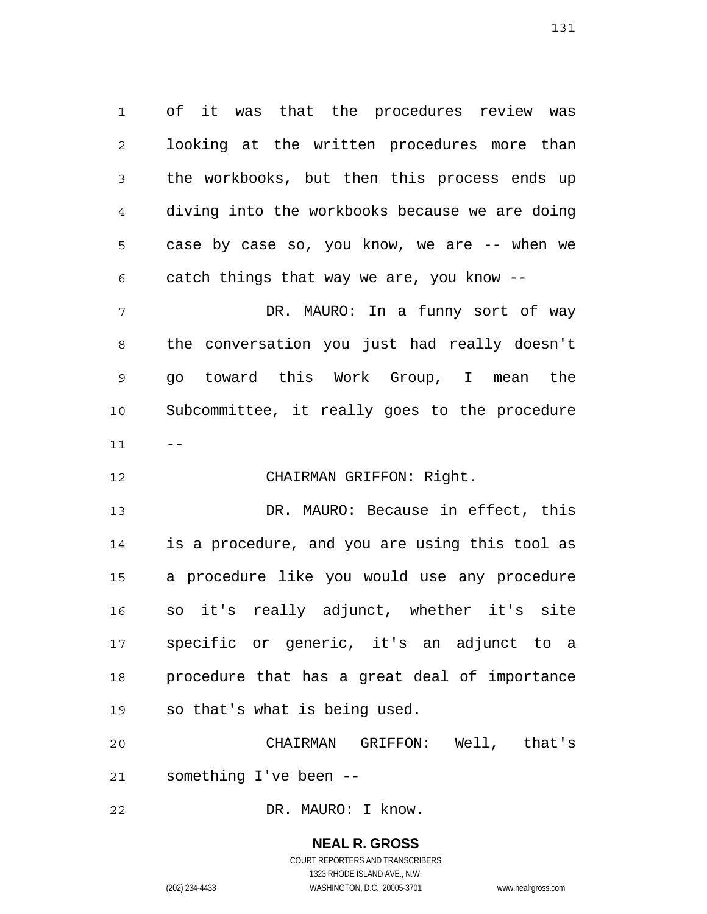of it was that the procedures review was looking at the written procedures more than the workbooks, but then this process ends up diving into the workbooks because we are doing case by case so, you know, we are -- when we catch things that way we are, you know --

DR. MAURO: In a funny sort of way the conversation you just had really doesn't go toward this Work Group, I mean the Subcommittee, it really goes to the procedure  $11 - -$ 

#### CHAIRMAN GRIFFON: Right.

DR. MAURO: Because in effect, this is a procedure, and you are using this tool as a procedure like you would use any procedure so it's really adjunct, whether it's site specific or generic, it's an adjunct to a procedure that has a great deal of importance so that's what is being used.

CHAIRMAN GRIFFON: Well, that's something I've been --

DR. MAURO: I know.

**NEAL R. GROSS**  COURT REPORTERS AND TRANSCRIBERS

1323 RHODE ISLAND AVE., N.W. (202) 234-4433 WASHINGTON, D.C. 20005-3701 www.nealrgross.com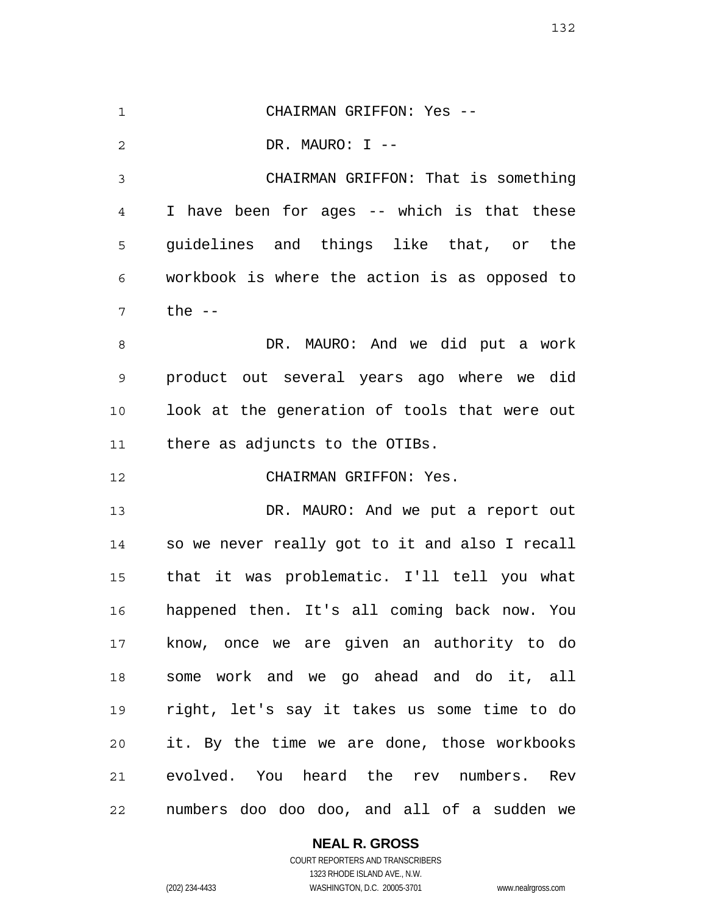| 1              | CHAIRMAN GRIFFON: Yes --                       |
|----------------|------------------------------------------------|
| $\overline{2}$ | DR. MAURO: I --                                |
| 3              | CHAIRMAN GRIFFON: That is something            |
| 4              | I have been for ages -- which is that these    |
| 5              | guidelines and things like that, or the        |
| 6              | workbook is where the action is as opposed to  |
| 7              | the $--$                                       |
| 8              | DR. MAURO: And we did put a work               |
| $\mathsf 9$    | product out several years ago where we did     |
| 10             | look at the generation of tools that were out  |
| 11             | there as adjuncts to the OTIBs.                |
| 12             | CHAIRMAN GRIFFON: Yes.                         |
| 13             | DR. MAURO: And we put a report out             |
| 14             | so we never really got to it and also I recall |
| 15             | that it was problematic. I'll tell you what    |
| 16             | happened then. It's all coming back now. You   |
| 17             | know, once we are given an authority to do     |
| 18             | some work and we go ahead and do it, all       |
| 19             | right, let's say it takes us some time to do   |
| 20             | it. By the time we are done, those workbooks   |
| 21             | evolved. You heard the rev numbers. Rev        |
| 22             | numbers doo doo doo, and all of a sudden we    |

# **NEAL R. GROSS**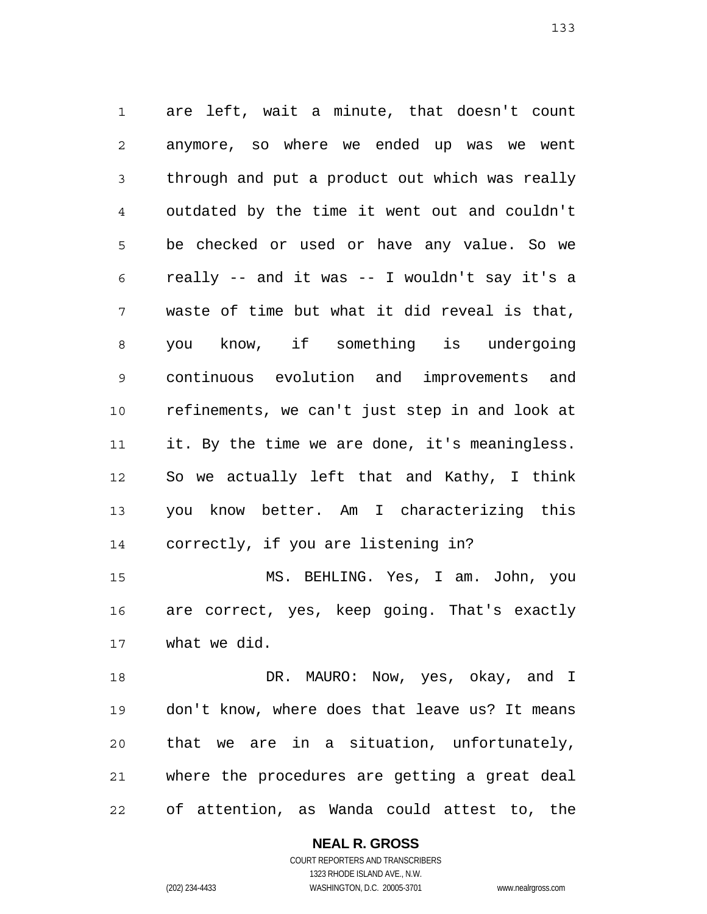are left, wait a minute, that doesn't count anymore, so where we ended up was we went through and put a product out which was really outdated by the time it went out and couldn't be checked or used or have any value. So we really -- and it was -- I wouldn't say it's a waste of time but what it did reveal is that, you know, if something is undergoing continuous evolution and improvements and refinements, we can't just step in and look at it. By the time we are done, it's meaningless. So we actually left that and Kathy, I think you know better. Am I characterizing this correctly, if you are listening in? MS. BEHLING. Yes, I am. John, you

are correct, yes, keep going. That's exactly what we did.

18 DR. MAURO: Now, yes, okay, and I don't know, where does that leave us? It means that we are in a situation, unfortunately, where the procedures are getting a great deal of attention, as Wanda could attest to, the

### **NEAL R. GROSS**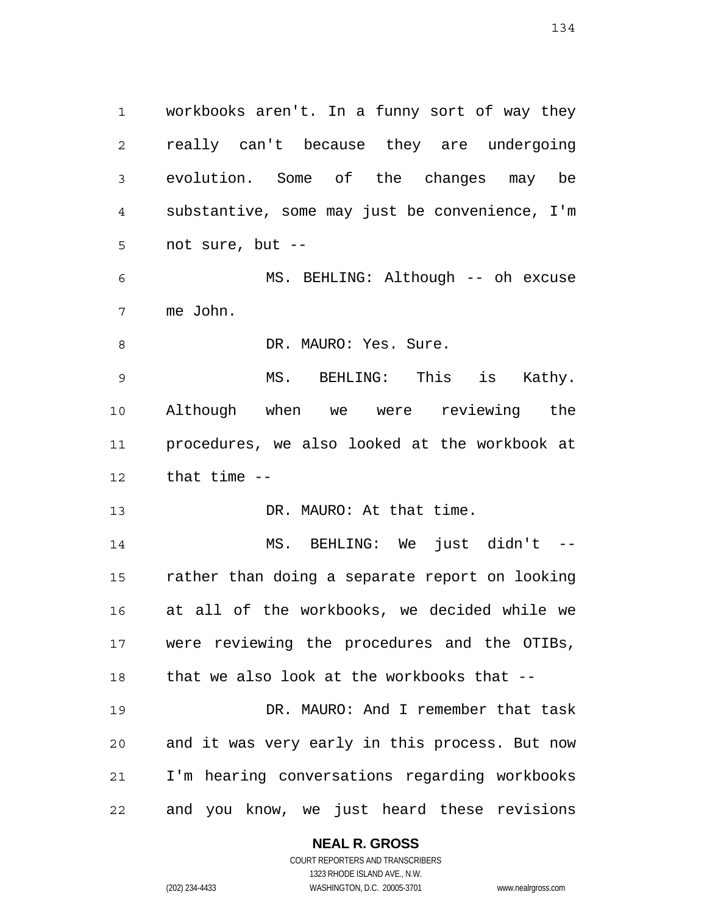workbooks aren't. In a funny sort of way they really can't because they are undergoing evolution. Some of the changes may be substantive, some may just be convenience, I'm not sure, but --

MS. BEHLING: Although -- oh excuse me John.

8 DR. MAURO: Yes. Sure.

MS. BEHLING: This is Kathy. Although when we were reviewing the procedures, we also looked at the workbook at that time --

13 DR. MAURO: At that time.

MS. BEHLING: We just didn't -- rather than doing a separate report on looking at all of the workbooks, we decided while we were reviewing the procedures and the OTIBs, that we also look at the workbooks that --

DR. MAURO: And I remember that task and it was very early in this process. But now I'm hearing conversations regarding workbooks and you know, we just heard these revisions

**NEAL R. GROSS** 

COURT REPORTERS AND TRANSCRIBERS 1323 RHODE ISLAND AVE., N.W. (202) 234-4433 WASHINGTON, D.C. 20005-3701 www.nealrgross.com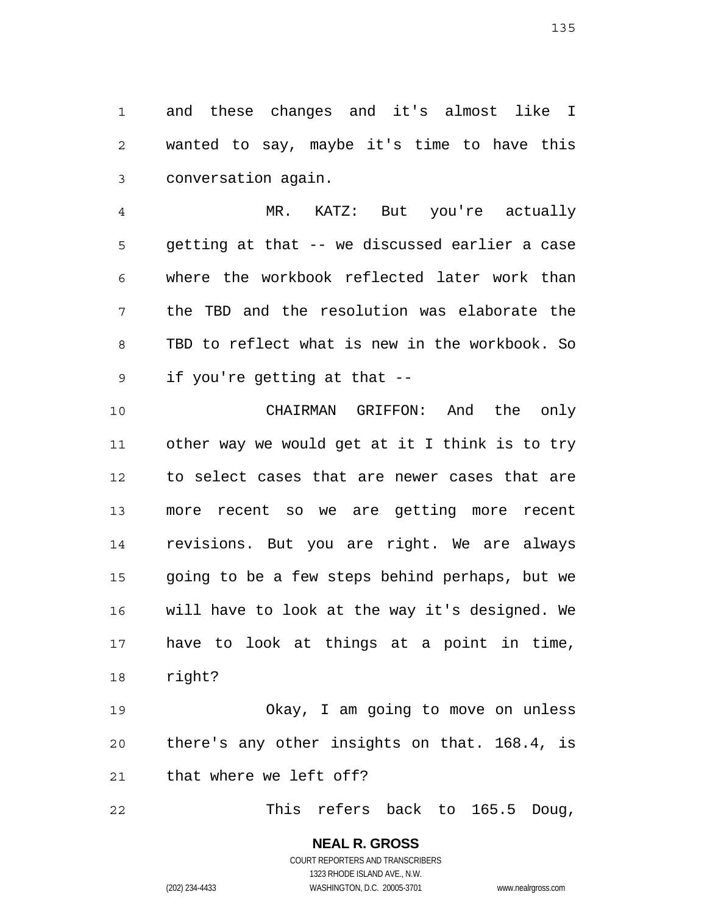and these changes and it's almost like I wanted to say, maybe it's time to have this conversation again.

MR. KATZ: But you're actually getting at that -- we discussed earlier a case where the workbook reflected later work than the TBD and the resolution was elaborate the TBD to reflect what is new in the workbook. So if you're getting at that --

CHAIRMAN GRIFFON: And the only other way we would get at it I think is to try to select cases that are newer cases that are more recent so we are getting more recent revisions. But you are right. We are always going to be a few steps behind perhaps, but we will have to look at the way it's designed. We have to look at things at a point in time, right?

Okay, I am going to move on unless there's any other insights on that. 168.4, is that where we left off?

This refers back to 165.5 Doug,

**NEAL R. GROSS**  COURT REPORTERS AND TRANSCRIBERS 1323 RHODE ISLAND AVE., N.W. (202) 234-4433 WASHINGTON, D.C. 20005-3701 www.nealrgross.com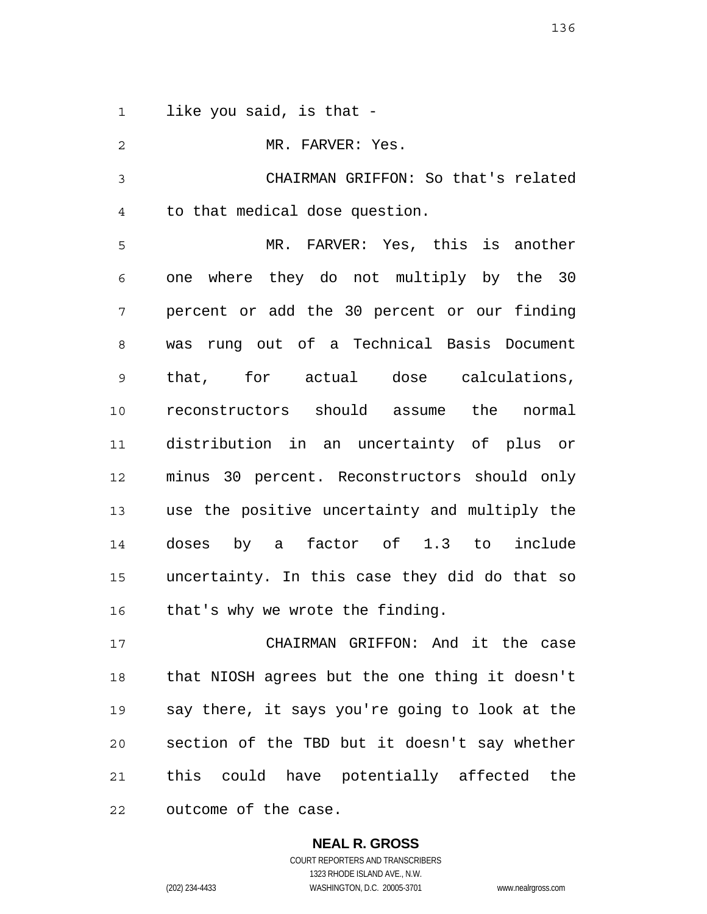like you said, is that -

MR. FARVER: Yes. CHAIRMAN GRIFFON: So that's related to that medical dose question. MR. FARVER: Yes, this is another one where they do not multiply by the 30 percent or add the 30 percent or our finding was rung out of a Technical Basis Document that, for actual dose calculations, reconstructors should assume the normal distribution in an uncertainty of plus or minus 30 percent. Reconstructors should only use the positive uncertainty and multiply the doses by a factor of 1.3 to include uncertainty. In this case they did do that so that's why we wrote the finding.

CHAIRMAN GRIFFON: And it the case that NIOSH agrees but the one thing it doesn't say there, it says you're going to look at the section of the TBD but it doesn't say whether this could have potentially affected the outcome of the case.

**NEAL R. GROSS** 

COURT REPORTERS AND TRANSCRIBERS 1323 RHODE ISLAND AVE., N.W. (202) 234-4433 WASHINGTON, D.C. 20005-3701 www.nealrgross.com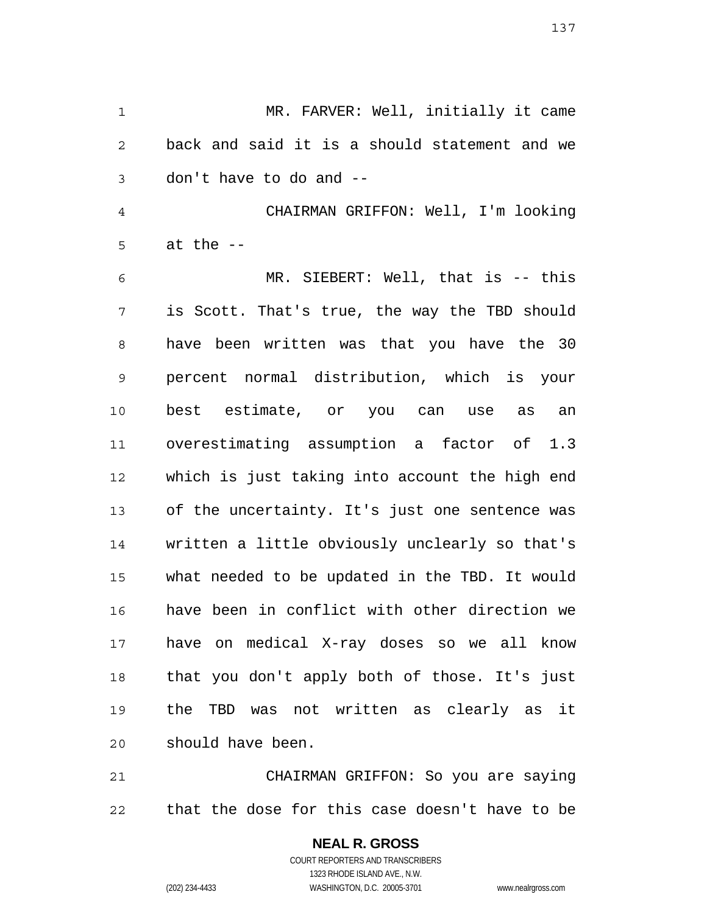MR. FARVER: Well, initially it came back and said it is a should statement and we don't have to do and --

CHAIRMAN GRIFFON: Well, I'm looking at the --

MR. SIEBERT: Well, that is -- this is Scott. That's true, the way the TBD should have been written was that you have the 30 percent normal distribution, which is your best estimate, or you can use as an overestimating assumption a factor of 1.3 which is just taking into account the high end of the uncertainty. It's just one sentence was written a little obviously unclearly so that's what needed to be updated in the TBD. It would have been in conflict with other direction we have on medical X-ray doses so we all know that you don't apply both of those. It's just the TBD was not written as clearly as it should have been.

CHAIRMAN GRIFFON: So you are saying that the dose for this case doesn't have to be

> **NEAL R. GROSS**  COURT REPORTERS AND TRANSCRIBERS 1323 RHODE ISLAND AVE., N.W. (202) 234-4433 WASHINGTON, D.C. 20005-3701 www.nealrgross.com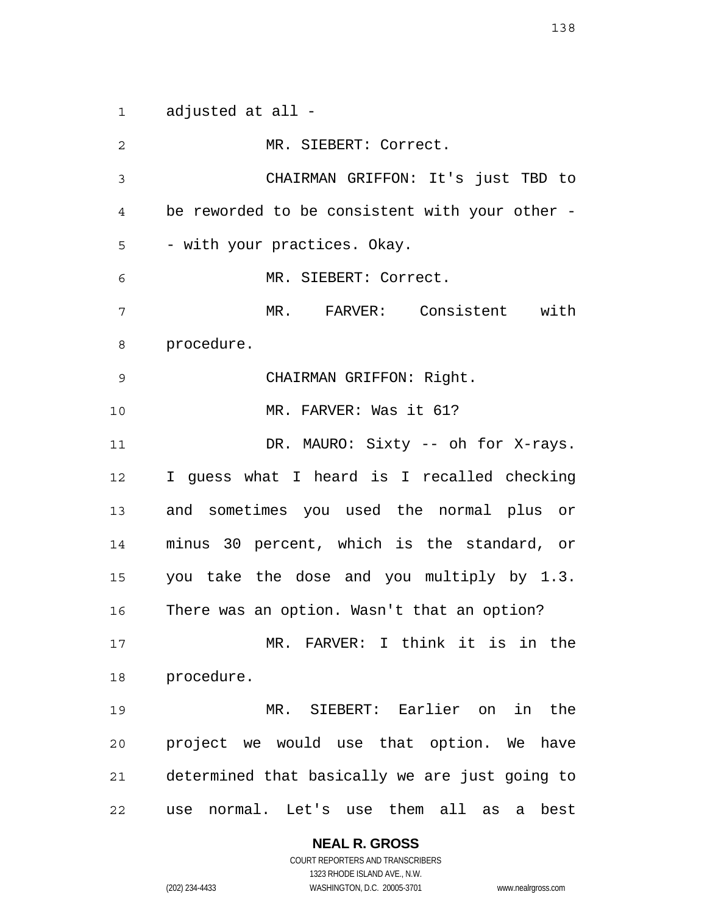adjusted at all -

MR. SIEBERT: Correct. CHAIRMAN GRIFFON: It's just TBD to be reworded to be consistent with your other - - with your practices. Okay. MR. SIEBERT: Correct. MR. FARVER: Consistent with procedure. CHAIRMAN GRIFFON: Right. MR. FARVER: Was it 61? 11 DR. MAURO: Sixty -- oh for X-rays. I guess what I heard is I recalled checking and sometimes you used the normal plus or minus 30 percent, which is the standard, or you take the dose and you multiply by 1.3. There was an option. Wasn't that an option? MR. FARVER: I think it is in the procedure. MR. SIEBERT: Earlier on in the project we would use that option. We have determined that basically we are just going to use normal. Let's use them all as a best

> **NEAL R. GROSS**  COURT REPORTERS AND TRANSCRIBERS

1323 RHODE ISLAND AVE., N.W. (202) 234-4433 WASHINGTON, D.C. 20005-3701 www.nealrgross.com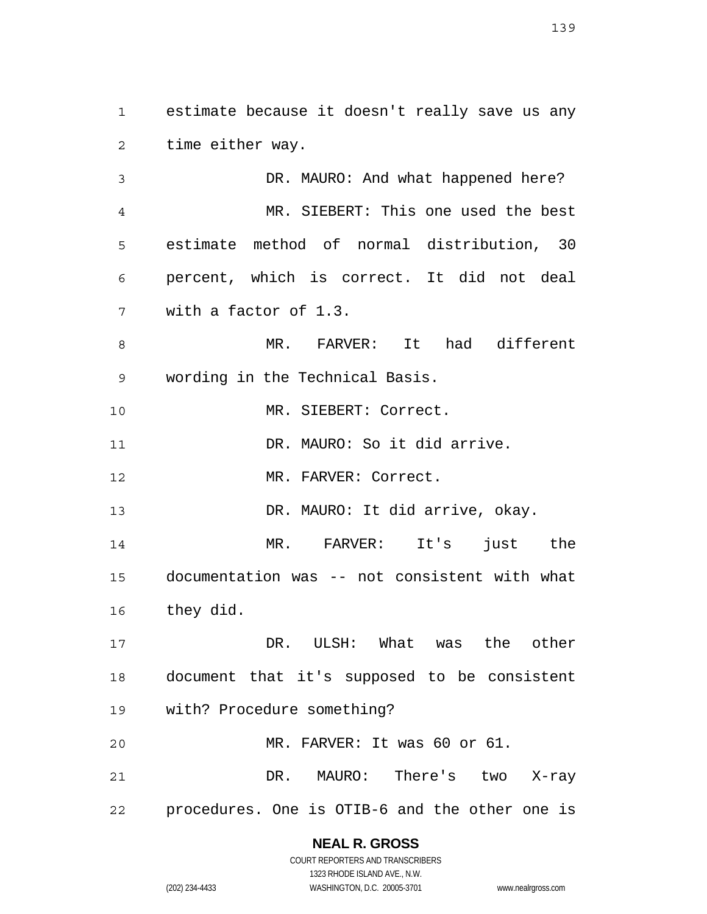estimate because it doesn't really save us any time either way.

DR. MAURO: And what happened here? MR. SIEBERT: This one used the best estimate method of normal distribution, 30 percent, which is correct. It did not deal with a factor of 1.3.

MR. FARVER: It had different wording in the Technical Basis.

MR. SIEBERT: Correct.

11 DR. MAURO: So it did arrive.

MR. FARVER: Correct.

DR. MAURO: It did arrive, okay.

MR. FARVER: It's just the documentation was -- not consistent with what they did.

DR. ULSH: What was the other document that it's supposed to be consistent with? Procedure something? MR. FARVER: It was 60 or 61.

DR. MAURO: There's two X-ray procedures. One is OTIB-6 and the other one is

## **NEAL R. GROSS**

COURT REPORTERS AND TRANSCRIBERS 1323 RHODE ISLAND AVE., N.W. (202) 234-4433 WASHINGTON, D.C. 20005-3701 www.nealrgross.com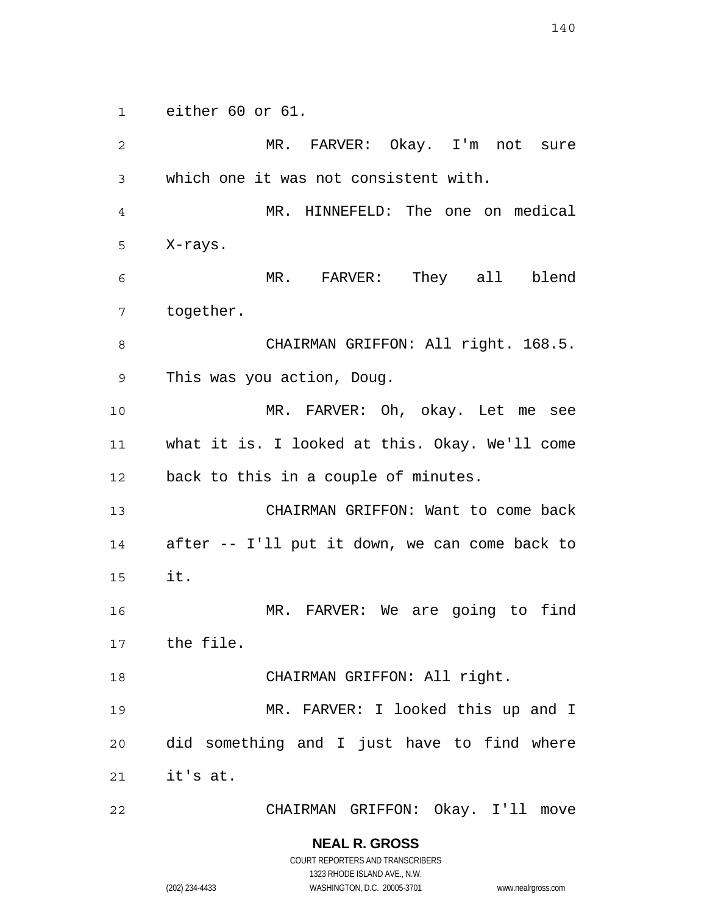either 60 or 61.

MR. FARVER: Okay. I'm not sure which one it was not consistent with. MR. HINNEFELD: The one on medical X-rays. MR. FARVER: They all blend together. 8 CHAIRMAN GRIFFON: All right. 168.5. This was you action, Doug. MR. FARVER: Oh, okay. Let me see what it is. I looked at this. Okay. We'll come back to this in a couple of minutes. CHAIRMAN GRIFFON: Want to come back after -- I'll put it down, we can come back to it. MR. FARVER: We are going to find the file. 18 CHAIRMAN GRIFFON: All right. MR. FARVER: I looked this up and I did something and I just have to find where it's at. CHAIRMAN GRIFFON: Okay. I'll move

1323 RHODE ISLAND AVE., N.W.

(202) 234-4433 WASHINGTON, D.C. 20005-3701 www.nealrgross.com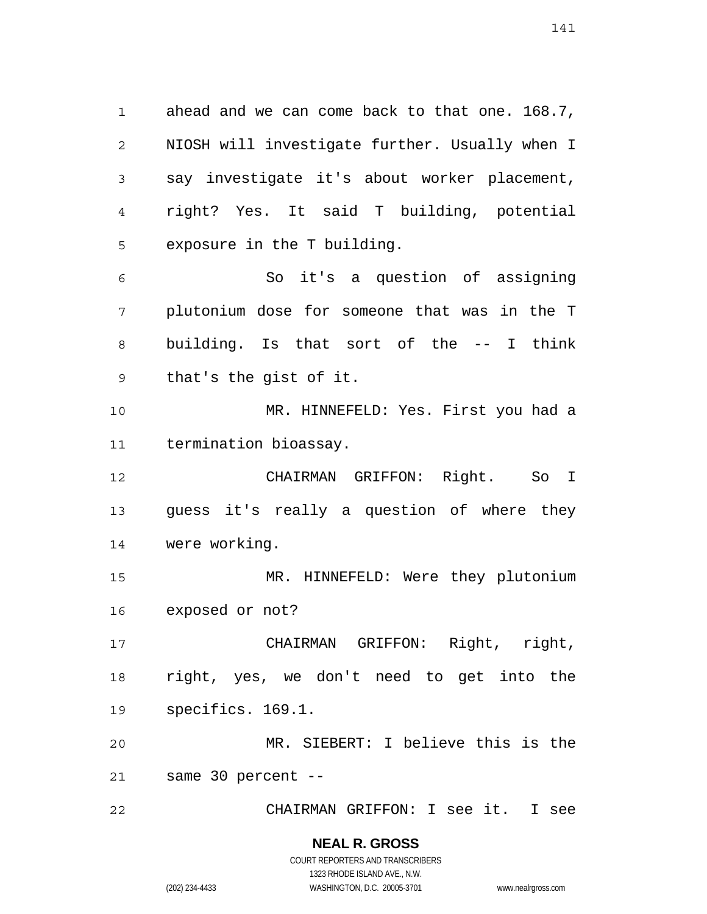ahead and we can come back to that one. 168.7, NIOSH will investigate further. Usually when I say investigate it's about worker placement, right? Yes. It said T building, potential exposure in the T building.

So it's a question of assigning plutonium dose for someone that was in the T building. Is that sort of the -- I think that's the gist of it.

MR. HINNEFELD: Yes. First you had a termination bioassay.

CHAIRMAN GRIFFON: Right. So I guess it's really a question of where they were working.

MR. HINNEFELD: Were they plutonium exposed or not?

CHAIRMAN GRIFFON: Right, right, right, yes, we don't need to get into the specifics. 169.1.

MR. SIEBERT: I believe this is the same 30 percent --

CHAIRMAN GRIFFON: I see it. I see

1323 RHODE ISLAND AVE., N.W.

(202) 234-4433 WASHINGTON, D.C. 20005-3701 www.nealrgross.com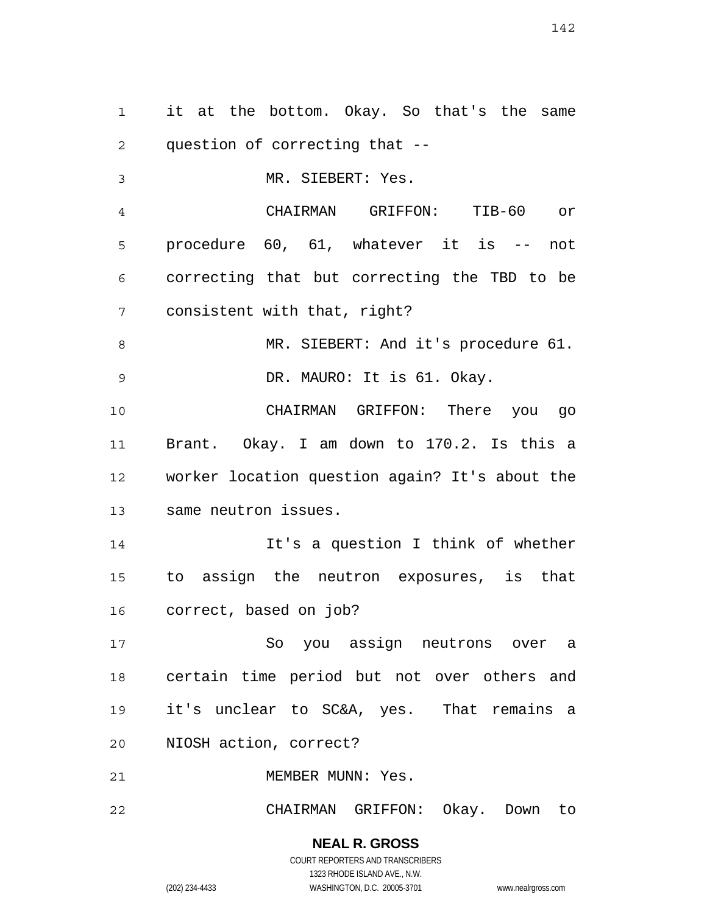it at the bottom. Okay. So that's the same question of correcting that -- MR. SIEBERT: Yes. CHAIRMAN GRIFFON: TIB-60 or procedure 60, 61, whatever it is -- not correcting that but correcting the TBD to be consistent with that, right? 8 MR. SIEBERT: And it's procedure 61. 9 DR. MAURO: It is 61. Okay. CHAIRMAN GRIFFON: There you go Brant. Okay. I am down to 170.2. Is this a worker location question again? It's about the same neutron issues. It's a question I think of whether to assign the neutron exposures, is that correct, based on job? So you assign neutrons over a certain time period but not over others and it's unclear to SC&A, yes. That remains a NIOSH action, correct? MEMBER MUNN: Yes.

CHAIRMAN GRIFFON: Okay. Down to

**NEAL R. GROSS**  COURT REPORTERS AND TRANSCRIBERS 1323 RHODE ISLAND AVE., N.W. (202) 234-4433 WASHINGTON, D.C. 20005-3701 www.nealrgross.com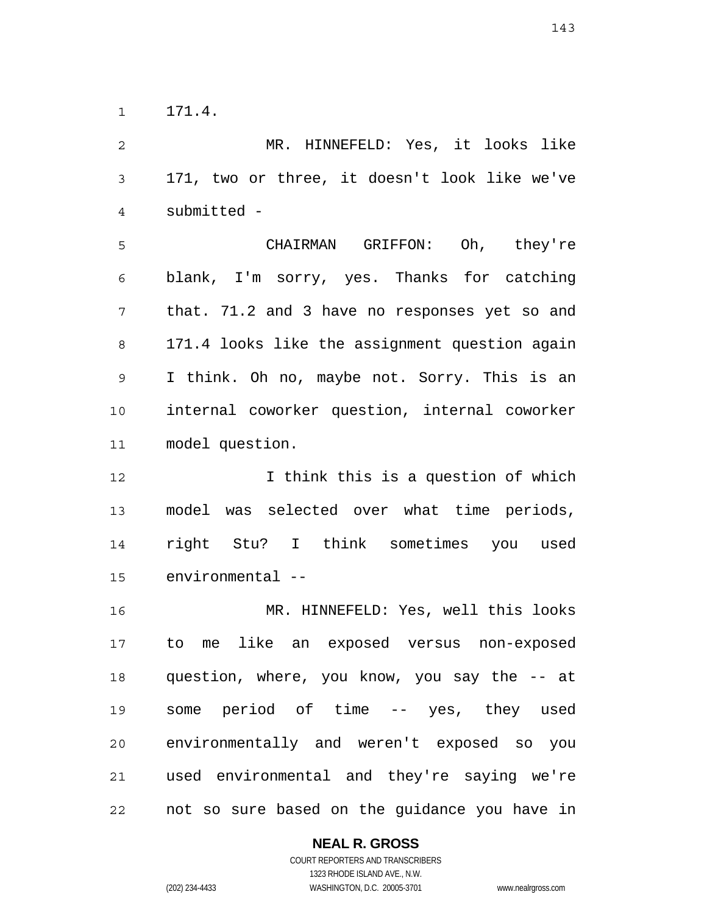171.4.

MR. HINNEFELD: Yes, it looks like 171, two or three, it doesn't look like we've submitted -

CHAIRMAN GRIFFON: Oh, they're blank, I'm sorry, yes. Thanks for catching that. 71.2 and 3 have no responses yet so and 171.4 looks like the assignment question again I think. Oh no, maybe not. Sorry. This is an internal coworker question, internal coworker model question.

I think this is a question of which model was selected over what time periods, right Stu? I think sometimes you used environmental --

MR. HINNEFELD: Yes, well this looks to me like an exposed versus non-exposed question, where, you know, you say the -- at some period of time -- yes, they used environmentally and weren't exposed so you used environmental and they're saying we're not so sure based on the guidance you have in

### **NEAL R. GROSS**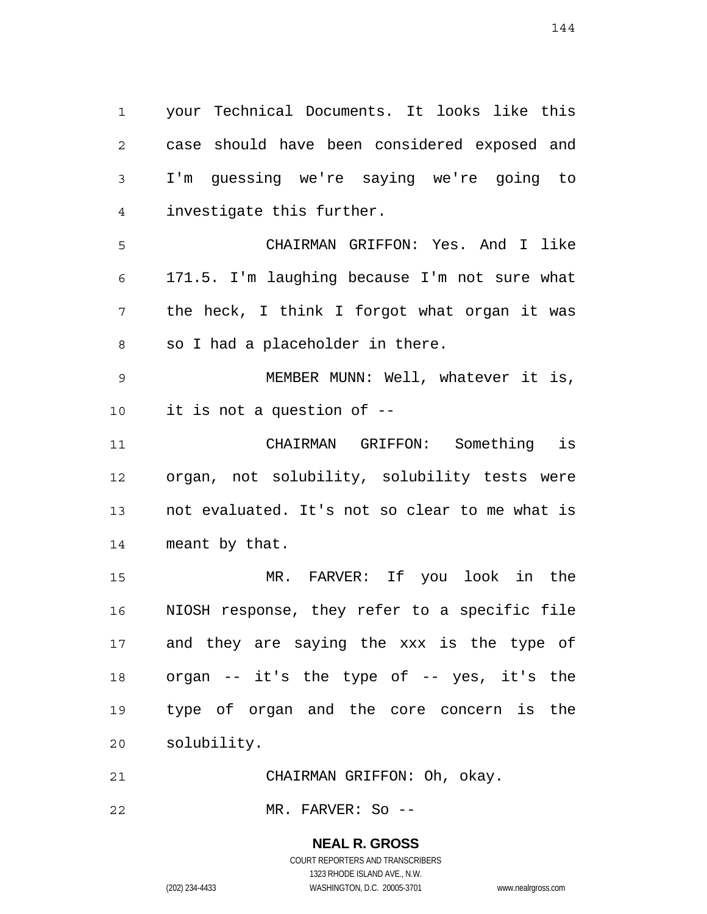your Technical Documents. It looks like this case should have been considered exposed and I'm guessing we're saying we're going to

CHAIRMAN GRIFFON: Yes. And I like 171.5. I'm laughing because I'm not sure what the heck, I think I forgot what organ it was so I had a placeholder in there.

investigate this further.

MEMBER MUNN: Well, whatever it is, it is not a question of --

CHAIRMAN GRIFFON: Something is organ, not solubility, solubility tests were not evaluated. It's not so clear to me what is meant by that.

MR. FARVER: If you look in the NIOSH response, they refer to a specific file and they are saying the xxx is the type of organ -- it's the type of -- yes, it's the type of organ and the core concern is the solubility.

CHAIRMAN GRIFFON: Oh, okay.

MR. FARVER: So --

**NEAL R. GROSS**  COURT REPORTERS AND TRANSCRIBERS

1323 RHODE ISLAND AVE., N.W.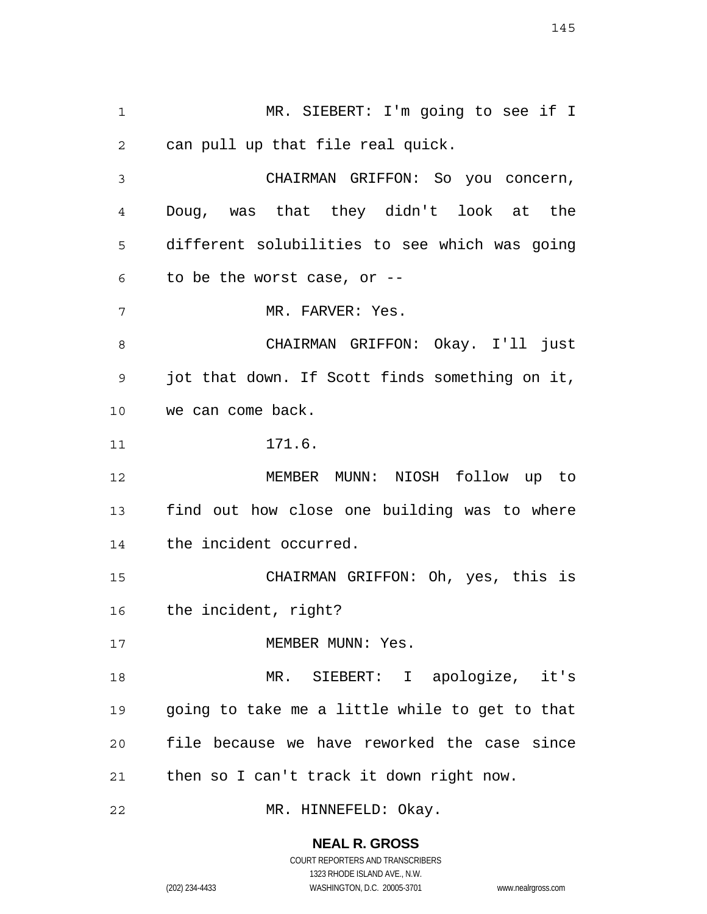MR. SIEBERT: I'm going to see if I can pull up that file real quick. CHAIRMAN GRIFFON: So you concern, Doug, was that they didn't look at the different solubilities to see which was going to be the worst case, or -- MR. FARVER: Yes. CHAIRMAN GRIFFON: Okay. I'll just jot that down. If Scott finds something on it, we can come back. 11 171.6. MEMBER MUNN: NIOSH follow up to find out how close one building was to where the incident occurred. CHAIRMAN GRIFFON: Oh, yes, this is the incident, right? 17 MEMBER MUNN: Yes. MR. SIEBERT: I apologize, it's going to take me a little while to get to that file because we have reworked the case since then so I can't track it down right now. MR. HINNEFELD: Okay.

> **NEAL R. GROSS**  COURT REPORTERS AND TRANSCRIBERS

> > 1323 RHODE ISLAND AVE., N.W.

(202) 234-4433 WASHINGTON, D.C. 20005-3701 www.nealrgross.com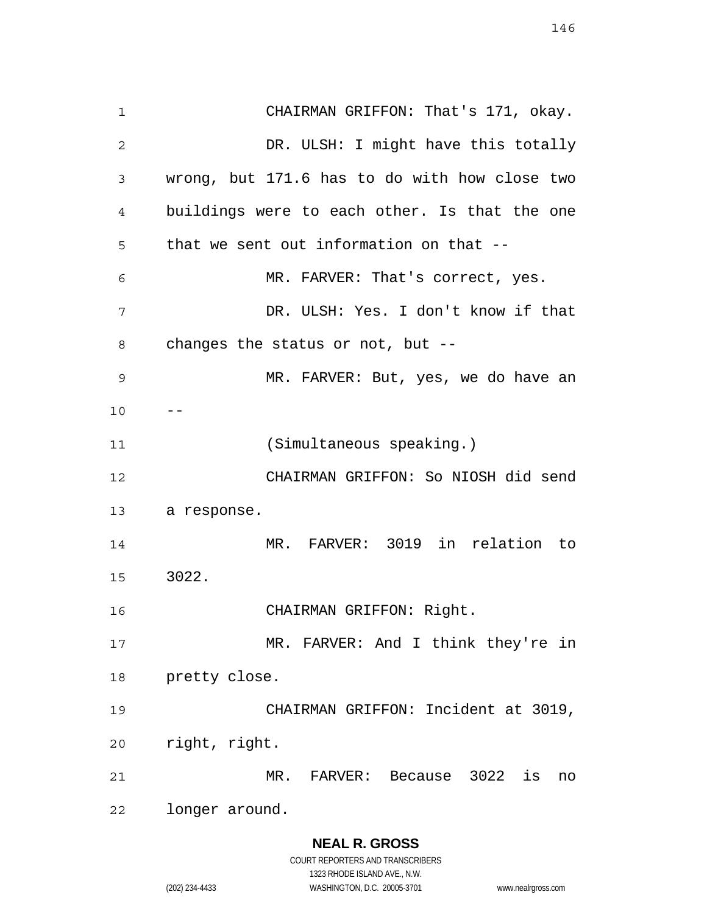CHAIRMAN GRIFFON: That's 171, okay. 2 DR. ULSH: I might have this totally wrong, but 171.6 has to do with how close two buildings were to each other. Is that the one that we sent out information on that -- MR. FARVER: That's correct, yes. DR. ULSH: Yes. I don't know if that changes the status or not, but -- MR. FARVER: But, yes, we do have an  $10 - -$ (Simultaneous speaking.) CHAIRMAN GRIFFON: So NIOSH did send a response. MR. FARVER: 3019 in relation to 3022. CHAIRMAN GRIFFON: Right. MR. FARVER: And I think they're in pretty close. CHAIRMAN GRIFFON: Incident at 3019, right, right.

MR. FARVER: Because 3022 is no

longer around.

## **NEAL R. GROSS**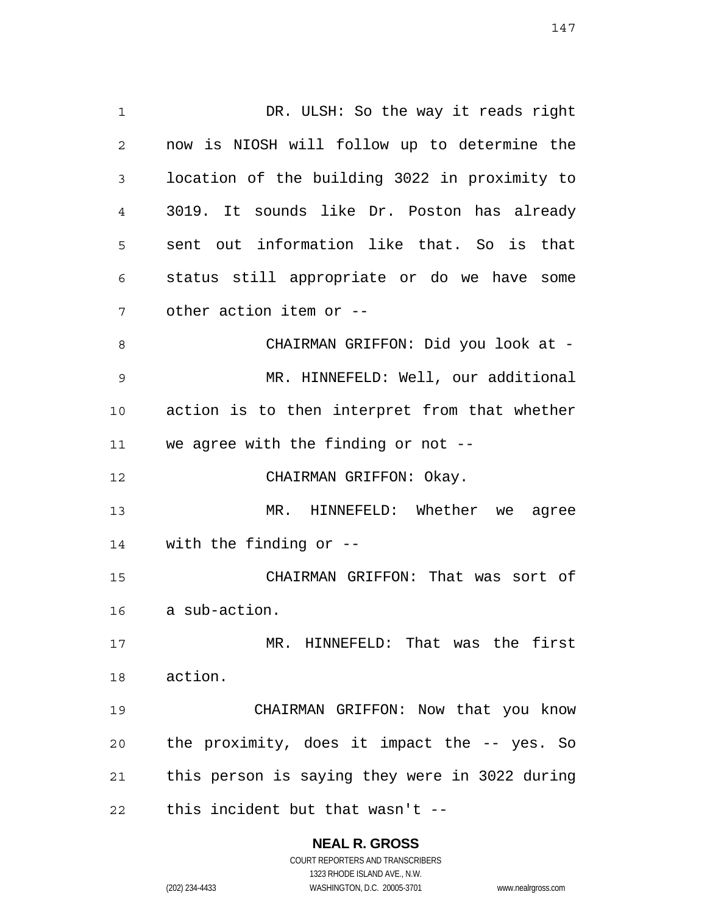DR. ULSH: So the way it reads right now is NIOSH will follow up to determine the location of the building 3022 in proximity to 3019. It sounds like Dr. Poston has already sent out information like that. So is that status still appropriate or do we have some other action item or -- 8 CHAIRMAN GRIFFON: Did you look at -MR. HINNEFELD: Well, our additional action is to then interpret from that whether we agree with the finding or not -- 12 CHAIRMAN GRIFFON: Okay. MR. HINNEFELD: Whether we agree with the finding or -- CHAIRMAN GRIFFON: That was sort of a sub-action. MR. HINNEFELD: That was the first action. CHAIRMAN GRIFFON: Now that you know the proximity, does it impact the -- yes. So this person is saying they were in 3022 during this incident but that wasn't --

> **NEAL R. GROSS**  COURT REPORTERS AND TRANSCRIBERS

1323 RHODE ISLAND AVE., N.W. (202) 234-4433 WASHINGTON, D.C. 20005-3701 www.nealrgross.com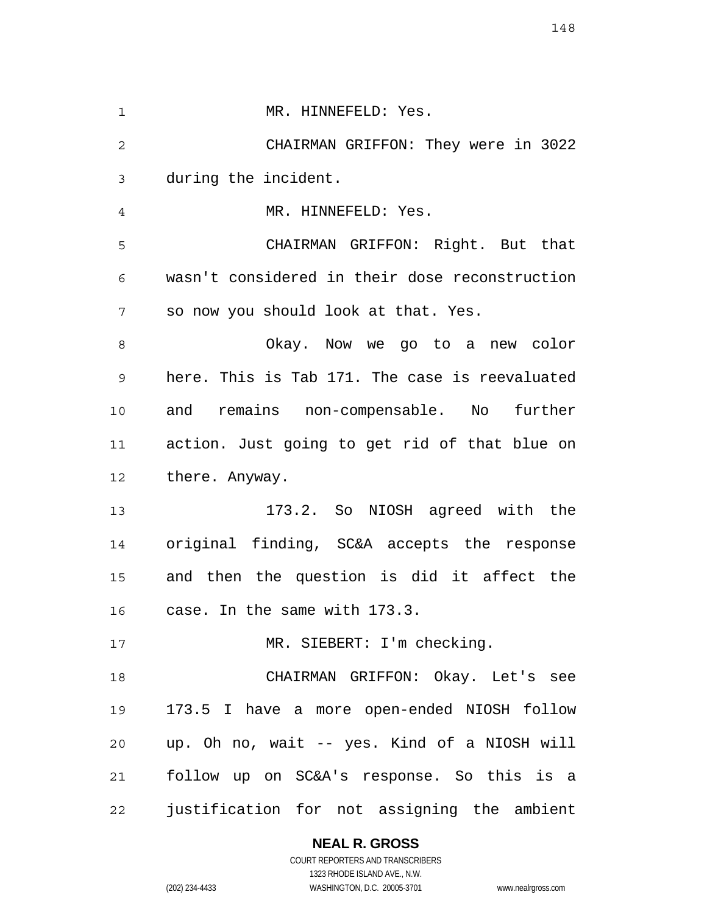| $\mathbf{1}$   | MR. HINNEFELD: Yes.                            |
|----------------|------------------------------------------------|
| $\overline{2}$ | CHAIRMAN GRIFFON: They were in 3022            |
| 3              | during the incident.                           |
| 4              | MR. HINNEFELD: Yes.                            |
| 5              | CHAIRMAN GRIFFON: Right. But that              |
| 6              | wasn't considered in their dose reconstruction |
| 7              | so now you should look at that. Yes.           |
| 8              | Okay. Now we go to a new color                 |
| 9              | here. This is Tab 171. The case is reevaluated |
| 10             | and remains non-compensable. No further        |
| 11             | action. Just going to get rid of that blue on  |
| 12             | there. Anyway.                                 |
| 13             | 173.2. So NIOSH agreed with the                |
| 14             | original finding, SC&A accepts the response    |
| 15             | and then the question is did it affect the     |
| 16             | case. In the same with 173.3.                  |
| 17             | MR. SIEBERT: I'm checking.                     |
| 18             | CHAIRMAN GRIFFON: Okay. Let's see              |
| 19             | 173.5 I have a more open-ended NIOSH follow    |
| 20             | up. Oh no, wait -- yes. Kind of a NIOSH will   |
| 21             | follow up on SC&A's response. So this is a     |
| 22             | justification for not assigning the ambient    |

**NEAL R. GROSS** 

COURT REPORTERS AND TRANSCRIBERS 1323 RHODE ISLAND AVE., N.W. (202) 234-4433 WASHINGTON, D.C. 20005-3701 www.nealrgross.com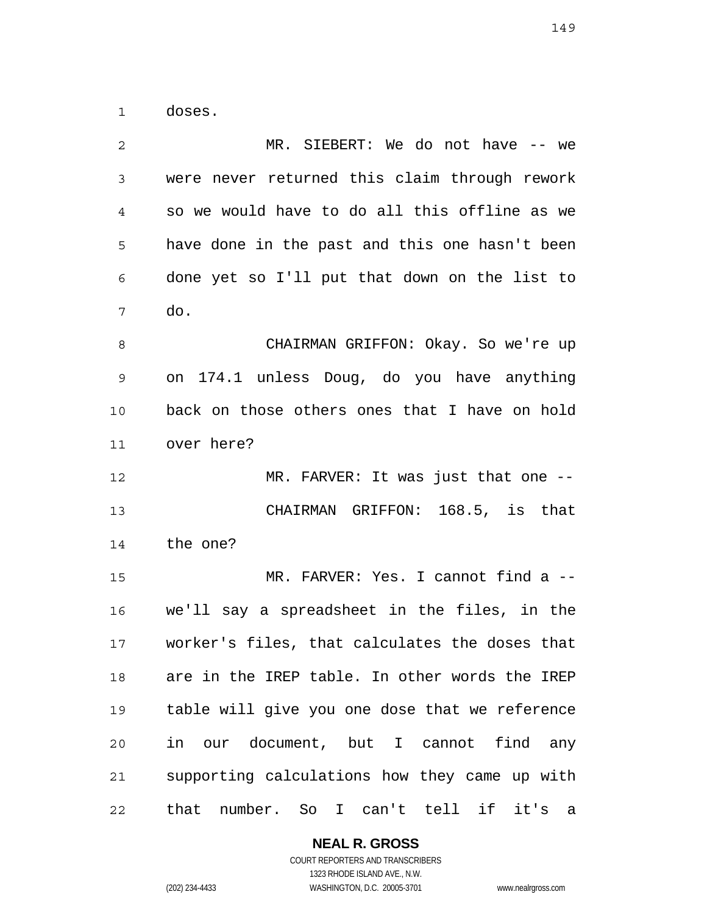doses.

| $\overline{2}$ | MR. SIEBERT: We do not have -- we                     |
|----------------|-------------------------------------------------------|
| 3              | were never returned this claim through rework         |
| $\overline{4}$ | so we would have to do all this offline as we         |
| 5              | have done in the past and this one hasn't been        |
| 6              | done yet so I'll put that down on the list to         |
| 7              | do.                                                   |
| 8              | CHAIRMAN GRIFFON: Okay. So we're up                   |
| $\mathsf 9$    | on 174.1 unless Doug, do you have anything            |
| 10             | back on those others ones that I have on hold         |
| 11             | over here?                                            |
| 12             | MR. FARVER: It was just that one --                   |
| 13             | CHAIRMAN GRIFFON: 168.5, is that                      |
| 14             | the one?                                              |
| 15             | MR. FARVER: Yes. I cannot find a --                   |
| 16             | we'll say a spreadsheet in the files, in the          |
| 17             | worker's files, that calculates the doses that        |
| 18             | are in the IREP table. In other words the IREP        |
| 19             | table will give you one dose that we reference        |
| 20             | in our document, but I cannot find any                |
| 21             | supporting calculations how they came up with         |
| 22             | that<br>number. So<br>I can't tell<br>if<br>it's<br>a |

**NEAL R. GROSS** 

COURT REPORTERS AND TRANSCRIBERS 1323 RHODE ISLAND AVE., N.W. (202) 234-4433 WASHINGTON, D.C. 20005-3701 www.nealrgross.com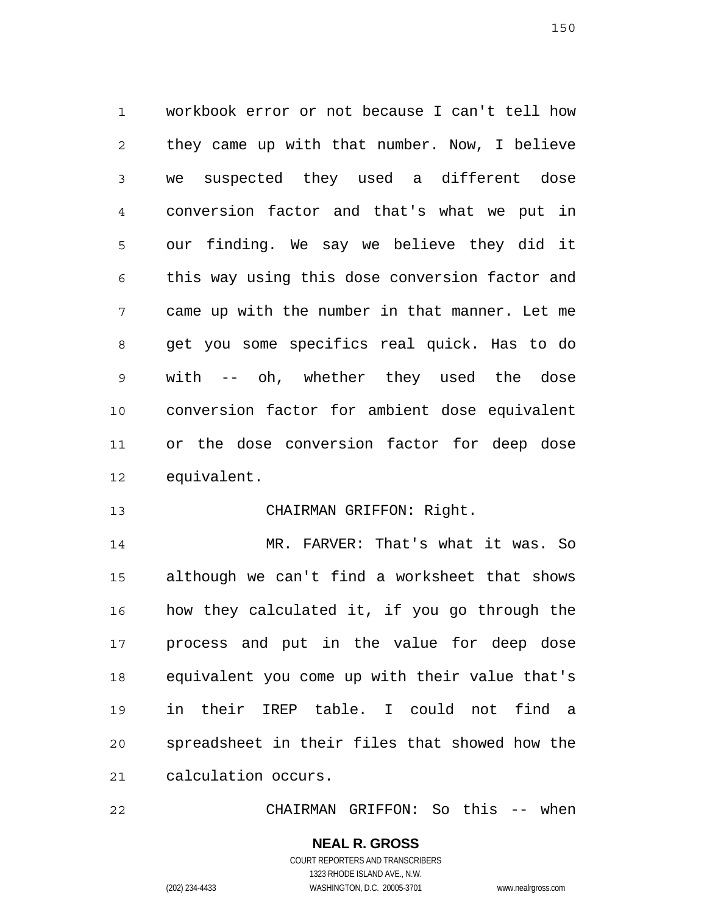workbook error or not because I can't tell how they came up with that number. Now, I believe we suspected they used a different dose conversion factor and that's what we put in our finding. We say we believe they did it this way using this dose conversion factor and came up with the number in that manner. Let me get you some specifics real quick. Has to do with -- oh, whether they used the dose conversion factor for ambient dose equivalent or the dose conversion factor for deep dose equivalent.

## 13 CHAIRMAN GRIFFON: Right.

MR. FARVER: That's what it was. So although we can't find a worksheet that shows how they calculated it, if you go through the process and put in the value for deep dose equivalent you come up with their value that's in their IREP table. I could not find a spreadsheet in their files that showed how the calculation occurs.

CHAIRMAN GRIFFON: So this -- when

**NEAL R. GROSS**  COURT REPORTERS AND TRANSCRIBERS 1323 RHODE ISLAND AVE., N.W.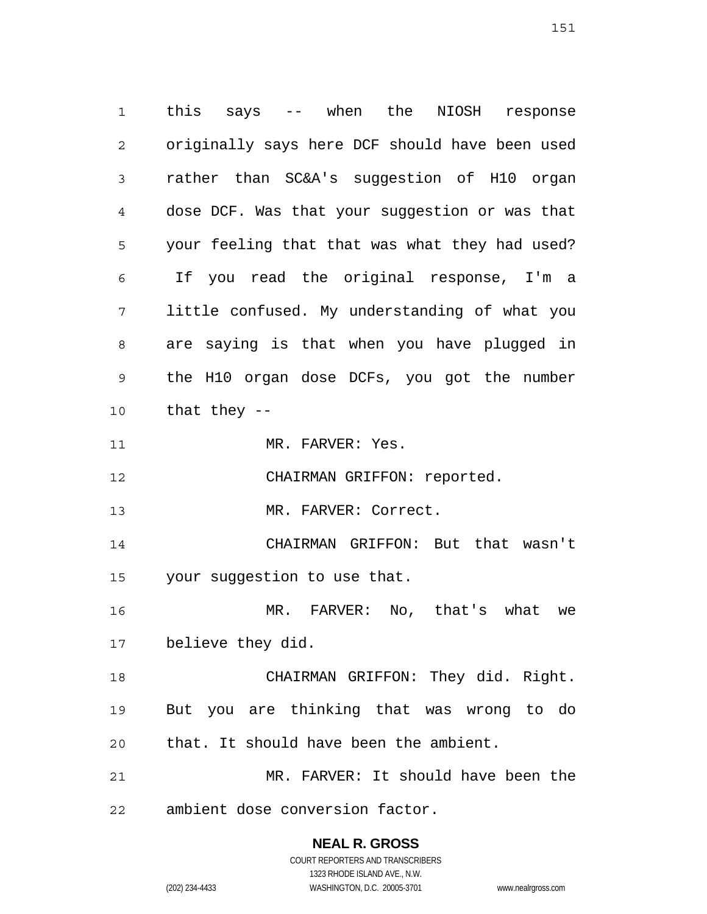this says -- when the NIOSH response originally says here DCF should have been used rather than SC&A's suggestion of H10 organ dose DCF. Was that your suggestion or was that your feeling that that was what they had used? If you read the original response, I'm a little confused. My understanding of what you are saying is that when you have plugged in the H10 organ dose DCFs, you got the number that they -- 11 MR. FARVER: Yes. 12 CHAIRMAN GRIFFON: reported. 13 MR. FARVER: Correct. CHAIRMAN GRIFFON: But that wasn't your suggestion to use that. MR. FARVER: No, that's what we believe they did. 18 CHAIRMAN GRIFFON: They did. Right. But you are thinking that was wrong to do that. It should have been the ambient. MR. FARVER: It should have been the ambient dose conversion factor.

(202) 234-4433 WASHINGTON, D.C. 20005-3701 www.nealrgross.com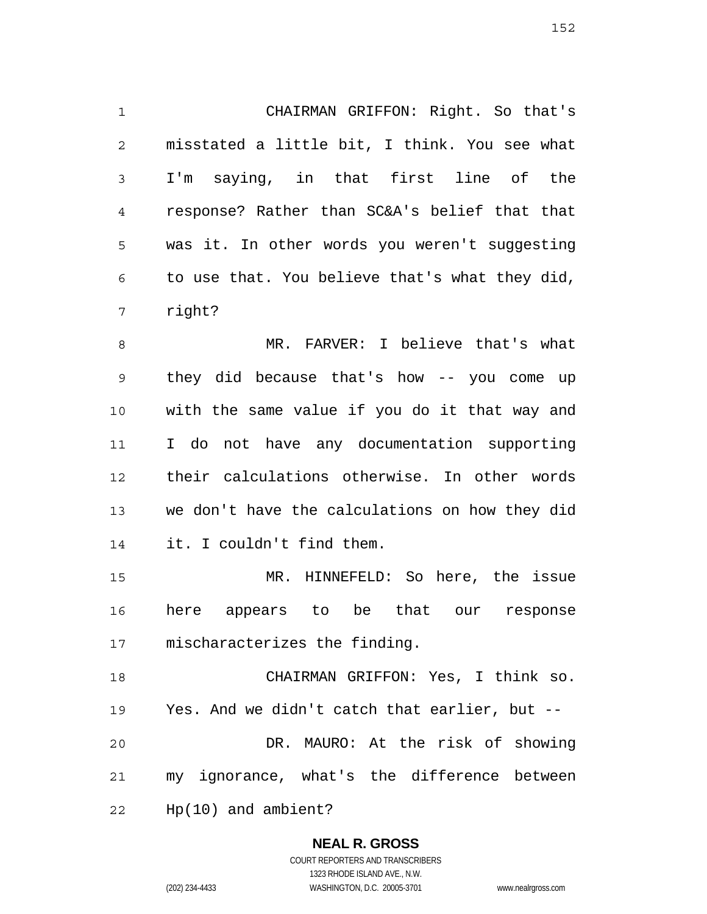CHAIRMAN GRIFFON: Right. So that's misstated a little bit, I think. You see what I'm saying, in that first line of the response? Rather than SC&A's belief that that was it. In other words you weren't suggesting to use that. You believe that's what they did, right?

MR. FARVER: I believe that's what they did because that's how -- you come up with the same value if you do it that way and I do not have any documentation supporting their calculations otherwise. In other words we don't have the calculations on how they did it. I couldn't find them.

MR. HINNEFELD: So here, the issue here appears to be that our response mischaracterizes the finding.

CHAIRMAN GRIFFON: Yes, I think so. Yes. And we didn't catch that earlier, but -- DR. MAURO: At the risk of showing my ignorance, what's the difference between Hp(10) and ambient?

> **NEAL R. GROSS**  COURT REPORTERS AND TRANSCRIBERS 1323 RHODE ISLAND AVE., N.W.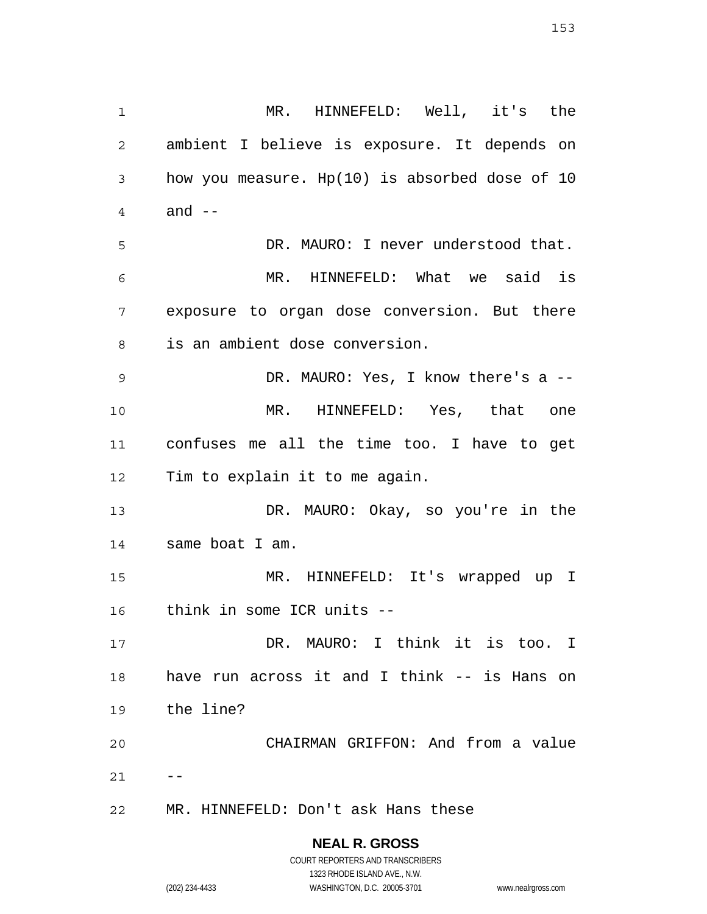MR. HINNEFELD: Well, it's the ambient I believe is exposure. It depends on how you measure. Hp(10) is absorbed dose of 10 and  $-$ DR. MAURO: I never understood that. MR. HINNEFELD: What we said is exposure to organ dose conversion. But there is an ambient dose conversion. DR. MAURO: Yes, I know there's a -- MR. HINNEFELD: Yes, that one confuses me all the time too. I have to get Tim to explain it to me again. DR. MAURO: Okay, so you're in the same boat I am. MR. HINNEFELD: It's wrapped up I think in some ICR units -- DR. MAURO: I think it is too. I have run across it and I think -- is Hans on the line? CHAIRMAN GRIFFON: And from a value  $21 - -$ MR. HINNEFELD: Don't ask Hans these

## **NEAL R. GROSS**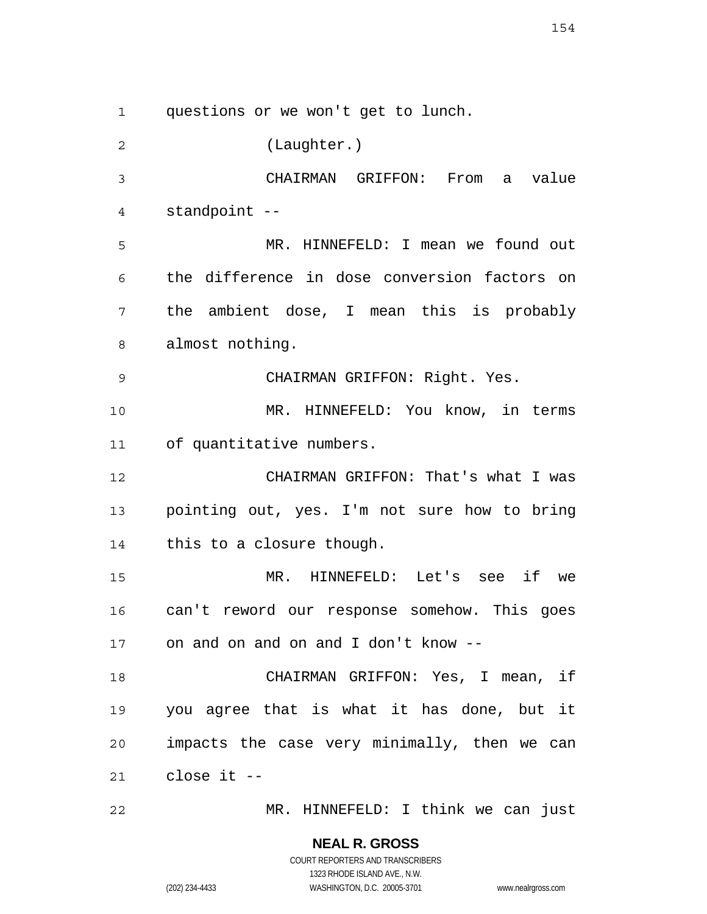questions or we won't get to lunch.

(Laughter.) CHAIRMAN GRIFFON: From a value standpoint -- MR. HINNEFELD: I mean we found out the difference in dose conversion factors on the ambient dose, I mean this is probably almost nothing. CHAIRMAN GRIFFON: Right. Yes. MR. HINNEFELD: You know, in terms of quantitative numbers. CHAIRMAN GRIFFON: That's what I was pointing out, yes. I'm not sure how to bring this to a closure though. MR. HINNEFELD: Let's see if we can't reword our response somehow. This goes on and on and on and I don't know -- CHAIRMAN GRIFFON: Yes, I mean, if you agree that is what it has done, but it impacts the case very minimally, then we can close it --

MR. HINNEFELD: I think we can just

**NEAL R. GROSS**  COURT REPORTERS AND TRANSCRIBERS

1323 RHODE ISLAND AVE., N.W.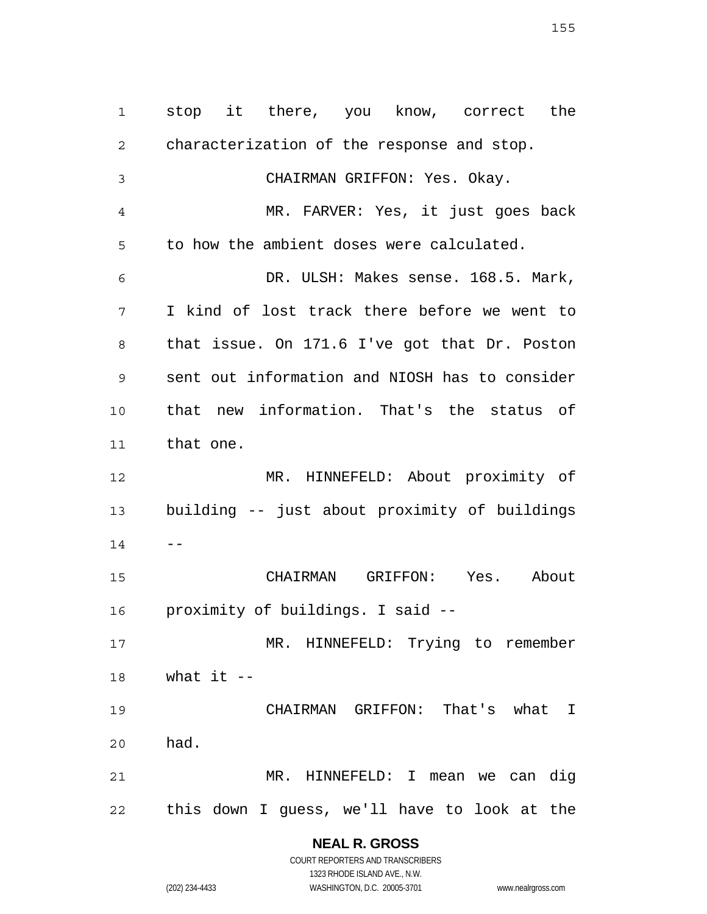stop it there, you know, correct the characterization of the response and stop. CHAIRMAN GRIFFON: Yes. Okay. MR. FARVER: Yes, it just goes back to how the ambient doses were calculated. DR. ULSH: Makes sense. 168.5. Mark, I kind of lost track there before we went to that issue. On 171.6 I've got that Dr. Poston sent out information and NIOSH has to consider that new information. That's the status of that one. MR. HINNEFELD: About proximity of building -- just about proximity of buildings  $14 - -$ CHAIRMAN GRIFFON: Yes. About proximity of buildings. I said -- MR. HINNEFELD: Trying to remember what it  $-$ CHAIRMAN GRIFFON: That's what I had. MR. HINNEFELD: I mean we can dig this down I guess, we'll have to look at the

> **NEAL R. GROSS**  COURT REPORTERS AND TRANSCRIBERS 1323 RHODE ISLAND AVE., N.W.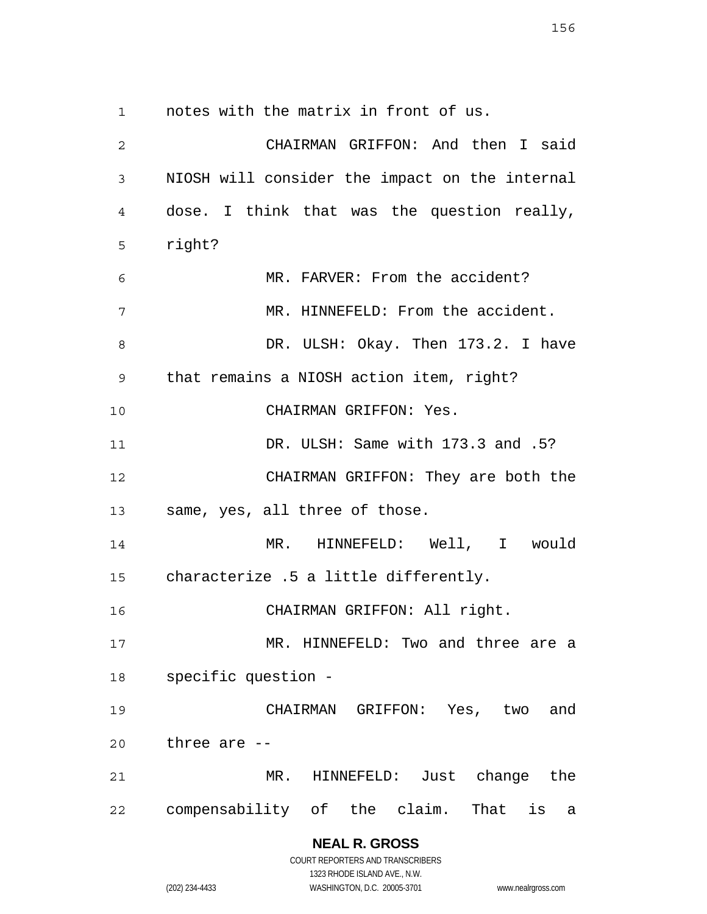notes with the matrix in front of us.

CHAIRMAN GRIFFON: And then I said NIOSH will consider the impact on the internal dose. I think that was the question really, right? MR. FARVER: From the accident? MR. HINNEFELD: From the accident. 8 DR. ULSH: Okay. Then 173.2. I have that remains a NIOSH action item, right? CHAIRMAN GRIFFON: Yes. DR. ULSH: Same with 173.3 and .5? CHAIRMAN GRIFFON: They are both the same, yes, all three of those. MR. HINNEFELD: Well, I would characterize .5 a little differently. CHAIRMAN GRIFFON: All right. MR. HINNEFELD: Two and three are a specific question - CHAIRMAN GRIFFON: Yes, two and three are -- MR. HINNEFELD: Just change the compensability of the claim. That is a

> **NEAL R. GROSS**  COURT REPORTERS AND TRANSCRIBERS

> > 1323 RHODE ISLAND AVE., N.W.

(202) 234-4433 WASHINGTON, D.C. 20005-3701 www.nealrgross.com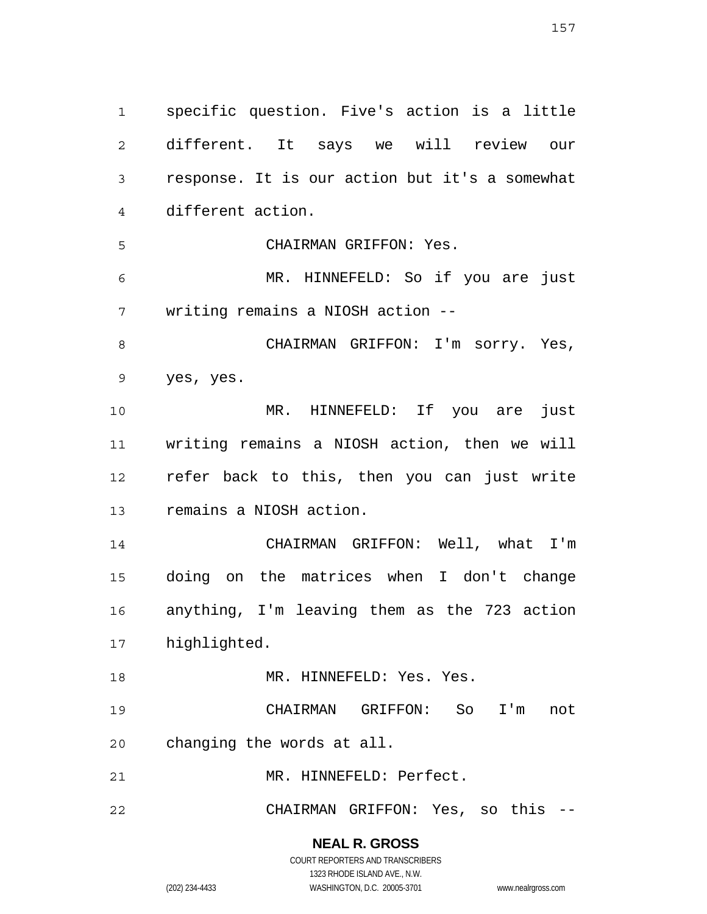specific question. Five's action is a little different. It says we will review our response. It is our action but it's a somewhat different action. CHAIRMAN GRIFFON: Yes. MR. HINNEFELD: So if you are just writing remains a NIOSH action -- CHAIRMAN GRIFFON: I'm sorry. Yes, yes, yes. MR. HINNEFELD: If you are just writing remains a NIOSH action, then we will refer back to this, then you can just write remains a NIOSH action. CHAIRMAN GRIFFON: Well, what I'm doing on the matrices when I don't change anything, I'm leaving them as the 723 action highlighted. 18 MR. HINNEFELD: Yes. Yes. CHAIRMAN GRIFFON: So I'm not changing the words at all. MR. HINNEFELD: Perfect. CHAIRMAN GRIFFON: Yes, so this --

> **NEAL R. GROSS**  COURT REPORTERS AND TRANSCRIBERS

> > 1323 RHODE ISLAND AVE., N.W.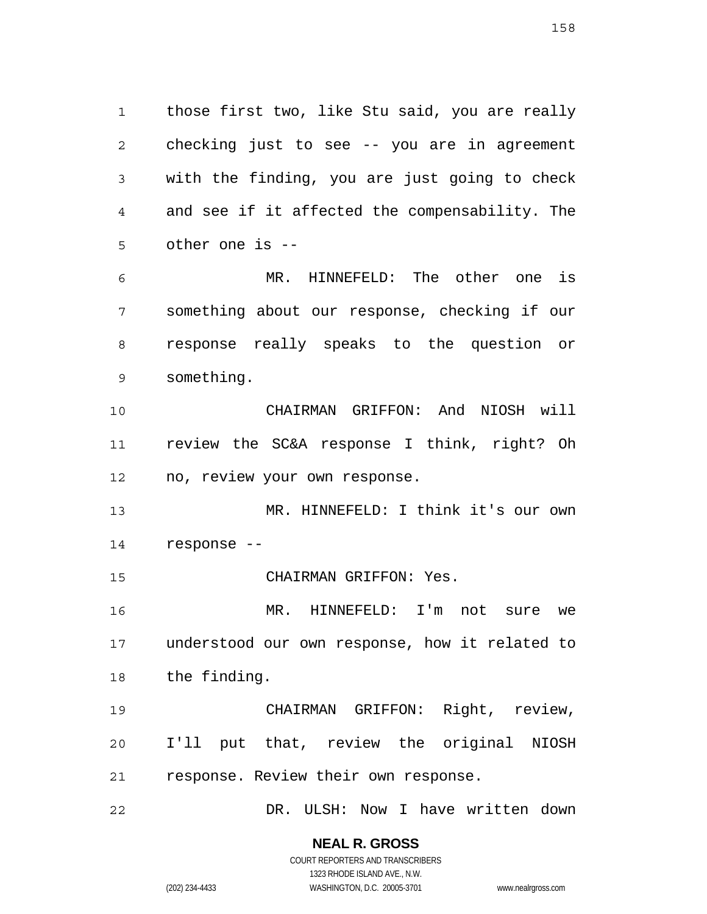those first two, like Stu said, you are really checking just to see -- you are in agreement with the finding, you are just going to check and see if it affected the compensability. The other one is --

MR. HINNEFELD: The other one is something about our response, checking if our response really speaks to the question or something.

CHAIRMAN GRIFFON: And NIOSH will review the SC&A response I think, right? Oh no, review your own response.

MR. HINNEFELD: I think it's our own response --

CHAIRMAN GRIFFON: Yes.

MR. HINNEFELD: I'm not sure we understood our own response, how it related to the finding.

CHAIRMAN GRIFFON: Right, review, I'll put that, review the original NIOSH response. Review their own response.

DR. ULSH: Now I have written down

**NEAL R. GROSS**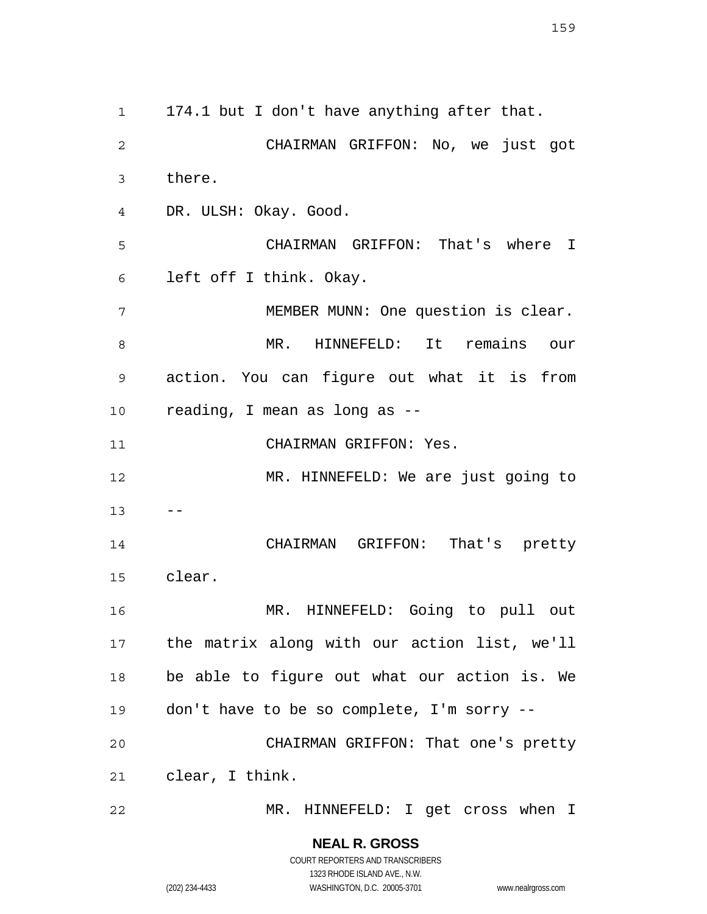1 174.1 but I don't have anything after that. CHAIRMAN GRIFFON: No, we just got there. DR. ULSH: Okay. Good. CHAIRMAN GRIFFON: That's where I left off I think. Okay. MEMBER MUNN: One question is clear. MR. HINNEFELD: It remains our action. You can figure out what it is from reading, I mean as long as -- CHAIRMAN GRIFFON: Yes. MR. HINNEFELD: We are just going to  $13 - -$ CHAIRMAN GRIFFON: That's pretty clear. MR. HINNEFELD: Going to pull out the matrix along with our action list, we'll be able to figure out what our action is. We don't have to be so complete, I'm sorry -- CHAIRMAN GRIFFON: That one's pretty clear, I think. MR. HINNEFELD: I get cross when I

COURT REPORTERS AND TRANSCRIBERS 1323 RHODE ISLAND AVE., N.W.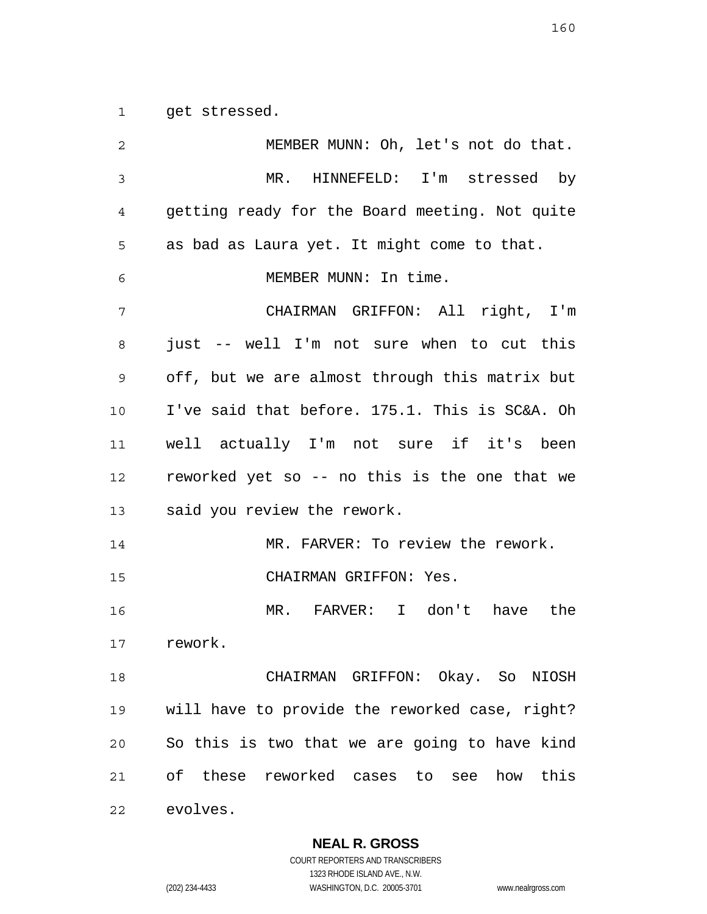get stressed.

MEMBER MUNN: Oh, let's not do that. MR. HINNEFELD: I'm stressed by getting ready for the Board meeting. Not quite as bad as Laura yet. It might come to that. MEMBER MUNN: In time. CHAIRMAN GRIFFON: All right, I'm just -- well I'm not sure when to cut this off, but we are almost through this matrix but I've said that before. 175.1. This is SC&A. Oh well actually I'm not sure if it's been reworked yet so -- no this is the one that we said you review the rework. MR. FARVER: To review the rework. CHAIRMAN GRIFFON: Yes. MR. FARVER: I don't have the rework. CHAIRMAN GRIFFON: Okay. So NIOSH will have to provide the reworked case, right? So this is two that we are going to have kind of these reworked cases to see how this evolves.

**NEAL R. GROSS** 

COURT REPORTERS AND TRANSCRIBERS 1323 RHODE ISLAND AVE., N.W. (202) 234-4433 WASHINGTON, D.C. 20005-3701 www.nealrgross.com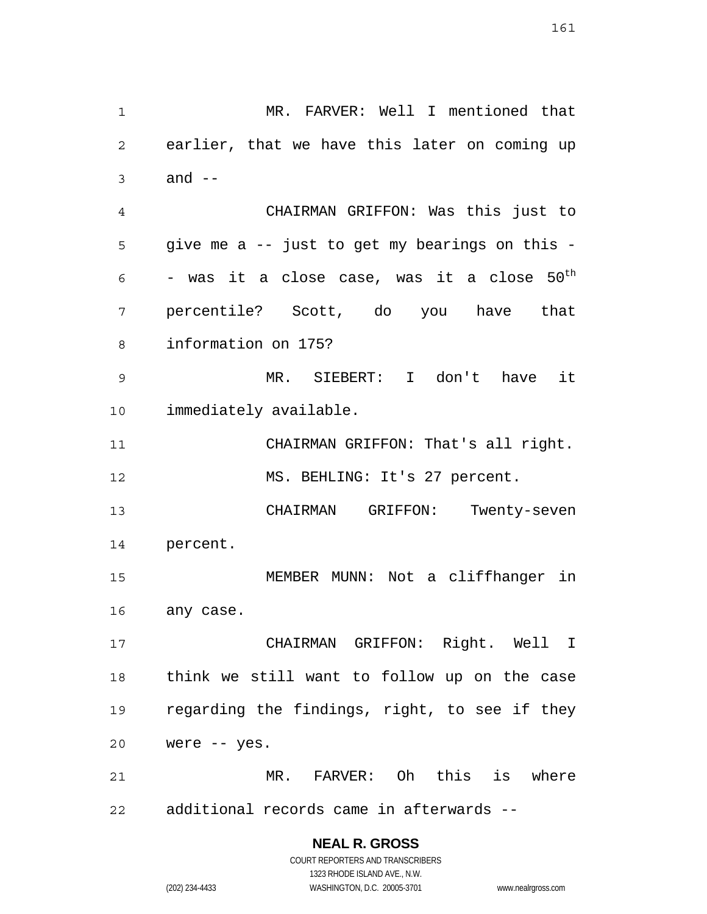MR. FARVER: Well I mentioned that earlier, that we have this later on coming up and  $-$ CHAIRMAN GRIFFON: Was this just to give me a -- just to get my bearings on this - 6 - was it a close case, was it a close  $50^{\text{th}}$ percentile? Scott, do you have that information on 175? MR. SIEBERT: I don't have it immediately available. CHAIRMAN GRIFFON: That's all right. 12 MS. BEHLING: It's 27 percent. CHAIRMAN GRIFFON: Twenty-seven percent. MEMBER MUNN: Not a cliffhanger in any case. CHAIRMAN GRIFFON: Right. Well I think we still want to follow up on the case regarding the findings, right, to see if they were -- yes. MR. FARVER: Oh this is where additional records came in afterwards --

## **NEAL R. GROSS**  COURT REPORTERS AND TRANSCRIBERS 1323 RHODE ISLAND AVE., N.W. (202) 234-4433 WASHINGTON, D.C. 20005-3701 www.nealrgross.com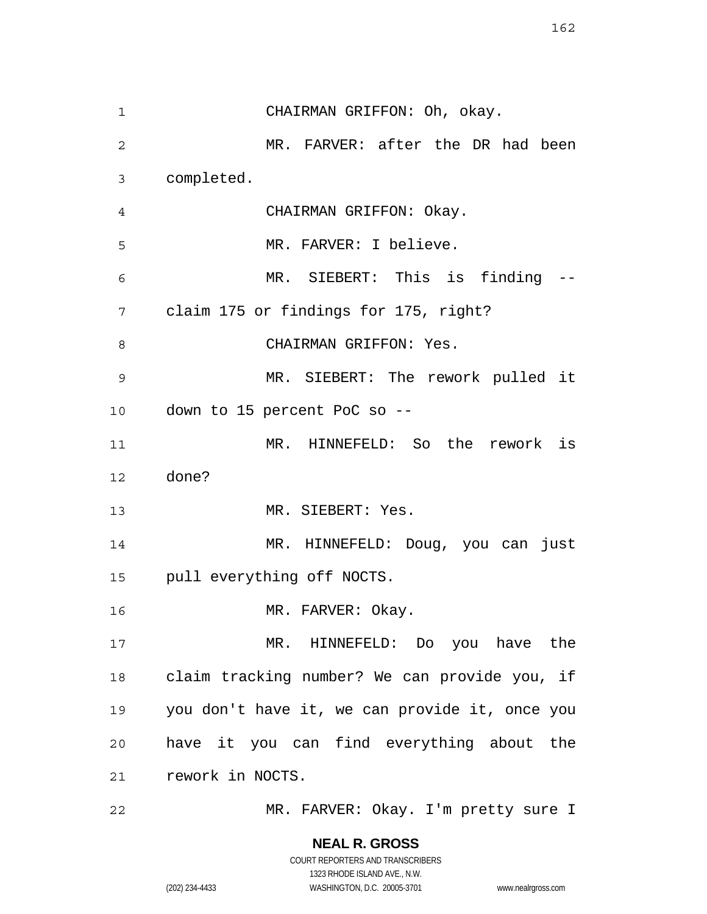CHAIRMAN GRIFFON: Oh, okay. MR. FARVER: after the DR had been completed. CHAIRMAN GRIFFON: Okay. MR. FARVER: I believe. MR. SIEBERT: This is finding -- claim 175 or findings for 175, right? 8 CHAIRMAN GRIFFON: Yes. MR. SIEBERT: The rework pulled it down to 15 percent PoC so -- MR. HINNEFELD: So the rework is done? MR. SIEBERT: Yes. MR. HINNEFELD: Doug, you can just pull everything off NOCTS. 16 MR. FARVER: Okay. MR. HINNEFELD: Do you have the claim tracking number? We can provide you, if you don't have it, we can provide it, once you have it you can find everything about the rework in NOCTS. MR. FARVER: Okay. I'm pretty sure I

**NEAL R. GROSS** 

COURT REPORTERS AND TRANSCRIBERS 1323 RHODE ISLAND AVE., N.W.

(202) 234-4433 WASHINGTON, D.C. 20005-3701 www.nealrgross.com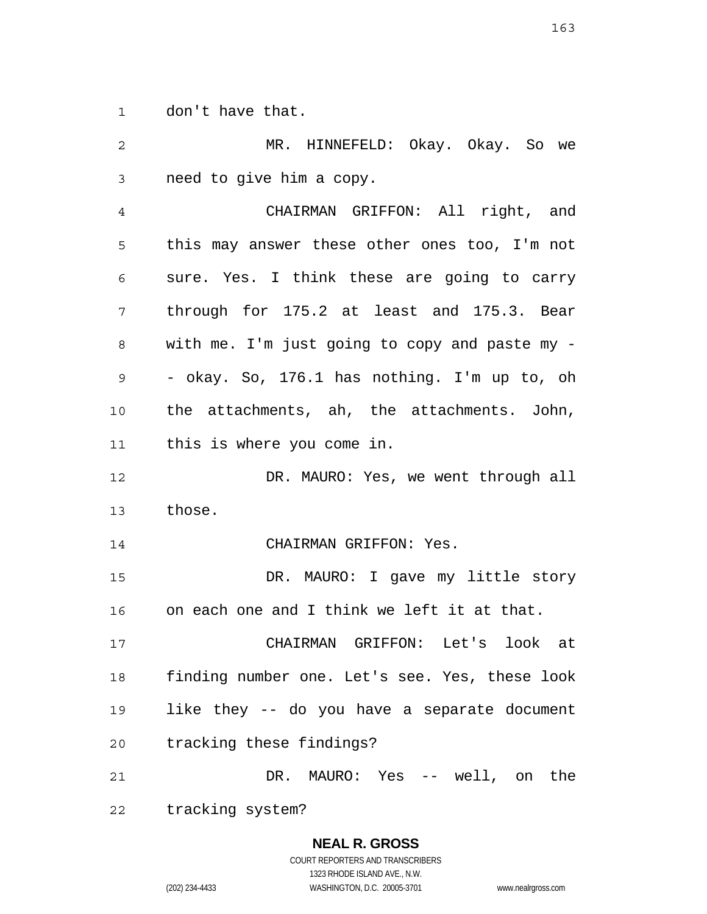don't have that.

MR. HINNEFELD: Okay. Okay. So we need to give him a copy. CHAIRMAN GRIFFON: All right, and this may answer these other ones too, I'm not sure. Yes. I think these are going to carry through for 175.2 at least and 175.3. Bear with me. I'm just going to copy and paste my - - okay. So, 176.1 has nothing. I'm up to, oh the attachments, ah, the attachments. John, this is where you come in. DR. MAURO: Yes, we went through all those. CHAIRMAN GRIFFON: Yes. DR. MAURO: I gave my little story on each one and I think we left it at that. CHAIRMAN GRIFFON: Let's look at finding number one. Let's see. Yes, these look like they -- do you have a separate document tracking these findings? DR. MAURO: Yes -- well, on the tracking system?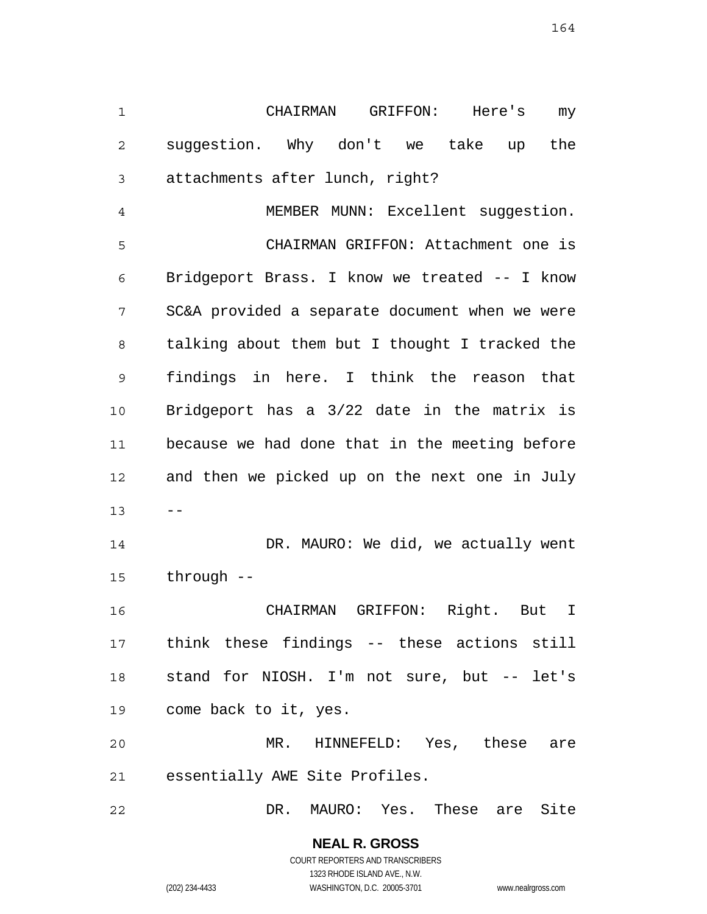CHAIRMAN GRIFFON: Here's my suggestion. Why don't we take up the attachments after lunch, right?

MEMBER MUNN: Excellent suggestion. CHAIRMAN GRIFFON: Attachment one is Bridgeport Brass. I know we treated -- I know SC&A provided a separate document when we were talking about them but I thought I tracked the findings in here. I think the reason that Bridgeport has a 3/22 date in the matrix is because we had done that in the meeting before and then we picked up on the next one in July  $13 - -$ 14 DR. MAURO: We did, we actually went

through --

CHAIRMAN GRIFFON: Right. But I think these findings -- these actions still stand for NIOSH. I'm not sure, but -- let's come back to it, yes.

MR. HINNEFELD: Yes, these are essentially AWE Site Profiles.

DR. MAURO: Yes. These are Site

**NEAL R. GROSS**  COURT REPORTERS AND TRANSCRIBERS

1323 RHODE ISLAND AVE., N.W.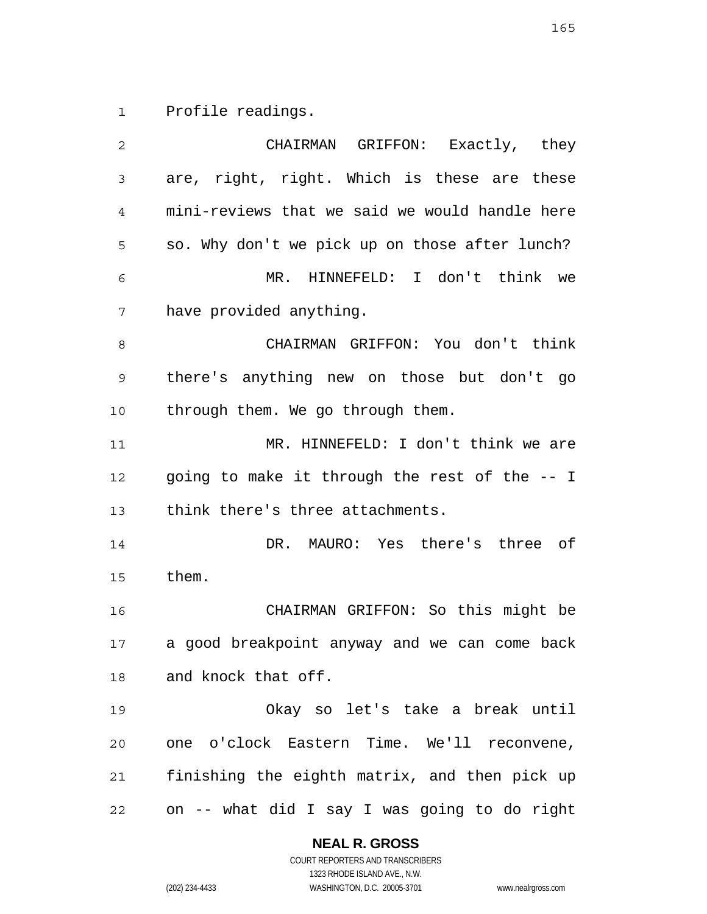Profile readings.

CHAIRMAN GRIFFON: Exactly, they are, right, right. Which is these are these mini-reviews that we said we would handle here so. Why don't we pick up on those after lunch? MR. HINNEFELD: I don't think we have provided anything. CHAIRMAN GRIFFON: You don't think there's anything new on those but don't go through them. We go through them. MR. HINNEFELD: I don't think we are going to make it through the rest of the -- I think there's three attachments. DR. MAURO: Yes there's three of them. CHAIRMAN GRIFFON: So this might be a good breakpoint anyway and we can come back and knock that off. Okay so let's take a break until one o'clock Eastern Time. We'll reconvene, finishing the eighth matrix, and then pick up on -- what did I say I was going to do right

> **NEAL R. GROSS**  COURT REPORTERS AND TRANSCRIBERS

1323 RHODE ISLAND AVE., N.W. (202) 234-4433 WASHINGTON, D.C. 20005-3701 www.nealrgross.com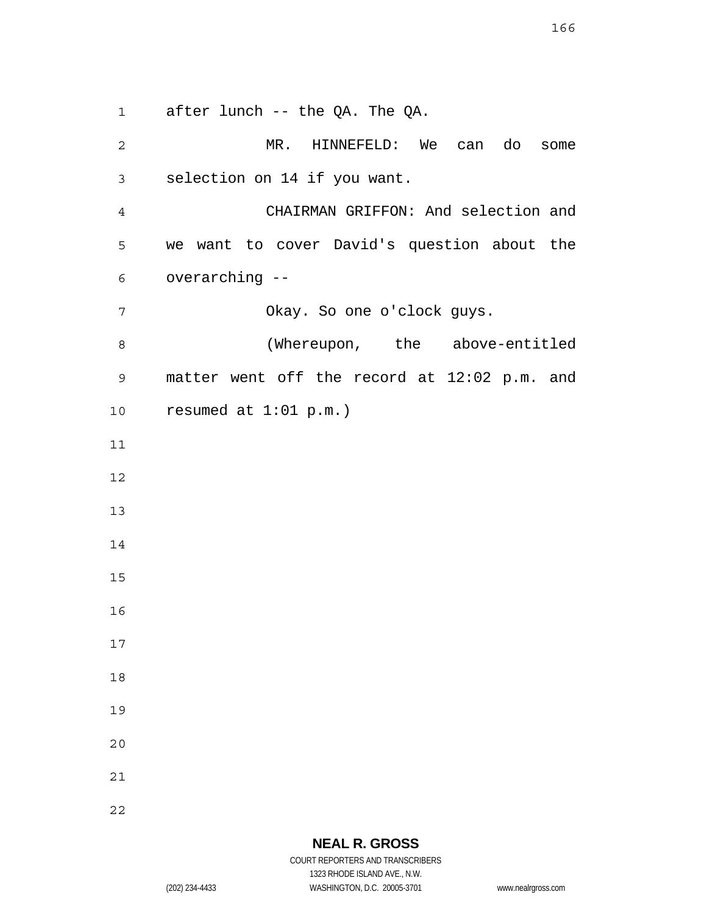after lunch -- the QA. The QA.

MR. HINNEFELD: We can do some selection on 14 if you want. CHAIRMAN GRIFFON: And selection and we want to cover David's question about the overarching -- Okay. So one o'clock guys. (Whereupon, the above-entitled matter went off the record at 12:02 p.m. and resumed at 1:01 p.m.) 

1323 RHODE ISLAND AVE., N.W.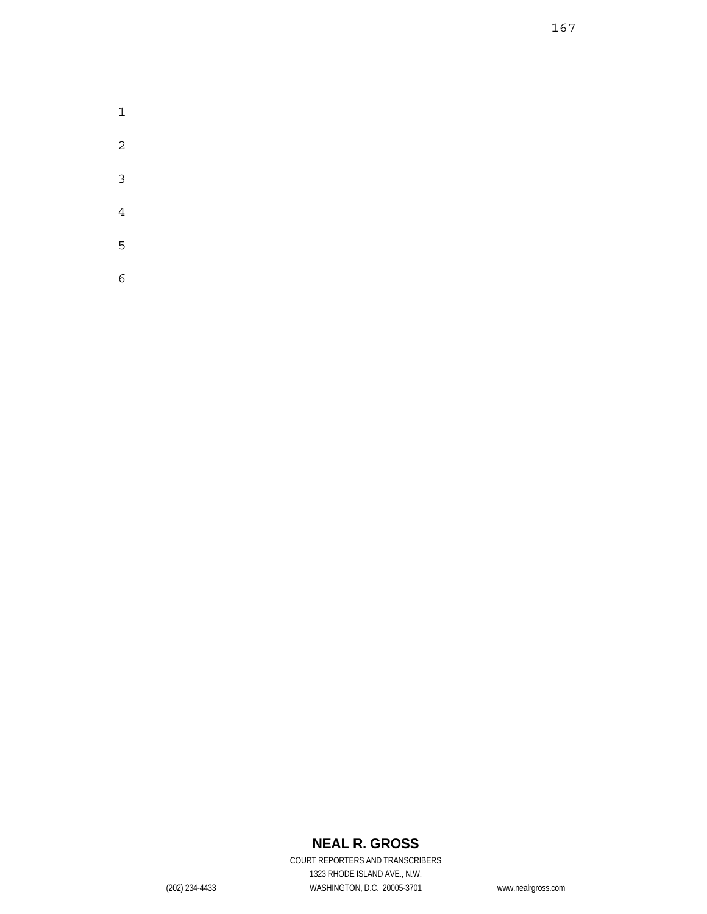- 
- 
- 
- 
- 
- 
- 

# **NEAL R. GROSS**

COURT REPORTERS AND TRANSCRIBERS 1323 RHODE ISLAND AVE., N.W. (202) 234-4433 WASHINGTON, D.C. 20005-3701 www.nealrgross.com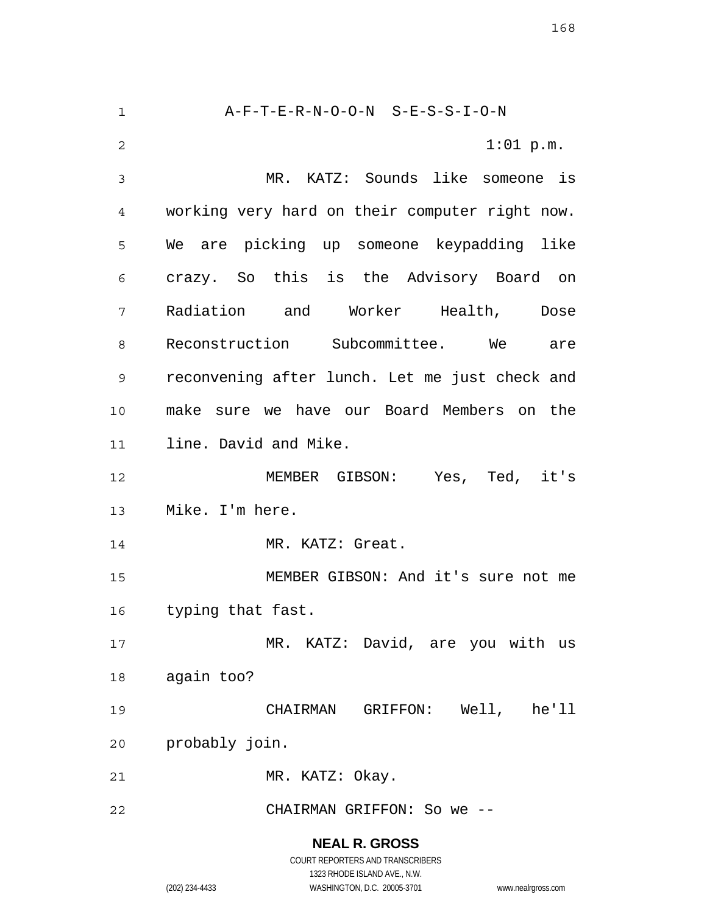A-F-T-E-R-N-O-O-N S-E-S-S-I-O-N 2 1:01 p.m. MR. KATZ: Sounds like someone is working very hard on their computer right now. We are picking up someone keypadding like crazy. So this is the Advisory Board on Radiation and Worker Health, Dose Reconstruction Subcommittee. We are reconvening after lunch. Let me just check and make sure we have our Board Members on the line. David and Mike. MEMBER GIBSON: Yes, Ted, it's Mike. I'm here. 14 MR. KATZ: Great. MEMBER GIBSON: And it's sure not me typing that fast. MR. KATZ: David, are you with us again too? CHAIRMAN GRIFFON: Well, he'll probably join. MR. KATZ: Okay. CHAIRMAN GRIFFON: So we --

## **NEAL R. GROSS**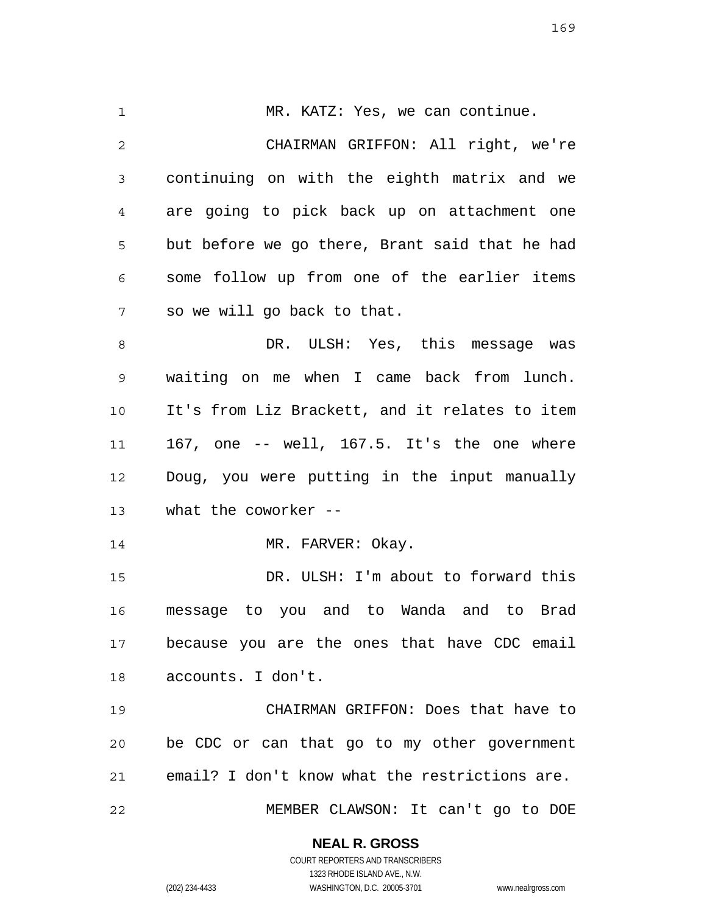MR. KATZ: Yes, we can continue. CHAIRMAN GRIFFON: All right, we're continuing on with the eighth matrix and we are going to pick back up on attachment one but before we go there, Brant said that he had some follow up from one of the earlier items so we will go back to that. DR. ULSH: Yes, this message was waiting on me when I came back from lunch. It's from Liz Brackett, and it relates to item 167, one -- well, 167.5. It's the one where Doug, you were putting in the input manually what the coworker -- 14 MR. FARVER: Okay. DR. ULSH: I'm about to forward this message to you and to Wanda and to Brad because you are the ones that have CDC email accounts. I don't. CHAIRMAN GRIFFON: Does that have to be CDC or can that go to my other government email? I don't know what the restrictions are. MEMBER CLAWSON: It can't go to DOE

#### **NEAL R. GROSS**  COURT REPORTERS AND TRANSCRIBERS

1323 RHODE ISLAND AVE., N.W.

(202) 234-4433 WASHINGTON, D.C. 20005-3701 www.nealrgross.com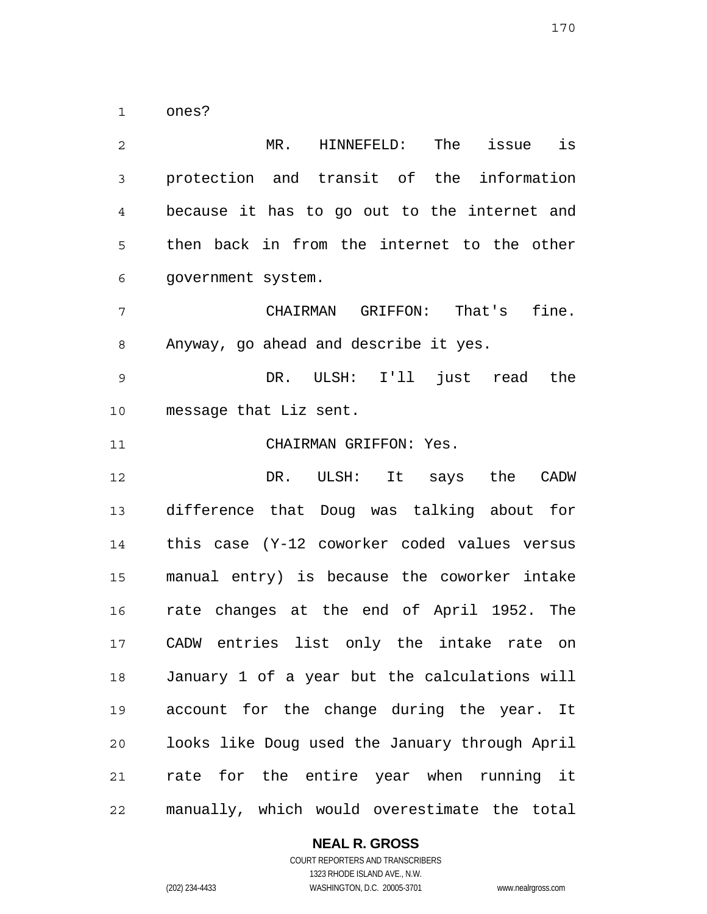ones?

MR. HINNEFELD: The issue is protection and transit of the information because it has to go out to the internet and then back in from the internet to the other government system. CHAIRMAN GRIFFON: That's fine. Anyway, go ahead and describe it yes. DR. ULSH: I'll just read the message that Liz sent. CHAIRMAN GRIFFON: Yes. DR. ULSH: It says the CADW difference that Doug was talking about for this case (Y-12 coworker coded values versus manual entry) is because the coworker intake rate changes at the end of April 1952. The CADW entries list only the intake rate on January 1 of a year but the calculations will account for the change during the year. It looks like Doug used the January through April rate for the entire year when running it manually, which would overestimate the total

## **NEAL R. GROSS**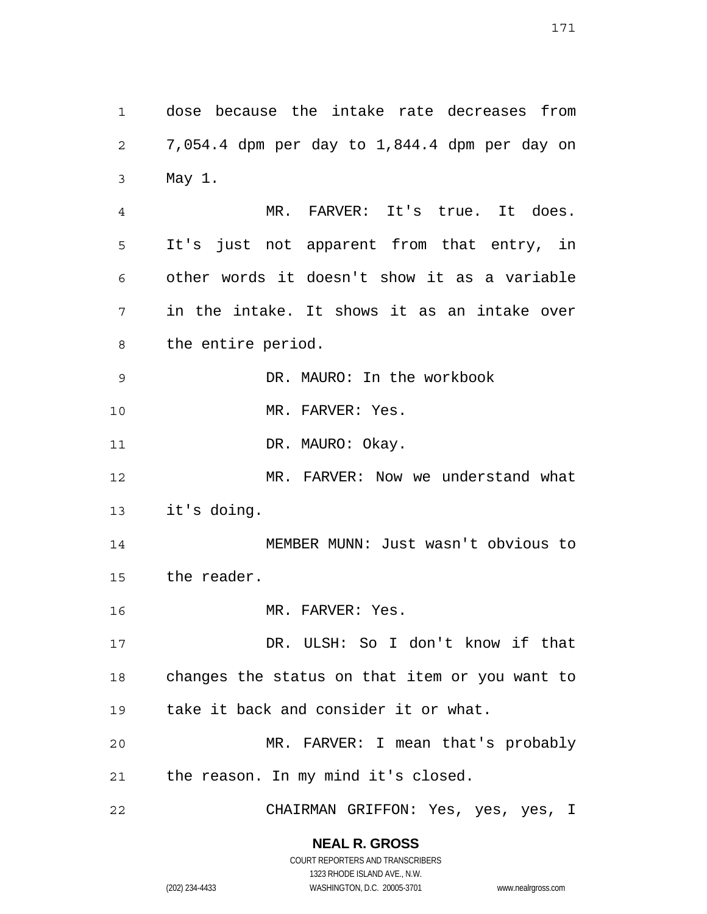dose because the intake rate decreases from 7,054.4 dpm per day to 1,844.4 dpm per day on May 1. MR. FARVER: It's true. It does. It's just not apparent from that entry, in other words it doesn't show it as a variable in the intake. It shows it as an intake over the entire period. DR. MAURO: In the workbook 10 MR. FARVER: Yes. 11 DR. MAURO: Okay. MR. FARVER: Now we understand what it's doing. MEMBER MUNN: Just wasn't obvious to the reader. MR. FARVER: Yes. DR. ULSH: So I don't know if that changes the status on that item or you want to take it back and consider it or what. MR. FARVER: I mean that's probably the reason. In my mind it's closed. CHAIRMAN GRIFFON: Yes, yes, yes, I

## **NEAL R. GROSS**

COURT REPORTERS AND TRANSCRIBERS 1323 RHODE ISLAND AVE., N.W. (202) 234-4433 WASHINGTON, D.C. 20005-3701 www.nealrgross.com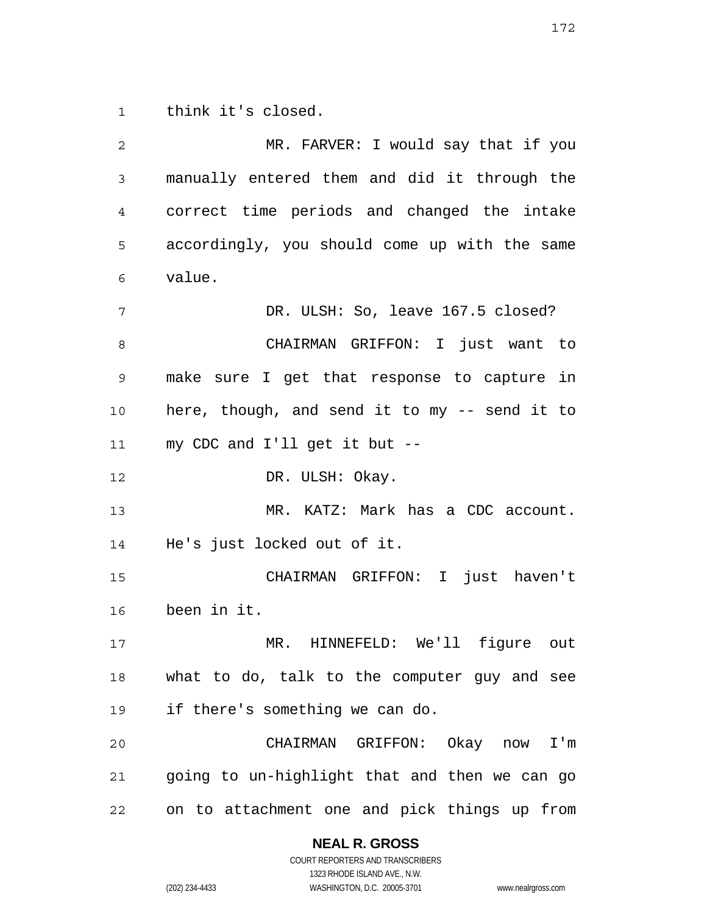think it's closed.

| $\overline{2}$ | MR. FARVER: I would say that if you           |
|----------------|-----------------------------------------------|
| $\mathfrak{Z}$ | manually entered them and did it through the  |
| 4              | correct time periods and changed the intake   |
| 5              | accordingly, you should come up with the same |
| 6              | value.                                        |
| 7              | DR. ULSH: So, leave 167.5 closed?             |
| 8              | CHAIRMAN GRIFFON: I just want to              |
| 9              | make sure I get that response to capture in   |
| 10             | here, though, and send it to my -- send it to |
| 11             | my CDC and I'll get it but --                 |
| 12             | DR. ULSH: Okay.                               |
| 13             | MR. KATZ: Mark has a CDC account.             |
| 14             | He's just locked out of it.                   |
| 15             | CHAIRMAN GRIFFON: I just haven't              |
| 16             | been in it.                                   |
| 17             | MR. HINNEFELD: We'll figure out               |
| 18             | what to do, talk to the computer guy and see  |
| 19             | if there's something we can do.               |
| 20             | CHAIRMAN GRIFFON: Okay now I'm                |
| 21             | going to un-highlight that and then we can go |
| 22             | on to attachment one and pick things up from  |

**NEAL R. GROSS** 

COURT REPORTERS AND TRANSCRIBERS 1323 RHODE ISLAND AVE., N.W. (202) 234-4433 WASHINGTON, D.C. 20005-3701 www.nealrgross.com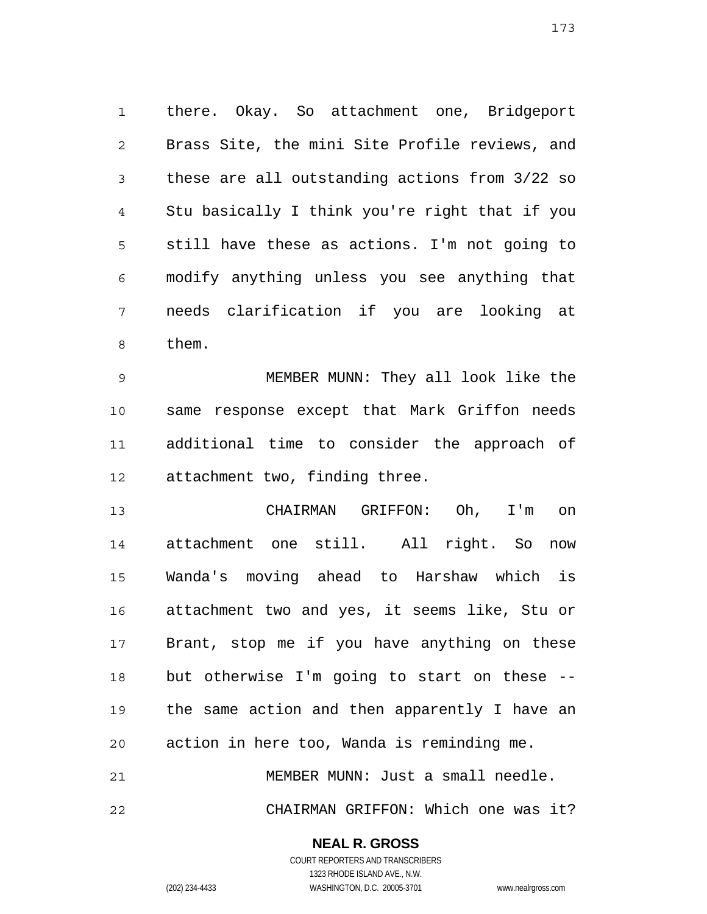there. Okay. So attachment one, Bridgeport Brass Site, the mini Site Profile reviews, and these are all outstanding actions from 3/22 so Stu basically I think you're right that if you still have these as actions. I'm not going to modify anything unless you see anything that needs clarification if you are looking at them.

MEMBER MUNN: They all look like the same response except that Mark Griffon needs additional time to consider the approach of attachment two, finding three.

CHAIRMAN GRIFFON: Oh, I'm on attachment one still. All right. So now Wanda's moving ahead to Harshaw which is attachment two and yes, it seems like, Stu or Brant, stop me if you have anything on these but otherwise I'm going to start on these -- the same action and then apparently I have an action in here too, Wanda is reminding me.

MEMBER MUNN: Just a small needle.

CHAIRMAN GRIFFON: Which one was it?

**NEAL R. GROSS** 

COURT REPORTERS AND TRANSCRIBERS 1323 RHODE ISLAND AVE., N.W. (202) 234-4433 WASHINGTON, D.C. 20005-3701 www.nealrgross.com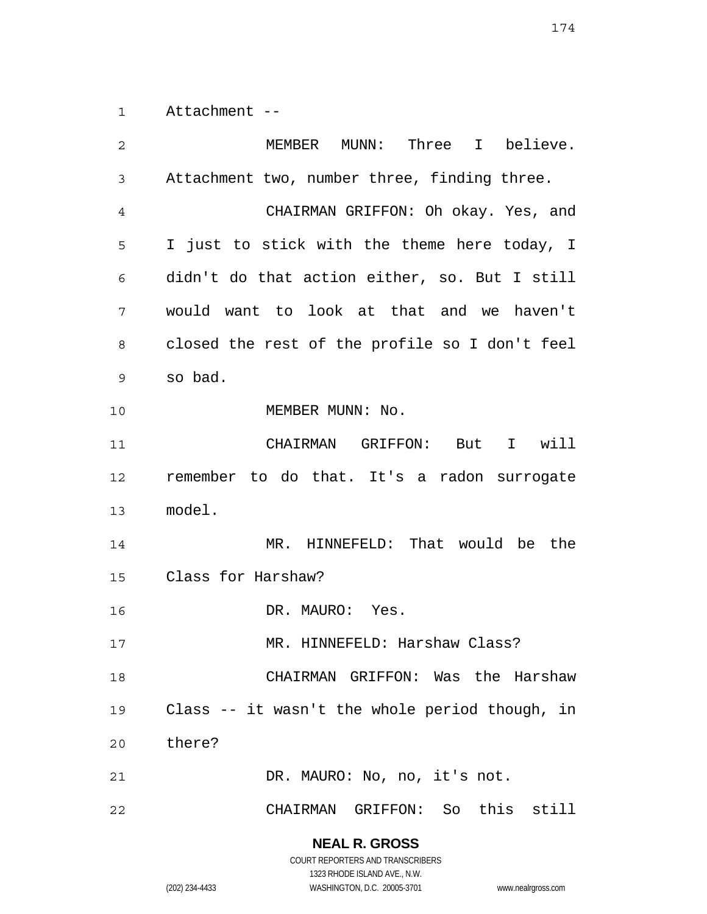Attachment --

| $\overline{2}$ | MEMBER<br>MUNN: Three I believe.               |
|----------------|------------------------------------------------|
| 3              | Attachment two, number three, finding three.   |
| 4              | CHAIRMAN GRIFFON: Oh okay. Yes, and            |
| 5              | I just to stick with the theme here today, I   |
| 6              | didn't do that action either, so. But I still  |
| 7              | would want to look at that and we haven't      |
| 8              | closed the rest of the profile so I don't feel |
| 9              | so bad.                                        |
| 10             | MEMBER MUNN: No.                               |
| 11             | CHAIRMAN GRIFFON: But I will                   |
| 12             | remember to do that. It's a radon surrogate    |
| 13             | model.                                         |
| 14             | MR. HINNEFELD: That would be the               |
| 15             | Class for Harshaw?                             |
| 16             | DR. MAURO: Yes.                                |
| 17             | MR. HINNEFELD: Harshaw Class?                  |
| 18             | CHAIRMAN GRIFFON: Was the Harshaw              |
| 19             | Class -- it wasn't the whole period though, in |
| 20             | there?                                         |
| 21             | DR. MAURO: No, no, it's not.                   |
|                |                                                |

**NEAL R. GROSS**  COURT REPORTERS AND TRANSCRIBERS

1323 RHODE ISLAND AVE., N.W.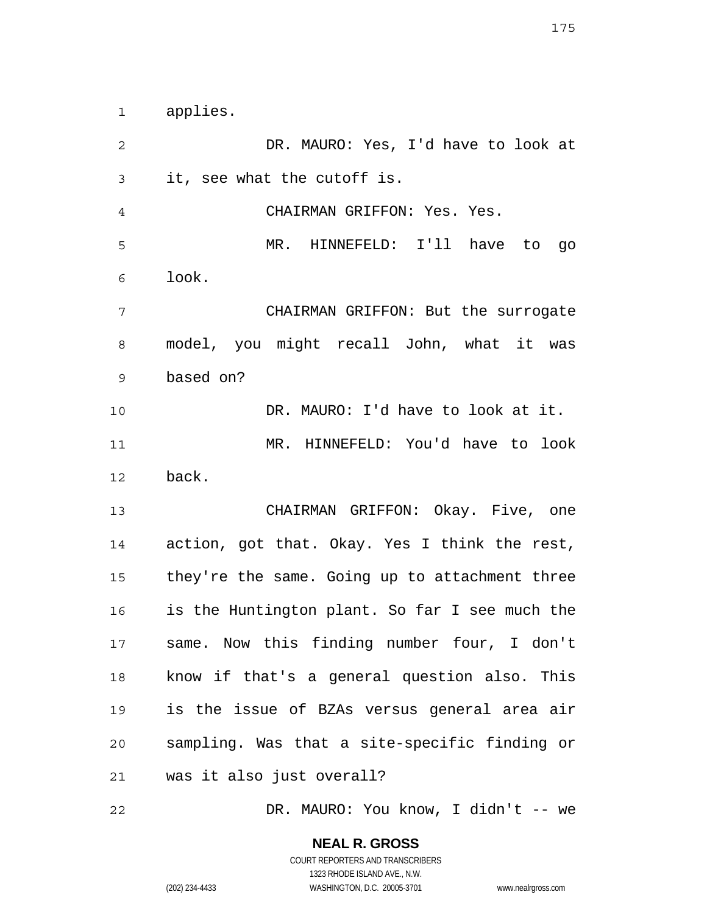applies.

DR. MAURO: Yes, I'd have to look at it, see what the cutoff is. CHAIRMAN GRIFFON: Yes. Yes. MR. HINNEFELD: I'll have to go look. CHAIRMAN GRIFFON: But the surrogate model, you might recall John, what it was based on? DR. MAURO: I'd have to look at it. MR. HINNEFELD: You'd have to look back. CHAIRMAN GRIFFON: Okay. Five, one action, got that. Okay. Yes I think the rest, they're the same. Going up to attachment three is the Huntington plant. So far I see much the same. Now this finding number four, I don't know if that's a general question also. This is the issue of BZAs versus general area air sampling. Was that a site-specific finding or was it also just overall?

DR. MAURO: You know, I didn't -- we

**NEAL R. GROSS**  COURT REPORTERS AND TRANSCRIBERS

1323 RHODE ISLAND AVE., N.W. (202) 234-4433 WASHINGTON, D.C. 20005-3701 www.nealrgross.com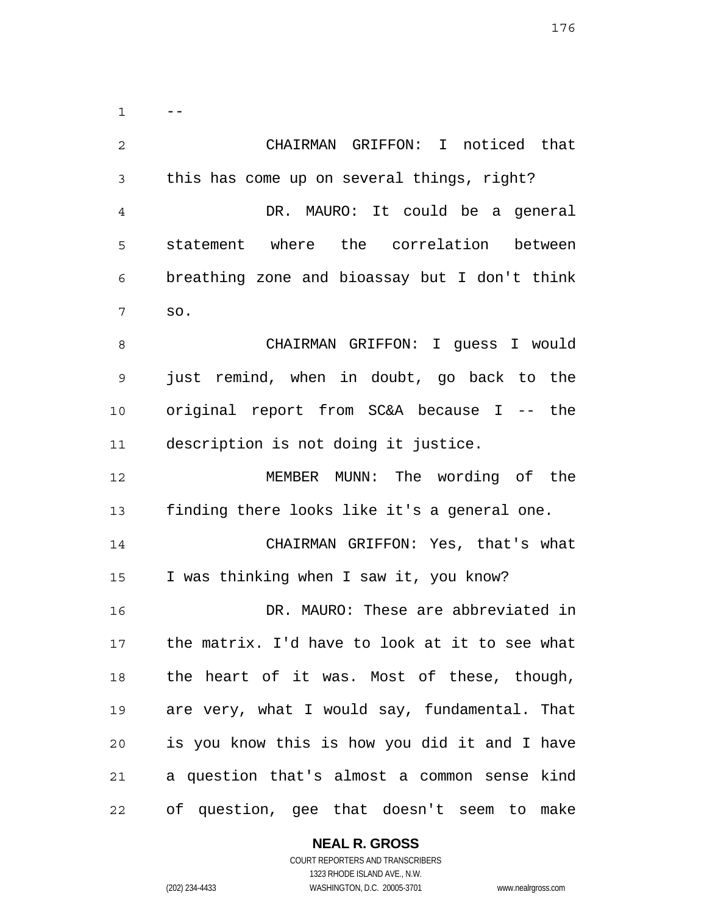$1 - -$ CHAIRMAN GRIFFON: I noticed that this has come up on several things, right? DR. MAURO: It could be a general statement where the correlation between breathing zone and bioassay but I don't think so. CHAIRMAN GRIFFON: I guess I would just remind, when in doubt, go back to the original report from SC&A because I -- the description is not doing it justice. MEMBER MUNN: The wording of the finding there looks like it's a general one. CHAIRMAN GRIFFON: Yes, that's what I was thinking when I saw it, you know? DR. MAURO: These are abbreviated in the matrix. I'd have to look at it to see what the heart of it was. Most of these, though, are very, what I would say, fundamental. That is you know this is how you did it and I have a question that's almost a common sense kind of question, gee that doesn't seem to make

**NEAL R. GROSS** 

COURT REPORTERS AND TRANSCRIBERS 1323 RHODE ISLAND AVE., N.W. (202) 234-4433 WASHINGTON, D.C. 20005-3701 www.nealrgross.com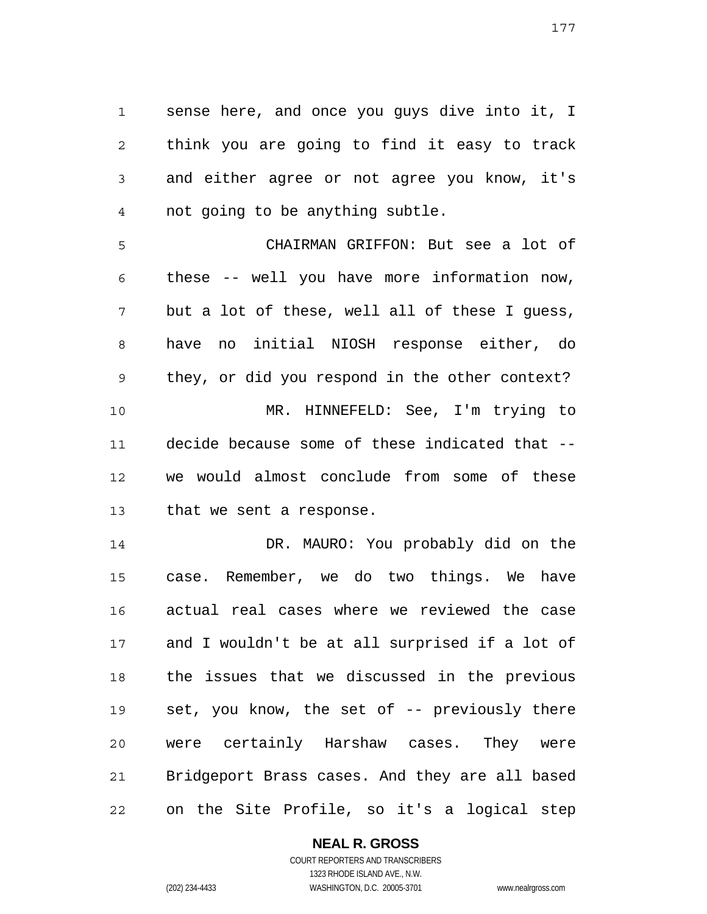sense here, and once you guys dive into it, I think you are going to find it easy to track and either agree or not agree you know, it's not going to be anything subtle.

CHAIRMAN GRIFFON: But see a lot of these -- well you have more information now, but a lot of these, well all of these I guess, have no initial NIOSH response either, do they, or did you respond in the other context? MR. HINNEFELD: See, I'm trying to decide because some of these indicated that -- we would almost conclude from some of these that we sent a response.

DR. MAURO: You probably did on the case. Remember, we do two things. We have actual real cases where we reviewed the case and I wouldn't be at all surprised if a lot of the issues that we discussed in the previous set, you know, the set of -- previously there were certainly Harshaw cases. They were Bridgeport Brass cases. And they are all based on the Site Profile, so it's a logical step

#### **NEAL R. GROSS**  COURT REPORTERS AND TRANSCRIBERS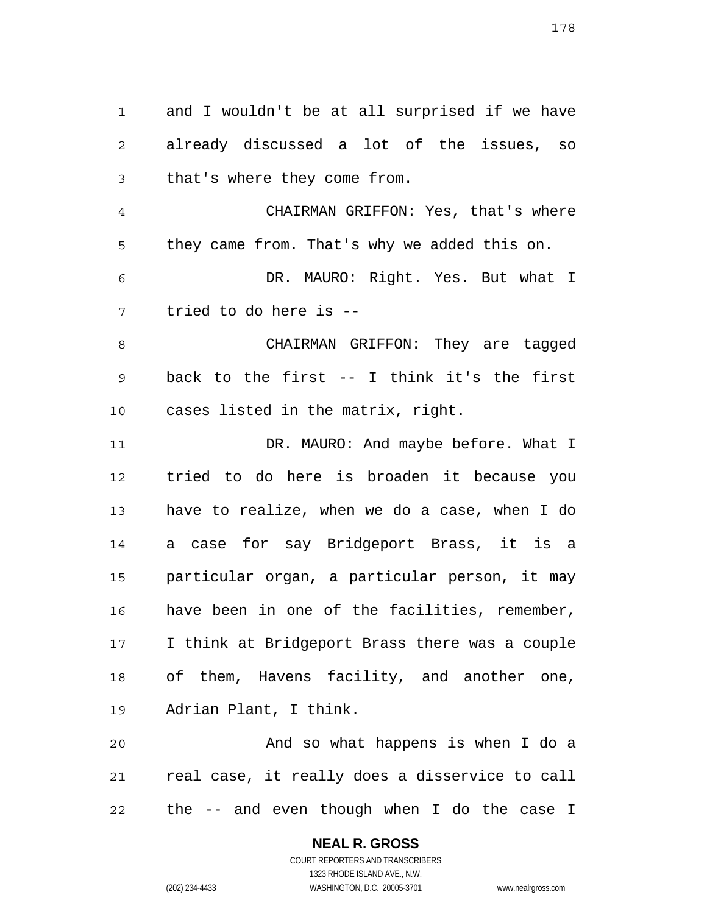and I wouldn't be at all surprised if we have already discussed a lot of the issues, so that's where they come from. CHAIRMAN GRIFFON: Yes, that's where they came from. That's why we added this on. DR. MAURO: Right. Yes. But what I tried to do here is -- CHAIRMAN GRIFFON: They are tagged back to the first -- I think it's the first cases listed in the matrix, right. 11 DR. MAURO: And maybe before. What I tried to do here is broaden it because you have to realize, when we do a case, when I do a case for say Bridgeport Brass, it is a particular organ, a particular person, it may have been in one of the facilities, remember, I think at Bridgeport Brass there was a couple of them, Havens facility, and another one, Adrian Plant, I think. And so what happens is when I do a real case, it really does a disservice to call

the -- and even though when I do the case I

COURT REPORTERS AND TRANSCRIBERS 1323 RHODE ISLAND AVE., N.W. (202) 234-4433 WASHINGTON, D.C. 20005-3701 www.nealrgross.com

**NEAL R. GROSS**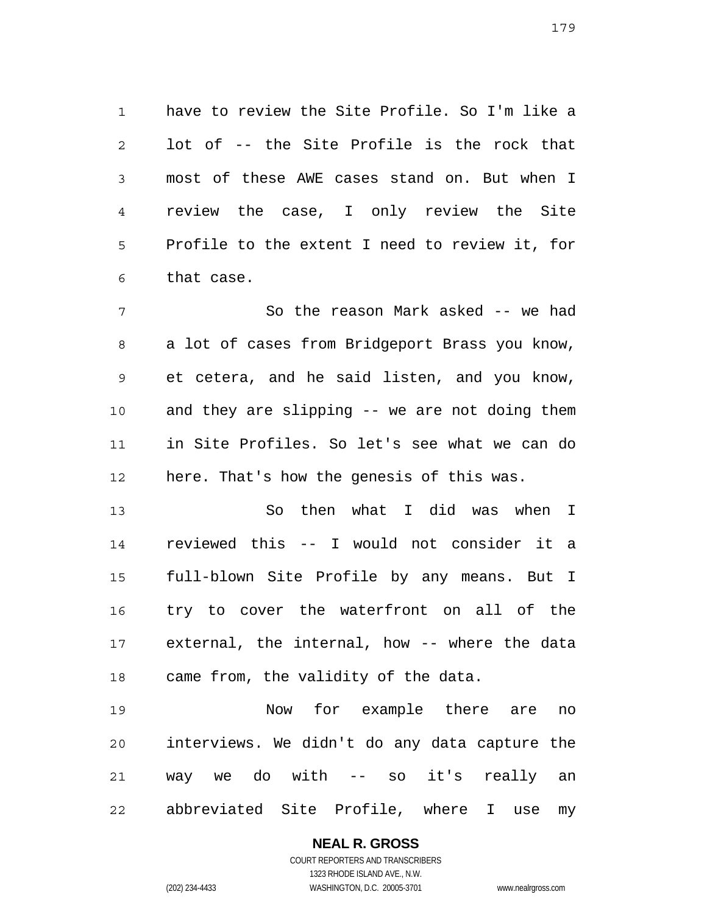have to review the Site Profile. So I'm like a lot of -- the Site Profile is the rock that most of these AWE cases stand on. But when I review the case, I only review the Site Profile to the extent I need to review it, for that case.

So the reason Mark asked -- we had a lot of cases from Bridgeport Brass you know, et cetera, and he said listen, and you know, and they are slipping -- we are not doing them in Site Profiles. So let's see what we can do here. That's how the genesis of this was.

So then what I did was when I reviewed this -- I would not consider it a full-blown Site Profile by any means. But I try to cover the waterfront on all of the external, the internal, how -- where the data came from, the validity of the data.

Now for example there are no interviews. We didn't do any data capture the way we do with -- so it's really an abbreviated Site Profile, where I use my

## **NEAL R. GROSS**

COURT REPORTERS AND TRANSCRIBERS 1323 RHODE ISLAND AVE., N.W. (202) 234-4433 WASHINGTON, D.C. 20005-3701 www.nealrgross.com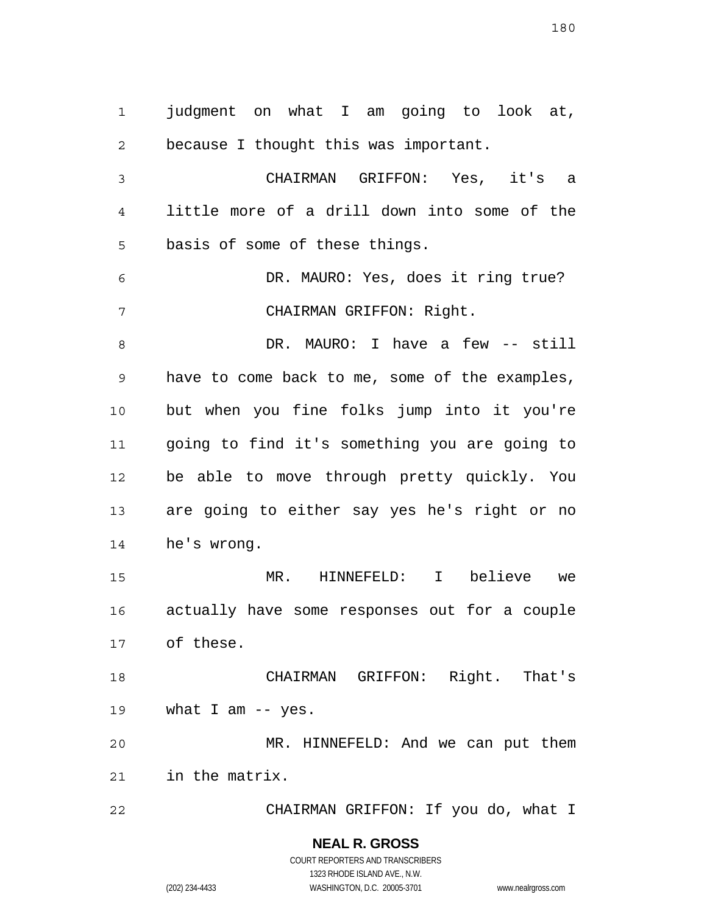judgment on what I am going to look at, because I thought this was important. CHAIRMAN GRIFFON: Yes, it's a little more of a drill down into some of the basis of some of these things. DR. MAURO: Yes, does it ring true? CHAIRMAN GRIFFON: Right. DR. MAURO: I have a few -- still have to come back to me, some of the examples, but when you fine folks jump into it you're going to find it's something you are going to be able to move through pretty quickly. You are going to either say yes he's right or no he's wrong. MR. HINNEFELD: I believe we actually have some responses out for a couple of these. CHAIRMAN GRIFFON: Right. That's what I am -- yes. MR. HINNEFELD: And we can put them in the matrix. CHAIRMAN GRIFFON: If you do, what I

> COURT REPORTERS AND TRANSCRIBERS 1323 RHODE ISLAND AVE., N.W. (202) 234-4433 WASHINGTON, D.C. 20005-3701 www.nealrgross.com

**NEAL R. GROSS**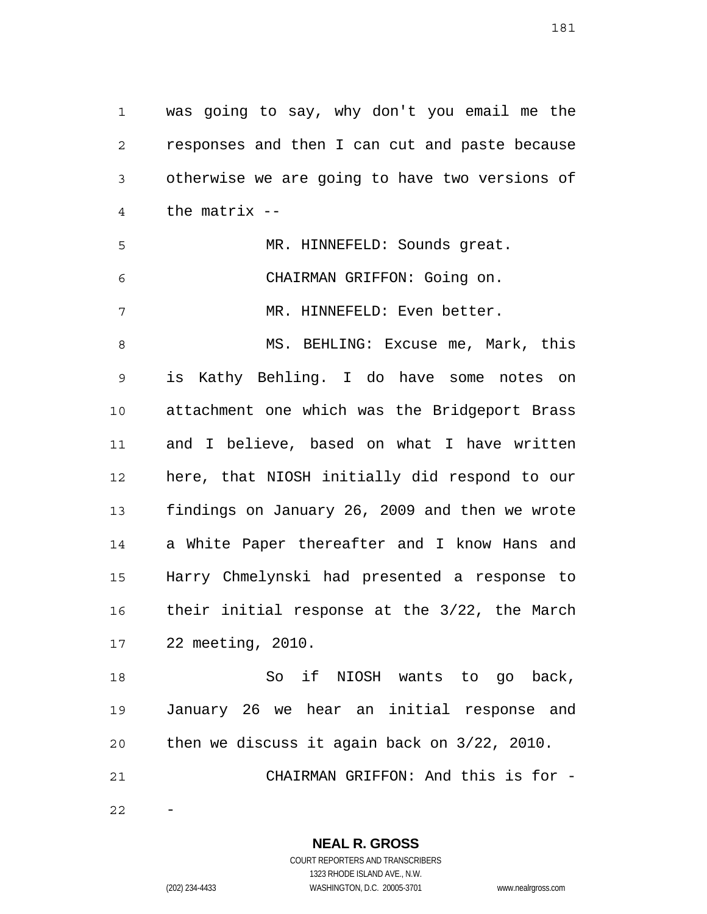was going to say, why don't you email me the responses and then I can cut and paste because otherwise we are going to have two versions of the matrix --

MR. HINNEFELD: Sounds great.

CHAIRMAN GRIFFON: Going on.

7 MR. HINNEFELD: Even better.

8 MS. BEHLING: Excuse me, Mark, this is Kathy Behling. I do have some notes on attachment one which was the Bridgeport Brass and I believe, based on what I have written here, that NIOSH initially did respond to our findings on January 26, 2009 and then we wrote a White Paper thereafter and I know Hans and Harry Chmelynski had presented a response to their initial response at the 3/22, the March 22 meeting, 2010.

So if NIOSH wants to go back, January 26 we hear an initial response and then we discuss it again back on 3/22, 2010. CHAIRMAN GRIFFON: And this is for -

## **NEAL R. GROSS**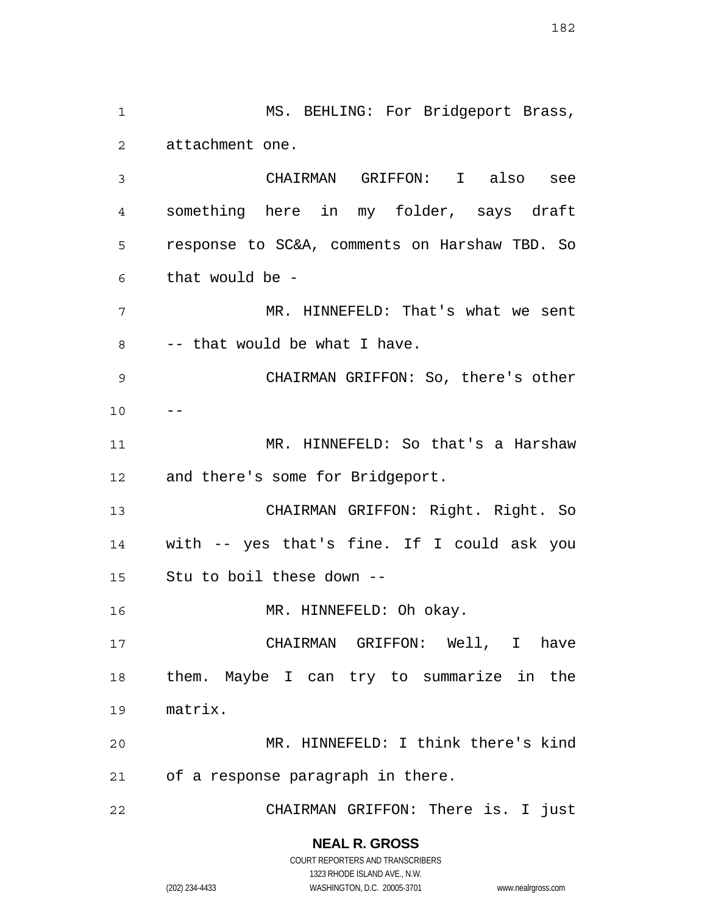1 MS. BEHLING: For Bridgeport Brass, attachment one. CHAIRMAN GRIFFON: I also see something here in my folder, says draft response to SC&A, comments on Harshaw TBD. So that would be - MR. HINNEFELD: That's what we sent -- that would be what I have. CHAIRMAN GRIFFON: So, there's other  $10 - -$ MR. HINNEFELD: So that's a Harshaw and there's some for Bridgeport. CHAIRMAN GRIFFON: Right. Right. So with -- yes that's fine. If I could ask you Stu to boil these down -- 16 MR. HINNEFELD: Oh okay. CHAIRMAN GRIFFON: Well, I have them. Maybe I can try to summarize in the matrix. MR. HINNEFELD: I think there's kind of a response paragraph in there. CHAIRMAN GRIFFON: There is. I just

> **NEAL R. GROSS**  COURT REPORTERS AND TRANSCRIBERS

> > 1323 RHODE ISLAND AVE., N.W.

(202) 234-4433 WASHINGTON, D.C. 20005-3701 www.nealrgross.com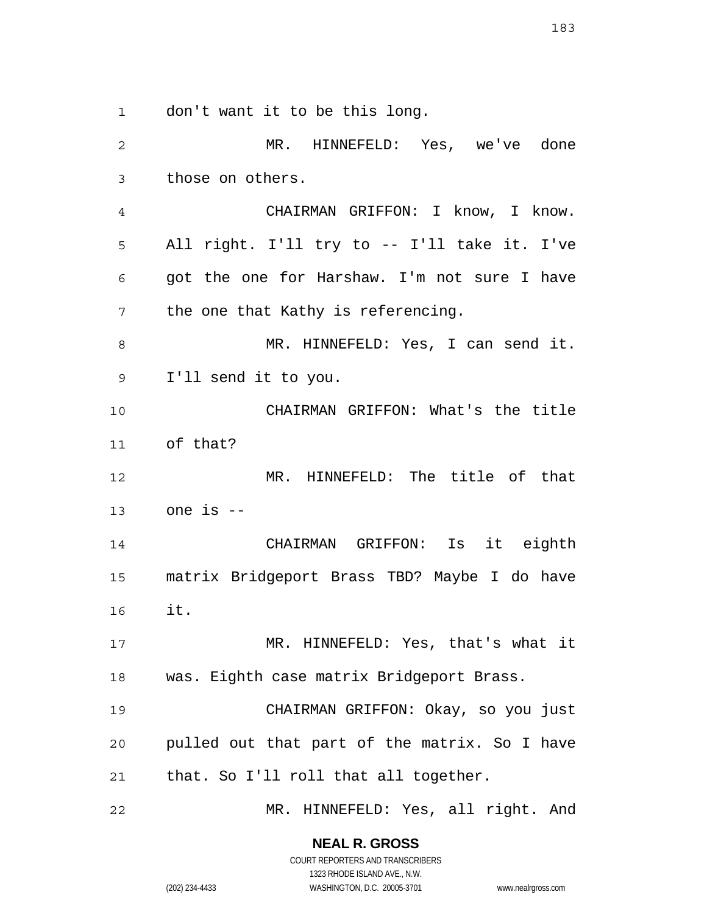don't want it to be this long.

MR. HINNEFELD: Yes, we've done those on others. CHAIRMAN GRIFFON: I know, I know. All right. I'll try to -- I'll take it. I've got the one for Harshaw. I'm not sure I have the one that Kathy is referencing. MR. HINNEFELD: Yes, I can send it. I'll send it to you. CHAIRMAN GRIFFON: What's the title of that? MR. HINNEFELD: The title of that one is -- CHAIRMAN GRIFFON: Is it eighth matrix Bridgeport Brass TBD? Maybe I do have it. MR. HINNEFELD: Yes, that's what it was. Eighth case matrix Bridgeport Brass. CHAIRMAN GRIFFON: Okay, so you just pulled out that part of the matrix. So I have that. So I'll roll that all together. MR. HINNEFELD: Yes, all right. And

> **NEAL R. GROSS**  COURT REPORTERS AND TRANSCRIBERS

1323 RHODE ISLAND AVE., N.W. (202) 234-4433 WASHINGTON, D.C. 20005-3701 www.nealrgross.com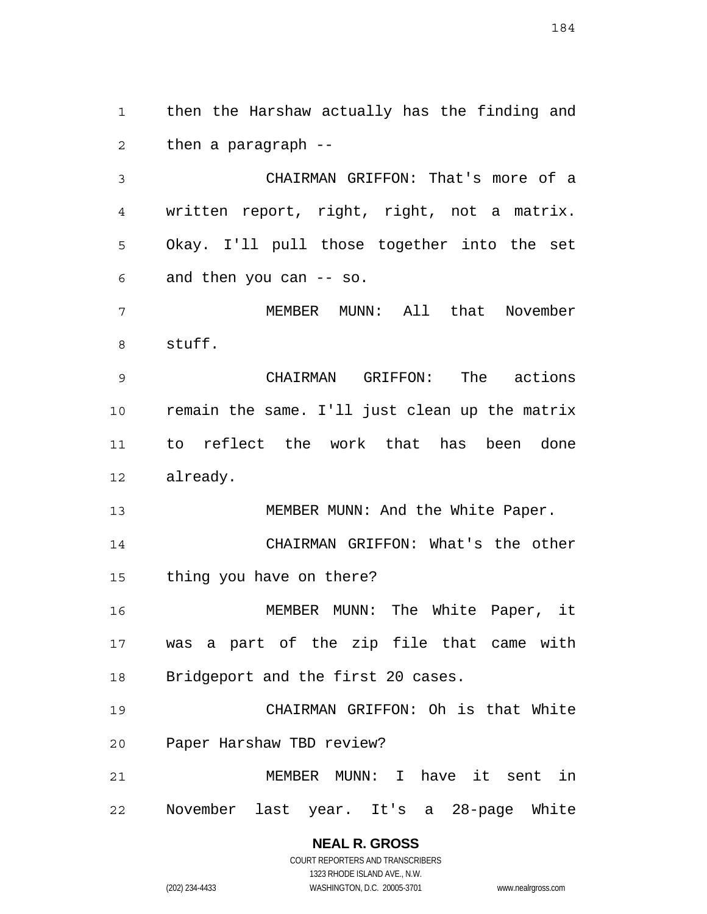then the Harshaw actually has the finding and then a paragraph --

CHAIRMAN GRIFFON: That's more of a written report, right, right, not a matrix. Okay. I'll pull those together into the set and then you can -- so.

MEMBER MUNN: All that November stuff.

CHAIRMAN GRIFFON: The actions remain the same. I'll just clean up the matrix to reflect the work that has been done already.

13 MEMBER MUNN: And the White Paper.

CHAIRMAN GRIFFON: What's the other thing you have on there?

MEMBER MUNN: The White Paper, it was a part of the zip file that came with Bridgeport and the first 20 cases.

CHAIRMAN GRIFFON: Oh is that White Paper Harshaw TBD review?

MEMBER MUNN: I have it sent in November last year. It's a 28-page White

## **NEAL R. GROSS**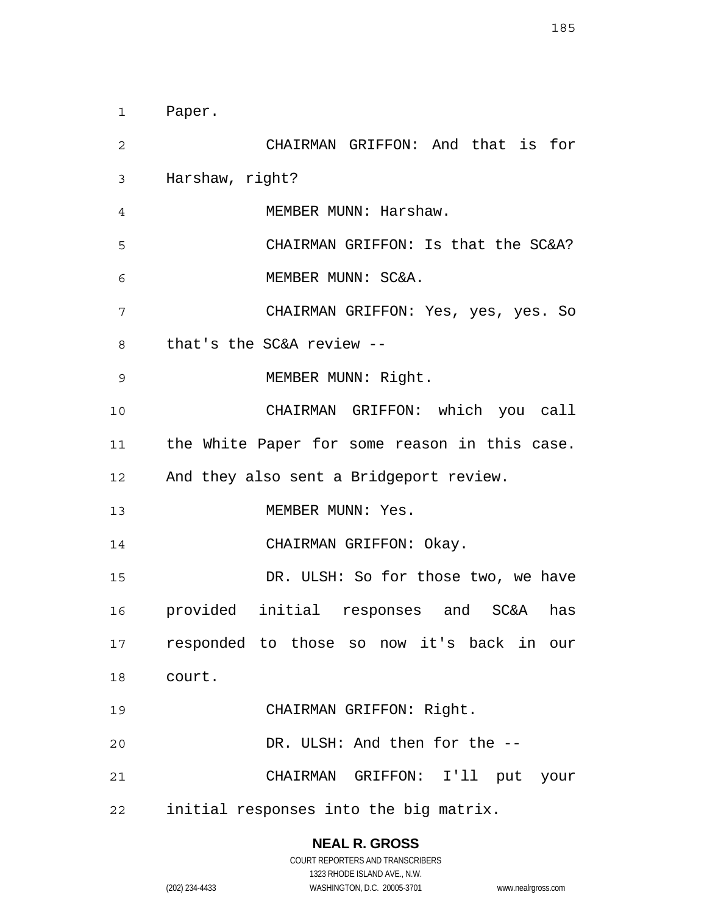Paper. CHAIRMAN GRIFFON: And that is for Harshaw, right? MEMBER MUNN: Harshaw. CHAIRMAN GRIFFON: Is that the SC&A? 6 MEMBER MUNN: SC&A. CHAIRMAN GRIFFON: Yes, yes, yes. So that's the SC&A review -- MEMBER MUNN: Right. CHAIRMAN GRIFFON: which you call the White Paper for some reason in this case. And they also sent a Bridgeport review. 13 MEMBER MUNN: Yes. CHAIRMAN GRIFFON: Okay. 15 DR. ULSH: So for those two, we have provided initial responses and SC&A has responded to those so now it's back in our court. CHAIRMAN GRIFFON: Right. DR. ULSH: And then for the -- CHAIRMAN GRIFFON: I'll put your initial responses into the big matrix.

# **NEAL R. GROSS**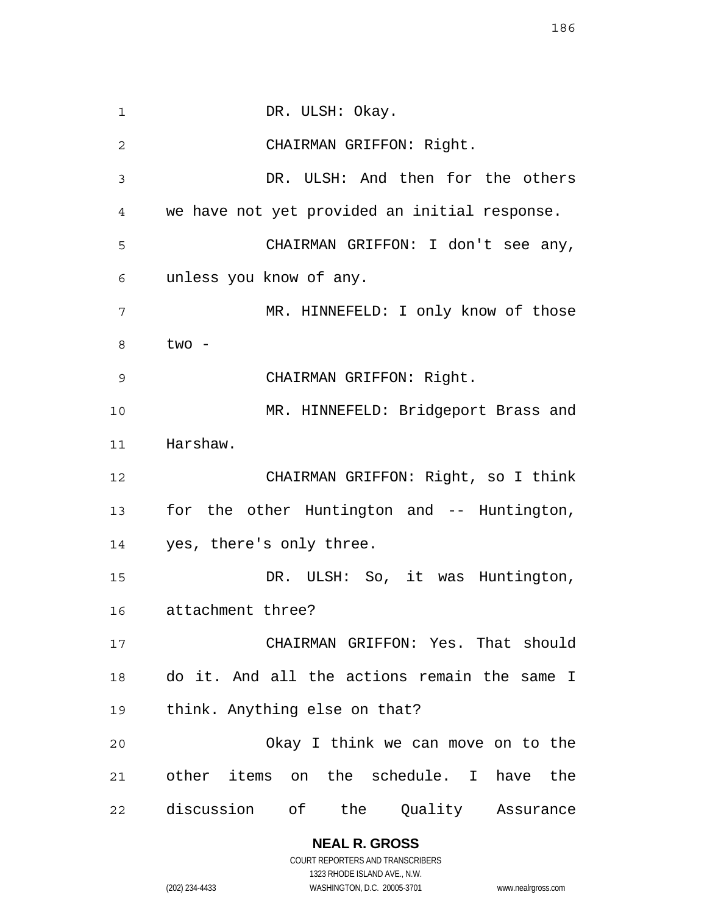1 DR. ULSH: Okay. CHAIRMAN GRIFFON: Right. DR. ULSH: And then for the others we have not yet provided an initial response. CHAIRMAN GRIFFON: I don't see any, unless you know of any. MR. HINNEFELD: I only know of those two - CHAIRMAN GRIFFON: Right. MR. HINNEFELD: Bridgeport Brass and Harshaw. CHAIRMAN GRIFFON: Right, so I think for the other Huntington and -- Huntington, yes, there's only three. DR. ULSH: So, it was Huntington, attachment three? CHAIRMAN GRIFFON: Yes. That should do it. And all the actions remain the same I think. Anything else on that? Okay I think we can move on to the other items on the schedule. I have the discussion of the Quality Assurance

> **NEAL R. GROSS**  COURT REPORTERS AND TRANSCRIBERS 1323 RHODE ISLAND AVE., N.W. (202) 234-4433 WASHINGTON, D.C. 20005-3701 www.nealrgross.com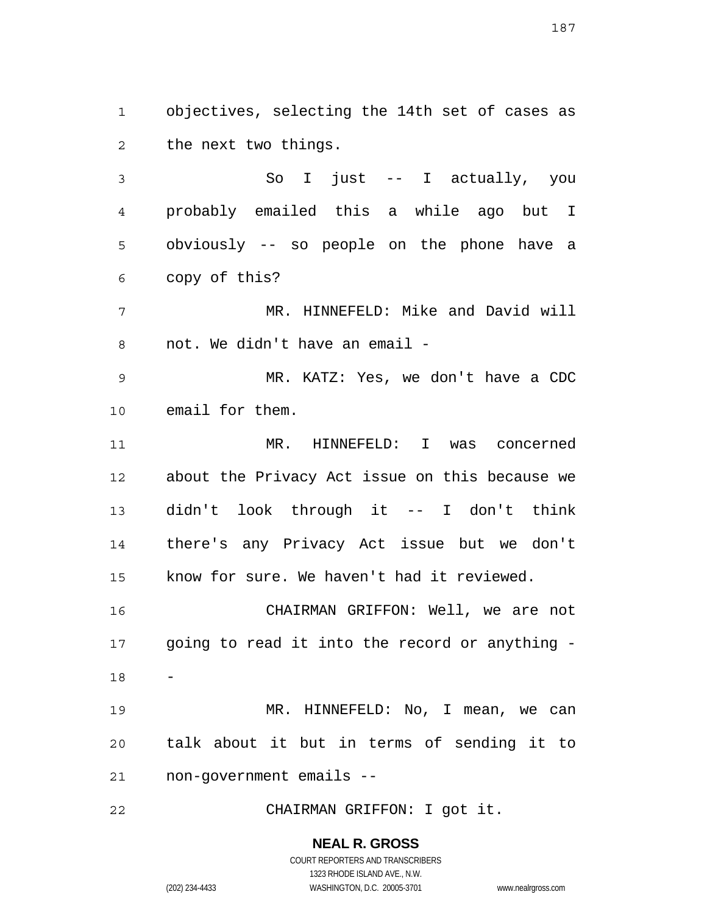objectives, selecting the 14th set of cases as the next two things.

So I just -- I actually, you probably emailed this a while ago but I obviously -- so people on the phone have a copy of this?

MR. HINNEFELD: Mike and David will not. We didn't have an email -

MR. KATZ: Yes, we don't have a CDC email for them.

MR. HINNEFELD: I was concerned about the Privacy Act issue on this because we didn't look through it -- I don't think there's any Privacy Act issue but we don't know for sure. We haven't had it reviewed.

CHAIRMAN GRIFFON: Well, we are not going to read it into the record or anything - -

MR. HINNEFELD: No, I mean, we can talk about it but in terms of sending it to non-government emails --

CHAIRMAN GRIFFON: I got it.

**NEAL R. GROSS**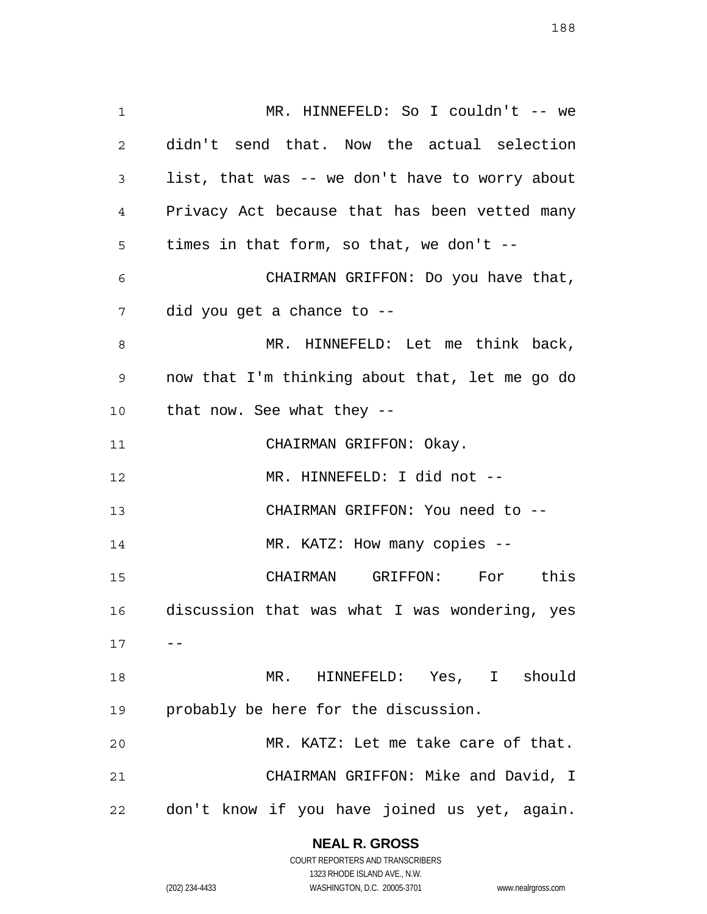MR. HINNEFELD: So I couldn't -- we didn't send that. Now the actual selection list, that was -- we don't have to worry about Privacy Act because that has been vetted many times in that form, so that, we don't -- CHAIRMAN GRIFFON: Do you have that, did you get a chance to -- 8 MR. HINNEFELD: Let me think back, now that I'm thinking about that, let me go do that now. See what they -- 11 CHAIRMAN GRIFFON: Okay. MR. HINNEFELD: I did not -- CHAIRMAN GRIFFON: You need to -- 14 MR. KATZ: How many copies --CHAIRMAN GRIFFON: For this discussion that was what I was wondering, yes  $17 - -$ MR. HINNEFELD: Yes, I should probably be here for the discussion. MR. KATZ: Let me take care of that. CHAIRMAN GRIFFON: Mike and David, I don't know if you have joined us yet, again.

> **NEAL R. GROSS**  COURT REPORTERS AND TRANSCRIBERS

> > 1323 RHODE ISLAND AVE., N.W.

(202) 234-4433 WASHINGTON, D.C. 20005-3701 www.nealrgross.com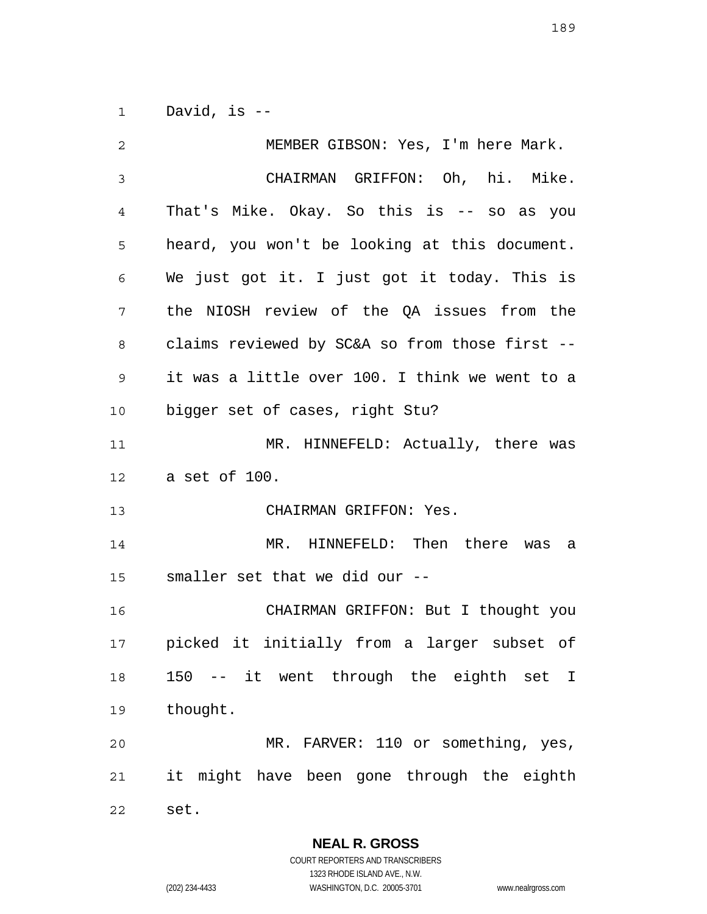David, is --

| $\overline{2}$ | MEMBER GIBSON: Yes, I'm here Mark.             |
|----------------|------------------------------------------------|
| 3              | CHAIRMAN GRIFFON: Oh, hi. Mike.                |
| $\overline{4}$ | That's Mike. Okay. So this is -- so as you     |
| 5              | heard, you won't be looking at this document.  |
| 6              | We just got it. I just got it today. This is   |
| 7              | the NIOSH review of the QA issues from the     |
| 8              | claims reviewed by SC&A so from those first -- |
| 9              | it was a little over 100. I think we went to a |
| 10             | bigger set of cases, right Stu?                |
| 11             | MR. HINNEFELD: Actually, there was             |
| 12             |                                                |
|                | a set of 100.                                  |
| 13             | CHAIRMAN GRIFFON: Yes.                         |
| 14             | MR. HINNEFELD: Then there was<br>a             |
| 15             | smaller set that we did our --                 |
| 16             | CHAIRMAN GRIFFON: But I thought you            |
| 17             | picked it initially from a larger subset of    |
| 18             | 150 -- it went through the eighth set I        |
| 19             | thought.                                       |
| 20             | MR. FARVER: 110 or something, yes,             |
| 21             | it might have been gone through the eighth     |

**NEAL R. GROSS**  COURT REPORTERS AND TRANSCRIBERS

1323 RHODE ISLAND AVE., N.W.

(202) 234-4433 WASHINGTON, D.C. 20005-3701 www.nealrgross.com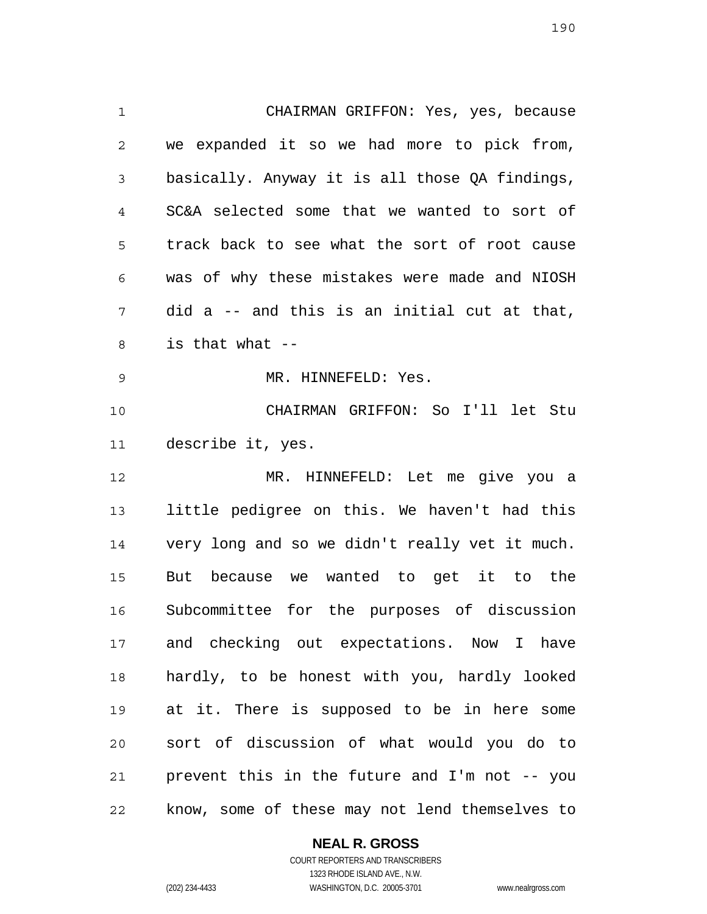CHAIRMAN GRIFFON: Yes, yes, because we expanded it so we had more to pick from, basically. Anyway it is all those QA findings, SC&A selected some that we wanted to sort of track back to see what the sort of root cause was of why these mistakes were made and NIOSH did a -- and this is an initial cut at that, is that what -- MR. HINNEFELD: Yes. CHAIRMAN GRIFFON: So I'll let Stu describe it, yes. MR. HINNEFELD: Let me give you a little pedigree on this. We haven't had this very long and so we didn't really vet it much. But because we wanted to get it to the Subcommittee for the purposes of discussion and checking out expectations. Now I have hardly, to be honest with you, hardly looked at it. There is supposed to be in here some sort of discussion of what would you do to prevent this in the future and I'm not -- you know, some of these may not lend themselves to

**NEAL R. GROSS** 

COURT REPORTERS AND TRANSCRIBERS 1323 RHODE ISLAND AVE., N.W. (202) 234-4433 WASHINGTON, D.C. 20005-3701 www.nealrgross.com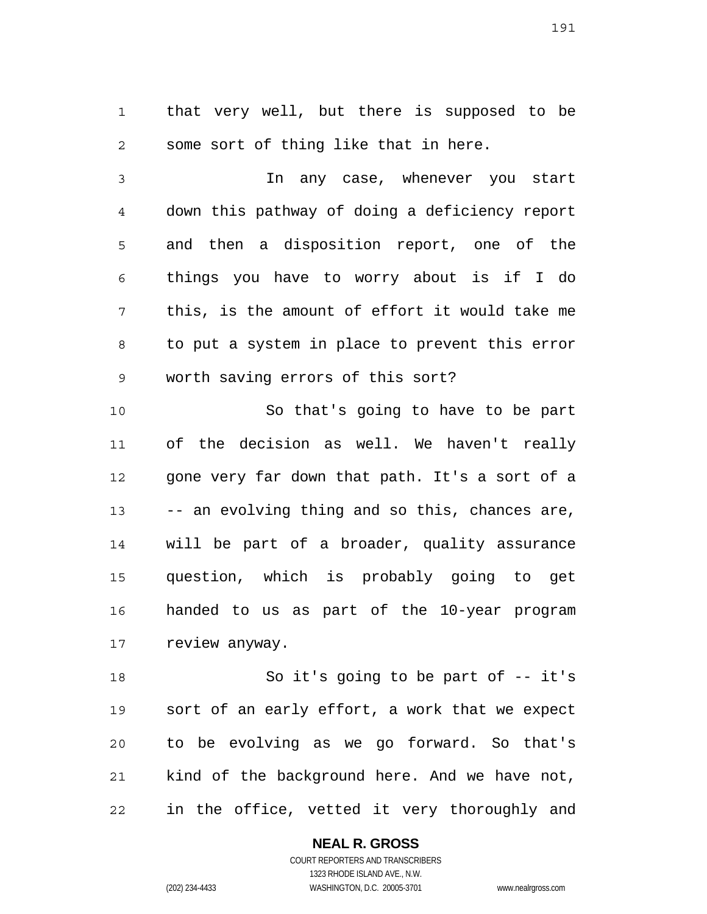that very well, but there is supposed to be some sort of thing like that in here.

In any case, whenever you start down this pathway of doing a deficiency report and then a disposition report, one of the things you have to worry about is if I do this, is the amount of effort it would take me to put a system in place to prevent this error worth saving errors of this sort?

So that's going to have to be part of the decision as well. We haven't really gone very far down that path. It's a sort of a -- an evolving thing and so this, chances are, will be part of a broader, quality assurance question, which is probably going to get handed to us as part of the 10-year program review anyway.

So it's going to be part of -- it's sort of an early effort, a work that we expect to be evolving as we go forward. So that's kind of the background here. And we have not, in the office, vetted it very thoroughly and

**NEAL R. GROSS**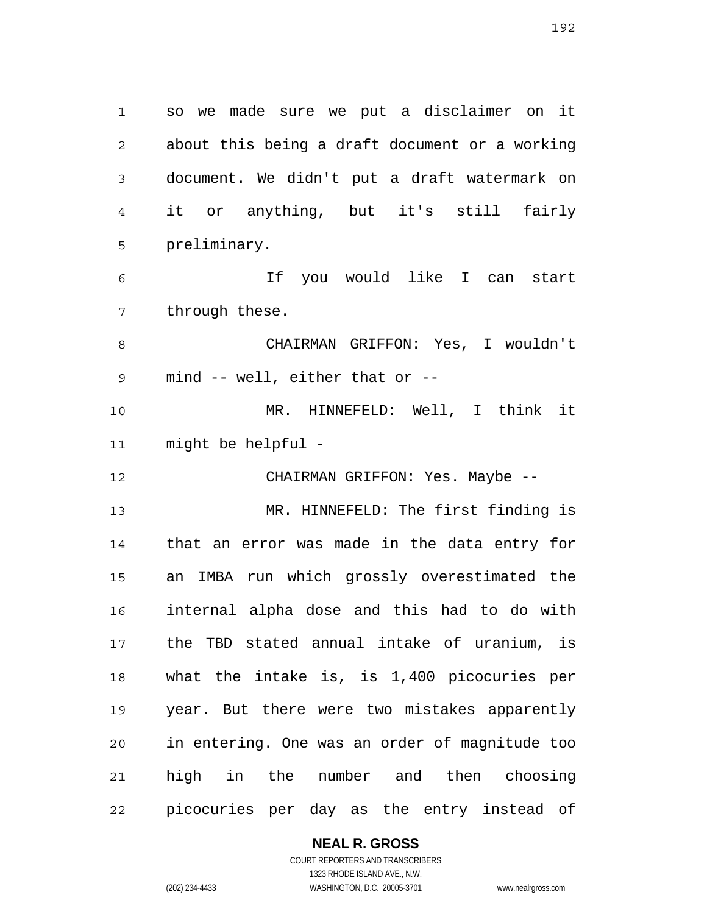so we made sure we put a disclaimer on it about this being a draft document or a working document. We didn't put a draft watermark on it or anything, but it's still fairly preliminary.

If you would like I can start through these.

CHAIRMAN GRIFFON: Yes, I wouldn't mind -- well, either that or --

MR. HINNEFELD: Well, I think it might be helpful -

CHAIRMAN GRIFFON: Yes. Maybe --

MR. HINNEFELD: The first finding is that an error was made in the data entry for an IMBA run which grossly overestimated the internal alpha dose and this had to do with the TBD stated annual intake of uranium, is what the intake is, is 1,400 picocuries per year. But there were two mistakes apparently in entering. One was an order of magnitude too high in the number and then choosing picocuries per day as the entry instead of

## **NEAL R. GROSS**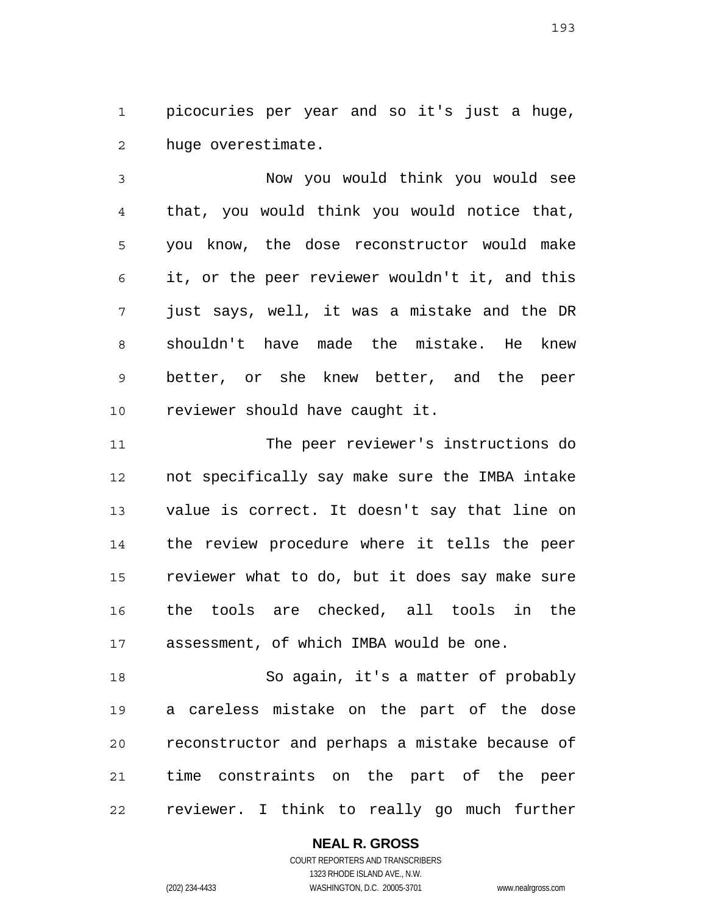picocuries per year and so it's just a huge, huge overestimate.

Now you would think you would see that, you would think you would notice that, you know, the dose reconstructor would make it, or the peer reviewer wouldn't it, and this just says, well, it was a mistake and the DR shouldn't have made the mistake. He knew better, or she knew better, and the peer reviewer should have caught it.

The peer reviewer's instructions do not specifically say make sure the IMBA intake value is correct. It doesn't say that line on the review procedure where it tells the peer reviewer what to do, but it does say make sure the tools are checked, all tools in the assessment, of which IMBA would be one.

So again, it's a matter of probably a careless mistake on the part of the dose reconstructor and perhaps a mistake because of time constraints on the part of the peer reviewer. I think to really go much further

**NEAL R. GROSS**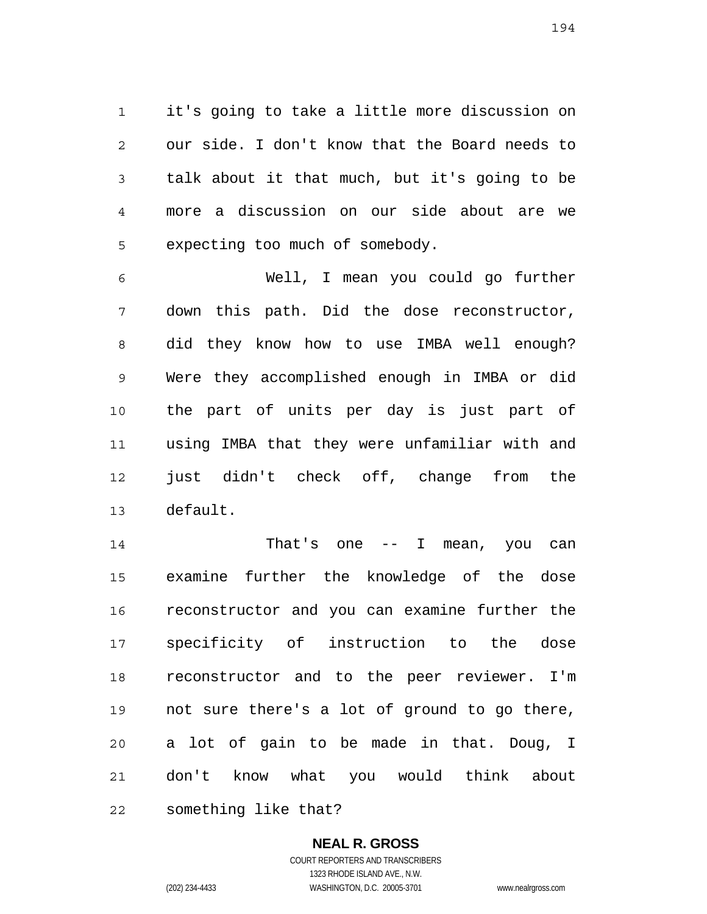it's going to take a little more discussion on our side. I don't know that the Board needs to talk about it that much, but it's going to be more a discussion on our side about are we expecting too much of somebody.

Well, I mean you could go further down this path. Did the dose reconstructor, did they know how to use IMBA well enough? Were they accomplished enough in IMBA or did the part of units per day is just part of using IMBA that they were unfamiliar with and just didn't check off, change from the default.

That's one -- I mean, you can examine further the knowledge of the dose reconstructor and you can examine further the specificity of instruction to the dose reconstructor and to the peer reviewer. I'm not sure there's a lot of ground to go there, a lot of gain to be made in that. Doug, I don't know what you would think about something like that?

## **NEAL R. GROSS**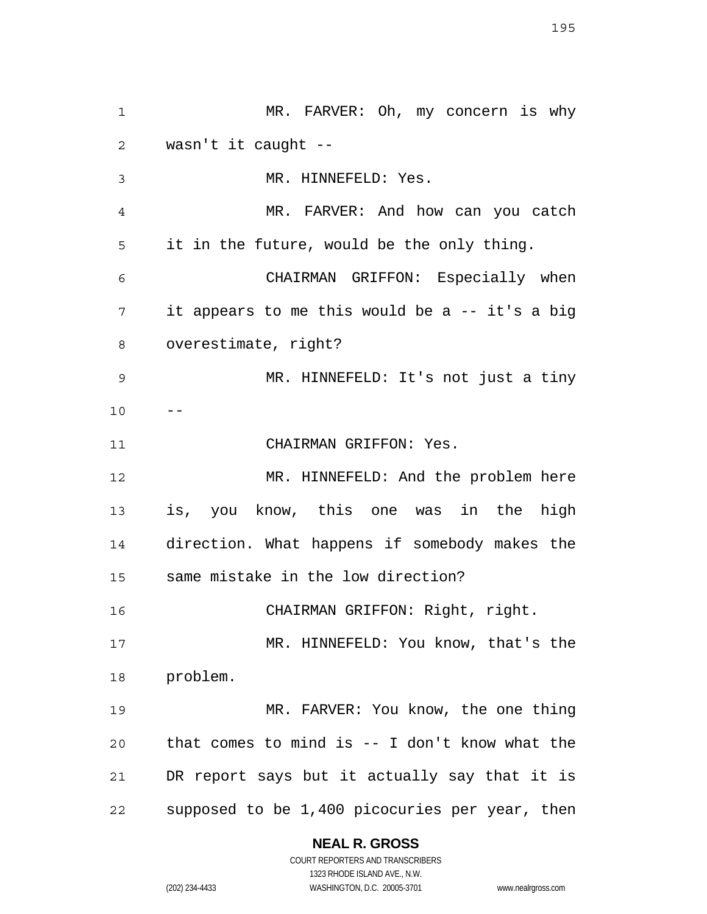MR. FARVER: Oh, my concern is why wasn't it caught -- MR. HINNEFELD: Yes. MR. FARVER: And how can you catch it in the future, would be the only thing. CHAIRMAN GRIFFON: Especially when it appears to me this would be a -- it's a big overestimate, right? MR. HINNEFELD: It's not just a tiny  $10 - -$ CHAIRMAN GRIFFON: Yes. MR. HINNEFELD: And the problem here is, you know, this one was in the high direction. What happens if somebody makes the same mistake in the low direction? CHAIRMAN GRIFFON: Right, right. MR. HINNEFELD: You know, that's the problem. MR. FARVER: You know, the one thing that comes to mind is -- I don't know what the DR report says but it actually say that it is supposed to be 1,400 picocuries per year, then

**NEAL R. GROSS** 

COURT REPORTERS AND TRANSCRIBERS 1323 RHODE ISLAND AVE., N.W. (202) 234-4433 WASHINGTON, D.C. 20005-3701 www.nealrgross.com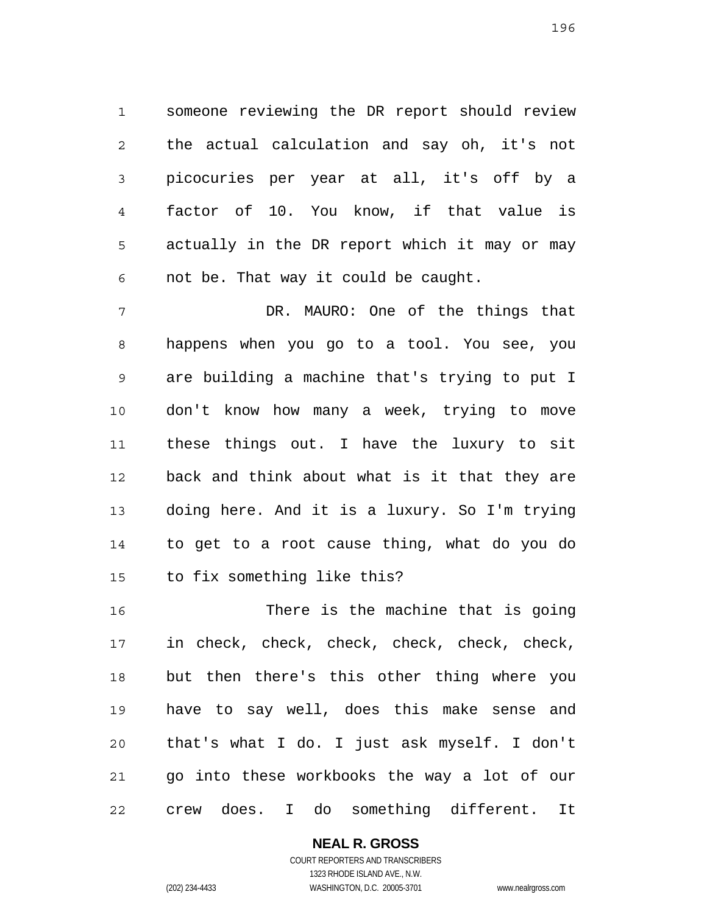someone reviewing the DR report should review the actual calculation and say oh, it's not picocuries per year at all, it's off by a factor of 10. You know, if that value is actually in the DR report which it may or may not be. That way it could be caught.

DR. MAURO: One of the things that happens when you go to a tool. You see, you are building a machine that's trying to put I don't know how many a week, trying to move these things out. I have the luxury to sit back and think about what is it that they are doing here. And it is a luxury. So I'm trying to get to a root cause thing, what do you do to fix something like this?

There is the machine that is going in check, check, check, check, check, check, but then there's this other thing where you have to say well, does this make sense and that's what I do. I just ask myself. I don't go into these workbooks the way a lot of our crew does. I do something different. It

> COURT REPORTERS AND TRANSCRIBERS 1323 RHODE ISLAND AVE., N.W. (202) 234-4433 WASHINGTON, D.C. 20005-3701 www.nealrgross.com

**NEAL R. GROSS**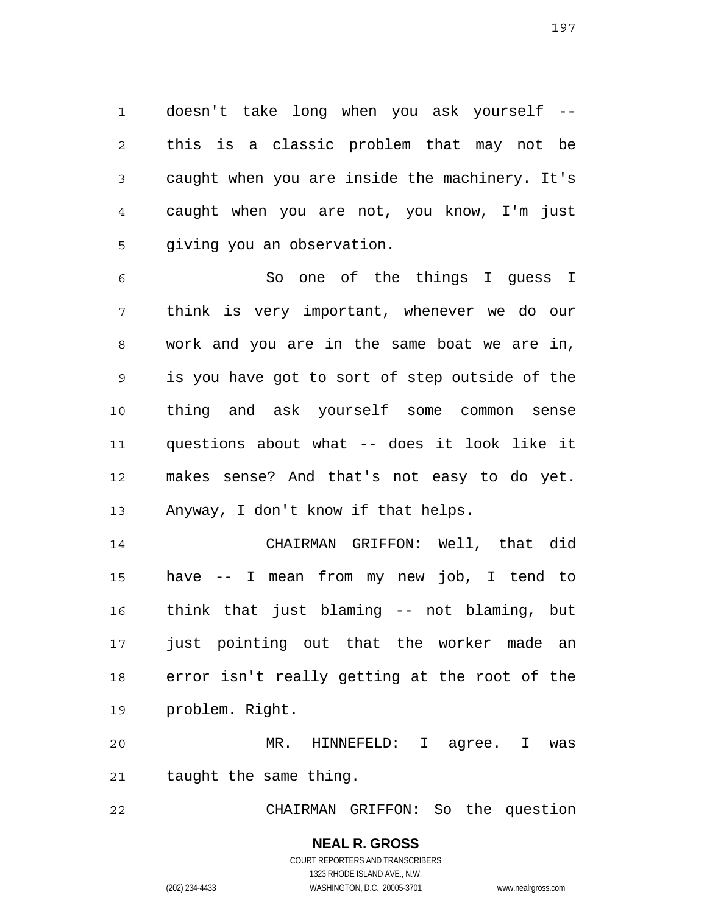doesn't take long when you ask yourself -- this is a classic problem that may not be caught when you are inside the machinery. It's caught when you are not, you know, I'm just giving you an observation.

So one of the things I guess I think is very important, whenever we do our work and you are in the same boat we are in, is you have got to sort of step outside of the thing and ask yourself some common sense questions about what -- does it look like it makes sense? And that's not easy to do yet. Anyway, I don't know if that helps.

CHAIRMAN GRIFFON: Well, that did have -- I mean from my new job, I tend to think that just blaming -- not blaming, but just pointing out that the worker made an error isn't really getting at the root of the problem. Right.

MR. HINNEFELD: I agree. I was taught the same thing.

CHAIRMAN GRIFFON: So the question

**NEAL R. GROSS**  COURT REPORTERS AND TRANSCRIBERS 1323 RHODE ISLAND AVE., N.W.

(202) 234-4433 WASHINGTON, D.C. 20005-3701 www.nealrgross.com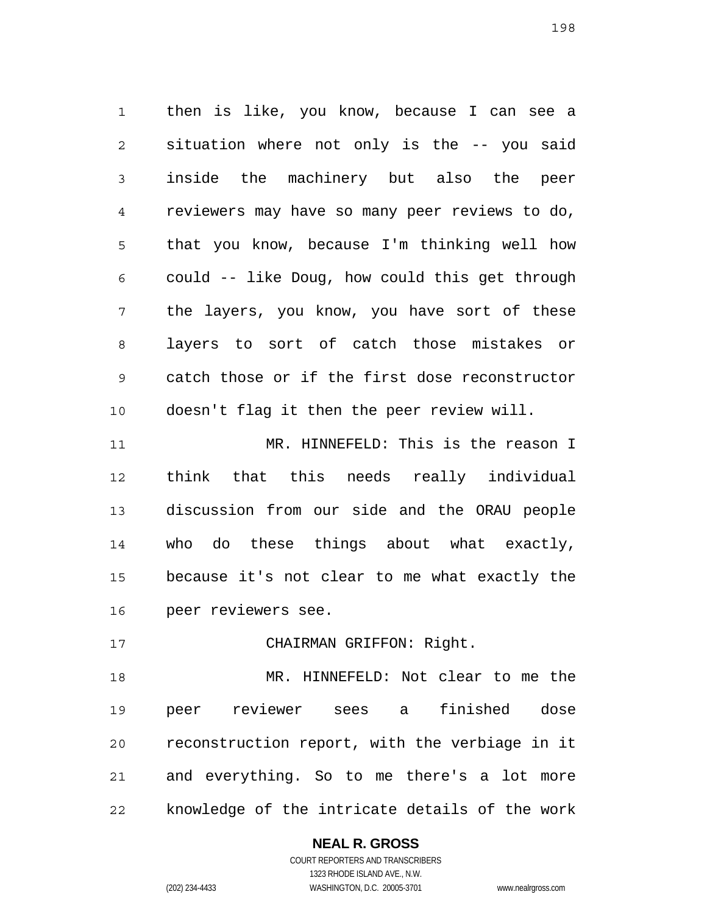then is like, you know, because I can see a situation where not only is the -- you said inside the machinery but also the peer reviewers may have so many peer reviews to do, that you know, because I'm thinking well how could -- like Doug, how could this get through the layers, you know, you have sort of these layers to sort of catch those mistakes or catch those or if the first dose reconstructor doesn't flag it then the peer review will. MR. HINNEFELD: This is the reason I

think that this needs really individual discussion from our side and the ORAU people who do these things about what exactly, because it's not clear to me what exactly the peer reviewers see.

17 CHAIRMAN GRIFFON: Right.

MR. HINNEFELD: Not clear to me the peer reviewer sees a finished dose reconstruction report, with the verbiage in it and everything. So to me there's a lot more knowledge of the intricate details of the work

**NEAL R. GROSS**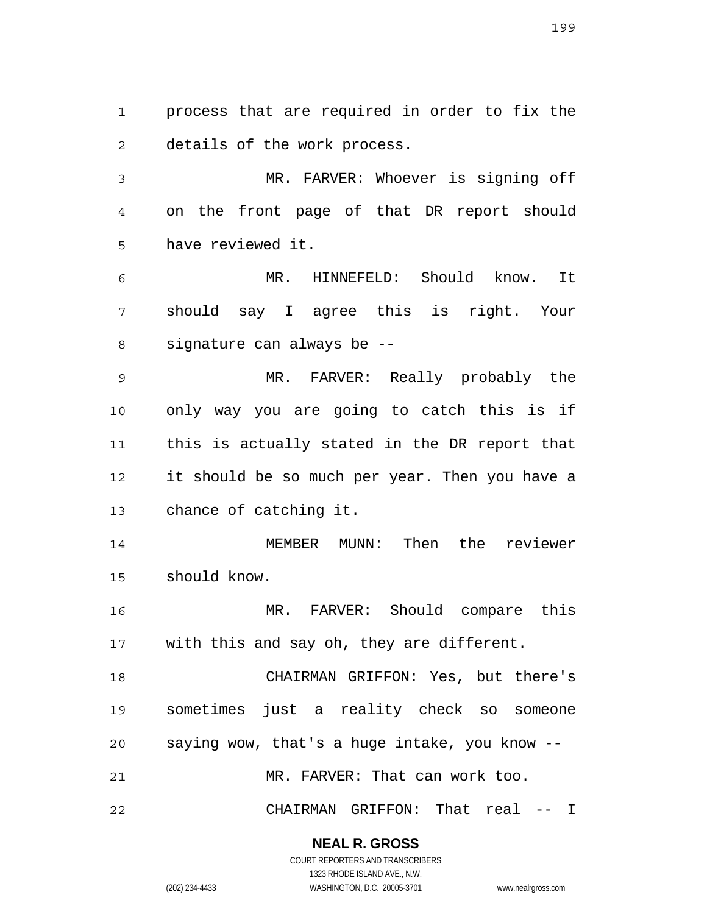process that are required in order to fix the details of the work process.

MR. FARVER: Whoever is signing off on the front page of that DR report should have reviewed it.

MR. HINNEFELD: Should know. It should say I agree this is right. Your signature can always be --

MR. FARVER: Really probably the only way you are going to catch this is if this is actually stated in the DR report that it should be so much per year. Then you have a chance of catching it.

MEMBER MUNN: Then the reviewer should know.

MR. FARVER: Should compare this with this and say oh, they are different.

CHAIRMAN GRIFFON: Yes, but there's sometimes just a reality check so someone saying wow, that's a huge intake, you know -- MR. FARVER: That can work too.

22 CHAIRMAN GRIFFON: That real -- I

**NEAL R. GROSS**  COURT REPORTERS AND TRANSCRIBERS

1323 RHODE ISLAND AVE., N.W.

(202) 234-4433 WASHINGTON, D.C. 20005-3701 www.nealrgross.com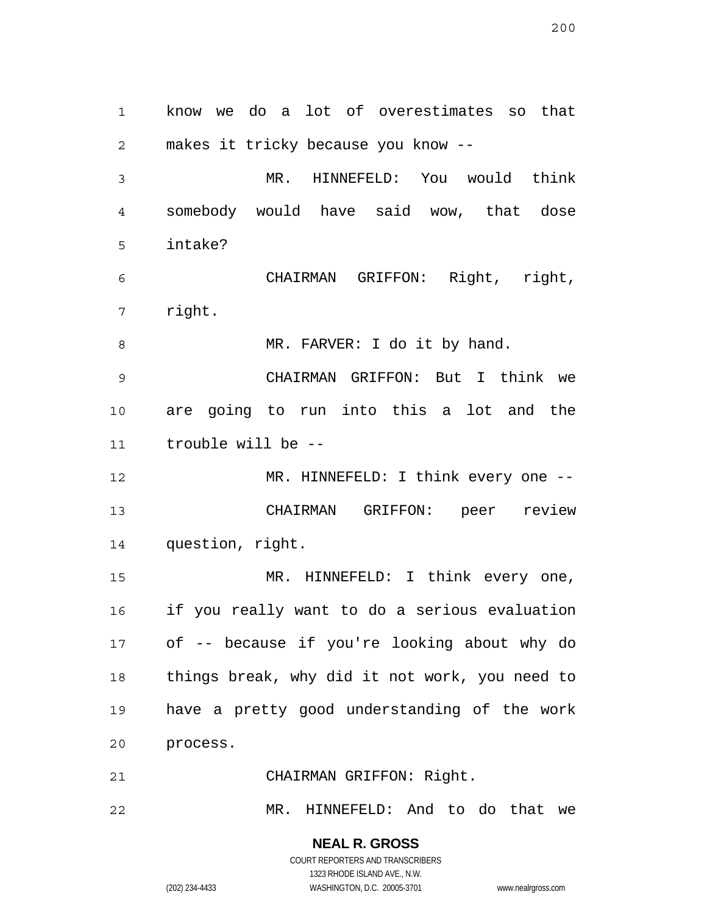know we do a lot of overestimates so that makes it tricky because you know --

MR. HINNEFELD: You would think somebody would have said wow, that dose intake?

CHAIRMAN GRIFFON: Right, right, right.

8 MR. FARVER: I do it by hand.

CHAIRMAN GRIFFON: But I think we are going to run into this a lot and the trouble will be --

MR. HINNEFELD: I think every one -- CHAIRMAN GRIFFON: peer review question, right.

MR. HINNEFELD: I think every one, if you really want to do a serious evaluation of -- because if you're looking about why do things break, why did it not work, you need to have a pretty good understanding of the work process.

CHAIRMAN GRIFFON: Right.

MR. HINNEFELD: And to do that we

**NEAL R. GROSS**  COURT REPORTERS AND TRANSCRIBERS

1323 RHODE ISLAND AVE., N.W. (202) 234-4433 WASHINGTON, D.C. 20005-3701 www.nealrgross.com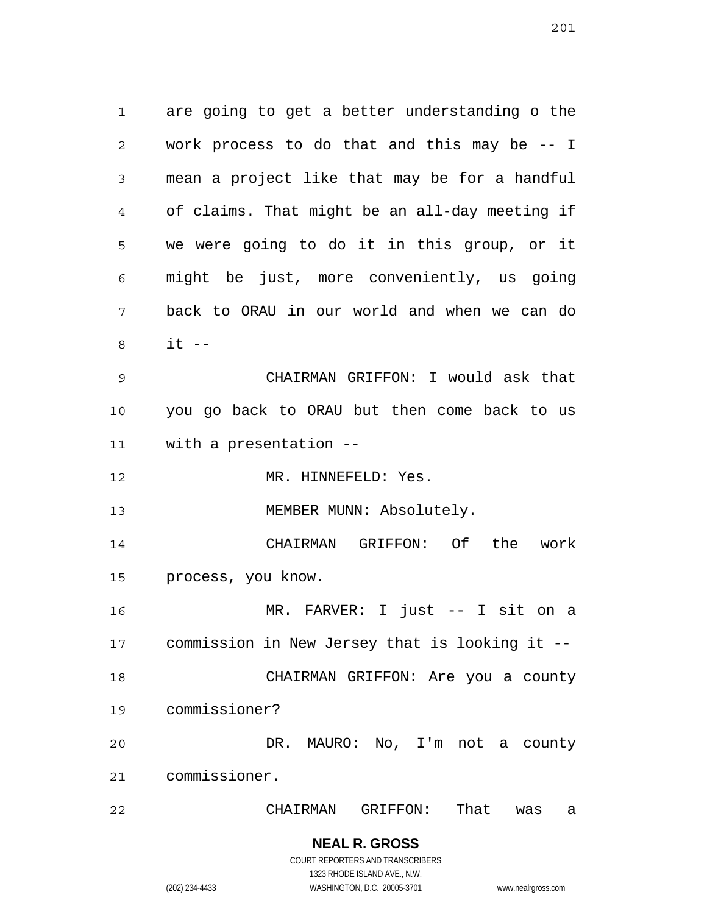are going to get a better understanding o the work process to do that and this may be -- I mean a project like that may be for a handful of claims. That might be an all-day meeting if we were going to do it in this group, or it might be just, more conveniently, us going back to ORAU in our world and when we can do it -- CHAIRMAN GRIFFON: I would ask that you go back to ORAU but then come back to us with a presentation -- 12 MR. HINNEFELD: Yes. 13 MEMBER MUNN: Absolutely. CHAIRMAN GRIFFON: Of the work process, you know. MR. FARVER: I just -- I sit on a commission in New Jersey that is looking it -- CHAIRMAN GRIFFON: Are you a county commissioner? DR. MAURO: No, I'm not a county commissioner. CHAIRMAN GRIFFON: That was a

1323 RHODE ISLAND AVE., N.W.

(202) 234-4433 WASHINGTON, D.C. 20005-3701 www.nealrgross.com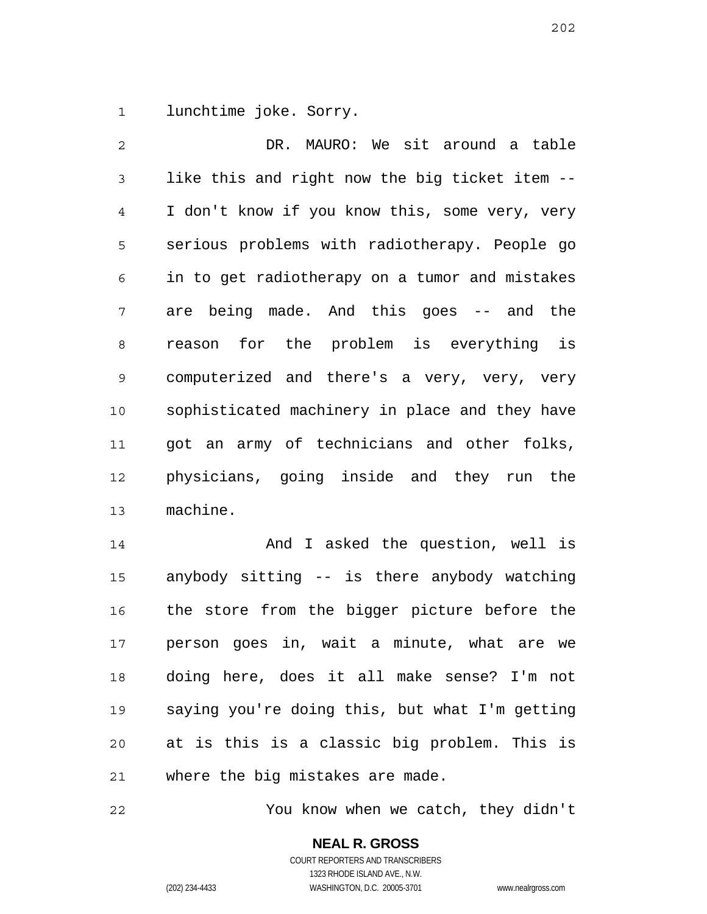lunchtime joke. Sorry.

DR. MAURO: We sit around a table like this and right now the big ticket item -- I don't know if you know this, some very, very serious problems with radiotherapy. People go in to get radiotherapy on a tumor and mistakes are being made. And this goes -- and the reason for the problem is everything is computerized and there's a very, very, very sophisticated machinery in place and they have got an army of technicians and other folks, physicians, going inside and they run the machine.

And I asked the question, well is anybody sitting -- is there anybody watching the store from the bigger picture before the person goes in, wait a minute, what are we doing here, does it all make sense? I'm not saying you're doing this, but what I'm getting at is this is a classic big problem. This is where the big mistakes are made.

You know when we catch, they didn't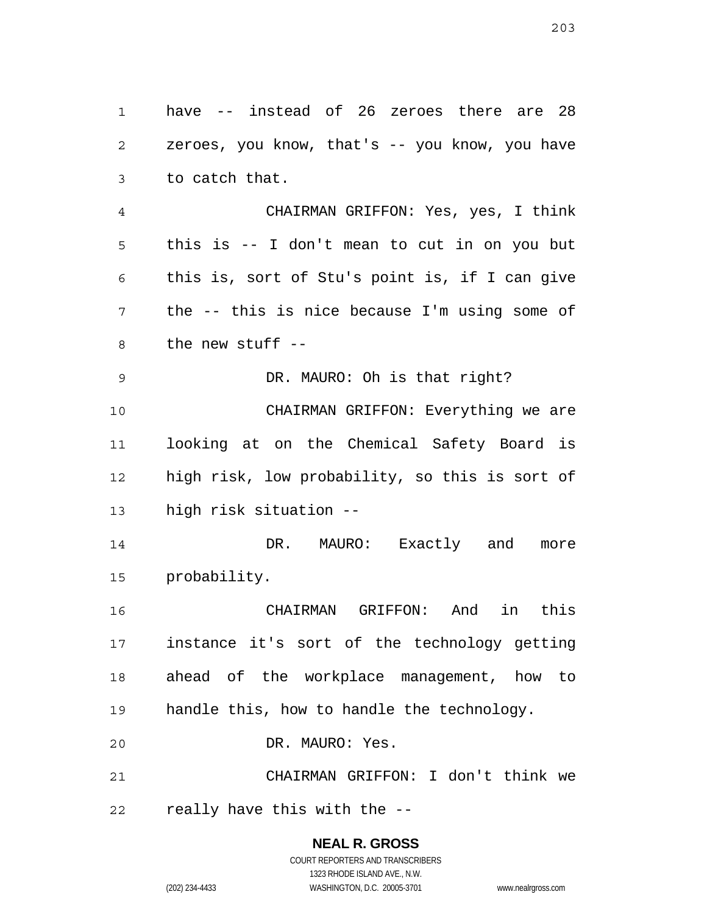have -- instead of 26 zeroes there are 28 zeroes, you know, that's -- you know, you have to catch that.

CHAIRMAN GRIFFON: Yes, yes, I think this is -- I don't mean to cut in on you but this is, sort of Stu's point is, if I can give the -- this is nice because I'm using some of the new stuff --

DR. MAURO: Oh is that right? CHAIRMAN GRIFFON: Everything we are looking at on the Chemical Safety Board is high risk, low probability, so this is sort of high risk situation --

DR. MAURO: Exactly and more probability.

CHAIRMAN GRIFFON: And in this instance it's sort of the technology getting ahead of the workplace management, how to handle this, how to handle the technology.

DR. MAURO: Yes.

CHAIRMAN GRIFFON: I don't think we really have this with the --

> **NEAL R. GROSS**  COURT REPORTERS AND TRANSCRIBERS 1323 RHODE ISLAND AVE., N.W.

(202) 234-4433 WASHINGTON, D.C. 20005-3701 www.nealrgross.com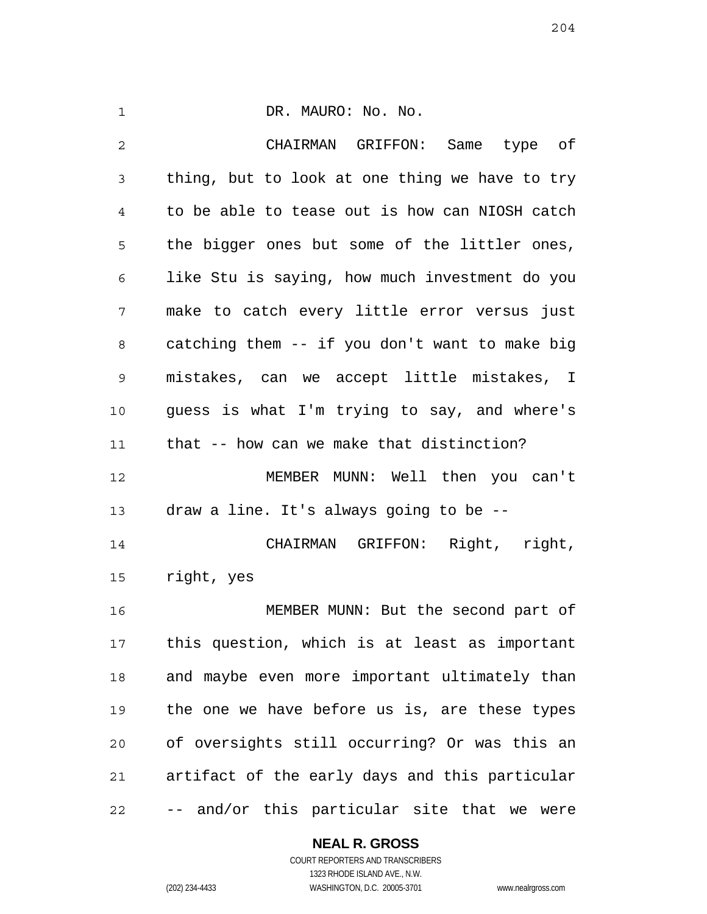1 DR. MAURO: No. No. CHAIRMAN GRIFFON: Same type of thing, but to look at one thing we have to try to be able to tease out is how can NIOSH catch the bigger ones but some of the littler ones, like Stu is saying, how much investment do you make to catch every little error versus just catching them -- if you don't want to make big mistakes, can we accept little mistakes, I guess is what I'm trying to say, and where's that -- how can we make that distinction? MEMBER MUNN: Well then you can't draw a line. It's always going to be -- CHAIRMAN GRIFFON: Right, right, right, yes MEMBER MUNN: But the second part of

this question, which is at least as important and maybe even more important ultimately than the one we have before us is, are these types of oversights still occurring? Or was this an artifact of the early days and this particular -- and/or this particular site that we were

**NEAL R. GROSS**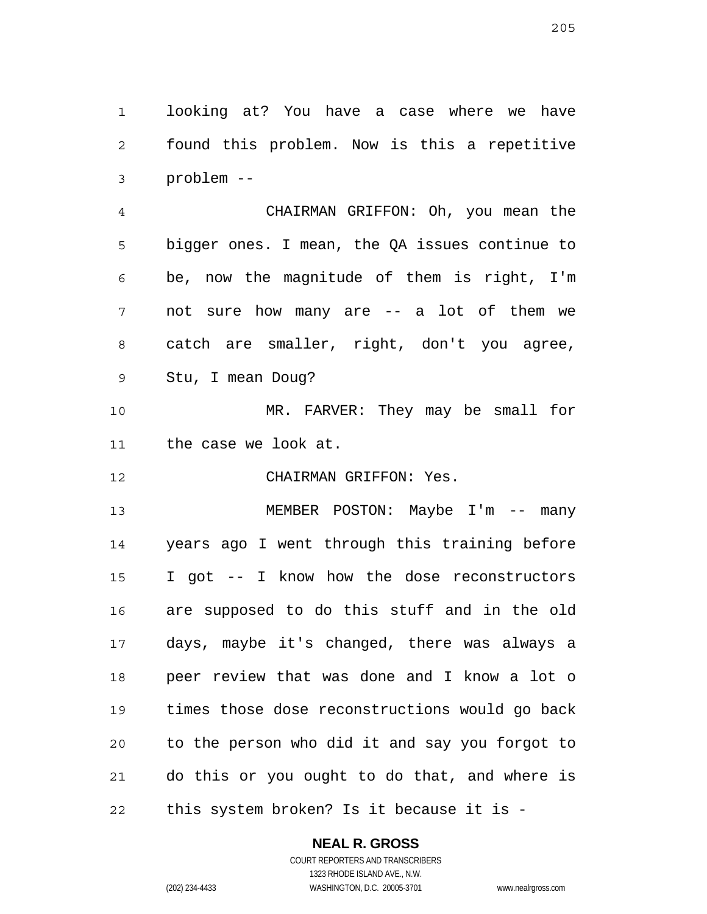looking at? You have a case where we have found this problem. Now is this a repetitive problem --

CHAIRMAN GRIFFON: Oh, you mean the bigger ones. I mean, the QA issues continue to be, now the magnitude of them is right, I'm not sure how many are -- a lot of them we catch are smaller, right, don't you agree, Stu, I mean Doug?

MR. FARVER: They may be small for the case we look at.

CHAIRMAN GRIFFON: Yes.

MEMBER POSTON: Maybe I'm -- many years ago I went through this training before I got -- I know how the dose reconstructors are supposed to do this stuff and in the old days, maybe it's changed, there was always a peer review that was done and I know a lot o times those dose reconstructions would go back to the person who did it and say you forgot to do this or you ought to do that, and where is this system broken? Is it because it is -

## **NEAL R. GROSS**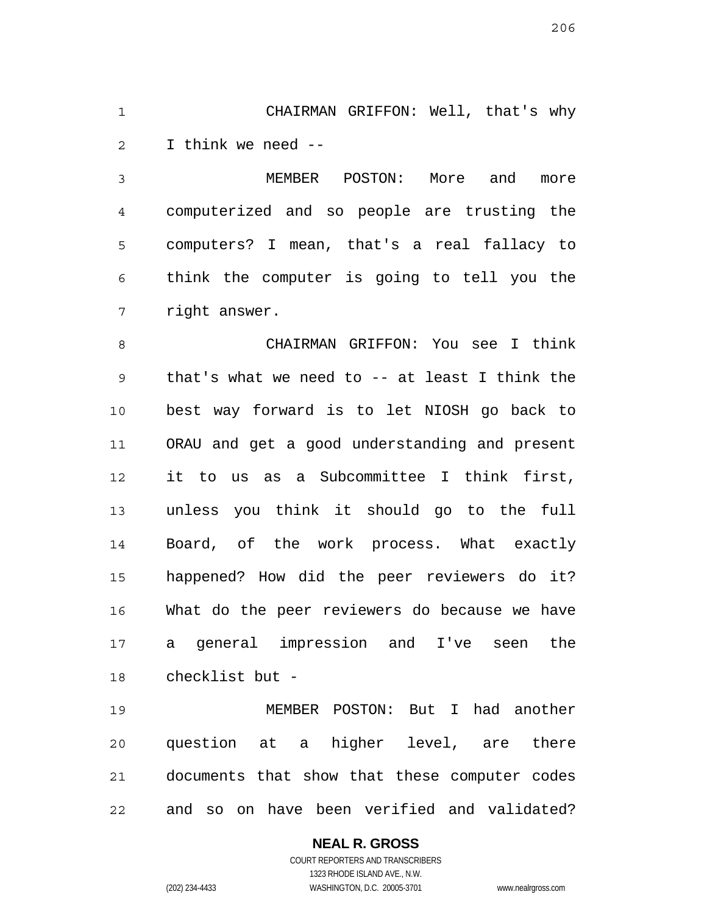CHAIRMAN GRIFFON: Well, that's why I think we need --

MEMBER POSTON: More and more computerized and so people are trusting the computers? I mean, that's a real fallacy to think the computer is going to tell you the right answer.

CHAIRMAN GRIFFON: You see I think that's what we need to -- at least I think the best way forward is to let NIOSH go back to ORAU and get a good understanding and present it to us as a Subcommittee I think first, unless you think it should go to the full Board, of the work process. What exactly happened? How did the peer reviewers do it? What do the peer reviewers do because we have a general impression and I've seen the checklist but -

MEMBER POSTON: But I had another question at a higher level, are there documents that show that these computer codes and so on have been verified and validated?

## **NEAL R. GROSS**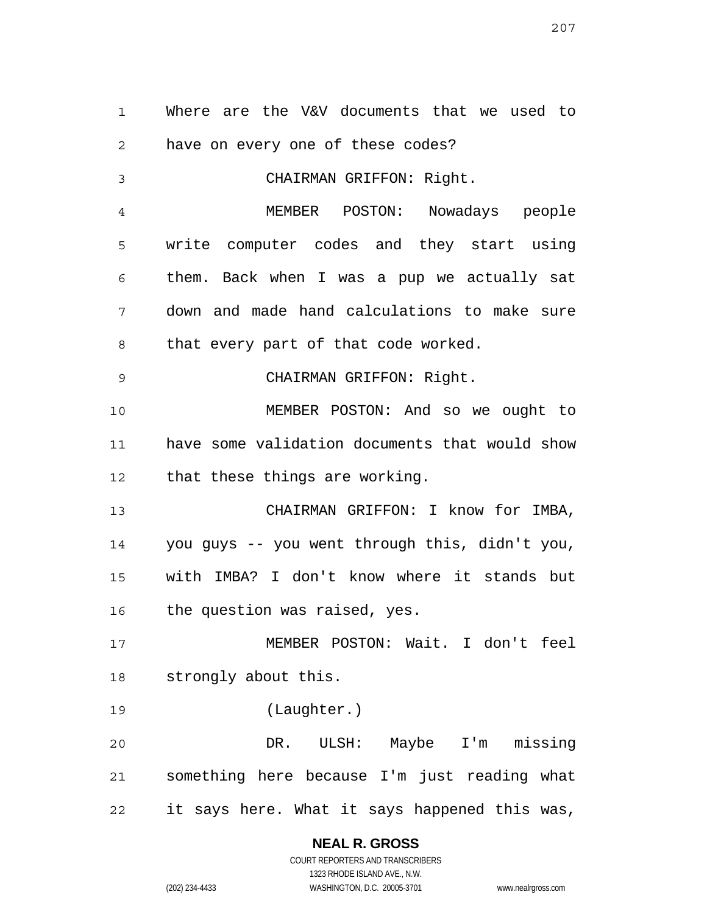Where are the V&V documents that we used to have on every one of these codes? CHAIRMAN GRIFFON: Right. MEMBER POSTON: Nowadays people write computer codes and they start using them. Back when I was a pup we actually sat down and made hand calculations to make sure that every part of that code worked. CHAIRMAN GRIFFON: Right. MEMBER POSTON: And so we ought to have some validation documents that would show that these things are working. CHAIRMAN GRIFFON: I know for IMBA, you guys -- you went through this, didn't you, with IMBA? I don't know where it stands but the question was raised, yes. MEMBER POSTON: Wait. I don't feel strongly about this. (Laughter.) DR. ULSH: Maybe I'm missing something here because I'm just reading what it says here. What it says happened this was,

# **NEAL R. GROSS**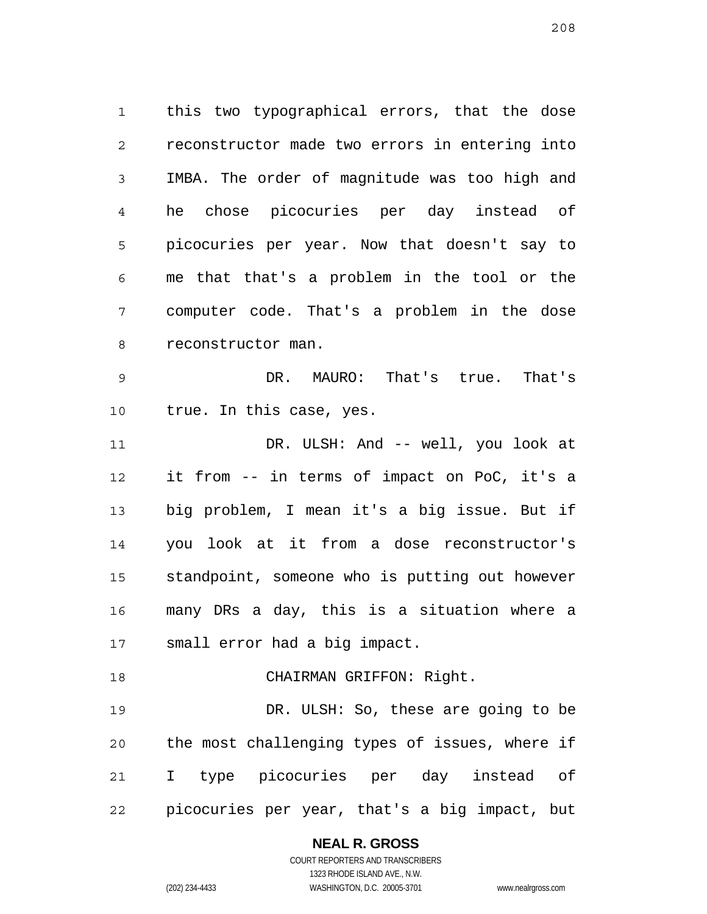this two typographical errors, that the dose reconstructor made two errors in entering into IMBA. The order of magnitude was too high and he chose picocuries per day instead of picocuries per year. Now that doesn't say to me that that's a problem in the tool or the computer code. That's a problem in the dose reconstructor man.

DR. MAURO: That's true. That's true. In this case, yes.

DR. ULSH: And -- well, you look at it from -- in terms of impact on PoC, it's a big problem, I mean it's a big issue. But if you look at it from a dose reconstructor's standpoint, someone who is putting out however many DRs a day, this is a situation where a small error had a big impact.

18 CHAIRMAN GRIFFON: Right. DR. ULSH: So, these are going to be the most challenging types of issues, where if I type picocuries per day instead of picocuries per year, that's a big impact, but

**NEAL R. GROSS**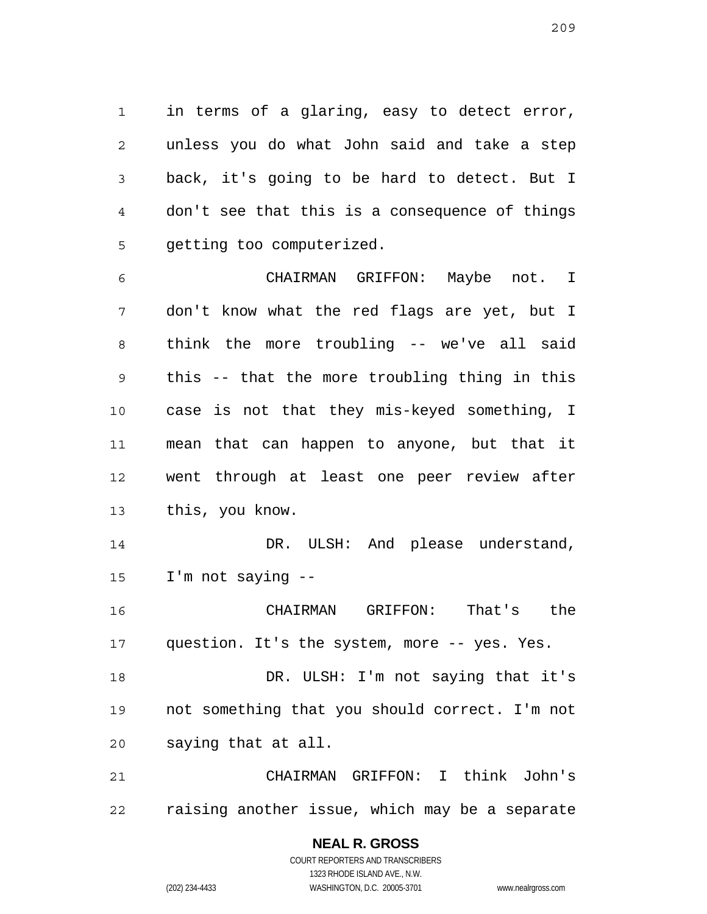in terms of a glaring, easy to detect error, unless you do what John said and take a step back, it's going to be hard to detect. But I don't see that this is a consequence of things getting too computerized.

CHAIRMAN GRIFFON: Maybe not. I don't know what the red flags are yet, but I think the more troubling -- we've all said this -- that the more troubling thing in this case is not that they mis-keyed something, I mean that can happen to anyone, but that it went through at least one peer review after this, you know.

14 DR. ULSH: And please understand, I'm not saying --

CHAIRMAN GRIFFON: That's the question. It's the system, more -- yes. Yes.

DR. ULSH: I'm not saying that it's not something that you should correct. I'm not saying that at all.

CHAIRMAN GRIFFON: I think John's raising another issue, which may be a separate

## **NEAL R. GROSS**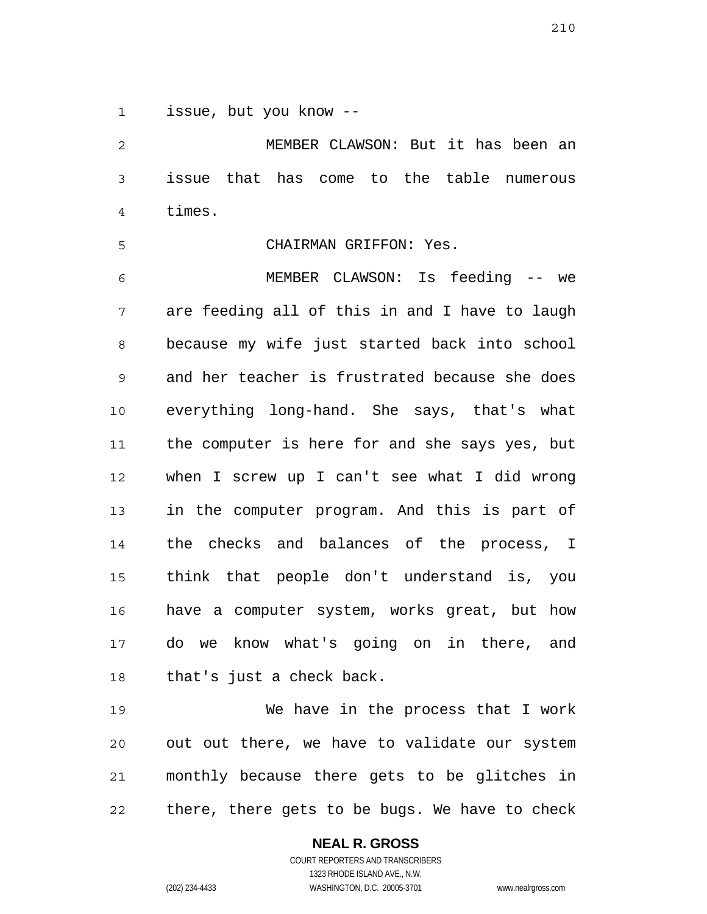issue, but you know --

MEMBER CLAWSON: But it has been an issue that has come to the table numerous times.

CHAIRMAN GRIFFON: Yes.

MEMBER CLAWSON: Is feeding -- we are feeding all of this in and I have to laugh because my wife just started back into school and her teacher is frustrated because she does everything long-hand. She says, that's what the computer is here for and she says yes, but when I screw up I can't see what I did wrong in the computer program. And this is part of the checks and balances of the process, I think that people don't understand is, you have a computer system, works great, but how do we know what's going on in there, and that's just a check back.

We have in the process that I work out out there, we have to validate our system monthly because there gets to be glitches in there, there gets to be bugs. We have to check

**NEAL R. GROSS**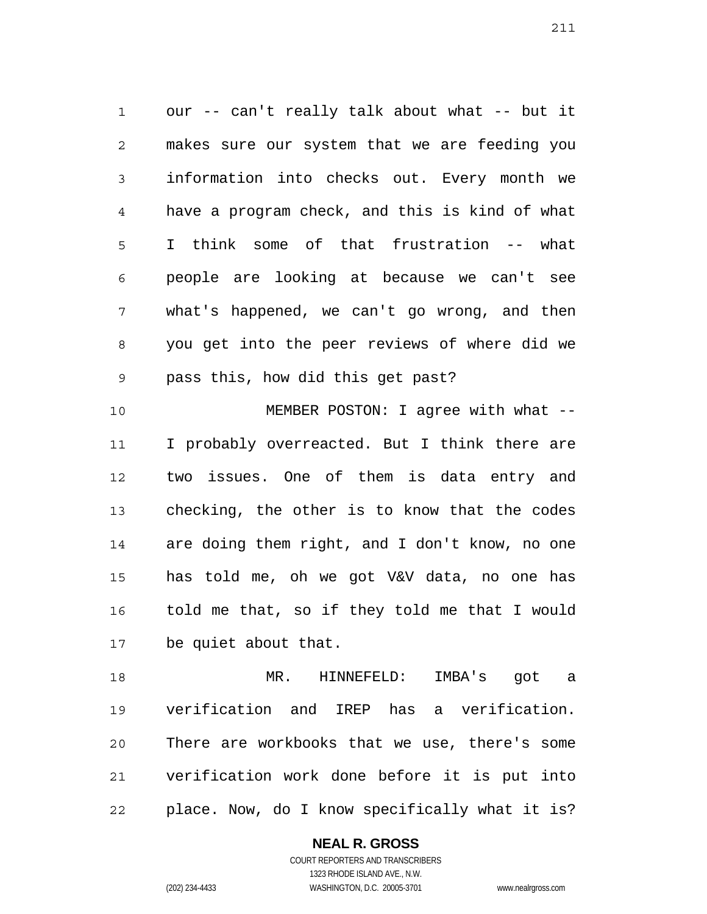our -- can't really talk about what -- but it makes sure our system that we are feeding you information into checks out. Every month we have a program check, and this is kind of what I think some of that frustration -- what people are looking at because we can't see what's happened, we can't go wrong, and then you get into the peer reviews of where did we pass this, how did this get past?

10 MEMBER POSTON: I agree with what --I probably overreacted. But I think there are two issues. One of them is data entry and checking, the other is to know that the codes are doing them right, and I don't know, no one has told me, oh we got V&V data, no one has told me that, so if they told me that I would be quiet about that.

MR. HINNEFELD: IMBA's got a verification and IREP has a verification. There are workbooks that we use, there's some verification work done before it is put into place. Now, do I know specifically what it is?

**NEAL R. GROSS**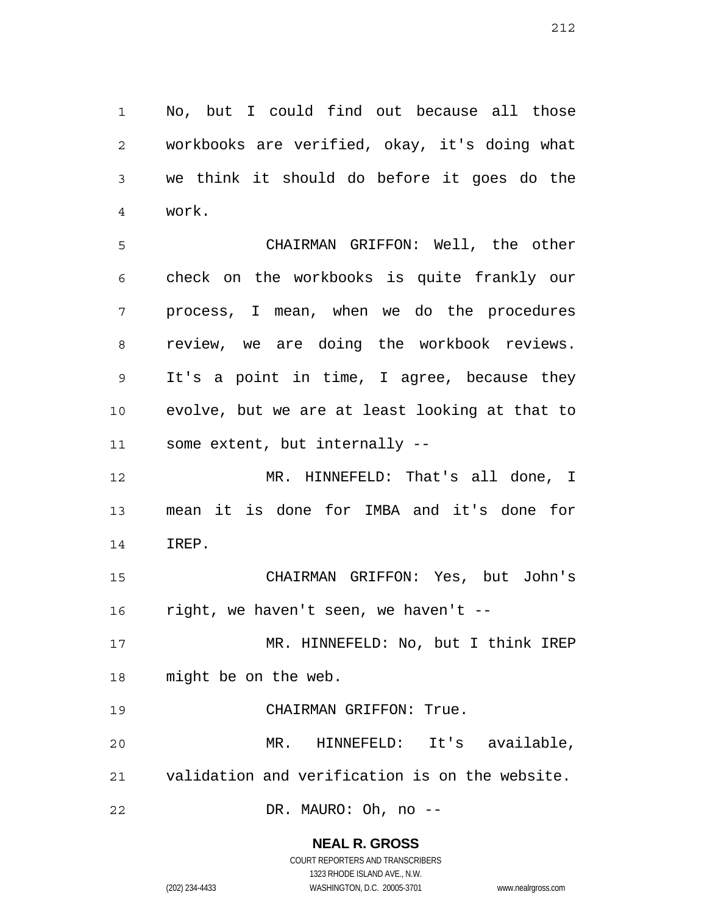No, but I could find out because all those workbooks are verified, okay, it's doing what we think it should do before it goes do the work.

CHAIRMAN GRIFFON: Well, the other check on the workbooks is quite frankly our process, I mean, when we do the procedures review, we are doing the workbook reviews. It's a point in time, I agree, because they evolve, but we are at least looking at that to some extent, but internally --

MR. HINNEFELD: That's all done, I mean it is done for IMBA and it's done for IREP.

CHAIRMAN GRIFFON: Yes, but John's right, we haven't seen, we haven't --

MR. HINNEFELD: No, but I think IREP might be on the web.

CHAIRMAN GRIFFON: True.

MR. HINNEFELD: It's available, validation and verification is on the website.

DR. MAURO: Oh, no --

**NEAL R. GROSS**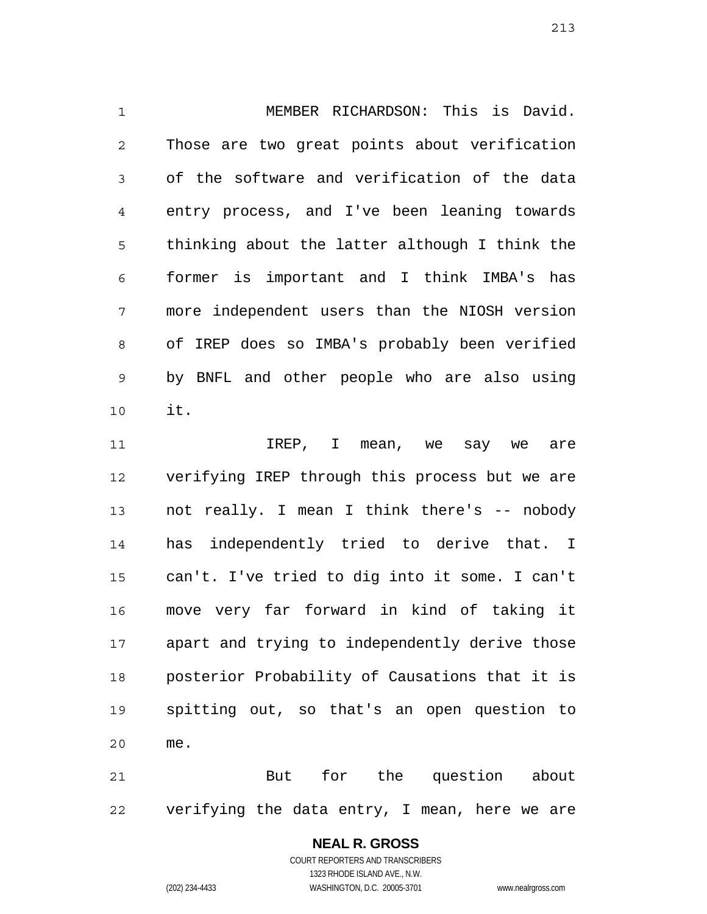MEMBER RICHARDSON: This is David. Those are two great points about verification of the software and verification of the data entry process, and I've been leaning towards thinking about the latter although I think the former is important and I think IMBA's has more independent users than the NIOSH version of IREP does so IMBA's probably been verified by BNFL and other people who are also using it.

11 12 IREP, I mean, we say we are verifying IREP through this process but we are not really. I mean I think there's -- nobody has independently tried to derive that. I can't. I've tried to dig into it some. I can't move very far forward in kind of taking it apart and trying to independently derive those posterior Probability of Causations that it is spitting out, so that's an open question to me.

21 But for the question about verifying the data entry, I mean, here we are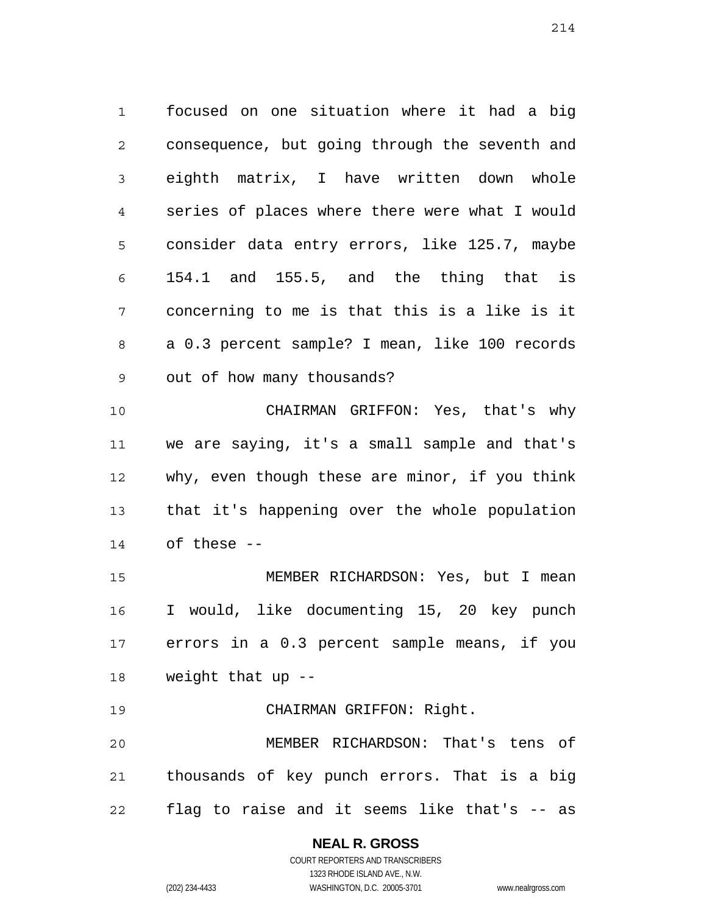focused on one situation where it had a big consequence, but going through the seventh and eighth matrix, I have written down whole series of places where there were what I would consider data entry errors, like 125.7, maybe 154.1 and 155.5, and the thing that is concerning to me is that this is a like is it a 0.3 percent sample? I mean, like 100 records out of how many thousands?

CHAIRMAN GRIFFON: Yes, that's why we are saying, it's a small sample and that's why, even though these are minor, if you think that it's happening over the whole population of these --

MEMBER RICHARDSON: Yes, but I mean I would, like documenting 15, 20 key punch errors in a 0.3 percent sample means, if you weight that up --

CHAIRMAN GRIFFON: Right.

MEMBER RICHARDSON: That's tens of thousands of key punch errors. That is a big flag to raise and it seems like that's -- as

#### **NEAL R. GROSS**  COURT REPORTERS AND TRANSCRIBERS

1323 RHODE ISLAND AVE., N.W.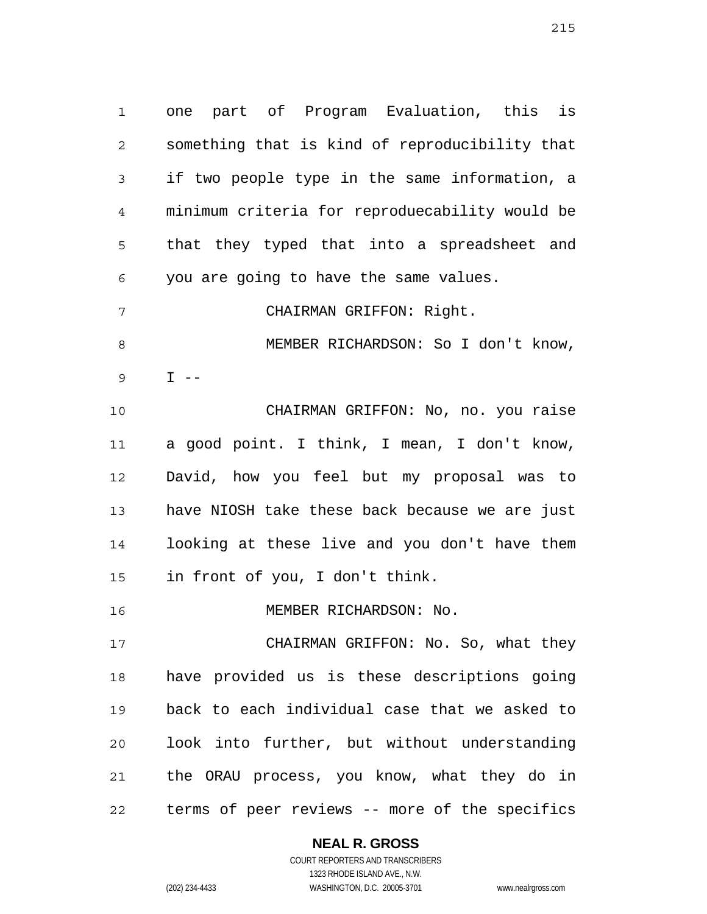one part of Program Evaluation, this is something that is kind of reproducibility that if two people type in the same information, a minimum criteria for reproduecability would be that they typed that into a spreadsheet and you are going to have the same values.

CHAIRMAN GRIFFON: Right.

8 MEMBER RICHARDSON: So I don't know,  $9 \qquad I \qquad -$ 

CHAIRMAN GRIFFON: No, no. you raise a good point. I think, I mean, I don't know, David, how you feel but my proposal was to have NIOSH take these back because we are just looking at these live and you don't have them in front of you, I don't think.

MEMBER RICHARDSON: No.

CHAIRMAN GRIFFON: No. So, what they have provided us is these descriptions going back to each individual case that we asked to look into further, but without understanding the ORAU process, you know, what they do in terms of peer reviews -- more of the specifics

**NEAL R. GROSS**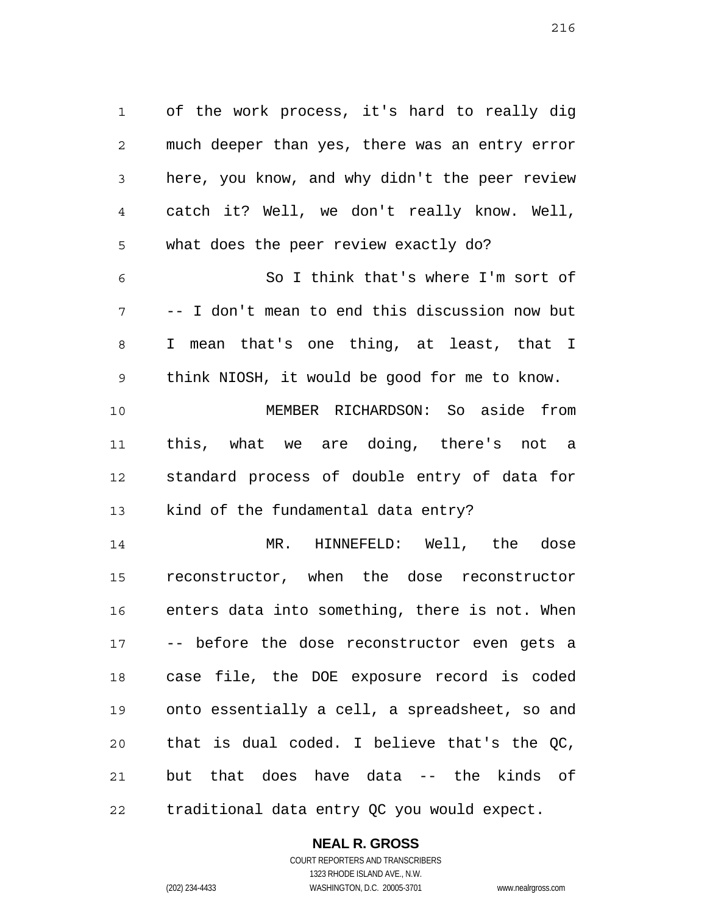of the work process, it's hard to really dig much deeper than yes, there was an entry error here, you know, and why didn't the peer review catch it? Well, we don't really know. Well, what does the peer review exactly do? So I think that's where I'm sort of -- I don't mean to end this discussion now but

I mean that's one thing, at least, that I think NIOSH, it would be good for me to know. MEMBER RICHARDSON: So aside from this, what we are doing, there's not a standard process of double entry of data for kind of the fundamental data entry?

MR. HINNEFELD: Well, the dose reconstructor, when the dose reconstructor enters data into something, there is not. When -- before the dose reconstructor even gets a case file, the DOE exposure record is coded onto essentially a cell, a spreadsheet, so and that is dual coded. I believe that's the QC, but that does have data -- the kinds of traditional data entry QC you would expect.

#### **NEAL R. GROSS**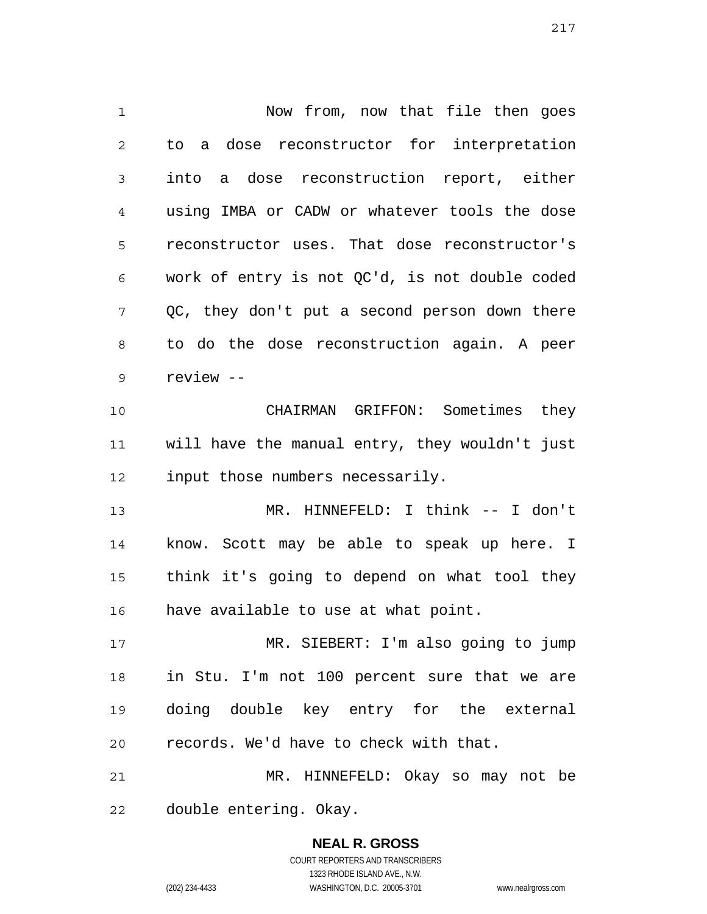Now from, now that file then goes to a dose reconstructor for interpretation into a dose reconstruction report, either using IMBA or CADW or whatever tools the dose reconstructor uses. That dose reconstructor's work of entry is not QC'd, is not double coded QC, they don't put a second person down there to do the dose reconstruction again. A peer review -- CHAIRMAN GRIFFON: Sometimes they will have the manual entry, they wouldn't just input those numbers necessarily. MR. HINNEFELD: I think -- I don't know. Scott may be able to speak up here. I think it's going to depend on what tool they have available to use at what point. MR. SIEBERT: I'm also going to jump in Stu. I'm not 100 percent sure that we are doing double key entry for the external records. We'd have to check with that. MR. HINNEFELD: Okay so may not be

double entering. Okay.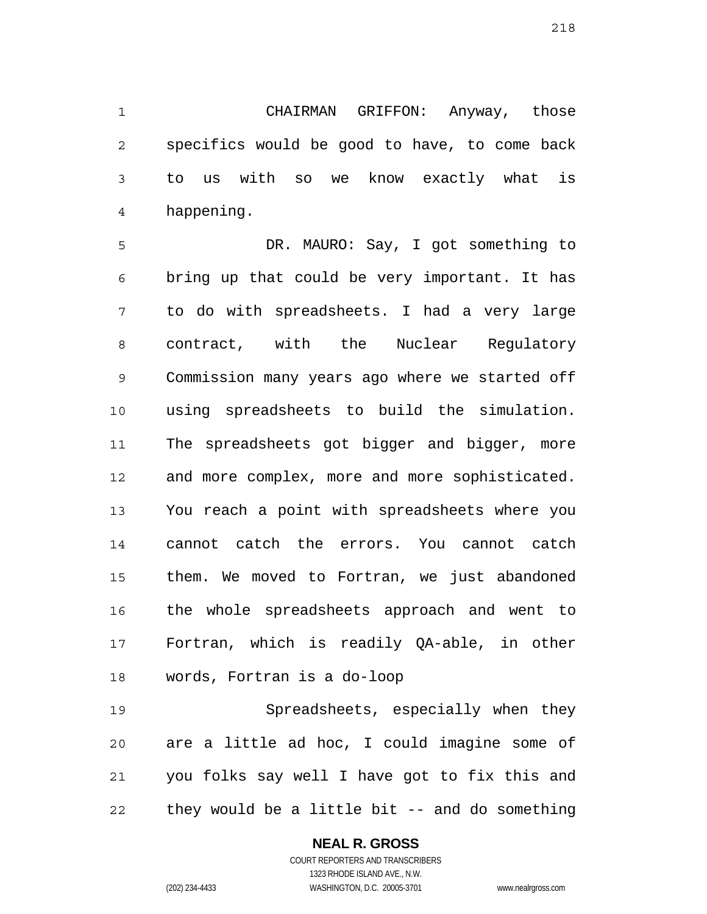CHAIRMAN GRIFFON: Anyway, those specifics would be good to have, to come back to us with so we know exactly what is happening.

DR. MAURO: Say, I got something to bring up that could be very important. It has to do with spreadsheets. I had a very large contract, with the Nuclear Regulatory Commission many years ago where we started off using spreadsheets to build the simulation. The spreadsheets got bigger and bigger, more and more complex, more and more sophisticated. You reach a point with spreadsheets where you cannot catch the errors. You cannot catch them. We moved to Fortran, we just abandoned the whole spreadsheets approach and went to Fortran, which is readily QA-able, in other words, Fortran is a do-loop

Spreadsheets, especially when they are a little ad hoc, I could imagine some of you folks say well I have got to fix this and they would be a little bit -- and do something

### **NEAL R. GROSS**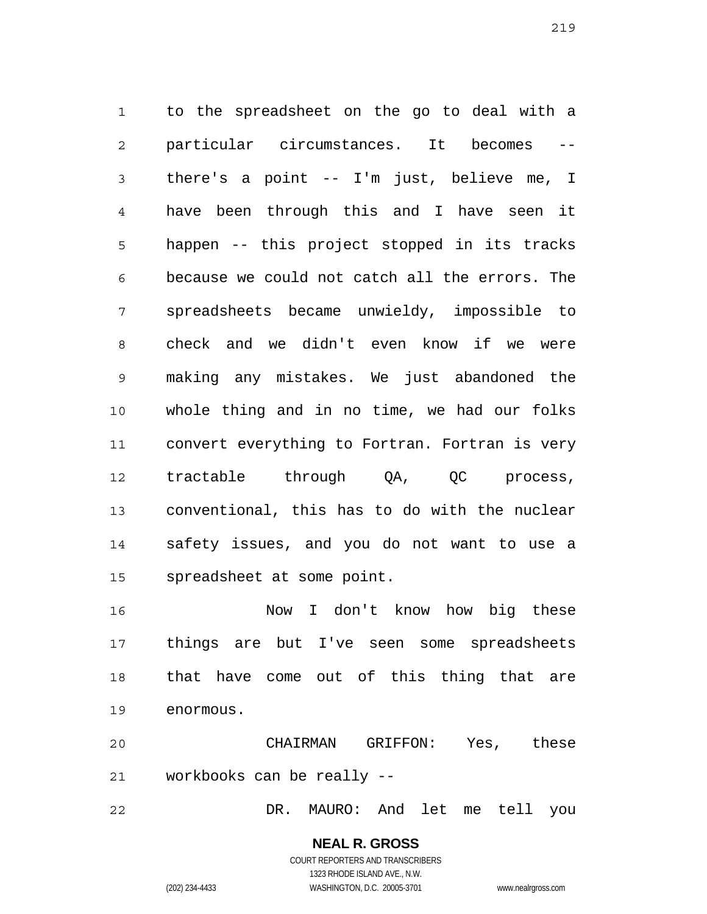to the spreadsheet on the go to deal with a 2 particular circumstances. It becomes there's a point -- I'm just, believe me, I have been through this and I have seen it happen -- this project stopped in its tracks because we could not catch all the errors. The spreadsheets became unwieldy, impossible to check and we didn't even know if we were making any mistakes. We just abandoned the whole thing and in no time, we had our folks convert everything to Fortran. Fortran is very tractable through QA, QC process, conventional, this has to do with the nuclear safety issues, and you do not want to use a spreadsheet at some point.

Now I don't know how big these things are but I've seen some spreadsheets that have come out of this thing that are enormous.

CHAIRMAN GRIFFON: Yes, these workbooks can be really --

DR. MAURO: And let me tell you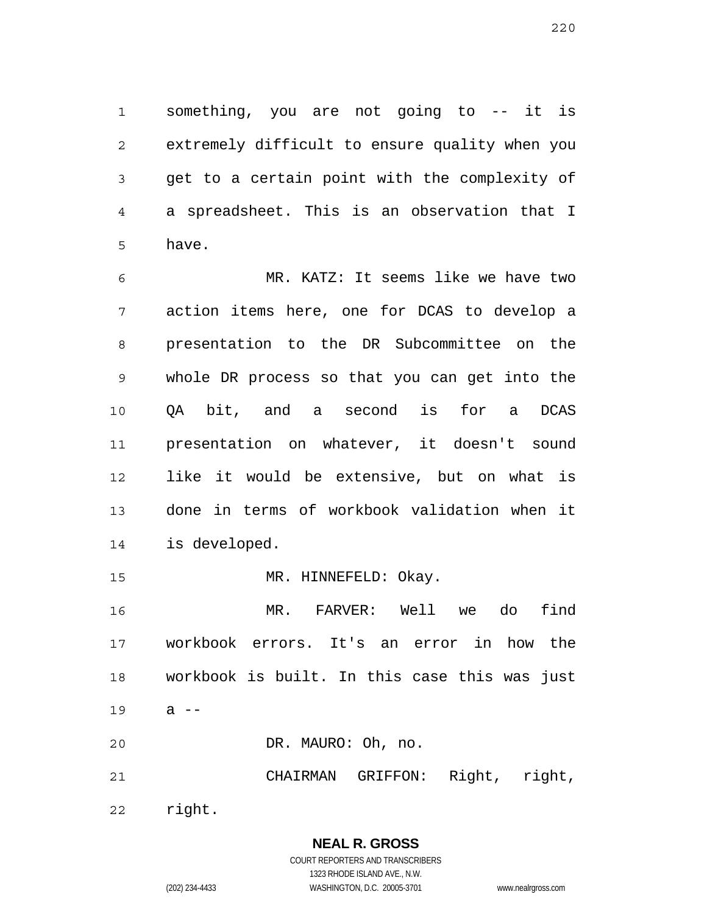something, you are not going to -- it is extremely difficult to ensure quality when you get to a certain point with the complexity of a spreadsheet. This is an observation that I have.

MR. KATZ: It seems like we have two action items here, one for DCAS to develop a presentation to the DR Subcommittee on the whole DR process so that you can get into the QA bit, and a second is for a DCAS presentation on whatever, it doesn't sound like it would be extensive, but on what is done in terms of workbook validation when it is developed.

15 MR. HINNEFELD: Okay.

MR. FARVER: Well we do find workbook errors. It's an error in how the workbook is built. In this case this was just a -- DR. MAURO: Oh, no.

CHAIRMAN GRIFFON: Right, right,

right.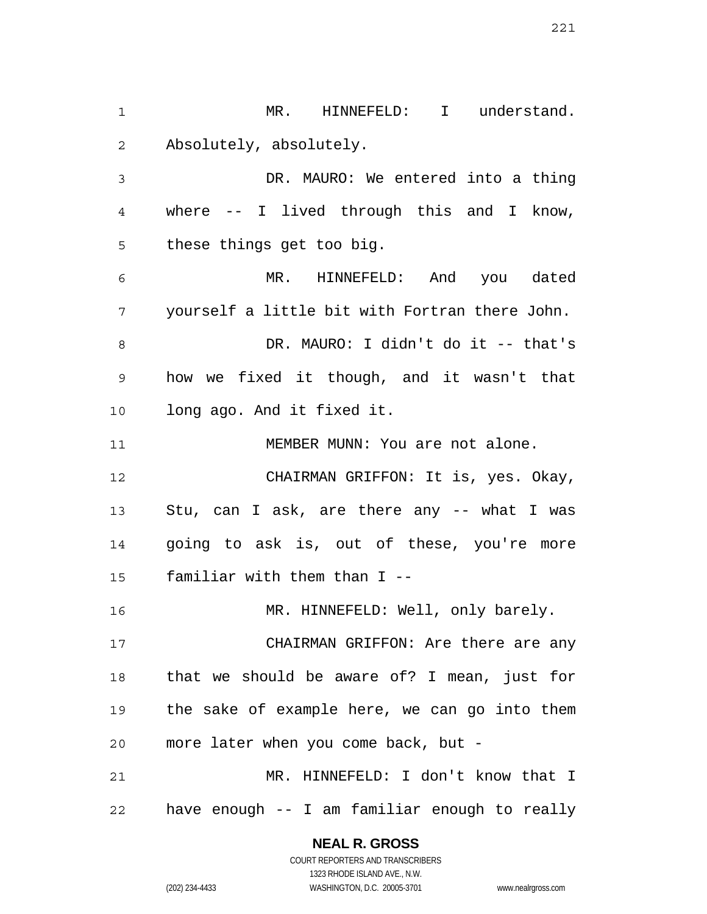MR. HINNEFELD: I understand. Absolutely, absolutely. DR. MAURO: We entered into a thing where -- I lived through this and I know, these things get too big. MR. HINNEFELD: And you dated yourself a little bit with Fortran there John. DR. MAURO: I didn't do it -- that's how we fixed it though, and it wasn't that long ago. And it fixed it. 11 MEMBER MUNN: You are not alone. 12 CHAIRMAN GRIFFON: It is, yes. Okay, Stu, can I ask, are there any -- what I was going to ask is, out of these, you're more familiar with them than I -- MR. HINNEFELD: Well, only barely. CHAIRMAN GRIFFON: Are there are any that we should be aware of? I mean, just for the sake of example here, we can go into them more later when you come back, but - MR. HINNEFELD: I don't know that I have enough -- I am familiar enough to really

**NEAL R. GROSS** 

COURT REPORTERS AND TRANSCRIBERS 1323 RHODE ISLAND AVE., N.W. (202) 234-4433 WASHINGTON, D.C. 20005-3701 www.nealrgross.com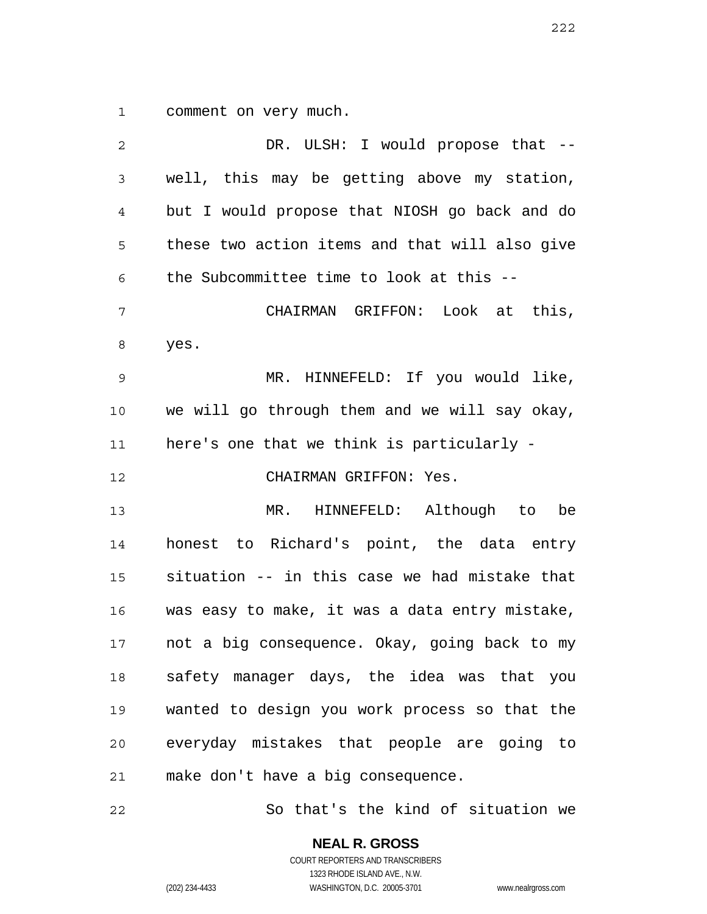comment on very much.

| $\mathbf{2}$   | DR. ULSH: I would propose that --              |
|----------------|------------------------------------------------|
| $\mathsf 3$    | well, this may be getting above my station,    |
| $\overline{4}$ | but I would propose that NIOSH go back and do  |
| 5              | these two action items and that will also give |
| 6              | the Subcommittee time to look at this --       |
| 7              | CHAIRMAN GRIFFON: Look at this,                |
| 8              | yes.                                           |
| 9              | MR. HINNEFELD: If you would like,              |
| 10             | we will go through them and we will say okay,  |
| 11             | here's one that we think is particularly -     |
| 12             | CHAIRMAN GRIFFON: Yes.                         |
| 13             | MR. HINNEFELD: Although to be                  |
| 14             | honest to Richard's point, the data entry      |
| 15             |                                                |
|                | situation -- in this case we had mistake that  |
| 16             | was easy to make, it was a data entry mistake, |
| 17             | not a big consequence. Okay, going back to my  |
| 18             | safety manager days, the idea was that you     |
| 19             | wanted to design you work process so that the  |
| 20             | everyday mistakes that people are going to     |

So that's the kind of situation we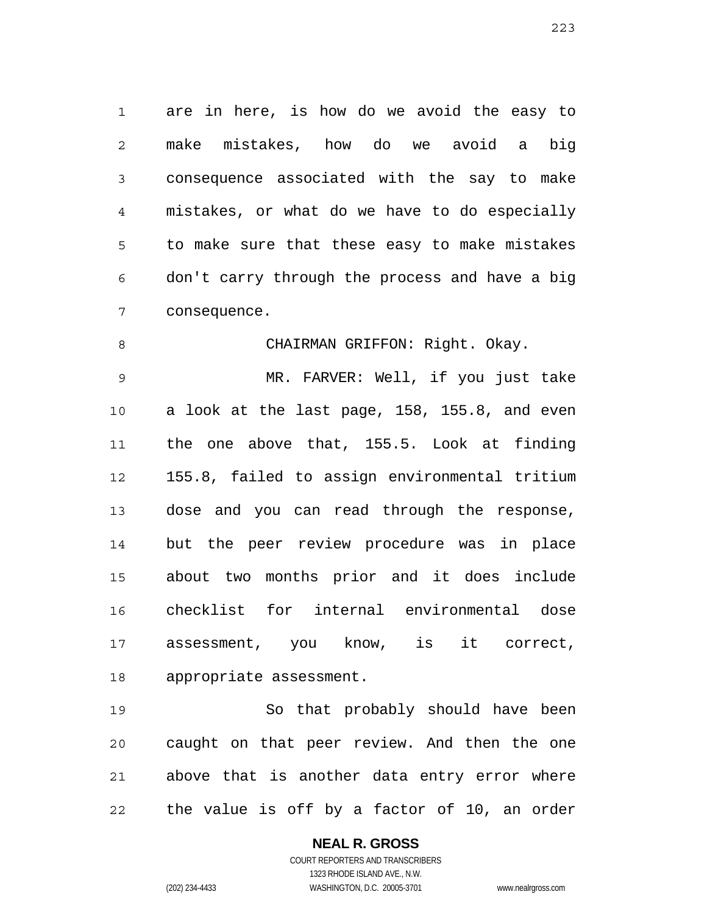are in here, is how do we avoid the easy to make mistakes, how do we avoid a big consequence associated with the say to make mistakes, or what do we have to do especially to make sure that these easy to make mistakes don't carry through the process and have a big consequence.

8 CHAIRMAN GRIFFON: Right. Okay. MR. FARVER: Well, if you just take a look at the last page, 158, 155.8, and even the one above that, 155.5. Look at finding 155.8, failed to assign environmental tritium dose and you can read through the response, but the peer review procedure was in place about two months prior and it does include checklist for internal environmental dose assessment, you know, is it correct, appropriate assessment.

So that probably should have been caught on that peer review. And then the one above that is another data entry error where the value is off by a factor of 10, an order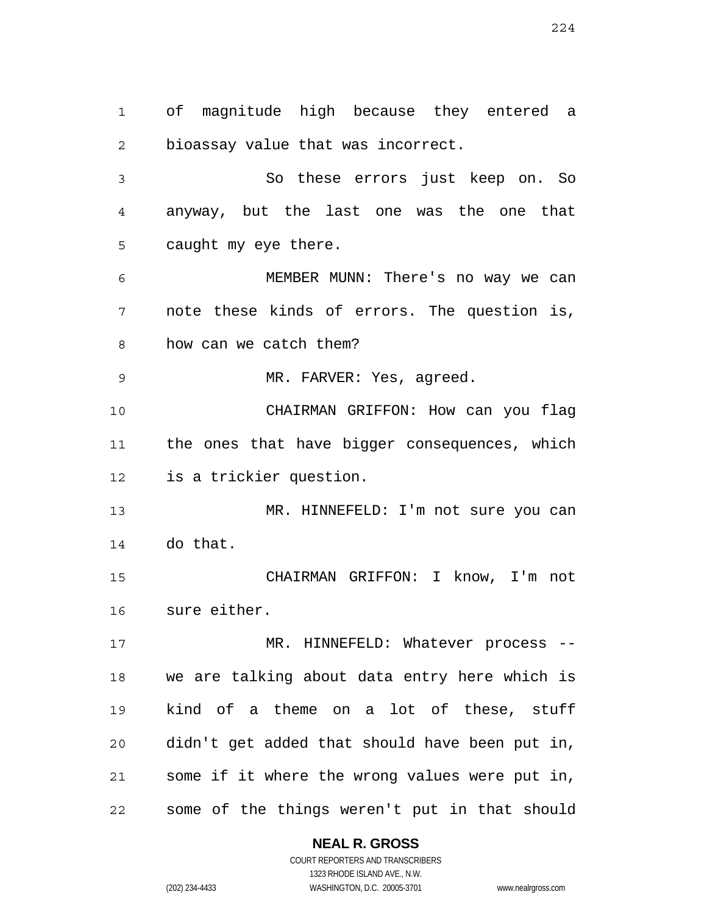of magnitude high because they entered a bioassay value that was incorrect. So these errors just keep on. So anyway, but the last one was the one that caught my eye there. MEMBER MUNN: There's no way we can note these kinds of errors. The question is, how can we catch them? 9 MR. FARVER: Yes, agreed. CHAIRMAN GRIFFON: How can you flag the ones that have bigger consequences, which is a trickier question. 13 MR. HINNEFELD: I'm not sure you can do that. CHAIRMAN GRIFFON: I know, I'm not sure either. 17 MR. HINNEFELD: Whatever process --we are talking about data entry here which is kind of a theme on a lot of these, stuff didn't get added that should have been put in, some if it where the wrong values were put in, some of the things weren't put in that should

#### **NEAL R. GROSS**  COURT REPORTERS AND TRANSCRIBERS

1323 RHODE ISLAND AVE., N.W. (202) 234-4433 WASHINGTON, D.C. 20005-3701 www.nealrgross.com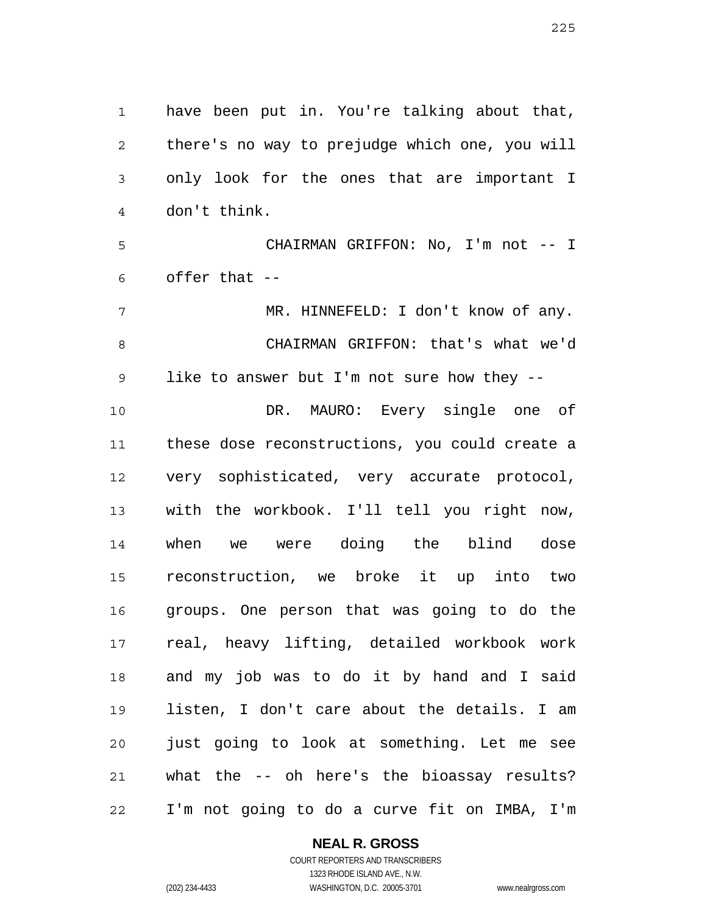have been put in. You're talking about that, there's no way to prejudge which one, you will only look for the ones that are important I don't think. CHAIRMAN GRIFFON: No, I'm not -- I offer that -- MR. HINNEFELD: I don't know of any. CHAIRMAN GRIFFON: that's what we'd like to answer but I'm not sure how they -- DR. MAURO: Every single one of these dose reconstructions, you could create a very sophisticated, very accurate protocol, with the workbook. I'll tell you right now, when we were doing the blind dose reconstruction, we broke it up into two groups. One person that was going to do the real, heavy lifting, detailed workbook work and my job was to do it by hand and I said listen, I don't care about the details. I am just going to look at something. Let me see what the -- oh here's the bioassay results?

**NEAL R. GROSS** 

I'm not going to do a curve fit on IMBA, I'm

COURT REPORTERS AND TRANSCRIBERS 1323 RHODE ISLAND AVE., N.W. (202) 234-4433 WASHINGTON, D.C. 20005-3701 www.nealrgross.com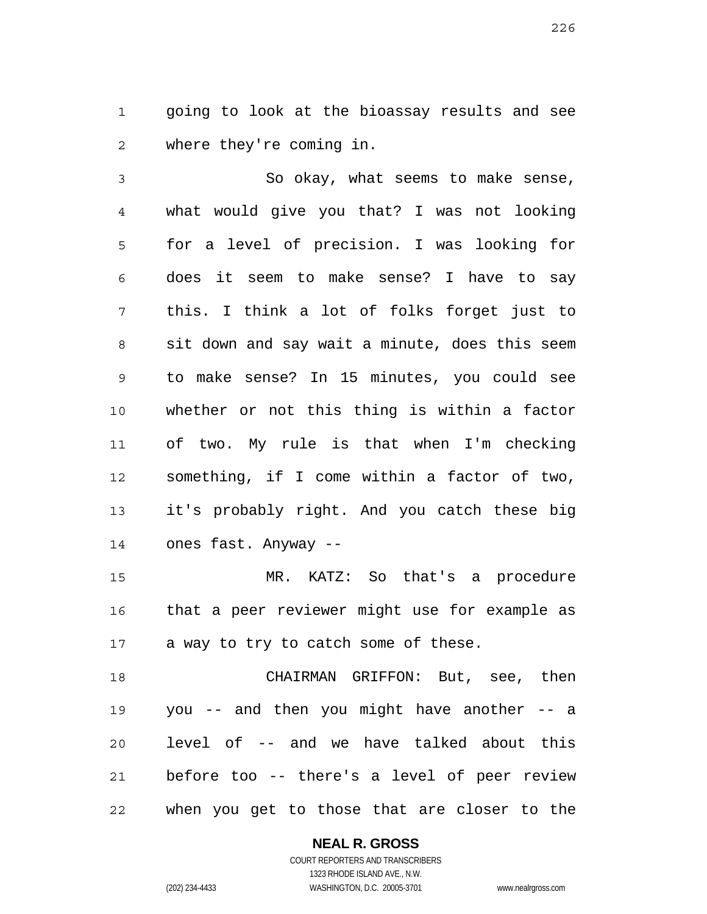going to look at the bioassay results and see where they're coming in.

So okay, what seems to make sense, what would give you that? I was not looking for a level of precision. I was looking for does it seem to make sense? I have to say this. I think a lot of folks forget just to sit down and say wait a minute, does this seem to make sense? In 15 minutes, you could see whether or not this thing is within a factor of two. My rule is that when I'm checking something, if I come within a factor of two, it's probably right. And you catch these big ones fast. Anyway --

MR. KATZ: So that's a procedure that a peer reviewer might use for example as a way to try to catch some of these.

CHAIRMAN GRIFFON: But, see, then you -- and then you might have another -- a level of -- and we have talked about this before too -- there's a level of peer review when you get to those that are closer to the

**NEAL R. GROSS**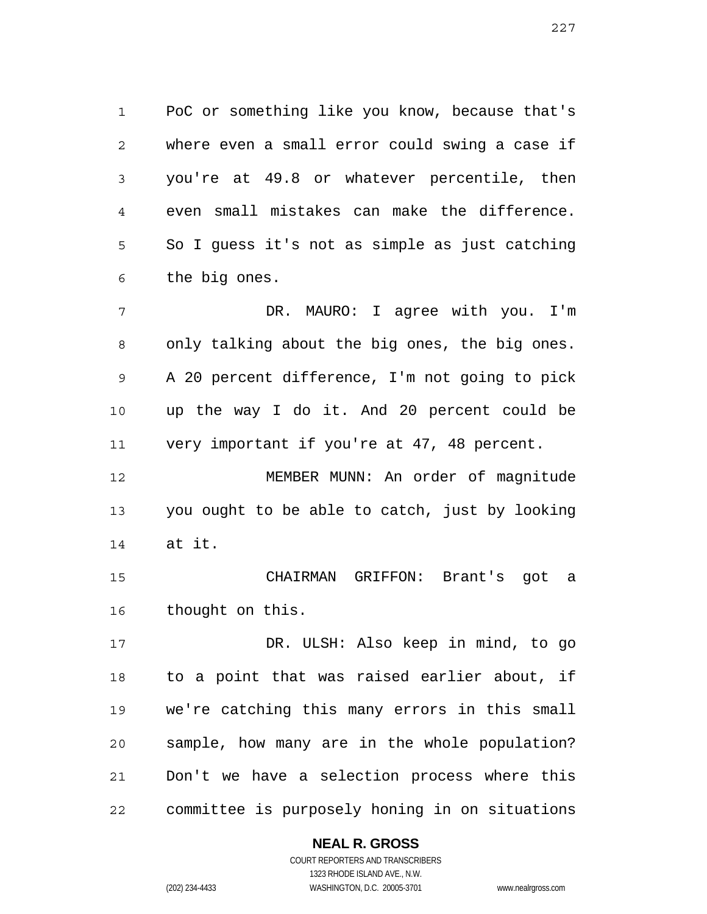PoC or something like you know, because that's where even a small error could swing a case if you're at 49.8 or whatever percentile, then even small mistakes can make the difference. So I guess it's not as simple as just catching the big ones.

DR. MAURO: I agree with you. I'm only talking about the big ones, the big ones. A 20 percent difference, I'm not going to pick up the way I do it. And 20 percent could be very important if you're at 47, 48 percent.

MEMBER MUNN: An order of magnitude you ought to be able to catch, just by looking at it.

CHAIRMAN GRIFFON: Brant's got a thought on this.

DR. ULSH: Also keep in mind, to go to a point that was raised earlier about, if we're catching this many errors in this small sample, how many are in the whole population? Don't we have a selection process where this committee is purposely honing in on situations

> **NEAL R. GROSS**  COURT REPORTERS AND TRANSCRIBERS

1323 RHODE ISLAND AVE., N.W. (202) 234-4433 WASHINGTON, D.C. 20005-3701 www.nealrgross.com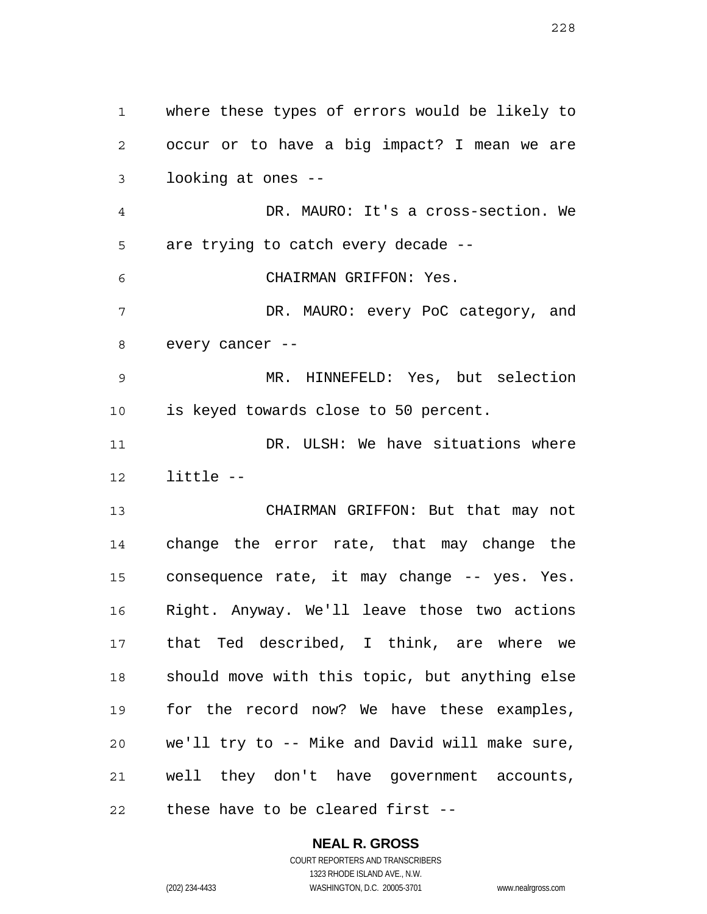where these types of errors would be likely to occur or to have a big impact? I mean we are looking at ones -- DR. MAURO: It's a cross-section. We are trying to catch every decade -- CHAIRMAN GRIFFON: Yes. DR. MAURO: every PoC category, and every cancer -- MR. HINNEFELD: Yes, but selection is keyed towards close to 50 percent. DR. ULSH: We have situations where little -- CHAIRMAN GRIFFON: But that may not change the error rate, that may change the consequence rate, it may change -- yes. Yes. Right. Anyway. We'll leave those two actions that Ted described, I think, are where we should move with this topic, but anything else for the record now? We have these examples, we'll try to -- Mike and David will make sure, well they don't have government accounts, these have to be cleared first --

# **NEAL R. GROSS**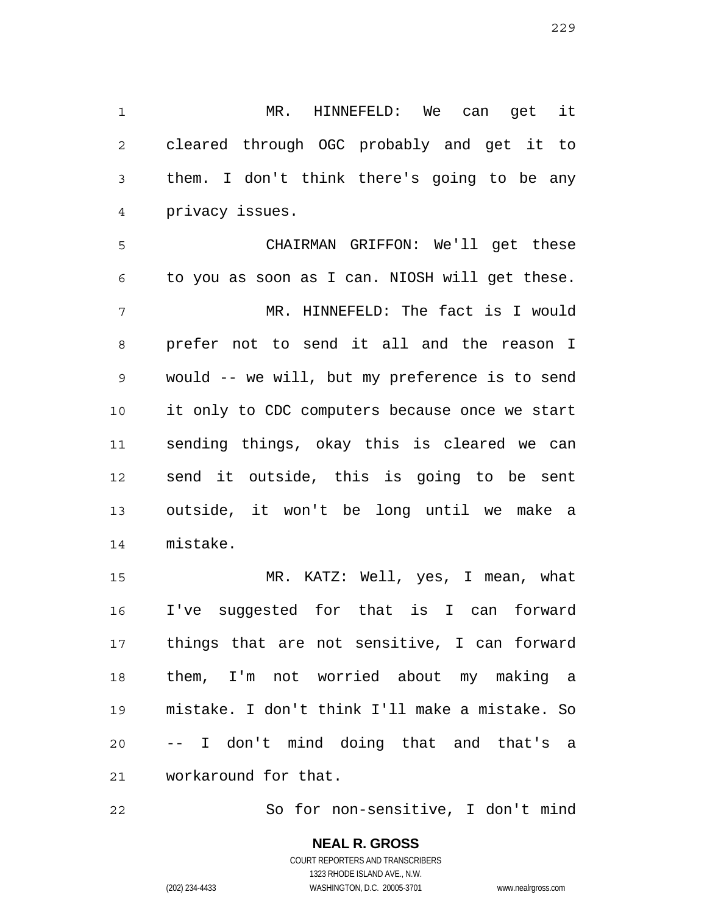MR. HINNEFELD: We can get it cleared through OGC probably and get it to them. I don't think there's going to be any privacy issues.

CHAIRMAN GRIFFON: We'll get these to you as soon as I can. NIOSH will get these. MR. HINNEFELD: The fact is I would prefer not to send it all and the reason I would -- we will, but my preference is to send it only to CDC computers because once we start sending things, okay this is cleared we can send it outside, this is going to be sent outside, it won't be long until we make a mistake.

MR. KATZ: Well, yes, I mean, what I've suggested for that is I can forward things that are not sensitive, I can forward them, I'm not worried about my making a mistake. I don't think I'll make a mistake. So -- I don't mind doing that and that's a workaround for that.

So for non-sensitive, I don't mind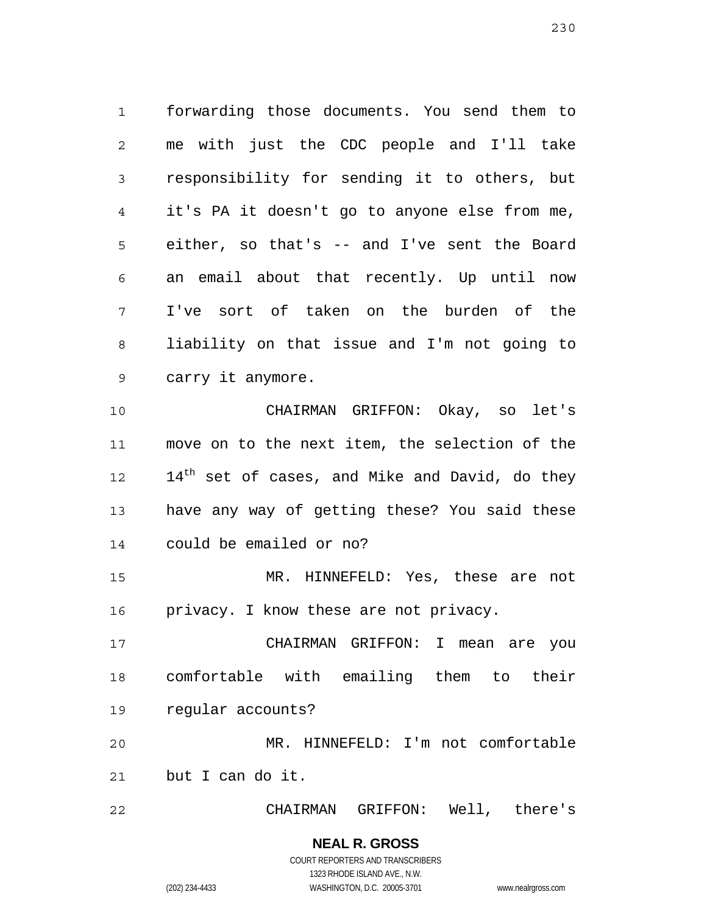forwarding those documents. You send them to me with just the CDC people and I'll take responsibility for sending it to others, but it's PA it doesn't go to anyone else from me, either, so that's -- and I've sent the Board an email about that recently. Up until now I've sort of taken on the burden of the liability on that issue and I'm not going to carry it anymore. CHAIRMAN GRIFFON: Okay, so let's move on to the next item, the selection of the 14<sup>th</sup> set of cases, and Mike and David, do they have any way of getting these? You said these could be emailed or no? MR. HINNEFELD: Yes, these are not privacy. I know these are not privacy.

CHAIRMAN GRIFFON: I mean are you comfortable with emailing them to their regular accounts?

MR. HINNEFELD: I'm not comfortable but I can do it.

CHAIRMAN GRIFFON: Well, there's

#### **NEAL R. GROSS**  COURT REPORTERS AND TRANSCRIBERS

1323 RHODE ISLAND AVE., N.W. (202) 234-4433 WASHINGTON, D.C. 20005-3701 www.nealrgross.com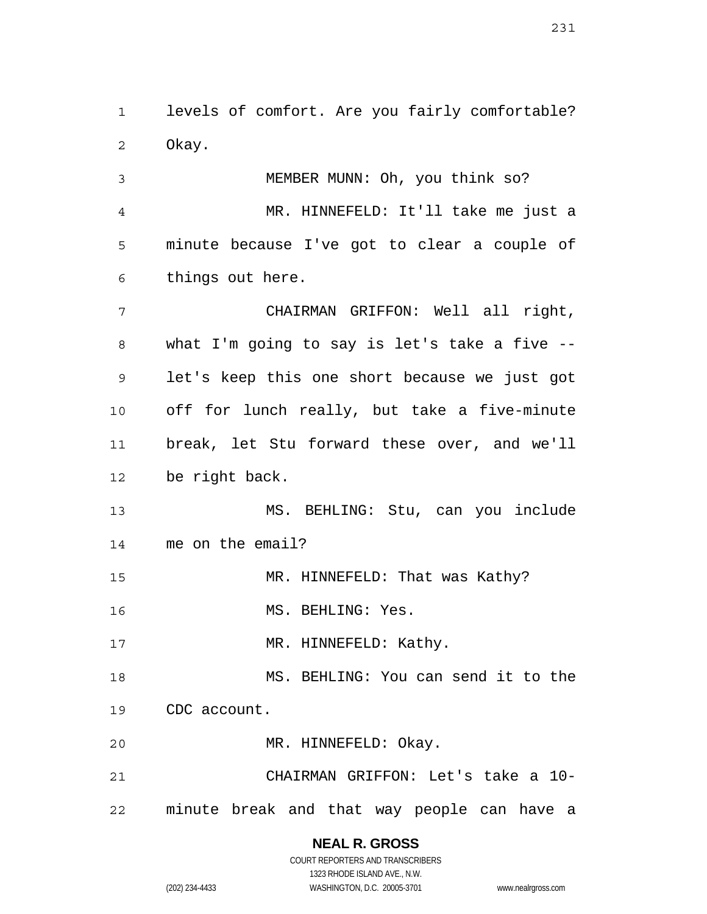levels of comfort. Are you fairly comfortable? Okay.

MEMBER MUNN: Oh, you think so? MR. HINNEFELD: It'll take me just a minute because I've got to clear a couple of things out here.

CHAIRMAN GRIFFON: Well all right, what I'm going to say is let's take a five -- let's keep this one short because we just got off for lunch really, but take a five-minute break, let Stu forward these over, and we'll be right back.

MS. BEHLING: Stu, can you include me on the email?

15 MR. HINNEFELD: That was Kathy?

16 MS. BEHLING: Yes.

17 MR. HINNEFELD: Kathy.

- MS. BEHLING: You can send it to the CDC account.
- MR. HINNEFELD: Okay.

CHAIRMAN GRIFFON: Let's take a 10-

minute break and that way people can have a

## **NEAL R. GROSS**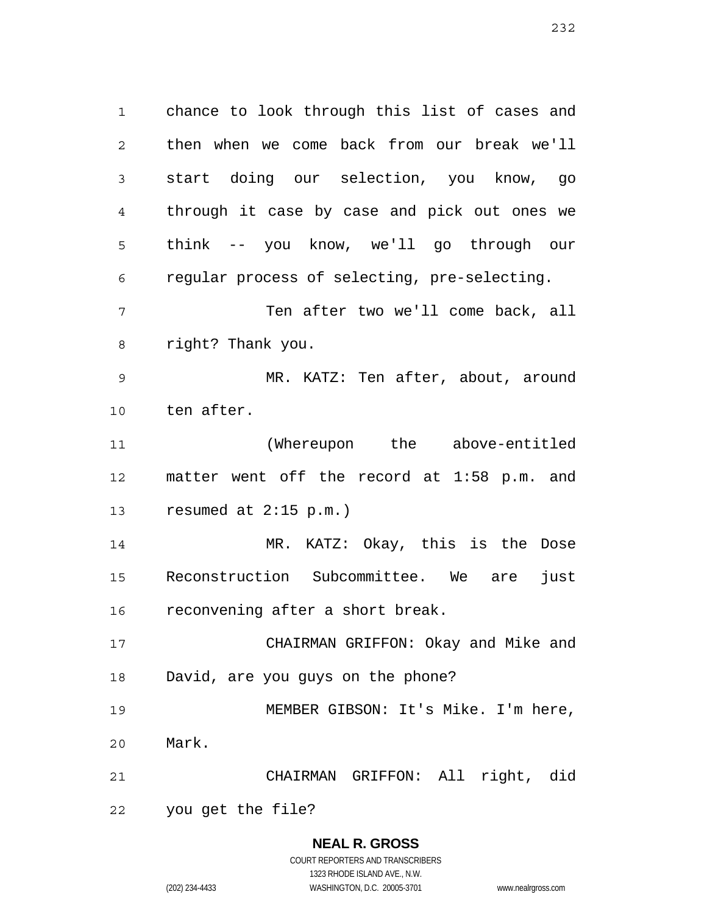chance to look through this list of cases and then when we come back from our break we'll start doing our selection, you know, go through it case by case and pick out ones we think -- you know, we'll go through our regular process of selecting, pre-selecting. Ten after two we'll come back, all right? Thank you. MR. KATZ: Ten after, about, around ten after. (Whereupon the above-entitled matter went off the record at 1:58 p.m. and resumed at 2:15 p.m.) MR. KATZ: Okay, this is the Dose Reconstruction Subcommittee. We are just reconvening after a short break. CHAIRMAN GRIFFON: Okay and Mike and David, are you guys on the phone? MEMBER GIBSON: It's Mike. I'm here, Mark. CHAIRMAN GRIFFON: All right, did you get the file?

**NEAL R. GROSS**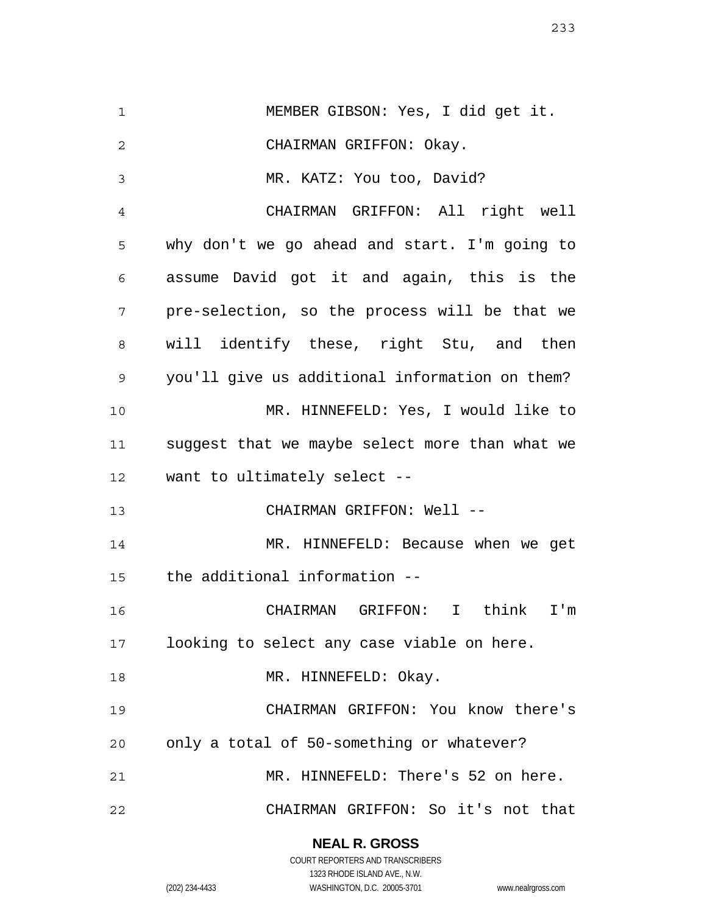| $\mathbf{1}$ | MEMBER GIBSON: Yes, I did get it.              |
|--------------|------------------------------------------------|
| 2            | CHAIRMAN GRIFFON: Okay.                        |
| 3            | MR. KATZ: You too, David?                      |
| 4            | CHAIRMAN GRIFFON: All right well               |
| 5            | why don't we go ahead and start. I'm going to  |
| 6            | assume David got it and again, this is the     |
| 7            | pre-selection, so the process will be that we  |
| 8            | will identify these, right Stu, and then       |
| 9            | you'll give us additional information on them? |
| 10           | MR. HINNEFELD: Yes, I would like to            |
| 11           | suggest that we maybe select more than what we |
| 12           | want to ultimately select --                   |
| 13           | CHAIRMAN GRIFFON: Well --                      |
| 14           | MR. HINNEFELD: Because when we get             |
| 15           | the additional information --                  |
| 16           | CHAIRMAN GRIFFON: I think I'm                  |
| 17           | looking to select any case viable on here.     |
| 18           | MR. HINNEFELD: Okay.                           |
| 19           | CHAIRMAN GRIFFON: You know there's             |
| 20           | only a total of 50-something or whatever?      |
| 21           | MR. HINNEFELD: There's 52 on here.             |
| 22           | CHAIRMAN GRIFFON: So it's not that             |

**NEAL R. GROSS**  COURT REPORTERS AND TRANSCRIBERS

1323 RHODE ISLAND AVE., N.W.

(202) 234-4433 WASHINGTON, D.C. 20005-3701 www.nealrgross.com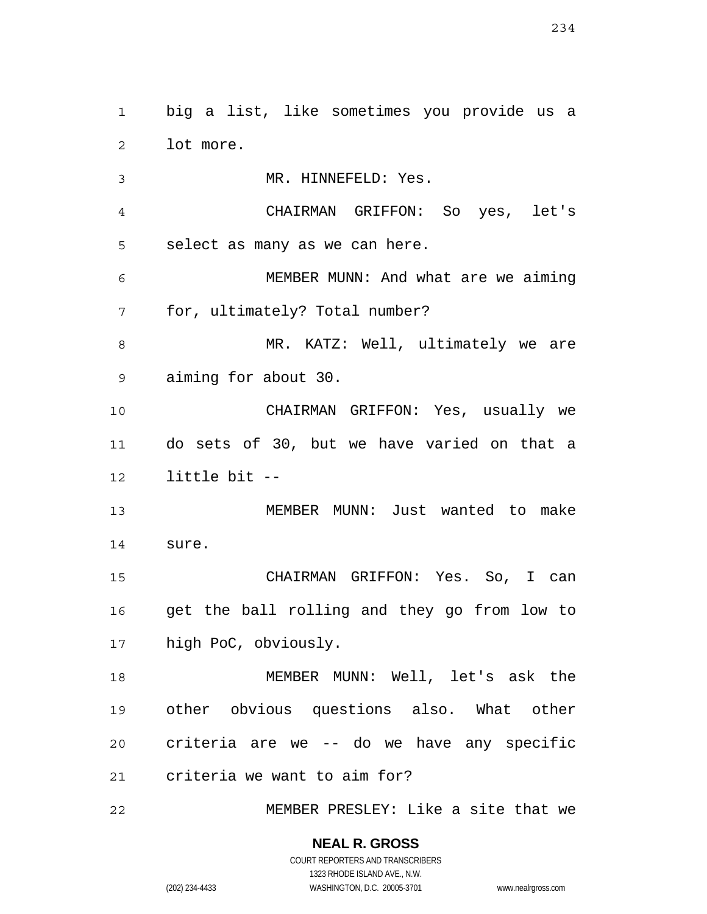big a list, like sometimes you provide us a lot more. MR. HINNEFELD: Yes. CHAIRMAN GRIFFON: So yes, let's select as many as we can here. MEMBER MUNN: And what are we aiming for, ultimately? Total number? 8 MR. KATZ: Well, ultimately we are aiming for about 30. CHAIRMAN GRIFFON: Yes, usually we do sets of 30, but we have varied on that a little bit -- MEMBER MUNN: Just wanted to make sure. CHAIRMAN GRIFFON: Yes. So, I can get the ball rolling and they go from low to high PoC, obviously. MEMBER MUNN: Well, let's ask the other obvious questions also. What other criteria are we -- do we have any specific criteria we want to aim for?

MEMBER PRESLEY: Like a site that we

**NEAL R. GROSS**  COURT REPORTERS AND TRANSCRIBERS

1323 RHODE ISLAND AVE., N.W.

(202) 234-4433 WASHINGTON, D.C. 20005-3701 www.nealrgross.com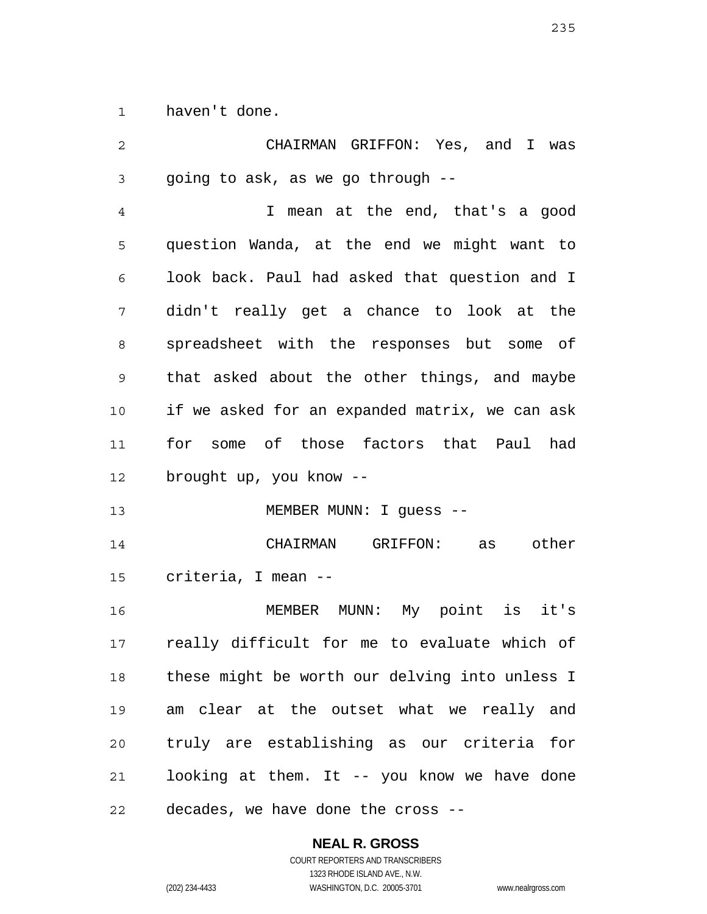haven't done.

| 2              | CHAIRMAN GRIFFON: Yes, and I was               |
|----------------|------------------------------------------------|
| $\mathfrak{Z}$ | going to ask, as we go through --              |
| 4              | I mean at the end, that's a good               |
| 5              | question Wanda, at the end we might want to    |
| 6              | look back. Paul had asked that question and I  |
| 7              | didn't really get a chance to look at the      |
| 8              | spreadsheet with the responses but some of     |
| $\mathsf 9$    | that asked about the other things, and maybe   |
| 10             | if we asked for an expanded matrix, we can ask |
| 11             | for some of those factors that Paul had        |
| 12             | brought up, you know --                        |
| 13             | MEMBER MUNN: I guess --                        |
| 14             | CHAIRMAN GRIFFON: as<br>other                  |
| 15             | criteria, I mean --                            |
| 16             | MEMBER MUNN: My point is it's                  |
| 17             | really difficult for me to evaluate which of   |
| 18             | these might be worth our delving into unless I |
| 19             | am clear at the outset what we really and      |
| 20             | truly are establishing as our criteria for     |
| 21             | looking at them. It -- you know we have done   |
| 22             | decades, we have done the cross --             |

## **NEAL R. GROSS**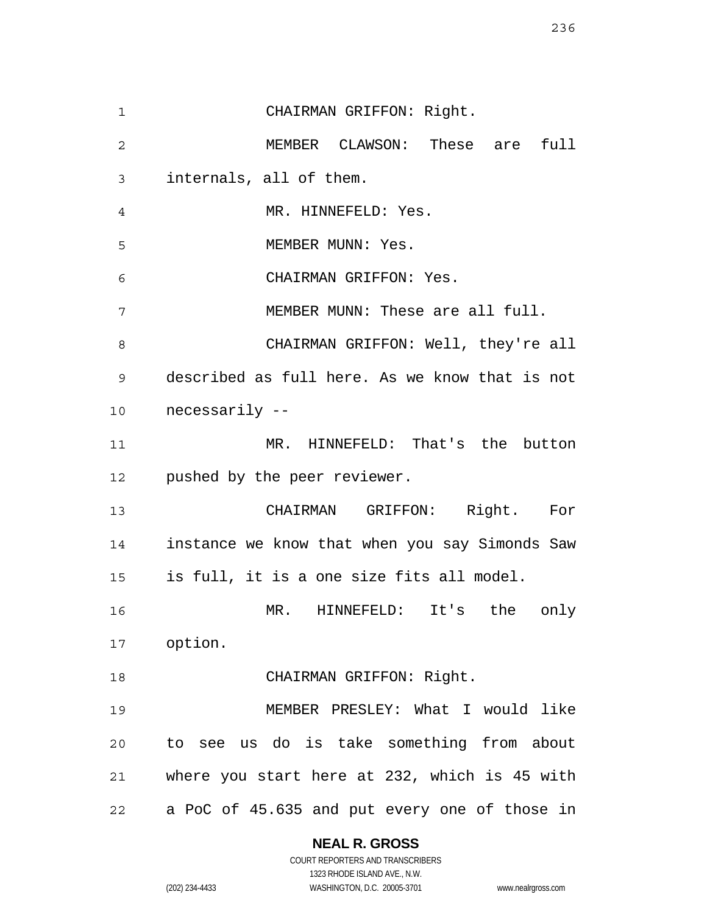CHAIRMAN GRIFFON: Right. MEMBER CLAWSON: These are full internals, all of them. MR. HINNEFELD: Yes. 5 MEMBER MUNN: Yes. CHAIRMAN GRIFFON: Yes. MEMBER MUNN: These are all full. CHAIRMAN GRIFFON: Well, they're all described as full here. As we know that is not necessarily -- MR. HINNEFELD: That's the button pushed by the peer reviewer. CHAIRMAN GRIFFON: Right. For instance we know that when you say Simonds Saw is full, it is a one size fits all model. MR. HINNEFELD: It's the only option. 18 CHAIRMAN GRIFFON: Right. MEMBER PRESLEY: What I would like to see us do is take something from about where you start here at 232, which is 45 with a PoC of 45.635 and put every one of those in

> **NEAL R. GROSS**  COURT REPORTERS AND TRANSCRIBERS

1323 RHODE ISLAND AVE., N.W. (202) 234-4433 WASHINGTON, D.C. 20005-3701 www.nealrgross.com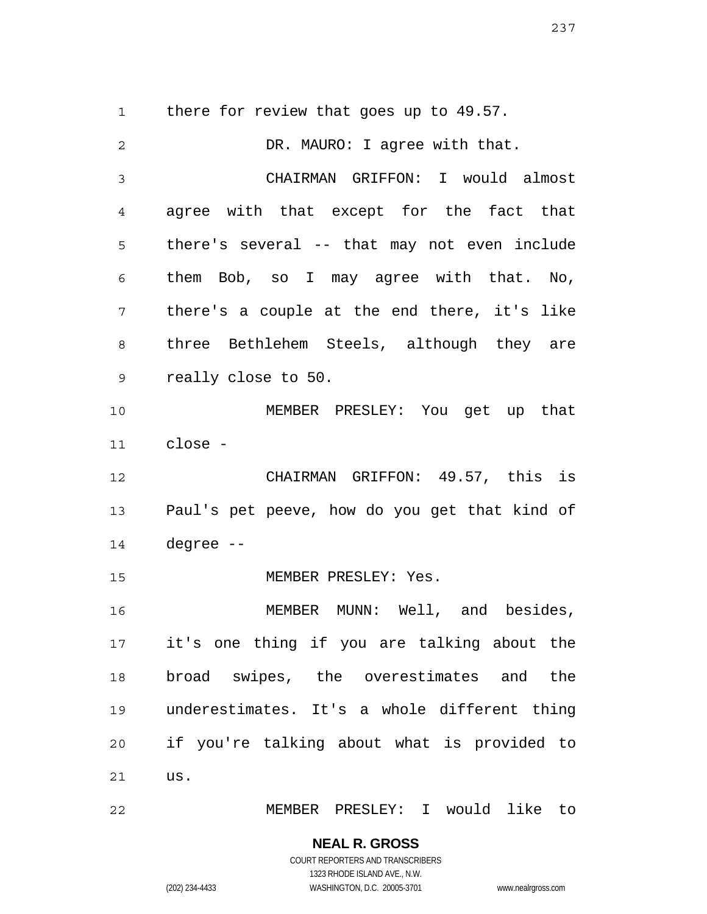1 there for review that goes up to 49.57. 2 DR. MAURO: I agree with that. CHAIRMAN GRIFFON: I would almost agree with that except for the fact that there's several -- that may not even include them Bob, so I may agree with that. No, there's a couple at the end there, it's like three Bethlehem Steels, although they are really close to 50. MEMBER PRESLEY: You get up that close - CHAIRMAN GRIFFON: 49.57, this is

Paul's pet peeve, how do you get that kind of degree --

15 MEMBER PRESLEY: Yes.

MEMBER MUNN: Well, and besides, it's one thing if you are talking about the broad swipes, the overestimates and the underestimates. It's a whole different thing if you're talking about what is provided to us.

MEMBER PRESLEY: I would like to

# **NEAL R. GROSS**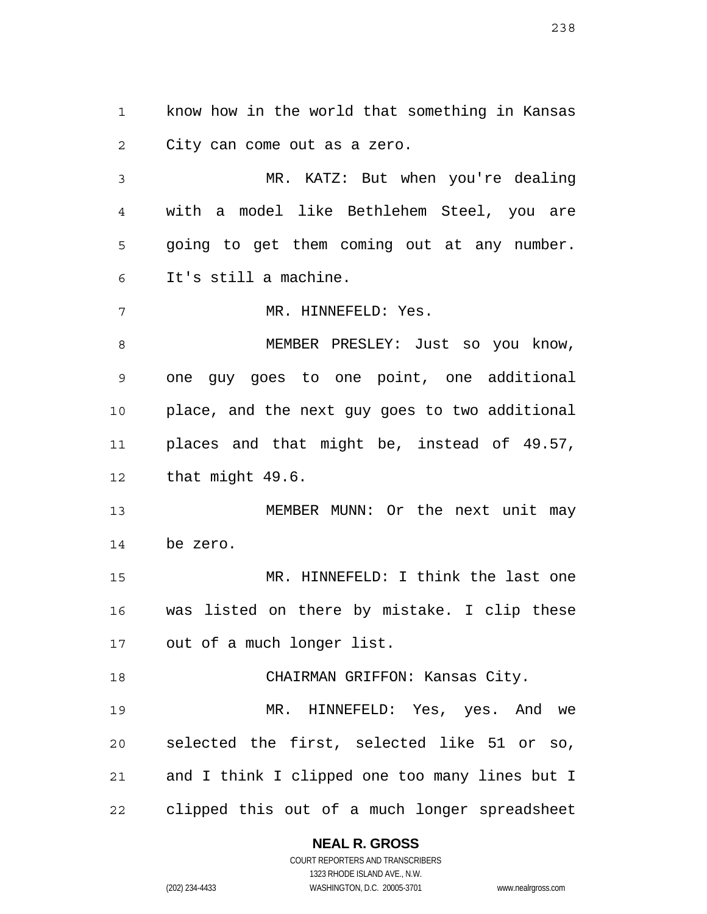know how in the world that something in Kansas City can come out as a zero.

MR. KATZ: But when you're dealing with a model like Bethlehem Steel, you are going to get them coming out at any number. It's still a machine.

MR. HINNEFELD: Yes.

8 MEMBER PRESLEY: Just so you know, one guy goes to one point, one additional place, and the next guy goes to two additional places and that might be, instead of 49.57, that might 49.6.

13 MEMBER MUNN: Or the next unit may be zero.

MR. HINNEFELD: I think the last one was listed on there by mistake. I clip these out of a much longer list.

CHAIRMAN GRIFFON: Kansas City. MR. HINNEFELD: Yes, yes. And we selected the first, selected like 51 or so, and I think I clipped one too many lines but I clipped this out of a much longer spreadsheet

### **NEAL R. GROSS**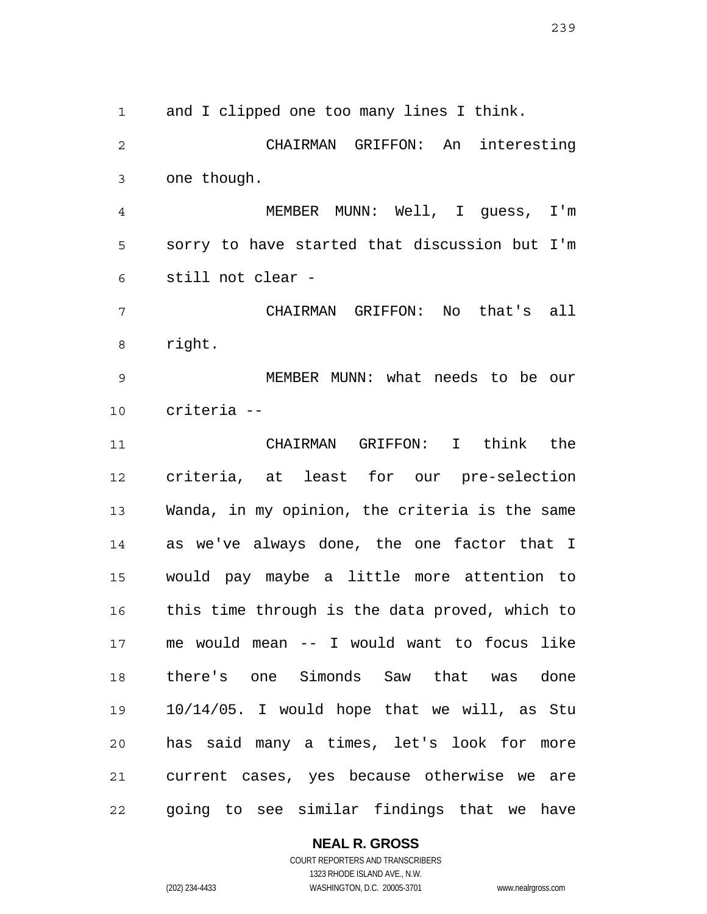and I clipped one too many lines I think. CHAIRMAN GRIFFON: An interesting one though. MEMBER MUNN: Well, I guess, I'm sorry to have started that discussion but I'm still not clear - CHAIRMAN GRIFFON: No that's all right. MEMBER MUNN: what needs to be our criteria -- CHAIRMAN GRIFFON: I think the criteria, at least for our pre-selection Wanda, in my opinion, the criteria is the same as we've always done, the one factor that I would pay maybe a little more attention to this time through is the data proved, which to me would mean -- I would want to focus like there's one Simonds Saw that was done 10/14/05. I would hope that we will, as Stu has said many a times, let's look for more current cases, yes because otherwise we are going to see similar findings that we have

**NEAL R. GROSS**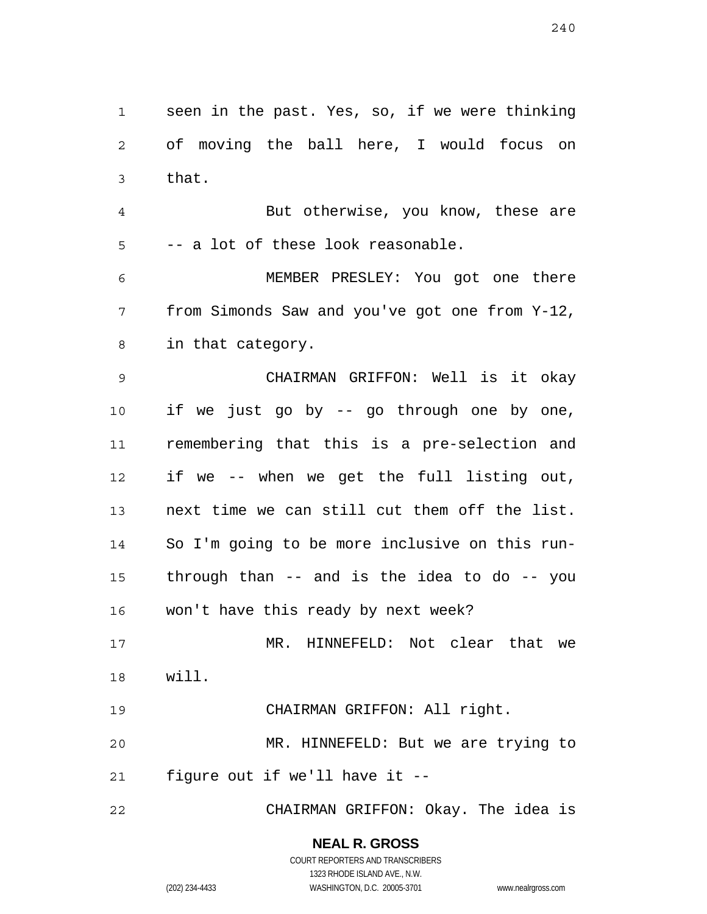that. But otherwise, you know, these are -- a lot of these look reasonable. MEMBER PRESLEY: You got one there from Simonds Saw and you've got one from Y-12, in that category. CHAIRMAN GRIFFON: Well is it okay if we just go by -- go through one by one, remembering that this is a pre-selection and if we -- when we get the full listing out, next time we can still cut them off the list. So I'm going to be more inclusive on this run-through than -- and is the idea to do -- you won't have this ready by next week? MR. HINNEFELD: Not clear that we will. CHAIRMAN GRIFFON: All right. MR. HINNEFELD: But we are trying to figure out if we'll have it -- CHAIRMAN GRIFFON: Okay. The idea is

seen in the past. Yes, so, if we were thinking

of moving the ball here, I would focus on

**NEAL R. GROSS**  COURT REPORTERS AND TRANSCRIBERS 1323 RHODE ISLAND AVE., N.W.

(202) 234-4433 WASHINGTON, D.C. 20005-3701 www.nealrgross.com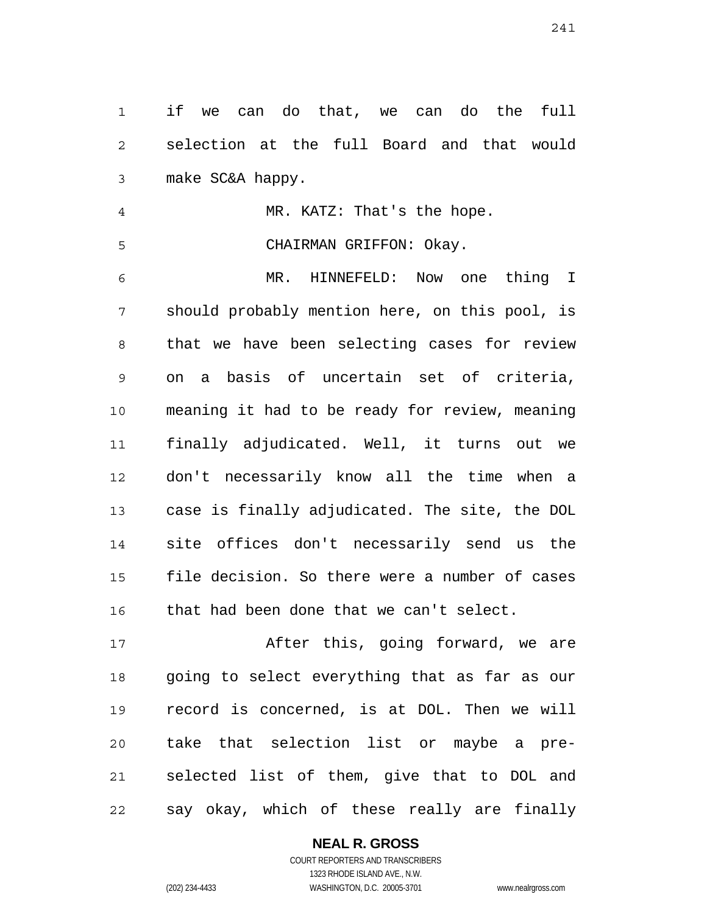if we can do that, we can do the full selection at the full Board and that would make SC&A happy.

MR. KATZ: That's the hope. CHAIRMAN GRIFFON: Okay.

MR. HINNEFELD: Now one thing I should probably mention here, on this pool, is that we have been selecting cases for review on a basis of uncertain set of criteria, meaning it had to be ready for review, meaning finally adjudicated. Well, it turns out we don't necessarily know all the time when a case is finally adjudicated. The site, the DOL site offices don't necessarily send us the file decision. So there were a number of cases that had been done that we can't select.

After this, going forward, we are going to select everything that as far as our record is concerned, is at DOL. Then we will take that selection list or maybe a pre-selected list of them, give that to DOL and say okay, which of these really are finally

**NEAL R. GROSS**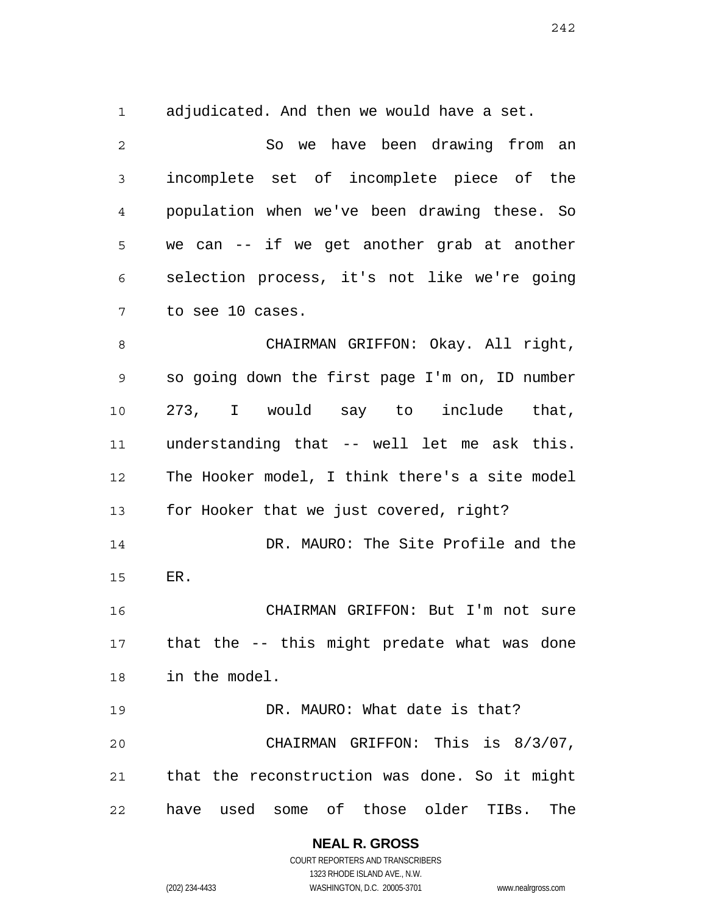adjudicated. And then we would have a set.

So we have been drawing from an incomplete set of incomplete piece of the population when we've been drawing these. So we can -- if we get another grab at another selection process, it's not like we're going to see 10 cases.

8 CHAIRMAN GRIFFON: Okay. All right, so going down the first page I'm on, ID number 273, I would say to include that, understanding that -- well let me ask this. The Hooker model, I think there's a site model for Hooker that we just covered, right? DR. MAURO: The Site Profile and the ER. CHAIRMAN GRIFFON: But I'm not sure that the -- this might predate what was done in the model. 19 DR. MAURO: What date is that? CHAIRMAN GRIFFON: This is 8/3/07, that the reconstruction was done. So it might

have used some of those older TIBs. The

**NEAL R. GROSS**  COURT REPORTERS AND TRANSCRIBERS

1323 RHODE ISLAND AVE., N.W. (202) 234-4433 WASHINGTON, D.C. 20005-3701 www.nealrgross.com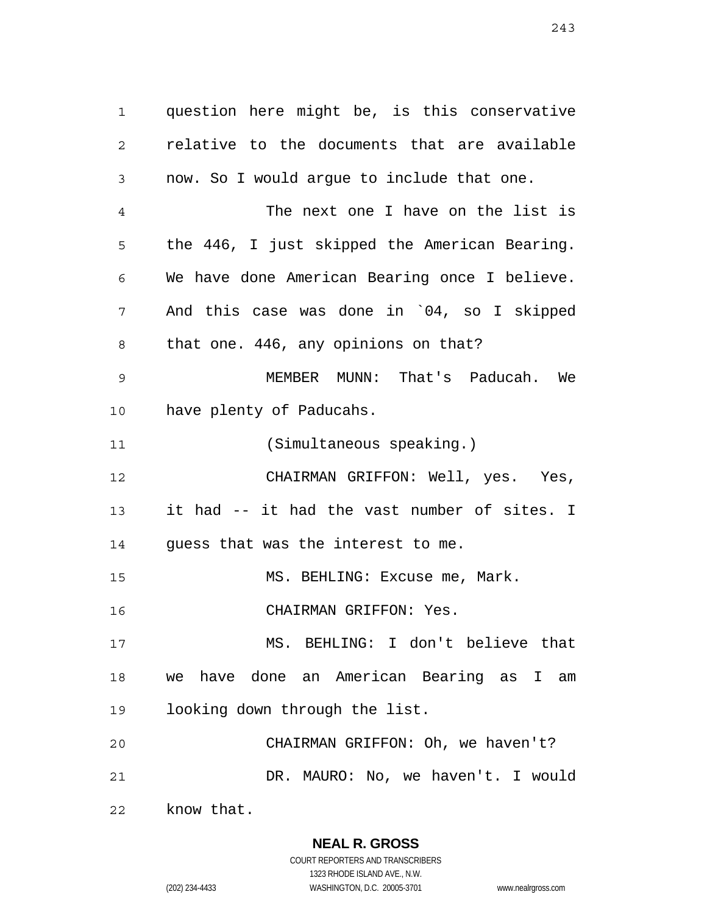question here might be, is this conservative relative to the documents that are available now. So I would argue to include that one. The next one I have on the list is the 446, I just skipped the American Bearing. We have done American Bearing once I believe. And this case was done in `04, so I skipped that one. 446, any opinions on that? MEMBER MUNN: That's Paducah. We have plenty of Paducahs. (Simultaneous speaking.) CHAIRMAN GRIFFON: Well, yes. Yes, it had -- it had the vast number of sites. I guess that was the interest to me. 15 MS. BEHLING: Excuse me, Mark. CHAIRMAN GRIFFON: Yes. MS. BEHLING: I don't believe that we have done an American Bearing as I am looking down through the list. CHAIRMAN GRIFFON: Oh, we haven't? DR. MAURO: No, we haven't. I would

know that.

**NEAL R. GROSS**  COURT REPORTERS AND TRANSCRIBERS

1323 RHODE ISLAND AVE., N.W.

(202) 234-4433 WASHINGTON, D.C. 20005-3701 www.nealrgross.com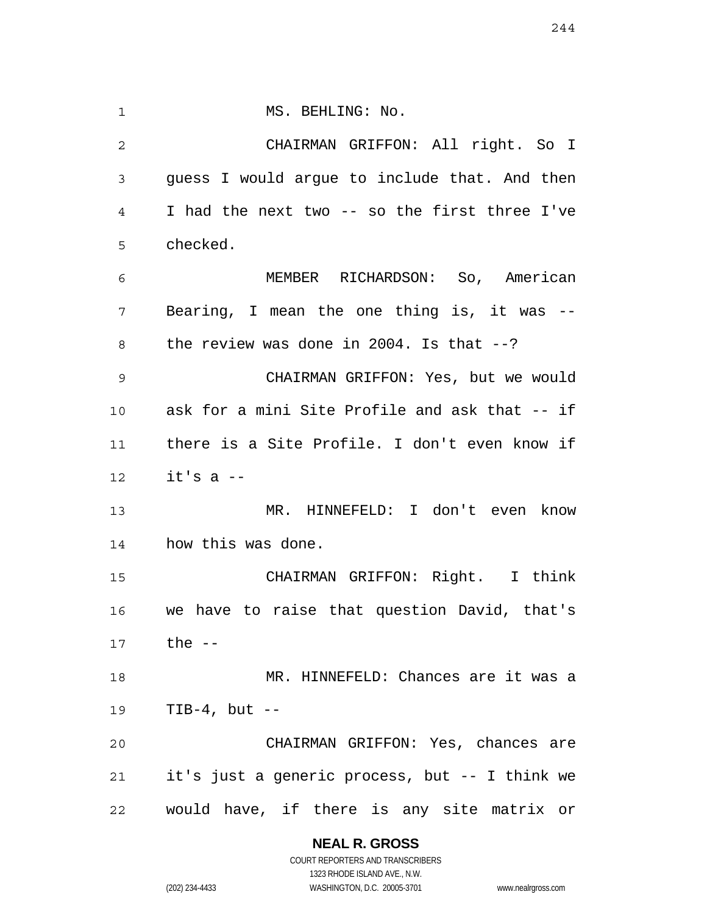1 MS. BEHLING: No. CHAIRMAN GRIFFON: All right. So I guess I would argue to include that. And then I had the next two -- so the first three I've checked. MEMBER RICHARDSON: So, American Bearing, I mean the one thing is, it was -- 8 the review was done in 2004. Is that --? CHAIRMAN GRIFFON: Yes, but we would ask for a mini Site Profile and ask that -- if there is a Site Profile. I don't even know if it's a  $-$ MR. HINNEFELD: I don't even know how this was done. CHAIRMAN GRIFFON: Right. I think we have to raise that question David, that's the -- MR. HINNEFELD: Chances are it was a TIB-4, but -- CHAIRMAN GRIFFON: Yes, chances are it's just a generic process, but -- I think we would have, if there is any site matrix or

### **NEAL R. GROSS**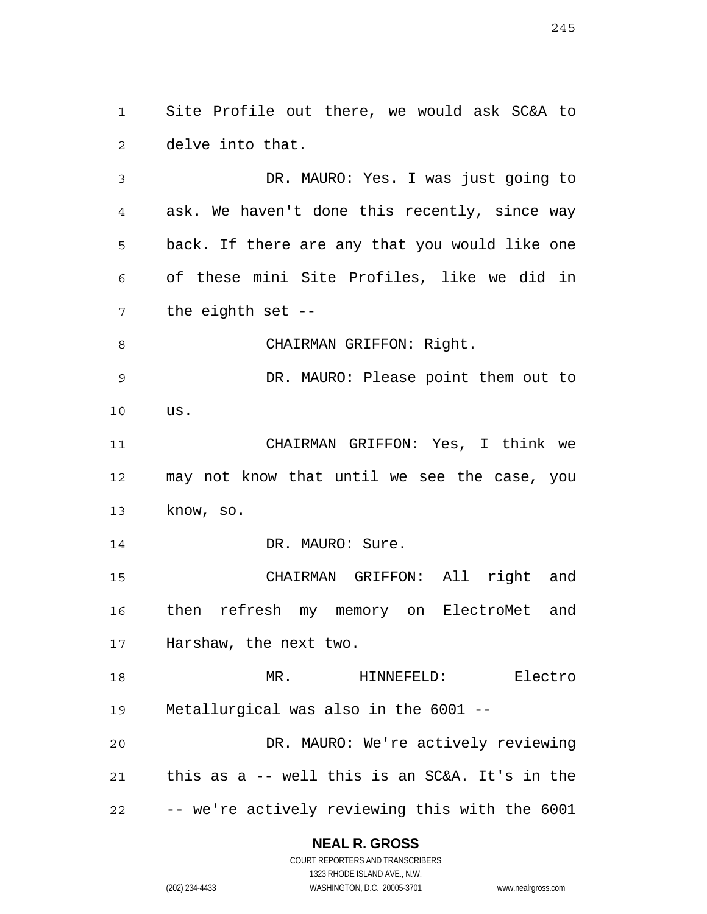Site Profile out there, we would ask SC&A to delve into that.

DR. MAURO: Yes. I was just going to ask. We haven't done this recently, since way back. If there are any that you would like one of these mini Site Profiles, like we did in the eighth set --

8 CHAIRMAN GRIFFON: Right.

DR. MAURO: Please point them out to us.

CHAIRMAN GRIFFON: Yes, I think we may not know that until we see the case, you know, so.

14 DR. MAURO: Sure.

CHAIRMAN GRIFFON: All right and then refresh my memory on ElectroMet and Harshaw, the next two.

MR. HINNEFELD: Electro Metallurgical was also in the 6001 -- DR. MAURO: We're actively reviewing this as a -- well this is an SC&A. It's in the

-- we're actively reviewing this with the 6001

#### **NEAL R. GROSS**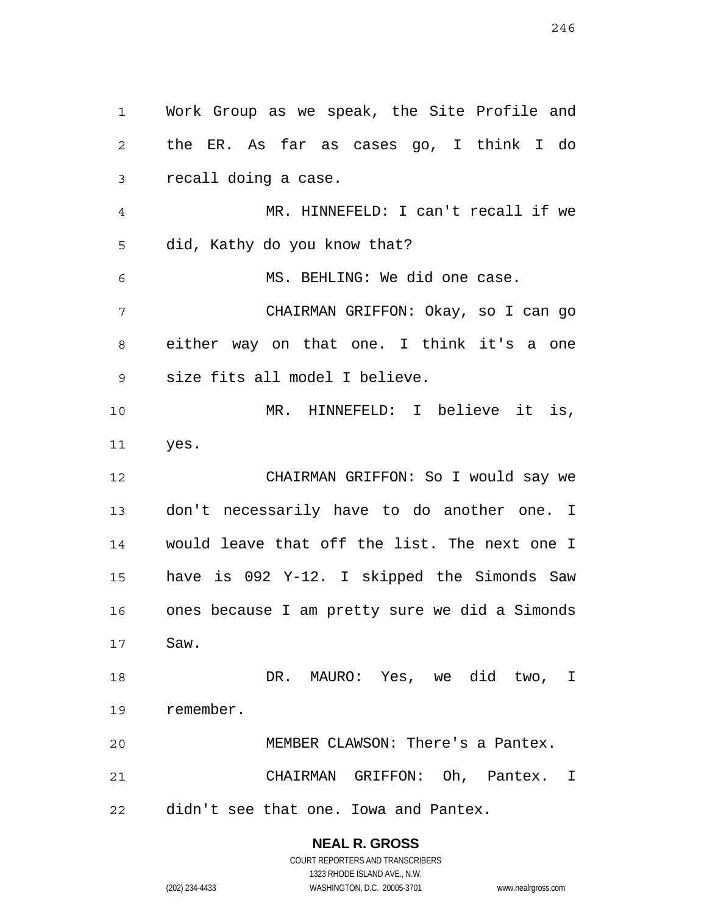Work Group as we speak, the Site Profile and the ER. As far as cases go, I think I do recall doing a case. MR. HINNEFELD: I can't recall if we did, Kathy do you know that? MS. BEHLING: We did one case. CHAIRMAN GRIFFON: Okay, so I can go either way on that one. I think it's a one size fits all model I believe. MR. HINNEFELD: I believe it is, yes. CHAIRMAN GRIFFON: So I would say we don't necessarily have to do another one. I would leave that off the list. The next one I have is 092 Y-12. I skipped the Simonds Saw ones because I am pretty sure we did a Simonds Saw. DR. MAURO: Yes, we did two, I remember. MEMBER CLAWSON: There's a Pantex. CHAIRMAN GRIFFON: Oh, Pantex. I didn't see that one. Iowa and Pantex.

> **NEAL R. GROSS**  COURT REPORTERS AND TRANSCRIBERS

1323 RHODE ISLAND AVE., N.W. (202) 234-4433 WASHINGTON, D.C. 20005-3701 www.nealrgross.com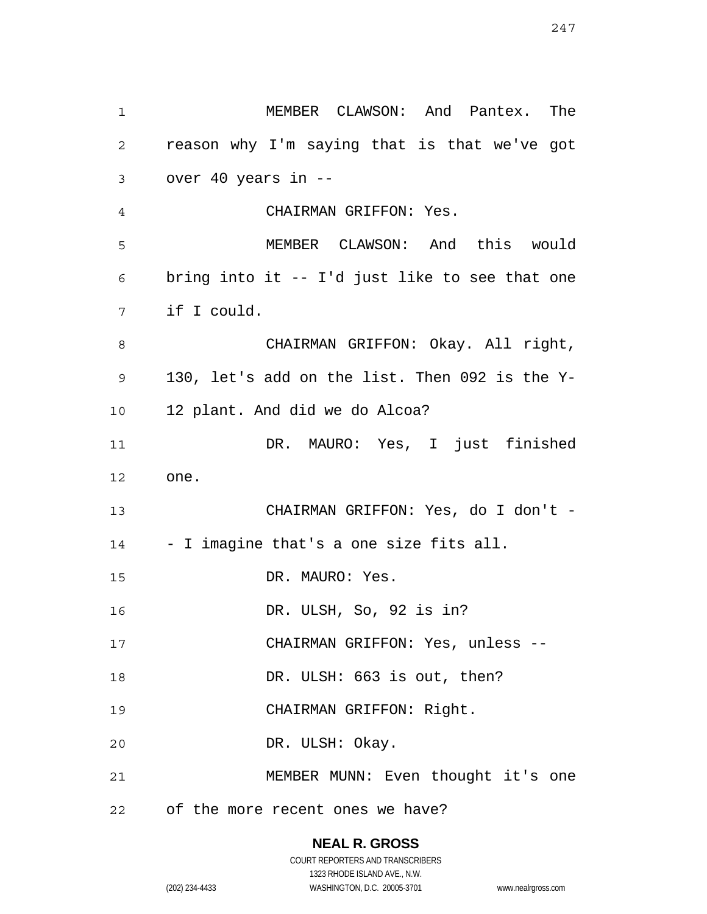MEMBER CLAWSON: And Pantex. The reason why I'm saying that is that we've got over 40 years in -- CHAIRMAN GRIFFON: Yes. MEMBER CLAWSON: And this would bring into it -- I'd just like to see that one if I could. 8 CHAIRMAN GRIFFON: Okay. All right, 130, let's add on the list. Then 092 is the Y-12 plant. And did we do Alcoa? DR. MAURO: Yes, I just finished one. CHAIRMAN GRIFFON: Yes, do I don't - - I imagine that's a one size fits all. 15 DR. MAURO: Yes. DR. ULSH, So, 92 is in? CHAIRMAN GRIFFON: Yes, unless -- 18 DR. ULSH: 663 is out, then? CHAIRMAN GRIFFON: Right. DR. ULSH: Okay. MEMBER MUNN: Even thought it's one of the more recent ones we have?

# **NEAL R. GROSS**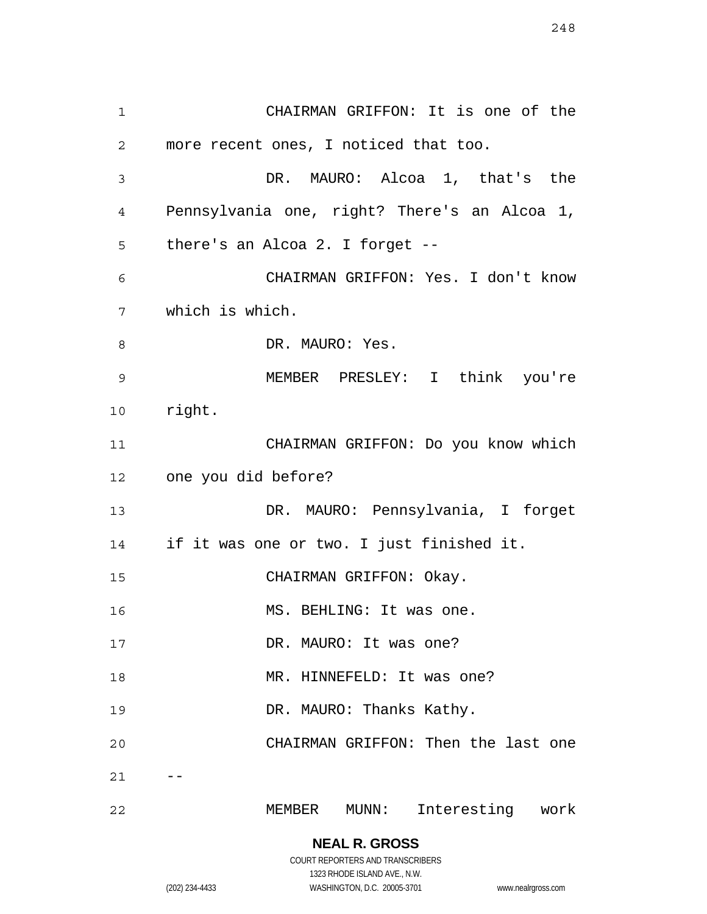CHAIRMAN GRIFFON: It is one of the more recent ones, I noticed that too. DR. MAURO: Alcoa 1, that's the Pennsylvania one, right? There's an Alcoa 1, there's an Alcoa 2. I forget -- CHAIRMAN GRIFFON: Yes. I don't know which is which. 8 DR. MAURO: Yes. MEMBER PRESLEY: I think you're right. CHAIRMAN GRIFFON: Do you know which one you did before? DR. MAURO: Pennsylvania, I forget if it was one or two. I just finished it. CHAIRMAN GRIFFON: Okay. 16 MS. BEHLING: It was one. 17 DR. MAURO: It was one? 18 MR. HINNEFELD: It was one? 19 DR. MAURO: Thanks Kathy. CHAIRMAN GRIFFON: Then the last one  $21 - -$ MEMBER MUNN: Interesting work

**NEAL R. GROSS**  COURT REPORTERS AND TRANSCRIBERS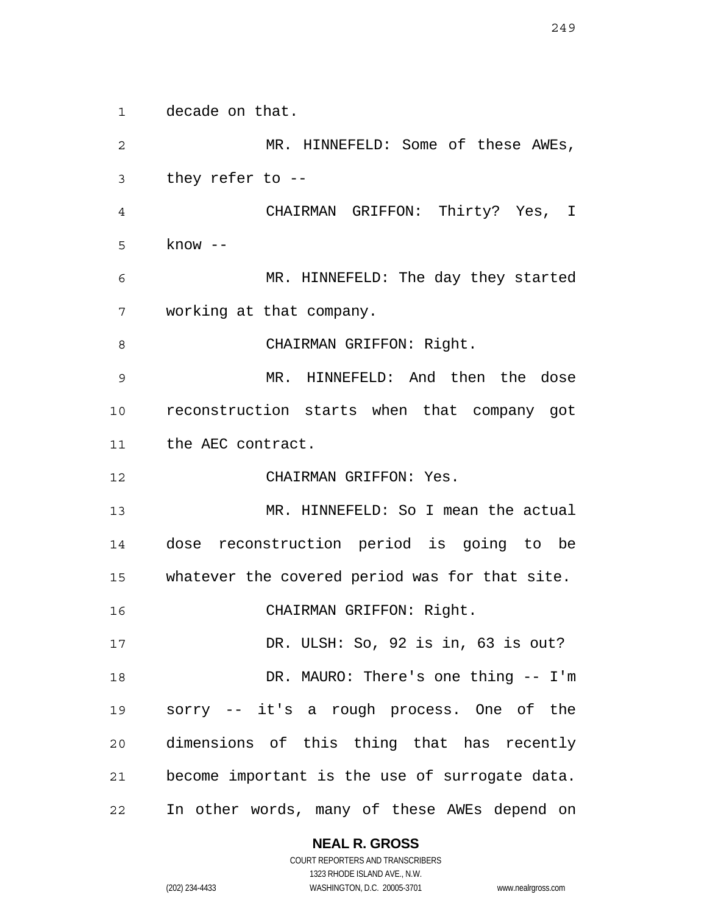decade on that.

MR. HINNEFELD: Some of these AWEs, they refer to -- CHAIRMAN GRIFFON: Thirty? Yes, I know -- MR. HINNEFELD: The day they started working at that company. 8 CHAIRMAN GRIFFON: Right. MR. HINNEFELD: And then the dose reconstruction starts when that company got the AEC contract. CHAIRMAN GRIFFON: Yes. MR. HINNEFELD: So I mean the actual dose reconstruction period is going to be whatever the covered period was for that site. CHAIRMAN GRIFFON: Right. DR. ULSH: So, 92 is in, 63 is out? DR. MAURO: There's one thing -- I'm sorry -- it's a rough process. One of the dimensions of this thing that has recently become important is the use of surrogate data. In other words, many of these AWEs depend on

**NEAL R. GROSS**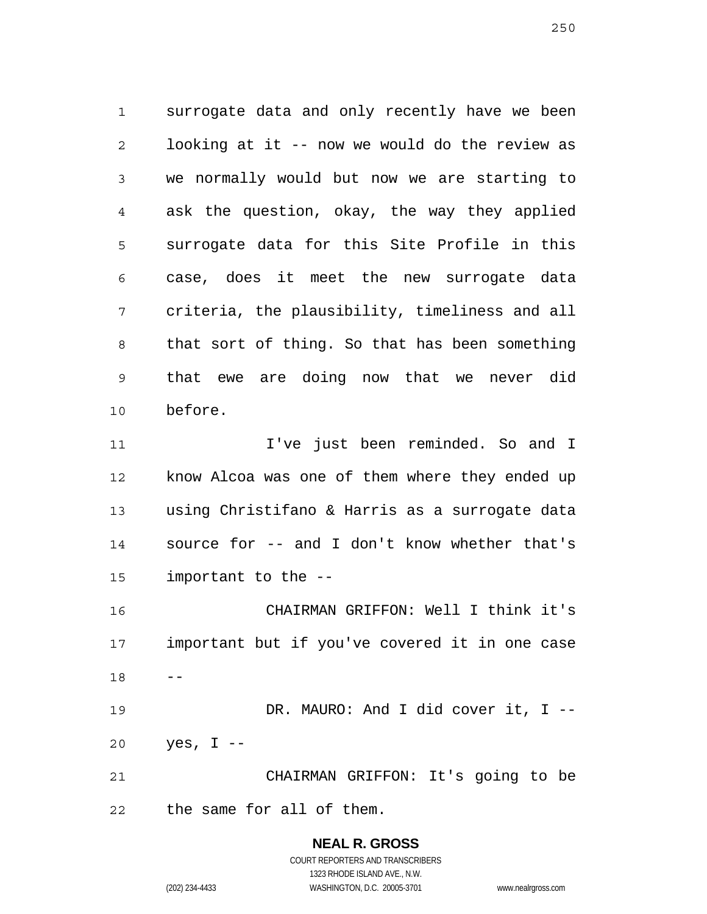surrogate data and only recently have we been looking at it -- now we would do the review as we normally would but now we are starting to ask the question, okay, the way they applied surrogate data for this Site Profile in this case, does it meet the new surrogate data criteria, the plausibility, timeliness and all that sort of thing. So that has been something that ewe are doing now that we never did before.

**I've** just been reminded. So and I know Alcoa was one of them where they ended up using Christifano & Harris as a surrogate data source for -- and I don't know whether that's important to the --

CHAIRMAN GRIFFON: Well I think it's important but if you've covered it in one case  $18 - -$ DR. MAURO: And I did cover it, I --

yes, I --

CHAIRMAN GRIFFON: It's going to be the same for all of them.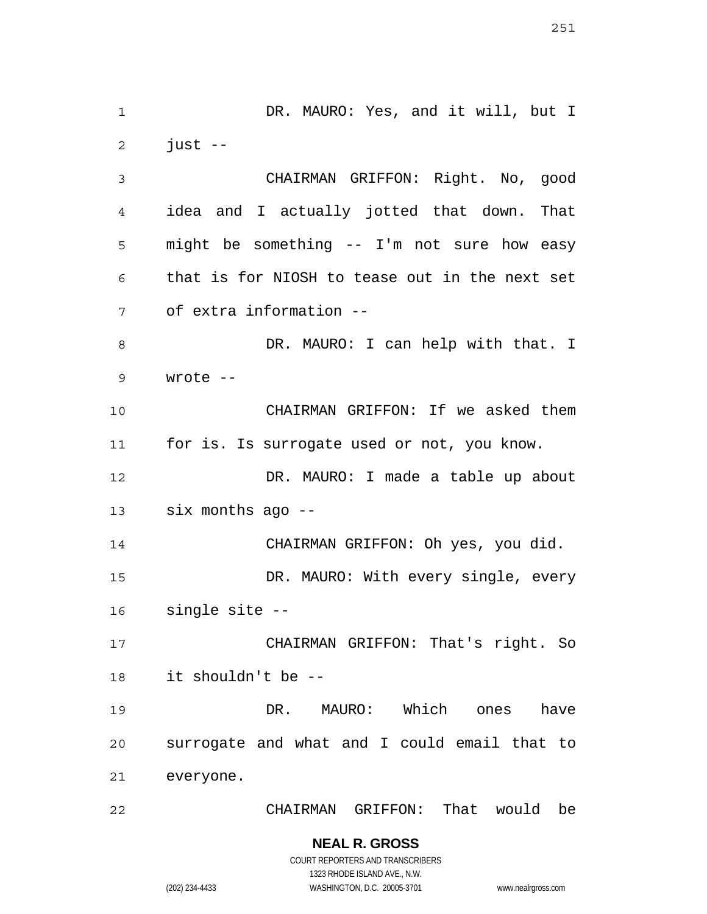1 DR. MAURO: Yes, and it will, but I just  $-$ 

CHAIRMAN GRIFFON: Right. No, good idea and I actually jotted that down. That might be something -- I'm not sure how easy that is for NIOSH to tease out in the next set of extra information --

8 DR. MAURO: I can help with that. I wrote --

CHAIRMAN GRIFFON: If we asked them for is. Is surrogate used or not, you know.

DR. MAURO: I made a table up about six months ago --

CHAIRMAN GRIFFON: Oh yes, you did. 15 DR. MAURO: With every single, every single site --

CHAIRMAN GRIFFON: That's right. So it shouldn't be --

DR. MAURO: Which ones have surrogate and what and I could email that to everyone.

CHAIRMAN GRIFFON: That would be

**NEAL R. GROSS**  COURT REPORTERS AND TRANSCRIBERS

1323 RHODE ISLAND AVE., N.W.

(202) 234-4433 WASHINGTON, D.C. 20005-3701 www.nealrgross.com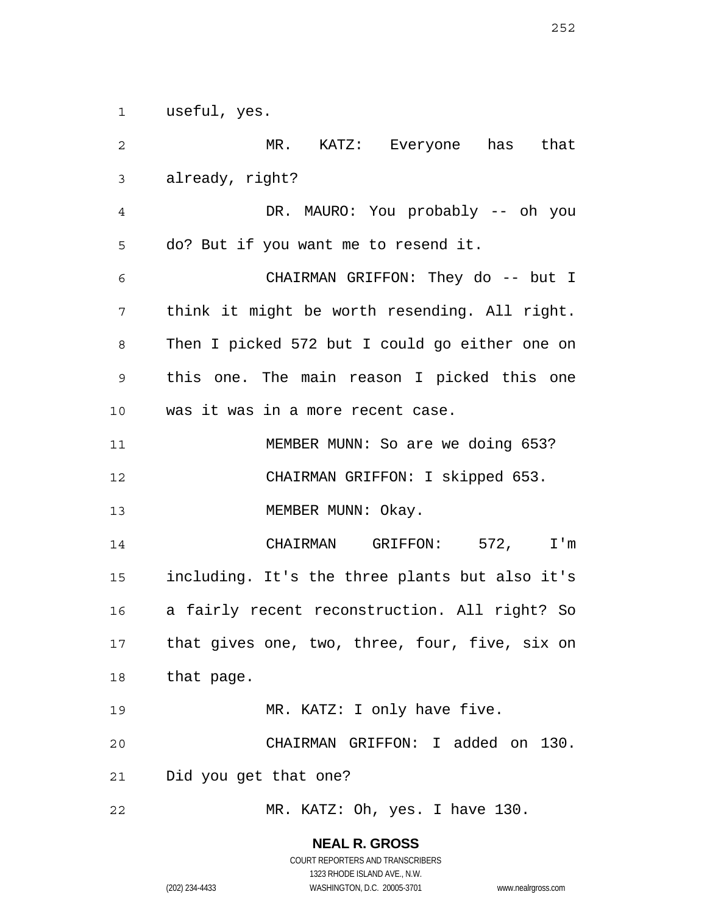useful, yes.

MR. KATZ: Everyone has that already, right? DR. MAURO: You probably -- oh you do? But if you want me to resend it. CHAIRMAN GRIFFON: They do -- but I think it might be worth resending. All right. Then I picked 572 but I could go either one on this one. The main reason I picked this one was it was in a more recent case. 11 MEMBER MUNN: So are we doing 653? CHAIRMAN GRIFFON: I skipped 653. 13 MEMBER MUNN: Okay. CHAIRMAN GRIFFON: 572, I'm including. It's the three plants but also it's a fairly recent reconstruction. All right? So that gives one, two, three, four, five, six on that page. 19 MR. KATZ: I only have five. CHAIRMAN GRIFFON: I added on 130. Did you get that one? MR. KATZ: Oh, yes. I have 130.

> **NEAL R. GROSS**  COURT REPORTERS AND TRANSCRIBERS

1323 RHODE ISLAND AVE., N.W. (202) 234-4433 WASHINGTON, D.C. 20005-3701 www.nealrgross.com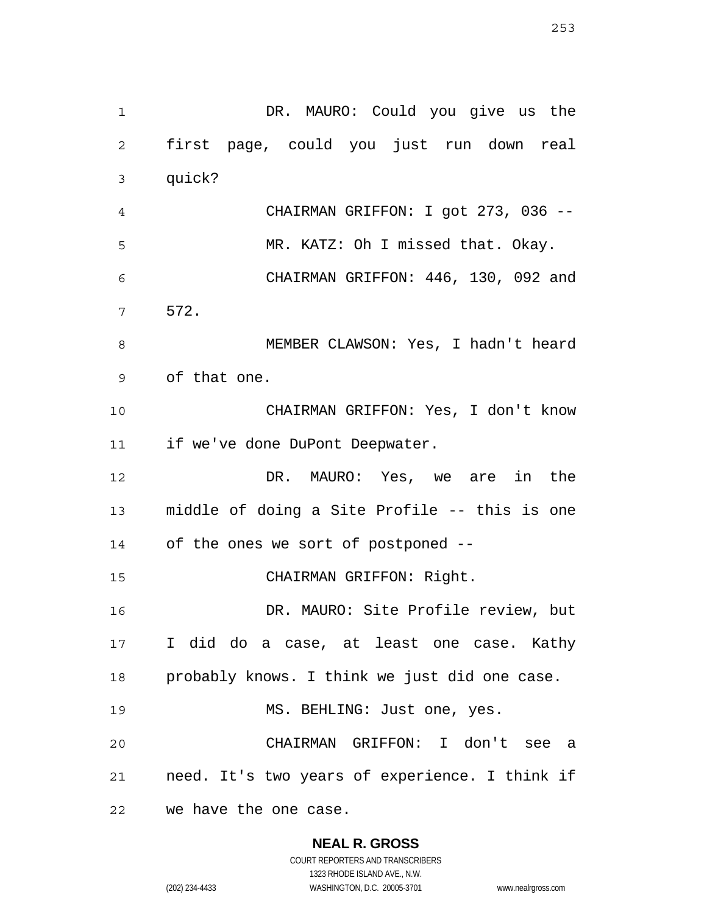DR. MAURO: Could you give us the first page, could you just run down real quick? CHAIRMAN GRIFFON: I got 273, 036 -- MR. KATZ: Oh I missed that. Okay. CHAIRMAN GRIFFON: 446, 130, 092 and 572. MEMBER CLAWSON: Yes, I hadn't heard of that one. CHAIRMAN GRIFFON: Yes, I don't know if we've done DuPont Deepwater. DR. MAURO: Yes, we are in the middle of doing a Site Profile -- this is one of the ones we sort of postponed -- CHAIRMAN GRIFFON: Right. DR. MAURO: Site Profile review, but I did do a case, at least one case. Kathy probably knows. I think we just did one case. 19 MS. BEHLING: Just one, yes. CHAIRMAN GRIFFON: I don't see a need. It's two years of experience. I think if we have the one case.

### **NEAL R. GROSS**

COURT REPORTERS AND TRANSCRIBERS 1323 RHODE ISLAND AVE., N.W. (202) 234-4433 WASHINGTON, D.C. 20005-3701 www.nealrgross.com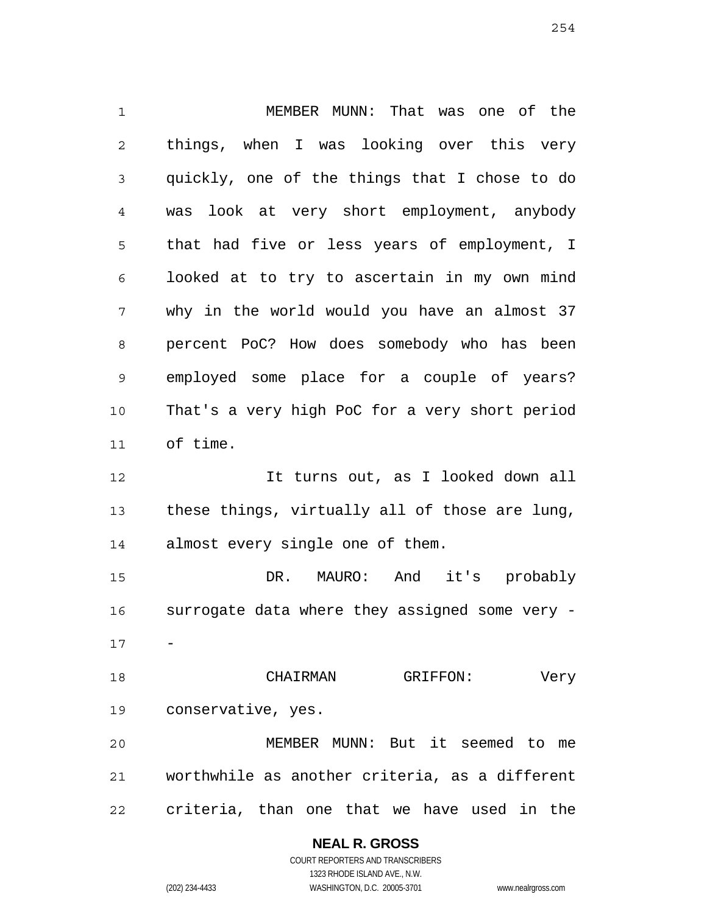MEMBER MUNN: That was one of the things, when I was looking over this very quickly, one of the things that I chose to do was look at very short employment, anybody that had five or less years of employment, I looked at to try to ascertain in my own mind why in the world would you have an almost 37 percent PoC? How does somebody who has been employed some place for a couple of years? That's a very high PoC for a very short period of time. It turns out, as I looked down all these things, virtually all of those are lung, almost every single one of them. DR. MAURO: And it's probably surrogate data where they assigned some very - CHAIRMAN GRIFFON: Very conservative, yes. MEMBER MUNN: But it seemed to me worthwhile as another criteria, as a different criteria, than one that we have used in the

> **NEAL R. GROSS**  COURT REPORTERS AND TRANSCRIBERS

> > 1323 RHODE ISLAND AVE., N.W.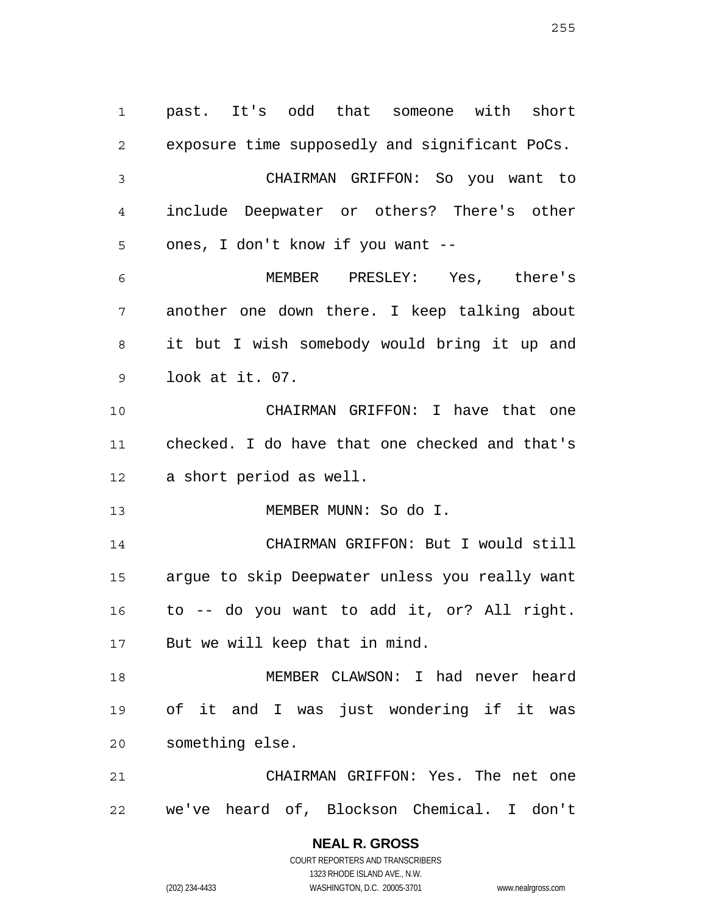past. It's odd that someone with short exposure time supposedly and significant PoCs. CHAIRMAN GRIFFON: So you want to include Deepwater or others? There's other ones, I don't know if you want -- MEMBER PRESLEY: Yes, there's another one down there. I keep talking about it but I wish somebody would bring it up and look at it. 07. CHAIRMAN GRIFFON: I have that one checked. I do have that one checked and that's a short period as well. MEMBER MUNN: So do I. CHAIRMAN GRIFFON: But I would still argue to skip Deepwater unless you really want to -- do you want to add it, or? All right. But we will keep that in mind. MEMBER CLAWSON: I had never heard of it and I was just wondering if it was something else. CHAIRMAN GRIFFON: Yes. The net one

we've heard of, Blockson Chemical. I don't

COURT REPORTERS AND TRANSCRIBERS 1323 RHODE ISLAND AVE., N.W. (202) 234-4433 WASHINGTON, D.C. 20005-3701 www.nealrgross.com

**NEAL R. GROSS**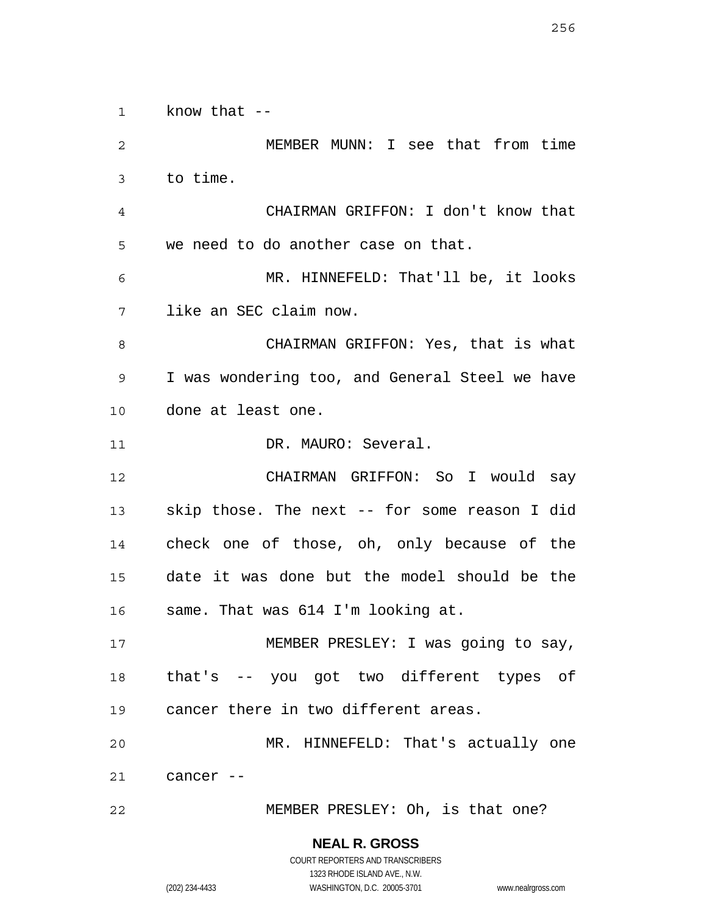know that -- MEMBER MUNN: I see that from time to time. CHAIRMAN GRIFFON: I don't know that we need to do another case on that. MR. HINNEFELD: That'll be, it looks like an SEC claim now. CHAIRMAN GRIFFON: Yes, that is what I was wondering too, and General Steel we have done at least one. 11 DR. MAURO: Several. CHAIRMAN GRIFFON: So I would say skip those. The next -- for some reason I did check one of those, oh, only because of the date it was done but the model should be the same. That was 614 I'm looking at. 17 MEMBER PRESLEY: I was going to say, that's -- you got two different types of cancer there in two different areas. MR. HINNEFELD: That's actually one cancer -- MEMBER PRESLEY: Oh, is that one?

1323 RHODE ISLAND AVE., N.W.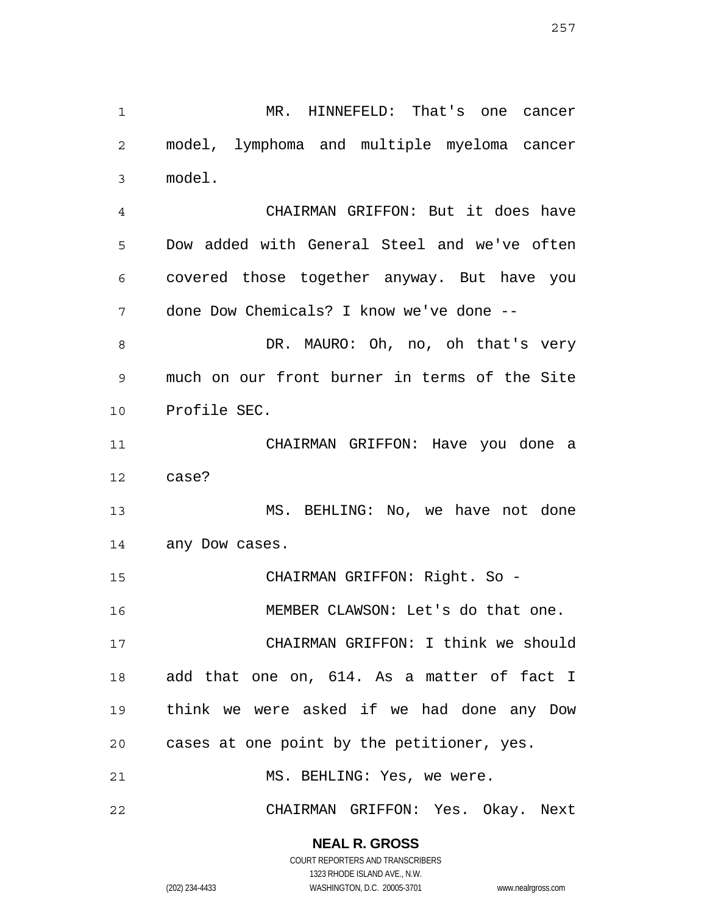MR. HINNEFELD: That's one cancer model, lymphoma and multiple myeloma cancer model. CHAIRMAN GRIFFON: But it does have

Dow added with General Steel and we've often covered those together anyway. But have you done Dow Chemicals? I know we've done --

DR. MAURO: Oh, no, oh that's very much on our front burner in terms of the Site Profile SEC.

CHAIRMAN GRIFFON: Have you done a case?

MS. BEHLING: No, we have not done any Dow cases.

CHAIRMAN GRIFFON: Right. So -

MEMBER CLAWSON: Let's do that one.

CHAIRMAN GRIFFON: I think we should add that one on, 614. As a matter of fact I think we were asked if we had done any Dow cases at one point by the petitioner, yes.

MS. BEHLING: Yes, we were.

CHAIRMAN GRIFFON: Yes. Okay. Next

**NEAL R. GROSS**  COURT REPORTERS AND TRANSCRIBERS

1323 RHODE ISLAND AVE., N.W. (202) 234-4433 WASHINGTON, D.C. 20005-3701 www.nealrgross.com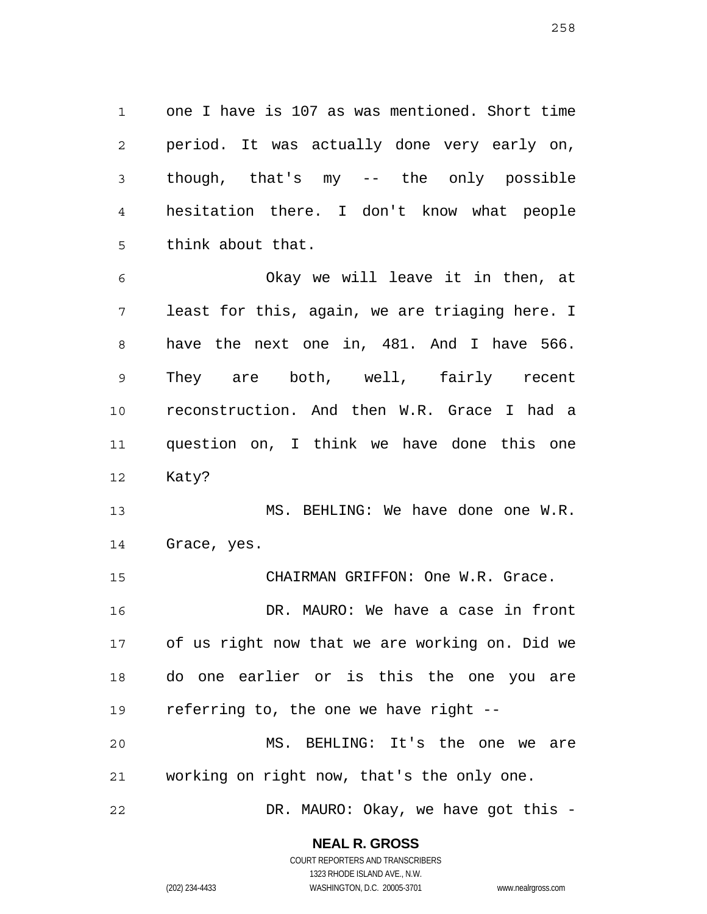one I have is 107 as was mentioned. Short time period. It was actually done very early on, though, that's my -- the only possible hesitation there. I don't know what people think about that.

Okay we will leave it in then, at least for this, again, we are triaging here. I have the next one in, 481. And I have 566. They are both, well, fairly recent reconstruction. And then W.R. Grace I had a question on, I think we have done this one Katy?

MS. BEHLING: We have done one W.R. Grace, yes.

CHAIRMAN GRIFFON: One W.R. Grace. DR. MAURO: We have a case in front of us right now that we are working on. Did we do one earlier or is this the one you are referring to, the one we have right -- MS. BEHLING: It's the one we are working on right now, that's the only one.

DR. MAURO: Okay, we have got this -

#### **NEAL R. GROSS**

COURT REPORTERS AND TRANSCRIBERS 1323 RHODE ISLAND AVE., N.W. (202) 234-4433 WASHINGTON, D.C. 20005-3701 www.nealrgross.com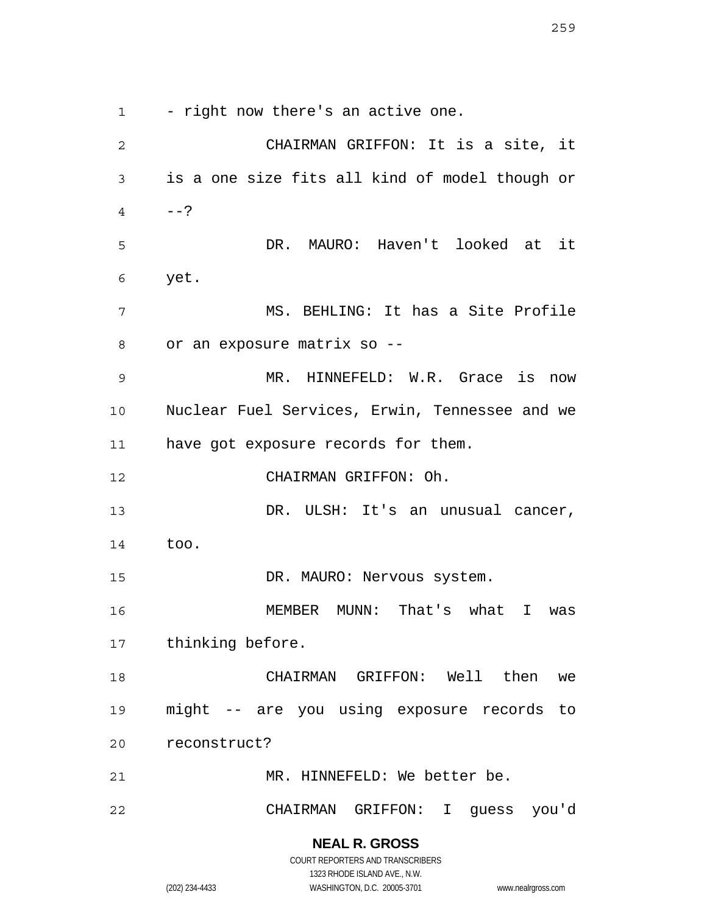CHAIRMAN GRIFFON: It is a site, it is a one size fits all kind of model though or  $4 - -?$ DR. MAURO: Haven't looked at it yet. MS. BEHLING: It has a Site Profile or an exposure matrix so -- MR. HINNEFELD: W.R. Grace is now Nuclear Fuel Services, Erwin, Tennessee and we have got exposure records for them. CHAIRMAN GRIFFON: Oh. 13 DR. ULSH: It's an unusual cancer, too. 15 DR. MAURO: Nervous system. MEMBER MUNN: That's what I was thinking before.

1 - right now there's an active one.

CHAIRMAN GRIFFON: Well then we might -- are you using exposure records to reconstruct?

MR. HINNEFELD: We better be.

CHAIRMAN GRIFFON: I guess you'd

**NEAL R. GROSS**  COURT REPORTERS AND TRANSCRIBERS

1323 RHODE ISLAND AVE., N.W.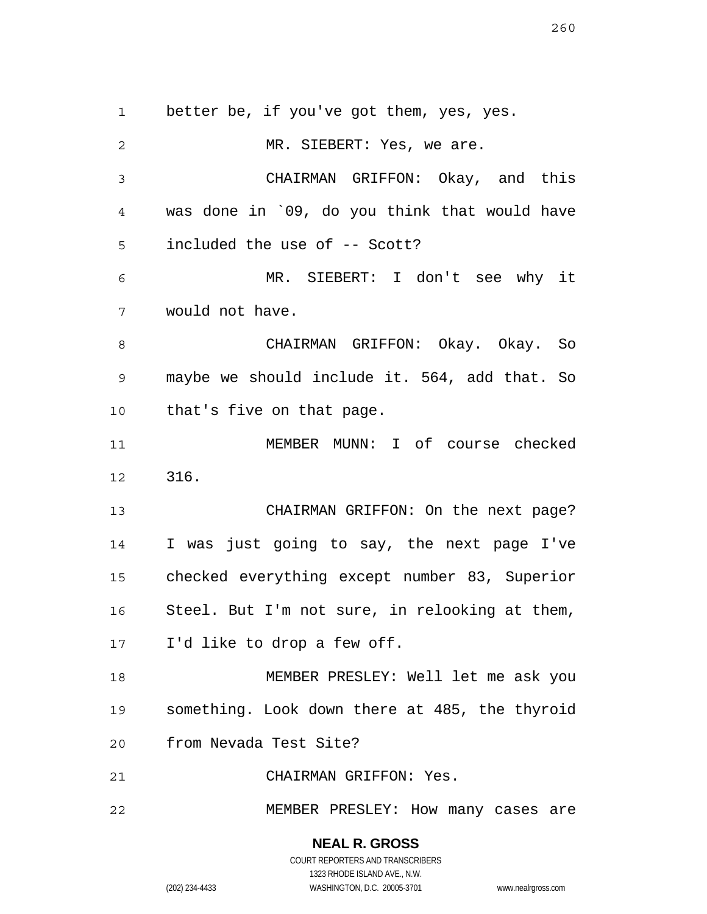1 better be, if you've got them, yes, yes. MR. SIEBERT: Yes, we are. CHAIRMAN GRIFFON: Okay, and this was done in `09, do you think that would have included the use of -- Scott? MR. SIEBERT: I don't see why it would not have. CHAIRMAN GRIFFON: Okay. Okay. So maybe we should include it. 564, add that. So that's five on that page. MEMBER MUNN: I of course checked 316. CHAIRMAN GRIFFON: On the next page? I was just going to say, the next page I've checked everything except number 83, Superior Steel. But I'm not sure, in relooking at them, I'd like to drop a few off. MEMBER PRESLEY: Well let me ask you something. Look down there at 485, the thyroid from Nevada Test Site? CHAIRMAN GRIFFON: Yes. MEMBER PRESLEY: How many cases are

> **NEAL R. GROSS**  COURT REPORTERS AND TRANSCRIBERS 1323 RHODE ISLAND AVE., N.W. (202) 234-4433 WASHINGTON, D.C. 20005-3701 www.nealrgross.com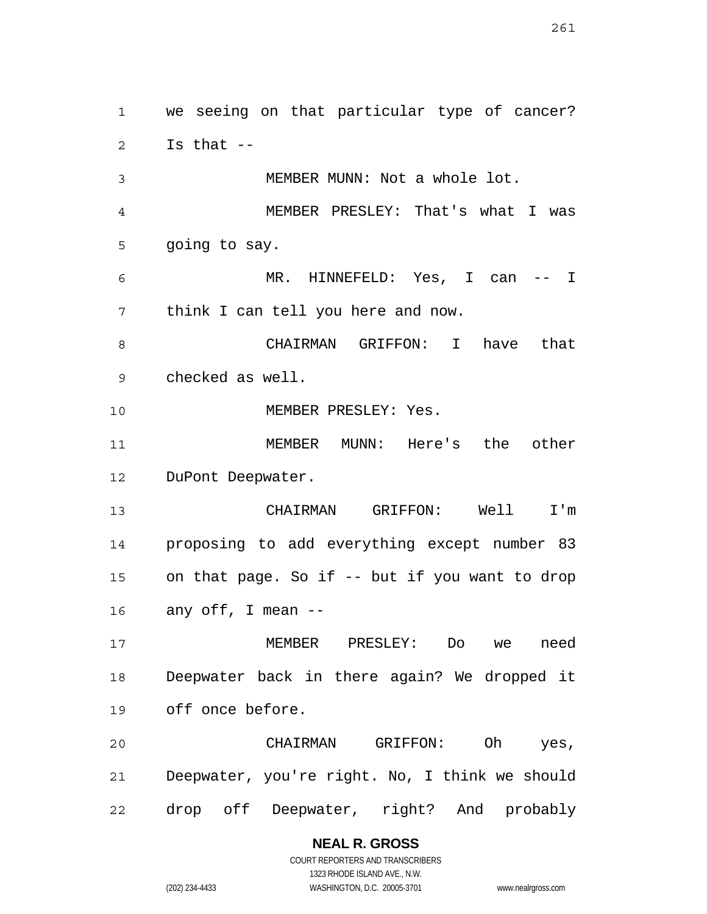we seeing on that particular type of cancer? Is that -- MEMBER MUNN: Not a whole lot. MEMBER PRESLEY: That's what I was going to say. MR. HINNEFELD: Yes, I can -- I think I can tell you here and now. CHAIRMAN GRIFFON: I have that checked as well. MEMBER PRESLEY: Yes. MEMBER MUNN: Here's the other DuPont Deepwater. CHAIRMAN GRIFFON: Well I'm proposing to add everything except number 83 on that page. So if -- but if you want to drop any off, I mean -- MEMBER PRESLEY: Do we need Deepwater back in there again? We dropped it off once before. CHAIRMAN GRIFFON: Oh yes, Deepwater, you're right. No, I think we should drop off Deepwater, right? And probably

> **NEAL R. GROSS**  COURT REPORTERS AND TRANSCRIBERS

> > 1323 RHODE ISLAND AVE., N.W.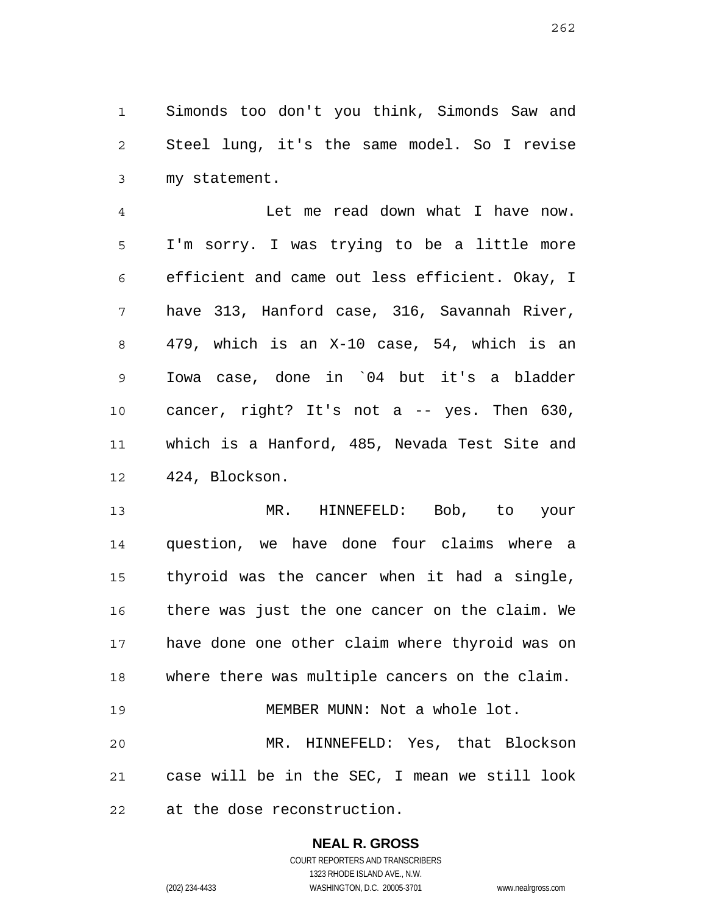Simonds too don't you think, Simonds Saw and Steel lung, it's the same model. So I revise my statement.

Let me read down what I have now. I'm sorry. I was trying to be a little more efficient and came out less efficient. Okay, I have 313, Hanford case, 316, Savannah River, 479, which is an X-10 case, 54, which is an Iowa case, done in `04 but it's a bladder cancer, right? It's not a -- yes. Then 630, which is a Hanford, 485, Nevada Test Site and 424, Blockson.

MR. HINNEFELD: Bob, to your question, we have done four claims where a thyroid was the cancer when it had a single, there was just the one cancer on the claim. We have done one other claim where thyroid was on where there was multiple cancers on the claim. MEMBER MUNN: Not a whole lot.

MR. HINNEFELD: Yes, that Blockson case will be in the SEC, I mean we still look at the dose reconstruction.

1323 RHODE ISLAND AVE., N.W.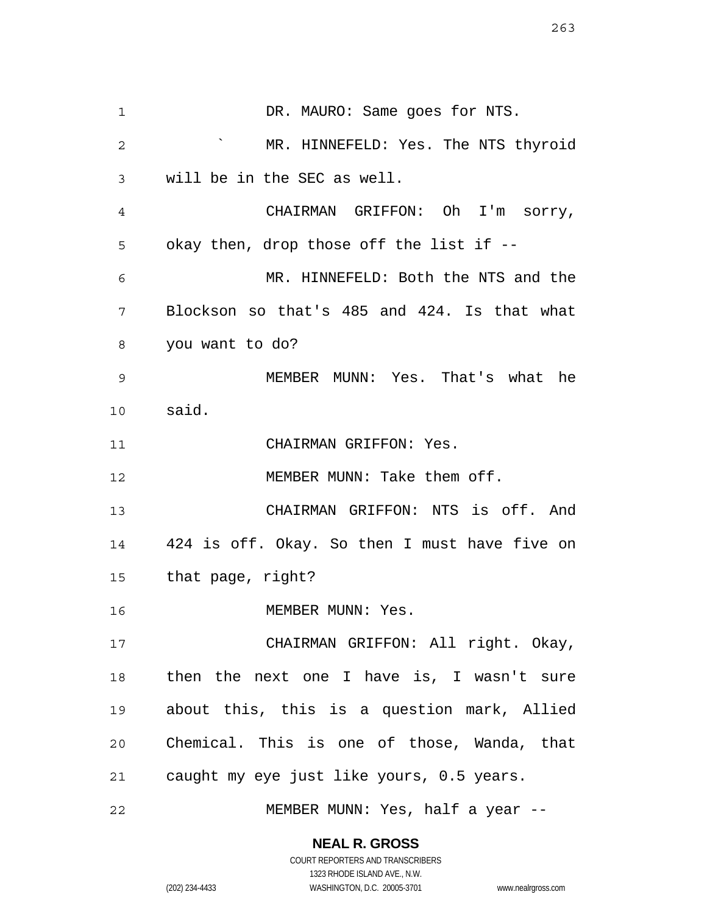1 DR. MAURO: Same goes for NTS. 2 NR. HINNEFELD: Yes. The NTS thyroid will be in the SEC as well. CHAIRMAN GRIFFON: Oh I'm sorry, okay then, drop those off the list if -- MR. HINNEFELD: Both the NTS and the Blockson so that's 485 and 424. Is that what you want to do? MEMBER MUNN: Yes. That's what he said. CHAIRMAN GRIFFON: Yes. 12 MEMBER MUNN: Take them off. CHAIRMAN GRIFFON: NTS is off. And 424 is off. Okay. So then I must have five on that page, right? 16 MEMBER MUNN: Yes. CHAIRMAN GRIFFON: All right. Okay, then the next one I have is, I wasn't sure about this, this is a question mark, Allied Chemical. This is one of those, Wanda, that caught my eye just like yours, 0.5 years. MEMBER MUNN: Yes, half a year --

**NEAL R. GROSS** 

COURT REPORTERS AND TRANSCRIBERS 1323 RHODE ISLAND AVE., N.W. (202) 234-4433 WASHINGTON, D.C. 20005-3701 www.nealrgross.com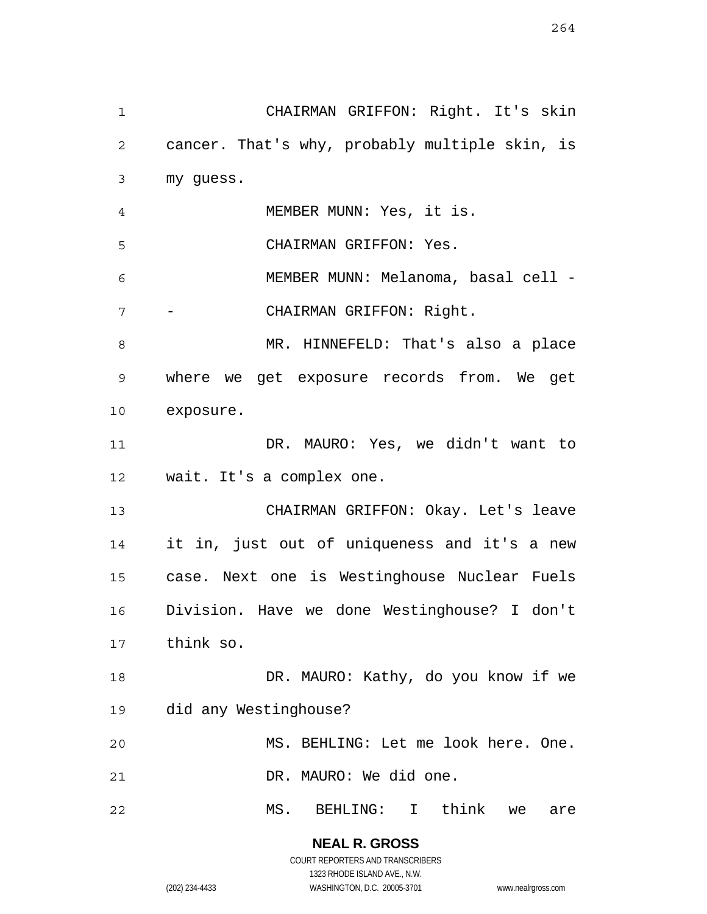CHAIRMAN GRIFFON: Right. It's skin cancer. That's why, probably multiple skin, is my guess. MEMBER MUNN: Yes, it is. CHAIRMAN GRIFFON: Yes. MEMBER MUNN: Melanoma, basal cell - 7 - CHAIRMAN GRIFFON: Right. MR. HINNEFELD: That's also a place where we get exposure records from. We get exposure. DR. MAURO: Yes, we didn't want to wait. It's a complex one. CHAIRMAN GRIFFON: Okay. Let's leave it in, just out of uniqueness and it's a new case. Next one is Westinghouse Nuclear Fuels Division. Have we done Westinghouse? I don't think so. DR. MAURO: Kathy, do you know if we did any Westinghouse? MS. BEHLING: Let me look here. One. DR. MAURO: We did one. MS. BEHLING: I think we are

> **NEAL R. GROSS**  COURT REPORTERS AND TRANSCRIBERS 1323 RHODE ISLAND AVE., N.W.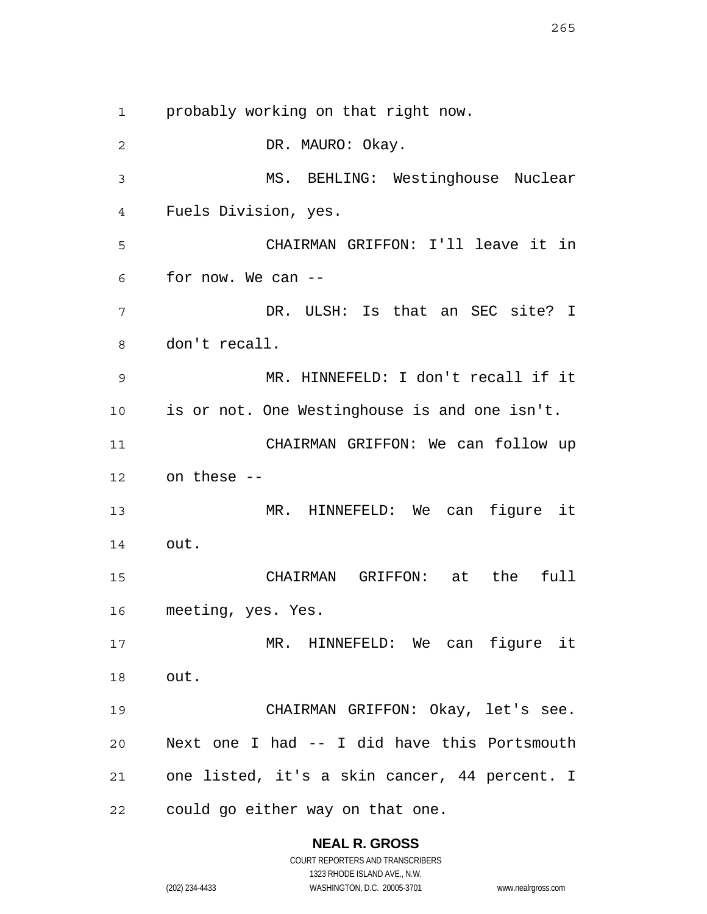probably working on that right now. DR. MAURO: Okay. MS. BEHLING: Westinghouse Nuclear Fuels Division, yes. CHAIRMAN GRIFFON: I'll leave it in for now. We can -- DR. ULSH: Is that an SEC site? I don't recall. MR. HINNEFELD: I don't recall if it is or not. One Westinghouse is and one isn't. CHAIRMAN GRIFFON: We can follow up on these -- MR. HINNEFELD: We can figure it out. CHAIRMAN GRIFFON: at the full meeting, yes. Yes. MR. HINNEFELD: We can figure it out. CHAIRMAN GRIFFON: Okay, let's see. Next one I had -- I did have this Portsmouth one listed, it's a skin cancer, 44 percent. I

could go either way on that one.

## **NEAL R. GROSS**

COURT REPORTERS AND TRANSCRIBERS 1323 RHODE ISLAND AVE., N.W. (202) 234-4433 WASHINGTON, D.C. 20005-3701 www.nealrgross.com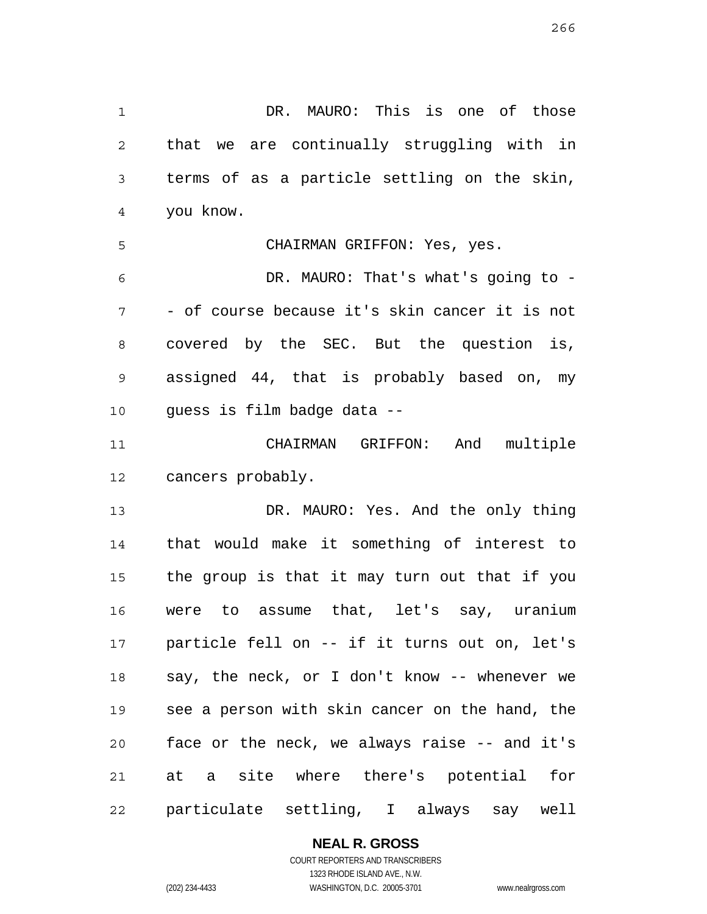DR. MAURO: This is one of those that we are continually struggling with in terms of as a particle settling on the skin, you know. CHAIRMAN GRIFFON: Yes, yes. DR. MAURO: That's what's going to - - of course because it's skin cancer it is not covered by the SEC. But the question is, assigned 44, that is probably based on, my guess is film badge data -- CHAIRMAN GRIFFON: And multiple cancers probably.

DR. MAURO: Yes. And the only thing that would make it something of interest to the group is that it may turn out that if you were to assume that, let's say, uranium particle fell on -- if it turns out on, let's say, the neck, or I don't know -- whenever we see a person with skin cancer on the hand, the face or the neck, we always raise -- and it's at a site where there's potential for particulate settling, I always say well

### **NEAL R. GROSS**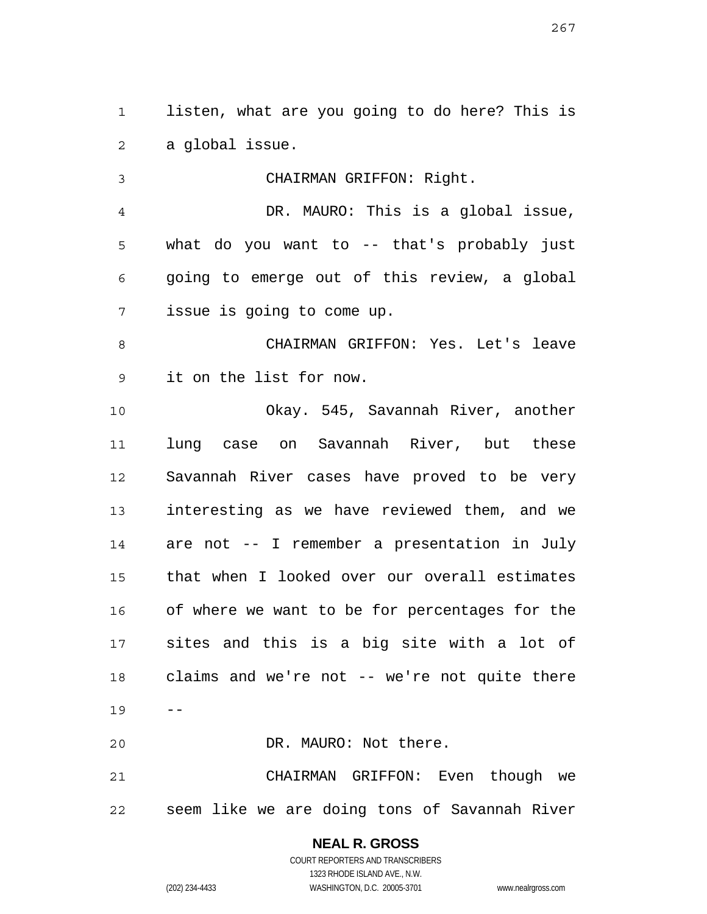listen, what are you going to do here? This is a global issue.

CHAIRMAN GRIFFON: Right. DR. MAURO: This is a global issue, what do you want to -- that's probably just going to emerge out of this review, a global issue is going to come up. CHAIRMAN GRIFFON: Yes. Let's leave it on the list for now. Okay. 545, Savannah River, another lung case on Savannah River, but these Savannah River cases have proved to be very interesting as we have reviewed them, and we are not -- I remember a presentation in July that when I looked over our overall estimates of where we want to be for percentages for the sites and this is a big site with a lot of claims and we're not -- we're not quite there  $19 - -$ DR. MAURO: Not there. CHAIRMAN GRIFFON: Even though we seem like we are doing tons of Savannah River

> **NEAL R. GROSS**  COURT REPORTERS AND TRANSCRIBERS

> > 1323 RHODE ISLAND AVE., N.W.

(202) 234-4433 WASHINGTON, D.C. 20005-3701 www.nealrgross.com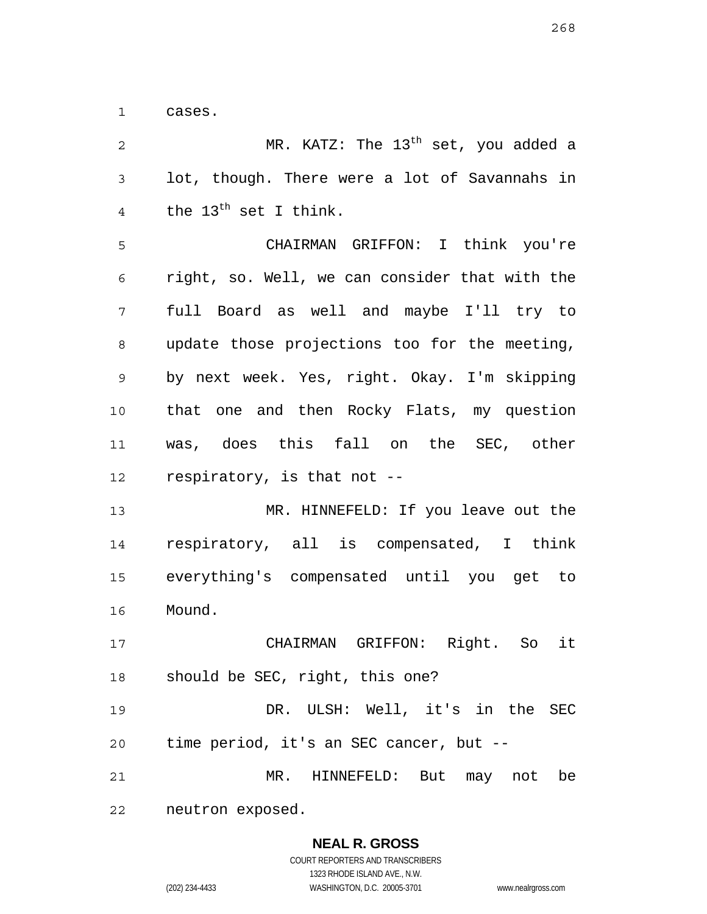cases.

2 MR. KATZ: The 13<sup>th</sup> set, you added a lot, though. There were a lot of Savannahs in 4 the  $13^{\text{th}}$  set I think. CHAIRMAN GRIFFON: I think you're right, so. Well, we can consider that with the full Board as well and maybe I'll try to update those projections too for the meeting, by next week. Yes, right. Okay. I'm skipping that one and then Rocky Flats, my question was, does this fall on the SEC, other respiratory, is that not -- MR. HINNEFELD: If you leave out the respiratory, all is compensated, I think everything's compensated until you get to Mound. CHAIRMAN GRIFFON: Right. So it should be SEC, right, this one? DR. ULSH: Well, it's in the SEC time period, it's an SEC cancer, but -- MR. HINNEFELD: But may not be neutron exposed.

> **NEAL R. GROSS**  COURT REPORTERS AND TRANSCRIBERS

1323 RHODE ISLAND AVE., N.W. (202) 234-4433 WASHINGTON, D.C. 20005-3701 www.nealrgross.com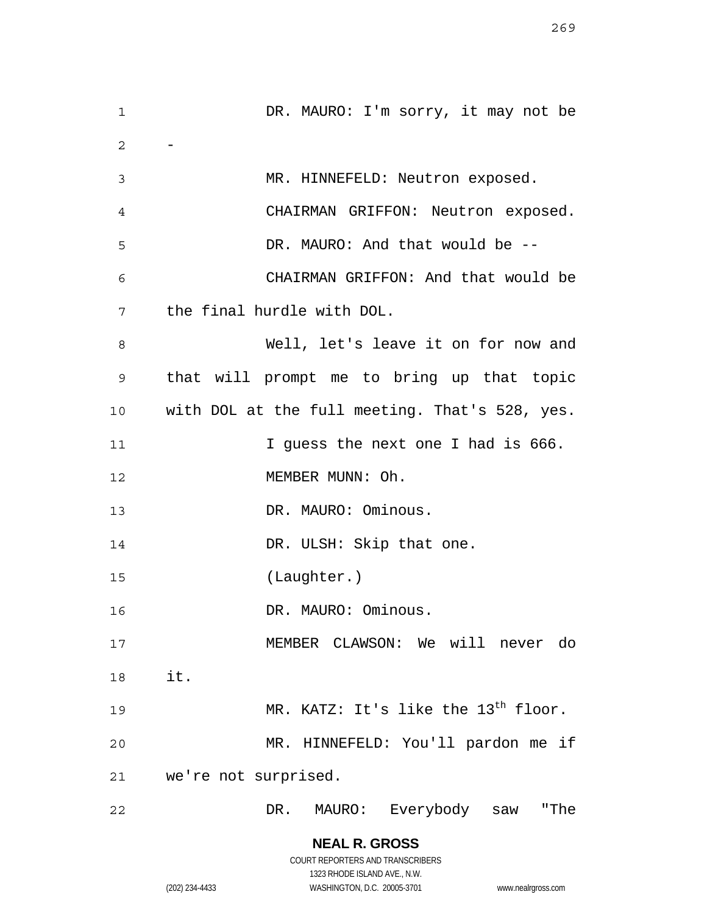1 DR. MAURO: I'm sorry, it may not be  $\overline{2}$ 3 MR. HINNEFELD: Neutron exposed. 4 CHAIRMAN GRIFFON: Neutron exposed. 5 DR. MAURO: And that would be -- 6 CHAIRMAN GRIFFON: And that would be 7 the final hurdle with DOL. 8 Well, let's leave it on for now and 9 that will prompt me to bring up that topic 10 with DOL at the full meeting. That's 528, yes. 11 I guess the next one I had is 666. 12 MEMBER MUNN: Oh. 13 DR. MAURO: Ominous. 14 DR. ULSH: Skip that one. 15 (Laughter.) 16 DR. MAURO: Ominous. 17 MEMBER CLAWSON: We will never do 18 it. 19 MR. KATZ: It's like the 13<sup>th</sup> floor. 20 MR. HINNEFELD: You'll pardon me if 21 we're not surprised. 22 DR. MAURO: Everybody saw "The

> **NEAL R. GROSS**  COURT REPORTERS AND TRANSCRIBERS 1323 RHODE ISLAND AVE., N.W. (202) 234-4433 WASHINGTON, D.C. 20005-3701 www.nealrgross.com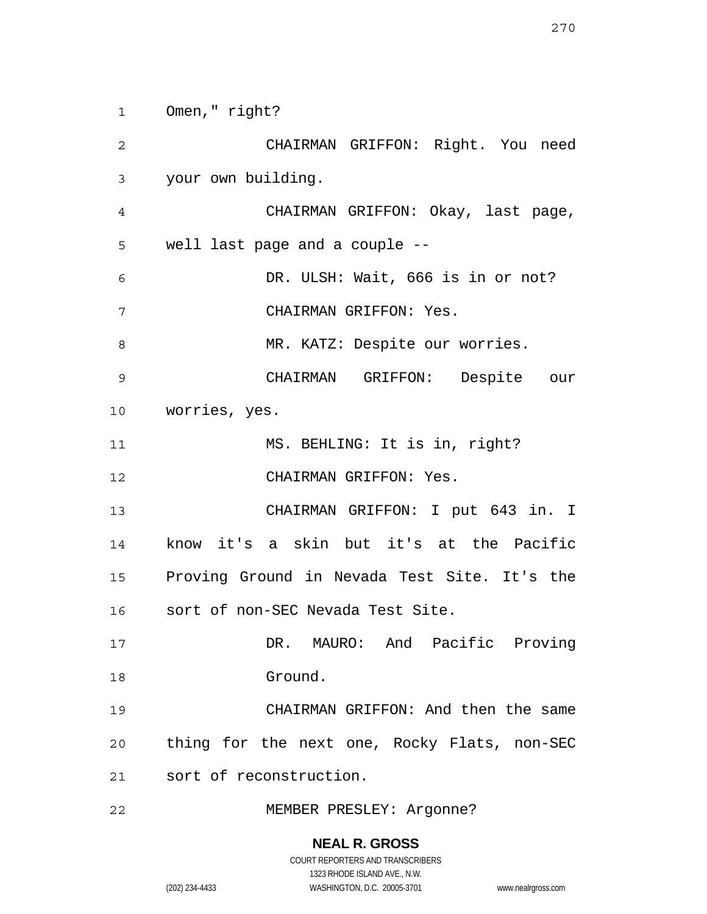Omen," right? CHAIRMAN GRIFFON: Right. You need your own building. CHAIRMAN GRIFFON: Okay, last page, well last page and a couple -- DR. ULSH: Wait, 666 is in or not? CHAIRMAN GRIFFON: Yes. 8 MR. KATZ: Despite our worries. CHAIRMAN GRIFFON: Despite our worries, yes. 11 MS. BEHLING: It is in, right? CHAIRMAN GRIFFON: Yes. CHAIRMAN GRIFFON: I put 643 in. I know it's a skin but it's at the Pacific Proving Ground in Nevada Test Site. It's the sort of non-SEC Nevada Test Site. DR. MAURO: And Pacific Proving Ground. CHAIRMAN GRIFFON: And then the same thing for the next one, Rocky Flats, non-SEC sort of reconstruction. MEMBER PRESLEY: Argonne?

**NEAL R. GROSS**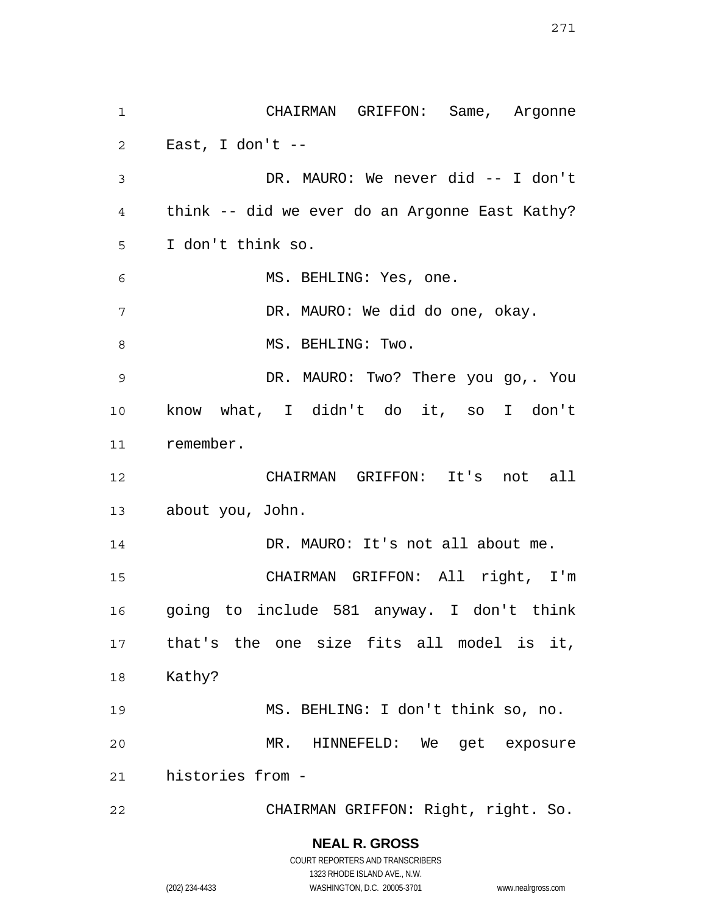CHAIRMAN GRIFFON: Same, Argonne East, I don't -- DR. MAURO: We never did -- I don't think -- did we ever do an Argonne East Kathy? I don't think so. MS. BEHLING: Yes, one. DR. MAURO: We did do one, okay. 8 MS. BEHLING: Two. DR. MAURO: Two? There you go,. You know what, I didn't do it, so I don't remember. CHAIRMAN GRIFFON: It's not all about you, John. DR. MAURO: It's not all about me. CHAIRMAN GRIFFON: All right, I'm going to include 581 anyway. I don't think that's the one size fits all model is it, Kathy? MS. BEHLING: I don't think so, no. MR. HINNEFELD: We get exposure histories from - CHAIRMAN GRIFFON: Right, right. So.

**NEAL R. GROSS** 

COURT REPORTERS AND TRANSCRIBERS 1323 RHODE ISLAND AVE., N.W. (202) 234-4433 WASHINGTON, D.C. 20005-3701 www.nealrgross.com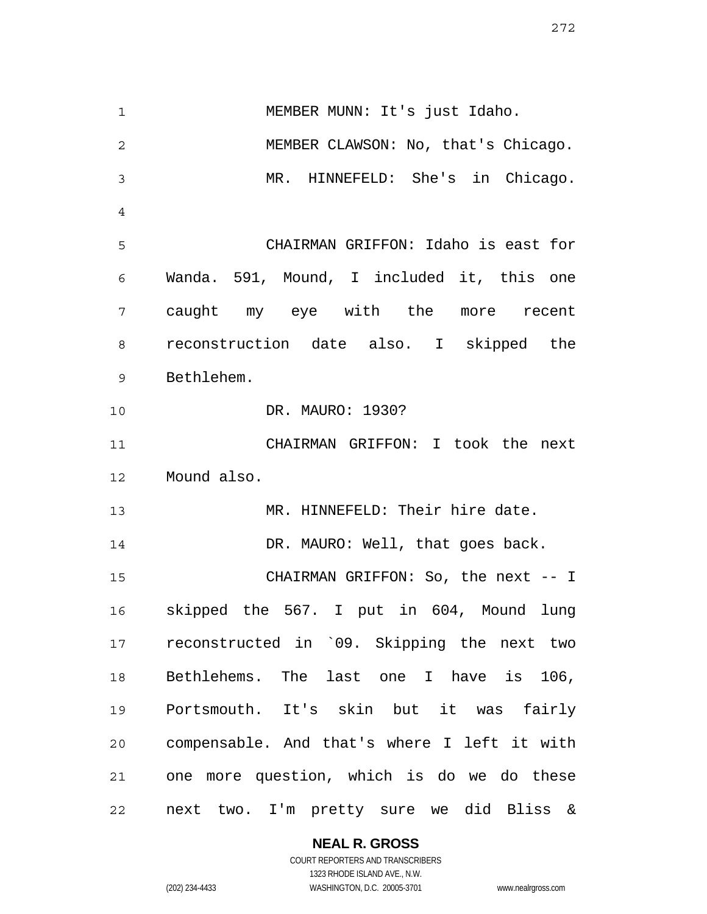MEMBER MUNN: It's just Idaho. MEMBER CLAWSON: No, that's Chicago. MR. HINNEFELD: She's in Chicago. CHAIRMAN GRIFFON: Idaho is east for Wanda. 591, Mound, I included it, this one caught my eye with the more recent reconstruction date also. I skipped the Bethlehem. DR. MAURO: 1930? CHAIRMAN GRIFFON: I took the next Mound also. 13 MR. HINNEFELD: Their hire date. 14 DR. MAURO: Well, that goes back. CHAIRMAN GRIFFON: So, the next -- I skipped the 567. I put in 604, Mound lung reconstructed in `09. Skipping the next two Bethlehems. The last one I have is 106, Portsmouth. It's skin but it was fairly compensable. And that's where I left it with one more question, which is do we do these next two. I'm pretty sure we did Bliss &

**NEAL R. GROSS** 

COURT REPORTERS AND TRANSCRIBERS 1323 RHODE ISLAND AVE., N.W. (202) 234-4433 WASHINGTON, D.C. 20005-3701 www.nealrgross.com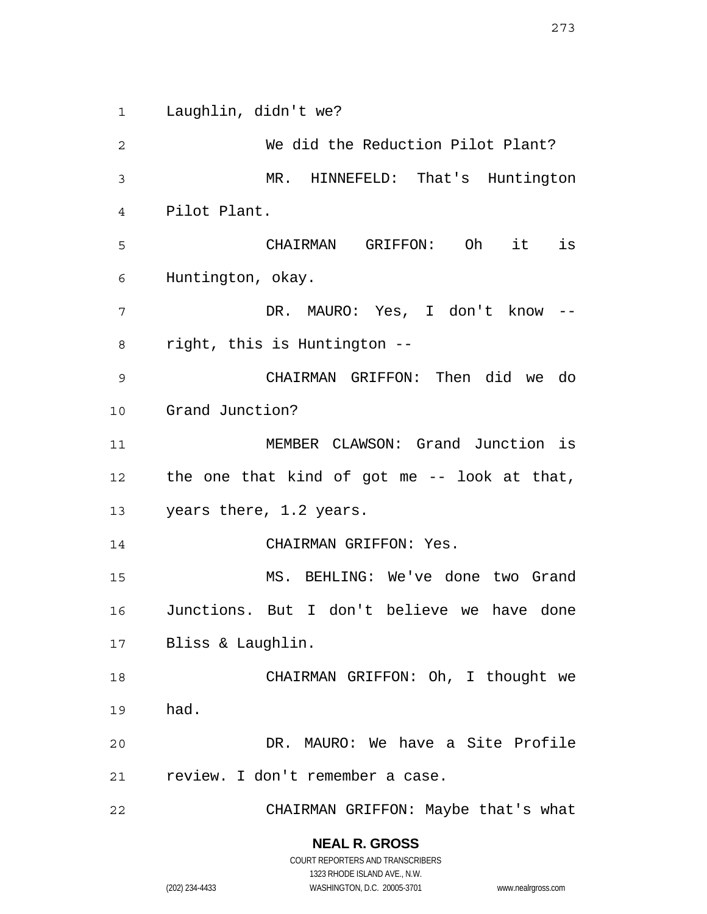Laughlin, didn't we?

We did the Reduction Pilot Plant? MR. HINNEFELD: That's Huntington Pilot Plant. CHAIRMAN GRIFFON: Oh it is Huntington, okay. DR. MAURO: Yes, I don't know -- right, this is Huntington -- CHAIRMAN GRIFFON: Then did we do Grand Junction? MEMBER CLAWSON: Grand Junction is the one that kind of got me -- look at that, years there, 1.2 years. CHAIRMAN GRIFFON: Yes. MS. BEHLING: We've done two Grand Junctions. But I don't believe we have done Bliss & Laughlin. CHAIRMAN GRIFFON: Oh, I thought we had. DR. MAURO: We have a Site Profile review. I don't remember a case. CHAIRMAN GRIFFON: Maybe that's what

COURT REPORTERS AND TRANSCRIBERS 1323 RHODE ISLAND AVE., N.W. (202) 234-4433 WASHINGTON, D.C. 20005-3701 www.nealrgross.com

**NEAL R. GROSS**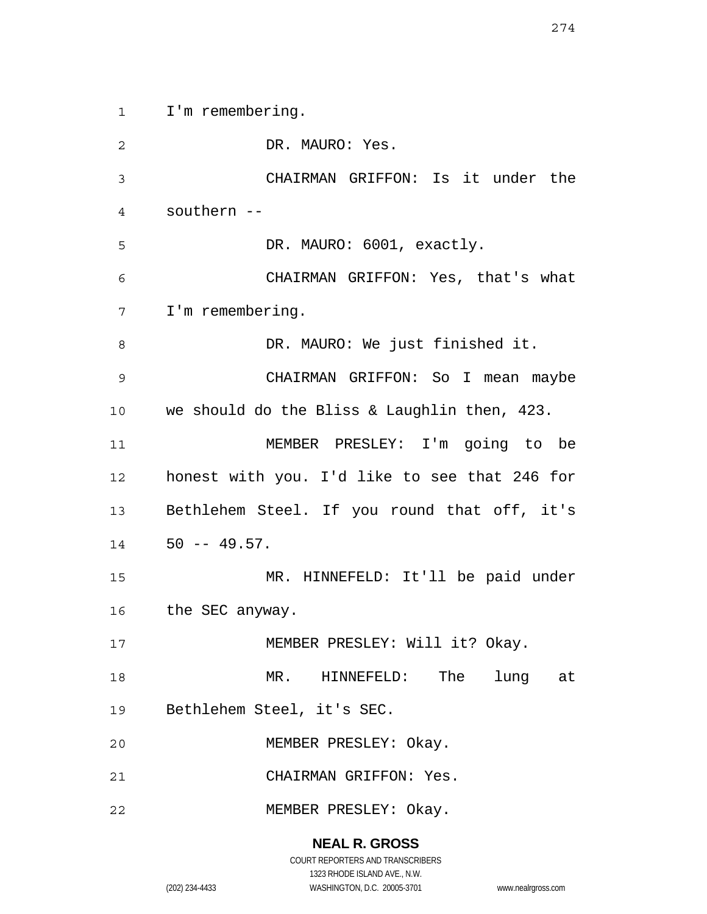1 I'm remembering.

DR. MAURO: Yes. CHAIRMAN GRIFFON: Is it under the southern -- DR. MAURO: 6001, exactly. CHAIRMAN GRIFFON: Yes, that's what I'm remembering. 8 DR. MAURO: We just finished it. CHAIRMAN GRIFFON: So I mean maybe we should do the Bliss & Laughlin then, 423. MEMBER PRESLEY: I'm going to be honest with you. I'd like to see that 246 for Bethlehem Steel. If you round that off, it's 50 -- 49.57. MR. HINNEFELD: It'll be paid under the SEC anyway. 17 MEMBER PRESLEY: Will it? Okay. MR. HINNEFELD: The lung at Bethlehem Steel, it's SEC. MEMBER PRESLEY: Okay. CHAIRMAN GRIFFON: Yes. MEMBER PRESLEY: Okay.

**NEAL R. GROSS**  COURT REPORTERS AND TRANSCRIBERS 1323 RHODE ISLAND AVE., N.W.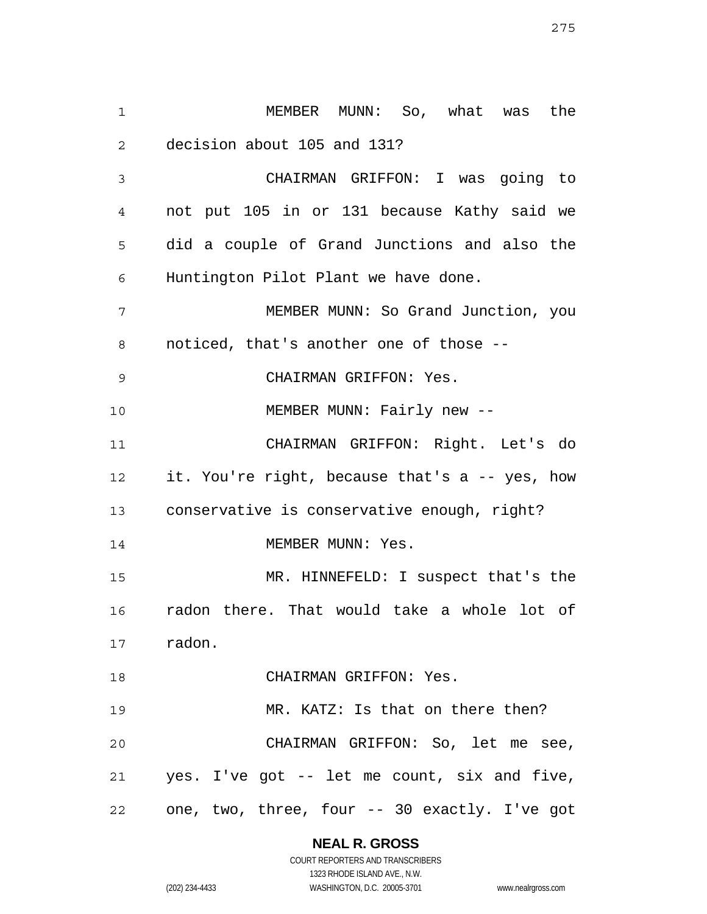MEMBER MUNN: So, what was the decision about 105 and 131? CHAIRMAN GRIFFON: I was going to not put 105 in or 131 because Kathy said we did a couple of Grand Junctions and also the Huntington Pilot Plant we have done. MEMBER MUNN: So Grand Junction, you noticed, that's another one of those -- CHAIRMAN GRIFFON: Yes. MEMBER MUNN: Fairly new -- CHAIRMAN GRIFFON: Right. Let's do it. You're right, because that's a -- yes, how conservative is conservative enough, right? 14 MEMBER MUNN: Yes. MR. HINNEFELD: I suspect that's the radon there. That would take a whole lot of radon. CHAIRMAN GRIFFON: Yes. MR. KATZ: Is that on there then? CHAIRMAN GRIFFON: So, let me see, yes. I've got -- let me count, six and five, one, two, three, four -- 30 exactly. I've got

> **NEAL R. GROSS**  COURT REPORTERS AND TRANSCRIBERS

1323 RHODE ISLAND AVE., N.W. (202) 234-4433 WASHINGTON, D.C. 20005-3701 www.nealrgross.com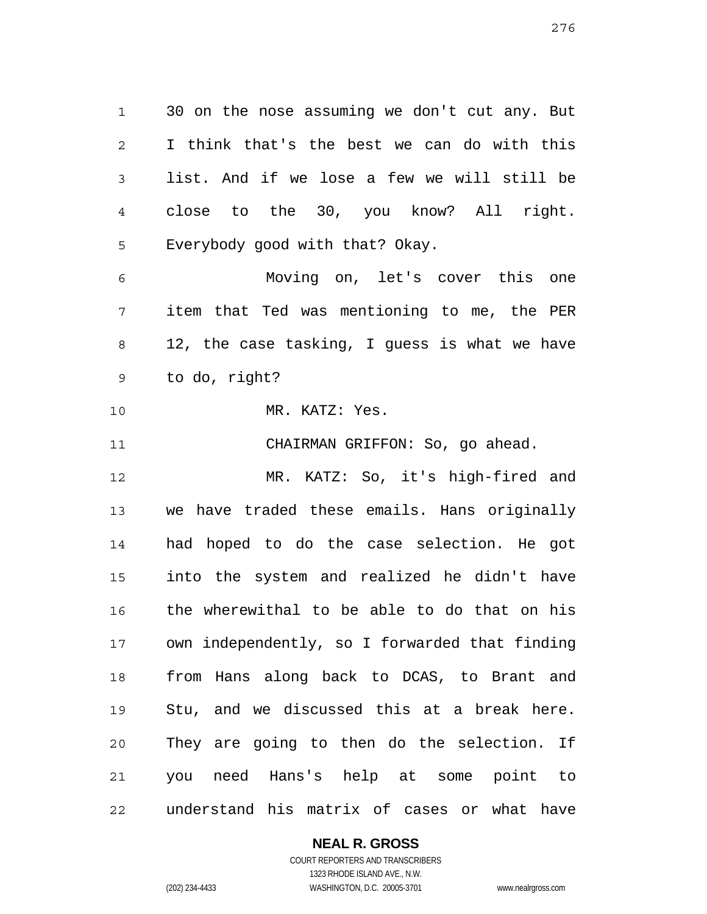30 on the nose assuming we don't cut any. But I think that's the best we can do with this list. And if we lose a few we will still be close to the 30, you know? All right. Everybody good with that? Okay.

Moving on, let's cover this one item that Ted was mentioning to me, the PER 12, the case tasking, I guess is what we have to do, right?

MR. KATZ: Yes.

CHAIRMAN GRIFFON: So, go ahead.

MR. KATZ: So, it's high-fired and we have traded these emails. Hans originally had hoped to do the case selection. He got into the system and realized he didn't have the wherewithal to be able to do that on his own independently, so I forwarded that finding from Hans along back to DCAS, to Brant and Stu, and we discussed this at a break here. They are going to then do the selection. If you need Hans's help at some point to understand his matrix of cases or what have

### **NEAL R. GROSS**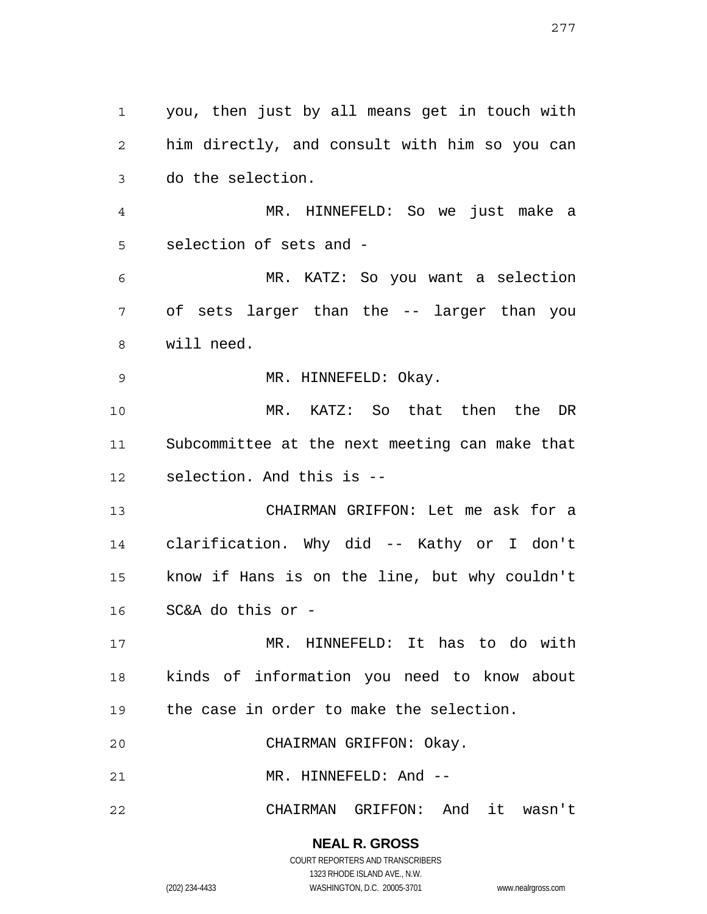you, then just by all means get in touch with him directly, and consult with him so you can do the selection. MR. HINNEFELD: So we just make a selection of sets and - MR. KATZ: So you want a selection of sets larger than the -- larger than you will need. MR. HINNEFELD: Okay. MR. KATZ: So that then the DR Subcommittee at the next meeting can make that selection. And this is -- CHAIRMAN GRIFFON: Let me ask for a clarification. Why did -- Kathy or I don't know if Hans is on the line, but why couldn't SC&A do this or - MR. HINNEFELD: It has to do with kinds of information you need to know about the case in order to make the selection. CHAIRMAN GRIFFON: Okay. MR. HINNEFELD: And -- CHAIRMAN GRIFFON: And it wasn't

> **NEAL R. GROSS**  COURT REPORTERS AND TRANSCRIBERS

> > 1323 RHODE ISLAND AVE., N.W.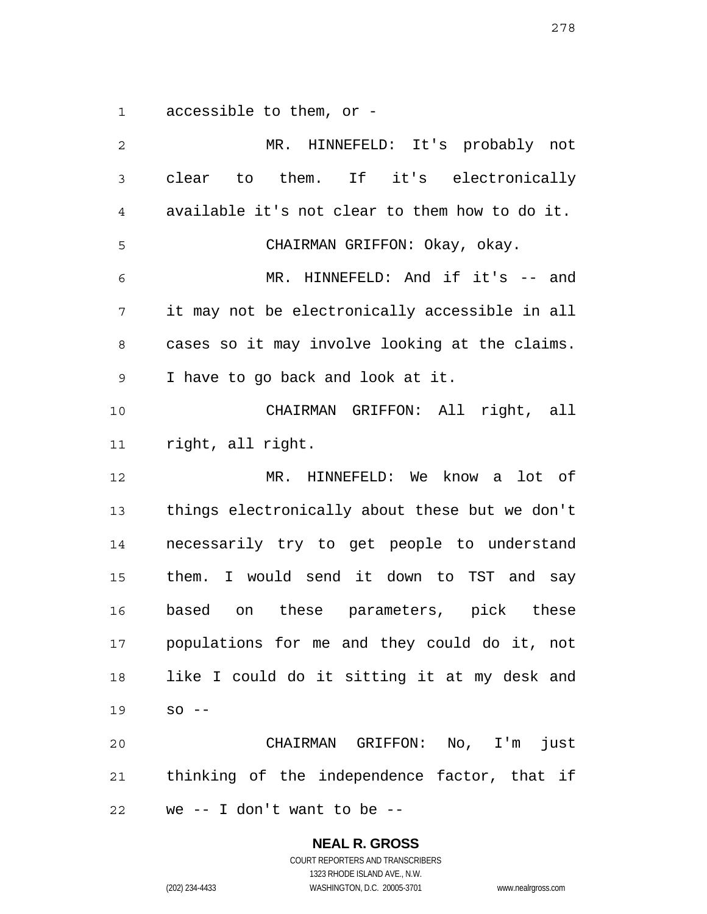accessible to them, or -

MR. HINNEFELD: It's probably not clear to them. If it's electronically available it's not clear to them how to do it. CHAIRMAN GRIFFON: Okay, okay. MR. HINNEFELD: And if it's -- and it may not be electronically accessible in all cases so it may involve looking at the claims. I have to go back and look at it. CHAIRMAN GRIFFON: All right, all right, all right. MR. HINNEFELD: We know a lot of things electronically about these but we don't necessarily try to get people to understand them. I would send it down to TST and say based on these parameters, pick these populations for me and they could do it, not like I could do it sitting it at my desk and so -- CHAIRMAN GRIFFON: No, I'm just thinking of the independence factor, that if 22 we  $-$  I don't want to be  $-$ 

> **NEAL R. GROSS**  COURT REPORTERS AND TRANSCRIBERS 1323 RHODE ISLAND AVE., N.W. (202) 234-4433 WASHINGTON, D.C. 20005-3701 www.nealrgross.com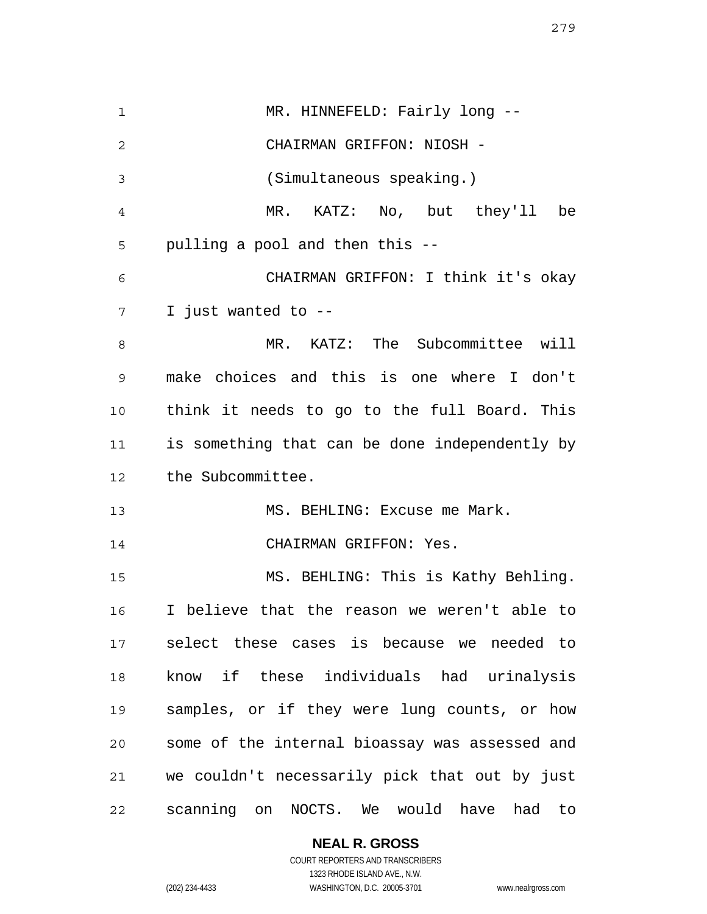1 MR. HINNEFELD: Fairly long --CHAIRMAN GRIFFON: NIOSH - (Simultaneous speaking.) MR. KATZ: No, but they'll be pulling a pool and then this -- CHAIRMAN GRIFFON: I think it's okay I just wanted to -- MR. KATZ: The Subcommittee will make choices and this is one where I don't think it needs to go to the full Board. This is something that can be done independently by the Subcommittee. 13 MS. BEHLING: Excuse me Mark. 14 CHAIRMAN GRIFFON: Yes. MS. BEHLING: This is Kathy Behling. I believe that the reason we weren't able to select these cases is because we needed to know if these individuals had urinalysis samples, or if they were lung counts, or how some of the internal bioassay was assessed and we couldn't necessarily pick that out by just scanning on NOCTS. We would have had to

> **NEAL R. GROSS**  COURT REPORTERS AND TRANSCRIBERS

> > 1323 RHODE ISLAND AVE., N.W.

(202) 234-4433 WASHINGTON, D.C. 20005-3701 www.nealrgross.com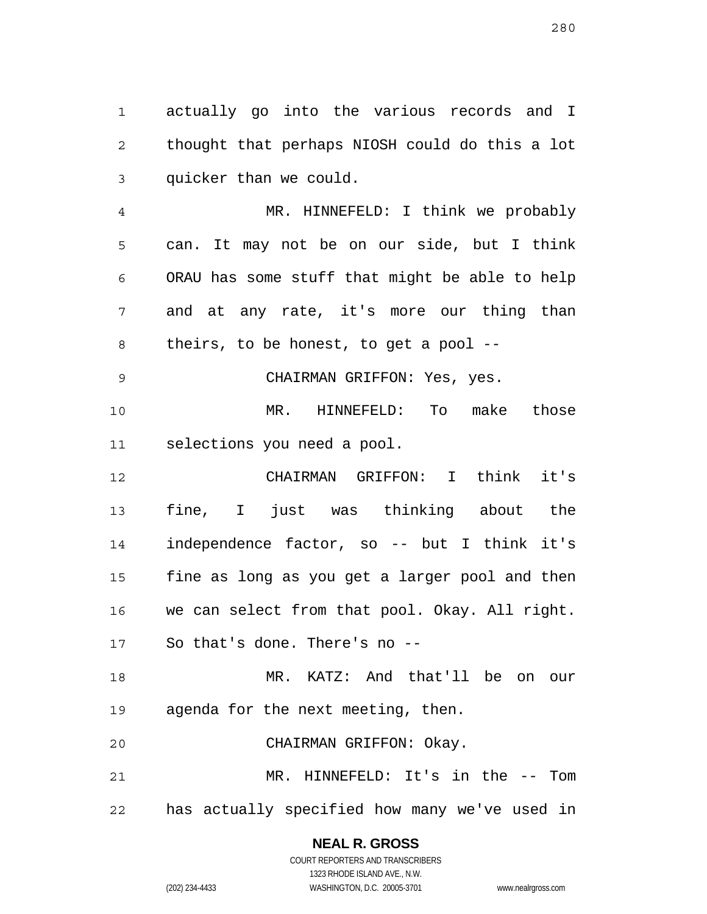actually go into the various records and I thought that perhaps NIOSH could do this a lot quicker than we could.

MR. HINNEFELD: I think we probably can. It may not be on our side, but I think ORAU has some stuff that might be able to help and at any rate, it's more our thing than theirs, to be honest, to get a pool --

CHAIRMAN GRIFFON: Yes, yes.

MR. HINNEFELD: To make those selections you need a pool.

CHAIRMAN GRIFFON: I think it's fine, I just was thinking about the independence factor, so -- but I think it's fine as long as you get a larger pool and then we can select from that pool. Okay. All right. So that's done. There's no --

MR. KATZ: And that'll be on our agenda for the next meeting, then.

CHAIRMAN GRIFFON: Okay.

MR. HINNEFELD: It's in the -- Tom has actually specified how many we've used in

# **NEAL R. GROSS**

COURT REPORTERS AND TRANSCRIBERS 1323 RHODE ISLAND AVE., N.W. (202) 234-4433 WASHINGTON, D.C. 20005-3701 www.nealrgross.com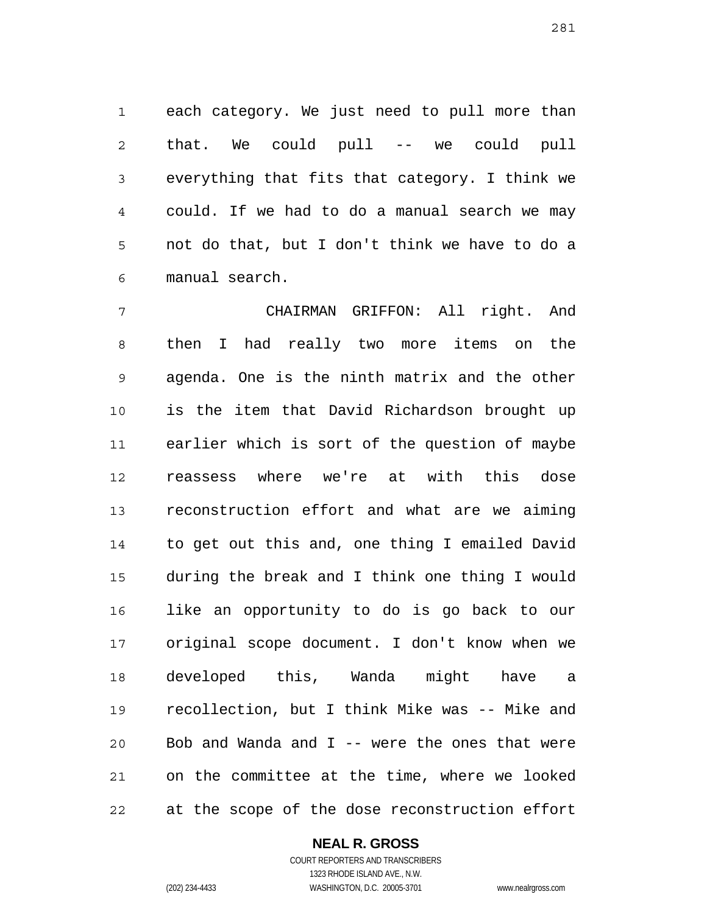each category. We just need to pull more than that. We could pull -- we could pull everything that fits that category. I think we could. If we had to do a manual search we may not do that, but I don't think we have to do a manual search.

CHAIRMAN GRIFFON: All right. And then I had really two more items on the agenda. One is the ninth matrix and the other is the item that David Richardson brought up earlier which is sort of the question of maybe reassess where we're at with this dose reconstruction effort and what are we aiming to get out this and, one thing I emailed David during the break and I think one thing I would like an opportunity to do is go back to our original scope document. I don't know when we developed this, Wanda might have a recollection, but I think Mike was -- Mike and Bob and Wanda and I -- were the ones that were on the committee at the time, where we looked at the scope of the dose reconstruction effort

### **NEAL R. GROSS**

COURT REPORTERS AND TRANSCRIBERS 1323 RHODE ISLAND AVE., N.W. (202) 234-4433 WASHINGTON, D.C. 20005-3701 www.nealrgross.com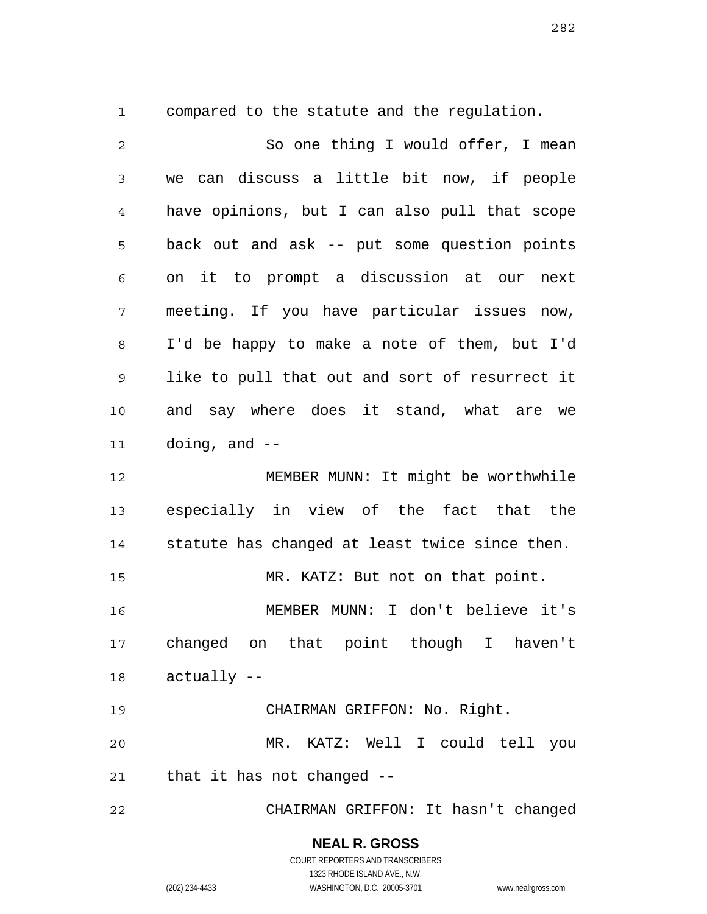compared to the statute and the regulation.

So one thing I would offer, I mean we can discuss a little bit now, if people have opinions, but I can also pull that scope back out and ask -- put some question points on it to prompt a discussion at our next meeting. If you have particular issues now, I'd be happy to make a note of them, but I'd like to pull that out and sort of resurrect it and say where does it stand, what are we doing, and -- MEMBER MUNN: It might be worthwhile especially in view of the fact that the statute has changed at least twice since then. 15 MR. KATZ: But not on that point. MEMBER MUNN: I don't believe it's changed on that point though I haven't actually -- CHAIRMAN GRIFFON: No. Right. MR. KATZ: Well I could tell you that it has not changed -- CHAIRMAN GRIFFON: It hasn't changed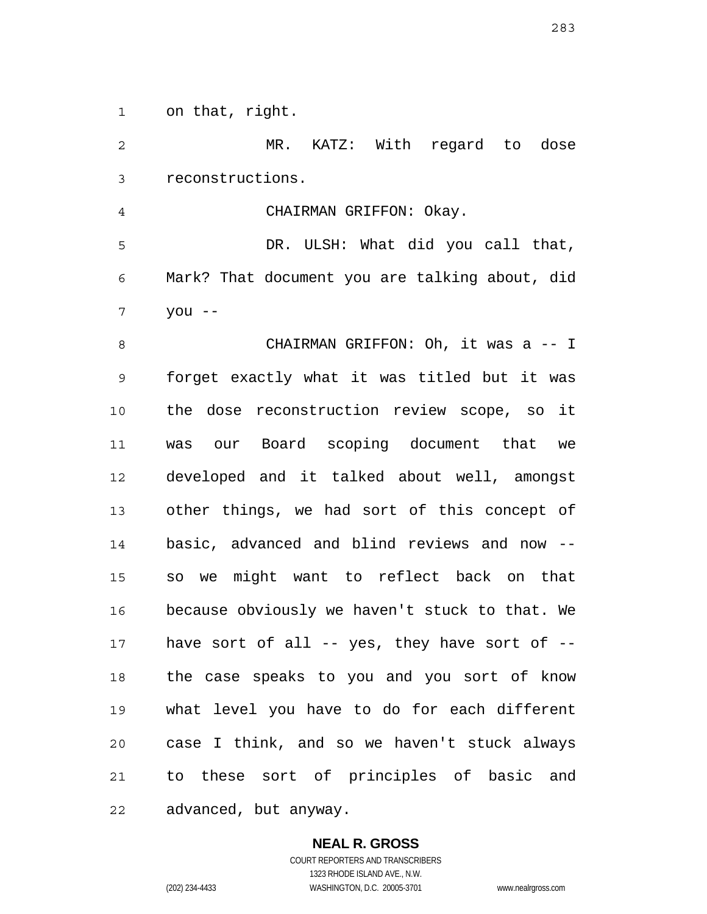on that, right.

MR. KATZ: With regard to dose reconstructions.

CHAIRMAN GRIFFON: Okay.

DR. ULSH: What did you call that, Mark? That document you are talking about, did you  $-$ 

8 CHAIRMAN GRIFFON: Oh, it was a -- I forget exactly what it was titled but it was the dose reconstruction review scope, so it was our Board scoping document that we developed and it talked about well, amongst other things, we had sort of this concept of basic, advanced and blind reviews and now -- so we might want to reflect back on that because obviously we haven't stuck to that. We have sort of all -- yes, they have sort of -- the case speaks to you and you sort of know what level you have to do for each different case I think, and so we haven't stuck always to these sort of principles of basic and advanced, but anyway.

# **NEAL R. GROSS**

COURT REPORTERS AND TRANSCRIBERS 1323 RHODE ISLAND AVE., N.W. (202) 234-4433 WASHINGTON, D.C. 20005-3701 www.nealrgross.com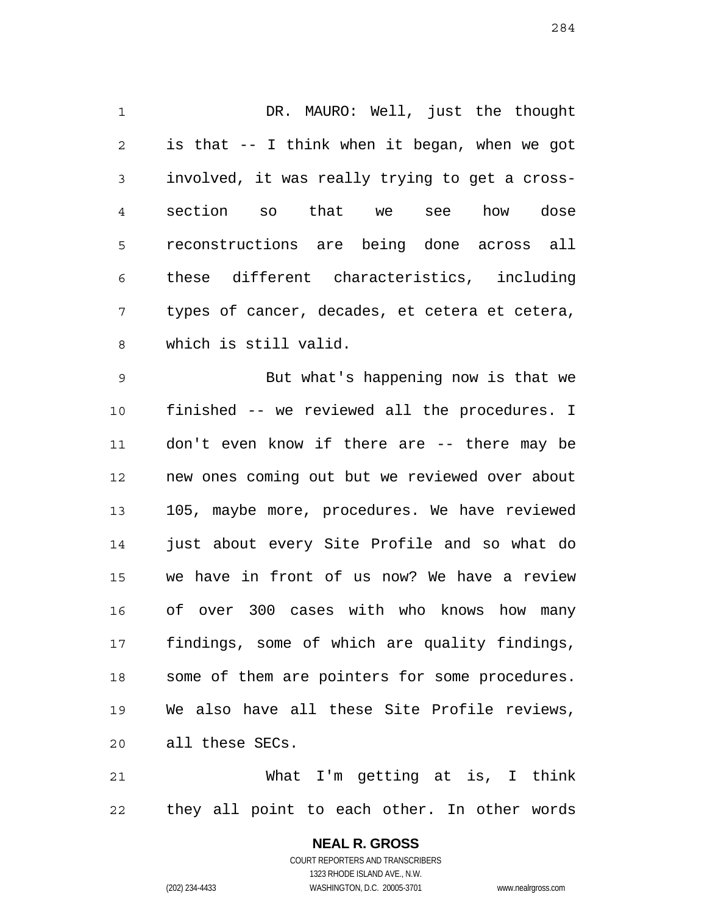DR. MAURO: Well, just the thought is that -- I think when it began, when we got involved, it was really trying to get a cross-section so that we see how dose reconstructions are being done across all these different characteristics, including types of cancer, decades, et cetera et cetera, which is still valid.

But what's happening now is that we finished -- we reviewed all the procedures. I don't even know if there are -- there may be new ones coming out but we reviewed over about 105, maybe more, procedures. We have reviewed just about every Site Profile and so what do we have in front of us now? We have a review of over 300 cases with who knows how many findings, some of which are quality findings, some of them are pointers for some procedures. We also have all these Site Profile reviews, all these SECs.

What I'm getting at is, I think they all point to each other. In other words

> **NEAL R. GROSS**  COURT REPORTERS AND TRANSCRIBERS 1323 RHODE ISLAND AVE., N.W. (202) 234-4433 WASHINGTON, D.C. 20005-3701 www.nealrgross.com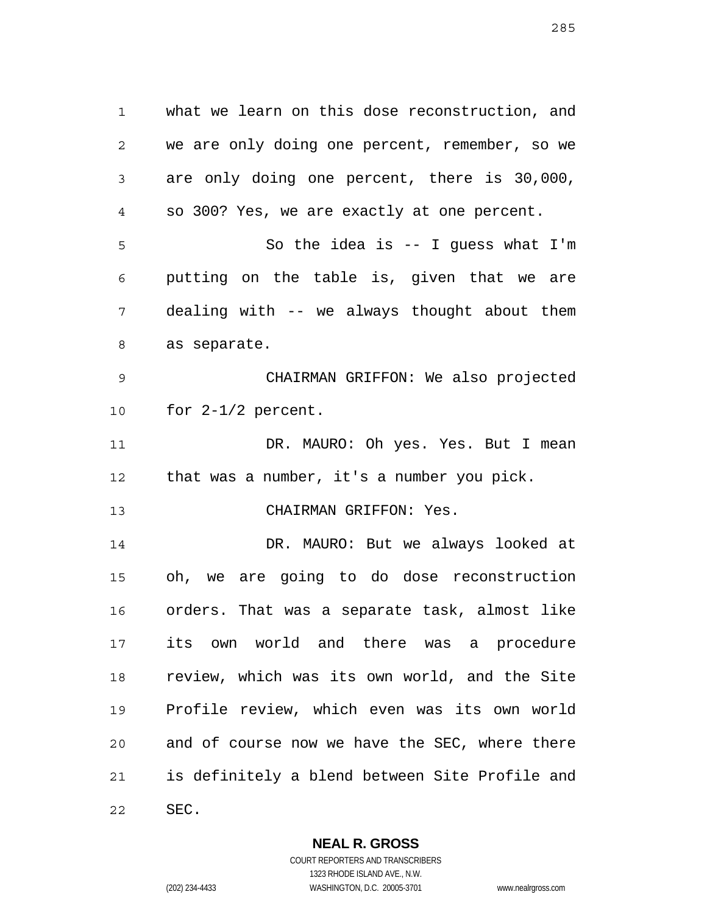what we learn on this dose reconstruction, and we are only doing one percent, remember, so we are only doing one percent, there is 30,000, so 300? Yes, we are exactly at one percent. So the idea is -- I guess what I'm putting on the table is, given that we are dealing with -- we always thought about them as separate. CHAIRMAN GRIFFON: We also projected for 2-1/2 percent. 11 DR. MAURO: Oh yes. Yes. But I mean that was a number, it's a number you pick. CHAIRMAN GRIFFON: Yes. DR. MAURO: But we always looked at oh, we are going to do dose reconstruction orders. That was a separate task, almost like its own world and there was a procedure review, which was its own world, and the Site Profile review, which even was its own world and of course now we have the SEC, where there is definitely a blend between Site Profile and SEC.

> **NEAL R. GROSS**  COURT REPORTERS AND TRANSCRIBERS

1323 RHODE ISLAND AVE., N.W. (202) 234-4433 WASHINGTON, D.C. 20005-3701 www.nealrgross.com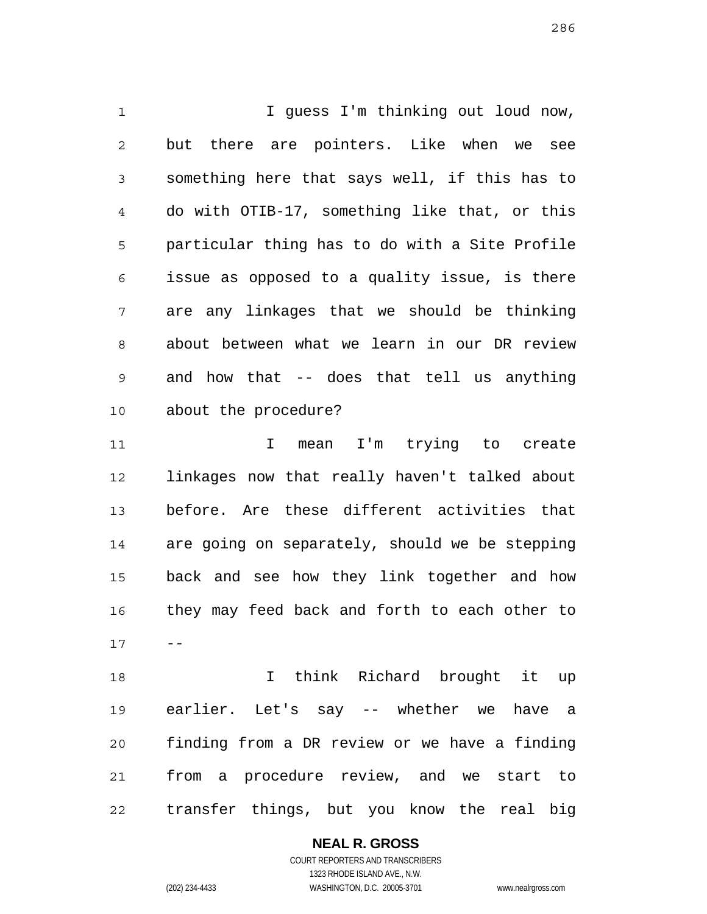1 1 I guess I'm thinking out loud now, but there are pointers. Like when we see something here that says well, if this has to do with OTIB-17, something like that, or this particular thing has to do with a Site Profile issue as opposed to a quality issue, is there are any linkages that we should be thinking about between what we learn in our DR review and how that -- does that tell us anything about the procedure?

11 11 I mean I'm trying to create linkages now that really haven't talked about before. Are these different activities that are going on separately, should we be stepping back and see how they link together and how they may feed back and forth to each other to  $17 - -$ 

I think Richard brought it up earlier. Let's say -- whether we have a finding from a DR review or we have a finding from a procedure review, and we start to transfer things, but you know the real big

> **NEAL R. GROSS**  COURT REPORTERS AND TRANSCRIBERS 1323 RHODE ISLAND AVE., N.W. (202) 234-4433 WASHINGTON, D.C. 20005-3701 www.nealrgross.com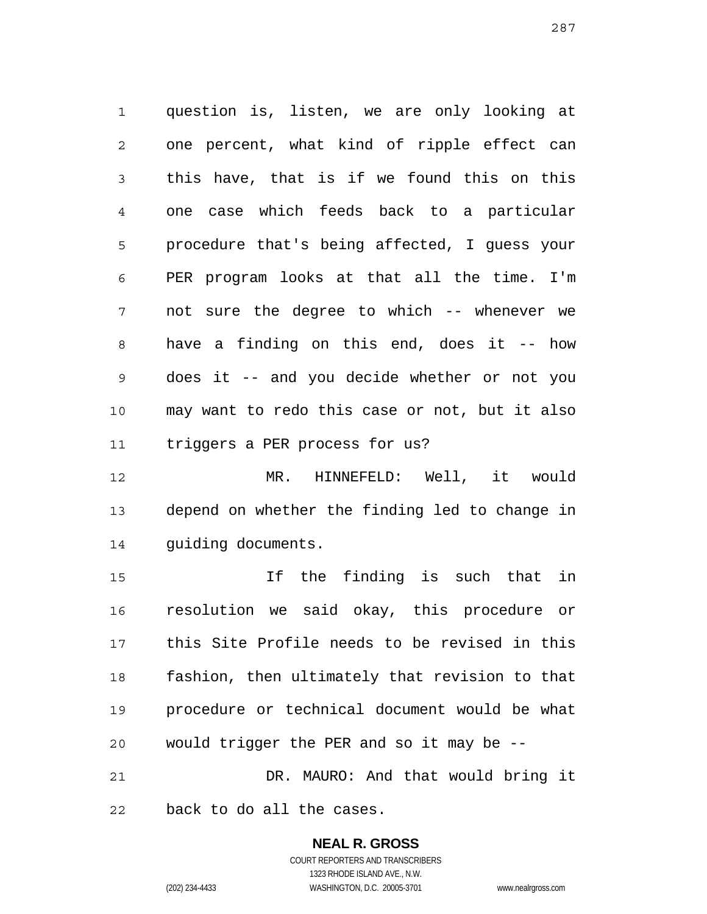question is, listen, we are only looking at one percent, what kind of ripple effect can this have, that is if we found this on this one case which feeds back to a particular procedure that's being affected, I guess your PER program looks at that all the time. I'm not sure the degree to which -- whenever we have a finding on this end, does it -- how does it -- and you decide whether or not you may want to redo this case or not, but it also triggers a PER process for us?

MR. HINNEFELD: Well, it would depend on whether the finding led to change in guiding documents.

If the finding is such that in resolution we said okay, this procedure or this Site Profile needs to be revised in this fashion, then ultimately that revision to that procedure or technical document would be what would trigger the PER and so it may be -- DR. MAURO: And that would bring it

back to do all the cases.

### **NEAL R. GROSS**  COURT REPORTERS AND TRANSCRIBERS 1323 RHODE ISLAND AVE., N.W.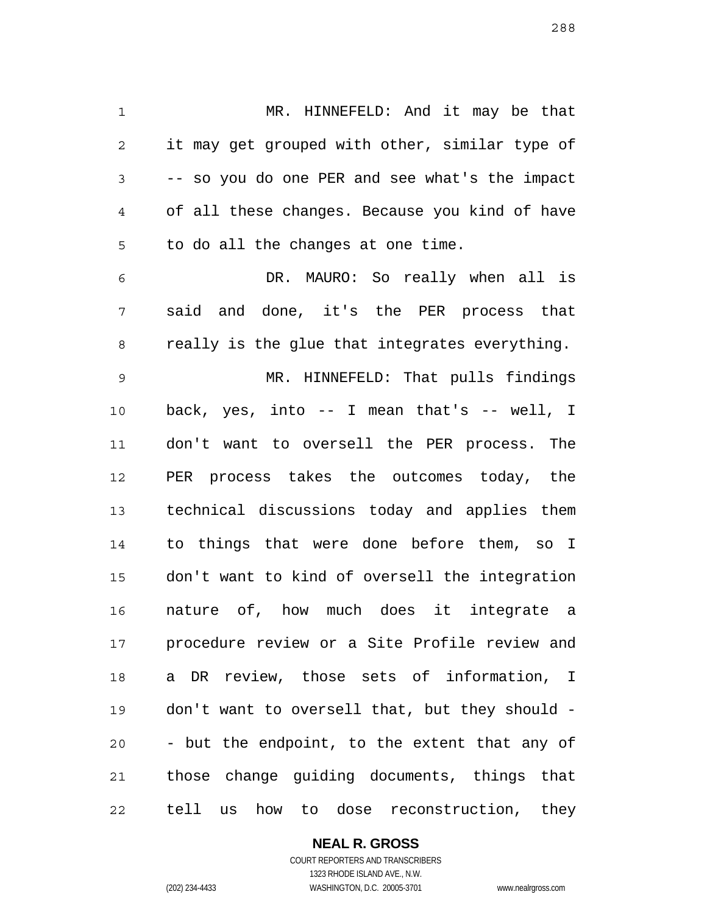MR. HINNEFELD: And it may be that it may get grouped with other, similar type of -- so you do one PER and see what's the impact of all these changes. Because you kind of have to do all the changes at one time. DR. MAURO: So really when all is said and done, it's the PER process that really is the glue that integrates everything.

MR. HINNEFELD: That pulls findings back, yes, into -- I mean that's -- well, I don't want to oversell the PER process. The PER process takes the outcomes today, the technical discussions today and applies them to things that were done before them, so I don't want to kind of oversell the integration nature of, how much does it integrate a procedure review or a Site Profile review and a DR review, those sets of information, I don't want to oversell that, but they should - - but the endpoint, to the extent that any of those change guiding documents, things that tell us how to dose reconstruction, they

### **NEAL R. GROSS**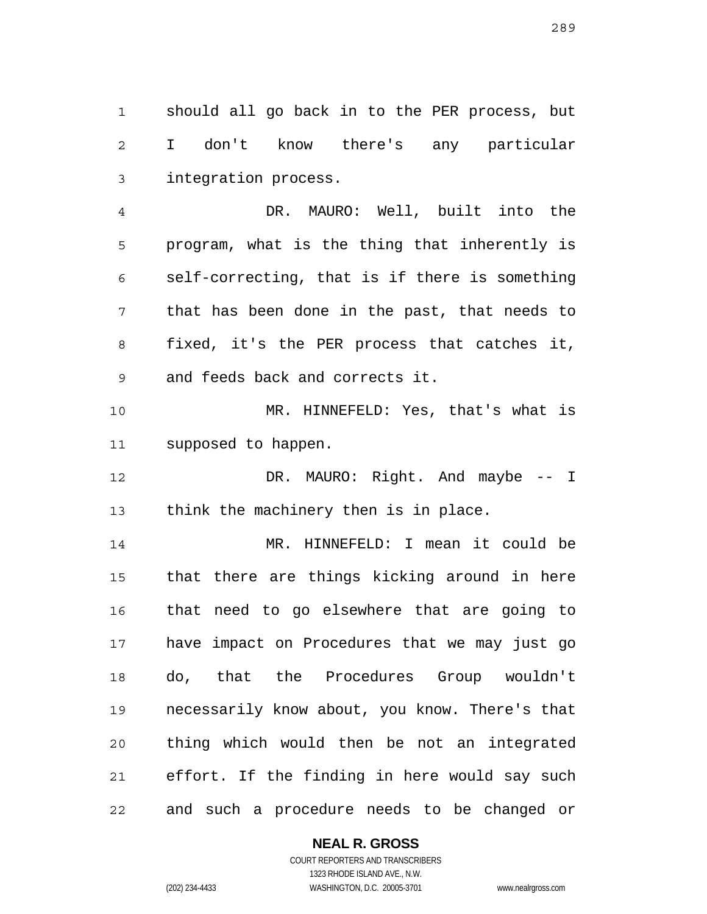should all go back in to the PER process, but I don't know there's any particular integration process.

DR. MAURO: Well, built into the program, what is the thing that inherently is self-correcting, that is if there is something that has been done in the past, that needs to fixed, it's the PER process that catches it, and feeds back and corrects it.

MR. HINNEFELD: Yes, that's what is supposed to happen.

DR. MAURO: Right. And maybe -- I think the machinery then is in place.

MR. HINNEFELD: I mean it could be that there are things kicking around in here that need to go elsewhere that are going to have impact on Procedures that we may just go do, that the Procedures Group wouldn't necessarily know about, you know. There's that thing which would then be not an integrated effort. If the finding in here would say such and such a procedure needs to be changed or

# **NEAL R. GROSS**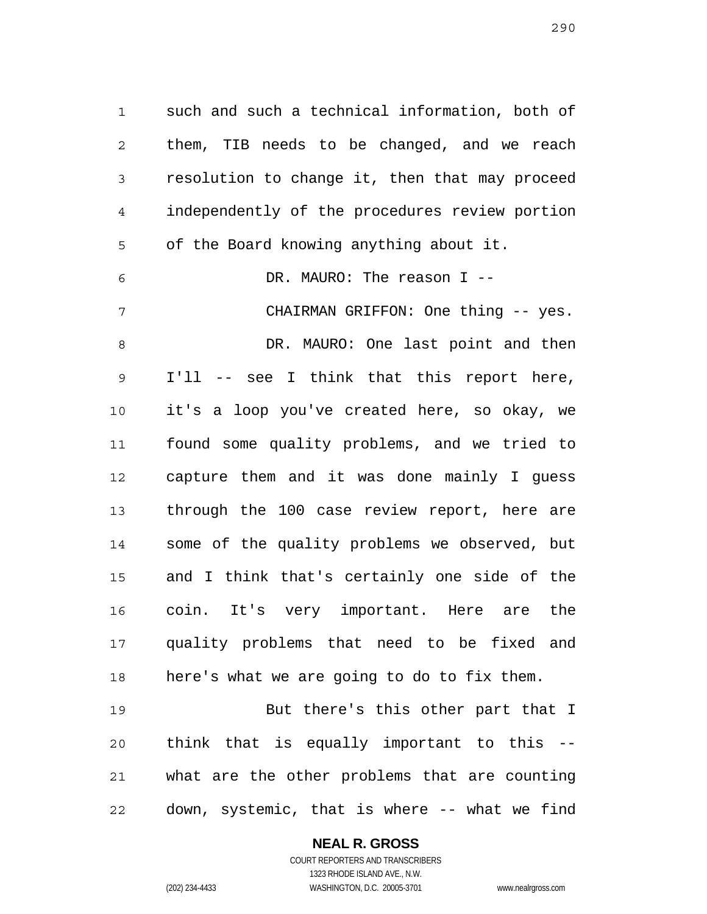such and such a technical information, both of them, TIB needs to be changed, and we reach resolution to change it, then that may proceed independently of the procedures review portion of the Board knowing anything about it.

DR. MAURO: The reason I -- CHAIRMAN GRIFFON: One thing -- yes. DR. MAURO: One last point and then I'll -- see I think that this report here, it's a loop you've created here, so okay, we found some quality problems, and we tried to capture them and it was done mainly I guess through the 100 case review report, here are some of the quality problems we observed, but and I think that's certainly one side of the coin. It's very important. Here are the quality problems that need to be fixed and here's what we are going to do to fix them.

But there's this other part that I think that is equally important to this -- what are the other problems that are counting down, systemic, that is where -- what we find

### **NEAL R. GROSS**  COURT REPORTERS AND TRANSCRIBERS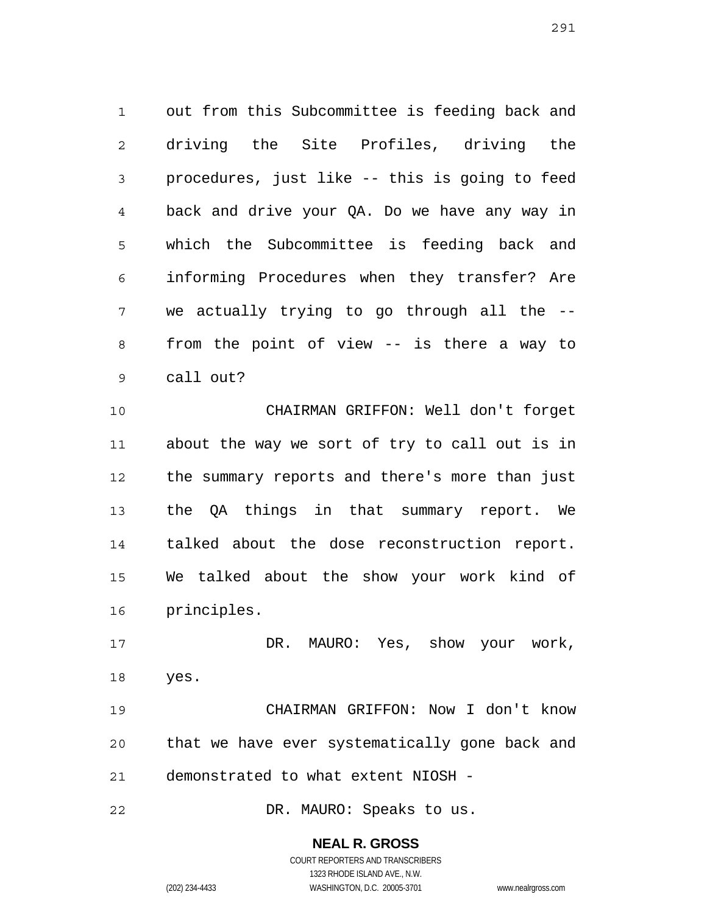out from this Subcommittee is feeding back and driving the Site Profiles, driving the procedures, just like -- this is going to feed back and drive your QA. Do we have any way in which the Subcommittee is feeding back and informing Procedures when they transfer? Are we actually trying to go through all the -- from the point of view -- is there a way to call out?

CHAIRMAN GRIFFON: Well don't forget about the way we sort of try to call out is in the summary reports and there's more than just the QA things in that summary report. We talked about the dose reconstruction report. We talked about the show your work kind of principles.

DR. MAURO: Yes, show your work, yes.

CHAIRMAN GRIFFON: Now I don't know that we have ever systematically gone back and demonstrated to what extent NIOSH -

DR. MAURO: Speaks to us.

# **NEAL R. GROSS**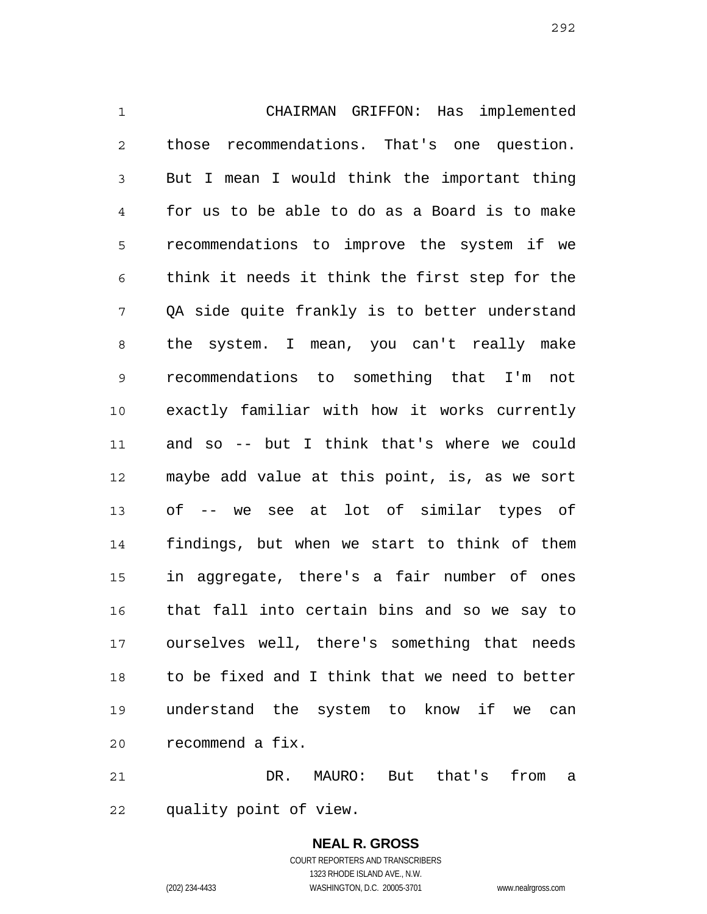CHAIRMAN GRIFFON: Has implemented those recommendations. That's one question. But I mean I would think the important thing for us to be able to do as a Board is to make recommendations to improve the system if we think it needs it think the first step for the QA side quite frankly is to better understand the system. I mean, you can't really make recommendations to something that I'm not exactly familiar with how it works currently and so -- but I think that's where we could maybe add value at this point, is, as we sort of -- we see at lot of similar types of findings, but when we start to think of them in aggregate, there's a fair number of ones that fall into certain bins and so we say to ourselves well, there's something that needs to be fixed and I think that we need to better understand the system to know if we can recommend a fix.

DR. MAURO: But that's from a quality point of view.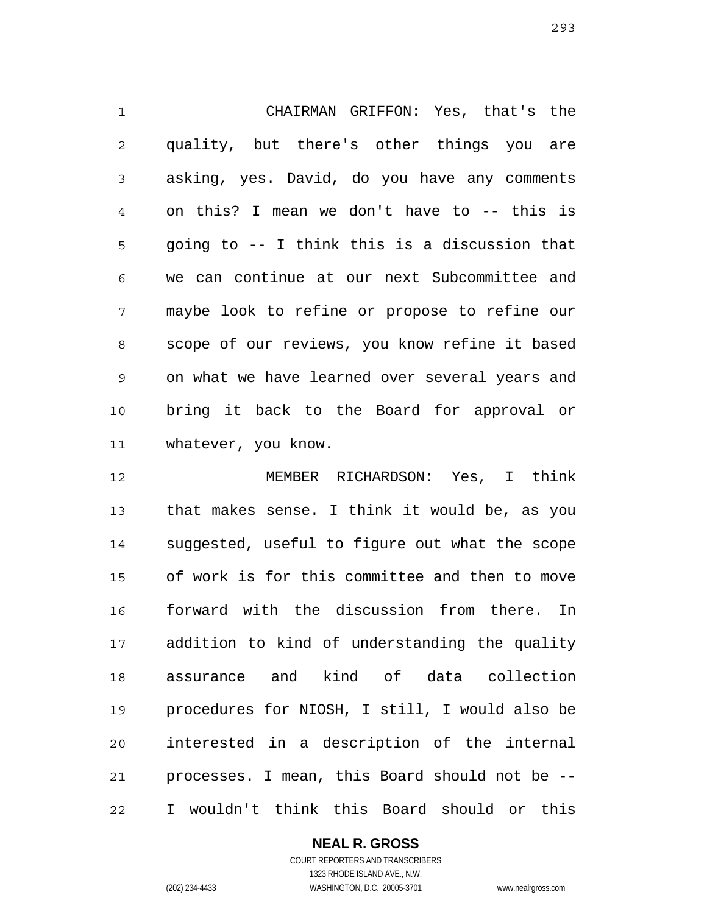CHAIRMAN GRIFFON: Yes, that's the quality, but there's other things you are asking, yes. David, do you have any comments on this? I mean we don't have to -- this is going to -- I think this is a discussion that we can continue at our next Subcommittee and maybe look to refine or propose to refine our scope of our reviews, you know refine it based on what we have learned over several years and bring it back to the Board for approval or whatever, you know.

MEMBER RICHARDSON: Yes, I think that makes sense. I think it would be, as you suggested, useful to figure out what the scope of work is for this committee and then to move forward with the discussion from there. In addition to kind of understanding the quality assurance and kind of data collection procedures for NIOSH, I still, I would also be interested in a description of the internal processes. I mean, this Board should not be -- I wouldn't think this Board should or this

> **NEAL R. GROSS**  COURT REPORTERS AND TRANSCRIBERS 1323 RHODE ISLAND AVE., N.W.

(202) 234-4433 WASHINGTON, D.C. 20005-3701 www.nealrgross.com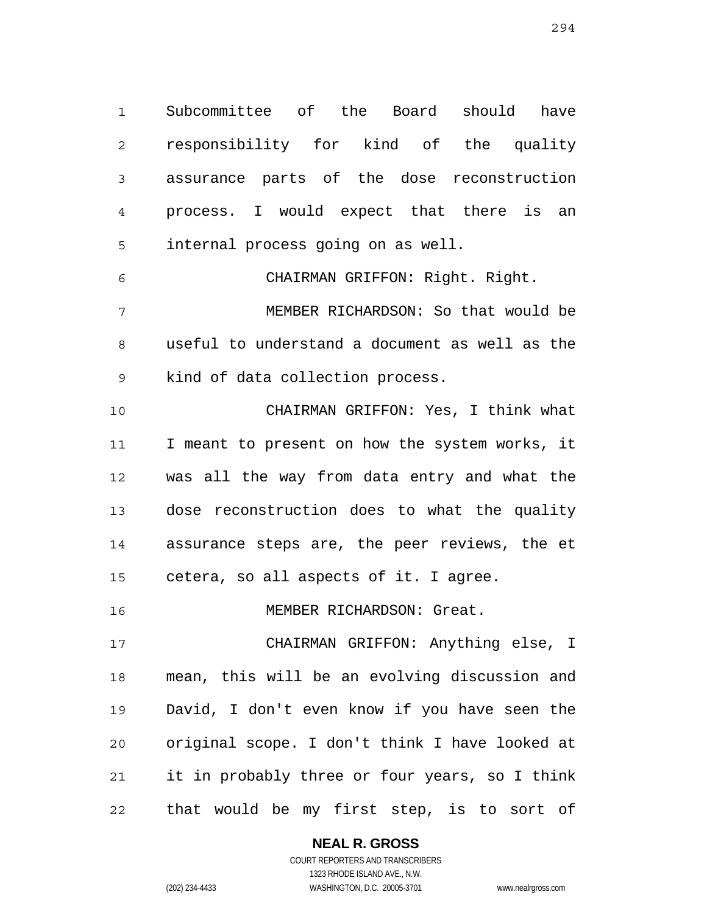Subcommittee of the Board should have responsibility for kind of the quality assurance parts of the dose reconstruction process. I would expect that there is an internal process going on as well.

CHAIRMAN GRIFFON: Right. Right. MEMBER RICHARDSON: So that would be useful to understand a document as well as the kind of data collection process.

CHAIRMAN GRIFFON: Yes, I think what I meant to present on how the system works, it was all the way from data entry and what the dose reconstruction does to what the quality assurance steps are, the peer reviews, the et cetera, so all aspects of it. I agree.

MEMBER RICHARDSON: Great.

CHAIRMAN GRIFFON: Anything else, I mean, this will be an evolving discussion and David, I don't even know if you have seen the original scope. I don't think I have looked at it in probably three or four years, so I think that would be my first step, is to sort of

**NEAL R. GROSS**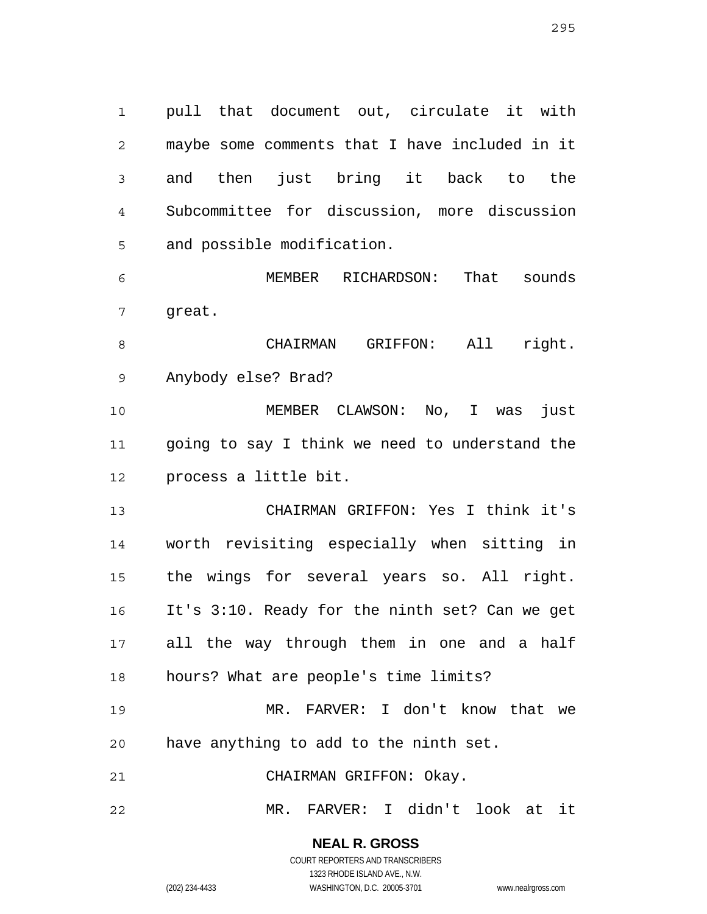pull that document out, circulate it with maybe some comments that I have included in it and then just bring it back to the Subcommittee for discussion, more discussion and possible modification.

MEMBER RICHARDSON: That sounds great.

CHAIRMAN GRIFFON: All right. Anybody else? Brad?

MEMBER CLAWSON: No, I was just going to say I think we need to understand the process a little bit.

CHAIRMAN GRIFFON: Yes I think it's worth revisiting especially when sitting in the wings for several years so. All right. It's 3:10. Ready for the ninth set? Can we get all the way through them in one and a half hours? What are people's time limits?

MR. FARVER: I don't know that we have anything to add to the ninth set.

CHAIRMAN GRIFFON: Okay.

MR. FARVER: I didn't look at it

### **NEAL R. GROSS**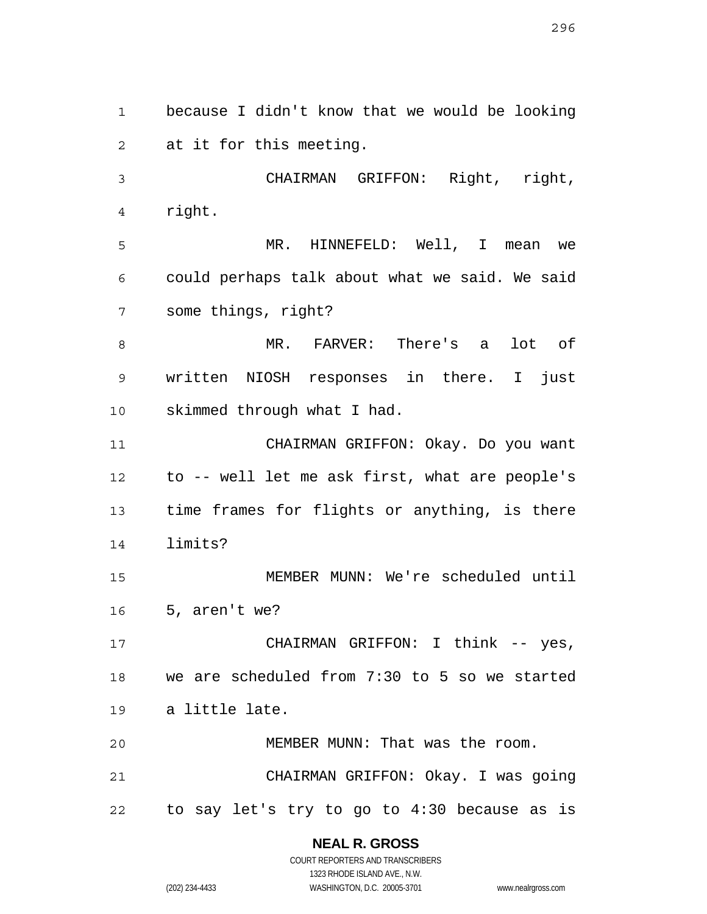because I didn't know that we would be looking at it for this meeting. CHAIRMAN GRIFFON: Right, right, right. MR. HINNEFELD: Well, I mean we could perhaps talk about what we said. We said some things, right? MR. FARVER: There's a lot of written NIOSH responses in there. I just skimmed through what I had. CHAIRMAN GRIFFON: Okay. Do you want to -- well let me ask first, what are people's time frames for flights or anything, is there limits? MEMBER MUNN: We're scheduled until 5, aren't we? 17 CHAIRMAN GRIFFON: I think -- yes, we are scheduled from 7:30 to 5 so we started a little late. MEMBER MUNN: That was the room. CHAIRMAN GRIFFON: Okay. I was going to say let's try to go to 4:30 because as is

**NEAL R. GROSS** 

COURT REPORTERS AND TRANSCRIBERS 1323 RHODE ISLAND AVE., N.W. (202) 234-4433 WASHINGTON, D.C. 20005-3701 www.nealrgross.com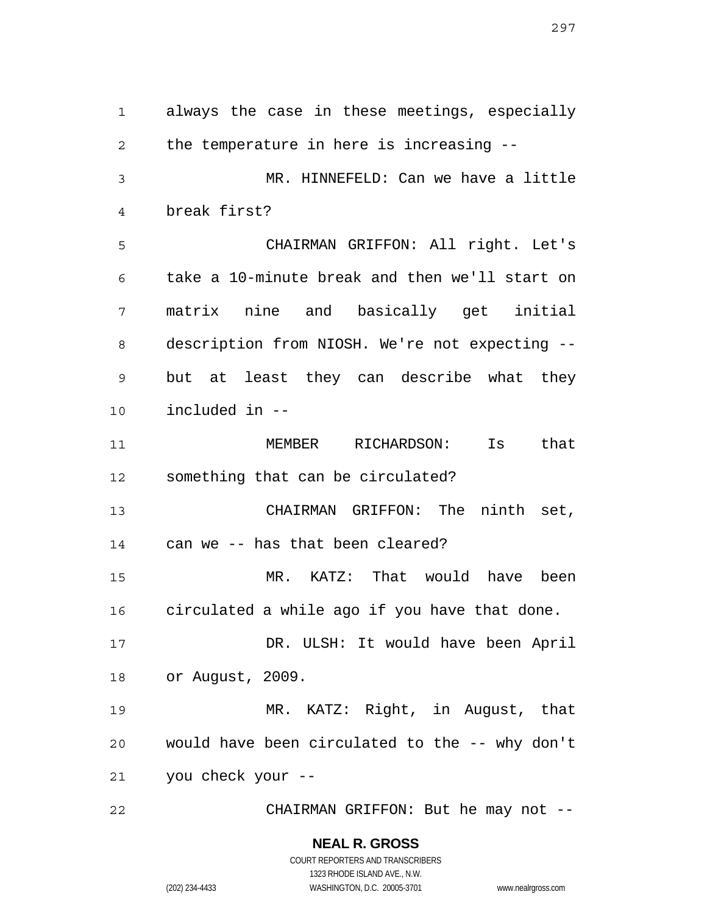always the case in these meetings, especially the temperature in here is increasing -- MR. HINNEFELD: Can we have a little break first? CHAIRMAN GRIFFON: All right. Let's take a 10-minute break and then we'll start on matrix nine and basically get initial description from NIOSH. We're not expecting -- but at least they can describe what they included in -- MEMBER RICHARDSON: Is that something that can be circulated? CHAIRMAN GRIFFON: The ninth set, can we -- has that been cleared? MR. KATZ: That would have been circulated a while ago if you have that done. DR. ULSH: It would have been April or August, 2009. MR. KATZ: Right, in August, that would have been circulated to the -- why don't you check your -- CHAIRMAN GRIFFON: But he may not --

> **NEAL R. GROSS**  COURT REPORTERS AND TRANSCRIBERS

> > 1323 RHODE ISLAND AVE., N.W.

(202) 234-4433 WASHINGTON, D.C. 20005-3701 www.nealrgross.com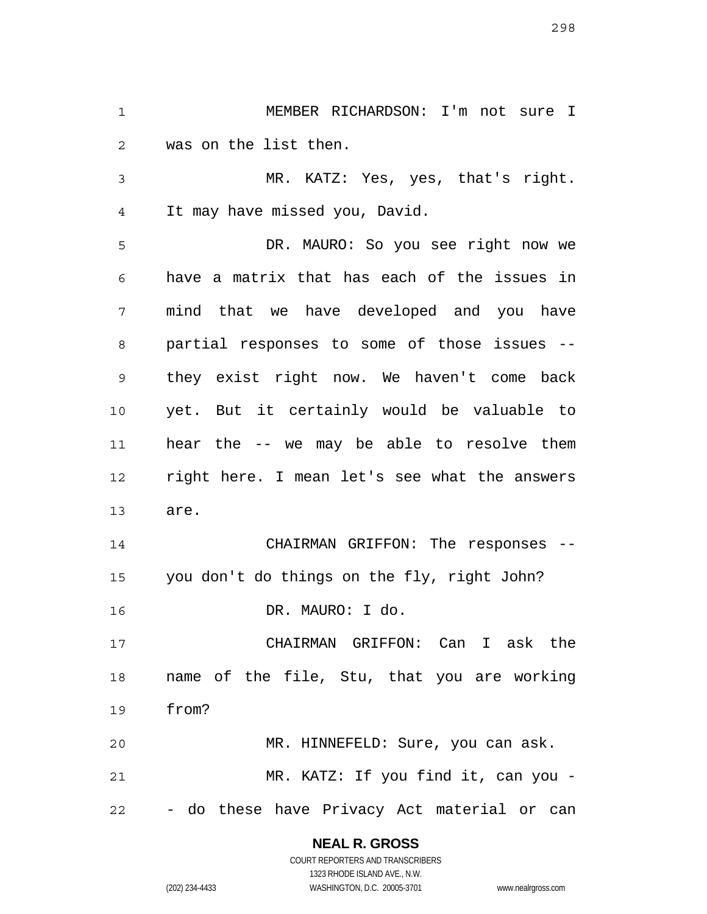was on the list then. MR. KATZ: Yes, yes, that's right. It may have missed you, David. DR. MAURO: So you see right now we have a matrix that has each of the issues in mind that we have developed and you have partial responses to some of those issues -- they exist right now. We haven't come back yet. But it certainly would be valuable to hear the -- we may be able to resolve them right here. I mean let's see what the answers are. CHAIRMAN GRIFFON: The responses -- you don't do things on the fly, right John? DR. MAURO: I do. CHAIRMAN GRIFFON: Can I ask the name of the file, Stu, that you are working from? MR. HINNEFELD: Sure, you can ask. MR. KATZ: If you find it, can you - - do these have Privacy Act material or can

MEMBER RICHARDSON: I'm not sure I

**NEAL R. GROSS** 

COURT REPORTERS AND TRANSCRIBERS 1323 RHODE ISLAND AVE., N.W. (202) 234-4433 WASHINGTON, D.C. 20005-3701 www.nealrgross.com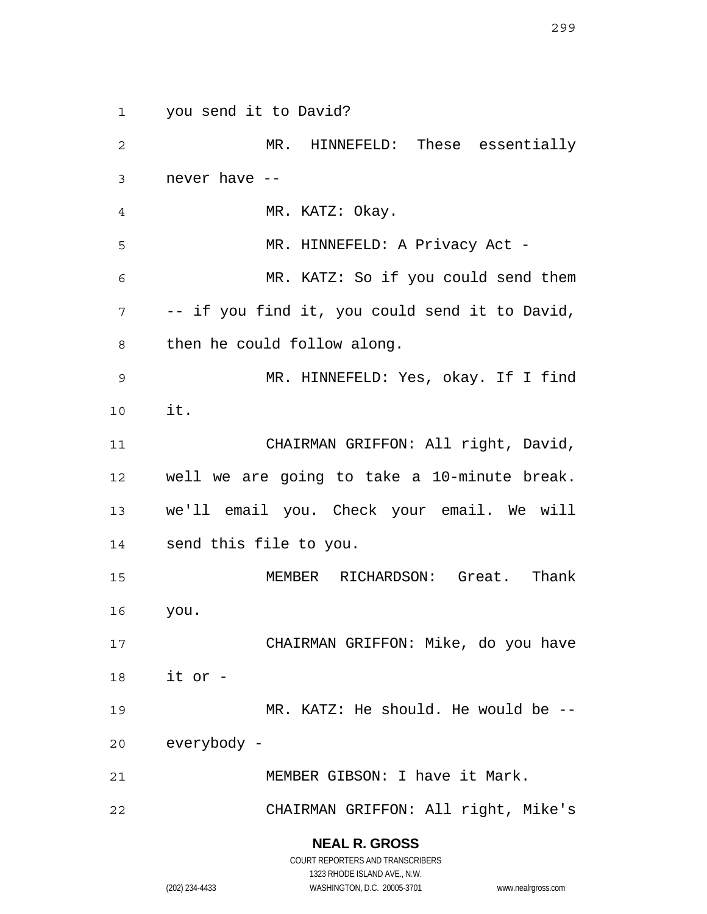you send it to David? MR. HINNEFELD: These essentially never have -- MR. KATZ: Okay. 5 MR. HINNEFELD: A Privacy Act -MR. KATZ: So if you could send them -- if you find it, you could send it to David, then he could follow along. MR. HINNEFELD: Yes, okay. If I find it. CHAIRMAN GRIFFON: All right, David, well we are going to take a 10-minute break. we'll email you. Check your email. We will send this file to you. MEMBER RICHARDSON: Great. Thank you. CHAIRMAN GRIFFON: Mike, do you have it or - MR. KATZ: He should. He would be -- everybody - MEMBER GIBSON: I have it Mark. CHAIRMAN GRIFFON: All right, Mike's

> **NEAL R. GROSS**  COURT REPORTERS AND TRANSCRIBERS

> > 1323 RHODE ISLAND AVE., N.W.

(202) 234-4433 WASHINGTON, D.C. 20005-3701 www.nealrgross.com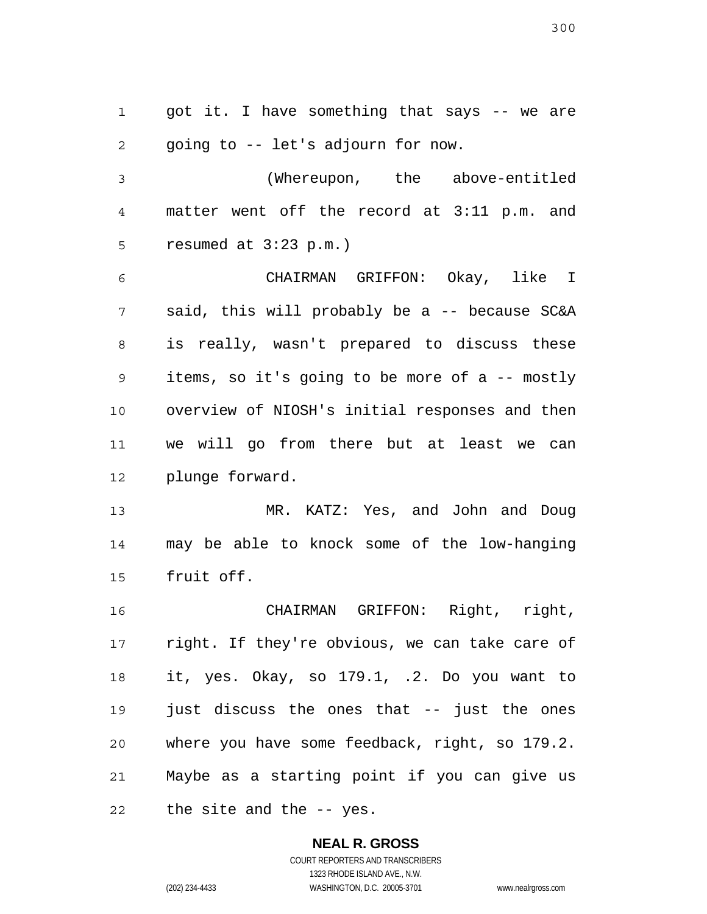1 got it. I have something that says -- we are going to -- let's adjourn for now.

(Whereupon, the above-entitled matter went off the record at 3:11 p.m. and resumed at 3:23 p.m.)

CHAIRMAN GRIFFON: Okay, like I said, this will probably be a -- because SC&A is really, wasn't prepared to discuss these items, so it's going to be more of a -- mostly overview of NIOSH's initial responses and then we will go from there but at least we can plunge forward.

MR. KATZ: Yes, and John and Doug may be able to knock some of the low-hanging fruit off.

CHAIRMAN GRIFFON: Right, right, right. If they're obvious, we can take care of it, yes. Okay, so 179.1, .2. Do you want to just discuss the ones that -- just the ones where you have some feedback, right, so 179.2. Maybe as a starting point if you can give us the site and the -- yes.

### **NEAL R. GROSS**  COURT REPORTERS AND TRANSCRIBERS 1323 RHODE ISLAND AVE., N.W.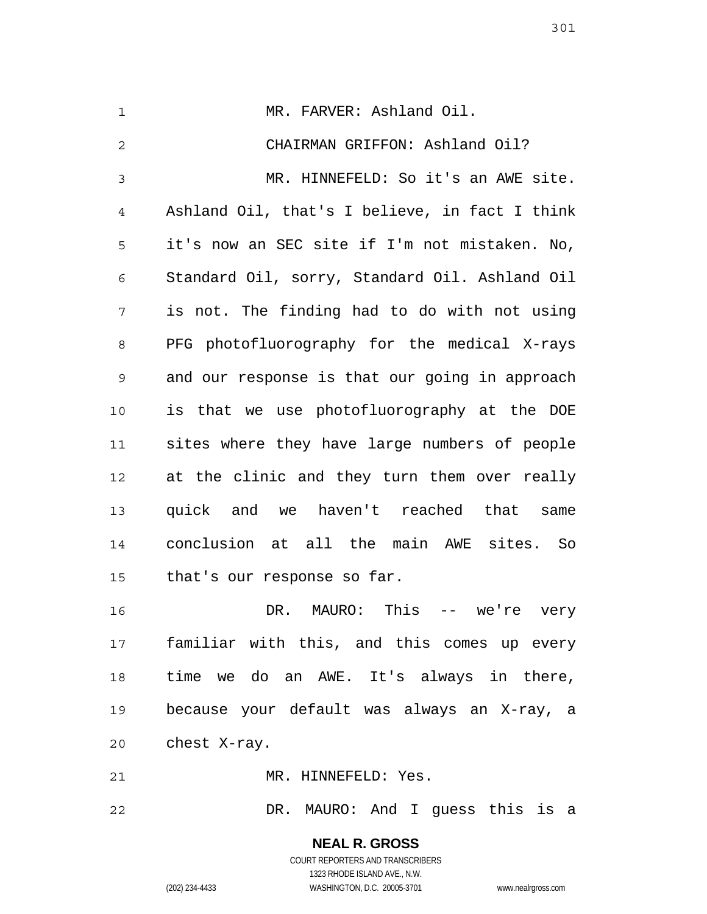1 MR. FARVER: Ashland Oil. CHAIRMAN GRIFFON: Ashland Oil? MR. HINNEFELD: So it's an AWE site. Ashland Oil, that's I believe, in fact I think it's now an SEC site if I'm not mistaken. No, Standard Oil, sorry, Standard Oil. Ashland Oil is not. The finding had to do with not using PFG photofluorography for the medical X-rays and our response is that our going in approach is that we use photofluorography at the DOE sites where they have large numbers of people at the clinic and they turn them over really quick and we haven't reached that same conclusion at all the main AWE sites. So that's our response so far. 16 DR. MAURO: This -- we're very familiar with this, and this comes up every time we do an AWE. It's always in there, because your default was always an X-ray, a chest X-ray.

MR. HINNEFELD: Yes.

DR. MAURO: And I guess this is a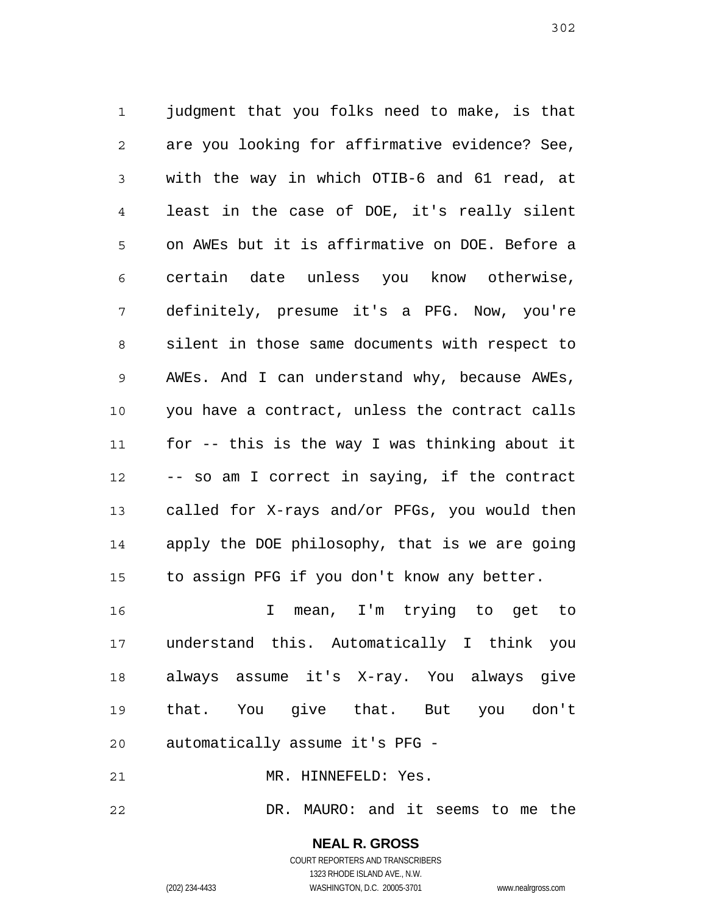1 judgment that you folks need to make, is that are you looking for affirmative evidence? See, with the way in which OTIB-6 and 61 read, at least in the case of DOE, it's really silent on AWEs but it is affirmative on DOE. Before a certain date unless you know otherwise, definitely, presume it's a PFG. Now, you're silent in those same documents with respect to AWEs. And I can understand why, because AWEs, you have a contract, unless the contract calls for -- this is the way I was thinking about it -- so am I correct in saying, if the contract called for X-rays and/or PFGs, you would then apply the DOE philosophy, that is we are going to assign PFG if you don't know any better.

I mean, I'm trying to get to understand this. Automatically I think you always assume it's X-ray. You always give that. You give that. But you don't automatically assume it's PFG -

MR. HINNEFELD: Yes.

DR. MAURO: and it seems to me the

**NEAL R. GROSS**  COURT REPORTERS AND TRANSCRIBERS 1323 RHODE ISLAND AVE., N.W.

(202) 234-4433 WASHINGTON, D.C. 20005-3701 www.nealrgross.com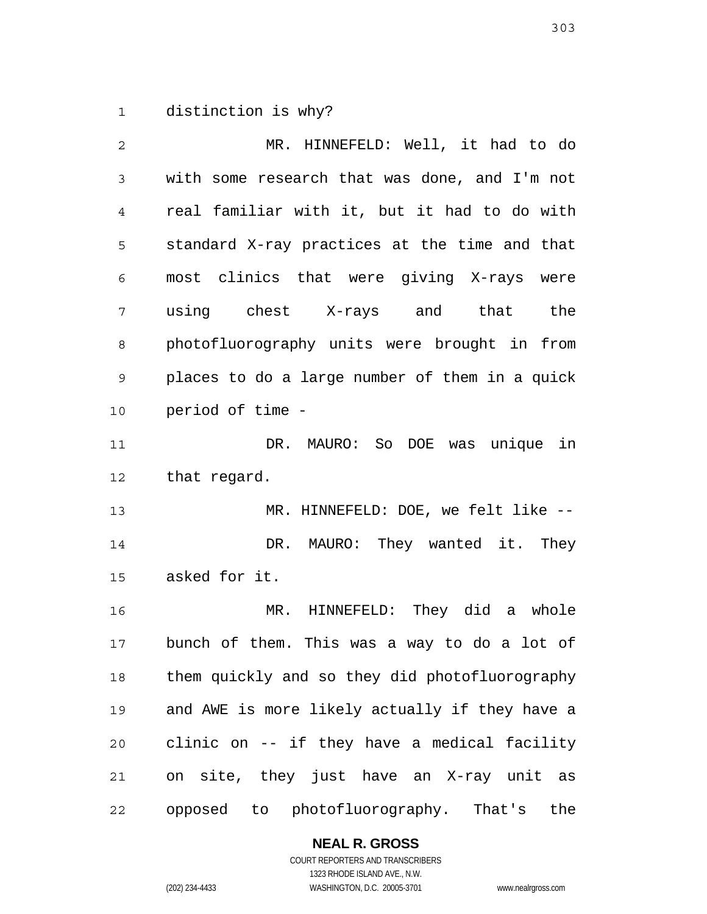distinction is why?

MR. HINNEFELD: Well, it had to do with some research that was done, and I'm not real familiar with it, but it had to do with standard X-ray practices at the time and that most clinics that were giving X-rays were using chest X-rays and that the photofluorography units were brought in from places to do a large number of them in a quick period of time - DR. MAURO: So DOE was unique in that regard. MR. HINNEFELD: DOE, we felt like -- 14 DR. MAURO: They wanted it. They asked for it. MR. HINNEFELD: They did a whole bunch of them. This was a way to do a lot of them quickly and so they did photofluorography and AWE is more likely actually if they have a clinic on -- if they have a medical facility on site, they just have an X-ray unit as opposed to photofluorography. That's the

### **NEAL R. GROSS**  COURT REPORTERS AND TRANSCRIBERS

1323 RHODE ISLAND AVE., N.W.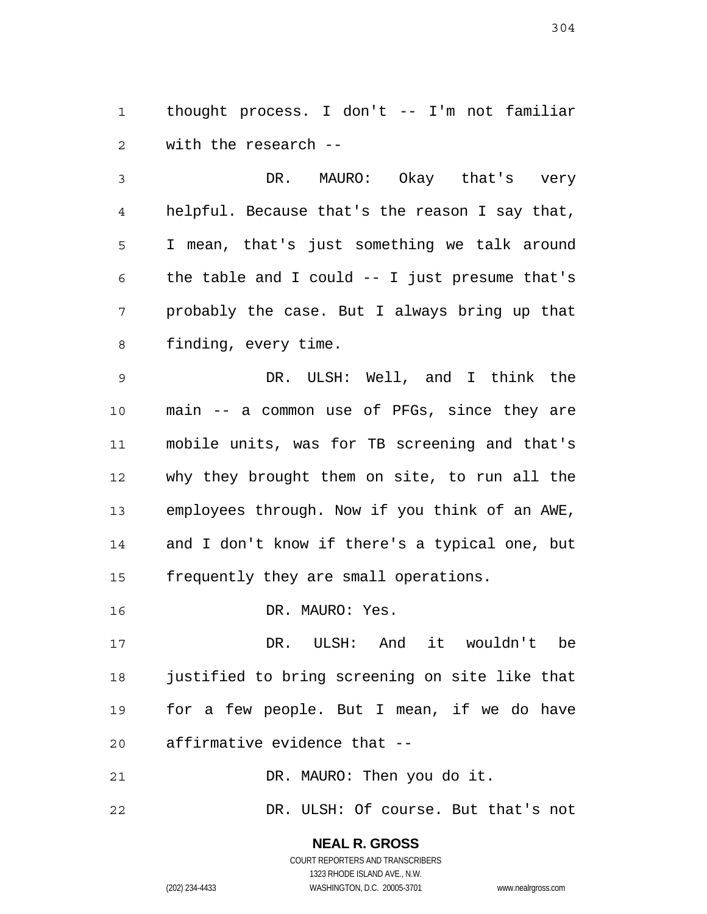thought process. I don't -- I'm not familiar with the research --

DR. MAURO: Okay that's very helpful. Because that's the reason I say that, I mean, that's just something we talk around the table and I could -- I just presume that's probably the case. But I always bring up that finding, every time.

DR. ULSH: Well, and I think the main -- a common use of PFGs, since they are mobile units, was for TB screening and that's why they brought them on site, to run all the employees through. Now if you think of an AWE, and I don't know if there's a typical one, but frequently they are small operations.

DR. MAURO: Yes.

DR. ULSH: And it wouldn't be justified to bring screening on site like that for a few people. But I mean, if we do have affirmative evidence that --

DR. MAURO: Then you do it.

DR. ULSH: Of course. But that's not

**NEAL R. GROSS**  COURT REPORTERS AND TRANSCRIBERS

1323 RHODE ISLAND AVE., N.W.

(202) 234-4433 WASHINGTON, D.C. 20005-3701 www.nealrgross.com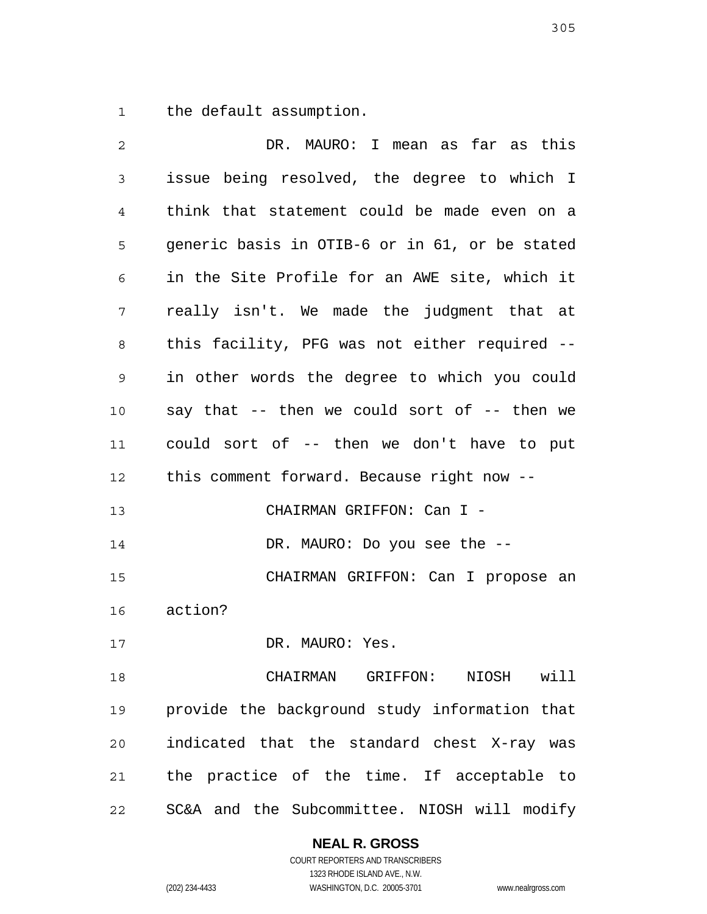the default assumption.

| $\overline{2}$ | DR. MAURO: I mean as far as this               |
|----------------|------------------------------------------------|
| 3              | issue being resolved, the degree to which I    |
| 4              | think that statement could be made even on a   |
| 5              | generic basis in OTIB-6 or in 61, or be stated |
| 6              | in the Site Profile for an AWE site, which it  |
| 7              | really isn't. We made the judgment that at     |
| 8              | this facility, PFG was not either required --  |
| 9              | in other words the degree to which you could   |
| $10$           | say that -- then we could sort of -- then we   |
| 11             | could sort of -- then we don't have to put     |
| 12             | this comment forward. Because right now --     |
| 13             | CHAIRMAN GRIFFON: Can I -                      |
| 14             | DR. MAURO: Do you see the --                   |
| 15             | CHAIRMAN GRIFFON: Can I propose an             |
| 16             | action?                                        |
| 17             | DR. MAURO: Yes.                                |
| 18             | CHAIRMAN GRIFFON:<br>NIOSH<br>will             |
| 19             | provide the background study information that  |
| 20             | indicated that the standard chest X-ray was    |
| 21             | the practice of the time. If acceptable to     |
| 22             | SC&A and the Subcommittee. NIOSH will modify   |

**NEAL R. GROSS**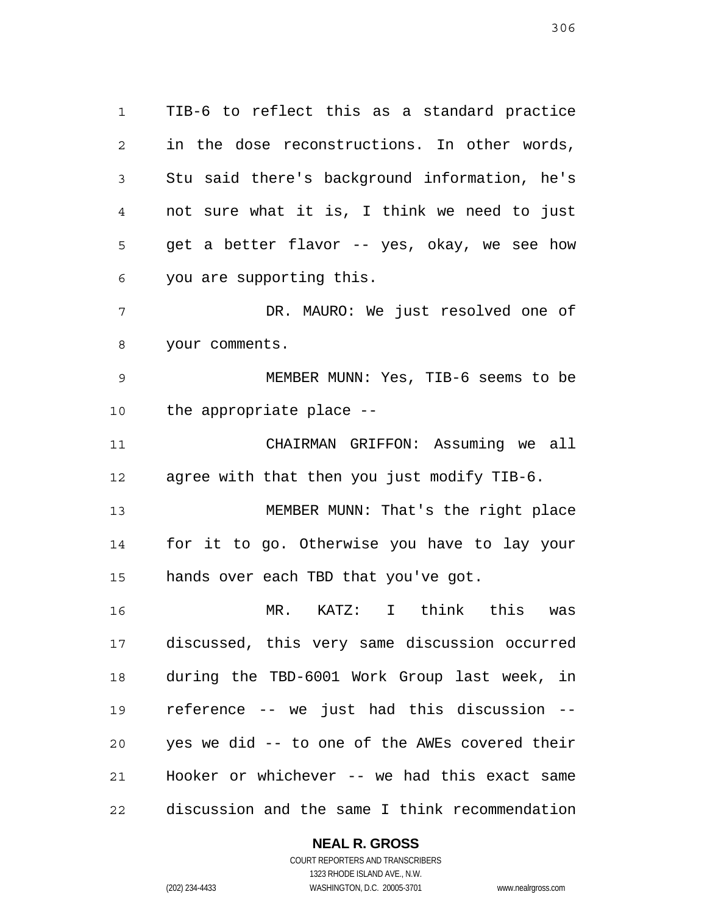TIB-6 to reflect this as a standard practice in the dose reconstructions. In other words, Stu said there's background information, he's not sure what it is, I think we need to just get a better flavor -- yes, okay, we see how you are supporting this.

DR. MAURO: We just resolved one of your comments.

MEMBER MUNN: Yes, TIB-6 seems to be the appropriate place --

CHAIRMAN GRIFFON: Assuming we all agree with that then you just modify TIB-6.

MEMBER MUNN: That's the right place for it to go. Otherwise you have to lay your hands over each TBD that you've got.

MR. KATZ: I think this was discussed, this very same discussion occurred during the TBD-6001 Work Group last week, in reference -- we just had this discussion -- yes we did -- to one of the AWEs covered their Hooker or whichever -- we had this exact same discussion and the same I think recommendation

# **NEAL R. GROSS**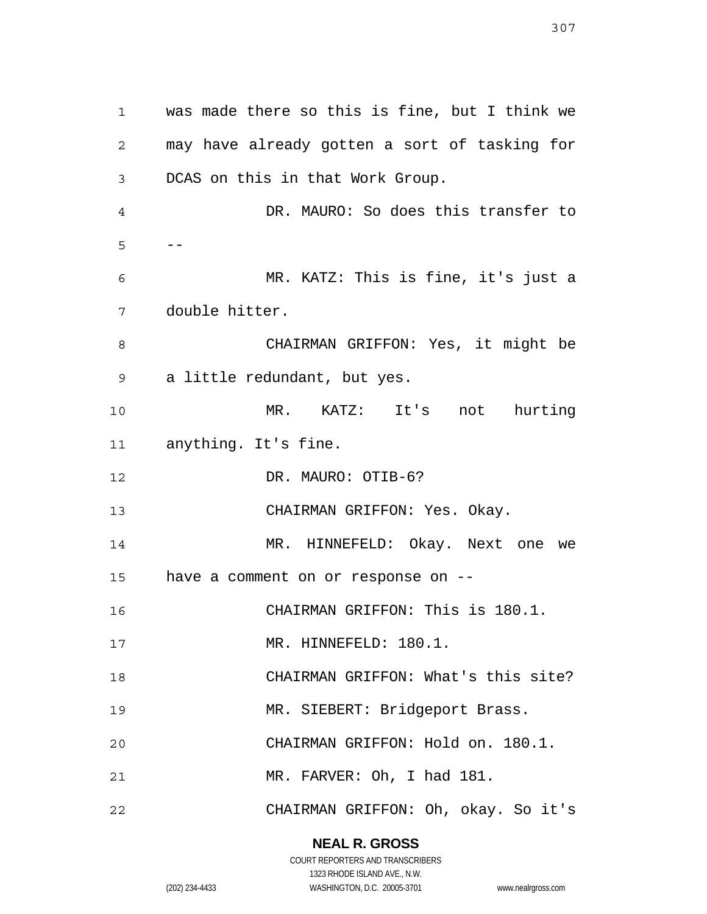was made there so this is fine, but I think we may have already gotten a sort of tasking for DCAS on this in that Work Group. DR. MAURO: So does this transfer to  $-$ MR. KATZ: This is fine, it's just a double hitter. CHAIRMAN GRIFFON: Yes, it might be a little redundant, but yes. MR. KATZ: It's not hurting anything. It's fine. DR. MAURO: OTIB-6? CHAIRMAN GRIFFON: Yes. Okay. MR. HINNEFELD: Okay. Next one we have a comment on or response on -- CHAIRMAN GRIFFON: This is 180.1. 17 MR. HINNEFELD: 180.1. CHAIRMAN GRIFFON: What's this site? MR. SIEBERT: Bridgeport Brass. CHAIRMAN GRIFFON: Hold on. 180.1. MR. FARVER: Oh, I had 181.

CHAIRMAN GRIFFON: Oh, okay. So it's

**NEAL R. GROSS**  COURT REPORTERS AND TRANSCRIBERS

1323 RHODE ISLAND AVE., N.W.

(202) 234-4433 WASHINGTON, D.C. 20005-3701 www.nealrgross.com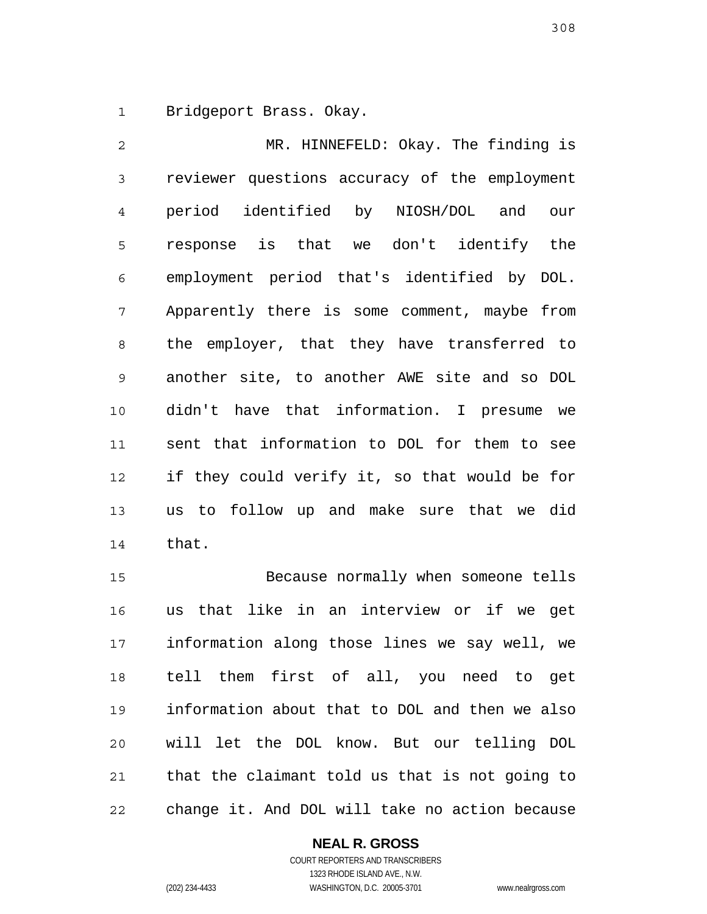Bridgeport Brass. Okay.

MR. HINNEFELD: Okay. The finding is reviewer questions accuracy of the employment period identified by NIOSH/DOL and our response is that we don't identify the employment period that's identified by DOL. Apparently there is some comment, maybe from the employer, that they have transferred to another site, to another AWE site and so DOL didn't have that information. I presume we sent that information to DOL for them to see if they could verify it, so that would be for us to follow up and make sure that we did that.

Because normally when someone tells us that like in an interview or if we get information along those lines we say well, we tell them first of all, you need to get information about that to DOL and then we also will let the DOL know. But our telling DOL that the claimant told us that is not going to change it. And DOL will take no action because

**NEAL R. GROSS**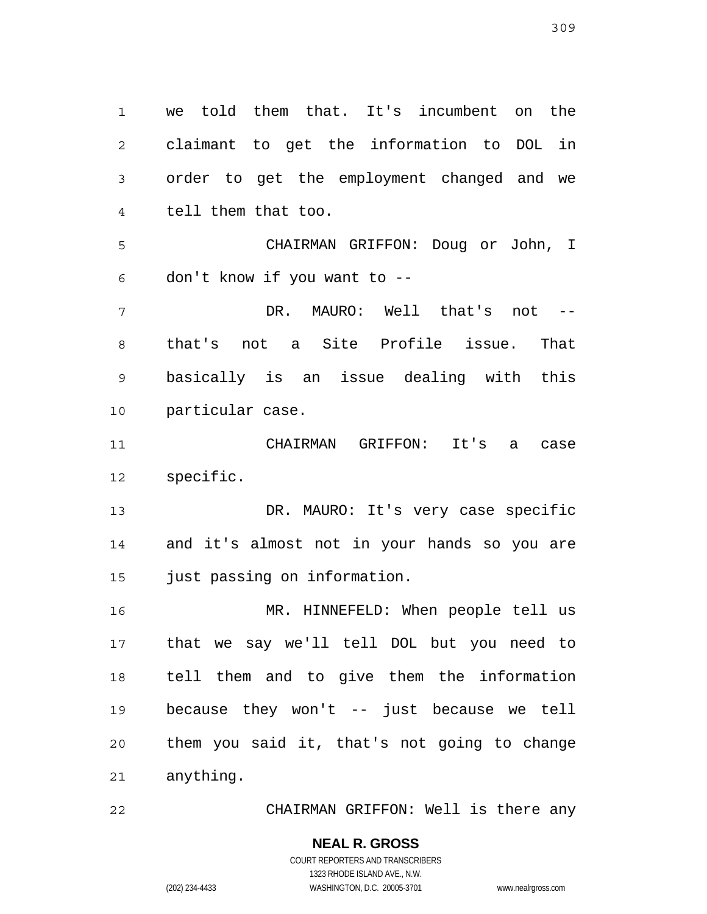we told them that. It's incumbent on the claimant to get the information to DOL in order to get the employment changed and we tell them that too. CHAIRMAN GRIFFON: Doug or John, I don't know if you want to -- DR. MAURO: Well that's not -- that's not a Site Profile issue. That basically is an issue dealing with this

particular case.

CHAIRMAN GRIFFON: It's a case specific.

DR. MAURO: It's very case specific and it's almost not in your hands so you are just passing on information.

MR. HINNEFELD: When people tell us that we say we'll tell DOL but you need to tell them and to give them the information because they won't -- just because we tell them you said it, that's not going to change anything.

CHAIRMAN GRIFFON: Well is there any

COURT REPORTERS AND TRANSCRIBERS 1323 RHODE ISLAND AVE., N.W. (202) 234-4433 WASHINGTON, D.C. 20005-3701 www.nealrgross.com

**NEAL R. GROSS**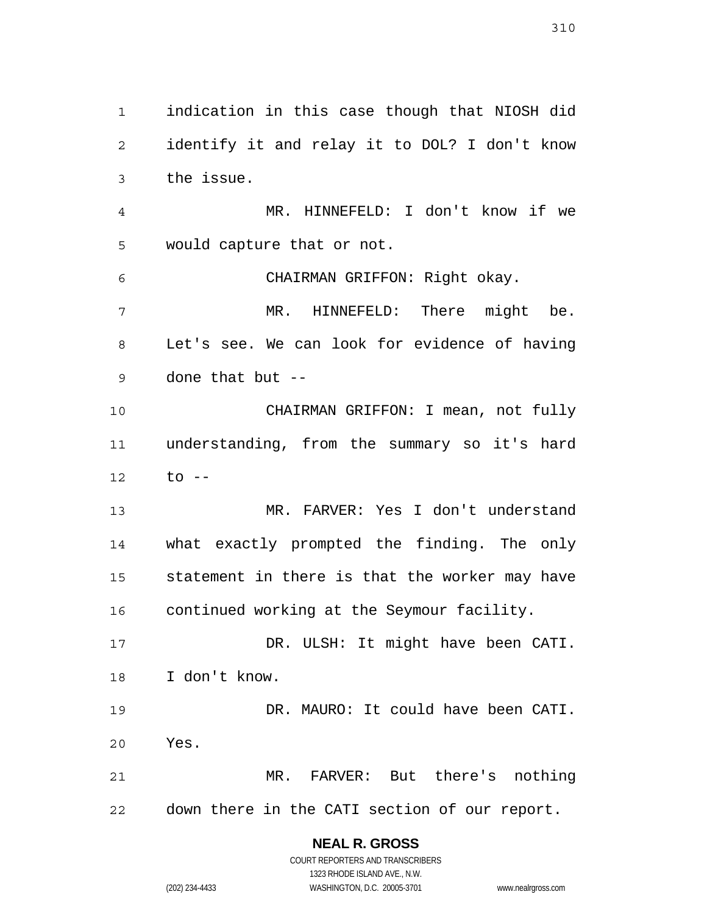indication in this case though that NIOSH did identify it and relay it to DOL? I don't know the issue. MR. HINNEFELD: I don't know if we would capture that or not. CHAIRMAN GRIFFON: Right okay. MR. HINNEFELD: There might be. Let's see. We can look for evidence of having done that but -- CHAIRMAN GRIFFON: I mean, not fully understanding, from the summary so it's hard to -- MR. FARVER: Yes I don't understand what exactly prompted the finding. The only statement in there is that the worker may have continued working at the Seymour facility. 17 DR. ULSH: It might have been CATI. I don't know. DR. MAURO: It could have been CATI. Yes. MR. FARVER: But there's nothing down there in the CATI section of our report.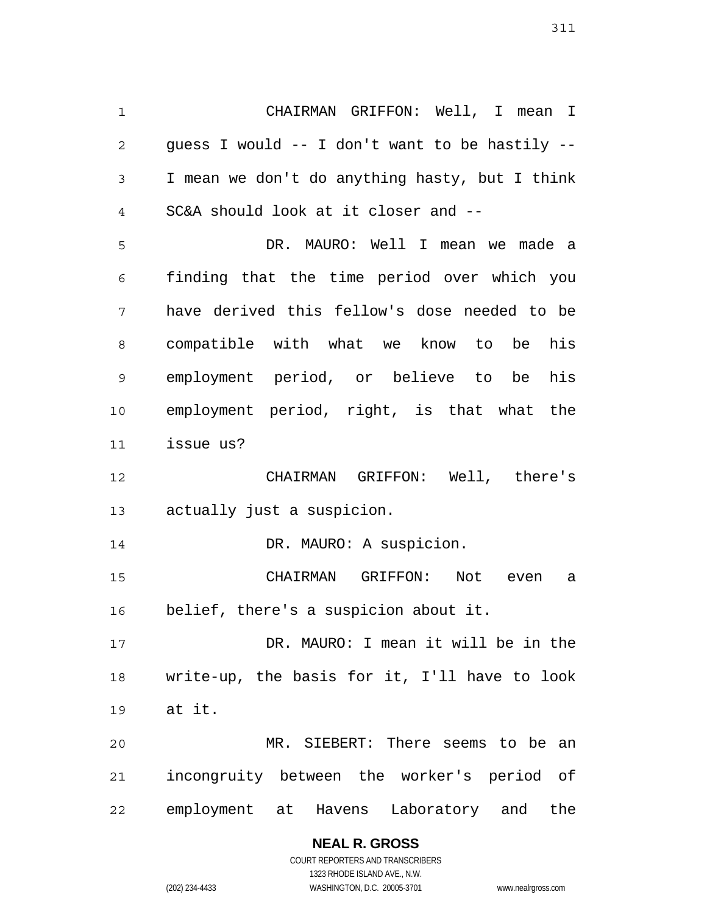CHAIRMAN GRIFFON: Well, I mean I guess I would -- I don't want to be hastily -- I mean we don't do anything hasty, but I think SC&A should look at it closer and -- DR. MAURO: Well I mean we made a finding that the time period over which you have derived this fellow's dose needed to be compatible with what we know to be his employment period, or believe to be his employment period, right, is that what the issue us? CHAIRMAN GRIFFON: Well, there's actually just a suspicion. 14 DR. MAURO: A suspicion. CHAIRMAN GRIFFON: Not even a belief, there's a suspicion about it. DR. MAURO: I mean it will be in the write-up, the basis for it, I'll have to look at it. MR. SIEBERT: There seems to be an incongruity between the worker's period of employment at Havens Laboratory and the

> **NEAL R. GROSS**  COURT REPORTERS AND TRANSCRIBERS 1323 RHODE ISLAND AVE., N.W. (202) 234-4433 WASHINGTON, D.C. 20005-3701 www.nealrgross.com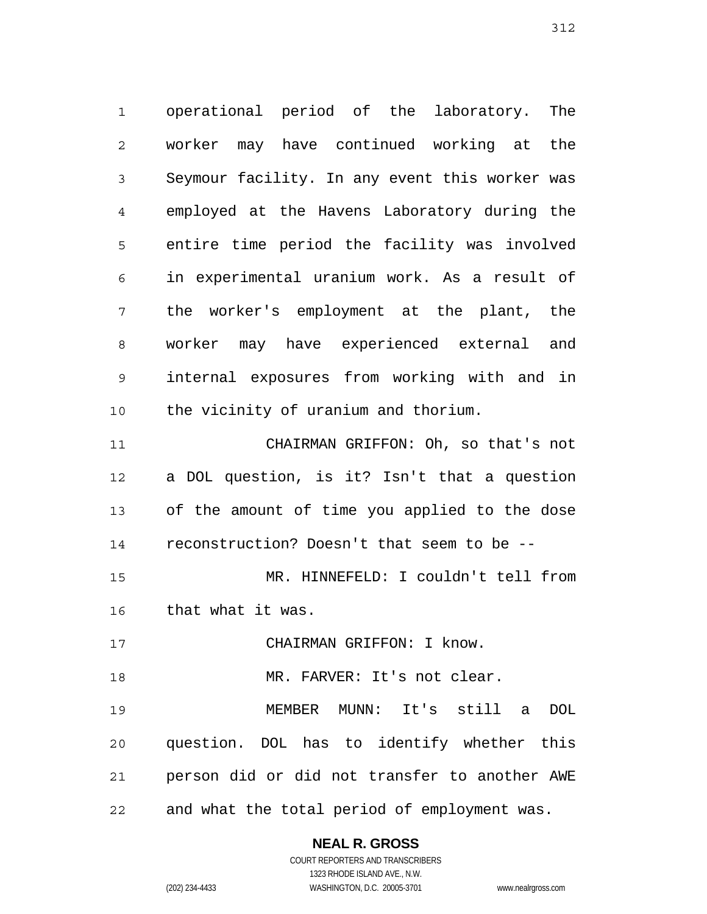operational period of the laboratory. The worker may have continued working at the Seymour facility. In any event this worker was employed at the Havens Laboratory during the entire time period the facility was involved in experimental uranium work. As a result of the worker's employment at the plant, the worker may have experienced external and internal exposures from working with and in the vicinity of uranium and thorium. CHAIRMAN GRIFFON: Oh, so that's not a DOL question, is it? Isn't that a question of the amount of time you applied to the dose reconstruction? Doesn't that seem to be -- MR. HINNEFELD: I couldn't tell from that what it was. 17 CHAIRMAN GRIFFON: I know. 18 MR. FARVER: It's not clear. MEMBER MUNN: It's still a DOL

question. DOL has to identify whether this person did or did not transfer to another AWE and what the total period of employment was.

**NEAL R. GROSS**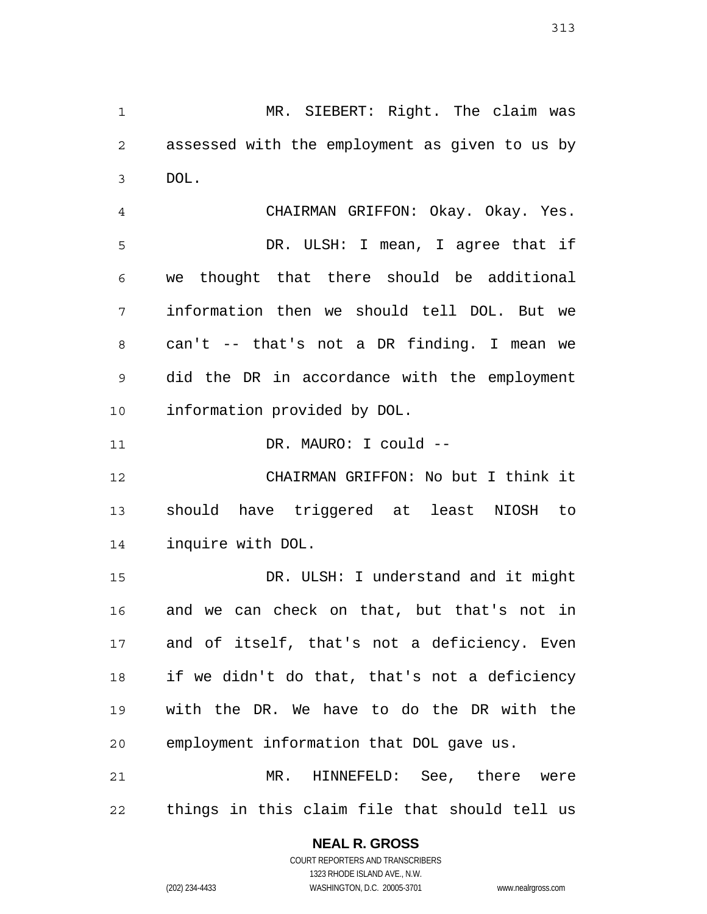MR. SIEBERT: Right. The claim was assessed with the employment as given to us by DOL.

CHAIRMAN GRIFFON: Okay. Okay. Yes. DR. ULSH: I mean, I agree that if we thought that there should be additional information then we should tell DOL. But we can't -- that's not a DR finding. I mean we did the DR in accordance with the employment information provided by DOL.

11 DR. MAURO: I could --

CHAIRMAN GRIFFON: No but I think it should have triggered at least NIOSH to inquire with DOL.

DR. ULSH: I understand and it might and we can check on that, but that's not in and of itself, that's not a deficiency. Even if we didn't do that, that's not a deficiency with the DR. We have to do the DR with the employment information that DOL gave us.

MR. HINNEFELD: See, there were things in this claim file that should tell us

### **NEAL R. GROSS**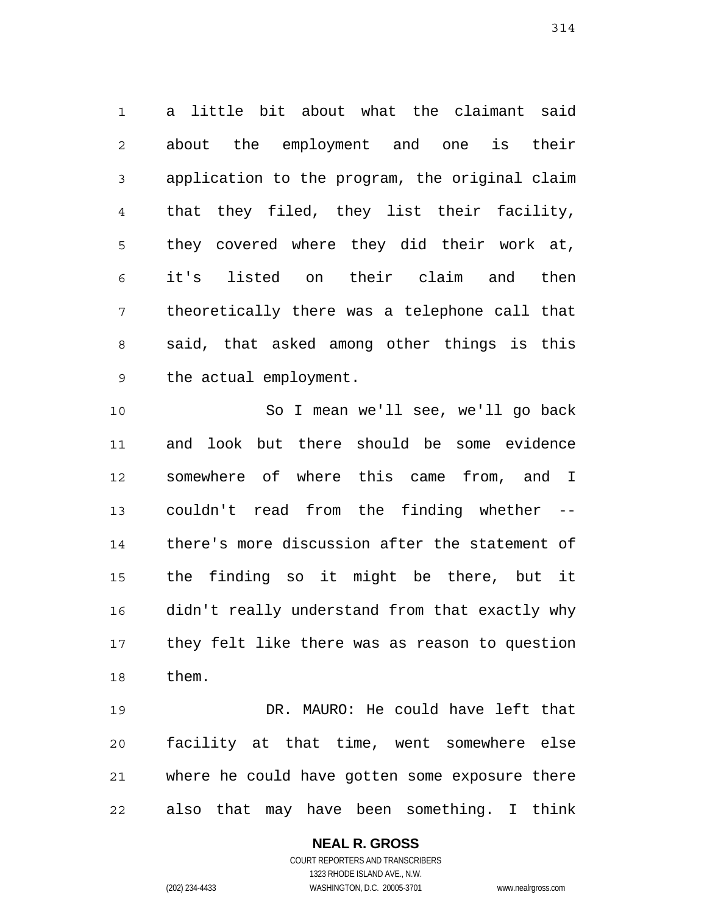a little bit about what the claimant said about the employment and one is their application to the program, the original claim that they filed, they list their facility, they covered where they did their work at, it's listed on their claim and then theoretically there was a telephone call that said, that asked among other things is this the actual employment.

So I mean we'll see, we'll go back and look but there should be some evidence somewhere of where this came from, and I couldn't read from the finding whether -- there's more discussion after the statement of the finding so it might be there, but it didn't really understand from that exactly why they felt like there was as reason to question them.

DR. MAURO: He could have left that facility at that time, went somewhere else where he could have gotten some exposure there also that may have been something. I think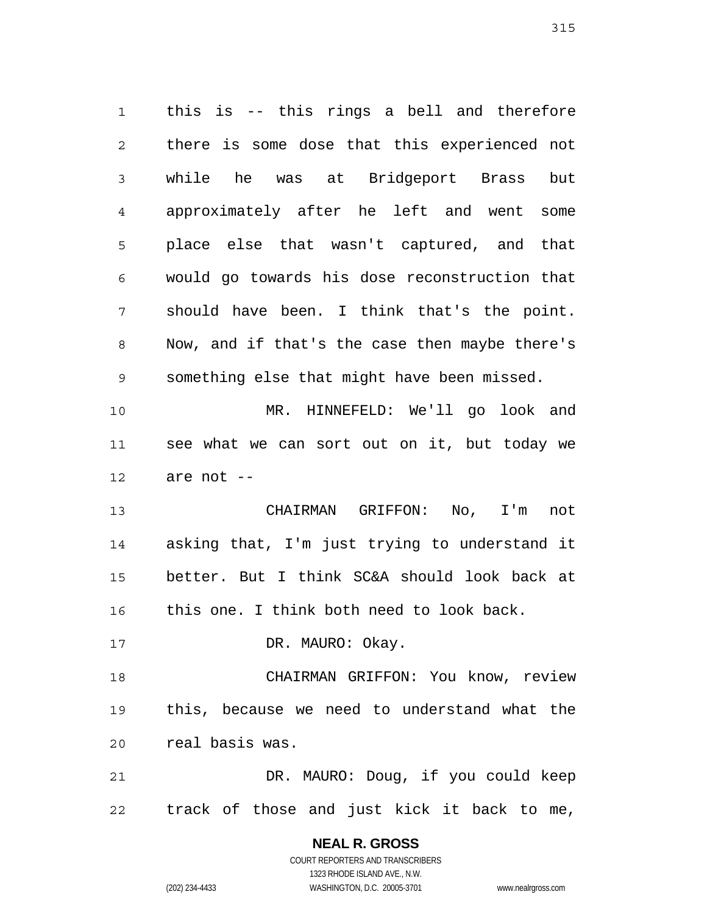this is -- this rings a bell and therefore there is some dose that this experienced not while he was at Bridgeport Brass but approximately after he left and went some place else that wasn't captured, and that would go towards his dose reconstruction that should have been. I think that's the point. Now, and if that's the case then maybe there's something else that might have been missed. MR. HINNEFELD: We'll go look and see what we can sort out on it, but today we are not -- CHAIRMAN GRIFFON: No, I'm not asking that, I'm just trying to understand it better. But I think SC&A should look back at 16 this one. I think both need to look back. 17 DR. MAURO: Okay. CHAIRMAN GRIFFON: You know, review this, because we need to understand what the real basis was. DR. MAURO: Doug, if you could keep

track of those and just kick it back to me,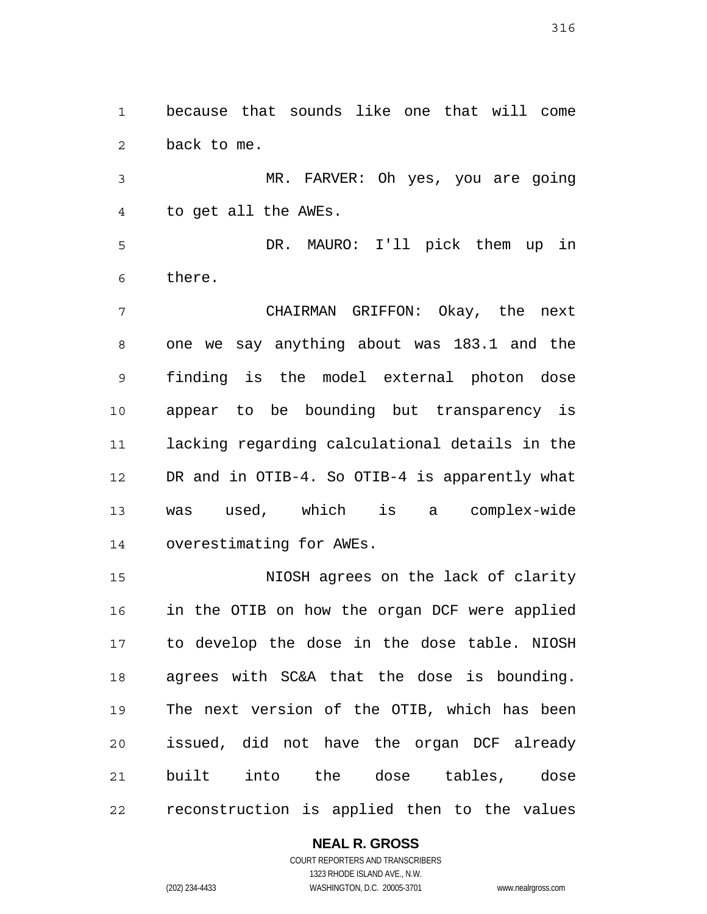because that sounds like one that will come back to me.

MR. FARVER: Oh yes, you are going to get all the AWEs.

DR. MAURO: I'll pick them up in there.

CHAIRMAN GRIFFON: Okay, the next one we say anything about was 183.1 and the finding is the model external photon dose appear to be bounding but transparency is lacking regarding calculational details in the DR and in OTIB-4. So OTIB-4 is apparently what was used, which is a complex-wide overestimating for AWEs.

NIOSH agrees on the lack of clarity in the OTIB on how the organ DCF were applied to develop the dose in the dose table. NIOSH agrees with SC&A that the dose is bounding. The next version of the OTIB, which has been issued, did not have the organ DCF already built into the dose tables, dose reconstruction is applied then to the values

# **NEAL R. GROSS**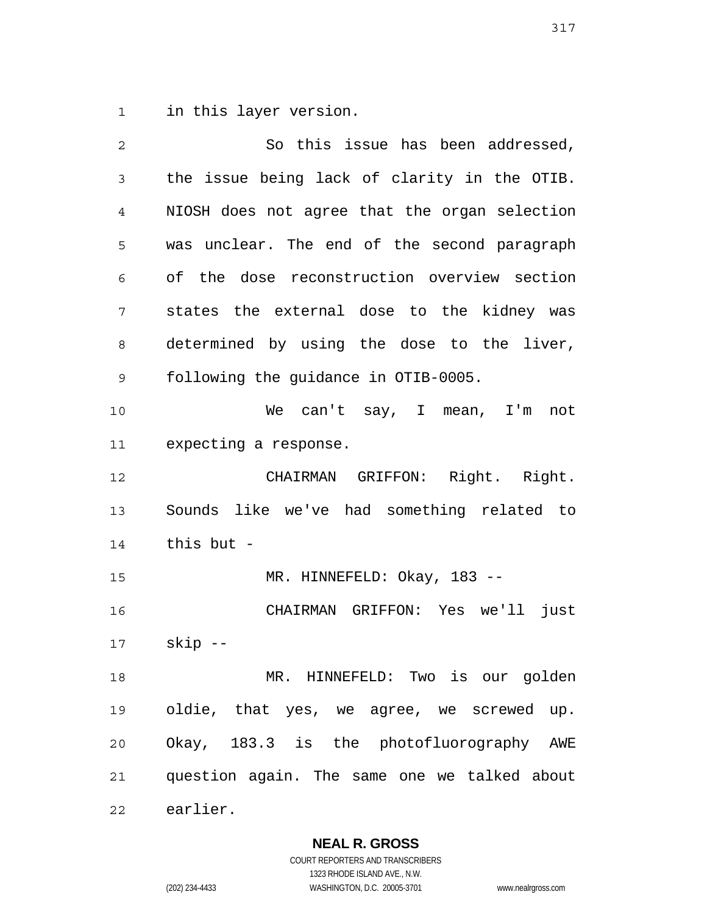in this layer version.

So this issue has been addressed, the issue being lack of clarity in the OTIB. NIOSH does not agree that the organ selection was unclear. The end of the second paragraph of the dose reconstruction overview section states the external dose to the kidney was determined by using the dose to the liver, following the guidance in OTIB-0005. We can't say, I mean, I'm not expecting a response. CHAIRMAN GRIFFON: Right. Right. Sounds like we've had something related to this but - 15 MR. HINNEFELD: Okay, 183 --CHAIRMAN GRIFFON: Yes we'll just skip -- MR. HINNEFELD: Two is our golden oldie, that yes, we agree, we screwed up. Okay, 183.3 is the photofluorography AWE question again. The same one we talked about earlier.

> **NEAL R. GROSS**  COURT REPORTERS AND TRANSCRIBERS

1323 RHODE ISLAND AVE., N.W. (202) 234-4433 WASHINGTON, D.C. 20005-3701 www.nealrgross.com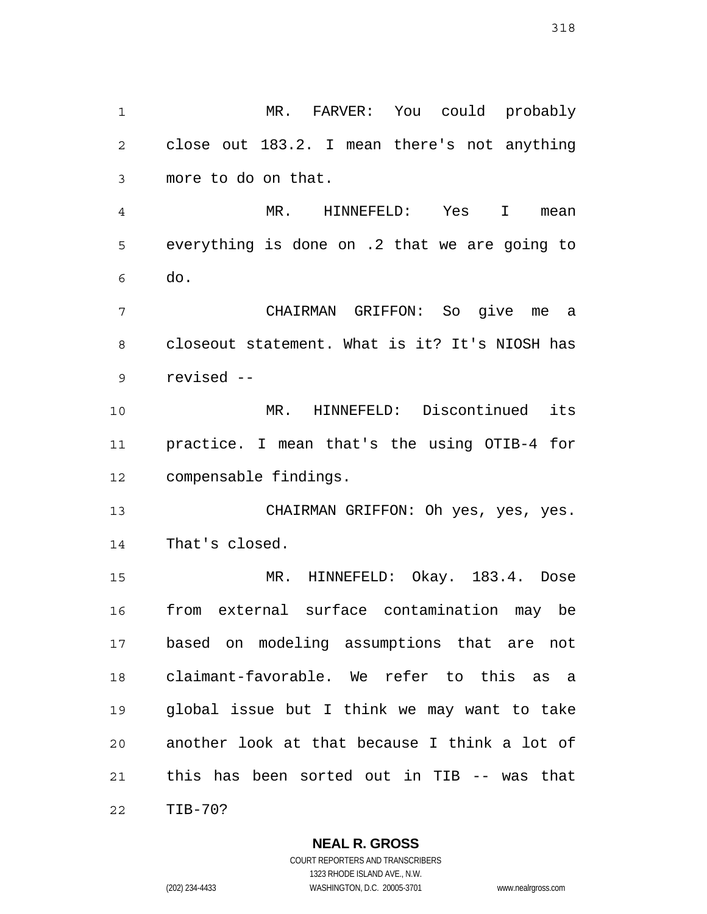MR. FARVER: You could probably close out 183.2. I mean there's not anything more to do on that.

MR. HINNEFELD: Yes I mean everything is done on .2 that we are going to do.

CHAIRMAN GRIFFON: So give me a closeout statement. What is it? It's NIOSH has revised --

MR. HINNEFELD: Discontinued its practice. I mean that's the using OTIB-4 for compensable findings.

CHAIRMAN GRIFFON: Oh yes, yes, yes. That's closed.

MR. HINNEFELD: Okay. 183.4. Dose from external surface contamination may be based on modeling assumptions that are not claimant-favorable. We refer to this as a global issue but I think we may want to take another look at that because I think a lot of this has been sorted out in TIB -- was that

TIB-70?

**NEAL R. GROSS**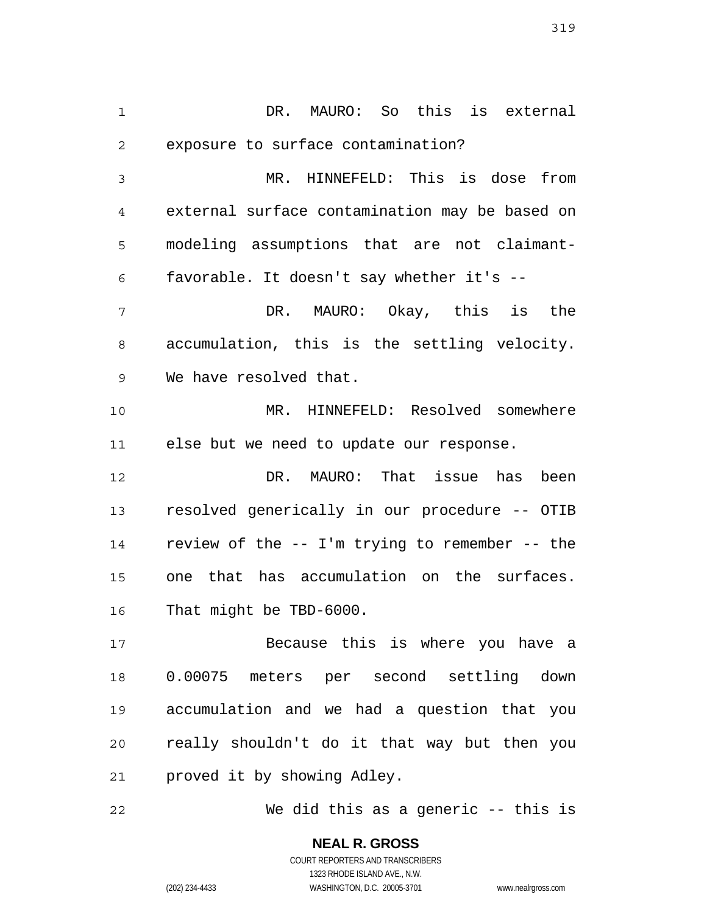DR. MAURO: So this is external exposure to surface contamination? MR. HINNEFELD: This is dose from external surface contamination may be based on modeling assumptions that are not claimant-

favorable. It doesn't say whether it's --

DR. MAURO: Okay, this is the accumulation, this is the settling velocity. We have resolved that.

MR. HINNEFELD: Resolved somewhere else but we need to update our response.

DR. MAURO: That issue has been resolved generically in our procedure -- OTIB review of the -- I'm trying to remember -- the one that has accumulation on the surfaces. That might be TBD-6000.

Because this is where you have a 0.00075 meters per second settling down accumulation and we had a question that you really shouldn't do it that way but then you proved it by showing Adley.

We did this as a generic -- this is

**NEAL R. GROSS**  COURT REPORTERS AND TRANSCRIBERS 1323 RHODE ISLAND AVE., N.W.

(202) 234-4433 WASHINGTON, D.C. 20005-3701 www.nealrgross.com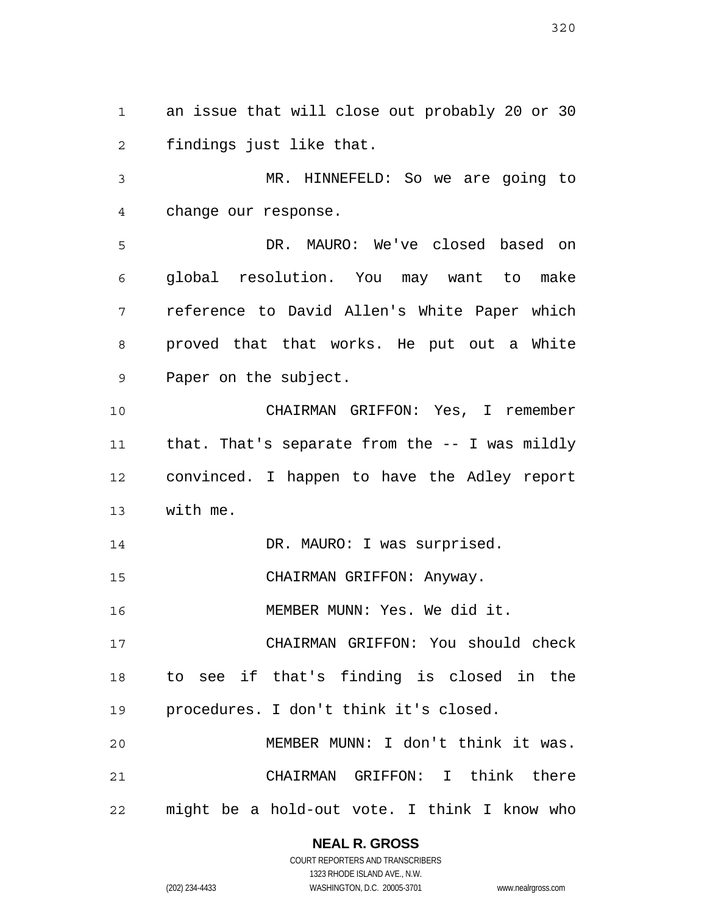an issue that will close out probably 20 or 30 findings just like that.

MR. HINNEFELD: So we are going to change our response.

DR. MAURO: We've closed based on global resolution. You may want to make reference to David Allen's White Paper which proved that that works. He put out a White Paper on the subject.

CHAIRMAN GRIFFON: Yes, I remember that. That's separate from the -- I was mildly convinced. I happen to have the Adley report with me.

14 DR. MAURO: I was surprised.

CHAIRMAN GRIFFON: Anyway.

MEMBER MUNN: Yes. We did it.

CHAIRMAN GRIFFON: You should check to see if that's finding is closed in the procedures. I don't think it's closed.

MEMBER MUNN: I don't think it was. CHAIRMAN GRIFFON: I think there might be a hold-out vote. I think I know who

# **NEAL R. GROSS**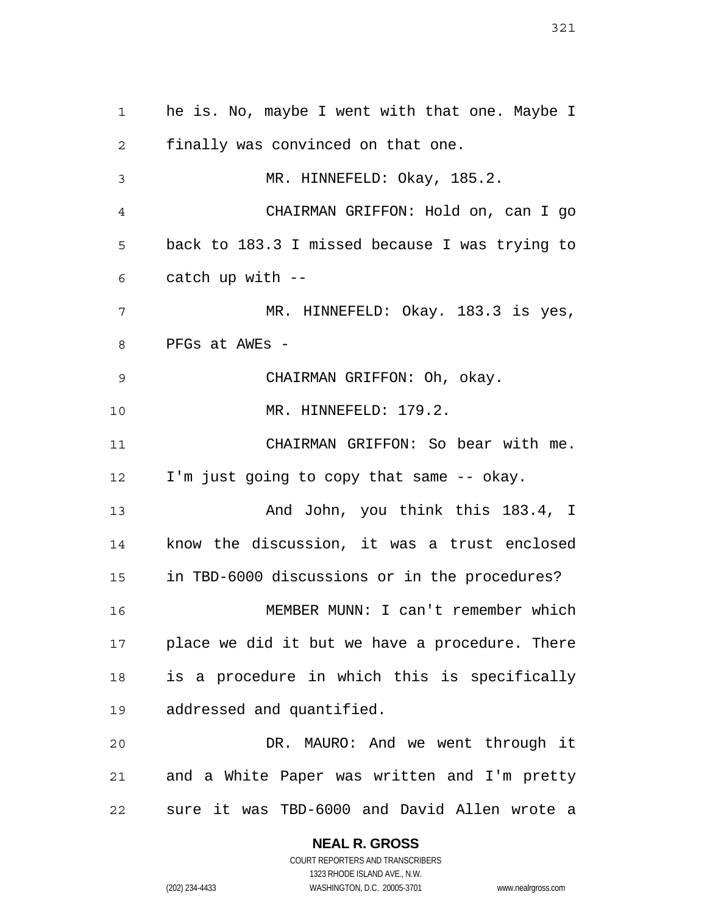he is. No, maybe I went with that one. Maybe I finally was convinced on that one. MR. HINNEFELD: Okay, 185.2. CHAIRMAN GRIFFON: Hold on, can I go back to 183.3 I missed because I was trying to catch up with -- MR. HINNEFELD: Okay. 183.3 is yes, PFGs at AWEs - CHAIRMAN GRIFFON: Oh, okay. MR. HINNEFELD: 179.2. CHAIRMAN GRIFFON: So bear with me. I'm just going to copy that same -- okay. And John, you think this 183.4, I know the discussion, it was a trust enclosed in TBD-6000 discussions or in the procedures? MEMBER MUNN: I can't remember which place we did it but we have a procedure. There is a procedure in which this is specifically addressed and quantified. DR. MAURO: And we went through it and a White Paper was written and I'm pretty sure it was TBD-6000 and David Allen wrote a

> **NEAL R. GROSS**  COURT REPORTERS AND TRANSCRIBERS

1323 RHODE ISLAND AVE., N.W. (202) 234-4433 WASHINGTON, D.C. 20005-3701 www.nealrgross.com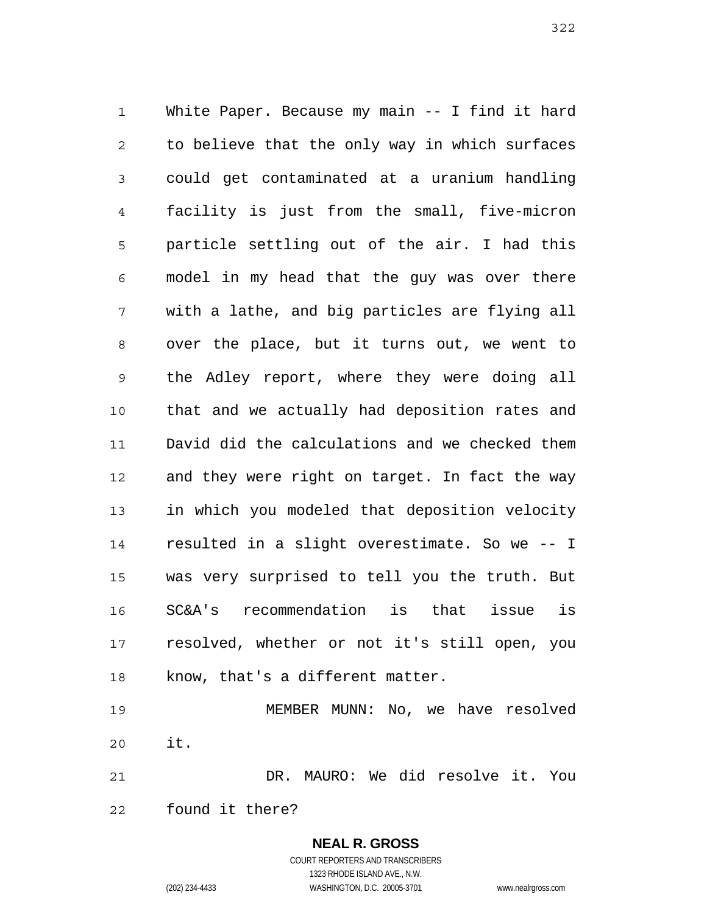White Paper. Because my main -- I find it hard to believe that the only way in which surfaces could get contaminated at a uranium handling facility is just from the small, five-micron particle settling out of the air. I had this model in my head that the guy was over there with a lathe, and big particles are flying all over the place, but it turns out, we went to the Adley report, where they were doing all that and we actually had deposition rates and David did the calculations and we checked them and they were right on target. In fact the way in which you modeled that deposition velocity resulted in a slight overestimate. So we -- I was very surprised to tell you the truth. But SC&A's recommendation is that issue is resolved, whether or not it's still open, you know, that's a different matter.

MEMBER MUNN: No, we have resolved it.

DR. MAURO: We did resolve it. You

found it there?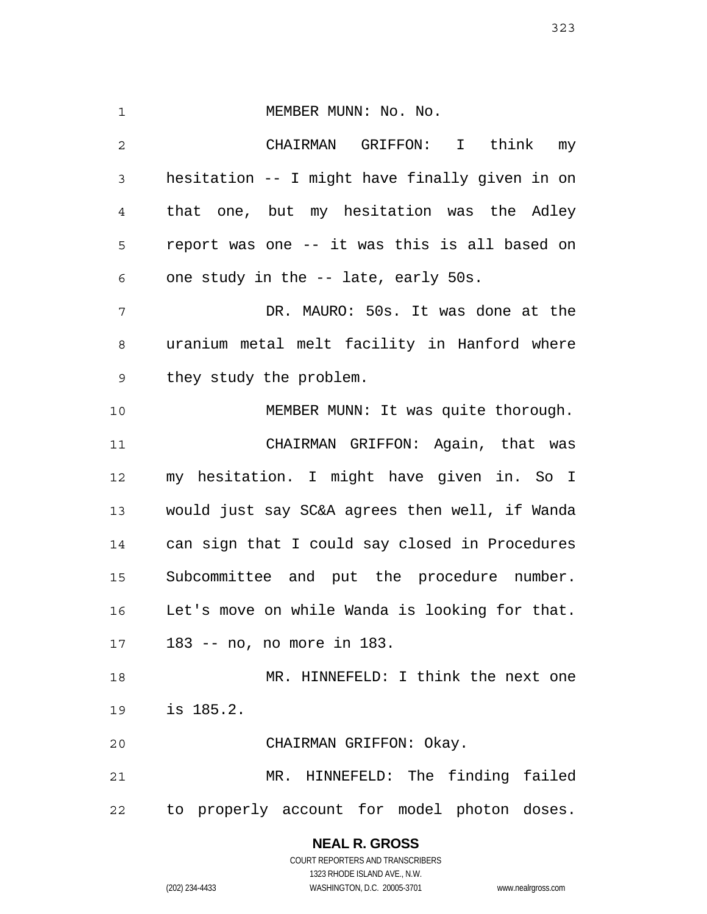1 MEMBER MUNN: No. No.

CHAIRMAN GRIFFON: I think my hesitation -- I might have finally given in on that one, but my hesitation was the Adley report was one -- it was this is all based on one study in the -- late, early 50s. DR. MAURO: 50s. It was done at the uranium metal melt facility in Hanford where they study the problem. 10 MEMBER MUNN: It was quite thorough. CHAIRMAN GRIFFON: Again, that was my hesitation. I might have given in. So I would just say SC&A agrees then well, if Wanda can sign that I could say closed in Procedures Subcommittee and put the procedure number. Let's move on while Wanda is looking for that. 183 -- no, no more in 183. MR. HINNEFELD: I think the next one is 185.2. CHAIRMAN GRIFFON: Okay. MR. HINNEFELD: The finding failed to properly account for model photon doses.

(202) 234-4433 WASHINGTON, D.C. 20005-3701 www.nealrgross.com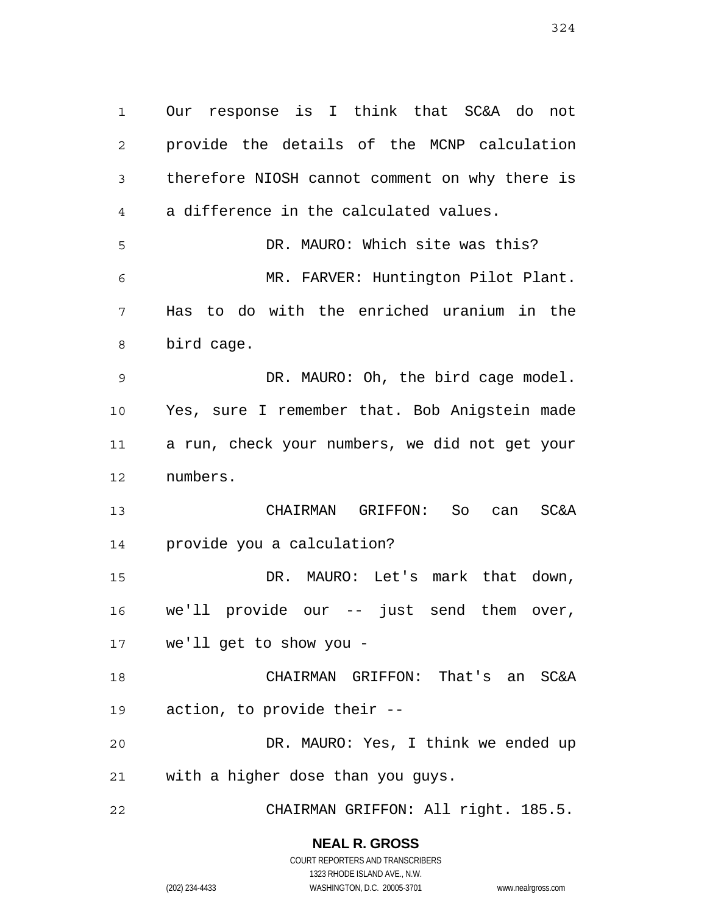Our response is I think that SC&A do not provide the details of the MCNP calculation therefore NIOSH cannot comment on why there is a difference in the calculated values. DR. MAURO: Which site was this? MR. FARVER: Huntington Pilot Plant. Has to do with the enriched uranium in the bird cage. DR. MAURO: Oh, the bird cage model. Yes, sure I remember that. Bob Anigstein made a run, check your numbers, we did not get your numbers. CHAIRMAN GRIFFON: So can SC&A provide you a calculation? DR. MAURO: Let's mark that down, we'll provide our -- just send them over, we'll get to show you - CHAIRMAN GRIFFON: That's an SC&A action, to provide their -- DR. MAURO: Yes, I think we ended up with a higher dose than you guys. CHAIRMAN GRIFFON: All right. 185.5.

1323 RHODE ISLAND AVE., N.W.

(202) 234-4433 WASHINGTON, D.C. 20005-3701 www.nealrgross.com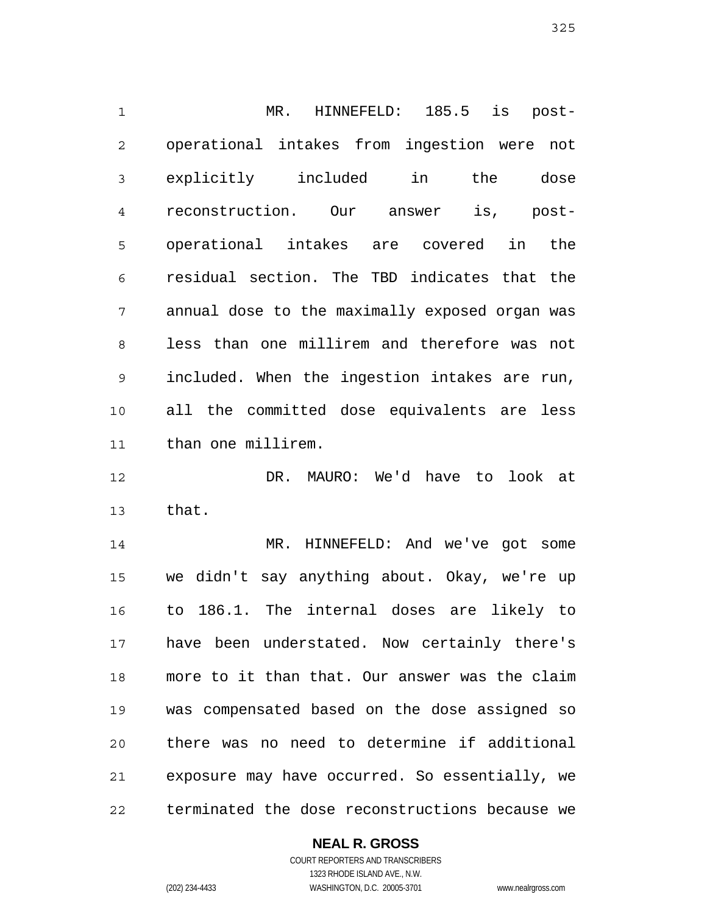MR. HINNEFELD: 185.5 is post-operational intakes from ingestion were not explicitly included in the dose reconstruction. Our answer is, post-operational intakes are covered in the residual section. The TBD indicates that the annual dose to the maximally exposed organ was less than one millirem and therefore was not included. When the ingestion intakes are run, all the committed dose equivalents are less than one millirem.

DR. MAURO: We'd have to look at that.

MR. HINNEFELD: And we've got some we didn't say anything about. Okay, we're up to 186.1. The internal doses are likely to have been understated. Now certainly there's more to it than that. Our answer was the claim was compensated based on the dose assigned so there was no need to determine if additional exposure may have occurred. So essentially, we terminated the dose reconstructions because we

## **NEAL R. GROSS**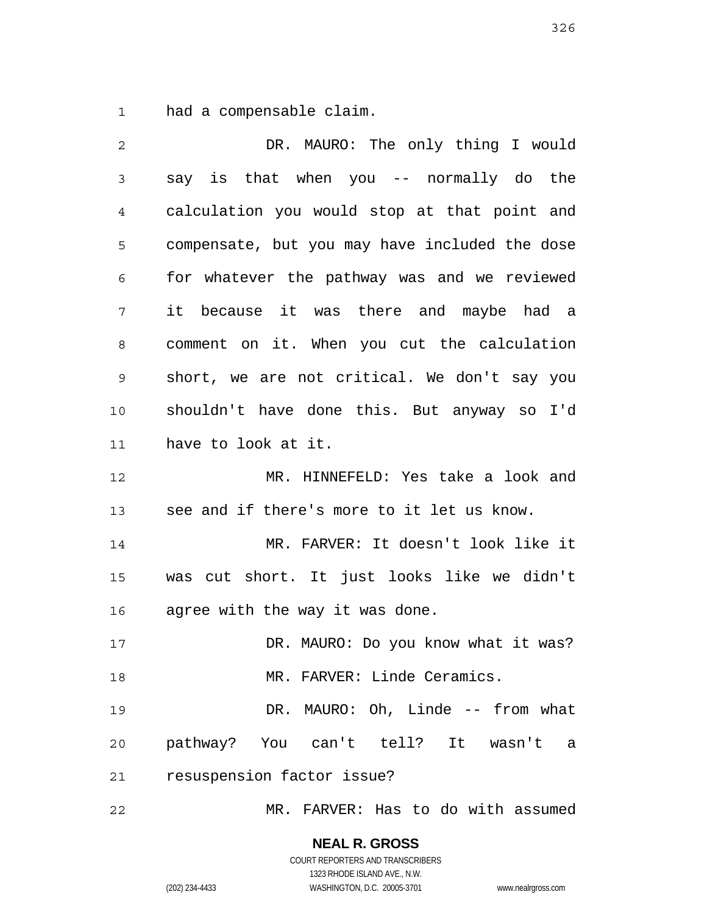had a compensable claim.

| 2           | DR. MAURO: The only thing I would              |
|-------------|------------------------------------------------|
| 3           | say is that when you -- normally do the        |
| 4           | calculation you would stop at that point and   |
| 5           | compensate, but you may have included the dose |
| 6           | for whatever the pathway was and we reviewed   |
| 7           | it because it was there and maybe had a        |
| 8           | comment on it. When you cut the calculation    |
| $\mathsf 9$ | short, we are not critical. We don't say you   |
| 10          | shouldn't have done this. But anyway so I'd    |
| 11          | have to look at it.                            |
| 12          | MR. HINNEFELD: Yes take a look and             |
| 13          | see and if there's more to it let us know.     |
| 14          | MR. FARVER: It doesn't look like it            |
| 15          | was cut short. It just looks like we didn't    |
| 16          | agree with the way it was done.                |
| 17          | DR. MAURO: Do you know what it was?            |
| 18          | MR. FARVER: Linde Ceramics.                    |
| 19          | DR. MAURO: Oh, Linde -- from what              |
| 20          | pathway? You can't tell? It wasn't a           |
| 21          | resuspension factor issue?                     |
| 22          | MR. FARVER: Has to do with assumed             |

**NEAL R. GROSS**  COURT REPORTERS AND TRANSCRIBERS 1323 RHODE ISLAND AVE., N.W.

(202) 234-4433 WASHINGTON, D.C. 20005-3701 www.nealrgross.com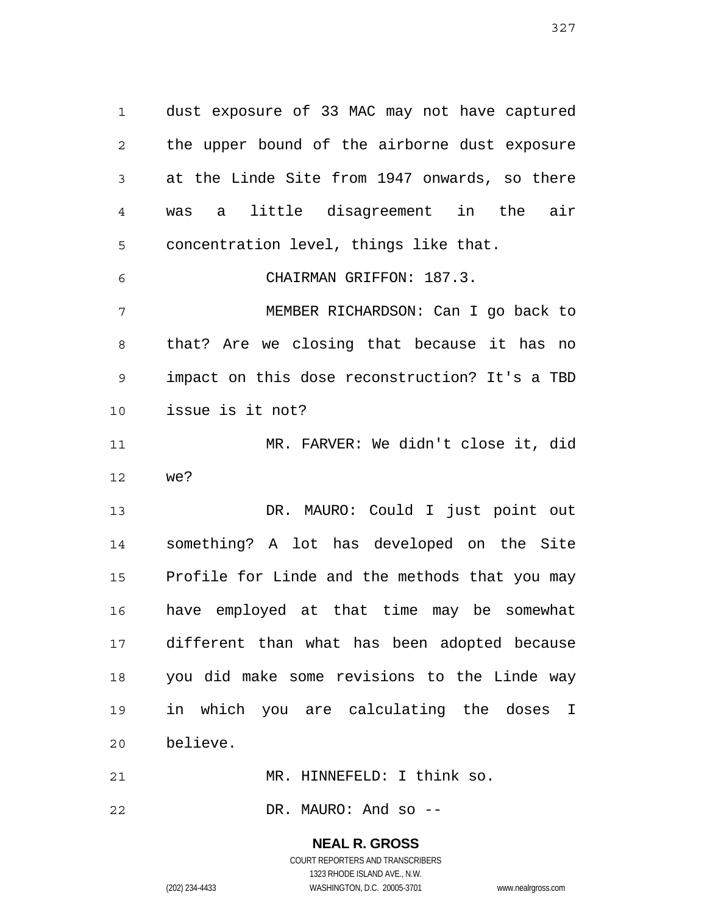dust exposure of 33 MAC may not have captured the upper bound of the airborne dust exposure at the Linde Site from 1947 onwards, so there was a little disagreement in the air concentration level, things like that. CHAIRMAN GRIFFON: 187.3. MEMBER RICHARDSON: Can I go back to that? Are we closing that because it has no impact on this dose reconstruction? It's a TBD issue is it not? MR. FARVER: We didn't close it, did we? DR. MAURO: Could I just point out something? A lot has developed on the Site Profile for Linde and the methods that you may have employed at that time may be somewhat different than what has been adopted because you did make some revisions to the Linde way in which you are calculating the doses I believe.

MR. HINNEFELD: I think so.

DR. MAURO: And so --

**NEAL R. GROSS**  COURT REPORTERS AND TRANSCRIBERS

1323 RHODE ISLAND AVE., N.W.

(202) 234-4433 WASHINGTON, D.C. 20005-3701 www.nealrgross.com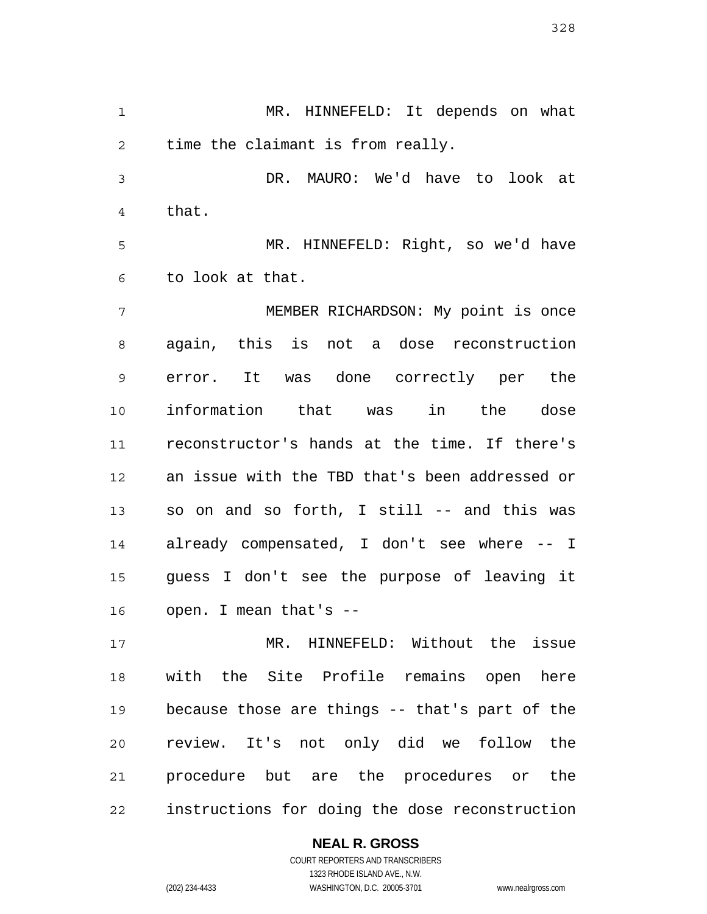MR. HINNEFELD: It depends on what time the claimant is from really.

DR. MAURO: We'd have to look at that.

MR. HINNEFELD: Right, so we'd have to look at that.

MEMBER RICHARDSON: My point is once again, this is not a dose reconstruction error. It was done correctly per the information that was in the dose reconstructor's hands at the time. If there's an issue with the TBD that's been addressed or so on and so forth, I still -- and this was already compensated, I don't see where -- I guess I don't see the purpose of leaving it open. I mean that's --

MR. HINNEFELD: Without the issue with the Site Profile remains open here because those are things -- that's part of the review. It's not only did we follow the procedure but are the procedures or the instructions for doing the dose reconstruction

> COURT REPORTERS AND TRANSCRIBERS 1323 RHODE ISLAND AVE., N.W. (202) 234-4433 WASHINGTON, D.C. 20005-3701 www.nealrgross.com

**NEAL R. GROSS**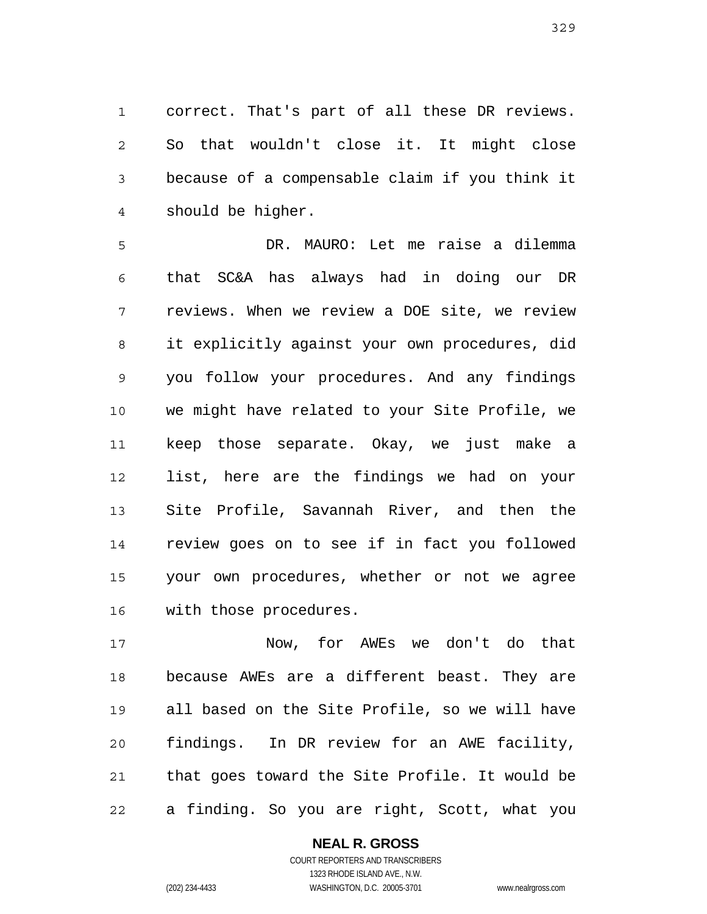correct. That's part of all these DR reviews. So that wouldn't close it. It might close because of a compensable claim if you think it should be higher.

DR. MAURO: Let me raise a dilemma that SC&A has always had in doing our DR reviews. When we review a DOE site, we review it explicitly against your own procedures, did you follow your procedures. And any findings we might have related to your Site Profile, we keep those separate. Okay, we just make a list, here are the findings we had on your Site Profile, Savannah River, and then the review goes on to see if in fact you followed your own procedures, whether or not we agree with those procedures.

Now, for AWEs we don't do that because AWEs are a different beast. They are all based on the Site Profile, so we will have findings. In DR review for an AWE facility, that goes toward the Site Profile. It would be a finding. So you are right, Scott, what you

**NEAL R. GROSS**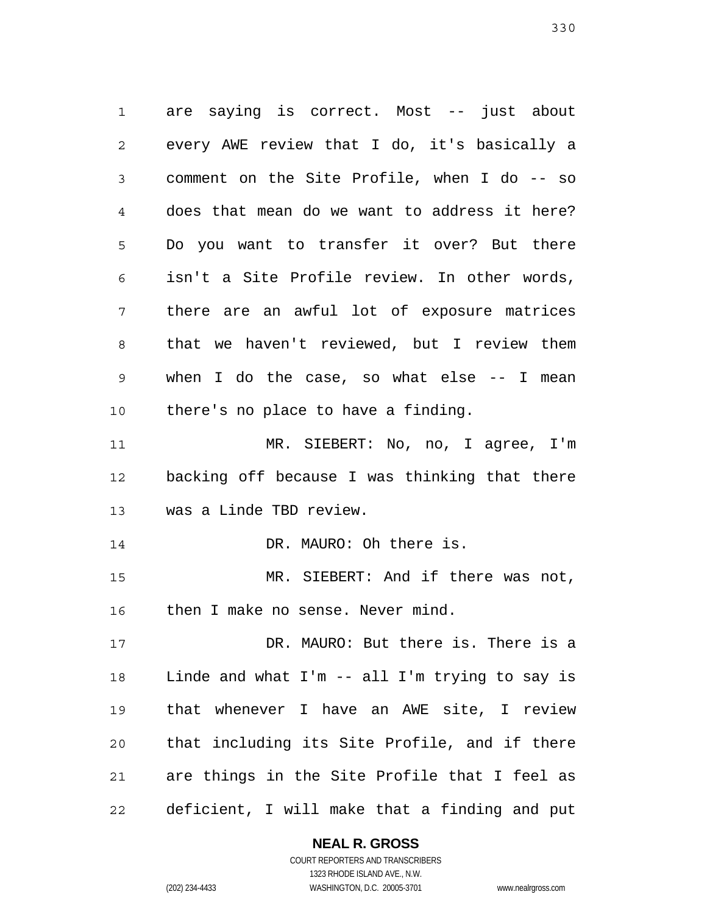are saying is correct. Most -- just about every AWE review that I do, it's basically a comment on the Site Profile, when I do -- so does that mean do we want to address it here? Do you want to transfer it over? But there isn't a Site Profile review. In other words, there are an awful lot of exposure matrices that we haven't reviewed, but I review them when I do the case, so what else -- I mean there's no place to have a finding. MR. SIEBERT: No, no, I agree, I'm backing off because I was thinking that there was a Linde TBD review. 14 DR. MAURO: Oh there is. MR. SIEBERT: And if there was not, 16 then I make no sense. Never mind. DR. MAURO: But there is. There is a Linde and what I'm -- all I'm trying to say is that whenever I have an AWE site, I review that including its Site Profile, and if there are things in the Site Profile that I feel as deficient, I will make that a finding and put

**NEAL R. GROSS** 

COURT REPORTERS AND TRANSCRIBERS 1323 RHODE ISLAND AVE., N.W. (202) 234-4433 WASHINGTON, D.C. 20005-3701 www.nealrgross.com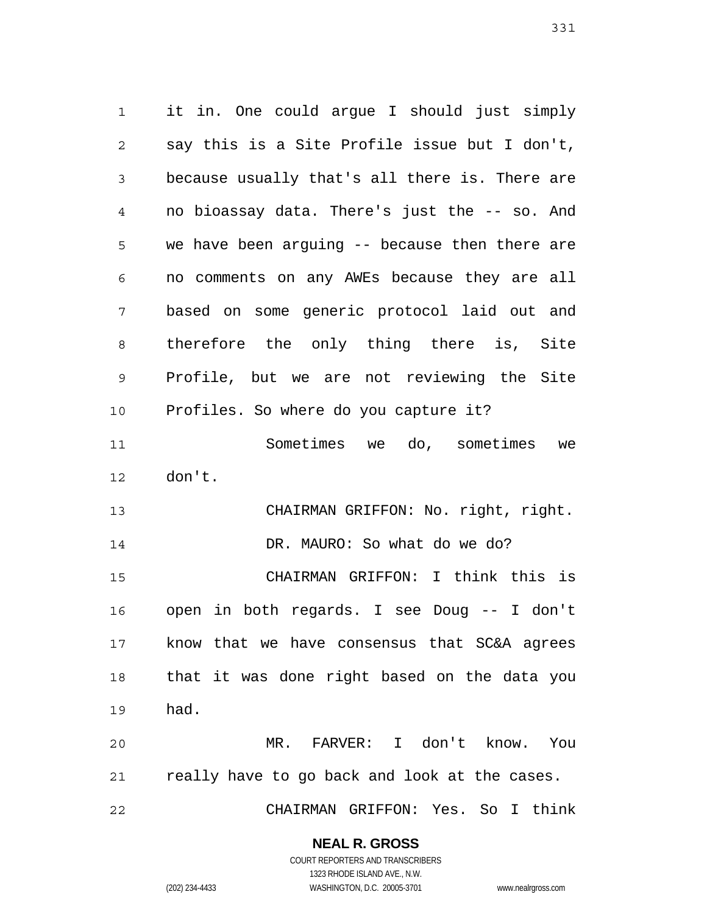it in. One could argue I should just simply say this is a Site Profile issue but I don't, because usually that's all there is. There are no bioassay data. There's just the -- so. And we have been arguing -- because then there are no comments on any AWEs because they are all based on some generic protocol laid out and therefore the only thing there is, Site Profile, but we are not reviewing the Site Profiles. So where do you capture it? Sometimes we do, sometimes we don't. CHAIRMAN GRIFFON: No. right, right. 14 DR. MAURO: So what do we do? CHAIRMAN GRIFFON: I think this is open in both regards. I see Doug -- I don't know that we have consensus that SC&A agrees that it was done right based on the data you had. MR. FARVER: I don't know. You really have to go back and look at the cases. CHAIRMAN GRIFFON: Yes. So I think

1323 RHODE ISLAND AVE., N.W.

(202) 234-4433 WASHINGTON, D.C. 20005-3701 www.nealrgross.com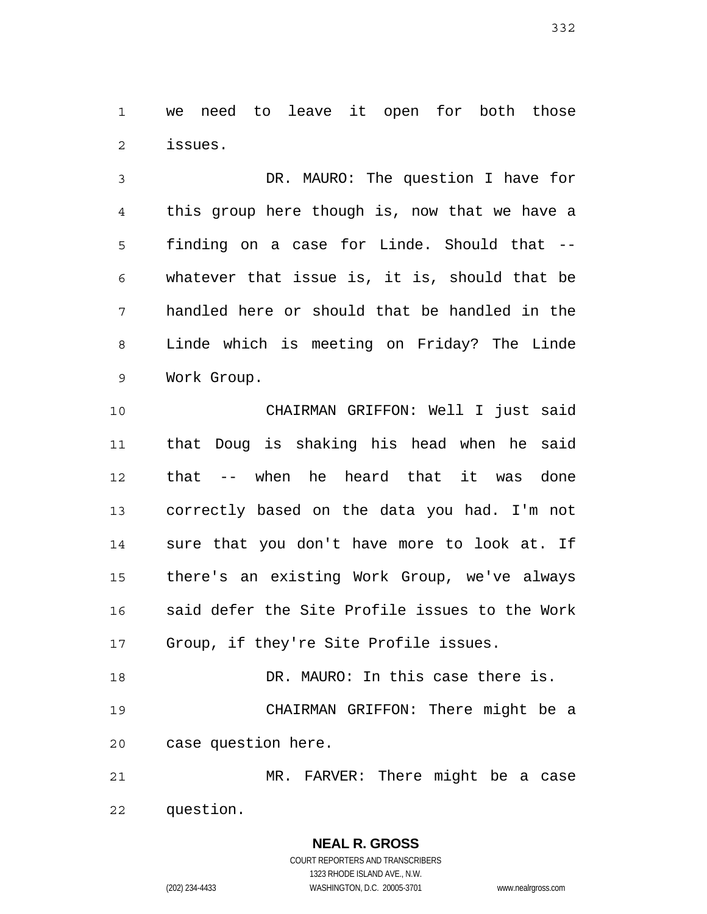we need to leave it open for both those issues.

DR. MAURO: The question I have for this group here though is, now that we have a finding on a case for Linde. Should that -- whatever that issue is, it is, should that be handled here or should that be handled in the Linde which is meeting on Friday? The Linde Work Group.

CHAIRMAN GRIFFON: Well I just said that Doug is shaking his head when he said that -- when he heard that it was done correctly based on the data you had. I'm not sure that you don't have more to look at. If there's an existing Work Group, we've always said defer the Site Profile issues to the Work Group, if they're Site Profile issues.

DR. MAURO: In this case there is. CHAIRMAN GRIFFON: There might be a case question here.

MR. FARVER: There might be a case question.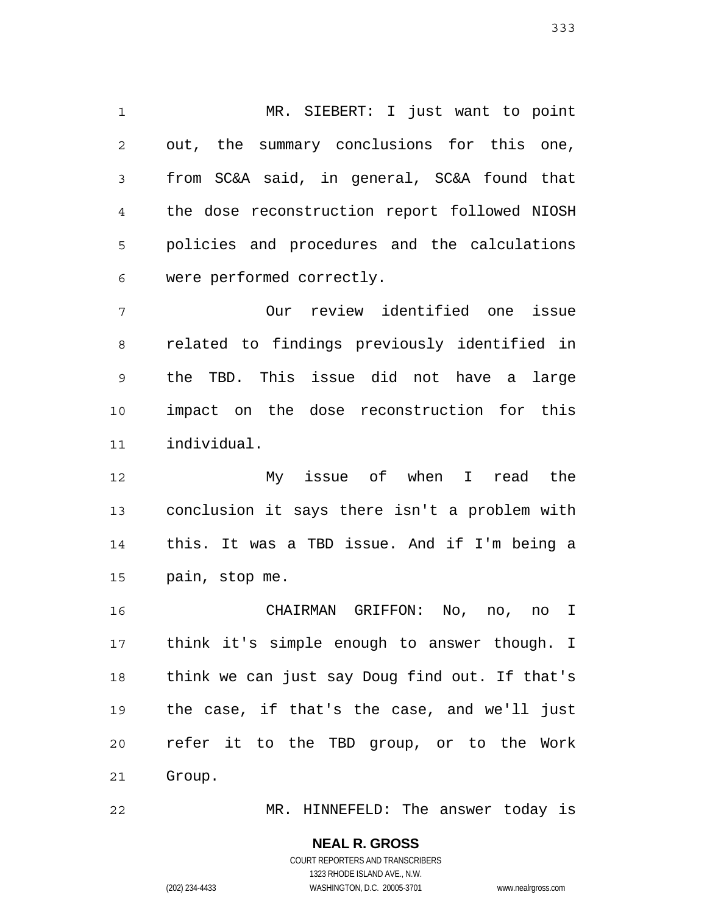MR. SIEBERT: I just want to point out, the summary conclusions for this one, from SC&A said, in general, SC&A found that the dose reconstruction report followed NIOSH policies and procedures and the calculations were performed correctly.

Our review identified one issue related to findings previously identified in the TBD. This issue did not have a large impact on the dose reconstruction for this individual.

My issue of when I read the conclusion it says there isn't a problem with this. It was a TBD issue. And if I'm being a pain, stop me.

CHAIRMAN GRIFFON: No, no, no I think it's simple enough to answer though. I think we can just say Doug find out. If that's the case, if that's the case, and we'll just refer it to the TBD group, or to the Work Group.

MR. HINNEFELD: The answer today is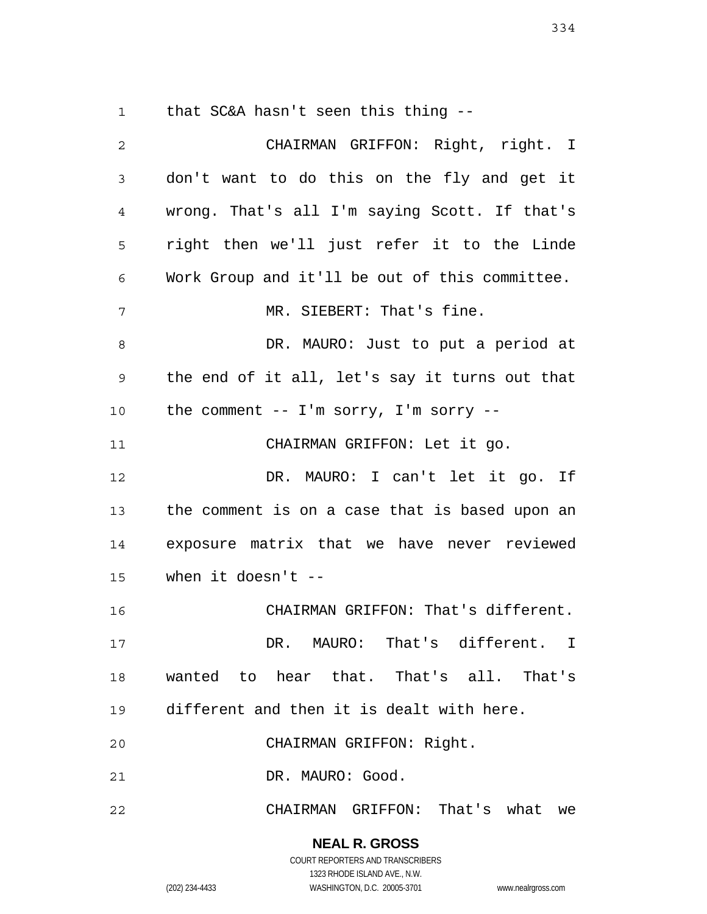that SC&A hasn't seen this thing --

| $\overline{2}$ | CHAIRMAN GRIFFON: Right, right. I              |
|----------------|------------------------------------------------|
| 3              | don't want to do this on the fly and get it    |
| 4              | wrong. That's all I'm saying Scott. If that's  |
| 5              | right then we'll just refer it to the Linde    |
| 6              | Work Group and it'll be out of this committee. |
| 7              | MR. SIEBERT: That's fine.                      |
| 8              | DR. MAURO: Just to put a period at             |
| 9              | the end of it all, let's say it turns out that |
| 10             | the comment -- I'm sorry, I'm sorry --         |
| 11             | CHAIRMAN GRIFFON: Let it go.                   |
| 12             | DR. MAURO: I can't let it go. If               |
| 13             | the comment is on a case that is based upon an |
| 14             | exposure matrix that we have never reviewed    |
| 15             | when it doesn't $-$                            |
| 16             | CHAIRMAN GRIFFON: That's different.            |
| 17             | DR. MAURO: That's different. I                 |
|                | 18 wanted to hear that. That's all. That's     |
| 19             | different and then it is dealt with here.      |
| 20             | CHAIRMAN GRIFFON: Right.                       |
| 21             | DR. MAURO: Good.                               |
| 22             | CHAIRMAN GRIFFON: That's what we               |

**NEAL R. GROSS**  COURT REPORTERS AND TRANSCRIBERS

1323 RHODE ISLAND AVE., N.W. (202) 234-4433 WASHINGTON, D.C. 20005-3701 www.nealrgross.com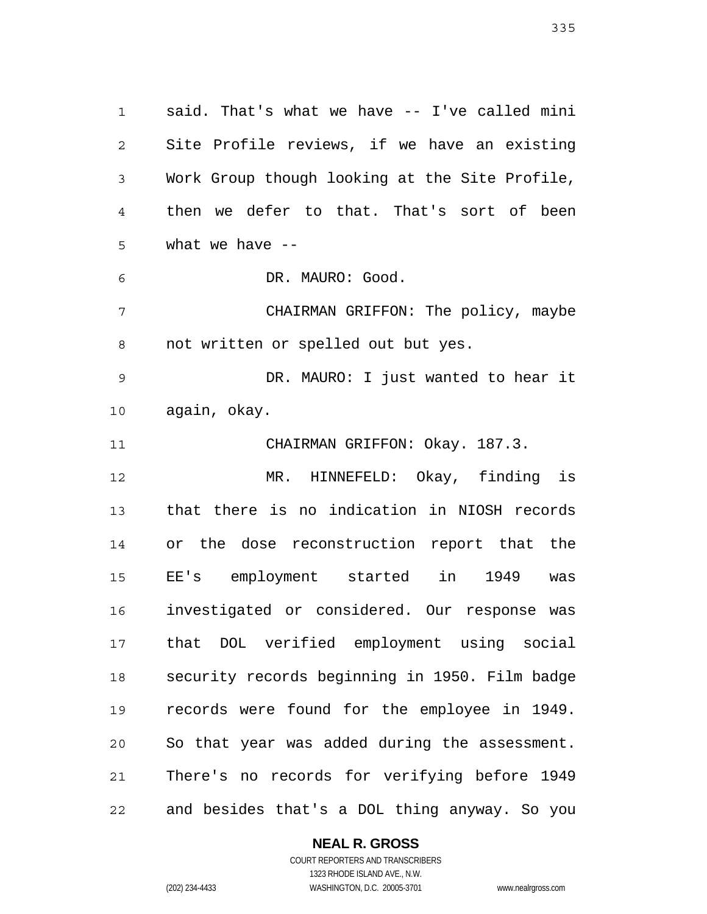said. That's what we have -- I've called mini Site Profile reviews, if we have an existing Work Group though looking at the Site Profile, then we defer to that. That's sort of been what we have -- DR. MAURO: Good. CHAIRMAN GRIFFON: The policy, maybe not written or spelled out but yes. DR. MAURO: I just wanted to hear it again, okay. 11 CHAIRMAN GRIFFON: Okay. 187.3. MR. HINNEFELD: Okay, finding is that there is no indication in NIOSH records or the dose reconstruction report that the EE's employment started in 1949 was investigated or considered. Our response was that DOL verified employment using social security records beginning in 1950. Film badge records were found for the employee in 1949. So that year was added during the assessment. There's no records for verifying before 1949 and besides that's a DOL thing anyway. So you

## **NEAL R. GROSS**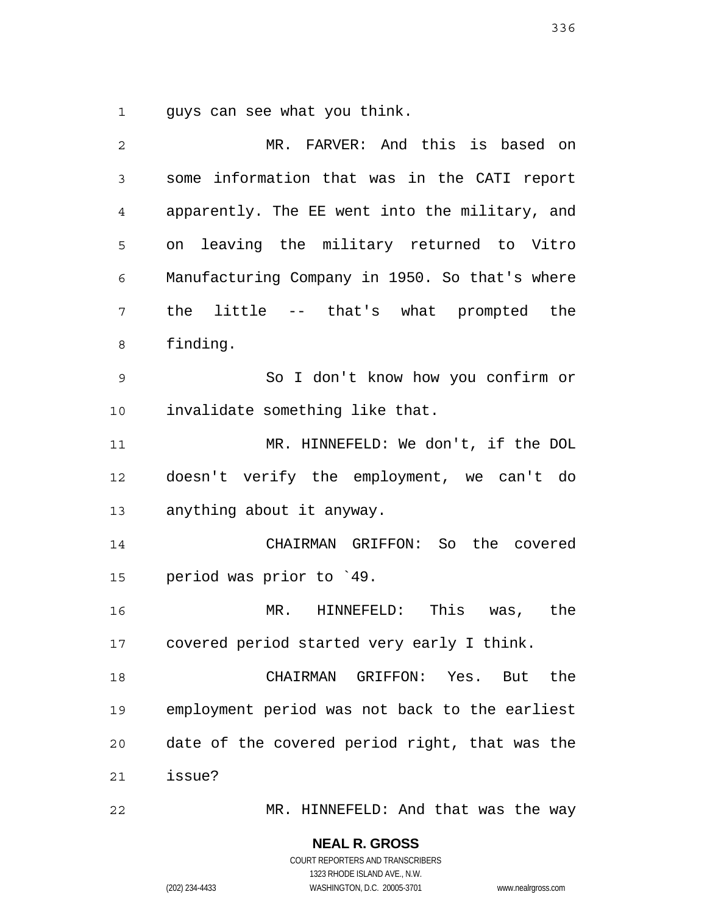guys can see what you think.

| $\overline{2}$ | MR. FARVER: And this is based on               |
|----------------|------------------------------------------------|
| $\mathsf 3$    | some information that was in the CATI report   |
| $\overline{4}$ | apparently. The EE went into the military, and |
| 5              | on leaving the military returned to Vitro      |
| 6              | Manufacturing Company in 1950. So that's where |
| 7              | the little -- that's what prompted the         |
| 8              | finding.                                       |
| 9              | So I don't know how you confirm or             |
| 10             | invalidate something like that.                |
| 11             | MR. HINNEFELD: We don't, if the DOL            |
| 12             | doesn't verify the employment, we can't do     |
| 13             | anything about it anyway.                      |
| 14             | CHAIRMAN GRIFFON: So the covered               |
| 15             | period was prior to '49.                       |
| 16             | MR. HINNEFELD: This was, the                   |
| 17             | covered period started very early I think.     |
| 18             | CHAIRMAN GRIFFON: Yes. But<br>the              |
| 19             | employment period was not back to the earliest |
| 20             | date of the covered period right, that was the |
| 21             | issue?                                         |
| 22             | MR. HINNEFELD: And that was the way            |

**NEAL R. GROSS**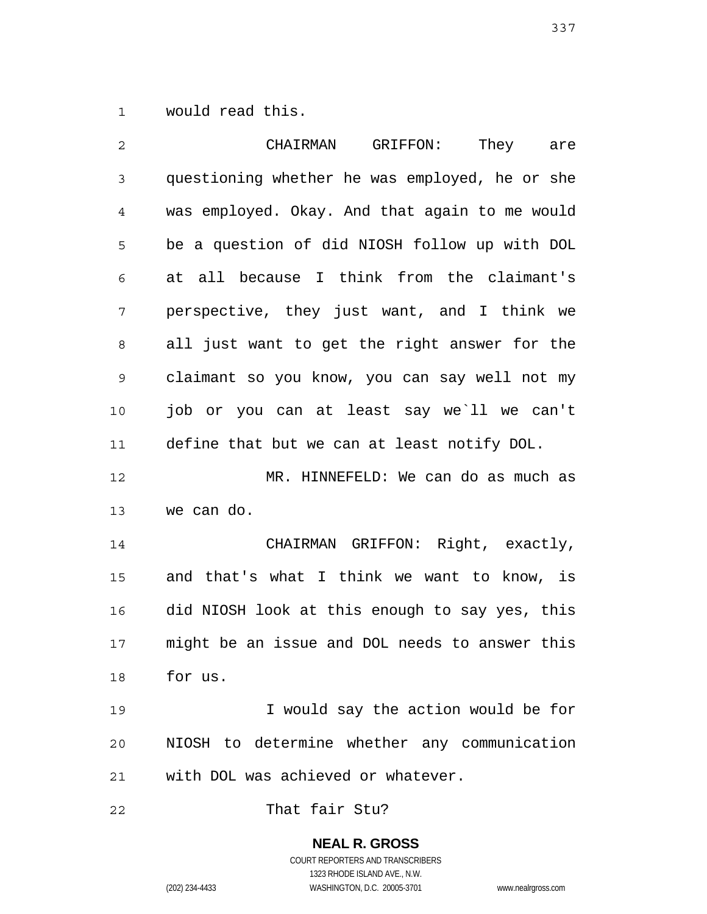would read this.

| $\overline{c}$ | CHAIRMAN<br>GRIFFON:<br>They<br>are            |
|----------------|------------------------------------------------|
| $\mathfrak{Z}$ | questioning whether he was employed, he or she |
| 4              | was employed. Okay. And that again to me would |
| 5              | be a question of did NIOSH follow up with DOL  |
| 6              | at all because I think from the claimant's     |
| 7              | perspective, they just want, and I think we    |
| 8              | all just want to get the right answer for the  |
| $\mathsf 9$    | claimant so you know, you can say well not my  |
| 10             | job or you can at least say we'll we can't     |
| 11             | define that but we can at least notify DOL.    |
| 12             | MR. HINNEFELD: We can do as much as            |
| 13             | we can do.                                     |
| 14             | CHAIRMAN GRIFFON: Right, exactly,              |
| 15             | and that's what I think we want to know, is    |
| 16             | did NIOSH look at this enough to say yes, this |
| 17             | might be an issue and DOL needs to answer this |
| 18             | for us.                                        |
| 19             | I would say the action would be for            |
| 20             | NIOSH to determine whether any communication   |
| 21             | with DOL was achieved or whatever.             |
| 22             | That fair Stu?                                 |

1323 RHODE ISLAND AVE., N.W.

(202) 234-4433 WASHINGTON, D.C. 20005-3701 www.nealrgross.com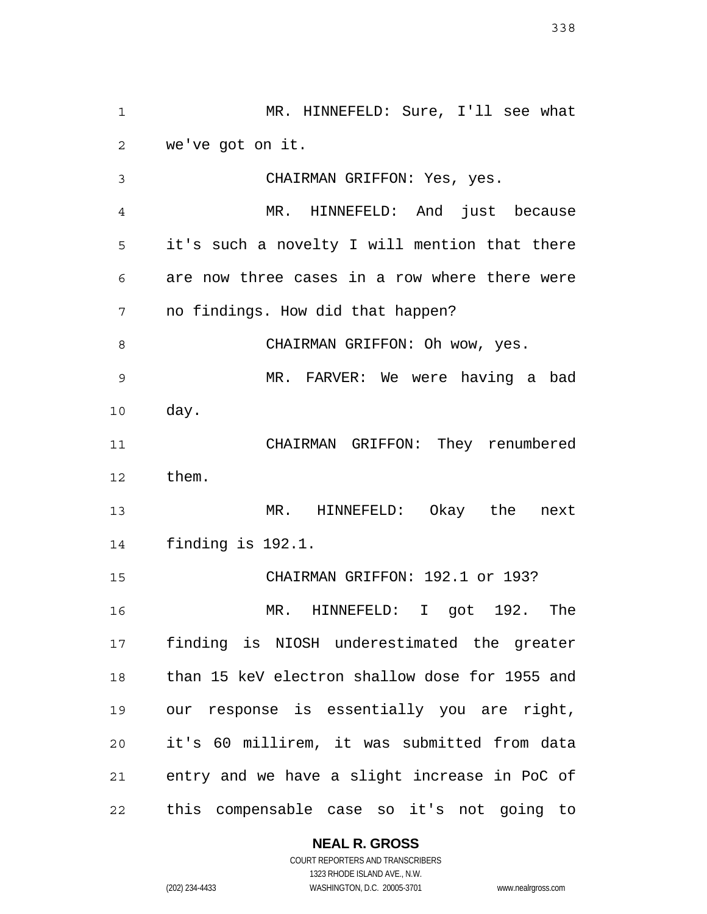1 MR. HINNEFELD: Sure, I'll see what we've got on it.

CHAIRMAN GRIFFON: Yes, yes. MR. HINNEFELD: And just because it's such a novelty I will mention that there are now three cases in a row where there were no findings. How did that happen? 8 CHAIRMAN GRIFFON: Oh wow, yes. MR. FARVER: We were having a bad day. CHAIRMAN GRIFFON: They renumbered them. MR. HINNEFELD: Okay the next finding is 192.1. CHAIRMAN GRIFFON: 192.1 or 193? MR. HINNEFELD: I got 192. The finding is NIOSH underestimated the greater than 15 keV electron shallow dose for 1955 and our response is essentially you are right, it's 60 millirem, it was submitted from data entry and we have a slight increase in PoC of this compensable case so it's not going to

**NEAL R. GROSS**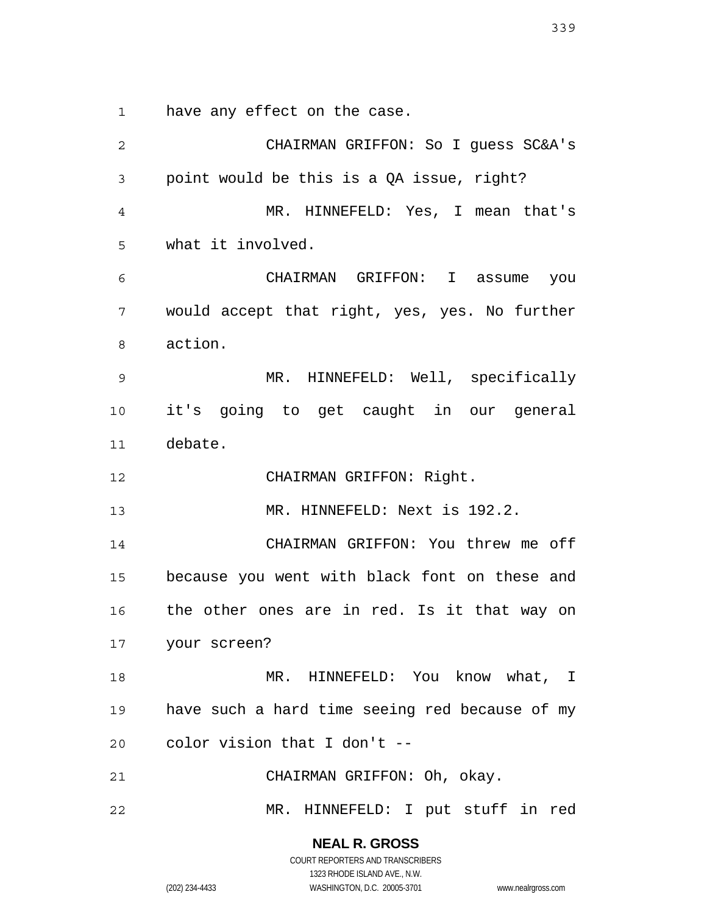have any effect on the case.

CHAIRMAN GRIFFON: So I guess SC&A's point would be this is a QA issue, right? MR. HINNEFELD: Yes, I mean that's what it involved. CHAIRMAN GRIFFON: I assume you would accept that right, yes, yes. No further action. MR. HINNEFELD: Well, specifically it's going to get caught in our general debate. CHAIRMAN GRIFFON: Right. 13 MR. HINNEFELD: Next is 192.2. CHAIRMAN GRIFFON: You threw me off because you went with black font on these and the other ones are in red. Is it that way on your screen? MR. HINNEFELD: You know what, I have such a hard time seeing red because of my color vision that I don't -- CHAIRMAN GRIFFON: Oh, okay. MR. HINNEFELD: I put stuff in red

> **NEAL R. GROSS**  COURT REPORTERS AND TRANSCRIBERS

> > 1323 RHODE ISLAND AVE., N.W.

(202) 234-4433 WASHINGTON, D.C. 20005-3701 www.nealrgross.com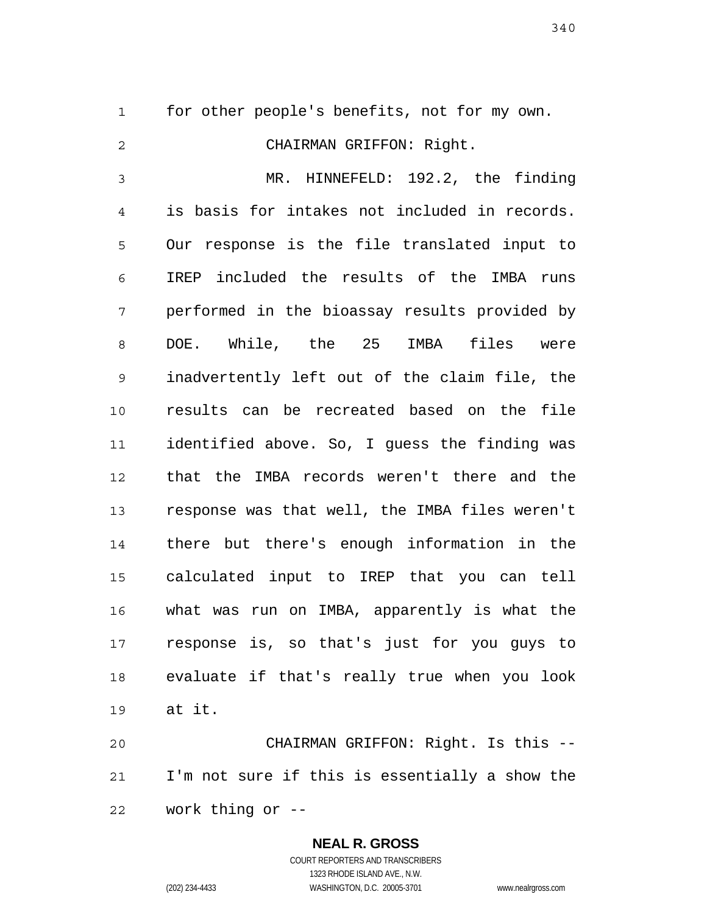for other people's benefits, not for my own.

CHAIRMAN GRIFFON: Right. MR. HINNEFELD: 192.2, the finding is basis for intakes not included in records. Our response is the file translated input to IREP included the results of the IMBA runs performed in the bioassay results provided by DOE. While, the 25 IMBA files were inadvertently left out of the claim file, the results can be recreated based on the file identified above. So, I guess the finding was that the IMBA records weren't there and the response was that well, the IMBA files weren't there but there's enough information in the calculated input to IREP that you can tell what was run on IMBA, apparently is what the response is, so that's just for you guys to evaluate if that's really true when you look at it.

CHAIRMAN GRIFFON: Right. Is this -- I'm not sure if this is essentially a show the work thing or --

> **NEAL R. GROSS**  COURT REPORTERS AND TRANSCRIBERS

> > 1323 RHODE ISLAND AVE., N.W.

(202) 234-4433 WASHINGTON, D.C. 20005-3701 www.nealrgross.com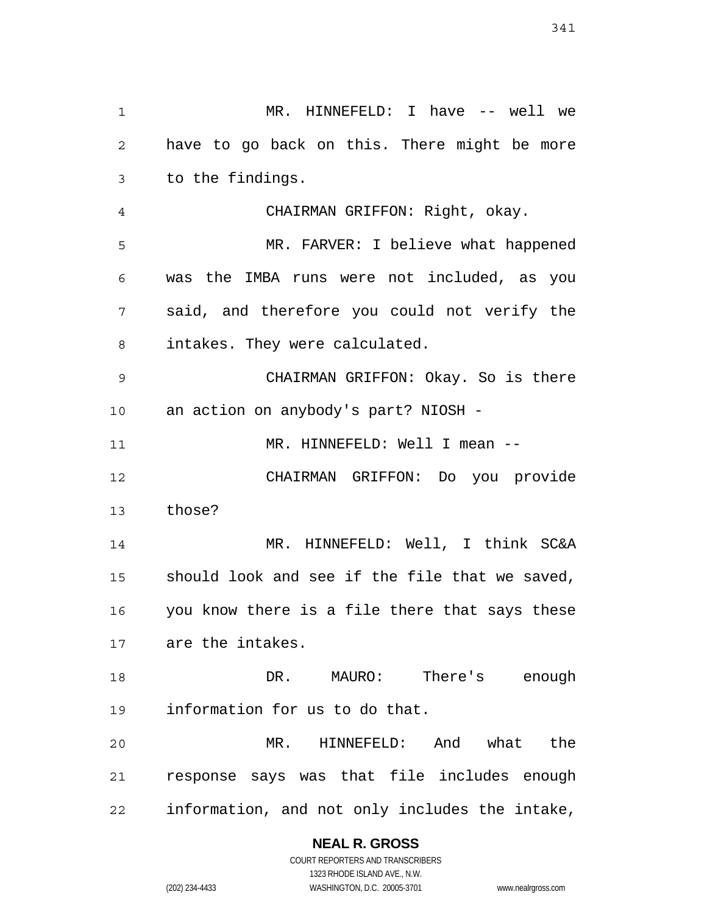1 MR. HINNEFELD: I have -- well we have to go back on this. There might be more to the findings. CHAIRMAN GRIFFON: Right, okay. MR. FARVER: I believe what happened was the IMBA runs were not included, as you said, and therefore you could not verify the intakes. They were calculated. CHAIRMAN GRIFFON: Okay. So is there an action on anybody's part? NIOSH - 11 MR. HINNEFELD: Well I mean --CHAIRMAN GRIFFON: Do you provide those? MR. HINNEFELD: Well, I think SC&A should look and see if the file that we saved, you know there is a file there that says these are the intakes. DR. MAURO: There's enough information for us to do that. MR. HINNEFELD: And what the response says was that file includes enough information, and not only includes the intake,

**NEAL R. GROSS** 

COURT REPORTERS AND TRANSCRIBERS 1323 RHODE ISLAND AVE., N.W. (202) 234-4433 WASHINGTON, D.C. 20005-3701 www.nealrgross.com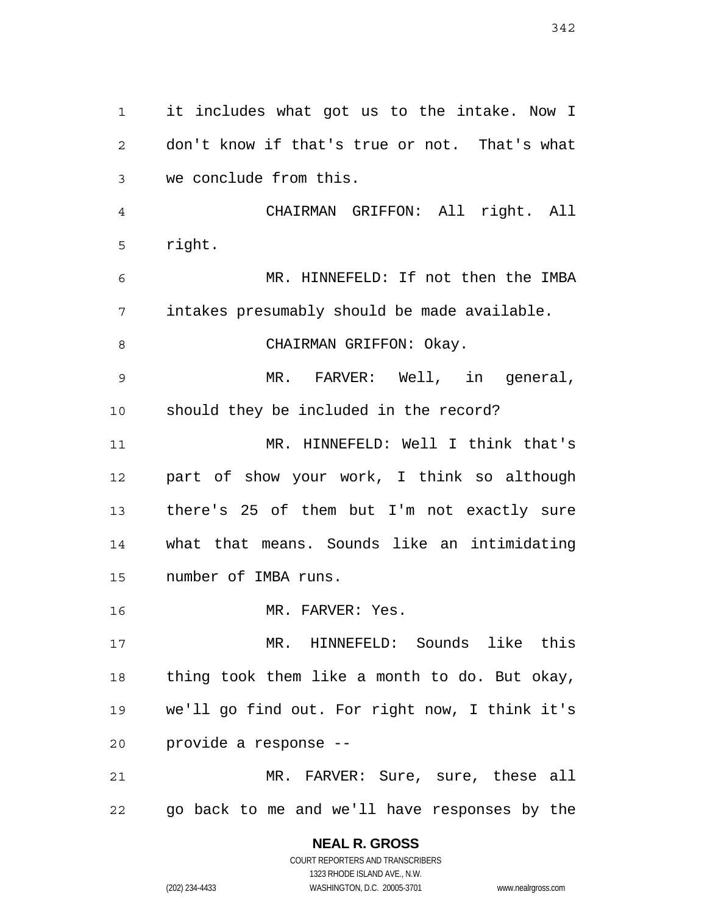it includes what got us to the intake. Now I don't know if that's true or not. That's what we conclude from this. CHAIRMAN GRIFFON: All right. All right. MR. HINNEFELD: If not then the IMBA intakes presumably should be made available. 8 CHAIRMAN GRIFFON: Okay. MR. FARVER: Well, in general, should they be included in the record? MR. HINNEFELD: Well I think that's part of show your work, I think so although there's 25 of them but I'm not exactly sure what that means. Sounds like an intimidating number of IMBA runs. 16 MR. FARVER: Yes. MR. HINNEFELD: Sounds like this thing took them like a month to do. But okay, we'll go find out. For right now, I think it's provide a response -- MR. FARVER: Sure, sure, these all go back to me and we'll have responses by the

COURT REPORTERS AND TRANSCRIBERS 1323 RHODE ISLAND AVE., N.W. (202) 234-4433 WASHINGTON, D.C. 20005-3701 www.nealrgross.com

**NEAL R. GROSS**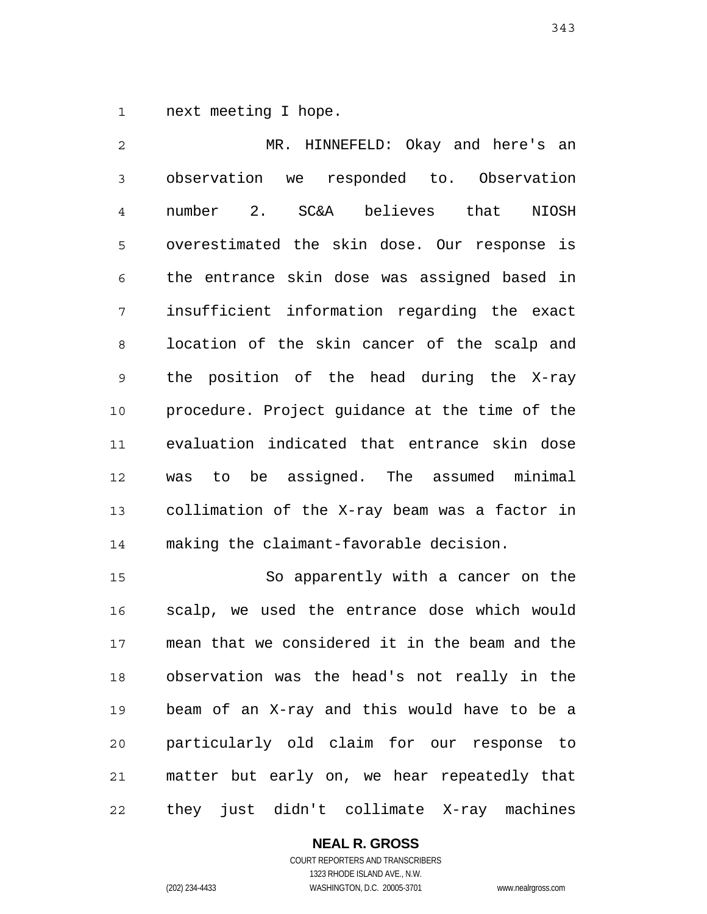next meeting I hope.

MR. HINNEFELD: Okay and here's an observation we responded to. Observation number 2. SC&A believes that NIOSH overestimated the skin dose. Our response is the entrance skin dose was assigned based in insufficient information regarding the exact location of the skin cancer of the scalp and the position of the head during the X-ray procedure. Project guidance at the time of the evaluation indicated that entrance skin dose was to be assigned. The assumed minimal collimation of the X-ray beam was a factor in making the claimant-favorable decision.

So apparently with a cancer on the scalp, we used the entrance dose which would mean that we considered it in the beam and the observation was the head's not really in the beam of an X-ray and this would have to be a particularly old claim for our response to matter but early on, we hear repeatedly that they just didn't collimate X-ray machines

**NEAL R. GROSS**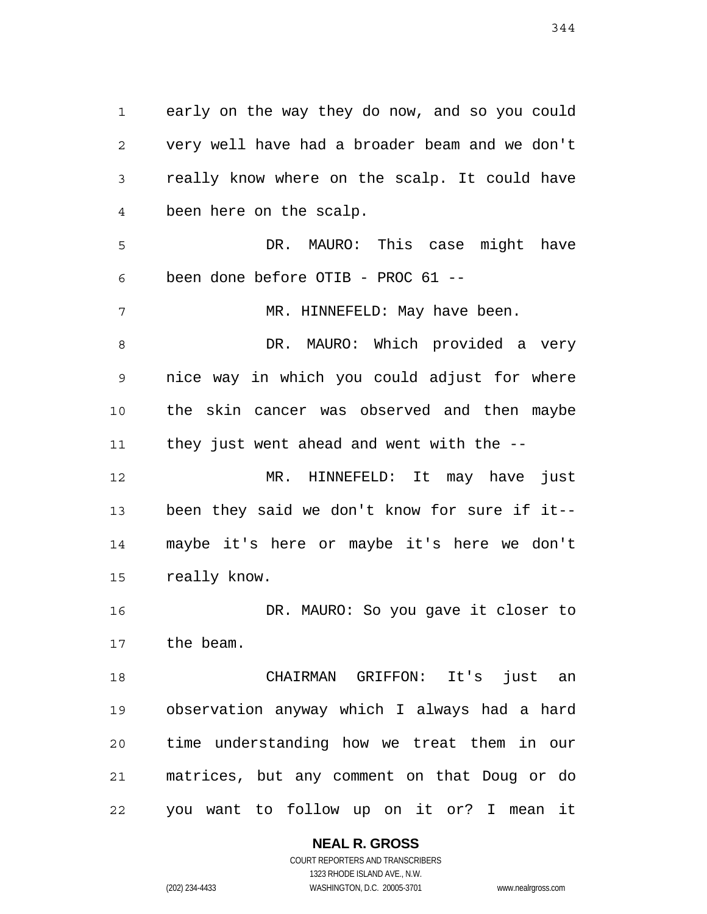early on the way they do now, and so you could very well have had a broader beam and we don't really know where on the scalp. It could have been here on the scalp. DR. MAURO: This case might have been done before OTIB - PROC 61 -- 7 MR. HINNEFELD: May have been. DR. MAURO: Which provided a very nice way in which you could adjust for where the skin cancer was observed and then maybe they just went ahead and went with the -- MR. HINNEFELD: It may have just been they said we don't know for sure if it-- maybe it's here or maybe it's here we don't really know. DR. MAURO: So you gave it closer to the beam. CHAIRMAN GRIFFON: It's just an observation anyway which I always had a hard time understanding how we treat them in our matrices, but any comment on that Doug or do you want to follow up on it or? I mean it

**NEAL R. GROSS** 

COURT REPORTERS AND TRANSCRIBERS 1323 RHODE ISLAND AVE., N.W. (202) 234-4433 WASHINGTON, D.C. 20005-3701 www.nealrgross.com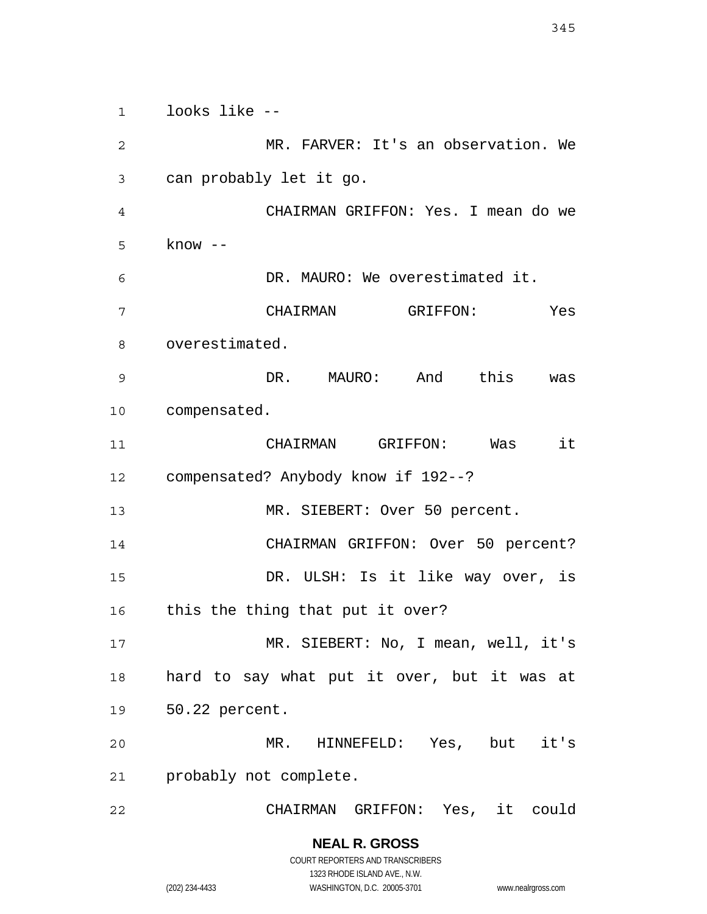looks like -- MR. FARVER: It's an observation. We can probably let it go. CHAIRMAN GRIFFON: Yes. I mean do we know -- DR. MAURO: We overestimated it. CHAIRMAN GRIFFON: Yes overestimated. DR. MAURO: And this was compensated. CHAIRMAN GRIFFON: Was it compensated? Anybody know if 192--? 13 MR. SIEBERT: Over 50 percent. CHAIRMAN GRIFFON: Over 50 percent? DR. ULSH: Is it like way over, is this the thing that put it over? MR. SIEBERT: No, I mean, well, it's hard to say what put it over, but it was at 50.22 percent. MR. HINNEFELD: Yes, but it's probably not complete. CHAIRMAN GRIFFON: Yes, it could

> **NEAL R. GROSS**  COURT REPORTERS AND TRANSCRIBERS 1323 RHODE ISLAND AVE., N.W. (202) 234-4433 WASHINGTON, D.C. 20005-3701 www.nealrgross.com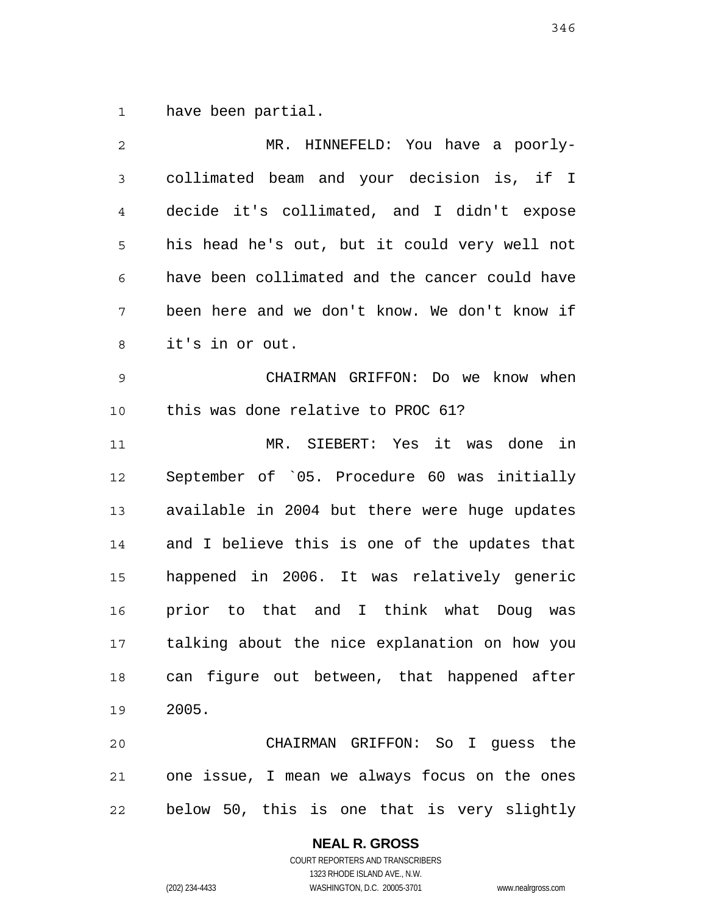have been partial.

| $\overline{2}$ | MR. HINNEFELD: You have a poorly-              |
|----------------|------------------------------------------------|
| 3              | collimated beam and your decision is, if I     |
| $\overline{4}$ | decide it's collimated, and I didn't expose    |
| 5              | his head he's out, but it could very well not  |
| 6              | have been collimated and the cancer could have |
| 7              | been here and we don't know. We don't know if  |
| 8              | it's in or out.                                |
| $\mathsf 9$    | CHAIRMAN GRIFFON: Do we know when              |
| 10             | this was done relative to PROC 61?             |
| 11             | MR. SIEBERT: Yes it was done<br>in             |
| 12             | September of `05. Procedure 60 was initially   |
| 13             | available in 2004 but there were huge updates  |
| 14             | and I believe this is one of the updates that  |
| 15             | happened in 2006. It was relatively generic    |
| 16             | prior to that and I think what Doug<br>was     |
| 17             | talking about the nice explanation on how you  |
| 18             | can figure out between, that happened after    |
| 19             | 2005.                                          |
| 20             | CHAIRMAN GRIFFON: So I guess the               |
| 21             | one issue, I mean we always focus on the ones  |
| 22             | below 50, this is one that is very slightly    |

**NEAL R. GROSS**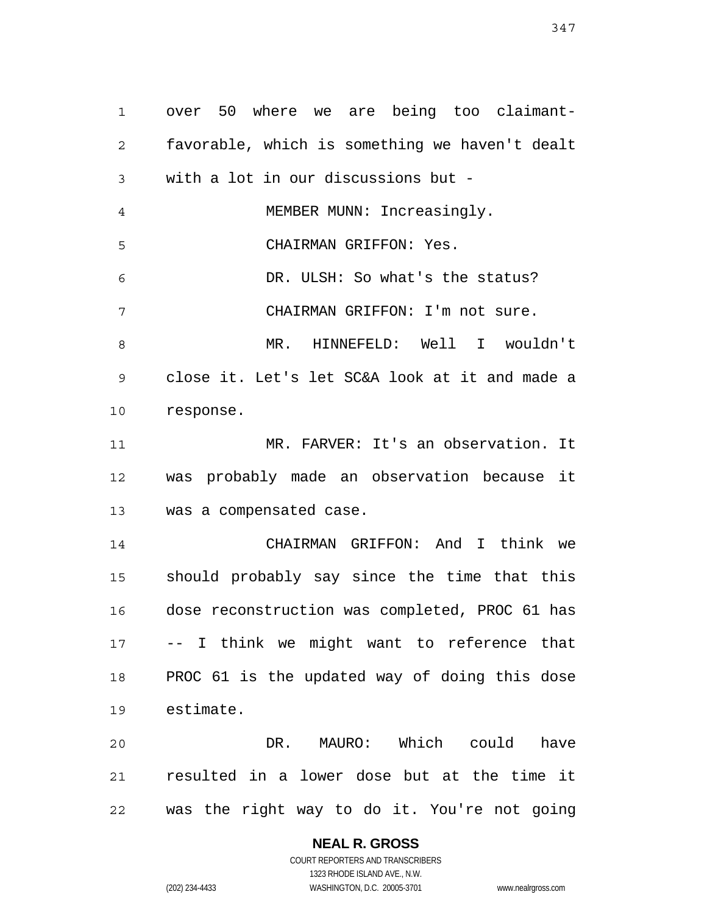over 50 where we are being too claimant-favorable, which is something we haven't dealt with a lot in our discussions but - MEMBER MUNN: Increasingly. CHAIRMAN GRIFFON: Yes. DR. ULSH: So what's the status? CHAIRMAN GRIFFON: I'm not sure. MR. HINNEFELD: Well I wouldn't close it. Let's let SC&A look at it and made a response. MR. FARVER: It's an observation. It was probably made an observation because it was a compensated case. CHAIRMAN GRIFFON: And I think we should probably say since the time that this dose reconstruction was completed, PROC 61 has -- I think we might want to reference that PROC 61 is the updated way of doing this dose estimate. DR. MAURO: Which could have resulted in a lower dose but at the time it was the right way to do it. You're not going

> **NEAL R. GROSS**  COURT REPORTERS AND TRANSCRIBERS 1323 RHODE ISLAND AVE., N.W.

(202) 234-4433 WASHINGTON, D.C. 20005-3701 www.nealrgross.com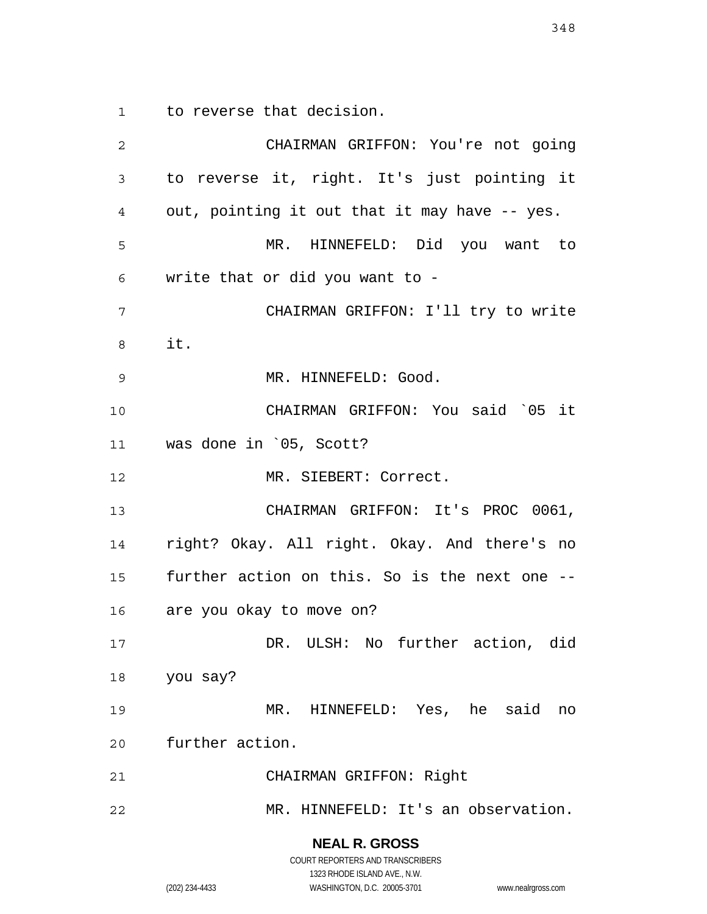to reverse that decision.

CHAIRMAN GRIFFON: You're not going to reverse it, right. It's just pointing it out, pointing it out that it may have -- yes. MR. HINNEFELD: Did you want to write that or did you want to - CHAIRMAN GRIFFON: I'll try to write it. MR. HINNEFELD: Good. CHAIRMAN GRIFFON: You said `05 it was done in `05, Scott? MR. SIEBERT: Correct. CHAIRMAN GRIFFON: It's PROC 0061, right? Okay. All right. Okay. And there's no further action on this. So is the next one -- are you okay to move on? DR. ULSH: No further action, did you say? MR. HINNEFELD: Yes, he said no further action. CHAIRMAN GRIFFON: Right MR. HINNEFELD: It's an observation.

> **NEAL R. GROSS**  COURT REPORTERS AND TRANSCRIBERS

1323 RHODE ISLAND AVE., N.W. (202) 234-4433 WASHINGTON, D.C. 20005-3701 www.nealrgross.com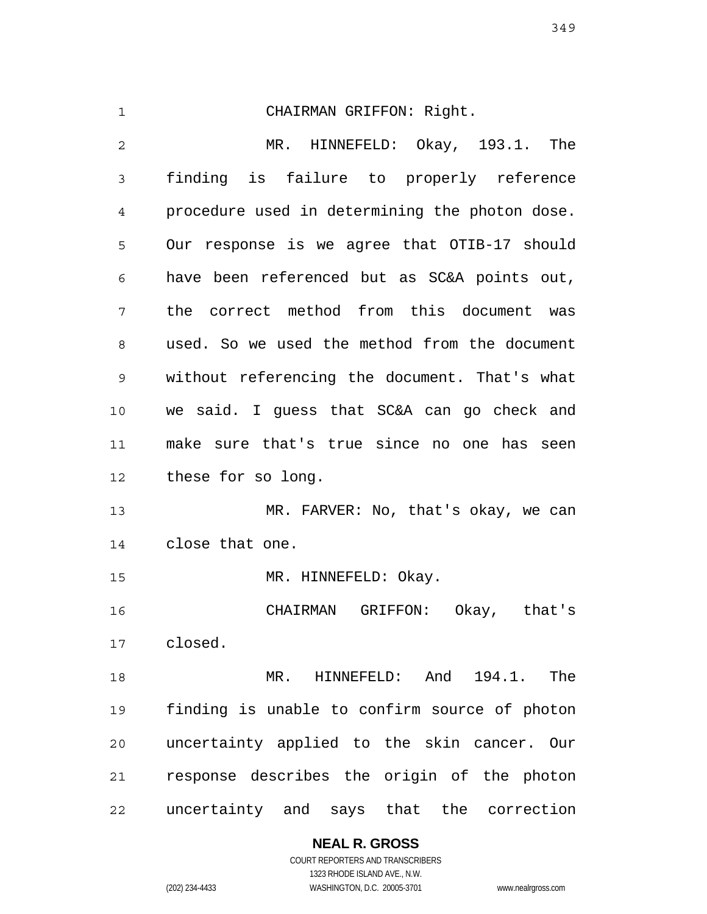CHAIRMAN GRIFFON: Right. MR. HINNEFELD: Okay, 193.1. The finding is failure to properly reference procedure used in determining the photon dose. Our response is we agree that OTIB-17 should have been referenced but as SC&A points out, the correct method from this document was used. So we used the method from the document without referencing the document. That's what we said. I guess that SC&A can go check and make sure that's true since no one has seen these for so long. MR. FARVER: No, that's okay, we can close that one. 15 MR. HINNEFELD: Okay. CHAIRMAN GRIFFON: Okay, that's closed. MR. HINNEFELD: And 194.1. The finding is unable to confirm source of photon uncertainty applied to the skin cancer. Our response describes the origin of the photon uncertainty and says that the correction

> **NEAL R. GROSS**  COURT REPORTERS AND TRANSCRIBERS

1323 RHODE ISLAND AVE., N.W. (202) 234-4433 WASHINGTON, D.C. 20005-3701 www.nealrgross.com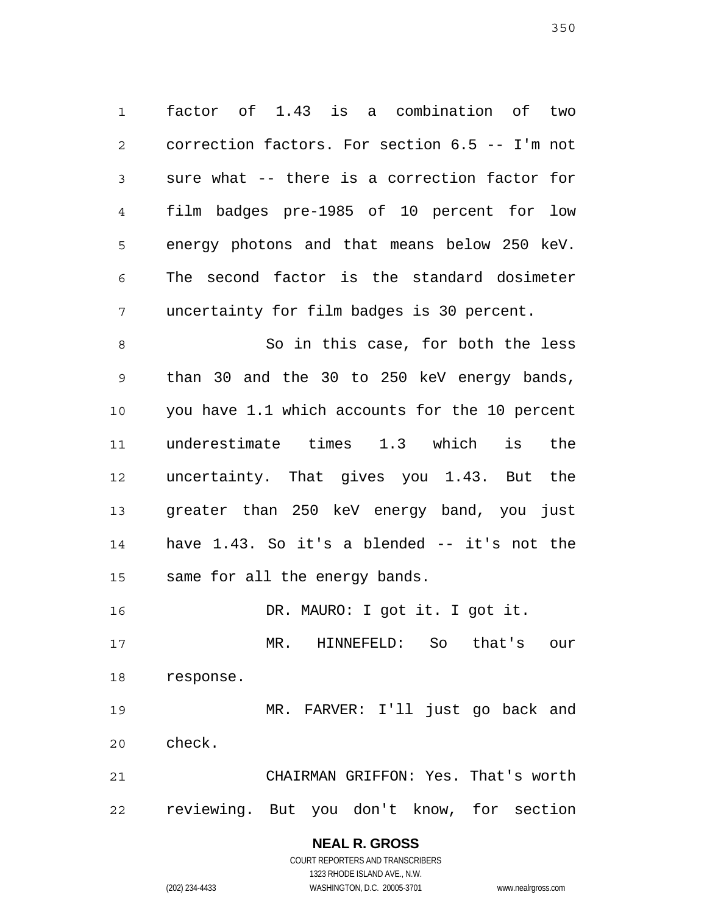factor of 1.43 is a combination of two correction factors. For section 6.5 -- I'm not sure what -- there is a correction factor for film badges pre-1985 of 10 percent for low energy photons and that means below 250 keV. The second factor is the standard dosimeter uncertainty for film badges is 30 percent.

So in this case, for both the less than 30 and the 30 to 250 keV energy bands, you have 1.1 which accounts for the 10 percent underestimate times 1.3 which is the uncertainty. That gives you 1.43. But the greater than 250 keV energy band, you just have 1.43. So it's a blended -- it's not the same for all the energy bands.

DR. MAURO: I got it. I got it.

MR. HINNEFELD: So that's our response.

MR. FARVER: I'll just go back and check.

CHAIRMAN GRIFFON: Yes. That's worth reviewing. But you don't know, for section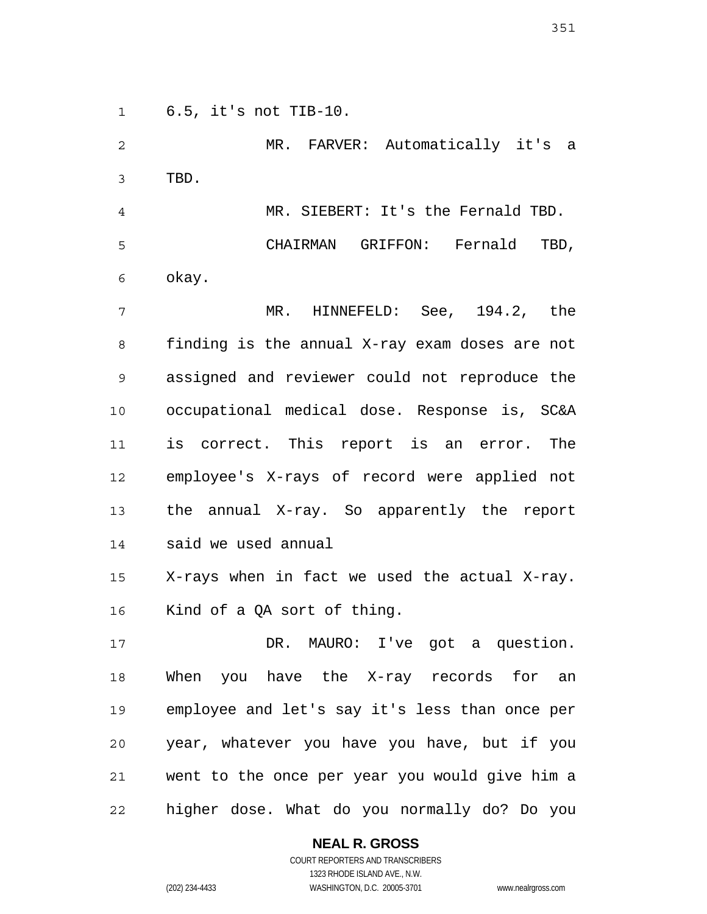6.5, it's not TIB-10.

MR. FARVER: Automatically it's a TBD. MR. SIEBERT: It's the Fernald TBD. CHAIRMAN GRIFFON: Fernald TBD, okay. MR. HINNEFELD: See, 194.2, the finding is the annual X-ray exam doses are not assigned and reviewer could not reproduce the occupational medical dose. Response is, SC&A is correct. This report is an error. The employee's X-rays of record were applied not the annual X-ray. So apparently the report said we used annual X-rays when in fact we used the actual X-ray. Kind of a QA sort of thing. DR. MAURO: I've got a question. When you have the X-ray records for an employee and let's say it's less than once per year, whatever you have you have, but if you went to the once per year you would give him a higher dose. What do you normally do? Do you

**NEAL R. GROSS**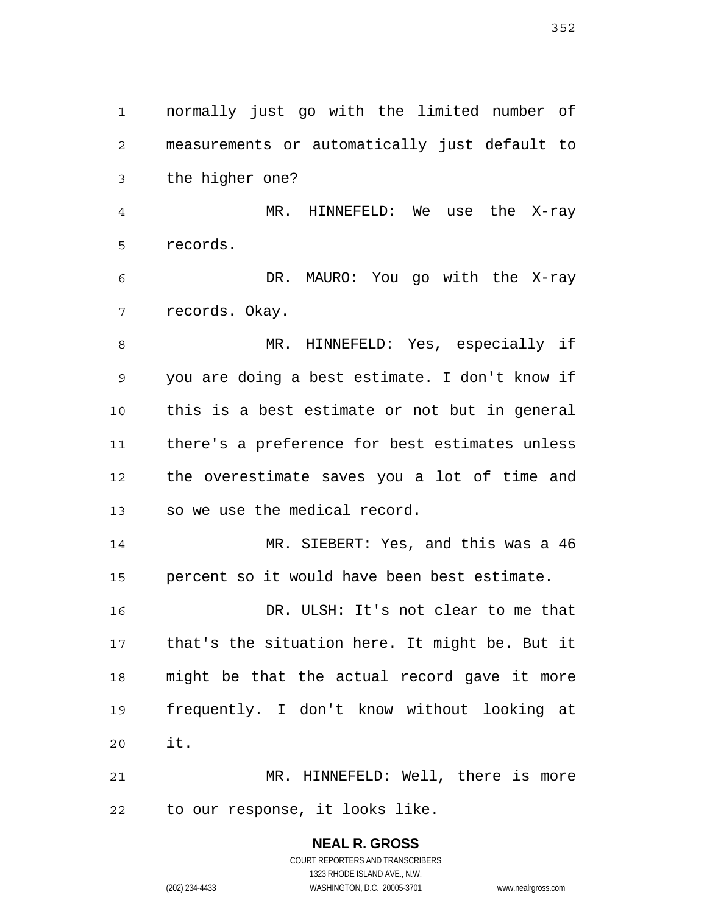normally just go with the limited number of measurements or automatically just default to the higher one?

MR. HINNEFELD: We use the X-ray records.

DR. MAURO: You go with the X-ray records. Okay.

MR. HINNEFELD: Yes, especially if you are doing a best estimate. I don't know if this is a best estimate or not but in general there's a preference for best estimates unless the overestimate saves you a lot of time and so we use the medical record.

MR. SIEBERT: Yes, and this was a 46 percent so it would have been best estimate.

DR. ULSH: It's not clear to me that that's the situation here. It might be. But it might be that the actual record gave it more frequently. I don't know without looking at it.

MR. HINNEFELD: Well, there is more to our response, it looks like.

> **NEAL R. GROSS**  COURT REPORTERS AND TRANSCRIBERS 1323 RHODE ISLAND AVE., N.W. (202) 234-4433 WASHINGTON, D.C. 20005-3701 www.nealrgross.com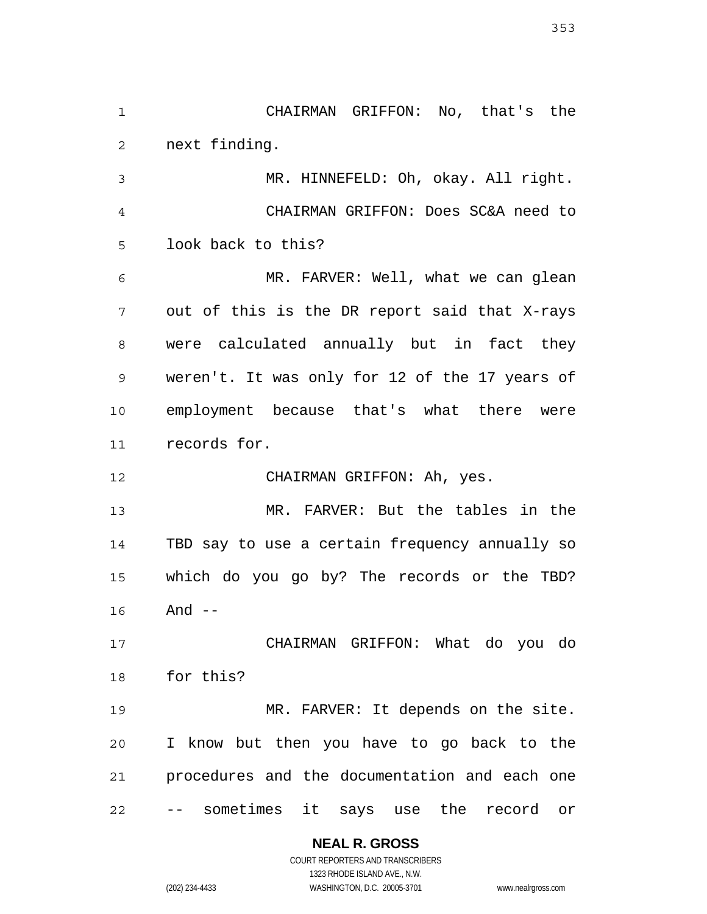next finding. MR. HINNEFELD: Oh, okay. All right. CHAIRMAN GRIFFON: Does SC&A need to look back to this? MR. FARVER: Well, what we can glean out of this is the DR report said that X-rays were calculated annually but in fact they weren't. It was only for 12 of the 17 years of employment because that's what there were records for. CHAIRMAN GRIFFON: Ah, yes.

CHAIRMAN GRIFFON: No, that's the

MR. FARVER: But the tables in the TBD say to use a certain frequency annually so which do you go by? The records or the TBD? And --

CHAIRMAN GRIFFON: What do you do for this?

MR. FARVER: It depends on the site. I know but then you have to go back to the procedures and the documentation and each one -- sometimes it says use the record or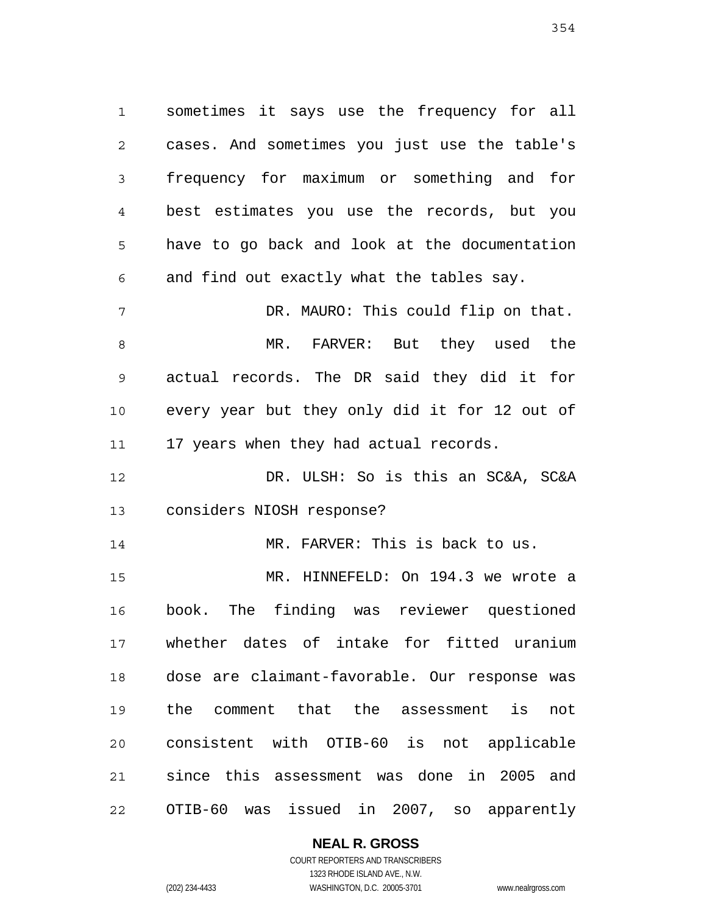sometimes it says use the frequency for all cases. And sometimes you just use the table's frequency for maximum or something and for best estimates you use the records, but you have to go back and look at the documentation and find out exactly what the tables say.

DR. MAURO: This could flip on that. MR. FARVER: But they used the actual records. The DR said they did it for every year but they only did it for 12 out of 11 17 years when they had actual records.

DR. ULSH: So is this an SC&A, SC&A considers NIOSH response?

14 MR. FARVER: This is back to us. MR. HINNEFELD: On 194.3 we wrote a book. The finding was reviewer questioned whether dates of intake for fitted uranium dose are claimant-favorable. Our response was the comment that the assessment is not consistent with OTIB-60 is not applicable since this assessment was done in 2005 and OTIB-60 was issued in 2007, so apparently

**NEAL R. GROSS**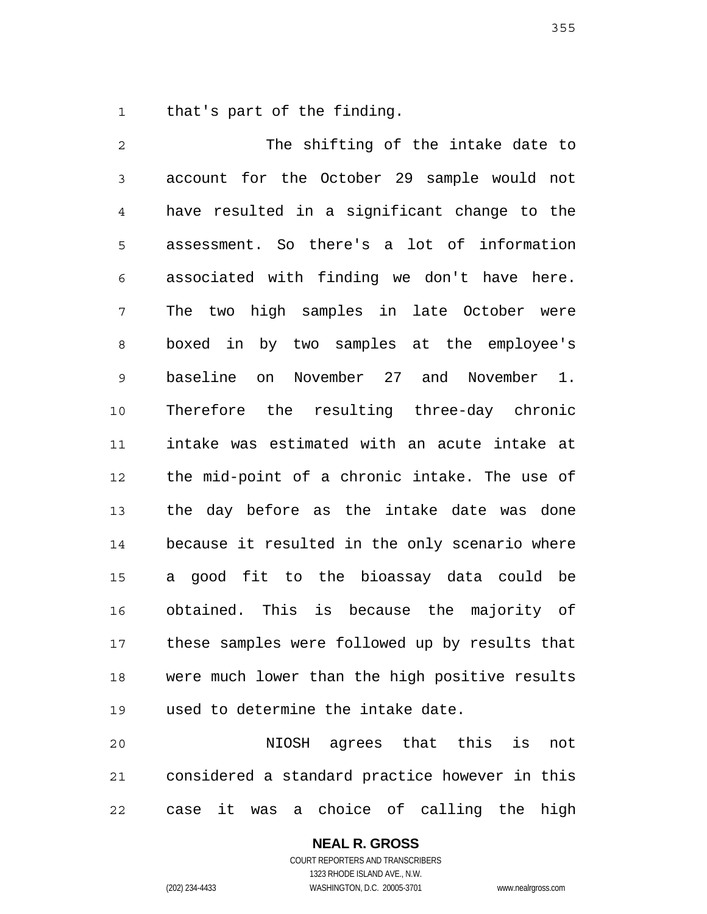that's part of the finding.

The shifting of the intake date to account for the October 29 sample would not have resulted in a significant change to the assessment. So there's a lot of information associated with finding we don't have here. The two high samples in late October were boxed in by two samples at the employee's baseline on November 27 and November 1. Therefore the resulting three-day chronic intake was estimated with an acute intake at the mid-point of a chronic intake. The use of the day before as the intake date was done because it resulted in the only scenario where a good fit to the bioassay data could be obtained. This is because the majority of these samples were followed up by results that were much lower than the high positive results used to determine the intake date.

NIOSH agrees that this is not considered a standard practice however in this case it was a choice of calling the high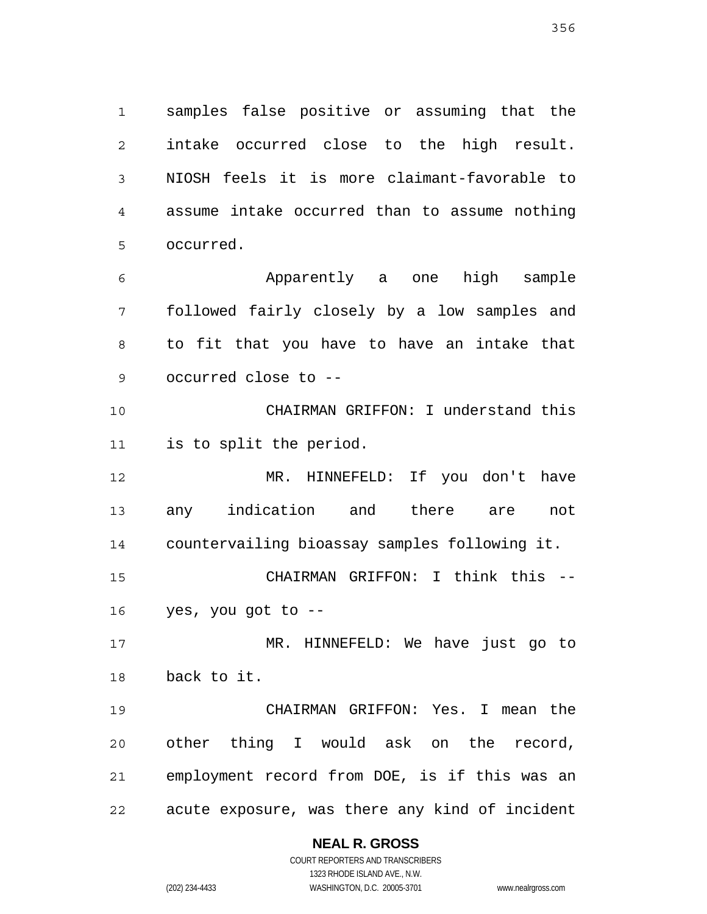samples false positive or assuming that the intake occurred close to the high result. NIOSH feels it is more claimant-favorable to assume intake occurred than to assume nothing occurred.

Apparently a one high sample followed fairly closely by a low samples and to fit that you have to have an intake that occurred close to --

CHAIRMAN GRIFFON: I understand this is to split the period.

MR. HINNEFELD: If you don't have any indication and there are not countervailing bioassay samples following it.

CHAIRMAN GRIFFON: I think this -- yes, you got to --

MR. HINNEFELD: We have just go to back to it.

CHAIRMAN GRIFFON: Yes. I mean the other thing I would ask on the record, employment record from DOE, is if this was an acute exposure, was there any kind of incident

> **NEAL R. GROSS**  COURT REPORTERS AND TRANSCRIBERS

1323 RHODE ISLAND AVE., N.W. (202) 234-4433 WASHINGTON, D.C. 20005-3701 www.nealrgross.com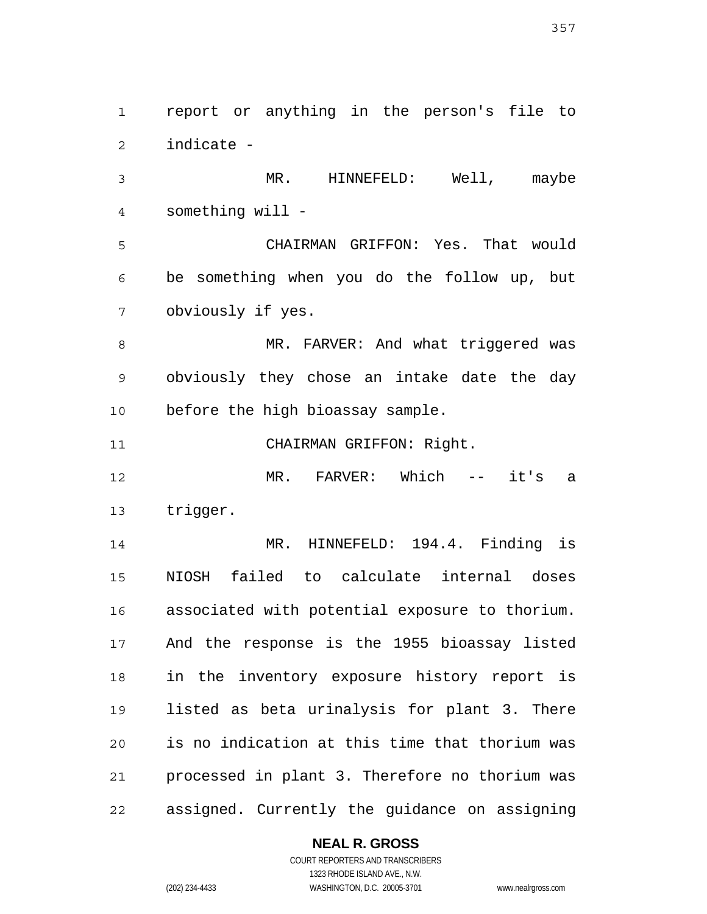report or anything in the person's file to indicate -

MR. HINNEFELD: Well, maybe something will -

CHAIRMAN GRIFFON: Yes. That would be something when you do the follow up, but obviously if yes.

MR. FARVER: And what triggered was obviously they chose an intake date the day before the high bioassay sample.

11 CHAIRMAN GRIFFON: Right.

MR. FARVER: Which -- it's a trigger.

MR. HINNEFELD: 194.4. Finding is NIOSH failed to calculate internal doses associated with potential exposure to thorium. And the response is the 1955 bioassay listed in the inventory exposure history report is listed as beta urinalysis for plant 3. There is no indication at this time that thorium was processed in plant 3. Therefore no thorium was assigned. Currently the guidance on assigning

## **NEAL R. GROSS**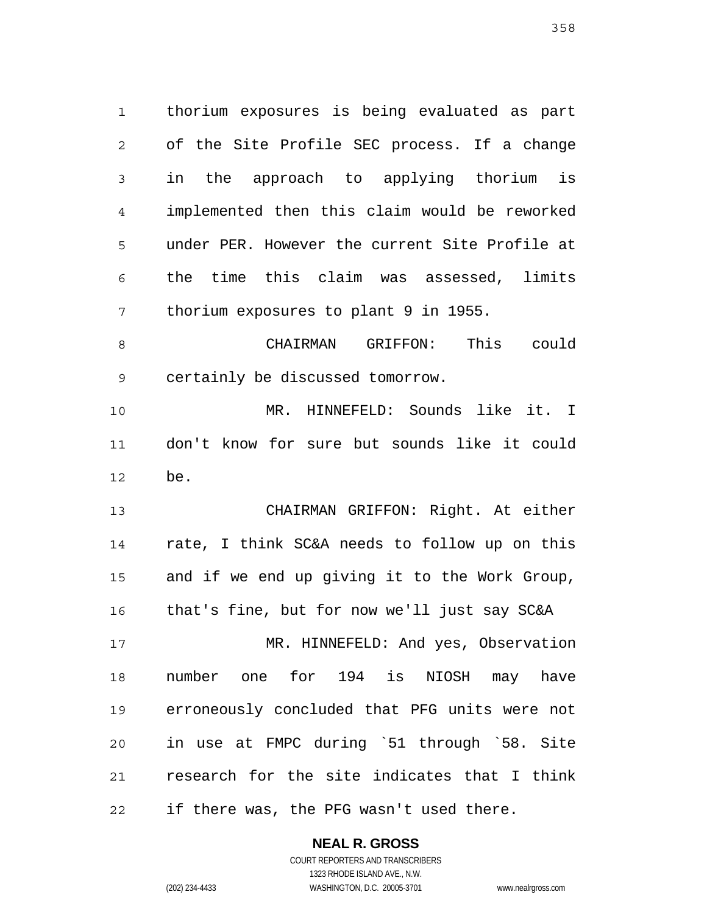thorium exposures is being evaluated as part of the Site Profile SEC process. If a change in the approach to applying thorium is implemented then this claim would be reworked under PER. However the current Site Profile at the time this claim was assessed, limits thorium exposures to plant 9 in 1955. CHAIRMAN GRIFFON: This could

certainly be discussed tomorrow.

MR. HINNEFELD: Sounds like it. I don't know for sure but sounds like it could be.

CHAIRMAN GRIFFON: Right. At either rate, I think SC&A needs to follow up on this and if we end up giving it to the Work Group, that's fine, but for now we'll just say SC&A 17 MR. HINNEFELD: And yes, Observation number one for 194 is NIOSH may have erroneously concluded that PFG units were not in use at FMPC during `51 through `58. Site research for the site indicates that I think if there was, the PFG wasn't used there.

> COURT REPORTERS AND TRANSCRIBERS 1323 RHODE ISLAND AVE., N.W. (202) 234-4433 WASHINGTON, D.C. 20005-3701 www.nealrgross.com

**NEAL R. GROSS**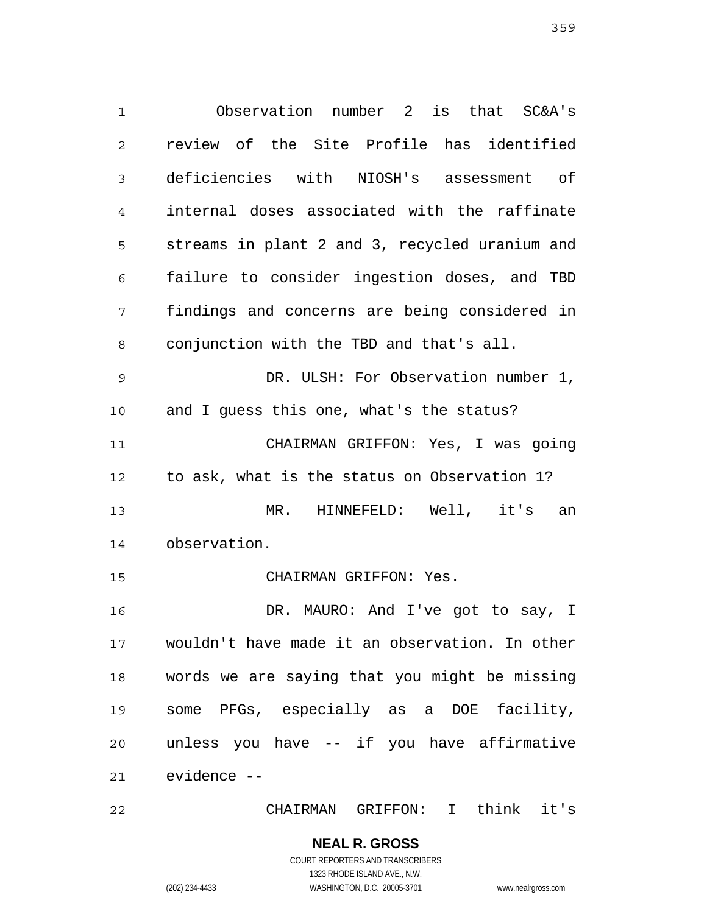Observation number 2 is that SC&A's review of the Site Profile has identified deficiencies with NIOSH's assessment of internal doses associated with the raffinate streams in plant 2 and 3, recycled uranium and failure to consider ingestion doses, and TBD findings and concerns are being considered in conjunction with the TBD and that's all. DR. ULSH: For Observation number 1, and I guess this one, what's the status? CHAIRMAN GRIFFON: Yes, I was going to ask, what is the status on Observation 1? MR. HINNEFELD: Well, it's an observation. CHAIRMAN GRIFFON: Yes. DR. MAURO: And I've got to say, I wouldn't have made it an observation. In other words we are saying that you might be missing some PFGs, especially as a DOE facility, unless you have -- if you have affirmative evidence --

CHAIRMAN GRIFFON: I think it's

**NEAL R. GROSS**  COURT REPORTERS AND TRANSCRIBERS 1323 RHODE ISLAND AVE., N.W.

(202) 234-4433 WASHINGTON, D.C. 20005-3701 www.nealrgross.com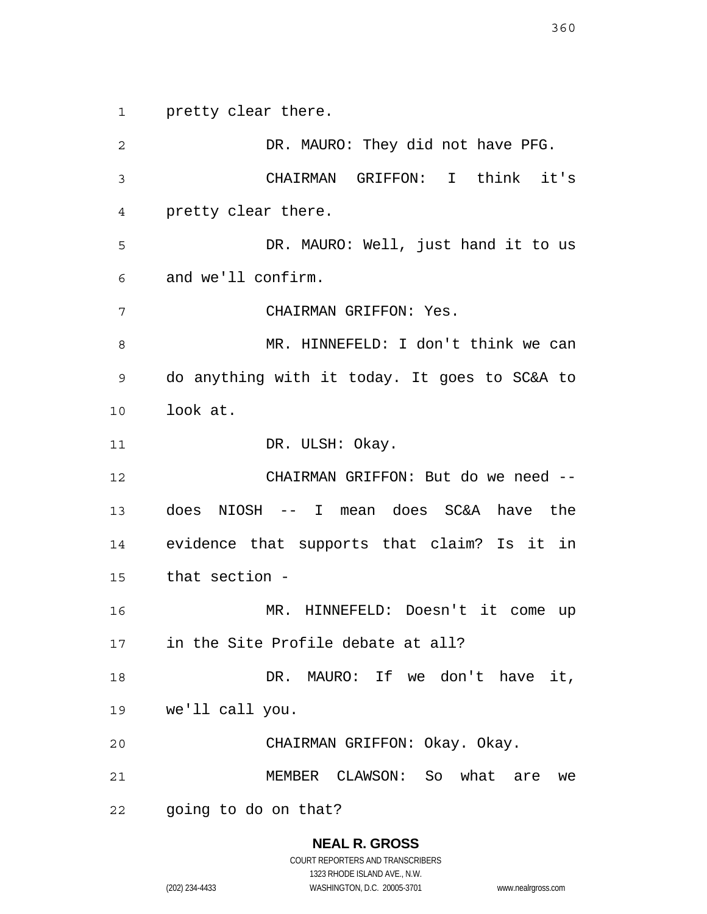pretty clear there.

DR. MAURO: They did not have PFG. CHAIRMAN GRIFFON: I think it's pretty clear there. DR. MAURO: Well, just hand it to us and we'll confirm. CHAIRMAN GRIFFON: Yes. MR. HINNEFELD: I don't think we can do anything with it today. It goes to SC&A to look at. 11 DR. ULSH: Okay. CHAIRMAN GRIFFON: But do we need -- does NIOSH -- I mean does SC&A have the evidence that supports that claim? Is it in that section - MR. HINNEFELD: Doesn't it come up in the Site Profile debate at all? DR. MAURO: If we don't have it, we'll call you. CHAIRMAN GRIFFON: Okay. Okay. MEMBER CLAWSON: So what are we going to do on that?

## **NEAL R. GROSS**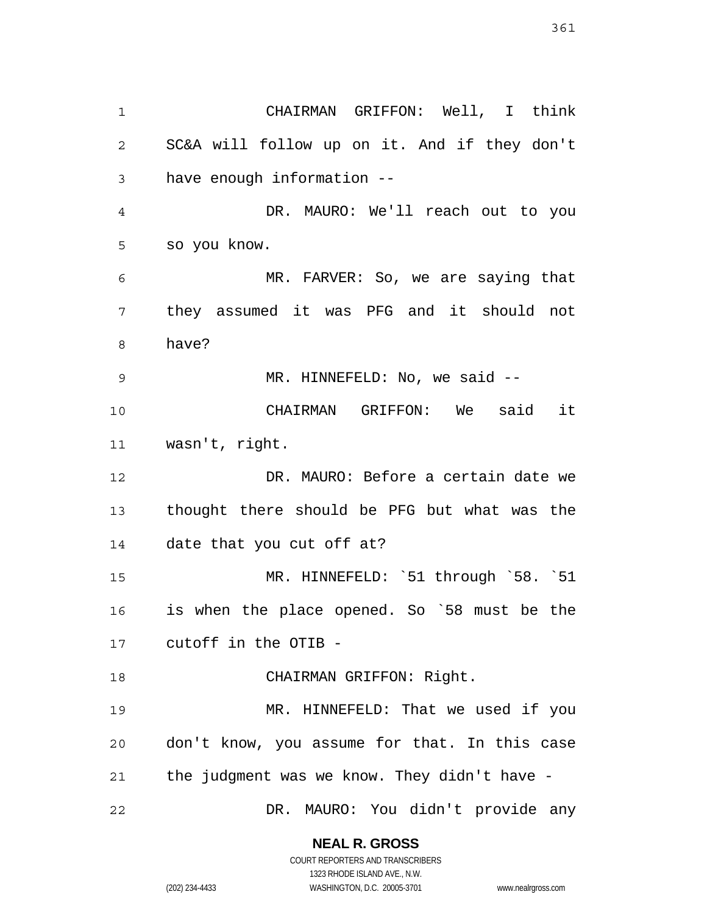CHAIRMAN GRIFFON: Well, I think SC&A will follow up on it. And if they don't have enough information -- DR. MAURO: We'll reach out to you so you know. MR. FARVER: So, we are saying that they assumed it was PFG and it should not have? MR. HINNEFELD: No, we said -- CHAIRMAN GRIFFON: We said it wasn't, right. DR. MAURO: Before a certain date we thought there should be PFG but what was the date that you cut off at? MR. HINNEFELD: `51 through `58. `51 is when the place opened. So `58 must be the cutoff in the OTIB - 18 CHAIRMAN GRIFFON: Right. MR. HINNEFELD: That we used if you don't know, you assume for that. In this case the judgment was we know. They didn't have - DR. MAURO: You didn't provide any

> **NEAL R. GROSS**  COURT REPORTERS AND TRANSCRIBERS

1323 RHODE ISLAND AVE., N.W. (202) 234-4433 WASHINGTON, D.C. 20005-3701 www.nealrgross.com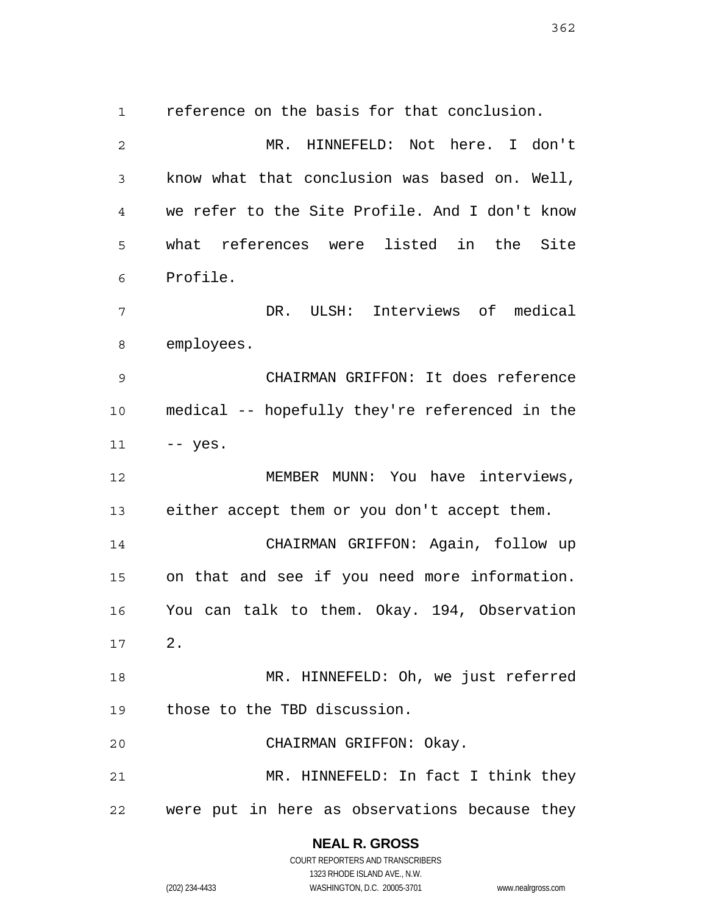reference on the basis for that conclusion.

MR. HINNEFELD: Not here. I don't know what that conclusion was based on. Well, we refer to the Site Profile. And I don't know what references were listed in the Site Profile. DR. ULSH: Interviews of medical employees. CHAIRMAN GRIFFON: It does reference medical -- hopefully they're referenced in the -- yes. MEMBER MUNN: You have interviews, either accept them or you don't accept them. CHAIRMAN GRIFFON: Again, follow up on that and see if you need more information. You can talk to them. Okay. 194, Observation 2. MR. HINNEFELD: Oh, we just referred those to the TBD discussion. CHAIRMAN GRIFFON: Okay. MR. HINNEFELD: In fact I think they were put in here as observations because they

> **NEAL R. GROSS**  COURT REPORTERS AND TRANSCRIBERS 1323 RHODE ISLAND AVE., N.W.

(202) 234-4433 WASHINGTON, D.C. 20005-3701 www.nealrgross.com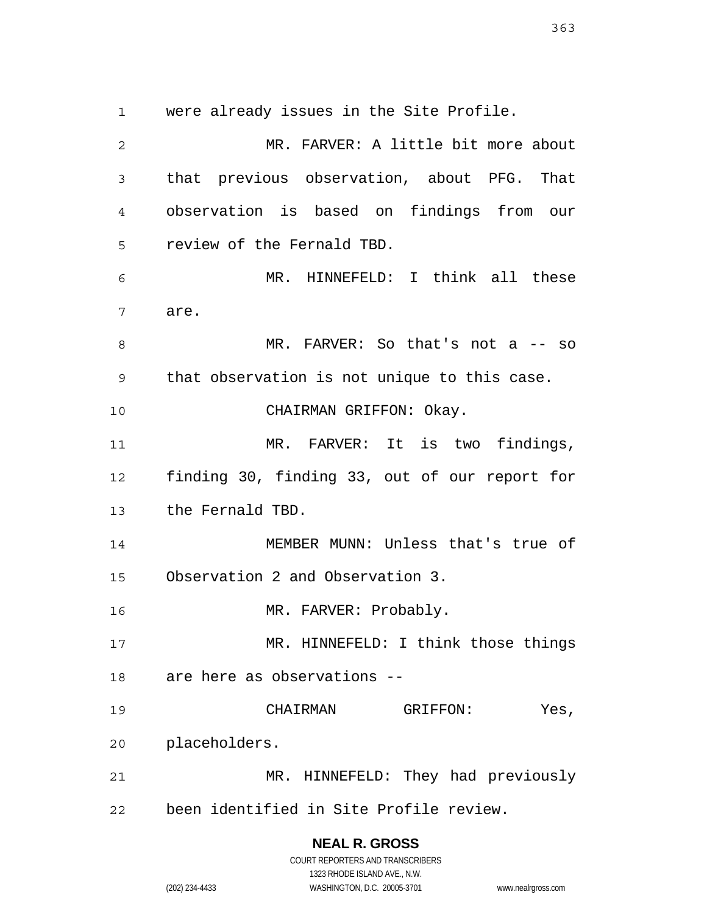were already issues in the Site Profile. MR. FARVER: A little bit more about that previous observation, about PFG. That observation is based on findings from our review of the Fernald TBD. MR. HINNEFELD: I think all these are. MR. FARVER: So that's not a -- so that observation is not unique to this case. 10 CHAIRMAN GRIFFON: Okay. MR. FARVER: It is two findings, finding 30, finding 33, out of our report for the Fernald TBD. MEMBER MUNN: Unless that's true of Observation 2 and Observation 3. 16 MR. FARVER: Probably. MR. HINNEFELD: I think those things are here as observations -- CHAIRMAN GRIFFON: Yes, placeholders. MR. HINNEFELD: They had previously been identified in Site Profile review.

> **NEAL R. GROSS**  COURT REPORTERS AND TRANSCRIBERS

1323 RHODE ISLAND AVE., N.W. (202) 234-4433 WASHINGTON, D.C. 20005-3701 www.nealrgross.com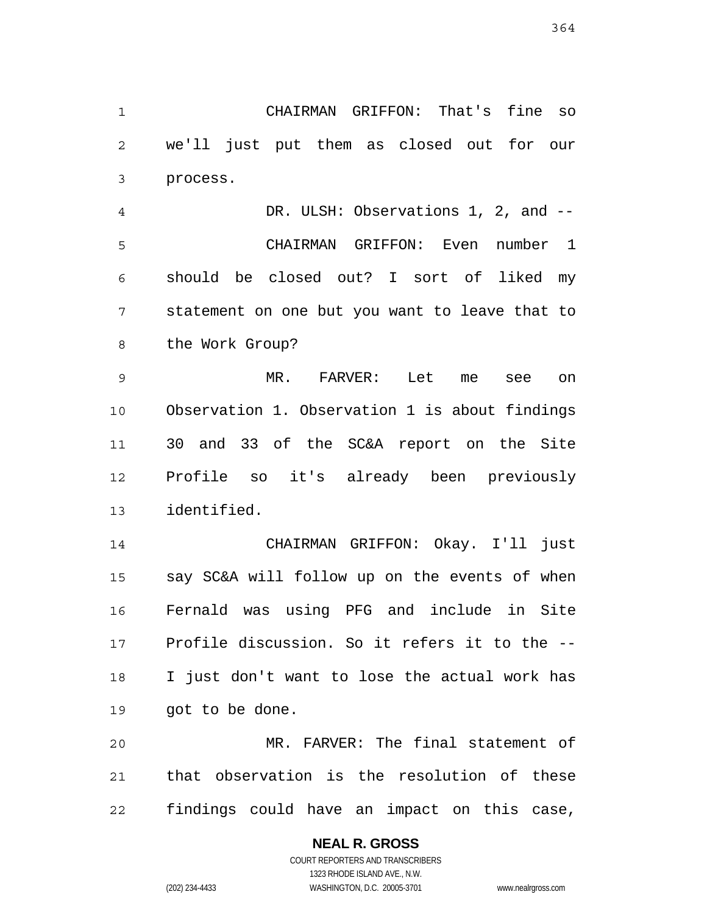CHAIRMAN GRIFFON: That's fine so we'll just put them as closed out for our process.

DR. ULSH: Observations 1, 2, and -- CHAIRMAN GRIFFON: Even number 1 should be closed out? I sort of liked my statement on one but you want to leave that to the Work Group?

MR. FARVER: Let me see on Observation 1. Observation 1 is about findings 30 and 33 of the SC&A report on the Site Profile so it's already been previously identified.

CHAIRMAN GRIFFON: Okay. I'll just say SC&A will follow up on the events of when Fernald was using PFG and include in Site Profile discussion. So it refers it to the -- I just don't want to lose the actual work has got to be done.

MR. FARVER: The final statement of that observation is the resolution of these findings could have an impact on this case,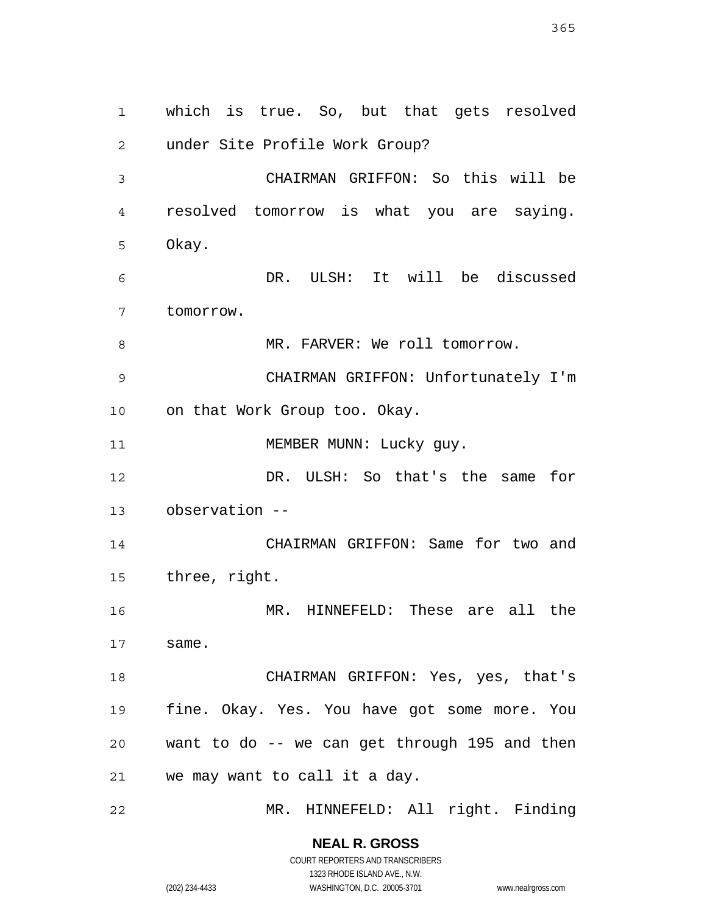which is true. So, but that gets resolved under Site Profile Work Group? CHAIRMAN GRIFFON: So this will be resolved tomorrow is what you are saying. Okay. DR. ULSH: It will be discussed tomorrow. 8 MR. FARVER: We roll tomorrow. CHAIRMAN GRIFFON: Unfortunately I'm on that Work Group too. Okay. 11 MEMBER MUNN: Lucky quy. DR. ULSH: So that's the same for observation -- CHAIRMAN GRIFFON: Same for two and three, right. MR. HINNEFELD: These are all the same. CHAIRMAN GRIFFON: Yes, yes, that's fine. Okay. Yes. You have got some more. You want to do -- we can get through 195 and then we may want to call it a day. MR. HINNEFELD: All right. Finding

> **NEAL R. GROSS**  COURT REPORTERS AND TRANSCRIBERS

> > 1323 RHODE ISLAND AVE., N.W.

(202) 234-4433 WASHINGTON, D.C. 20005-3701 www.nealrgross.com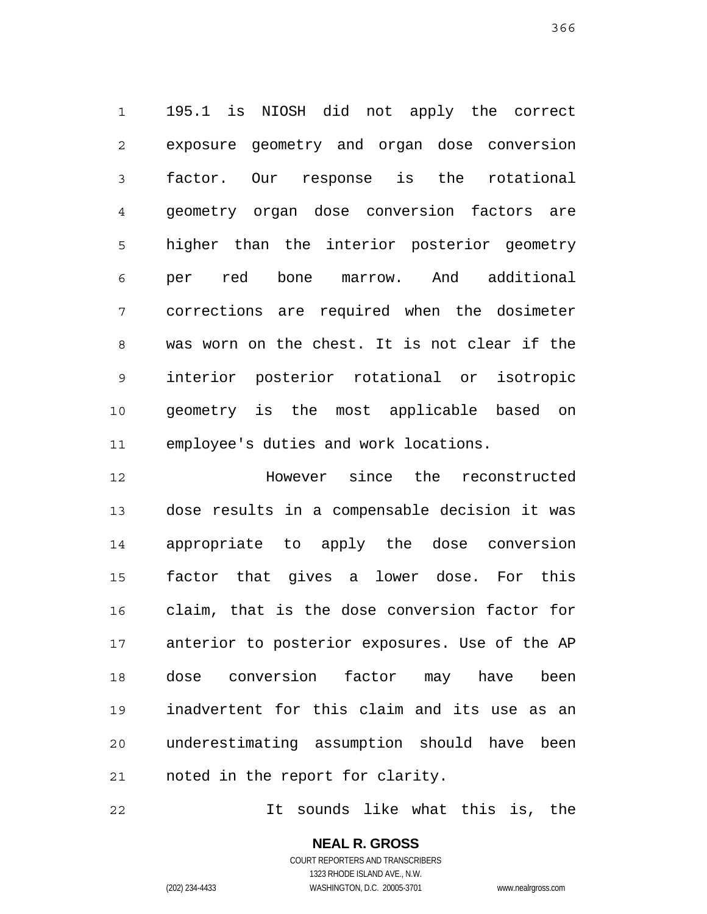195.1 is NIOSH did not apply the correct exposure geometry and organ dose conversion factor. Our response is the rotational geometry organ dose conversion factors are higher than the interior posterior geometry per red bone marrow. And additional corrections are required when the dosimeter was worn on the chest. It is not clear if the interior posterior rotational or isotropic geometry is the most applicable based on employee's duties and work locations.

However since the reconstructed dose results in a compensable decision it was appropriate to apply the dose conversion factor that gives a lower dose. For this claim, that is the dose conversion factor for anterior to posterior exposures. Use of the AP dose conversion factor may have been inadvertent for this claim and its use as an underestimating assumption should have been noted in the report for clarity.

It sounds like what this is, the

**NEAL R. GROSS**  COURT REPORTERS AND TRANSCRIBERS 1323 RHODE ISLAND AVE., N.W.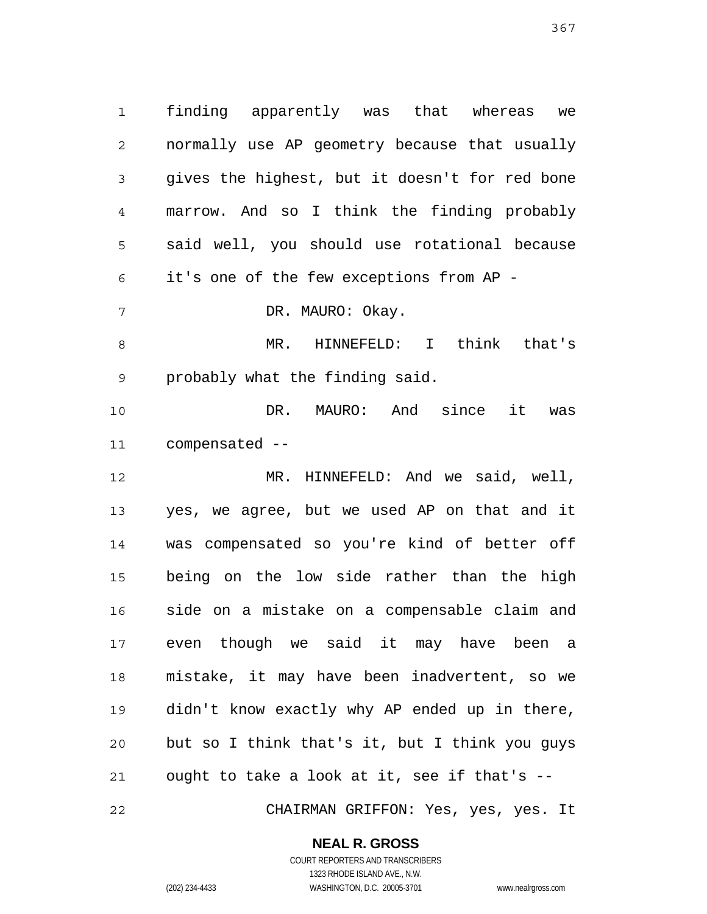finding apparently was that whereas we normally use AP geometry because that usually gives the highest, but it doesn't for red bone marrow. And so I think the finding probably said well, you should use rotational because it's one of the few exceptions from AP - 7 DR. MAURO: Okay. MR. HINNEFELD: I think that's probably what the finding said. DR. MAURO: And since it was compensated -- MR. HINNEFELD: And we said, well, yes, we agree, but we used AP on that and it was compensated so you're kind of better off being on the low side rather than the high side on a mistake on a compensable claim and even though we said it may have been a mistake, it may have been inadvertent, so we didn't know exactly why AP ended up in there, but so I think that's it, but I think you guys ought to take a look at it, see if that's --

CHAIRMAN GRIFFON: Yes, yes, yes. It

**NEAL R. GROSS**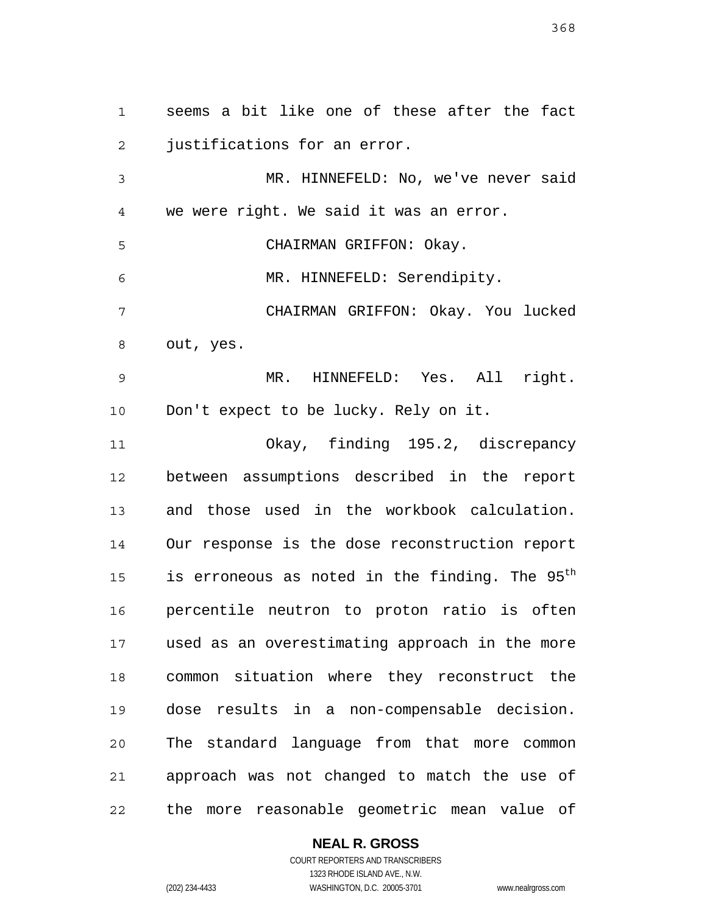seems a bit like one of these after the fact justifications for an error.

MR. HINNEFELD: No, we've never said we were right. We said it was an error.

CHAIRMAN GRIFFON: Okay.

MR. HINNEFELD: Serendipity.

CHAIRMAN GRIFFON: Okay. You lucked out, yes.

MR. HINNEFELD: Yes. All right. Don't expect to be lucky. Rely on it.

Okay, finding 195.2, discrepancy between assumptions described in the report and those used in the workbook calculation. Our response is the dose reconstruction report 15 is erroneous as noted in the finding. The  $95<sup>th</sup>$ percentile neutron to proton ratio is often used as an overestimating approach in the more common situation where they reconstruct the dose results in a non-compensable decision. The standard language from that more common approach was not changed to match the use of the more reasonable geometric mean value of

**NEAL R. GROSS**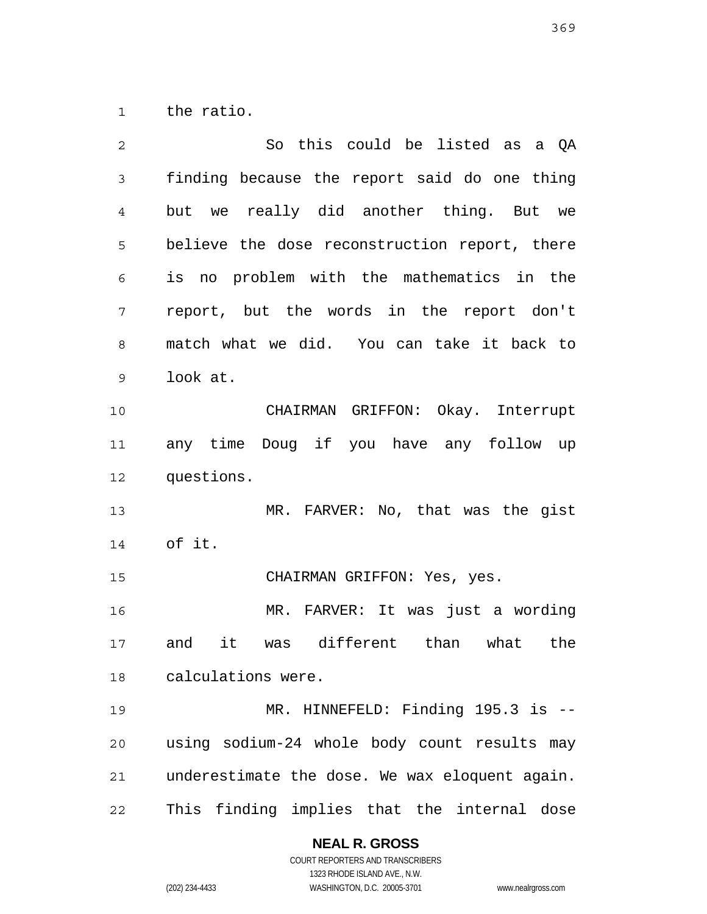the ratio.

| 2  | So this could be listed as a QA                |
|----|------------------------------------------------|
| 3  | finding because the report said do one thing   |
| 4  | but we really did another thing. But we        |
| 5  | believe the dose reconstruction report, there  |
| 6  | is no problem with the mathematics in the      |
| 7  | report, but the words in the report don't      |
| 8  | match what we did. You can take it back to     |
| 9  | look at.                                       |
| 10 | CHAIRMAN GRIFFON: Okay. Interrupt              |
| 11 | any time Doug if you have any follow up        |
| 12 | questions.                                     |
| 13 | MR. FARVER: No, that was the gist              |
| 14 | of it.                                         |
| 15 | CHAIRMAN GRIFFON: Yes, yes.                    |
| 16 | MR. FARVER: It was just a wording              |
| 17 | and it<br>was different than what the          |
| 18 | calculations were.                             |
| 19 | MR. HINNEFELD: Finding 195.3 is --             |
| 20 | using sodium-24 whole body count results may   |
| 21 | underestimate the dose. We wax eloquent again. |
| 22 | This finding implies that the internal dose    |

**NEAL R. GROSS**  COURT REPORTERS AND TRANSCRIBERS

1323 RHODE ISLAND AVE., N.W.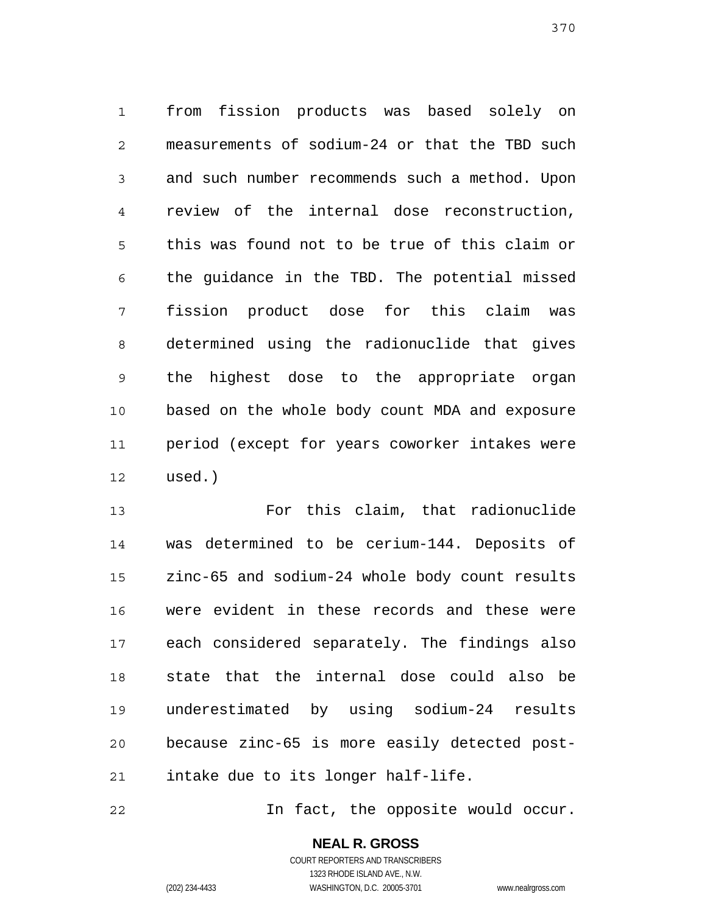from fission products was based solely on measurements of sodium-24 or that the TBD such and such number recommends such a method. Upon review of the internal dose reconstruction, this was found not to be true of this claim or the guidance in the TBD. The potential missed fission product dose for this claim was determined using the radionuclide that gives the highest dose to the appropriate organ based on the whole body count MDA and exposure period (except for years coworker intakes were used.)

For this claim, that radionuclide was determined to be cerium-144. Deposits of zinc-65 and sodium-24 whole body count results were evident in these records and these were each considered separately. The findings also state that the internal dose could also be underestimated by using sodium-24 results because zinc-65 is more easily detected post-intake due to its longer half-life.

**In fact, the opposite would occur.** 

**NEAL R. GROSS**  COURT REPORTERS AND TRANSCRIBERS

1323 RHODE ISLAND AVE., N.W.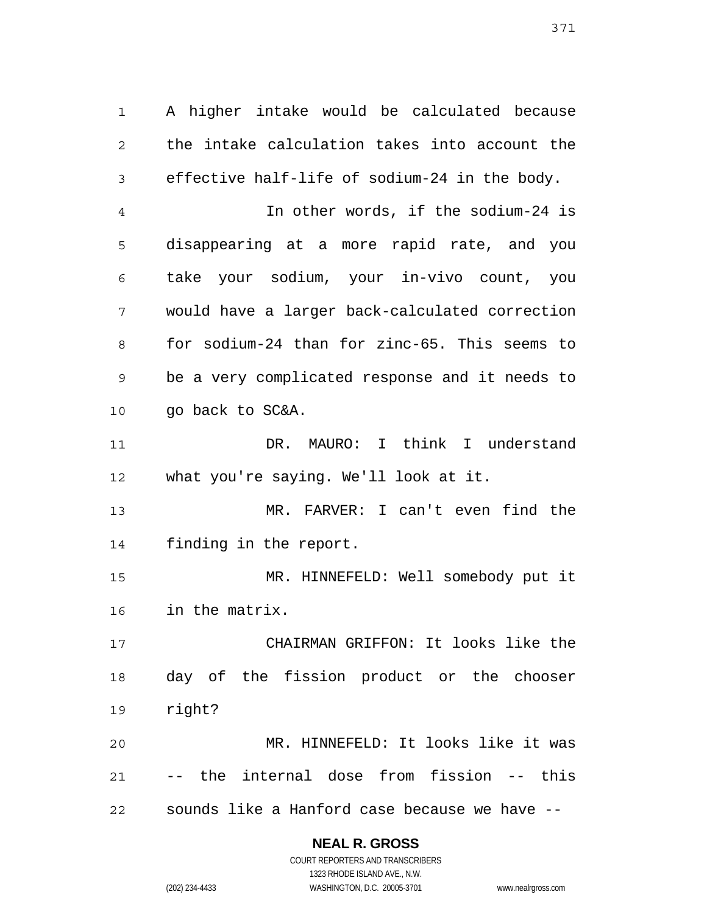A higher intake would be calculated because the intake calculation takes into account the effective half-life of sodium-24 in the body.

In other words, if the sodium-24 is disappearing at a more rapid rate, and you take your sodium, your in-vivo count, you would have a larger back-calculated correction for sodium-24 than for zinc-65. This seems to be a very complicated response and it needs to go back to SC&A.

DR. MAURO: I think I understand what you're saying. We'll look at it.

MR. FARVER: I can't even find the finding in the report.

MR. HINNEFELD: Well somebody put it in the matrix.

CHAIRMAN GRIFFON: It looks like the day of the fission product or the chooser right?

MR. HINNEFELD: It looks like it was -- the internal dose from fission -- this sounds like a Hanford case because we have --

## **NEAL R. GROSS**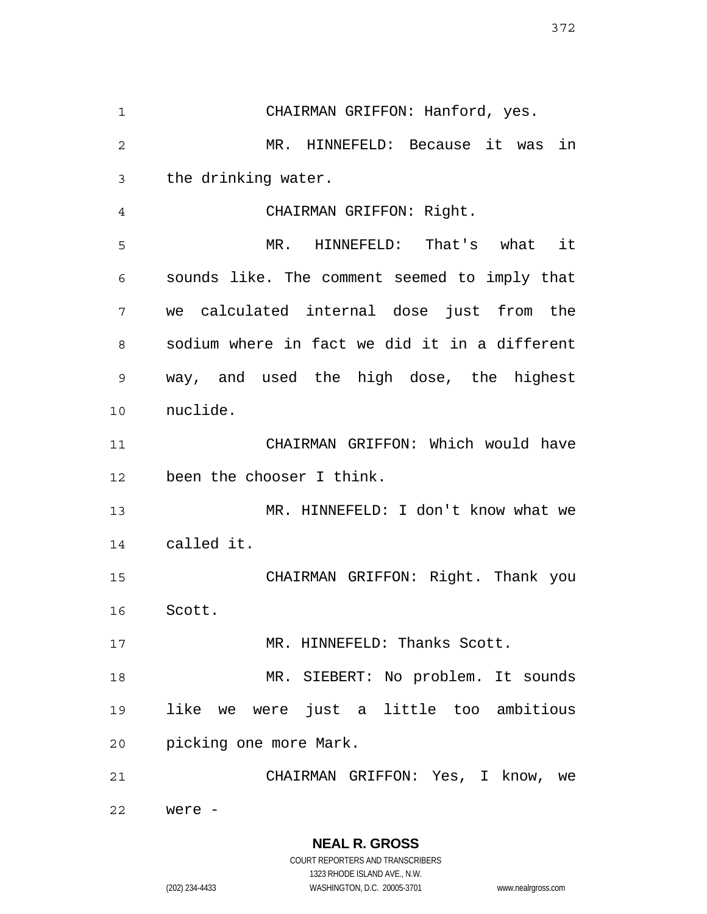CHAIRMAN GRIFFON: Hanford, yes. MR. HINNEFELD: Because it was in the drinking water. CHAIRMAN GRIFFON: Right. MR. HINNEFELD: That's what it sounds like. The comment seemed to imply that we calculated internal dose just from the sodium where in fact we did it in a different way, and used the high dose, the highest nuclide. CHAIRMAN GRIFFON: Which would have been the chooser I think. MR. HINNEFELD: I don't know what we called it. CHAIRMAN GRIFFON: Right. Thank you Scott. 17 MR. HINNEFELD: Thanks Scott. MR. SIEBERT: No problem. It sounds like we were just a little too ambitious picking one more Mark. CHAIRMAN GRIFFON: Yes, I know, we were -

> **NEAL R. GROSS**  COURT REPORTERS AND TRANSCRIBERS 1323 RHODE ISLAND AVE., N.W. (202) 234-4433 WASHINGTON, D.C. 20005-3701 www.nealrgross.com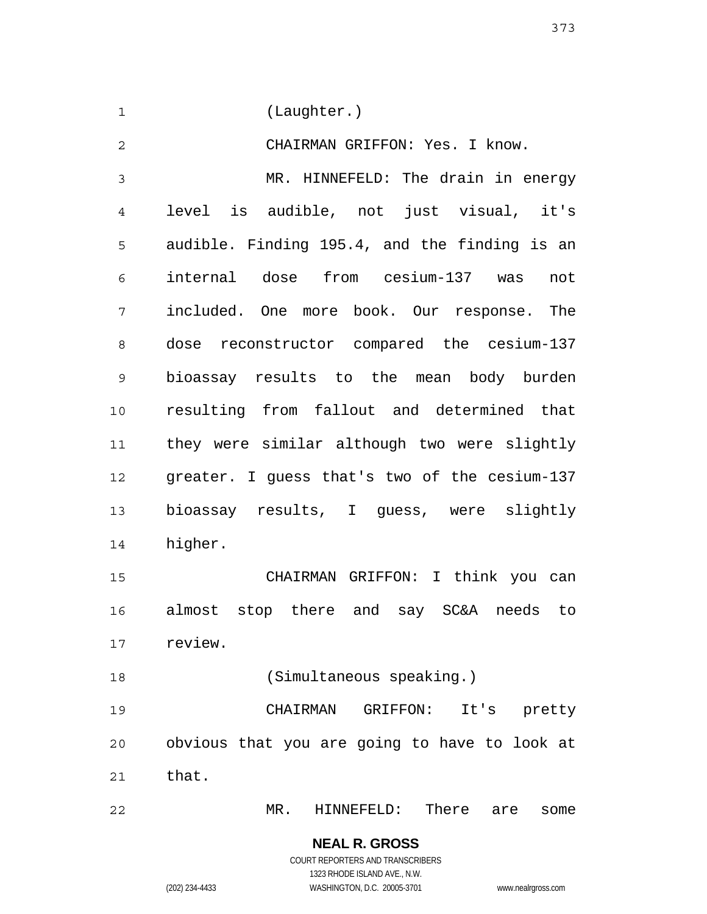(Laughter.)

CHAIRMAN GRIFFON: Yes. I know.

MR. HINNEFELD: The drain in energy level is audible, not just visual, it's audible. Finding 195.4, and the finding is an internal dose from cesium-137 was not included. One more book. Our response. The dose reconstructor compared the cesium-137 bioassay results to the mean body burden resulting from fallout and determined that they were similar although two were slightly greater. I guess that's two of the cesium-137 bioassay results, I guess, were slightly higher.

CHAIRMAN GRIFFON: I think you can almost stop there and say SC&A needs to review.

(Simultaneous speaking.)

CHAIRMAN GRIFFON: It's pretty obvious that you are going to have to look at that.

MR. HINNEFELD: There are some

**NEAL R. GROSS**  COURT REPORTERS AND TRANSCRIBERS 1323 RHODE ISLAND AVE., N.W.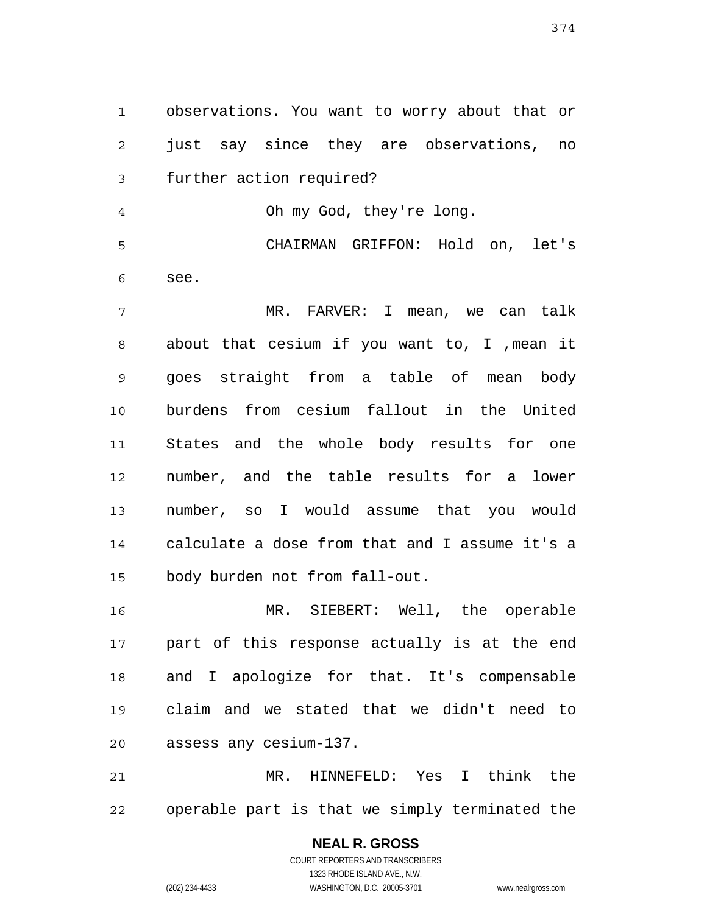observations. You want to worry about that or just say since they are observations, no further action required?

Oh my God, they're long. CHAIRMAN GRIFFON: Hold on, let's see.

MR. FARVER: I mean, we can talk about that cesium if you want to, I ,mean it goes straight from a table of mean body burdens from cesium fallout in the United States and the whole body results for one number, and the table results for a lower number, so I would assume that you would calculate a dose from that and I assume it's a body burden not from fall-out.

MR. SIEBERT: Well, the operable part of this response actually is at the end and I apologize for that. It's compensable claim and we stated that we didn't need to assess any cesium-137.

MR. HINNEFELD: Yes I think the operable part is that we simply terminated the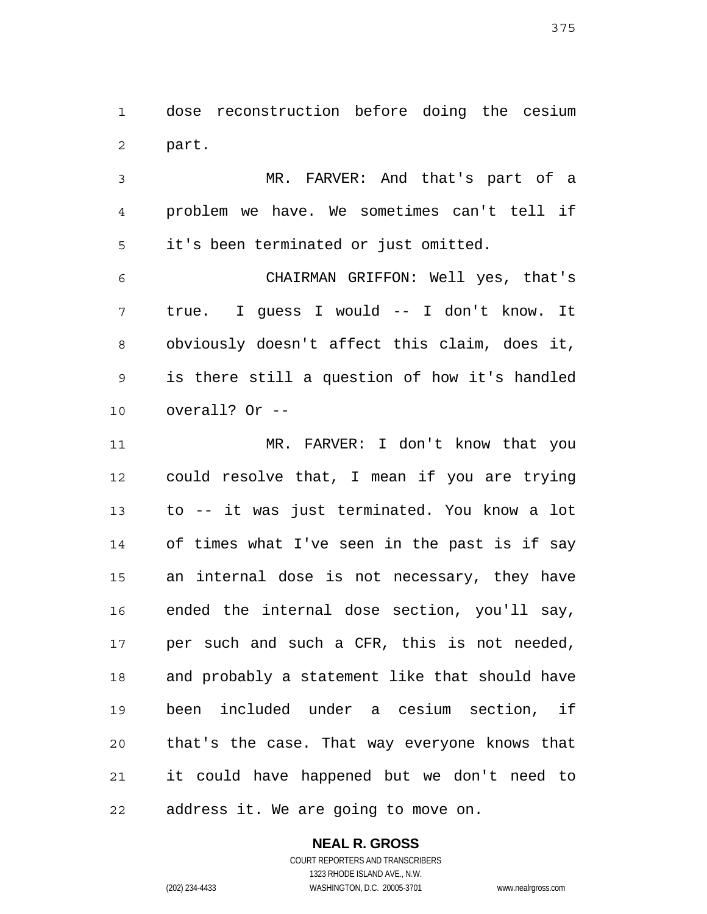dose reconstruction before doing the cesium part.

MR. FARVER: And that's part of a problem we have. We sometimes can't tell if it's been terminated or just omitted.

CHAIRMAN GRIFFON: Well yes, that's true. I guess I would -- I don't know. It obviously doesn't affect this claim, does it, is there still a question of how it's handled overall? Or --

MR. FARVER: I don't know that you could resolve that, I mean if you are trying to -- it was just terminated. You know a lot of times what I've seen in the past is if say an internal dose is not necessary, they have ended the internal dose section, you'll say, per such and such a CFR, this is not needed, and probably a statement like that should have been included under a cesium section, if that's the case. That way everyone knows that it could have happened but we don't need to address it. We are going to move on.

## **NEAL R. GROSS**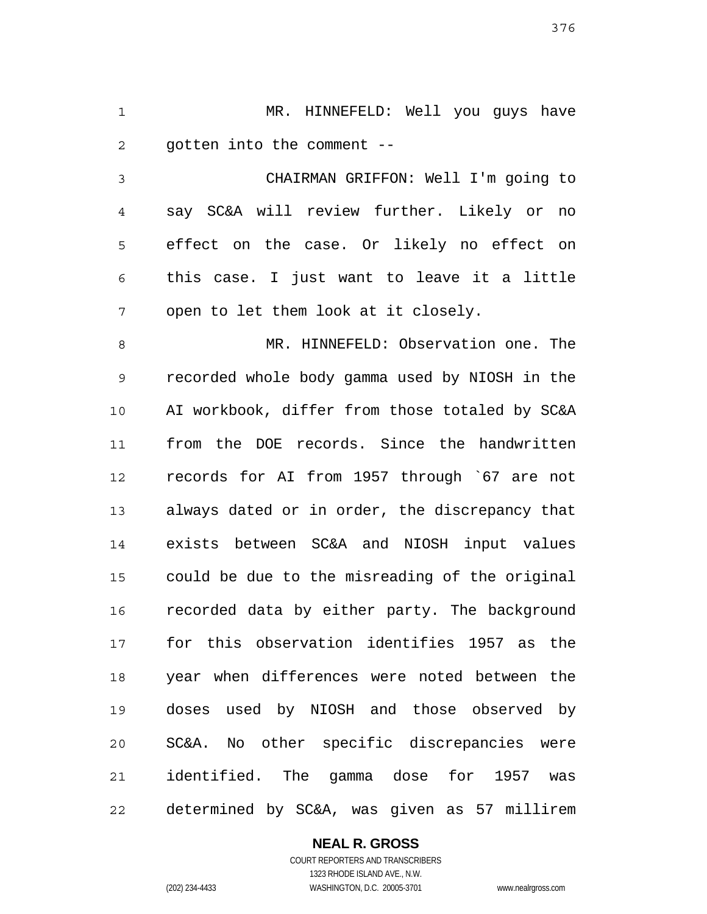MR. HINNEFELD: Well you guys have gotten into the comment --

CHAIRMAN GRIFFON: Well I'm going to say SC&A will review further. Likely or no effect on the case. Or likely no effect on this case. I just want to leave it a little open to let them look at it closely.

MR. HINNEFELD: Observation one. The recorded whole body gamma used by NIOSH in the AI workbook, differ from those totaled by SC&A from the DOE records. Since the handwritten records for AI from 1957 through `67 are not always dated or in order, the discrepancy that exists between SC&A and NIOSH input values could be due to the misreading of the original recorded data by either party. The background for this observation identifies 1957 as the year when differences were noted between the doses used by NIOSH and those observed by SC&A. No other specific discrepancies were identified. The gamma dose for 1957 was determined by SC&A, was given as 57 millirem

**NEAL R. GROSS**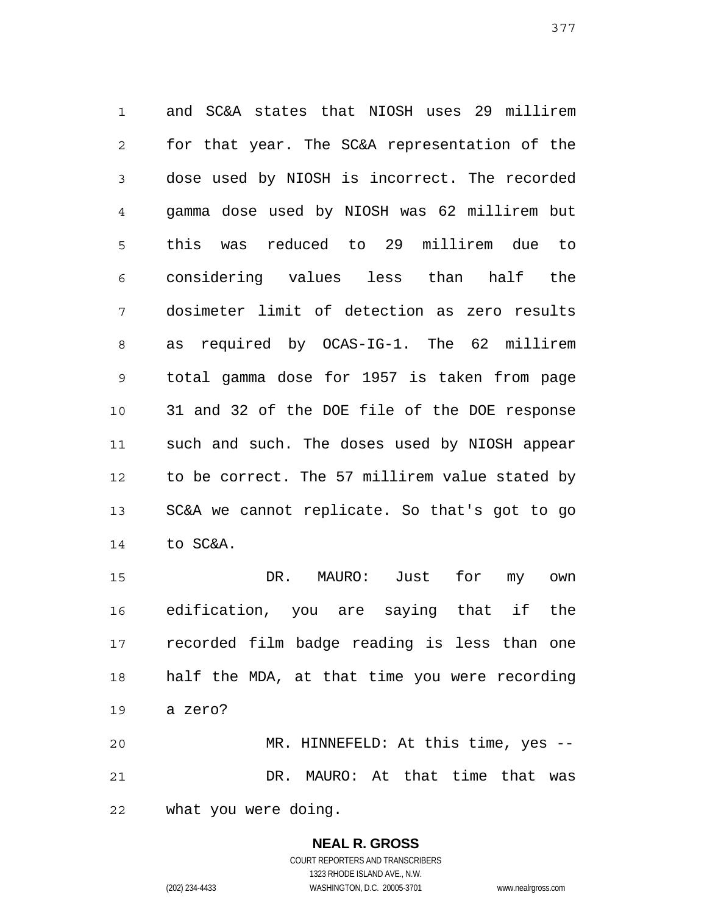and SC&A states that NIOSH uses 29 millirem for that year. The SC&A representation of the dose used by NIOSH is incorrect. The recorded gamma dose used by NIOSH was 62 millirem but this was reduced to 29 millirem due to considering values less than half the dosimeter limit of detection as zero results as required by OCAS-IG-1. The 62 millirem total gamma dose for 1957 is taken from page 31 and 32 of the DOE file of the DOE response such and such. The doses used by NIOSH appear to be correct. The 57 millirem value stated by SC&A we cannot replicate. So that's got to go to SC&A.

DR. MAURO: Just for my own edification, you are saying that if the recorded film badge reading is less than one half the MDA, at that time you were recording a zero?

MR. HINNEFELD: At this time, yes -- DR. MAURO: At that time that was what you were doing.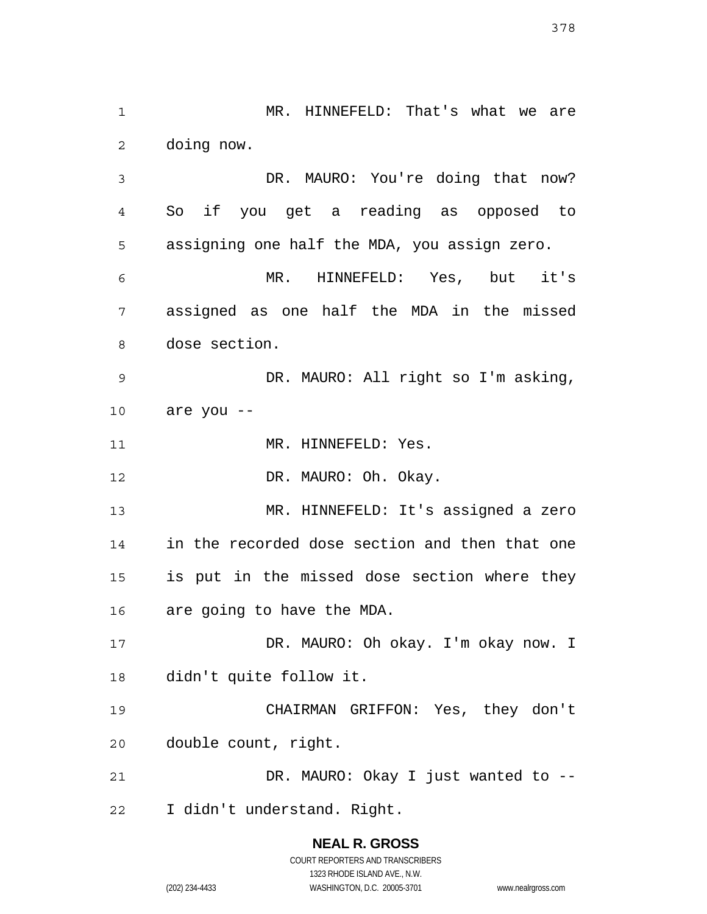MR. HINNEFELD: That's what we are doing now. DR. MAURO: You're doing that now? So if you get a reading as opposed to assigning one half the MDA, you assign zero. MR. HINNEFELD: Yes, but it's assigned as one half the MDA in the missed dose section. DR. MAURO: All right so I'm asking, are you -- 11 MR. HINNEFELD: Yes. 12 DR. MAURO: Oh. Okay. MR. HINNEFELD: It's assigned a zero in the recorded dose section and then that one is put in the missed dose section where they are going to have the MDA. DR. MAURO: Oh okay. I'm okay now. I didn't quite follow it. CHAIRMAN GRIFFON: Yes, they don't double count, right. DR. MAURO: Okay I just wanted to -- I didn't understand. Right.

> **NEAL R. GROSS**  COURT REPORTERS AND TRANSCRIBERS 1323 RHODE ISLAND AVE., N.W.

(202) 234-4433 WASHINGTON, D.C. 20005-3701 www.nealrgross.com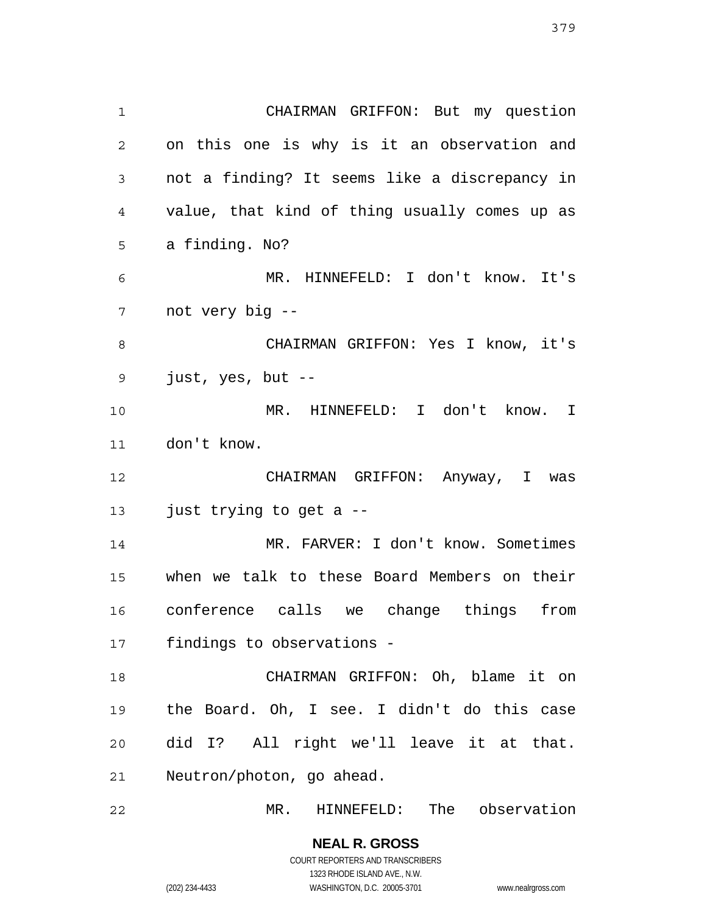CHAIRMAN GRIFFON: But my question on this one is why is it an observation and not a finding? It seems like a discrepancy in value, that kind of thing usually comes up as a finding. No? MR. HINNEFELD: I don't know. It's not very big -- CHAIRMAN GRIFFON: Yes I know, it's just, yes, but -- MR. HINNEFELD: I don't know. I don't know. CHAIRMAN GRIFFON: Anyway, I was just trying to get a -- MR. FARVER: I don't know. Sometimes when we talk to these Board Members on their conference calls we change things from findings to observations - CHAIRMAN GRIFFON: Oh, blame it on the Board. Oh, I see. I didn't do this case did I? All right we'll leave it at that.

Neutron/photon, go ahead.

MR. HINNEFELD: The observation

COURT REPORTERS AND TRANSCRIBERS 1323 RHODE ISLAND AVE., N.W. (202) 234-4433 WASHINGTON, D.C. 20005-3701 www.nealrgross.com

**NEAL R. GROSS**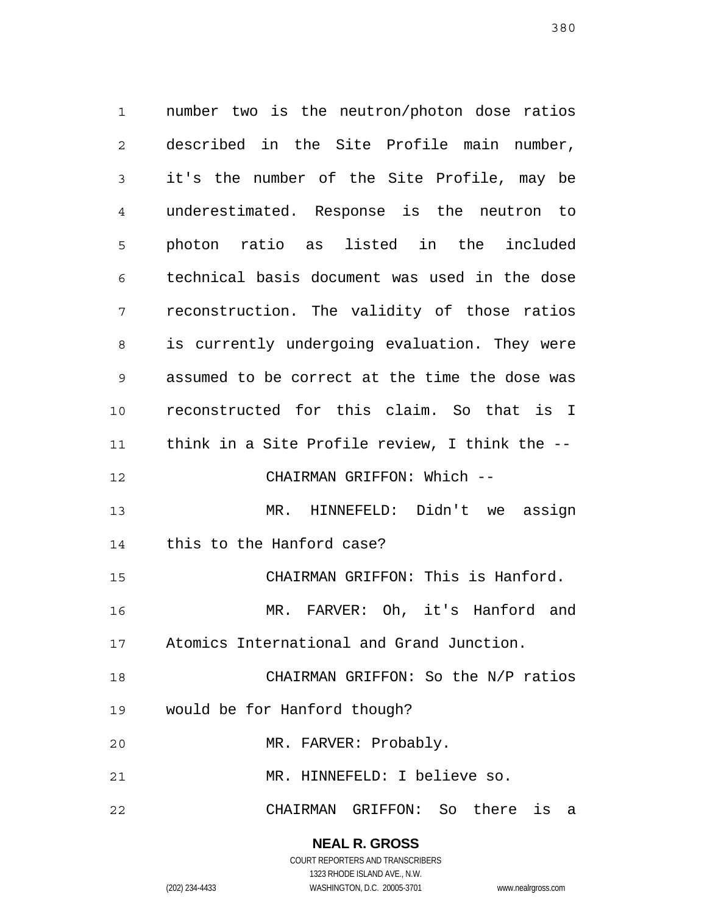number two is the neutron/photon dose ratios described in the Site Profile main number, it's the number of the Site Profile, may be underestimated. Response is the neutron to photon ratio as listed in the included technical basis document was used in the dose reconstruction. The validity of those ratios is currently undergoing evaluation. They were assumed to be correct at the time the dose was reconstructed for this claim. So that is I think in a Site Profile review, I think the -- 12 CHAIRMAN GRIFFON: Which --MR. HINNEFELD: Didn't we assign this to the Hanford case? CHAIRMAN GRIFFON: This is Hanford. MR. FARVER: Oh, it's Hanford and Atomics International and Grand Junction. CHAIRMAN GRIFFON: So the N/P ratios would be for Hanford though? MR. FARVER: Probably. MR. HINNEFELD: I believe so. CHAIRMAN GRIFFON: So there is a

> **NEAL R. GROSS**  COURT REPORTERS AND TRANSCRIBERS

> > 1323 RHODE ISLAND AVE., N.W.

(202) 234-4433 WASHINGTON, D.C. 20005-3701 www.nealrgross.com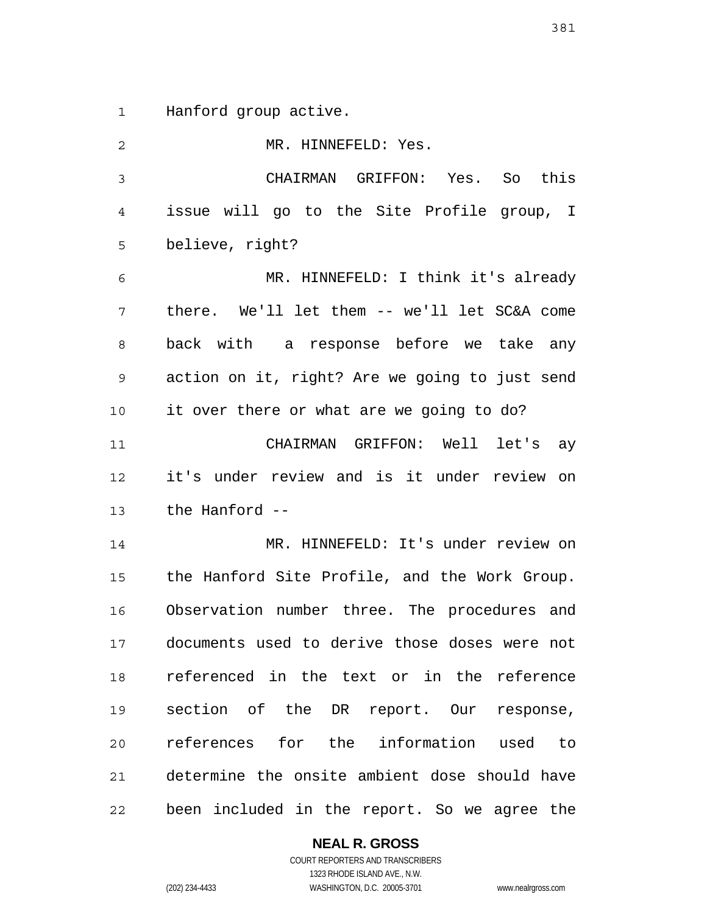Hanford group active.

| $\overline{2}$ | MR. HINNEFELD: Yes.                            |
|----------------|------------------------------------------------|
| 3              | So this<br>CHAIRMAN GRIFFON: Yes.              |
| 4              | issue will go to the Site Profile group, I     |
| 5              | believe, right?                                |
| 6              | MR. HINNEFELD: I think it's already            |
| 7              | there. We'll let them -- we'll let SC&A come   |
| 8              | back with a response before we take any        |
| 9              | action on it, right? Are we going to just send |
| 10             | it over there or what are we going to do?      |
| 11             | CHAIRMAN GRIFFON: Well let's ay                |
| 12             | it's under review and is it under review on    |
| 13             | the Hanford --                                 |
| 14             | MR. HINNEFELD: It's under review on            |
| 15             | the Hanford Site Profile, and the Work Group.  |
| 16             | Observation number three. The procedures and   |
| 17             | documents used to derive those doses were not  |
| 18             | referenced in the text or in the reference     |
| 19             | section of the DR report. Our response,        |
| 20             | references for the information used to         |
| 21             | determine the onsite ambient dose should have  |
| 22             | been included in the report. So we agree the   |

**NEAL R. GROSS**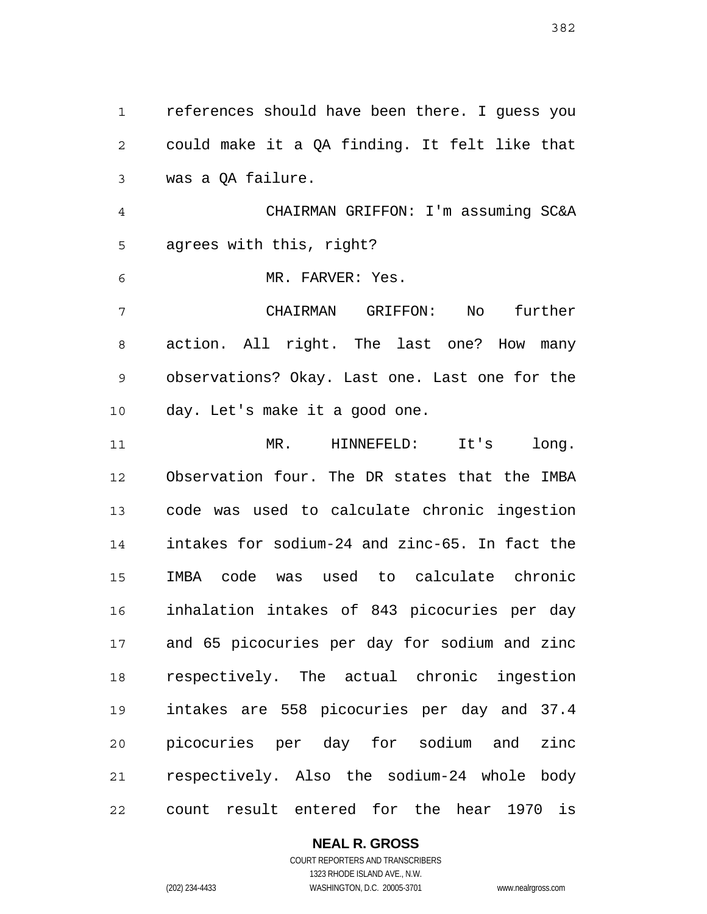references should have been there. I guess you could make it a QA finding. It felt like that was a QA failure. CHAIRMAN GRIFFON: I'm assuming SC&A agrees with this, right? MR. FARVER: Yes. CHAIRMAN GRIFFON: No further action. All right. The last one? How many observations? Okay. Last one. Last one for the day. Let's make it a good one. 11 MR. HINNEFELD: It's long. Observation four. The DR states that the IMBA code was used to calculate chronic ingestion intakes for sodium-24 and zinc-65. In fact the IMBA code was used to calculate chronic inhalation intakes of 843 picocuries per day and 65 picocuries per day for sodium and zinc respectively. The actual chronic ingestion intakes are 558 picocuries per day and 37.4 picocuries per day for sodium and zinc respectively. Also the sodium-24 whole body count result entered for the hear 1970 is

**NEAL R. GROSS**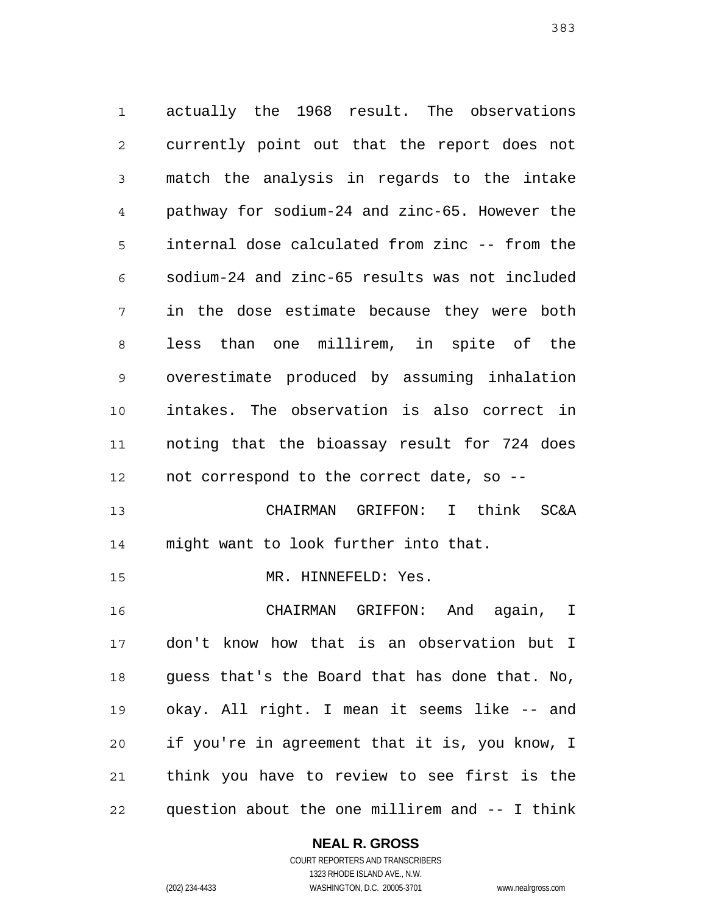actually the 1968 result. The observations currently point out that the report does not match the analysis in regards to the intake pathway for sodium-24 and zinc-65. However the internal dose calculated from zinc -- from the sodium-24 and zinc-65 results was not included in the dose estimate because they were both less than one millirem, in spite of the overestimate produced by assuming inhalation intakes. The observation is also correct in noting that the bioassay result for 724 does not correspond to the correct date, so -- CHAIRMAN GRIFFON: I think SC&A might want to look further into that. 15 MR. HINNEFELD: Yes. CHAIRMAN GRIFFON: And again, I don't know how that is an observation but I guess that's the Board that has done that. No, okay. All right. I mean it seems like -- and if you're in agreement that it is, you know, I think you have to review to see first is the

question about the one millirem and -- I think

**NEAL R. GROSS**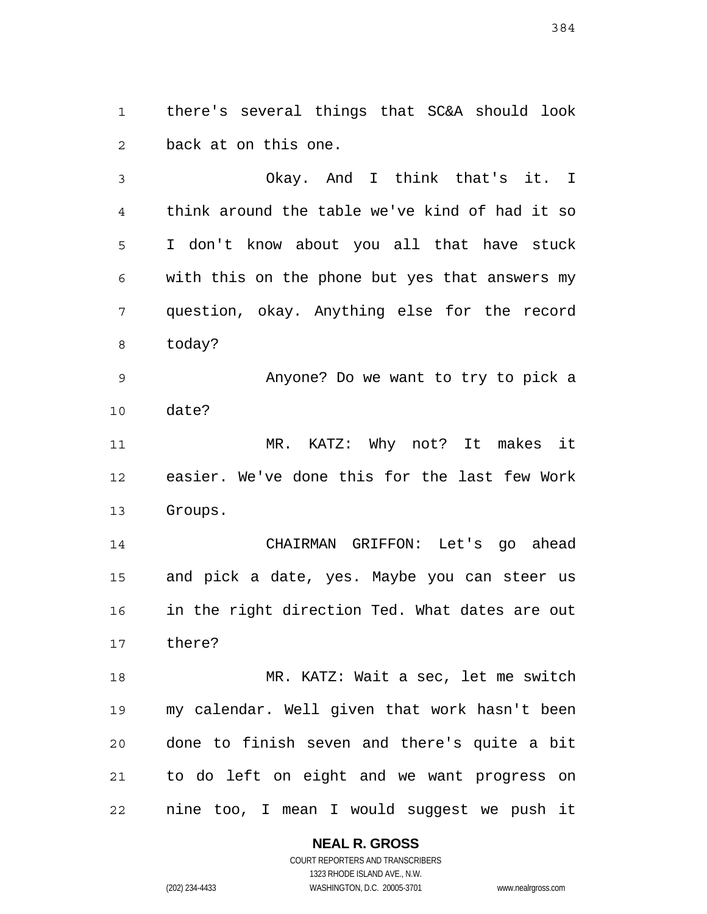there's several things that SC&A should look back at on this one.

Okay. And I think that's it. I think around the table we've kind of had it so I don't know about you all that have stuck with this on the phone but yes that answers my question, okay. Anything else for the record today?

Anyone? Do we want to try to pick a date?

MR. KATZ: Why not? It makes it easier. We've done this for the last few Work Groups.

CHAIRMAN GRIFFON: Let's go ahead and pick a date, yes. Maybe you can steer us in the right direction Ted. What dates are out there?

MR. KATZ: Wait a sec, let me switch my calendar. Well given that work hasn't been done to finish seven and there's quite a bit to do left on eight and we want progress on nine too, I mean I would suggest we push it

**NEAL R. GROSS**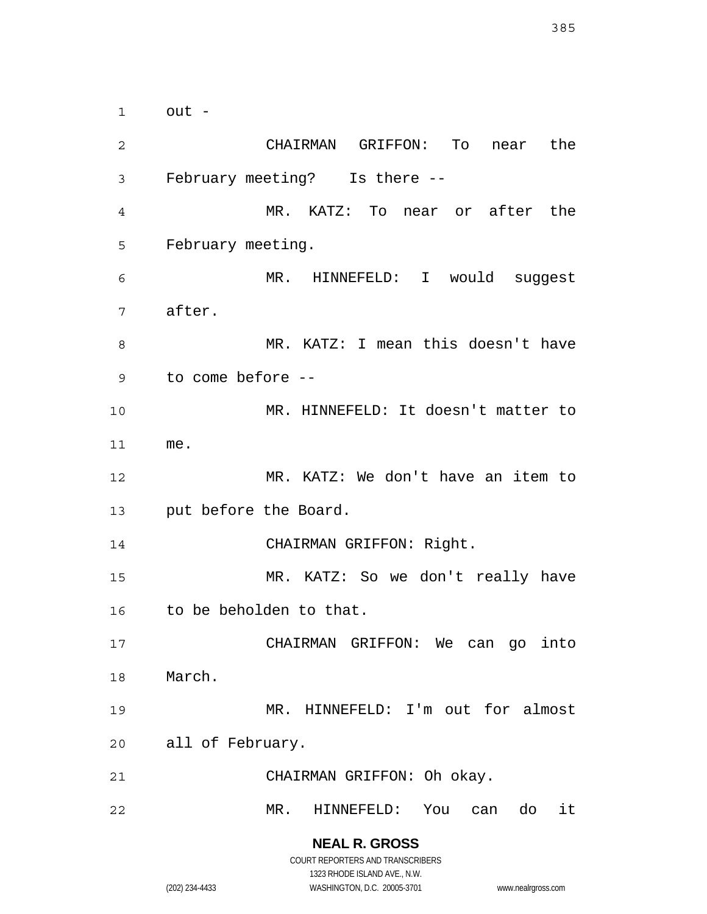out - CHAIRMAN GRIFFON: To near the February meeting? Is there -- MR. KATZ: To near or after the February meeting. MR. HINNEFELD: I would suggest after. MR. KATZ: I mean this doesn't have to come before -- MR. HINNEFELD: It doesn't matter to me. MR. KATZ: We don't have an item to put before the Board. CHAIRMAN GRIFFON: Right. MR. KATZ: So we don't really have to be beholden to that. CHAIRMAN GRIFFON: We can go into March. MR. HINNEFELD: I'm out for almost all of February. CHAIRMAN GRIFFON: Oh okay. MR. HINNEFELD: You can do it **NEAL R. GROSS** 

1323 RHODE ISLAND AVE., N.W. (202) 234-4433 WASHINGTON, D.C. 20005-3701 www.nealrgross.com

COURT REPORTERS AND TRANSCRIBERS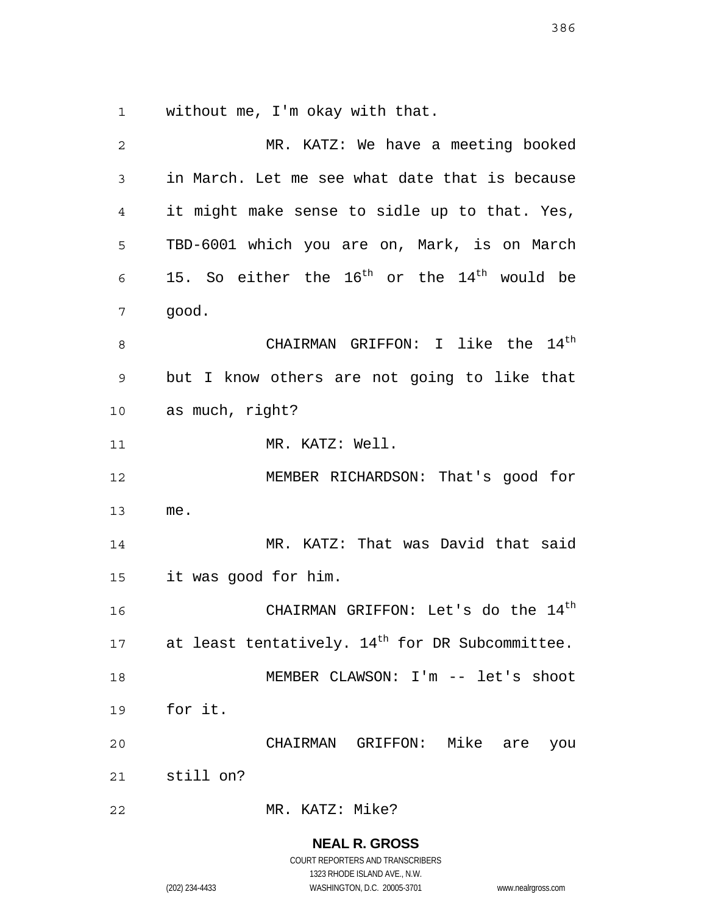without me, I'm okay with that.

| 2           | MR. KATZ: We have a meeting booked                                  |
|-------------|---------------------------------------------------------------------|
| 3           | in March. Let me see what date that is because                      |
| 4           | it might make sense to sidle up to that. Yes,                       |
| 5           | TBD-6001 which you are on, Mark, is on March                        |
| 6           | 15. So either the 16 <sup>th</sup> or the 14 <sup>th</sup> would be |
| 7           | good.                                                               |
| 8           | CHAIRMAN GRIFFON: I like the $14th$                                 |
| $\mathsf 9$ | but I know others are not going to like that                        |
| 10          | as much, right?                                                     |
| 11          | MR. KATZ: Well.                                                     |
| 12          | MEMBER RICHARDSON: That's good for                                  |
| 13          | me.                                                                 |
| 14          | MR. KATZ: That was David that said                                  |
| 15          | it was good for him.                                                |
| 16          | CHAIRMAN GRIFFON: Let's do the 14 <sup>th</sup>                     |
| 17          | at least tentatively. 14 <sup>th</sup> for DR Subcommittee.         |
| 18          | MEMBER CLAWSON: I'm -- let's shoot                                  |
| 19          | for it.                                                             |
| 20          | CHAIRMAN GRIFFON: Mike are<br>you                                   |
| 21          | still on?                                                           |
| 22          | MR. KATZ: Mike?                                                     |

**NEAL R. GROSS**  COURT REPORTERS AND TRANSCRIBERS

1323 RHODE ISLAND AVE., N.W.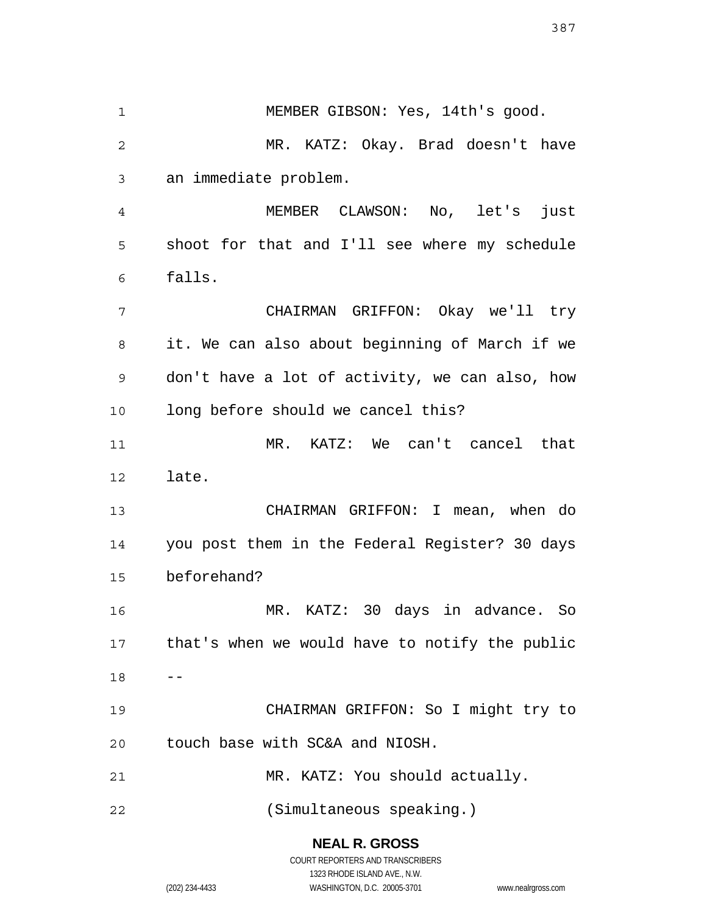MEMBER GIBSON: Yes, 14th's good. MR. KATZ: Okay. Brad doesn't have an immediate problem. MEMBER CLAWSON: No, let's just shoot for that and I'll see where my schedule falls. CHAIRMAN GRIFFON: Okay we'll try it. We can also about beginning of March if we don't have a lot of activity, we can also, how long before should we cancel this? MR. KATZ: We can't cancel that late. CHAIRMAN GRIFFON: I mean, when do you post them in the Federal Register? 30 days beforehand? MR. KATZ: 30 days in advance. So that's when we would have to notify the public  $18 - -$ CHAIRMAN GRIFFON: So I might try to touch base with SC&A and NIOSH. MR. KATZ: You should actually. (Simultaneous speaking.)

> **NEAL R. GROSS**  COURT REPORTERS AND TRANSCRIBERS

> > 1323 RHODE ISLAND AVE., N.W.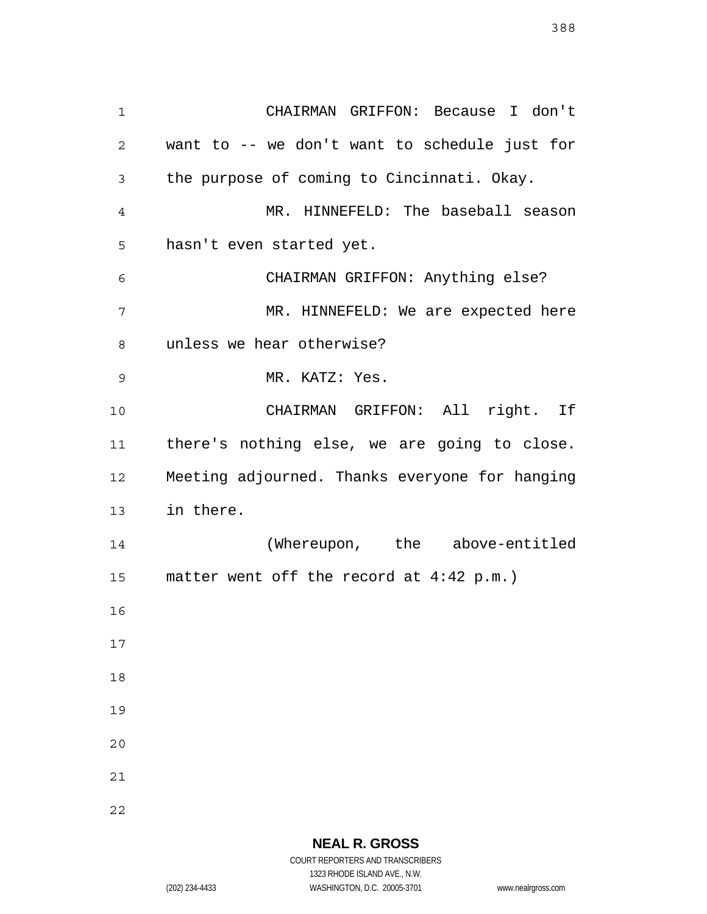CHAIRMAN GRIFFON: Because I don't want to -- we don't want to schedule just for the purpose of coming to Cincinnati. Okay. MR. HINNEFELD: The baseball season hasn't even started yet. CHAIRMAN GRIFFON: Anything else? MR. HINNEFELD: We are expected here unless we hear otherwise? MR. KATZ: Yes. CHAIRMAN GRIFFON: All right. If there's nothing else, we are going to close. Meeting adjourned. Thanks everyone for hanging in there. (Whereupon, the above-entitled matter went off the record at 4:42 p.m.)